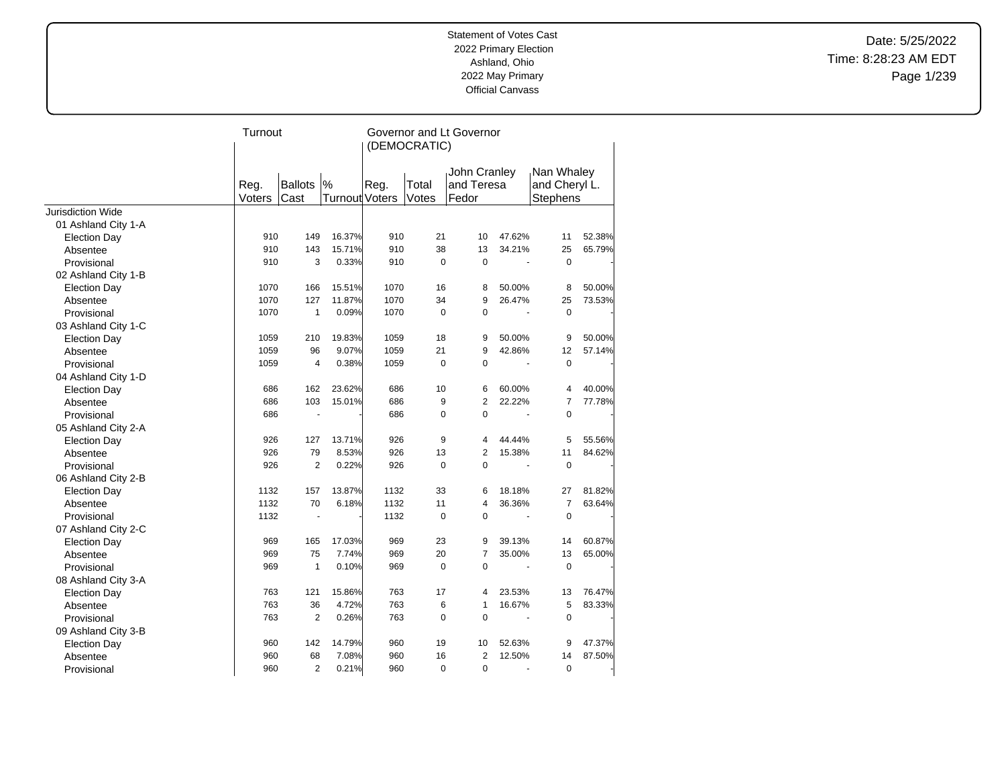Date: 5/25/2022 Time: 8:28:23 AM EDT Page 1/239

|                          | Turnout |                |                       | Governor and Lt Governor |              |                |        |                |        |  |
|--------------------------|---------|----------------|-----------------------|--------------------------|--------------|----------------|--------|----------------|--------|--|
|                          |         |                |                       |                          | (DEMOCRATIC) |                |        |                |        |  |
|                          |         |                |                       |                          |              | John Cranley   |        | Nan Whaley     |        |  |
|                          | Reg.    | <b>Ballots</b> | $\frac{9}{6}$         | Reg.                     | Total        | and Teresa     |        | and Cheryl L.  |        |  |
|                          | Voters  | Cast           | <b>Turnout Voters</b> |                          | Votes        | Fedor          |        | Stephens       |        |  |
| <b>Jurisdiction Wide</b> |         |                |                       |                          |              |                |        |                |        |  |
| 01 Ashland City 1-A      |         |                |                       |                          |              |                |        |                |        |  |
| <b>Election Day</b>      | 910     | 149            | 16.37%                | 910                      | 21           | 10             | 47.62% | 11             | 52.38% |  |
| Absentee                 | 910     | 143            | 15.71%                | 910                      | 38           | 13             | 34.21% | 25             | 65.79% |  |
| Provisional              | 910     | 3              | 0.33%                 | 910                      | $\mathbf 0$  | $\mathbf 0$    |        | $\mathbf 0$    |        |  |
| 02 Ashland City 1-B      |         |                |                       |                          |              |                |        |                |        |  |
| <b>Election Day</b>      | 1070    | 166            | 15.51%                | 1070                     | 16           | 8              | 50.00% | 8              | 50.00% |  |
| Absentee                 | 1070    | 127            | 11.87%                | 1070                     | 34           | 9              | 26.47% | 25             | 73.53% |  |
| Provisional              | 1070    | 1              | 0.09%                 | 1070                     | $\mathbf 0$  | $\mathbf 0$    |        | $\mathbf 0$    |        |  |
| 03 Ashland City 1-C      |         |                |                       |                          |              |                |        |                |        |  |
| <b>Election Day</b>      | 1059    | 210            | 19.83%                | 1059                     | 18           | 9              | 50.00% | 9              | 50.00% |  |
| Absentee                 | 1059    | 96             | 9.07%                 | 1059                     | 21           | 9              | 42.86% | 12             | 57.14% |  |
| Provisional              | 1059    | 4              | 0.38%                 | 1059                     | $\mathbf 0$  | $\mathbf 0$    |        | $\mathbf 0$    |        |  |
| 04 Ashland City 1-D      |         |                |                       |                          |              |                |        |                |        |  |
| <b>Election Day</b>      | 686     | 162            | 23.62%                | 686                      | 10           | 6              | 60.00% | 4              | 40.00% |  |
| Absentee                 | 686     | 103            | 15.01%                | 686                      | 9            | $\overline{2}$ | 22.22% | $\overline{7}$ | 77.78% |  |
| Provisional              | 686     |                |                       | 686                      | $\mathbf 0$  | 0              |        | $\mathbf 0$    |        |  |
| 05 Ashland City 2-A      |         |                |                       |                          |              |                |        |                |        |  |
| <b>Election Day</b>      | 926     | 127            | 13.71%                | 926                      | 9            | 4              | 44.44% | 5              | 55.56% |  |
| Absentee                 | 926     | 79             | 8.53%                 | 926                      | 13           | $\overline{2}$ | 15.38% | 11             | 84.62% |  |
| Provisional              | 926     | $\overline{2}$ | 0.22%                 | 926                      | $\mathbf 0$  | $\mathbf 0$    |        | $\mathbf 0$    |        |  |
| 06 Ashland City 2-B      |         |                |                       |                          |              |                |        |                |        |  |
| <b>Election Day</b>      | 1132    | 157            | 13.87%                | 1132                     | 33           | 6              | 18.18% | 27             | 81.82% |  |
| Absentee                 | 1132    | 70             | 6.18%                 | 1132                     | 11           | 4              | 36.36% | $\overline{7}$ | 63.64% |  |
| Provisional              | 1132    | ä,             |                       | 1132                     | $\Omega$     | $\Omega$       | ÷.     | $\Omega$       |        |  |
| 07 Ashland City 2-C      |         |                |                       |                          |              |                |        |                |        |  |
| <b>Election Day</b>      | 969     | 165            | 17.03%                | 969                      | 23           | 9              | 39.13% | 14             | 60.87% |  |
| Absentee                 | 969     | 75             | 7.74%                 | 969                      | 20           | $\overline{7}$ | 35.00% | 13             | 65.00% |  |
| Provisional              | 969     | 1              | 0.10%                 | 969                      | $\mathbf 0$  | $\overline{0}$ |        | $\mathbf 0$    |        |  |
| 08 Ashland City 3-A      |         |                |                       |                          |              |                |        |                |        |  |
| <b>Election Day</b>      | 763     | 121            | 15.86%                | 763                      | 17           | 4              | 23.53% | 13             | 76.47% |  |
| Absentee                 | 763     | 36             | 4.72%                 | 763                      | 6            | 1              | 16.67% | 5              | 83.33% |  |
| Provisional              | 763     | $\overline{2}$ | 0.26%                 | 763                      | $\mathbf 0$  | $\mathbf 0$    |        | $\mathbf 0$    |        |  |
| 09 Ashland City 3-B      |         |                |                       |                          |              |                |        |                |        |  |
| <b>Election Day</b>      | 960     | 142            | 14.79%                | 960                      | 19           | 10             | 52.63% | 9              | 47.37% |  |
| Absentee                 | 960     | 68             | 7.08%                 | 960                      | 16           | $\overline{2}$ | 12.50% | 14             | 87.50% |  |
| Provisional              | 960     | $\overline{2}$ | 0.21%                 | 960                      | $\mathbf 0$  | $\mathbf 0$    |        | $\mathbf 0$    |        |  |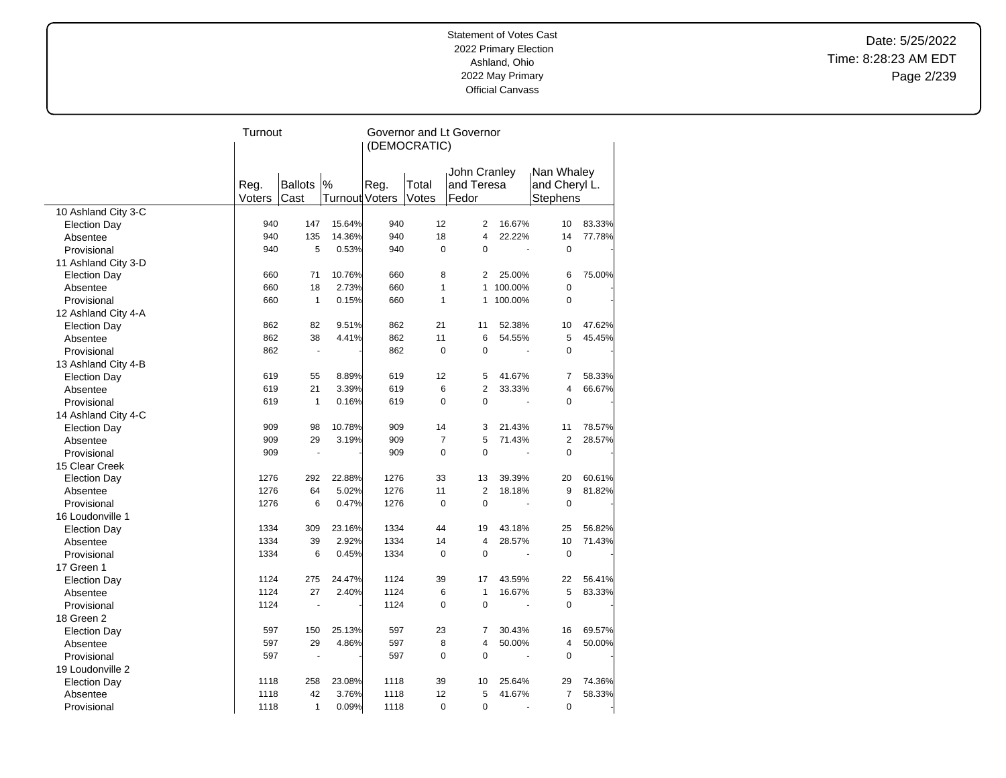Date: 5/25/2022 Time: 8:28:23 AM EDT Page 2/239

|                     | Turnout |                |                | Governor and Lt Governor |                |                |                          |                |        |  |
|---------------------|---------|----------------|----------------|--------------------------|----------------|----------------|--------------------------|----------------|--------|--|
|                     |         |                |                |                          | (DEMOCRATIC)   |                |                          |                |        |  |
|                     |         |                |                |                          |                |                |                          |                |        |  |
|                     |         |                |                |                          |                | John Cranley   |                          | Nan Whaley     |        |  |
|                     | Reg.    | Ballots        | $\frac{9}{6}$  | Reg.                     | Total          | and Teresa     |                          | and Cheryl L.  |        |  |
|                     | Voters  | Cast           | Turnout Voters |                          | Votes          | Fedor          |                          | Stephens       |        |  |
| 10 Ashland City 3-C |         |                |                |                          |                |                |                          |                |        |  |
| <b>Election Day</b> | 940     | 147            | 15.64%         | 940                      | 12             | $\overline{2}$ | 16.67%                   | 10             | 83.33% |  |
| Absentee            | 940     | 135            | 14.36%         | 940                      | 18             | $\overline{4}$ | 22.22%                   | 14             | 77.78% |  |
| Provisional         | 940     | 5              | 0.53%          | 940                      | $\Omega$       | $\Omega$       | ÷,                       | $\Omega$       |        |  |
| 11 Ashland City 3-D |         |                |                |                          |                |                |                          |                |        |  |
| <b>Election Day</b> | 660     | 71             | 10.76%         | 660                      | 8              | 2              | 25.00%                   | 6              | 75.00% |  |
| Absentee            | 660     | 18             | 2.73%          | 660                      | $\mathbf{1}$   | 1              | 100.00%                  | $\mathbf 0$    |        |  |
| Provisional         | 660     | $\mathbf{1}$   | 0.15%          | 660                      | $\mathbf{1}$   | 1              | 100.00%                  | $\pmb{0}$      |        |  |
| 12 Ashland City 4-A |         |                |                |                          |                |                |                          |                |        |  |
| <b>Election Day</b> | 862     | 82             | 9.51%          | 862                      | 21             | 11             | 52.38%                   | 10             | 47.62% |  |
| Absentee            | 862     | 38             | 4.41%          | 862                      | 11             | 6              | 54.55%                   | 5              | 45.45% |  |
| Provisional         | 862     | $\blacksquare$ |                | 862                      | $\mathbf 0$    | 0              | $\ddot{\phantom{1}}$     | $\mathbf 0$    |        |  |
| 13 Ashland City 4-B |         |                |                |                          |                |                |                          |                |        |  |
| <b>Election Day</b> | 619     | 55             | 8.89%          | 619                      | 12             | 5              | 41.67%                   | $\overline{7}$ | 58.33% |  |
| Absentee            | 619     | 21             | 3.39%          | 619                      | 6              | $\overline{2}$ | 33.33%                   | 4              | 66.67% |  |
| Provisional         | 619     | $\mathbf{1}$   | 0.16%          | 619                      | 0              | $\mathbf 0$    | $\overline{\phantom{a}}$ | 0              |        |  |
| 14 Ashland City 4-C |         |                |                |                          |                |                |                          |                |        |  |
| <b>Election Day</b> | 909     | 98             | 10.78%         | 909                      | 14             | 3              | 21.43%                   | 11             | 78.57% |  |
| Absentee            | 909     | 29             | 3.19%          | 909                      | $\overline{7}$ | 5              | 71.43%                   | $\overline{2}$ | 28.57% |  |
| Provisional         | 909     | $\blacksquare$ |                | 909                      | $\Omega$       | $\Omega$       | ÷,                       | $\Omega$       |        |  |
| 15 Clear Creek      |         |                |                |                          |                |                |                          |                |        |  |
| <b>Election Day</b> | 1276    | 292            | 22.88%         | 1276                     | 33             | 13             | 39.39%                   | 20             | 60.61% |  |
| Absentee            | 1276    | 64             | 5.02%          | 1276                     | 11             | $\overline{2}$ | 18.18%                   | 9              | 81.82% |  |
| Provisional         | 1276    | 6              | 0.47%          | 1276                     | $\mathbf 0$    | $\Omega$       |                          | $\mathbf 0$    |        |  |
| 16 Loudonville 1    |         |                |                |                          |                |                |                          |                |        |  |
| <b>Election Day</b> | 1334    | 309            | 23.16%         | 1334                     | 44             | 19             | 43.18%                   | 25             | 56.82% |  |
| Absentee            | 1334    | 39             | 2.92%          | 1334                     | 14             | $\overline{4}$ | 28.57%                   | 10             | 71.43% |  |
| Provisional         | 1334    | 6              | 0.45%          | 1334                     | $\mathbf 0$    | $\overline{0}$ | ÷,                       | $\mathbf 0$    |        |  |
| 17 Green 1          |         |                |                |                          |                |                |                          |                |        |  |
| <b>Election Day</b> | 1124    | 275            | 24.47%         | 1124                     | 39             | 17             | 43.59%                   | 22             | 56.41% |  |
| Absentee            | 1124    | 27             | 2.40%          | 1124                     | 6              | $\mathbf{1}$   | 16.67%                   | 5              | 83.33% |  |
| Provisional         | 1124    |                |                | 1124                     | $\mathbf 0$    | $\mathbf 0$    |                          | $\mathbf 0$    |        |  |
| 18 Green 2          |         |                |                |                          |                |                |                          |                |        |  |
| <b>Election Day</b> | 597     | 150            | 25.13%         | 597                      | 23             | 7              | 30.43%                   | 16             | 69.57% |  |
| Absentee            | 597     | 29             | 4.86%          | 597                      | 8              | 4              | 50.00%                   | 4              | 50.00% |  |
| Provisional         | 597     | ÷,             |                | 597                      | $\mathbf 0$    | $\mathbf 0$    |                          | 0              |        |  |
| 19 Loudonville 2    |         |                |                |                          |                |                |                          |                |        |  |
| <b>Election Day</b> | 1118    | 258            | 23.08%         | 1118                     | 39             | 10             | 25.64%                   | 29             | 74.36% |  |
| Absentee            | 1118    | 42             | 3.76%          | 1118                     | 12             | 5              | 41.67%                   | $\overline{7}$ | 58.33% |  |
| Provisional         | 1118    | $\mathbf{1}$   | 0.09%          | 1118                     | 0              | 0              | ä,                       | $\mathbf 0$    |        |  |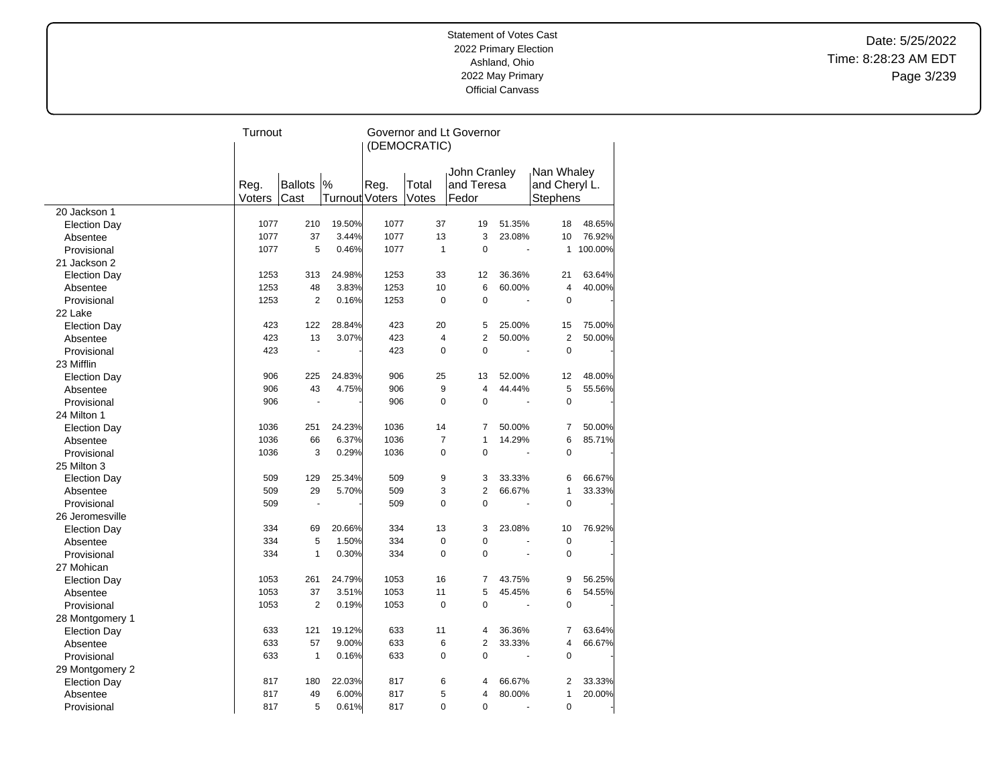Date: 5/25/2022 Time: 8:28:23 AM EDT Page 3/239

| John Cranley<br>Nan Whaley<br><b>Ballots</b><br>$\%$<br>Reg.<br>Reg.<br>Total<br>and Teresa<br>and Cheryl L.<br>Turnout Voters<br>Votes<br>Voters<br>Cast<br>Fedor<br><b>Stephens</b><br>20 Jackson 1<br>1077<br>1077<br>210<br>19.50%<br>37<br>19<br>51.35%<br>18<br>48.65%<br><b>Election Day</b><br>3<br>1077<br>37<br>3.44%<br>1077<br>13<br>23.08%<br>10<br>76.92%<br>Absentee<br>1077<br>5<br>0.46%<br>1077<br>$\mathbf{1}$<br>$\mathbf 0$<br>100.00%<br>Provisional<br>$\mathbf{1}$<br>÷,<br>21 Jackson 2<br>1253<br>313<br>24.98%<br>1253<br>33<br>12<br>36.36%<br>21<br>63.64%<br><b>Election Day</b><br>10<br>$\overline{4}$<br>1253<br>48<br>3.83%<br>1253<br>6<br>60.00%<br>Absentee<br>1253<br>0.16%<br>1253<br>$\mathbf 0$<br>$\mathbf 0$<br>2<br>0<br>Provisional<br>22 Lake<br>423<br>122<br>28.84%<br>423<br>20<br>5<br>25.00%<br>15<br><b>Election Day</b><br>423<br>$\overline{4}$<br>$\overline{2}$<br>2<br>13<br>3.07%<br>423<br>50.00%<br>Absentee<br>$\mathbf 0$<br>423<br>423<br>$\mathbf 0$<br>$\mathbf 0$<br>Provisional<br>$\blacksquare$<br>$\overline{\phantom{a}}$<br>23 Mifflin<br>906<br>225<br>24.83%<br>906<br>25<br>52.00%<br>12<br>13<br><b>Election Day</b><br>9<br>5<br>906<br>43<br>4.75%<br>906<br>$\overline{4}$<br>44.44%<br>Absentee<br>906<br>906<br>$\mathbf 0$<br>$\mathbf 0$<br>$\mathbf 0$<br>Provisional<br>$\blacksquare$<br>24 Milton 1<br>1036<br>251<br>24.23%<br>1036<br>14<br>$\overline{7}$<br>50.00%<br>$\overline{7}$<br><b>Election Day</b><br>1036<br>1036<br>$\overline{7}$<br>$\mathbf{1}$<br>6<br>66<br>6.37%<br>14.29%<br>Absentee<br>$\Omega$<br>$\mathbf 0$<br>1036<br>3<br>0.29%<br>1036<br>$\mathbf 0$<br>Provisional<br>÷,<br>25 Milton 3<br>9<br>509<br>129<br>25.34%<br>509<br>3<br>33.33%<br>6<br><b>Election Day</b><br>509<br>3<br>$\overline{2}$<br>509<br>29<br>5.70%<br>66.67%<br>$\mathbf{1}$<br>Absentee<br>0<br>$\mathbf 0$<br>509<br>509<br>$\mathbf 0$<br>Provisional<br>÷,<br>26 Jeromesville<br>334<br>334<br>13<br>3<br>23.08%<br>10<br>69<br>20.66%<br><b>Election Day</b><br>334<br>5<br>334<br>$\mathbf 0$<br>$\mathbf 0$<br>1.50%<br>$\mathbf 0$<br>Absentee<br>$\Omega$<br>$\Omega$<br>334<br>$\mathbf{1}$<br>0.30%<br>334<br>$\mathbf 0$<br>Provisional<br>÷,<br>27 Mohican<br>1053<br>261<br>24.79%<br>1053<br>16<br>7<br>43.75%<br>9<br><b>Election Day</b><br>1053<br>1053<br>11<br>5<br>37<br>3.51%<br>45.45%<br>6<br>Absentee<br>$\Omega$<br>1053<br>2<br>0.19%<br>1053<br>$\Omega$<br>$\mathbf 0$<br>Provisional<br>28 Montgomery 1<br>633<br>121<br>19.12%<br>633<br>11<br>36.36%<br>$\overline{7}$<br><b>Election Day</b><br>4<br>$\overline{2}$<br>633<br>57<br>9.00%<br>633<br>6<br>33.33%<br>$\overline{4}$<br>Absentee<br>$\mathbf 0$<br>633<br>$\mathbf{1}$<br>633<br>$\Omega$<br>$\mathbf 0$<br>0.16%<br>Provisional<br>29 Montgomery 2<br>6<br>817<br>180<br>22.03%<br>817<br>66.67%<br>$\overline{2}$<br>4<br><b>Election Day</b><br>5<br>817<br>49<br>6.00%<br>817<br>80.00%<br>$\mathbf{1}$<br>Absentee<br>$\overline{4}$<br>5<br>$\Omega$<br>817<br>0.61%<br>817<br>$\Omega$<br>$\Omega$ |             | Turnout |  | Governor and Lt Governor<br>(DEMOCRATIC) |  |  |  |        |  |
|--------------------------------------------------------------------------------------------------------------------------------------------------------------------------------------------------------------------------------------------------------------------------------------------------------------------------------------------------------------------------------------------------------------------------------------------------------------------------------------------------------------------------------------------------------------------------------------------------------------------------------------------------------------------------------------------------------------------------------------------------------------------------------------------------------------------------------------------------------------------------------------------------------------------------------------------------------------------------------------------------------------------------------------------------------------------------------------------------------------------------------------------------------------------------------------------------------------------------------------------------------------------------------------------------------------------------------------------------------------------------------------------------------------------------------------------------------------------------------------------------------------------------------------------------------------------------------------------------------------------------------------------------------------------------------------------------------------------------------------------------------------------------------------------------------------------------------------------------------------------------------------------------------------------------------------------------------------------------------------------------------------------------------------------------------------------------------------------------------------------------------------------------------------------------------------------------------------------------------------------------------------------------------------------------------------------------------------------------------------------------------------------------------------------------------------------------------------------------------------------------------------------------------------------------------------------------------------------------------------------------------------------------------------------------------------------------------------------------------------------------------------------------------------------------------------------------------------------------------------------------------------------------------------------------------------------------------------------------------------------------------------------------------------------------------------------------------------------------------|-------------|---------|--|------------------------------------------|--|--|--|--------|--|
|                                                                                                                                                                                                                                                                                                                                                                                                                                                                                                                                                                                                                                                                                                                                                                                                                                                                                                                                                                                                                                                                                                                                                                                                                                                                                                                                                                                                                                                                                                                                                                                                                                                                                                                                                                                                                                                                                                                                                                                                                                                                                                                                                                                                                                                                                                                                                                                                                                                                                                                                                                                                                                                                                                                                                                                                                                                                                                                                                                                                                                                                                                        |             |         |  |                                          |  |  |  |        |  |
|                                                                                                                                                                                                                                                                                                                                                                                                                                                                                                                                                                                                                                                                                                                                                                                                                                                                                                                                                                                                                                                                                                                                                                                                                                                                                                                                                                                                                                                                                                                                                                                                                                                                                                                                                                                                                                                                                                                                                                                                                                                                                                                                                                                                                                                                                                                                                                                                                                                                                                                                                                                                                                                                                                                                                                                                                                                                                                                                                                                                                                                                                                        |             |         |  |                                          |  |  |  |        |  |
|                                                                                                                                                                                                                                                                                                                                                                                                                                                                                                                                                                                                                                                                                                                                                                                                                                                                                                                                                                                                                                                                                                                                                                                                                                                                                                                                                                                                                                                                                                                                                                                                                                                                                                                                                                                                                                                                                                                                                                                                                                                                                                                                                                                                                                                                                                                                                                                                                                                                                                                                                                                                                                                                                                                                                                                                                                                                                                                                                                                                                                                                                                        |             |         |  |                                          |  |  |  |        |  |
|                                                                                                                                                                                                                                                                                                                                                                                                                                                                                                                                                                                                                                                                                                                                                                                                                                                                                                                                                                                                                                                                                                                                                                                                                                                                                                                                                                                                                                                                                                                                                                                                                                                                                                                                                                                                                                                                                                                                                                                                                                                                                                                                                                                                                                                                                                                                                                                                                                                                                                                                                                                                                                                                                                                                                                                                                                                                                                                                                                                                                                                                                                        |             |         |  |                                          |  |  |  |        |  |
|                                                                                                                                                                                                                                                                                                                                                                                                                                                                                                                                                                                                                                                                                                                                                                                                                                                                                                                                                                                                                                                                                                                                                                                                                                                                                                                                                                                                                                                                                                                                                                                                                                                                                                                                                                                                                                                                                                                                                                                                                                                                                                                                                                                                                                                                                                                                                                                                                                                                                                                                                                                                                                                                                                                                                                                                                                                                                                                                                                                                                                                                                                        |             |         |  |                                          |  |  |  |        |  |
|                                                                                                                                                                                                                                                                                                                                                                                                                                                                                                                                                                                                                                                                                                                                                                                                                                                                                                                                                                                                                                                                                                                                                                                                                                                                                                                                                                                                                                                                                                                                                                                                                                                                                                                                                                                                                                                                                                                                                                                                                                                                                                                                                                                                                                                                                                                                                                                                                                                                                                                                                                                                                                                                                                                                                                                                                                                                                                                                                                                                                                                                                                        |             |         |  |                                          |  |  |  |        |  |
|                                                                                                                                                                                                                                                                                                                                                                                                                                                                                                                                                                                                                                                                                                                                                                                                                                                                                                                                                                                                                                                                                                                                                                                                                                                                                                                                                                                                                                                                                                                                                                                                                                                                                                                                                                                                                                                                                                                                                                                                                                                                                                                                                                                                                                                                                                                                                                                                                                                                                                                                                                                                                                                                                                                                                                                                                                                                                                                                                                                                                                                                                                        |             |         |  |                                          |  |  |  |        |  |
|                                                                                                                                                                                                                                                                                                                                                                                                                                                                                                                                                                                                                                                                                                                                                                                                                                                                                                                                                                                                                                                                                                                                                                                                                                                                                                                                                                                                                                                                                                                                                                                                                                                                                                                                                                                                                                                                                                                                                                                                                                                                                                                                                                                                                                                                                                                                                                                                                                                                                                                                                                                                                                                                                                                                                                                                                                                                                                                                                                                                                                                                                                        |             |         |  |                                          |  |  |  |        |  |
|                                                                                                                                                                                                                                                                                                                                                                                                                                                                                                                                                                                                                                                                                                                                                                                                                                                                                                                                                                                                                                                                                                                                                                                                                                                                                                                                                                                                                                                                                                                                                                                                                                                                                                                                                                                                                                                                                                                                                                                                                                                                                                                                                                                                                                                                                                                                                                                                                                                                                                                                                                                                                                                                                                                                                                                                                                                                                                                                                                                                                                                                                                        |             |         |  |                                          |  |  |  | 40.00% |  |
|                                                                                                                                                                                                                                                                                                                                                                                                                                                                                                                                                                                                                                                                                                                                                                                                                                                                                                                                                                                                                                                                                                                                                                                                                                                                                                                                                                                                                                                                                                                                                                                                                                                                                                                                                                                                                                                                                                                                                                                                                                                                                                                                                                                                                                                                                                                                                                                                                                                                                                                                                                                                                                                                                                                                                                                                                                                                                                                                                                                                                                                                                                        |             |         |  |                                          |  |  |  |        |  |
|                                                                                                                                                                                                                                                                                                                                                                                                                                                                                                                                                                                                                                                                                                                                                                                                                                                                                                                                                                                                                                                                                                                                                                                                                                                                                                                                                                                                                                                                                                                                                                                                                                                                                                                                                                                                                                                                                                                                                                                                                                                                                                                                                                                                                                                                                                                                                                                                                                                                                                                                                                                                                                                                                                                                                                                                                                                                                                                                                                                                                                                                                                        |             |         |  |                                          |  |  |  |        |  |
|                                                                                                                                                                                                                                                                                                                                                                                                                                                                                                                                                                                                                                                                                                                                                                                                                                                                                                                                                                                                                                                                                                                                                                                                                                                                                                                                                                                                                                                                                                                                                                                                                                                                                                                                                                                                                                                                                                                                                                                                                                                                                                                                                                                                                                                                                                                                                                                                                                                                                                                                                                                                                                                                                                                                                                                                                                                                                                                                                                                                                                                                                                        |             |         |  |                                          |  |  |  | 75.00% |  |
|                                                                                                                                                                                                                                                                                                                                                                                                                                                                                                                                                                                                                                                                                                                                                                                                                                                                                                                                                                                                                                                                                                                                                                                                                                                                                                                                                                                                                                                                                                                                                                                                                                                                                                                                                                                                                                                                                                                                                                                                                                                                                                                                                                                                                                                                                                                                                                                                                                                                                                                                                                                                                                                                                                                                                                                                                                                                                                                                                                                                                                                                                                        |             |         |  |                                          |  |  |  | 50.00% |  |
|                                                                                                                                                                                                                                                                                                                                                                                                                                                                                                                                                                                                                                                                                                                                                                                                                                                                                                                                                                                                                                                                                                                                                                                                                                                                                                                                                                                                                                                                                                                                                                                                                                                                                                                                                                                                                                                                                                                                                                                                                                                                                                                                                                                                                                                                                                                                                                                                                                                                                                                                                                                                                                                                                                                                                                                                                                                                                                                                                                                                                                                                                                        |             |         |  |                                          |  |  |  |        |  |
|                                                                                                                                                                                                                                                                                                                                                                                                                                                                                                                                                                                                                                                                                                                                                                                                                                                                                                                                                                                                                                                                                                                                                                                                                                                                                                                                                                                                                                                                                                                                                                                                                                                                                                                                                                                                                                                                                                                                                                                                                                                                                                                                                                                                                                                                                                                                                                                                                                                                                                                                                                                                                                                                                                                                                                                                                                                                                                                                                                                                                                                                                                        |             |         |  |                                          |  |  |  |        |  |
|                                                                                                                                                                                                                                                                                                                                                                                                                                                                                                                                                                                                                                                                                                                                                                                                                                                                                                                                                                                                                                                                                                                                                                                                                                                                                                                                                                                                                                                                                                                                                                                                                                                                                                                                                                                                                                                                                                                                                                                                                                                                                                                                                                                                                                                                                                                                                                                                                                                                                                                                                                                                                                                                                                                                                                                                                                                                                                                                                                                                                                                                                                        |             |         |  |                                          |  |  |  | 48.00% |  |
|                                                                                                                                                                                                                                                                                                                                                                                                                                                                                                                                                                                                                                                                                                                                                                                                                                                                                                                                                                                                                                                                                                                                                                                                                                                                                                                                                                                                                                                                                                                                                                                                                                                                                                                                                                                                                                                                                                                                                                                                                                                                                                                                                                                                                                                                                                                                                                                                                                                                                                                                                                                                                                                                                                                                                                                                                                                                                                                                                                                                                                                                                                        |             |         |  |                                          |  |  |  | 55.56% |  |
|                                                                                                                                                                                                                                                                                                                                                                                                                                                                                                                                                                                                                                                                                                                                                                                                                                                                                                                                                                                                                                                                                                                                                                                                                                                                                                                                                                                                                                                                                                                                                                                                                                                                                                                                                                                                                                                                                                                                                                                                                                                                                                                                                                                                                                                                                                                                                                                                                                                                                                                                                                                                                                                                                                                                                                                                                                                                                                                                                                                                                                                                                                        |             |         |  |                                          |  |  |  |        |  |
|                                                                                                                                                                                                                                                                                                                                                                                                                                                                                                                                                                                                                                                                                                                                                                                                                                                                                                                                                                                                                                                                                                                                                                                                                                                                                                                                                                                                                                                                                                                                                                                                                                                                                                                                                                                                                                                                                                                                                                                                                                                                                                                                                                                                                                                                                                                                                                                                                                                                                                                                                                                                                                                                                                                                                                                                                                                                                                                                                                                                                                                                                                        |             |         |  |                                          |  |  |  |        |  |
|                                                                                                                                                                                                                                                                                                                                                                                                                                                                                                                                                                                                                                                                                                                                                                                                                                                                                                                                                                                                                                                                                                                                                                                                                                                                                                                                                                                                                                                                                                                                                                                                                                                                                                                                                                                                                                                                                                                                                                                                                                                                                                                                                                                                                                                                                                                                                                                                                                                                                                                                                                                                                                                                                                                                                                                                                                                                                                                                                                                                                                                                                                        |             |         |  |                                          |  |  |  | 50.00% |  |
|                                                                                                                                                                                                                                                                                                                                                                                                                                                                                                                                                                                                                                                                                                                                                                                                                                                                                                                                                                                                                                                                                                                                                                                                                                                                                                                                                                                                                                                                                                                                                                                                                                                                                                                                                                                                                                                                                                                                                                                                                                                                                                                                                                                                                                                                                                                                                                                                                                                                                                                                                                                                                                                                                                                                                                                                                                                                                                                                                                                                                                                                                                        |             |         |  |                                          |  |  |  | 85.71% |  |
|                                                                                                                                                                                                                                                                                                                                                                                                                                                                                                                                                                                                                                                                                                                                                                                                                                                                                                                                                                                                                                                                                                                                                                                                                                                                                                                                                                                                                                                                                                                                                                                                                                                                                                                                                                                                                                                                                                                                                                                                                                                                                                                                                                                                                                                                                                                                                                                                                                                                                                                                                                                                                                                                                                                                                                                                                                                                                                                                                                                                                                                                                                        |             |         |  |                                          |  |  |  |        |  |
|                                                                                                                                                                                                                                                                                                                                                                                                                                                                                                                                                                                                                                                                                                                                                                                                                                                                                                                                                                                                                                                                                                                                                                                                                                                                                                                                                                                                                                                                                                                                                                                                                                                                                                                                                                                                                                                                                                                                                                                                                                                                                                                                                                                                                                                                                                                                                                                                                                                                                                                                                                                                                                                                                                                                                                                                                                                                                                                                                                                                                                                                                                        |             |         |  |                                          |  |  |  |        |  |
|                                                                                                                                                                                                                                                                                                                                                                                                                                                                                                                                                                                                                                                                                                                                                                                                                                                                                                                                                                                                                                                                                                                                                                                                                                                                                                                                                                                                                                                                                                                                                                                                                                                                                                                                                                                                                                                                                                                                                                                                                                                                                                                                                                                                                                                                                                                                                                                                                                                                                                                                                                                                                                                                                                                                                                                                                                                                                                                                                                                                                                                                                                        |             |         |  |                                          |  |  |  | 66.67% |  |
|                                                                                                                                                                                                                                                                                                                                                                                                                                                                                                                                                                                                                                                                                                                                                                                                                                                                                                                                                                                                                                                                                                                                                                                                                                                                                                                                                                                                                                                                                                                                                                                                                                                                                                                                                                                                                                                                                                                                                                                                                                                                                                                                                                                                                                                                                                                                                                                                                                                                                                                                                                                                                                                                                                                                                                                                                                                                                                                                                                                                                                                                                                        |             |         |  |                                          |  |  |  | 33.33% |  |
|                                                                                                                                                                                                                                                                                                                                                                                                                                                                                                                                                                                                                                                                                                                                                                                                                                                                                                                                                                                                                                                                                                                                                                                                                                                                                                                                                                                                                                                                                                                                                                                                                                                                                                                                                                                                                                                                                                                                                                                                                                                                                                                                                                                                                                                                                                                                                                                                                                                                                                                                                                                                                                                                                                                                                                                                                                                                                                                                                                                                                                                                                                        |             |         |  |                                          |  |  |  |        |  |
|                                                                                                                                                                                                                                                                                                                                                                                                                                                                                                                                                                                                                                                                                                                                                                                                                                                                                                                                                                                                                                                                                                                                                                                                                                                                                                                                                                                                                                                                                                                                                                                                                                                                                                                                                                                                                                                                                                                                                                                                                                                                                                                                                                                                                                                                                                                                                                                                                                                                                                                                                                                                                                                                                                                                                                                                                                                                                                                                                                                                                                                                                                        |             |         |  |                                          |  |  |  |        |  |
|                                                                                                                                                                                                                                                                                                                                                                                                                                                                                                                                                                                                                                                                                                                                                                                                                                                                                                                                                                                                                                                                                                                                                                                                                                                                                                                                                                                                                                                                                                                                                                                                                                                                                                                                                                                                                                                                                                                                                                                                                                                                                                                                                                                                                                                                                                                                                                                                                                                                                                                                                                                                                                                                                                                                                                                                                                                                                                                                                                                                                                                                                                        |             |         |  |                                          |  |  |  | 76.92% |  |
|                                                                                                                                                                                                                                                                                                                                                                                                                                                                                                                                                                                                                                                                                                                                                                                                                                                                                                                                                                                                                                                                                                                                                                                                                                                                                                                                                                                                                                                                                                                                                                                                                                                                                                                                                                                                                                                                                                                                                                                                                                                                                                                                                                                                                                                                                                                                                                                                                                                                                                                                                                                                                                                                                                                                                                                                                                                                                                                                                                                                                                                                                                        |             |         |  |                                          |  |  |  |        |  |
|                                                                                                                                                                                                                                                                                                                                                                                                                                                                                                                                                                                                                                                                                                                                                                                                                                                                                                                                                                                                                                                                                                                                                                                                                                                                                                                                                                                                                                                                                                                                                                                                                                                                                                                                                                                                                                                                                                                                                                                                                                                                                                                                                                                                                                                                                                                                                                                                                                                                                                                                                                                                                                                                                                                                                                                                                                                                                                                                                                                                                                                                                                        |             |         |  |                                          |  |  |  |        |  |
|                                                                                                                                                                                                                                                                                                                                                                                                                                                                                                                                                                                                                                                                                                                                                                                                                                                                                                                                                                                                                                                                                                                                                                                                                                                                                                                                                                                                                                                                                                                                                                                                                                                                                                                                                                                                                                                                                                                                                                                                                                                                                                                                                                                                                                                                                                                                                                                                                                                                                                                                                                                                                                                                                                                                                                                                                                                                                                                                                                                                                                                                                                        |             |         |  |                                          |  |  |  |        |  |
|                                                                                                                                                                                                                                                                                                                                                                                                                                                                                                                                                                                                                                                                                                                                                                                                                                                                                                                                                                                                                                                                                                                                                                                                                                                                                                                                                                                                                                                                                                                                                                                                                                                                                                                                                                                                                                                                                                                                                                                                                                                                                                                                                                                                                                                                                                                                                                                                                                                                                                                                                                                                                                                                                                                                                                                                                                                                                                                                                                                                                                                                                                        |             |         |  |                                          |  |  |  | 56.25% |  |
|                                                                                                                                                                                                                                                                                                                                                                                                                                                                                                                                                                                                                                                                                                                                                                                                                                                                                                                                                                                                                                                                                                                                                                                                                                                                                                                                                                                                                                                                                                                                                                                                                                                                                                                                                                                                                                                                                                                                                                                                                                                                                                                                                                                                                                                                                                                                                                                                                                                                                                                                                                                                                                                                                                                                                                                                                                                                                                                                                                                                                                                                                                        |             |         |  |                                          |  |  |  | 54.55% |  |
|                                                                                                                                                                                                                                                                                                                                                                                                                                                                                                                                                                                                                                                                                                                                                                                                                                                                                                                                                                                                                                                                                                                                                                                                                                                                                                                                                                                                                                                                                                                                                                                                                                                                                                                                                                                                                                                                                                                                                                                                                                                                                                                                                                                                                                                                                                                                                                                                                                                                                                                                                                                                                                                                                                                                                                                                                                                                                                                                                                                                                                                                                                        |             |         |  |                                          |  |  |  |        |  |
|                                                                                                                                                                                                                                                                                                                                                                                                                                                                                                                                                                                                                                                                                                                                                                                                                                                                                                                                                                                                                                                                                                                                                                                                                                                                                                                                                                                                                                                                                                                                                                                                                                                                                                                                                                                                                                                                                                                                                                                                                                                                                                                                                                                                                                                                                                                                                                                                                                                                                                                                                                                                                                                                                                                                                                                                                                                                                                                                                                                                                                                                                                        |             |         |  |                                          |  |  |  |        |  |
|                                                                                                                                                                                                                                                                                                                                                                                                                                                                                                                                                                                                                                                                                                                                                                                                                                                                                                                                                                                                                                                                                                                                                                                                                                                                                                                                                                                                                                                                                                                                                                                                                                                                                                                                                                                                                                                                                                                                                                                                                                                                                                                                                                                                                                                                                                                                                                                                                                                                                                                                                                                                                                                                                                                                                                                                                                                                                                                                                                                                                                                                                                        |             |         |  |                                          |  |  |  | 63.64% |  |
|                                                                                                                                                                                                                                                                                                                                                                                                                                                                                                                                                                                                                                                                                                                                                                                                                                                                                                                                                                                                                                                                                                                                                                                                                                                                                                                                                                                                                                                                                                                                                                                                                                                                                                                                                                                                                                                                                                                                                                                                                                                                                                                                                                                                                                                                                                                                                                                                                                                                                                                                                                                                                                                                                                                                                                                                                                                                                                                                                                                                                                                                                                        |             |         |  |                                          |  |  |  | 66.67% |  |
|                                                                                                                                                                                                                                                                                                                                                                                                                                                                                                                                                                                                                                                                                                                                                                                                                                                                                                                                                                                                                                                                                                                                                                                                                                                                                                                                                                                                                                                                                                                                                                                                                                                                                                                                                                                                                                                                                                                                                                                                                                                                                                                                                                                                                                                                                                                                                                                                                                                                                                                                                                                                                                                                                                                                                                                                                                                                                                                                                                                                                                                                                                        |             |         |  |                                          |  |  |  |        |  |
|                                                                                                                                                                                                                                                                                                                                                                                                                                                                                                                                                                                                                                                                                                                                                                                                                                                                                                                                                                                                                                                                                                                                                                                                                                                                                                                                                                                                                                                                                                                                                                                                                                                                                                                                                                                                                                                                                                                                                                                                                                                                                                                                                                                                                                                                                                                                                                                                                                                                                                                                                                                                                                                                                                                                                                                                                                                                                                                                                                                                                                                                                                        |             |         |  |                                          |  |  |  |        |  |
|                                                                                                                                                                                                                                                                                                                                                                                                                                                                                                                                                                                                                                                                                                                                                                                                                                                                                                                                                                                                                                                                                                                                                                                                                                                                                                                                                                                                                                                                                                                                                                                                                                                                                                                                                                                                                                                                                                                                                                                                                                                                                                                                                                                                                                                                                                                                                                                                                                                                                                                                                                                                                                                                                                                                                                                                                                                                                                                                                                                                                                                                                                        |             |         |  |                                          |  |  |  | 33.33% |  |
|                                                                                                                                                                                                                                                                                                                                                                                                                                                                                                                                                                                                                                                                                                                                                                                                                                                                                                                                                                                                                                                                                                                                                                                                                                                                                                                                                                                                                                                                                                                                                                                                                                                                                                                                                                                                                                                                                                                                                                                                                                                                                                                                                                                                                                                                                                                                                                                                                                                                                                                                                                                                                                                                                                                                                                                                                                                                                                                                                                                                                                                                                                        |             |         |  |                                          |  |  |  | 20.00% |  |
|                                                                                                                                                                                                                                                                                                                                                                                                                                                                                                                                                                                                                                                                                                                                                                                                                                                                                                                                                                                                                                                                                                                                                                                                                                                                                                                                                                                                                                                                                                                                                                                                                                                                                                                                                                                                                                                                                                                                                                                                                                                                                                                                                                                                                                                                                                                                                                                                                                                                                                                                                                                                                                                                                                                                                                                                                                                                                                                                                                                                                                                                                                        | Provisional |         |  |                                          |  |  |  |        |  |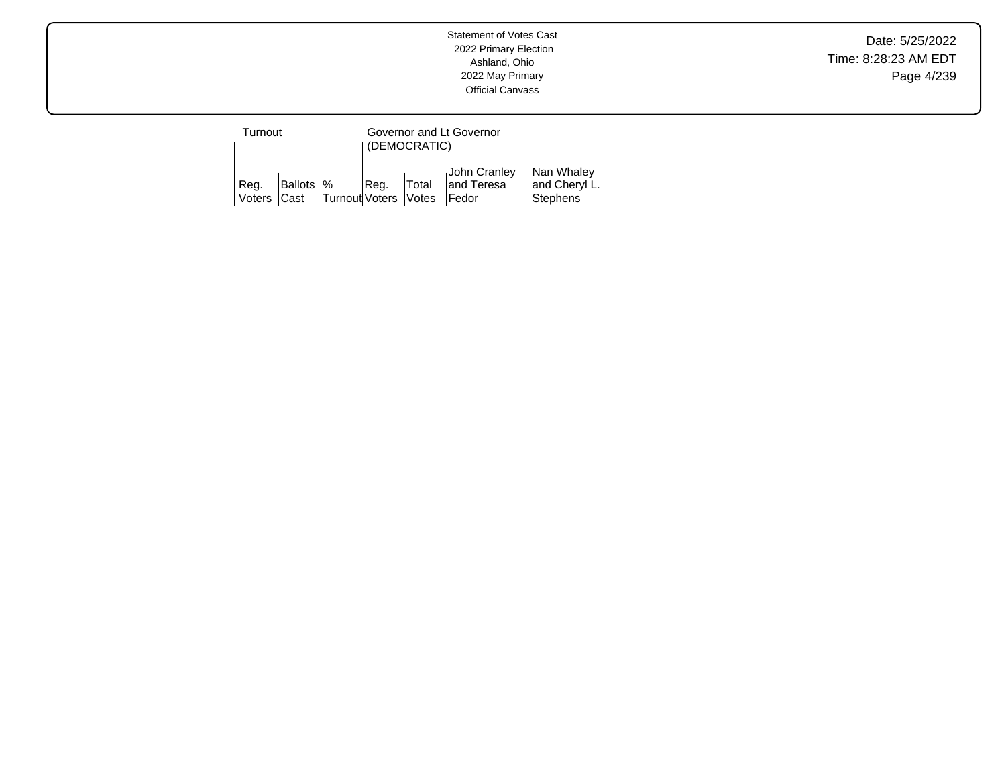| Turnout        |                            |                       | Governor and Lt Governor<br>(DEMOCRATIC) |                              |                                       |                                                |
|----------------|----------------------------|-----------------------|------------------------------------------|------------------------------|---------------------------------------|------------------------------------------------|
| Reg.<br>Voters | <b>Ballots  %</b><br>lCast | <b>Turnout Voters</b> | Reg.                                     | Total<br><i><b>Notes</b></i> | John Cranley<br>land Teresa<br>∣Fedor | Nan Whaley<br>and Cheryl L.<br><b>Stephens</b> |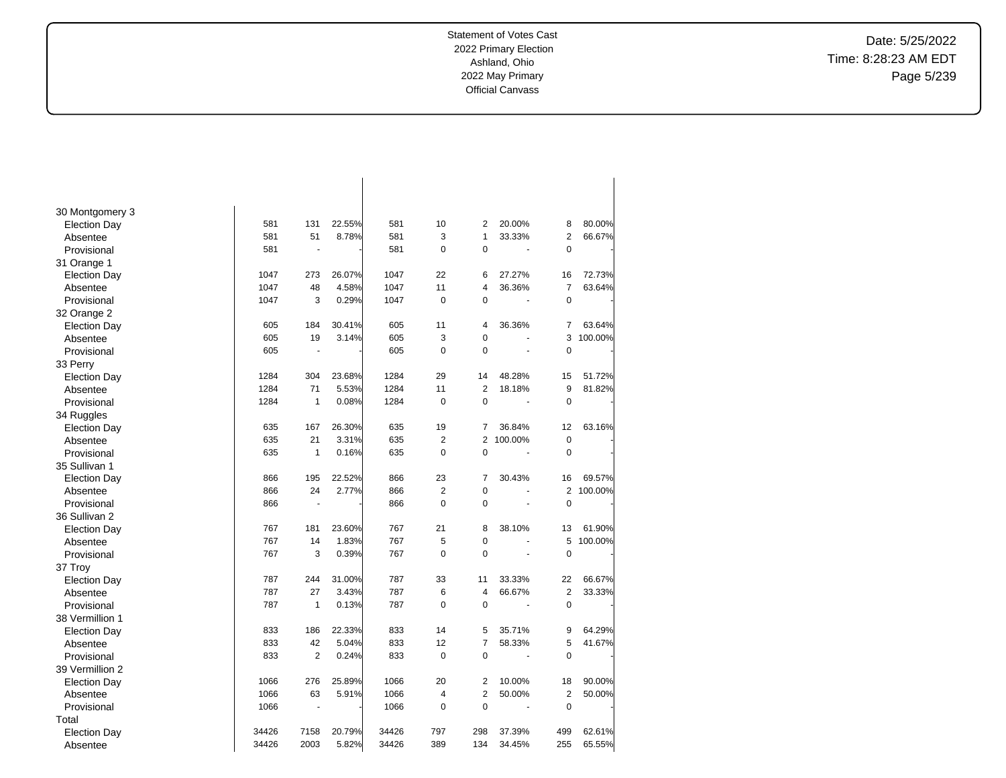Date: 5/25/2022 Time: 8:28:23 AM EDT Page 5/239

| 30 Montgomery 3     |       |              |        |       |                |                |         |                |         |
|---------------------|-------|--------------|--------|-------|----------------|----------------|---------|----------------|---------|
| <b>Election Day</b> | 581   | 131          | 22.55% | 581   | 10             | $\overline{2}$ | 20.00%  | 8              | 80.00%  |
| Absentee            | 581   | 51           | 8.78%  | 581   | 3              | 1              | 33.33%  | 2              | 66.67%  |
| Provisional         | 581   |              |        | 581   | 0              | 0              |         | $\mathbf 0$    |         |
| 31 Orange 1         |       |              |        |       |                |                |         |                |         |
| <b>Election Day</b> | 1047  | 273          | 26.07% | 1047  | 22             | 6              | 27.27%  | 16             | 72.73%  |
| Absentee            | 1047  | 48           | 4.58%  | 1047  | 11             | 4              | 36.36%  | $\overline{7}$ | 63.64%  |
| Provisional         | 1047  | 3            | 0.29%  | 1047  | 0              | 0              | ä,      | 0              |         |
| 32 Orange 2         |       |              |        |       |                |                |         |                |         |
| <b>Election Day</b> | 605   | 184          | 30.41% | 605   | 11             | 4              | 36.36%  | 7              | 63.64%  |
| Absentee            | 605   | 19           | 3.14%  | 605   | 3              | 0              |         | 3              | 100.00% |
| Provisional         | 605   | ä,           |        | 605   | 0              | 0              | ä,      | 0              |         |
| 33 Perry            |       |              |        |       |                |                |         |                |         |
| <b>Election Day</b> | 1284  | 304          | 23.68% | 1284  | 29             | 14             | 48.28%  | 15             | 51.72%  |
| Absentee            | 1284  | 71           | 5.53%  | 1284  | 11             | $\overline{2}$ | 18.18%  | 9              | 81.82%  |
| Provisional         | 1284  | $\mathbf{1}$ | 0.08%  | 1284  | $\mathbf 0$    | 0              | ä,      | $\mathbf 0$    |         |
| 34 Ruggles          |       |              |        |       |                |                |         |                |         |
| <b>Election Day</b> | 635   | 167          | 26.30% | 635   | 19             | 7              | 36.84%  | 12             | 63.16%  |
| Absentee            | 635   | 21           | 3.31%  | 635   | $\overline{2}$ | 2              | 100.00% | $\overline{0}$ |         |
| Provisional         | 635   | $\mathbf{1}$ | 0.16%  | 635   | 0              | $\Omega$       |         | 0              |         |
| 35 Sullivan 1       |       |              |        |       |                |                |         |                |         |
| <b>Election Day</b> | 866   | 195          | 22.52% | 866   | 23             | 7              | 30.43%  | 16             | 69.57%  |
| Absentee            | 866   | 24           | 2.77%  | 866   | $\overline{2}$ | 0              |         | $\overline{2}$ | 100.00% |
| Provisional         | 866   | ä,           |        | 866   | 0              | 0              |         | 0              |         |
| 36 Sullivan 2       |       |              |        |       |                |                |         |                |         |
| <b>Election Day</b> | 767   | 181          | 23.60% | 767   | 21             | 8              | 38.10%  | 13             | 61.90%  |
| Absentee            | 767   | 14           | 1.83%  | 767   | 5              | 0              |         | 5              | 100.00% |
| Provisional         | 767   | 3            | 0.39%  | 767   | 0              | $\Omega$       | ä,      | $\mathbf 0$    |         |
| 37 Troy             |       |              |        |       |                |                |         |                |         |
| <b>Election Day</b> | 787   | 244          | 31.00% | 787   | 33             | 11             | 33.33%  | 22             | 66.67%  |
| Absentee            | 787   | 27           | 3.43%  | 787   | 6              | 4              | 66.67%  | 2              | 33.33%  |
| Provisional         | 787   | 1            | 0.13%  | 787   | 0              | 0              |         | 0              |         |
| 38 Vermillion 1     |       |              |        |       |                |                |         |                |         |
| <b>Election Day</b> | 833   | 186          | 22.33% | 833   | 14             | 5              | 35.71%  | 9              | 64.29%  |
| Absentee            | 833   | 42           | 5.04%  | 833   | 12             | 7              | 58.33%  | 5              | 41.67%  |
| Provisional         | 833   | 2            | 0.24%  | 833   | $\mathbf 0$    | 0              |         | 0              |         |
| 39 Vermillion 2     |       |              |        |       |                |                |         |                |         |
| <b>Election Day</b> | 1066  | 276          | 25.89% | 1066  | 20             | 2              | 10.00%  | 18             | 90.00%  |
| Absentee            | 1066  | 63           | 5.91%  | 1066  | 4              | 2              | 50.00%  | $\overline{2}$ | 50.00%  |
| Provisional         | 1066  | L.           |        | 1066  | 0              | 0              |         | $\mathbf 0$    |         |
| Total               |       |              |        |       |                |                |         |                |         |
| <b>Election Day</b> | 34426 | 7158         | 20.79% | 34426 | 797            | 298            | 37.39%  | 499            | 62.61%  |
| Absentee            | 34426 | 2003         | 5.82%  | 34426 | 389            | 134            | 34.45%  | 255            | 65.55%  |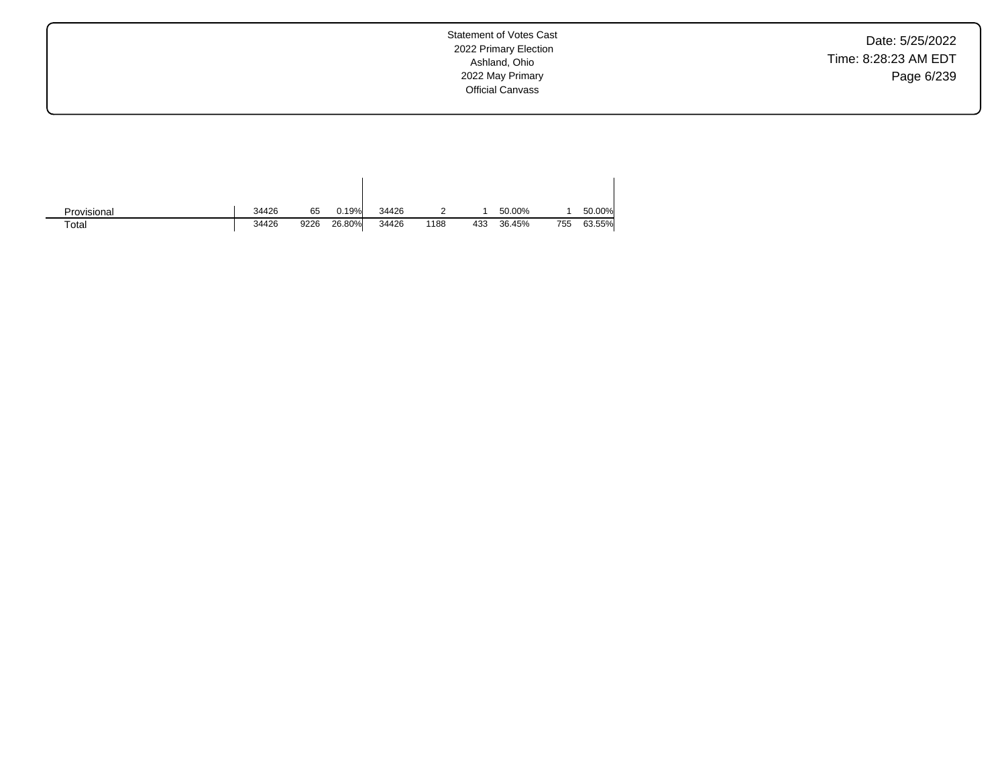Date: 5/25/2022 Time: 8:28:23 AM EDT Page 6/239

Statement of Votes Cast 2022 Primary Election Ashland, Ohio 2022 May Primary Official Canvass

| Provisional | 34426 | 65   | 0.19%  | 34426 |      |     | 50.00% |     | 50.00% |
|-------------|-------|------|--------|-------|------|-----|--------|-----|--------|
| Total       | 34426 | 9226 | 26.80% | 34426 | 1188 | 433 | 36.45% | 755 | 63.55% |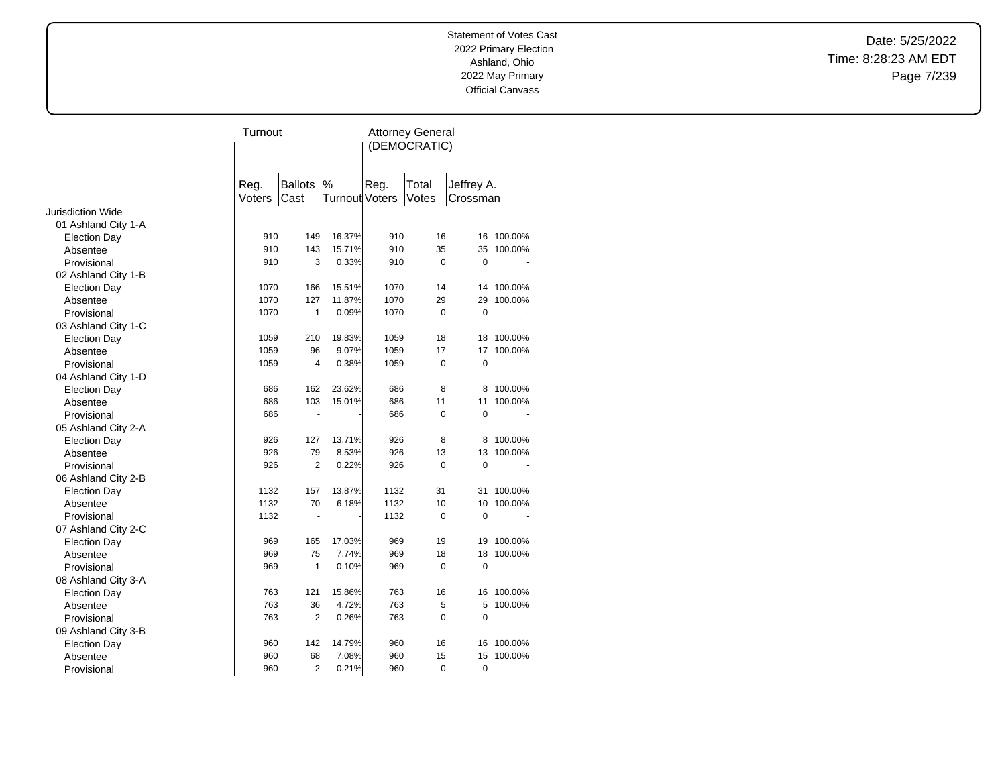Date: 5/25/2022 Time: 8:28:23 AM EDT Page 7/239

|                          | Turnout |                |                | <b>Attorney General</b> |          |             |         |  |
|--------------------------|---------|----------------|----------------|-------------------------|----------|-------------|---------|--|
|                          |         |                |                | (DEMOCRATIC)            |          |             |         |  |
|                          |         |                |                |                         |          |             |         |  |
|                          | Reg.    | <b>Ballots</b> | $\%$           | Reg.                    | Total    | Jeffrey A.  |         |  |
|                          | Voters  | Cast           | Turnout Voters |                         | Votes    | Crossman    |         |  |
| <b>Jurisdiction Wide</b> |         |                |                |                         |          |             |         |  |
| 01 Ashland City 1-A      |         |                |                |                         |          |             |         |  |
| <b>Election Day</b>      | 910     | 149            | 16.37%         | 910                     | 16       | 16          | 100.00% |  |
| Absentee                 | 910     | 143            | 15.71%         | 910                     | 35       | 35          | 100.00% |  |
| Provisional              | 910     | 3              | 0.33%          | 910                     | 0        | $\mathbf 0$ |         |  |
| 02 Ashland City 1-B      |         |                |                |                         |          |             |         |  |
| <b>Election Day</b>      | 1070    | 166            | 15.51%         | 1070                    | 14       | 14          | 100.00% |  |
| Absentee                 | 1070    | 127            | 11.87%         | 1070                    | 29       | 29          | 100.00% |  |
| Provisional              | 1070    | 1              | 0.09%          | 1070                    | $\Omega$ | $\mathbf 0$ |         |  |
| 03 Ashland City 1-C      |         |                |                |                         |          |             |         |  |
| <b>Election Day</b>      | 1059    | 210            | 19.83%         | 1059                    | 18       | 18          | 100.00% |  |
| Absentee                 | 1059    | 96             | 9.07%          | 1059                    | 17       | 17          | 100.00% |  |
| Provisional              | 1059    | $\overline{4}$ | 0.38%          | 1059                    | 0        | $\mathbf 0$ |         |  |
| 04 Ashland City 1-D      |         |                |                |                         |          |             |         |  |
| <b>Election Day</b>      | 686     | 162            | 23.62%         | 686                     | 8        | 8           | 100.00% |  |
| Absentee                 | 686     | 103            | 15.01%         | 686                     | 11       | 11          | 100.00% |  |
| Provisional              | 686     |                |                | 686                     | $\Omega$ | $\mathbf 0$ |         |  |
| 05 Ashland City 2-A      |         |                |                |                         |          |             |         |  |
| <b>Election Day</b>      | 926     | 127            | 13.71%         | 926                     | 8        | 8           | 100.00% |  |
| Absentee                 | 926     | 79             | 8.53%          | 926                     | 13       | 13          | 100.00% |  |
| Provisional              | 926     | 2              | 0.22%          | 926                     | 0        | 0           |         |  |
| 06 Ashland City 2-B      |         |                |                |                         |          |             |         |  |
| <b>Election Day</b>      | 1132    | 157            | 13.87%         | 1132                    | 31       | 31          | 100.00% |  |
| Absentee                 | 1132    | 70             | 6.18%          | 1132                    | 10       | 10          | 100.00% |  |
| Provisional              | 1132    | $\overline{a}$ |                | 1132                    | 0        | $\mathbf 0$ |         |  |
| 07 Ashland City 2-C      |         |                |                |                         |          |             |         |  |
| <b>Election Day</b>      | 969     | 165            | 17.03%         | 969                     | 19       | 19          | 100.00% |  |
| Absentee                 | 969     | 75             | 7.74%          | 969                     | 18       | 18          | 100.00% |  |
| Provisional              | 969     | 1              | 0.10%          | 969                     | $\Omega$ | $\mathbf 0$ |         |  |
| 08 Ashland City 3-A      |         |                |                |                         |          |             |         |  |
| <b>Election Day</b>      | 763     | 121            | 15.86%         | 763                     | 16       | 16          | 100.00% |  |
| Absentee                 | 763     | 36             | 4.72%          | 763                     | 5        | 5           | 100.00% |  |
| Provisional              | 763     | 2              | 0.26%          | 763                     | 0        | $\mathbf 0$ |         |  |
| 09 Ashland City 3-B      |         |                |                |                         |          |             |         |  |
| <b>Election Day</b>      | 960     | 142            | 14.79%         | 960                     | 16       | 16          | 100.00% |  |
| Absentee                 | 960     | 68             | 7.08%          | 960                     | 15       | 15          | 100.00% |  |
| Provisional              | 960     | $\overline{2}$ | 0.21%          | 960                     | 0        | 0           |         |  |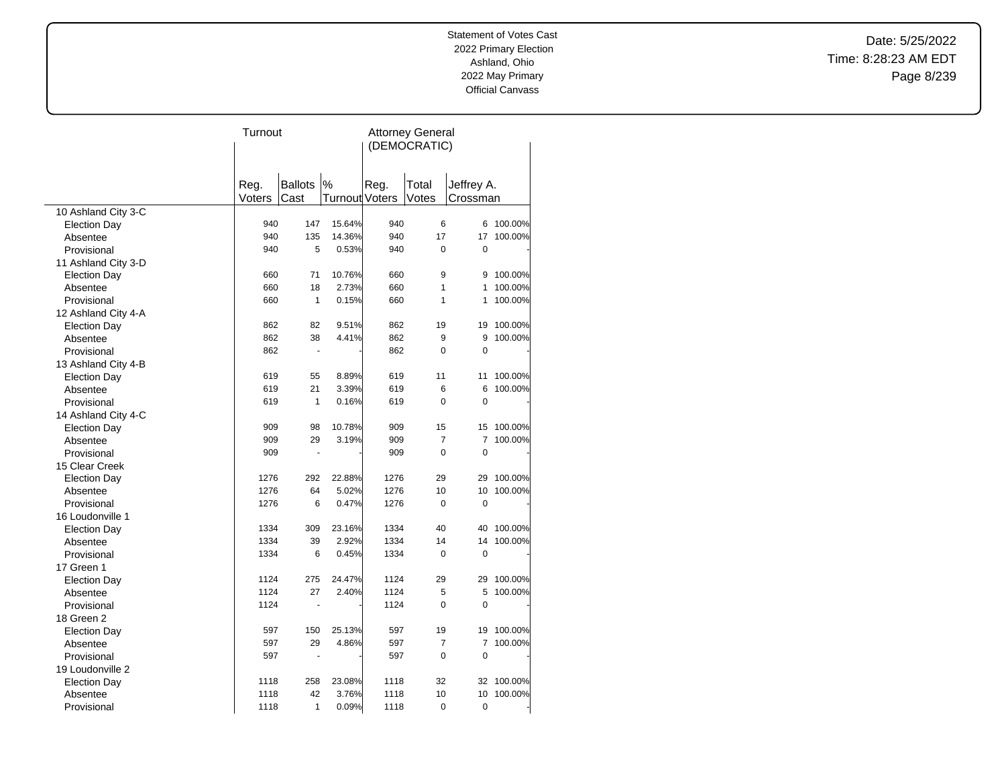Date: 5/25/2022 Time: 8:28:23 AM EDT Page 8/239

| <b>Ballots</b><br>$\%$<br>Reg.<br>Total<br>Jeffrey A.<br>Reg.<br>Voters<br>Turnout Voters<br>Votes<br>Cast<br>Crossman<br>10 Ashland City 3-C<br>940<br>147<br>15.64%<br>940<br>6<br>100.00%<br>6<br><b>Election Day</b><br>17<br>14.36%<br>100.00%<br>940<br>135<br>940<br>17<br>Absentee<br>940<br>5<br>0.53%<br>940<br>0<br>$\mathbf 0$<br>Provisional<br>11 Ashland City 3-D<br>10.76%<br>660<br>71<br>660<br>9<br>100.00%<br>9<br><b>Election Day</b><br>18<br>2.73%<br>1<br>100.00%<br>660<br>660<br>1<br>Absentee<br>660<br>$\mathbf{1}$<br>0.15%<br>660<br>1<br>100.00%<br>1<br>Provisional<br>12 Ashland City 4-A<br>9.51%<br>19<br>100.00%<br><b>Election Day</b><br>862<br>82<br>862<br>19<br>862<br>38<br>4.41%<br>862<br>9<br>9<br>100.00%<br>Absentee<br>$\mathbf 0$<br>862<br>862<br>0<br>Provisional<br>$\blacksquare$<br>13 Ashland City 4-B<br>619<br>8.89%<br>11<br>100.00%<br>55<br>619<br>11<br><b>Election Day</b><br>6<br>619<br>21<br>3.39%<br>619<br>6<br>100.00%<br>Absentee<br>1<br>0.16%<br>619<br>$\Omega$<br>$\mathbf 0$<br>Provisional<br>619<br>14 Ashland City 4-C<br>15<br>909<br>98<br>10.78%<br>909<br>15<br>100.00%<br><b>Election Day</b><br>29<br>3.19%<br>7<br>100.00%<br>909<br>909<br>7<br>Absentee<br>$\overline{0}$<br>$\mathbf 0$<br>909<br>909<br>Provisional<br>Ĭ.<br>15 Clear Creek<br>22.88%<br>1276<br>292<br>1276<br>29<br>29<br>100.00%<br><b>Election Day</b><br>64<br>5.02%<br>1276<br>10<br>100.00%<br>1276<br>10<br>Absentee<br>1276<br>6<br>0.47%<br>1276<br>0<br>$\mathbf 0$<br>Provisional<br>16 Loudonville 1<br>1334<br>309<br>23.16%<br>1334<br>40<br>40<br>100.00%<br><b>Election Day</b><br>1334<br>1334<br>39<br>2.92%<br>14<br>100.00%<br>14<br>Absentee<br>1334<br>6<br>0.45%<br>1334<br>0<br>$\mathbf 0$<br>Provisional<br>17 Green 1<br>1124<br>275<br>24.47%<br>1124<br>29<br>100.00%<br>29<br><b>Election Day</b><br>1124<br>27<br>2.40%<br>1124<br>5<br>5<br>100.00%<br>Absentee<br>0<br>$\mathbf 0$<br>1124<br>1124<br>Provisional<br>÷.<br>18 Green 2<br>597<br>150<br>25.13%<br>597<br>19<br>100.00%<br><b>Election Day</b><br>19<br>7<br>597<br>29<br>4.86%<br>597<br>7<br>100.00%<br>Absentee<br>597<br>597<br>0<br>$\mathbf 0$<br>Provisional<br>19 Loudonville 2<br>23.08%<br>32<br>1118<br>258<br>1118<br>32<br>100.00%<br><b>Election Day</b><br>42<br>3.76%<br>10<br>100.00%<br>1118<br>1118<br>10<br>Absentee<br>1<br>0.09%<br>0<br>1118<br>1118<br>0<br>Provisional | Turnout |  | <b>Attorney General</b> |  |  |  |  |
|---------------------------------------------------------------------------------------------------------------------------------------------------------------------------------------------------------------------------------------------------------------------------------------------------------------------------------------------------------------------------------------------------------------------------------------------------------------------------------------------------------------------------------------------------------------------------------------------------------------------------------------------------------------------------------------------------------------------------------------------------------------------------------------------------------------------------------------------------------------------------------------------------------------------------------------------------------------------------------------------------------------------------------------------------------------------------------------------------------------------------------------------------------------------------------------------------------------------------------------------------------------------------------------------------------------------------------------------------------------------------------------------------------------------------------------------------------------------------------------------------------------------------------------------------------------------------------------------------------------------------------------------------------------------------------------------------------------------------------------------------------------------------------------------------------------------------------------------------------------------------------------------------------------------------------------------------------------------------------------------------------------------------------------------------------------------------------------------------------------------------------------------------------------------------------------------------------------------------------------------------------------------------------------------------------------------------------------------------------------------------------------------------------------------------------------------------------|---------|--|-------------------------|--|--|--|--|
|                                                                                                                                                                                                                                                                                                                                                                                                                                                                                                                                                                                                                                                                                                                                                                                                                                                                                                                                                                                                                                                                                                                                                                                                                                                                                                                                                                                                                                                                                                                                                                                                                                                                                                                                                                                                                                                                                                                                                                                                                                                                                                                                                                                                                                                                                                                                                                                                                                                         |         |  | (DEMOCRATIC)            |  |  |  |  |
|                                                                                                                                                                                                                                                                                                                                                                                                                                                                                                                                                                                                                                                                                                                                                                                                                                                                                                                                                                                                                                                                                                                                                                                                                                                                                                                                                                                                                                                                                                                                                                                                                                                                                                                                                                                                                                                                                                                                                                                                                                                                                                                                                                                                                                                                                                                                                                                                                                                         |         |  |                         |  |  |  |  |
|                                                                                                                                                                                                                                                                                                                                                                                                                                                                                                                                                                                                                                                                                                                                                                                                                                                                                                                                                                                                                                                                                                                                                                                                                                                                                                                                                                                                                                                                                                                                                                                                                                                                                                                                                                                                                                                                                                                                                                                                                                                                                                                                                                                                                                                                                                                                                                                                                                                         |         |  |                         |  |  |  |  |
|                                                                                                                                                                                                                                                                                                                                                                                                                                                                                                                                                                                                                                                                                                                                                                                                                                                                                                                                                                                                                                                                                                                                                                                                                                                                                                                                                                                                                                                                                                                                                                                                                                                                                                                                                                                                                                                                                                                                                                                                                                                                                                                                                                                                                                                                                                                                                                                                                                                         |         |  |                         |  |  |  |  |
|                                                                                                                                                                                                                                                                                                                                                                                                                                                                                                                                                                                                                                                                                                                                                                                                                                                                                                                                                                                                                                                                                                                                                                                                                                                                                                                                                                                                                                                                                                                                                                                                                                                                                                                                                                                                                                                                                                                                                                                                                                                                                                                                                                                                                                                                                                                                                                                                                                                         |         |  |                         |  |  |  |  |
|                                                                                                                                                                                                                                                                                                                                                                                                                                                                                                                                                                                                                                                                                                                                                                                                                                                                                                                                                                                                                                                                                                                                                                                                                                                                                                                                                                                                                                                                                                                                                                                                                                                                                                                                                                                                                                                                                                                                                                                                                                                                                                                                                                                                                                                                                                                                                                                                                                                         |         |  |                         |  |  |  |  |
|                                                                                                                                                                                                                                                                                                                                                                                                                                                                                                                                                                                                                                                                                                                                                                                                                                                                                                                                                                                                                                                                                                                                                                                                                                                                                                                                                                                                                                                                                                                                                                                                                                                                                                                                                                                                                                                                                                                                                                                                                                                                                                                                                                                                                                                                                                                                                                                                                                                         |         |  |                         |  |  |  |  |
|                                                                                                                                                                                                                                                                                                                                                                                                                                                                                                                                                                                                                                                                                                                                                                                                                                                                                                                                                                                                                                                                                                                                                                                                                                                                                                                                                                                                                                                                                                                                                                                                                                                                                                                                                                                                                                                                                                                                                                                                                                                                                                                                                                                                                                                                                                                                                                                                                                                         |         |  |                         |  |  |  |  |
|                                                                                                                                                                                                                                                                                                                                                                                                                                                                                                                                                                                                                                                                                                                                                                                                                                                                                                                                                                                                                                                                                                                                                                                                                                                                                                                                                                                                                                                                                                                                                                                                                                                                                                                                                                                                                                                                                                                                                                                                                                                                                                                                                                                                                                                                                                                                                                                                                                                         |         |  |                         |  |  |  |  |
|                                                                                                                                                                                                                                                                                                                                                                                                                                                                                                                                                                                                                                                                                                                                                                                                                                                                                                                                                                                                                                                                                                                                                                                                                                                                                                                                                                                                                                                                                                                                                                                                                                                                                                                                                                                                                                                                                                                                                                                                                                                                                                                                                                                                                                                                                                                                                                                                                                                         |         |  |                         |  |  |  |  |
|                                                                                                                                                                                                                                                                                                                                                                                                                                                                                                                                                                                                                                                                                                                                                                                                                                                                                                                                                                                                                                                                                                                                                                                                                                                                                                                                                                                                                                                                                                                                                                                                                                                                                                                                                                                                                                                                                                                                                                                                                                                                                                                                                                                                                                                                                                                                                                                                                                                         |         |  |                         |  |  |  |  |
|                                                                                                                                                                                                                                                                                                                                                                                                                                                                                                                                                                                                                                                                                                                                                                                                                                                                                                                                                                                                                                                                                                                                                                                                                                                                                                                                                                                                                                                                                                                                                                                                                                                                                                                                                                                                                                                                                                                                                                                                                                                                                                                                                                                                                                                                                                                                                                                                                                                         |         |  |                         |  |  |  |  |
|                                                                                                                                                                                                                                                                                                                                                                                                                                                                                                                                                                                                                                                                                                                                                                                                                                                                                                                                                                                                                                                                                                                                                                                                                                                                                                                                                                                                                                                                                                                                                                                                                                                                                                                                                                                                                                                                                                                                                                                                                                                                                                                                                                                                                                                                                                                                                                                                                                                         |         |  |                         |  |  |  |  |
|                                                                                                                                                                                                                                                                                                                                                                                                                                                                                                                                                                                                                                                                                                                                                                                                                                                                                                                                                                                                                                                                                                                                                                                                                                                                                                                                                                                                                                                                                                                                                                                                                                                                                                                                                                                                                                                                                                                                                                                                                                                                                                                                                                                                                                                                                                                                                                                                                                                         |         |  |                         |  |  |  |  |
|                                                                                                                                                                                                                                                                                                                                                                                                                                                                                                                                                                                                                                                                                                                                                                                                                                                                                                                                                                                                                                                                                                                                                                                                                                                                                                                                                                                                                                                                                                                                                                                                                                                                                                                                                                                                                                                                                                                                                                                                                                                                                                                                                                                                                                                                                                                                                                                                                                                         |         |  |                         |  |  |  |  |
|                                                                                                                                                                                                                                                                                                                                                                                                                                                                                                                                                                                                                                                                                                                                                                                                                                                                                                                                                                                                                                                                                                                                                                                                                                                                                                                                                                                                                                                                                                                                                                                                                                                                                                                                                                                                                                                                                                                                                                                                                                                                                                                                                                                                                                                                                                                                                                                                                                                         |         |  |                         |  |  |  |  |
|                                                                                                                                                                                                                                                                                                                                                                                                                                                                                                                                                                                                                                                                                                                                                                                                                                                                                                                                                                                                                                                                                                                                                                                                                                                                                                                                                                                                                                                                                                                                                                                                                                                                                                                                                                                                                                                                                                                                                                                                                                                                                                                                                                                                                                                                                                                                                                                                                                                         |         |  |                         |  |  |  |  |
|                                                                                                                                                                                                                                                                                                                                                                                                                                                                                                                                                                                                                                                                                                                                                                                                                                                                                                                                                                                                                                                                                                                                                                                                                                                                                                                                                                                                                                                                                                                                                                                                                                                                                                                                                                                                                                                                                                                                                                                                                                                                                                                                                                                                                                                                                                                                                                                                                                                         |         |  |                         |  |  |  |  |
|                                                                                                                                                                                                                                                                                                                                                                                                                                                                                                                                                                                                                                                                                                                                                                                                                                                                                                                                                                                                                                                                                                                                                                                                                                                                                                                                                                                                                                                                                                                                                                                                                                                                                                                                                                                                                                                                                                                                                                                                                                                                                                                                                                                                                                                                                                                                                                                                                                                         |         |  |                         |  |  |  |  |
|                                                                                                                                                                                                                                                                                                                                                                                                                                                                                                                                                                                                                                                                                                                                                                                                                                                                                                                                                                                                                                                                                                                                                                                                                                                                                                                                                                                                                                                                                                                                                                                                                                                                                                                                                                                                                                                                                                                                                                                                                                                                                                                                                                                                                                                                                                                                                                                                                                                         |         |  |                         |  |  |  |  |
|                                                                                                                                                                                                                                                                                                                                                                                                                                                                                                                                                                                                                                                                                                                                                                                                                                                                                                                                                                                                                                                                                                                                                                                                                                                                                                                                                                                                                                                                                                                                                                                                                                                                                                                                                                                                                                                                                                                                                                                                                                                                                                                                                                                                                                                                                                                                                                                                                                                         |         |  |                         |  |  |  |  |
|                                                                                                                                                                                                                                                                                                                                                                                                                                                                                                                                                                                                                                                                                                                                                                                                                                                                                                                                                                                                                                                                                                                                                                                                                                                                                                                                                                                                                                                                                                                                                                                                                                                                                                                                                                                                                                                                                                                                                                                                                                                                                                                                                                                                                                                                                                                                                                                                                                                         |         |  |                         |  |  |  |  |
|                                                                                                                                                                                                                                                                                                                                                                                                                                                                                                                                                                                                                                                                                                                                                                                                                                                                                                                                                                                                                                                                                                                                                                                                                                                                                                                                                                                                                                                                                                                                                                                                                                                                                                                                                                                                                                                                                                                                                                                                                                                                                                                                                                                                                                                                                                                                                                                                                                                         |         |  |                         |  |  |  |  |
|                                                                                                                                                                                                                                                                                                                                                                                                                                                                                                                                                                                                                                                                                                                                                                                                                                                                                                                                                                                                                                                                                                                                                                                                                                                                                                                                                                                                                                                                                                                                                                                                                                                                                                                                                                                                                                                                                                                                                                                                                                                                                                                                                                                                                                                                                                                                                                                                                                                         |         |  |                         |  |  |  |  |
|                                                                                                                                                                                                                                                                                                                                                                                                                                                                                                                                                                                                                                                                                                                                                                                                                                                                                                                                                                                                                                                                                                                                                                                                                                                                                                                                                                                                                                                                                                                                                                                                                                                                                                                                                                                                                                                                                                                                                                                                                                                                                                                                                                                                                                                                                                                                                                                                                                                         |         |  |                         |  |  |  |  |
|                                                                                                                                                                                                                                                                                                                                                                                                                                                                                                                                                                                                                                                                                                                                                                                                                                                                                                                                                                                                                                                                                                                                                                                                                                                                                                                                                                                                                                                                                                                                                                                                                                                                                                                                                                                                                                                                                                                                                                                                                                                                                                                                                                                                                                                                                                                                                                                                                                                         |         |  |                         |  |  |  |  |
|                                                                                                                                                                                                                                                                                                                                                                                                                                                                                                                                                                                                                                                                                                                                                                                                                                                                                                                                                                                                                                                                                                                                                                                                                                                                                                                                                                                                                                                                                                                                                                                                                                                                                                                                                                                                                                                                                                                                                                                                                                                                                                                                                                                                                                                                                                                                                                                                                                                         |         |  |                         |  |  |  |  |
|                                                                                                                                                                                                                                                                                                                                                                                                                                                                                                                                                                                                                                                                                                                                                                                                                                                                                                                                                                                                                                                                                                                                                                                                                                                                                                                                                                                                                                                                                                                                                                                                                                                                                                                                                                                                                                                                                                                                                                                                                                                                                                                                                                                                                                                                                                                                                                                                                                                         |         |  |                         |  |  |  |  |
|                                                                                                                                                                                                                                                                                                                                                                                                                                                                                                                                                                                                                                                                                                                                                                                                                                                                                                                                                                                                                                                                                                                                                                                                                                                                                                                                                                                                                                                                                                                                                                                                                                                                                                                                                                                                                                                                                                                                                                                                                                                                                                                                                                                                                                                                                                                                                                                                                                                         |         |  |                         |  |  |  |  |
|                                                                                                                                                                                                                                                                                                                                                                                                                                                                                                                                                                                                                                                                                                                                                                                                                                                                                                                                                                                                                                                                                                                                                                                                                                                                                                                                                                                                                                                                                                                                                                                                                                                                                                                                                                                                                                                                                                                                                                                                                                                                                                                                                                                                                                                                                                                                                                                                                                                         |         |  |                         |  |  |  |  |
|                                                                                                                                                                                                                                                                                                                                                                                                                                                                                                                                                                                                                                                                                                                                                                                                                                                                                                                                                                                                                                                                                                                                                                                                                                                                                                                                                                                                                                                                                                                                                                                                                                                                                                                                                                                                                                                                                                                                                                                                                                                                                                                                                                                                                                                                                                                                                                                                                                                         |         |  |                         |  |  |  |  |
|                                                                                                                                                                                                                                                                                                                                                                                                                                                                                                                                                                                                                                                                                                                                                                                                                                                                                                                                                                                                                                                                                                                                                                                                                                                                                                                                                                                                                                                                                                                                                                                                                                                                                                                                                                                                                                                                                                                                                                                                                                                                                                                                                                                                                                                                                                                                                                                                                                                         |         |  |                         |  |  |  |  |
|                                                                                                                                                                                                                                                                                                                                                                                                                                                                                                                                                                                                                                                                                                                                                                                                                                                                                                                                                                                                                                                                                                                                                                                                                                                                                                                                                                                                                                                                                                                                                                                                                                                                                                                                                                                                                                                                                                                                                                                                                                                                                                                                                                                                                                                                                                                                                                                                                                                         |         |  |                         |  |  |  |  |
|                                                                                                                                                                                                                                                                                                                                                                                                                                                                                                                                                                                                                                                                                                                                                                                                                                                                                                                                                                                                                                                                                                                                                                                                                                                                                                                                                                                                                                                                                                                                                                                                                                                                                                                                                                                                                                                                                                                                                                                                                                                                                                                                                                                                                                                                                                                                                                                                                                                         |         |  |                         |  |  |  |  |
|                                                                                                                                                                                                                                                                                                                                                                                                                                                                                                                                                                                                                                                                                                                                                                                                                                                                                                                                                                                                                                                                                                                                                                                                                                                                                                                                                                                                                                                                                                                                                                                                                                                                                                                                                                                                                                                                                                                                                                                                                                                                                                                                                                                                                                                                                                                                                                                                                                                         |         |  |                         |  |  |  |  |
|                                                                                                                                                                                                                                                                                                                                                                                                                                                                                                                                                                                                                                                                                                                                                                                                                                                                                                                                                                                                                                                                                                                                                                                                                                                                                                                                                                                                                                                                                                                                                                                                                                                                                                                                                                                                                                                                                                                                                                                                                                                                                                                                                                                                                                                                                                                                                                                                                                                         |         |  |                         |  |  |  |  |
|                                                                                                                                                                                                                                                                                                                                                                                                                                                                                                                                                                                                                                                                                                                                                                                                                                                                                                                                                                                                                                                                                                                                                                                                                                                                                                                                                                                                                                                                                                                                                                                                                                                                                                                                                                                                                                                                                                                                                                                                                                                                                                                                                                                                                                                                                                                                                                                                                                                         |         |  |                         |  |  |  |  |
|                                                                                                                                                                                                                                                                                                                                                                                                                                                                                                                                                                                                                                                                                                                                                                                                                                                                                                                                                                                                                                                                                                                                                                                                                                                                                                                                                                                                                                                                                                                                                                                                                                                                                                                                                                                                                                                                                                                                                                                                                                                                                                                                                                                                                                                                                                                                                                                                                                                         |         |  |                         |  |  |  |  |
|                                                                                                                                                                                                                                                                                                                                                                                                                                                                                                                                                                                                                                                                                                                                                                                                                                                                                                                                                                                                                                                                                                                                                                                                                                                                                                                                                                                                                                                                                                                                                                                                                                                                                                                                                                                                                                                                                                                                                                                                                                                                                                                                                                                                                                                                                                                                                                                                                                                         |         |  |                         |  |  |  |  |
|                                                                                                                                                                                                                                                                                                                                                                                                                                                                                                                                                                                                                                                                                                                                                                                                                                                                                                                                                                                                                                                                                                                                                                                                                                                                                                                                                                                                                                                                                                                                                                                                                                                                                                                                                                                                                                                                                                                                                                                                                                                                                                                                                                                                                                                                                                                                                                                                                                                         |         |  |                         |  |  |  |  |
|                                                                                                                                                                                                                                                                                                                                                                                                                                                                                                                                                                                                                                                                                                                                                                                                                                                                                                                                                                                                                                                                                                                                                                                                                                                                                                                                                                                                                                                                                                                                                                                                                                                                                                                                                                                                                                                                                                                                                                                                                                                                                                                                                                                                                                                                                                                                                                                                                                                         |         |  |                         |  |  |  |  |
|                                                                                                                                                                                                                                                                                                                                                                                                                                                                                                                                                                                                                                                                                                                                                                                                                                                                                                                                                                                                                                                                                                                                                                                                                                                                                                                                                                                                                                                                                                                                                                                                                                                                                                                                                                                                                                                                                                                                                                                                                                                                                                                                                                                                                                                                                                                                                                                                                                                         |         |  |                         |  |  |  |  |
|                                                                                                                                                                                                                                                                                                                                                                                                                                                                                                                                                                                                                                                                                                                                                                                                                                                                                                                                                                                                                                                                                                                                                                                                                                                                                                                                                                                                                                                                                                                                                                                                                                                                                                                                                                                                                                                                                                                                                                                                                                                                                                                                                                                                                                                                                                                                                                                                                                                         |         |  |                         |  |  |  |  |
|                                                                                                                                                                                                                                                                                                                                                                                                                                                                                                                                                                                                                                                                                                                                                                                                                                                                                                                                                                                                                                                                                                                                                                                                                                                                                                                                                                                                                                                                                                                                                                                                                                                                                                                                                                                                                                                                                                                                                                                                                                                                                                                                                                                                                                                                                                                                                                                                                                                         |         |  |                         |  |  |  |  |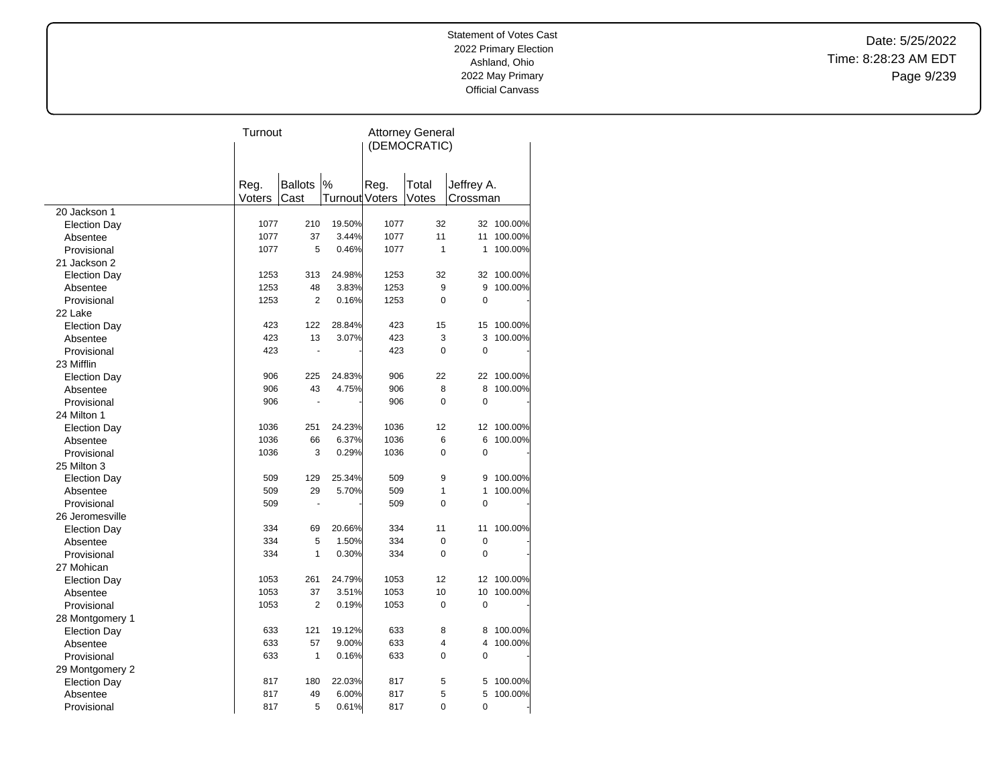Date: 5/25/2022 Time: 8:28:23 AM EDT Page 9/239

|                     | Turnout |                |                       | <b>Attorney General</b> |                |                |            |  |
|---------------------|---------|----------------|-----------------------|-------------------------|----------------|----------------|------------|--|
|                     |         |                |                       | (DEMOCRATIC)            |                |                |            |  |
|                     |         |                |                       |                         |                |                |            |  |
|                     | Reg.    | <b>Ballots</b> | $\%$                  | Reg.                    | Total          | Jeffrey A.     |            |  |
|                     | Voters  | Cast           | <b>Turnout Voters</b> |                         | Votes          | Crossman       |            |  |
| 20 Jackson 1        |         |                |                       |                         |                |                |            |  |
| <b>Election Day</b> | 1077    | 210            | 19.50%                | 1077                    | 32             |                | 32 100.00% |  |
| Absentee            | 1077    | 37             | 3.44%                 | 1077                    | 11             | 11             | 100.00%    |  |
| Provisional         | 1077    | 5              | 0.46%                 | 1077                    | 1              | 1              | 100.00%    |  |
| 21 Jackson 2        |         |                |                       |                         |                |                |            |  |
| <b>Election Day</b> | 1253    | 313            | 24.98%                | 1253                    | 32             | 32             | 100.00%    |  |
| Absentee            | 1253    | 48             | 3.83%                 | 1253                    | 9              | 9              | 100.00%    |  |
| Provisional         | 1253    | $\overline{2}$ | 0.16%                 | 1253                    | 0              | $\mathbf 0$    |            |  |
| 22 Lake             |         |                |                       |                         |                |                |            |  |
| <b>Election Day</b> | 423     | 122            | 28.84%                | 423                     | 15             | 15             | 100.00%    |  |
| Absentee            | 423     | 13             | 3.07%                 | 423                     | 3              | 3              | 100.00%    |  |
| Provisional         | 423     | ÷,             |                       | 423                     | 0              | $\mathbf 0$    |            |  |
| 23 Mifflin          |         |                |                       |                         |                |                |            |  |
| <b>Election Day</b> | 906     | 225            | 24.83%                | 906                     | 22             | 22             | 100.00%    |  |
| Absentee            | 906     | 43             | 4.75%                 | 906                     | 8              | 8              | 100.00%    |  |
| Provisional         | 906     | ÷.             |                       | 906                     | 0              | 0              |            |  |
| 24 Milton 1         |         |                |                       |                         |                |                |            |  |
| <b>Election Day</b> | 1036    | 251            | 24.23%                | 1036                    | 12             | 12             | 100.00%    |  |
| Absentee            | 1036    | 66             | 6.37%                 | 1036                    | 6              | 6              | 100.00%    |  |
| Provisional         | 1036    | 3              | 0.29%                 | 1036                    | 0              | $\overline{0}$ |            |  |
| 25 Milton 3         |         |                |                       |                         |                |                |            |  |
| <b>Election Day</b> | 509     | 129            | 25.34%                | 509                     | 9              | 9              | 100.00%    |  |
| Absentee            | 509     | 29             | 5.70%                 | 509                     | 1              | 1              | 100.00%    |  |
| Provisional         | 509     |                |                       | 509                     | $\overline{0}$ | 0              |            |  |
| 26 Jeromesville     |         |                |                       |                         |                |                |            |  |
| <b>Election Day</b> | 334     | 69             | 20.66%                | 334                     | 11             | 11             | 100.00%    |  |
| Absentee            | 334     | 5              | 1.50%                 | 334                     | 0              | $\mathbf 0$    |            |  |
| Provisional         | 334     | $\mathbf{1}$   | 0.30%                 | 334                     | 0              | $\mathbf 0$    |            |  |
| 27 Mohican          |         |                |                       |                         |                |                |            |  |
| <b>Election Day</b> | 1053    | 261            | 24.79%                | 1053                    | 12             | 12             | 100.00%    |  |
| Absentee            | 1053    | 37             | 3.51%                 | 1053                    | 10             | 10             | 100.00%    |  |
| Provisional         | 1053    | $\overline{2}$ | 0.19%                 | 1053                    | 0              | $\mathbf 0$    |            |  |
| 28 Montgomery 1     |         |                |                       |                         |                |                |            |  |
| <b>Election Day</b> | 633     | 121            | 19.12%                | 633                     | 8              | 8              | 100.00%    |  |
| Absentee            | 633     | 57             | 9.00%                 | 633                     | 4              | 4              | 100.00%    |  |
| Provisional         | 633     | $\mathbf{1}$   | 0.16%                 | 633                     | 0              | 0              |            |  |
| 29 Montgomery 2     |         |                |                       |                         |                |                |            |  |
| <b>Election Day</b> | 817     | 180            | 22.03%                | 817                     | 5              | 5              | 100.00%    |  |
| Absentee            | 817     | 49             | 6.00%                 | 817                     | 5              | 5              | 100.00%    |  |
| Provisional         | 817     | 5              | 0.61%                 | 817                     | 0              | 0              |            |  |
|                     |         |                |                       |                         |                |                |            |  |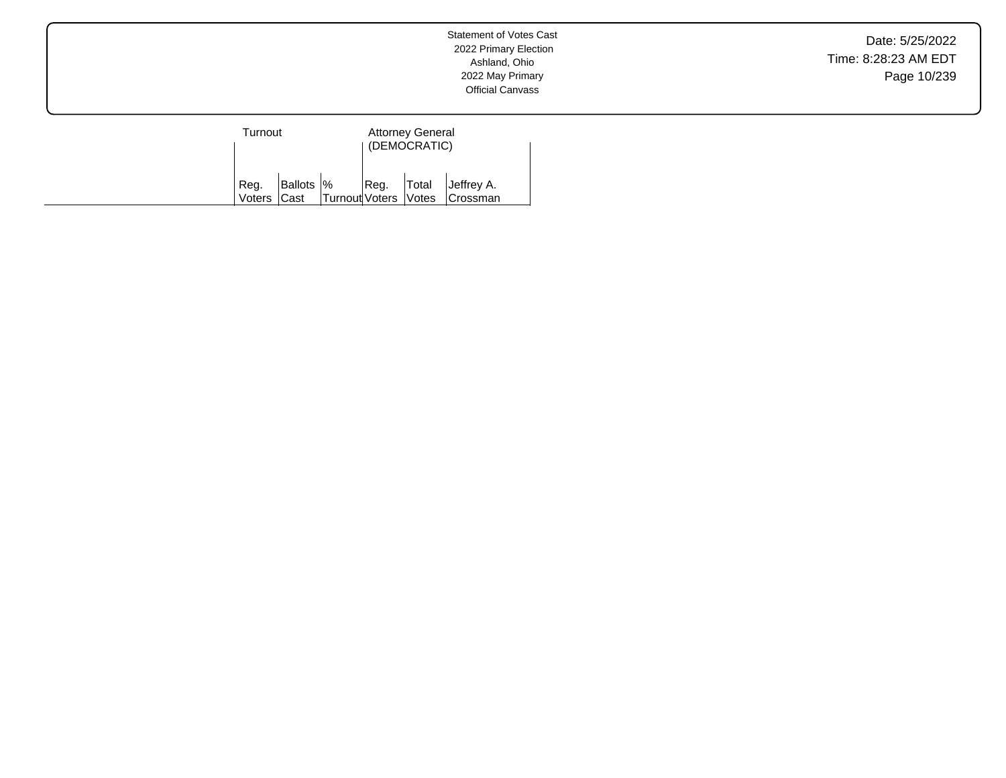Date: 5/25/2022 Time: 8:28:23 AM EDT Page 10/239

| Turnout             |  |                                                  | <b>Attorney General</b><br>(DEMOCRATIC) |  |                                                                  |  |
|---------------------|--|--------------------------------------------------|-----------------------------------------|--|------------------------------------------------------------------|--|
| Reg.<br>Voters Cast |  | $B$ allots $\frac{1}{2}$<br>Turnout Voters Votes |                                         |  | $\left  \text{Reg.} \right $ Total Jeffrey A.<br><b>Crossman</b> |  |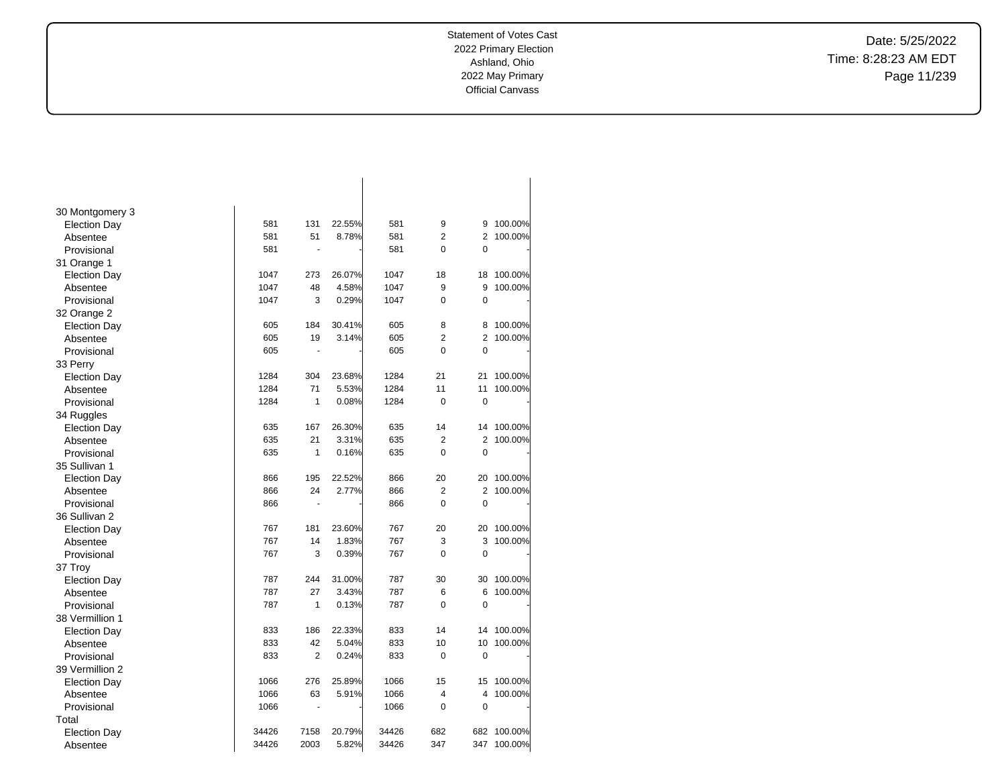Date: 5/25/2022 Time: 8:28:23 AM EDT Page 11/239

| 30 Montgomery 3     |       |                |        |       |                |                |         |
|---------------------|-------|----------------|--------|-------|----------------|----------------|---------|
| <b>Election Day</b> | 581   | 131            | 22.55% | 581   | 9              | 9              | 100.00% |
| Absentee            | 581   | 51             | 8.78%  | 581   | $\overline{2}$ | $\overline{2}$ | 100.00% |
| Provisional         | 581   | ä,             |        | 581   | 0              | 0              |         |
| 31 Orange 1         |       |                |        |       |                |                |         |
| <b>Election Day</b> | 1047  | 273            | 26.07% | 1047  | 18             | 18             | 100.00% |
| Absentee            | 1047  | 48             | 4.58%  | 1047  | 9              | 9              | 100.00% |
| Provisional         | 1047  | 3              | 0.29%  | 1047  | $\overline{0}$ | $\mathbf 0$    |         |
| 32 Orange 2         |       |                |        |       |                |                |         |
| <b>Election Day</b> | 605   | 184            | 30.41% | 605   | 8              | 8              | 100.00% |
| Absentee            | 605   | 19             | 3.14%  | 605   | $\overline{2}$ | $\overline{2}$ | 100.00% |
| Provisional         | 605   |                |        | 605   | 0              | $\mathbf 0$    |         |
| 33 Perry            |       |                |        |       |                |                |         |
| <b>Election Day</b> | 1284  | 304            | 23.68% | 1284  | 21             | 21             | 100.00% |
| Absentee            | 1284  | 71             | 5.53%  | 1284  | 11             | 11             | 100.00% |
| Provisional         | 1284  | 1              | 0.08%  | 1284  | $\mathbf 0$    | $\mathbf 0$    |         |
| 34 Ruggles          |       |                |        |       |                |                |         |
| <b>Election Day</b> | 635   | 167            | 26.30% | 635   | 14             | 14             | 100.00% |
| Absentee            | 635   | 21             | 3.31%  | 635   | $\overline{2}$ | $\overline{2}$ | 100.00% |
| Provisional         | 635   | 1              | 0.16%  | 635   | $\Omega$       | $\mathbf 0$    |         |
| 35 Sullivan 1       |       |                |        |       |                |                |         |
| <b>Election Day</b> | 866   | 195            | 22.52% | 866   | 20             | 20             | 100.00% |
| Absentee            | 866   | 24             | 2.77%  | 866   | $\overline{2}$ | $\overline{2}$ | 100.00% |
| Provisional         | 866   | $\blacksquare$ |        | 866   | $\overline{0}$ | $\overline{0}$ |         |
| 36 Sullivan 2       |       |                |        |       |                |                |         |
| <b>Election Day</b> | 767   | 181            | 23.60% | 767   | 20             | 20             | 100.00% |
| Absentee            | 767   | 14             | 1.83%  | 767   | 3              | 3              | 100.00% |
| Provisional         | 767   | 3              | 0.39%  | 767   | $\Omega$       | $\mathbf 0$    |         |
| 37 Troy             |       |                |        |       |                |                |         |
| <b>Election Day</b> | 787   | 244            | 31.00% | 787   | 30             | 30             | 100.00% |
| Absentee            | 787   | 27             | 3.43%  | 787   | 6              | 6              | 100.00% |
| Provisional         | 787   | 1              | 0.13%  | 787   | 0              | $\mathbf 0$    |         |
| 38 Vermillion 1     |       |                |        |       |                |                |         |
| <b>Election Day</b> | 833   | 186            | 22.33% | 833   | 14             | 14             | 100.00% |
| Absentee            | 833   | 42             | 5.04%  | 833   | 10             | 10             | 100.00% |
| Provisional         | 833   | $\overline{2}$ | 0.24%  | 833   | 0              | $\mathbf 0$    |         |
| 39 Vermillion 2     |       |                |        |       |                |                |         |
| Election Day        | 1066  | 276            | 25.89% | 1066  | 15             | 15             | 100.00% |
| Absentee            | 1066  | 63             | 5.91%  | 1066  | $\overline{4}$ | 4              | 100.00% |
| Provisional         | 1066  | $\overline{a}$ |        | 1066  | $\overline{0}$ | $\mathbf 0$    |         |
| Total               |       |                |        |       |                |                |         |
| <b>Election Day</b> | 34426 | 7158           | 20.79% | 34426 | 682            | 682            | 100.00% |
| Absentee            | 34426 | 2003           | 5.82%  | 34426 | 347            | 347            | 100.00% |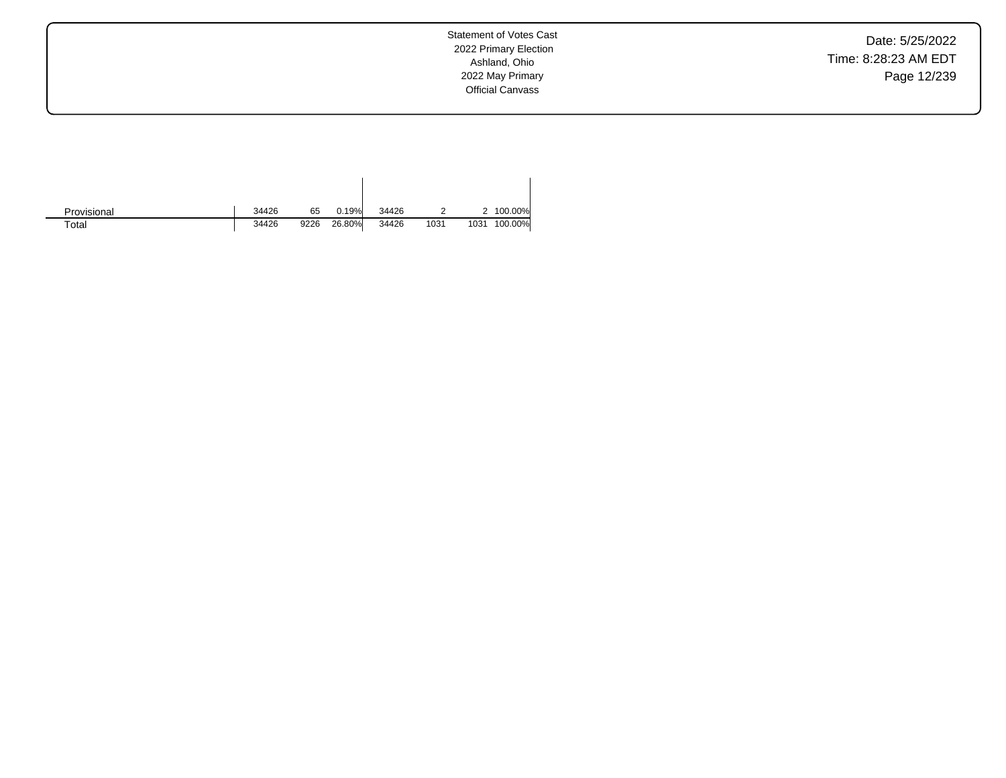Date: 5/25/2022 Time: 8:28:23 AM EDT Page 12/239

Statement of Votes Cast 2022 Primary Election Ashland, Ohio 2022 May Primary Official Canvass

| Provisional | 34426 | 65   | 0.19%  | 34426 |      |      | 2 100.00% |
|-------------|-------|------|--------|-------|------|------|-----------|
| Total       | 34426 | 9226 | 26.80% | 34426 | 1031 | 1031 | 100.00%   |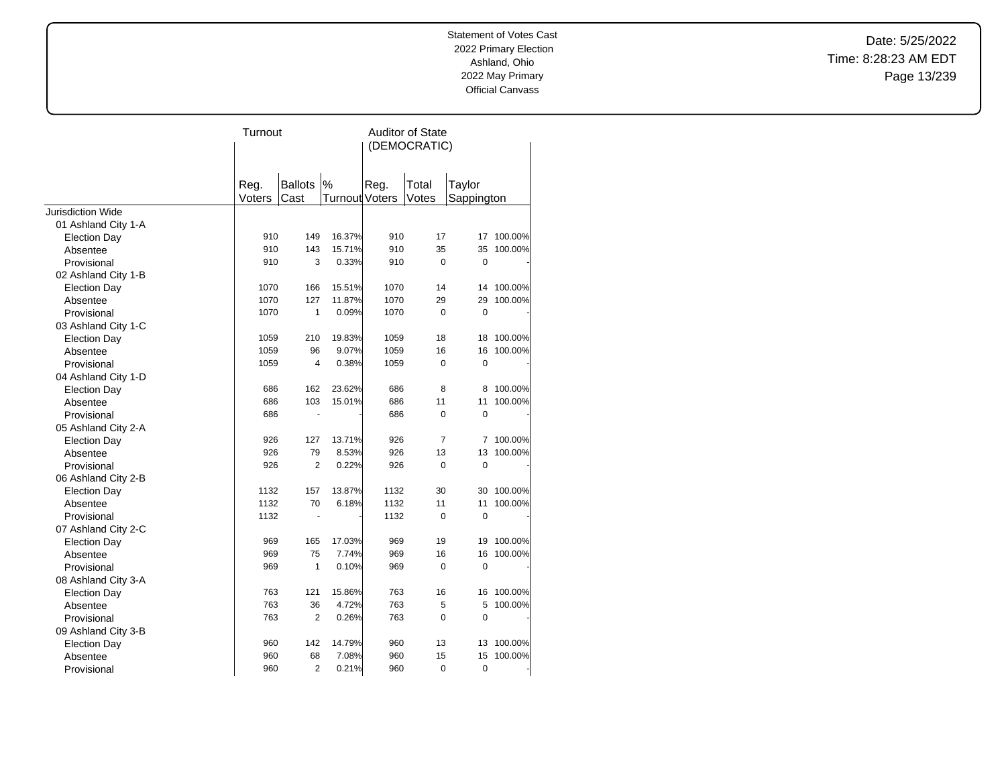Date: 5/25/2022 Time: 8:28:23 AM EDT Page 13/239

|                          | Turnout |                      |                | <b>Auditor of State</b> |                |             |         |  |
|--------------------------|---------|----------------------|----------------|-------------------------|----------------|-------------|---------|--|
|                          |         |                      |                |                         | (DEMOCRATIC)   |             |         |  |
|                          |         |                      |                |                         |                |             |         |  |
|                          |         |                      |                |                         |                |             |         |  |
|                          | Reg.    | <b>Ballots</b>       | %              | Reg.                    | Total          | Taylor      |         |  |
|                          | Voters  | Cast                 | Turnout Voters |                         | Votes          | Sappington  |         |  |
| <b>Jurisdiction Wide</b> |         |                      |                |                         |                |             |         |  |
| 01 Ashland City 1-A      |         |                      |                |                         |                |             |         |  |
| <b>Election Day</b>      | 910     | 149                  | 16.37%         | 910                     | 17             | 17          | 100.00% |  |
| Absentee                 | 910     | 143                  | 15.71%         | 910                     | 35             | 35          | 100.00% |  |
| Provisional              | 910     | 3                    | 0.33%          | 910                     | $\mathbf 0$    | $\mathbf 0$ |         |  |
| 02 Ashland City 1-B      |         |                      |                |                         |                |             |         |  |
| <b>Election Day</b>      | 1070    | 166                  | 15.51%         | 1070                    | 14             | 14          | 100.00% |  |
| Absentee                 | 1070    | 127                  | 11.87%         | 1070                    | 29             | 29          | 100.00% |  |
| Provisional              | 1070    | 1                    | 0.09%          | 1070                    | $\mathbf 0$    | $\mathbf 0$ |         |  |
| 03 Ashland City 1-C      |         |                      |                |                         |                |             |         |  |
| <b>Election Day</b>      | 1059    | 210                  | 19.83%         | 1059                    | 18             | 18          | 100.00% |  |
| Absentee                 | 1059    | 96                   | 9.07%          | 1059                    | 16             | 16          | 100.00% |  |
| Provisional              | 1059    | $\overline{4}$       | 0.38%          | 1059                    | $\mathbf 0$    | $\mathbf 0$ |         |  |
| 04 Ashland City 1-D      |         |                      |                |                         |                |             |         |  |
| <b>Election Day</b>      | 686     | 162                  | 23.62%         | 686                     | 8              | 8           | 100.00% |  |
| Absentee                 | 686     | 103                  | 15.01%         | 686                     | 11             | 11          | 100.00% |  |
| Provisional              | 686     |                      |                | 686                     | $\Omega$       | $\mathbf 0$ |         |  |
| 05 Ashland City 2-A      |         |                      |                |                         |                |             |         |  |
| <b>Election Day</b>      | 926     | 127                  | 13.71%         | 926                     | $\overline{7}$ | 7           | 100.00% |  |
| Absentee                 | 926     | 79                   | 8.53%          | 926                     | 13             | 13          | 100.00% |  |
| Provisional              | 926     | $\overline{2}$       | 0.22%          | 926                     | $\mathbf 0$    | $\mathbf 0$ |         |  |
| 06 Ashland City 2-B      |         |                      |                |                         |                |             |         |  |
| <b>Election Day</b>      | 1132    | 157                  | 13.87%         | 1132                    | 30             | 30          | 100.00% |  |
| Absentee                 | 1132    | 70                   | 6.18%          | 1132                    | 11             | 11          | 100.00% |  |
| Provisional              | 1132    | $\ddot{\phantom{1}}$ |                | 1132                    | $\mathbf 0$    | $\mathbf 0$ |         |  |
| 07 Ashland City 2-C      |         |                      |                |                         |                |             |         |  |
| <b>Election Day</b>      | 969     | 165                  | 17.03%         | 969                     | 19             | 19          | 100.00% |  |
| Absentee                 | 969     | 75                   | 7.74%          | 969                     | 16             | 16          | 100.00% |  |
| Provisional              | 969     | 1                    | 0.10%          | 969                     | $\mathbf 0$    | $\mathbf 0$ |         |  |
| 08 Ashland City 3-A      |         |                      |                |                         |                |             |         |  |
| <b>Election Day</b>      | 763     | 121                  | 15.86%         | 763                     | 16             | 16          | 100.00% |  |
| Absentee                 | 763     | 36                   | 4.72%          | 763                     | 5              | 5           | 100.00% |  |
| Provisional              | 763     | $\overline{2}$       | 0.26%          | 763                     | $\overline{0}$ | $\mathbf 0$ |         |  |
| 09 Ashland City 3-B      |         |                      |                |                         |                |             |         |  |
| <b>Election Day</b>      | 960     | 142                  | 14.79%         | 960                     | 13             | 13          | 100.00% |  |
| Absentee                 | 960     | 68                   | 7.08%          | 960                     | 15             | 15          | 100.00% |  |
| Provisional              | 960     | $\overline{2}$       | 0.21%          | 960                     | 0              | $\pmb{0}$   |         |  |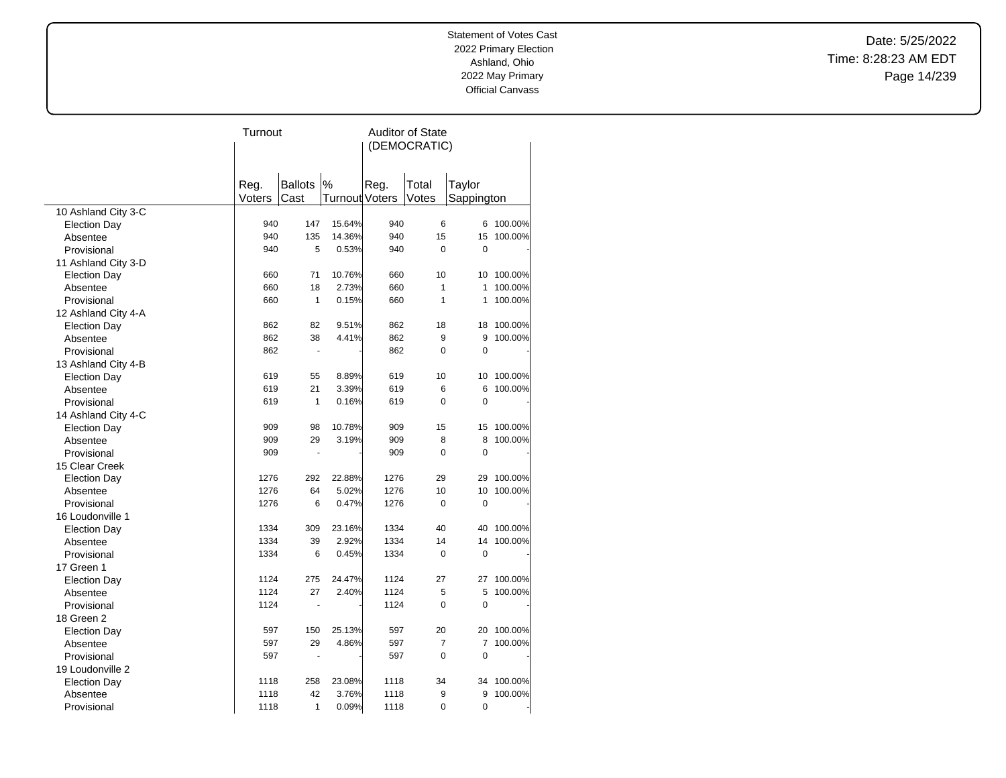Date: 5/25/2022 Time: 8:28:23 AM EDT Page 14/239

|                     | Turnout |                |                       | <b>Auditor of State</b> |                |                |         |  |
|---------------------|---------|----------------|-----------------------|-------------------------|----------------|----------------|---------|--|
|                     |         |                |                       | (DEMOCRATIC)            |                |                |         |  |
|                     |         |                |                       |                         |                |                |         |  |
|                     |         |                |                       |                         |                |                |         |  |
|                     | Reg.    | <b>Ballots</b> | $\%$                  | Reg.                    | Total          | Taylor         |         |  |
|                     | Voters  | Cast           | <b>Turnout Voters</b> |                         | Votes          | Sappington     |         |  |
| 10 Ashland City 3-C | 940     | 147            | 15.64%                | 940                     | 6              | 6              | 100.00% |  |
| <b>Election Day</b> | 940     | 135            | 14.36%                | 940                     | 15             | 15             | 100.00% |  |
| Absentee            | 940     | 5              | 0.53%                 | 940                     | 0              | $\overline{0}$ |         |  |
| Provisional         |         |                |                       |                         |                |                |         |  |
| 11 Ashland City 3-D | 660     | 71             | 10.76%                | 660                     | 10             | 10             | 100.00% |  |
| <b>Election Day</b> | 660     | 18             | 2.73%                 | 660                     | $\mathbf{1}$   | 1              | 100.00% |  |
| Absentee            | 660     | $\mathbf{1}$   | 0.15%                 | 660                     | $\mathbf{1}$   | 1              | 100.00% |  |
| Provisional         |         |                |                       |                         |                |                |         |  |
| 12 Ashland City 4-A |         |                |                       |                         |                |                |         |  |
| <b>Election Day</b> | 862     | 82             | 9.51%                 | 862                     | 18             | 18             | 100.00% |  |
| Absentee            | 862     | 38             | 4.41%                 | 862                     | 9              | 9              | 100.00% |  |
| Provisional         | 862     | L.             |                       | 862                     | 0              | 0              |         |  |
| 13 Ashland City 4-B |         |                |                       |                         |                |                |         |  |
| <b>Election Day</b> | 619     | 55             | 8.89%                 | 619                     | 10             | 10             | 100.00% |  |
| Absentee            | 619     | 21             | 3.39%                 | 619                     | 6              | 6              | 100.00% |  |
| Provisional         | 619     | 1              | 0.16%                 | 619                     | 0              | 0              |         |  |
| 14 Ashland City 4-C |         |                |                       |                         |                |                |         |  |
| <b>Election Day</b> | 909     | 98             | 10.78%                | 909                     | 15             | 15             | 100.00% |  |
| Absentee            | 909     | 29             | 3.19%                 | 909                     | 8              | 8              | 100.00% |  |
| Provisional         | 909     | ä,             |                       | 909                     | $\Omega$       | 0              |         |  |
| 15 Clear Creek      |         |                |                       |                         |                |                |         |  |
| <b>Election Day</b> | 1276    | 292            | 22.88%                | 1276                    | 29             | 29             | 100.00% |  |
| Absentee            | 1276    | 64             | 5.02%                 | 1276                    | 10             | 10             | 100.00% |  |
| Provisional         | 1276    | 6              | 0.47%                 | 1276                    | 0              | 0              |         |  |
| 16 Loudonville 1    |         |                |                       |                         |                |                |         |  |
| <b>Election Day</b> | 1334    | 309            | 23.16%                | 1334                    | 40             | 40             | 100.00% |  |
| Absentee            | 1334    | 39             | 2.92%                 | 1334                    | 14             | 14             | 100.00% |  |
| Provisional         | 1334    | 6              | 0.45%                 | 1334                    | 0              | $\mathbf 0$    |         |  |
| 17 Green 1          |         |                |                       |                         |                |                |         |  |
| <b>Election Day</b> | 1124    | 275            | 24.47%                | 1124                    | 27             | 27             | 100.00% |  |
| Absentee            | 1124    | 27             | 2.40%                 | 1124                    | 5              | 5              | 100.00% |  |
| Provisional         | 1124    | L.             |                       | 1124                    | 0              | 0              |         |  |
| 18 Green 2          |         |                |                       |                         |                |                |         |  |
| <b>Election Day</b> | 597     | 150            | 25.13%                | 597                     | 20             | 20             | 100.00% |  |
| Absentee            | 597     | 29             | 4.86%                 | 597                     | $\overline{7}$ | 7              | 100.00% |  |
| Provisional         | 597     | Ĭ.             |                       | 597                     | 0              | 0              |         |  |
| 19 Loudonville 2    |         |                |                       |                         |                |                |         |  |
| <b>Election Day</b> | 1118    | 258            | 23.08%                | 1118                    | 34             | 34             | 100.00% |  |
| Absentee            | 1118    | 42             | 3.76%                 | 1118                    | 9              | 9              | 100.00% |  |
| Provisional         | 1118    | 1              | 0.09%                 | 1118                    | 0              | 0              |         |  |
|                     |         |                |                       |                         |                |                |         |  |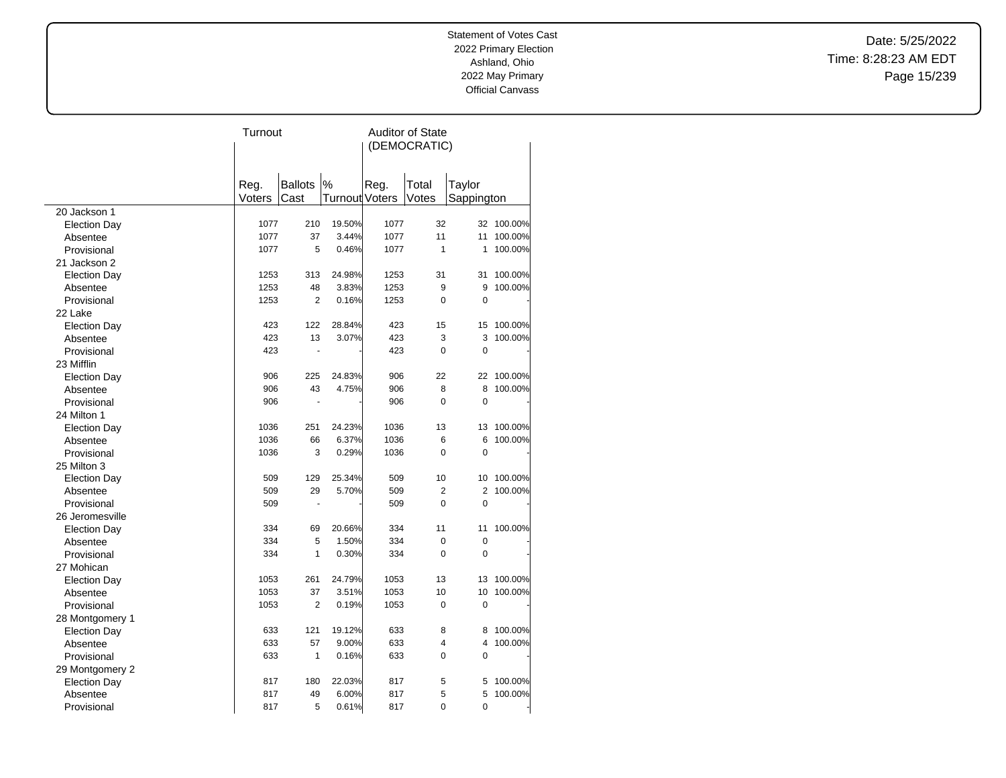Date: 5/25/2022 Time: 8:28:23 AM EDT Page 15/239

|                     | Turnout |                      |                | <b>Auditor of State</b> |                |                |         |
|---------------------|---------|----------------------|----------------|-------------------------|----------------|----------------|---------|
|                     |         |                      |                | (DEMOCRATIC)            |                |                |         |
|                     |         |                      |                |                         |                |                |         |
|                     |         |                      |                |                         |                |                |         |
|                     | Reg.    | <b>Ballots</b>       | $\%$           | Reg.                    | Total          | Taylor         |         |
|                     | Voters  | Cast                 | Turnout Voters |                         | Votes          | Sappington     |         |
| 20 Jackson 1        |         |                      |                |                         |                |                |         |
| <b>Election Day</b> | 1077    | 210                  | 19.50%         | 1077                    | 32             | 32             | 100.00% |
| Absentee            | 1077    | 37                   | 3.44%          | 1077                    | 11             | 11             | 100.00% |
| Provisional         | 1077    | 5                    | 0.46%          | 1077                    | 1              | 1              | 100.00% |
| 21 Jackson 2        |         |                      |                |                         |                |                |         |
| <b>Election Day</b> | 1253    | 313                  | 24.98%         | 1253                    | 31             | 31             | 100.00% |
| Absentee            | 1253    | 48                   | 3.83%          | 1253                    | 9              | 9              | 100.00% |
| Provisional         | 1253    | $\overline{2}$       | 0.16%          | 1253                    | 0              | 0              |         |
| 22 Lake             |         |                      |                |                         |                |                |         |
| <b>Election Day</b> | 423     | 122                  | 28.84%         | 423                     | 15             | 15             | 100.00% |
| Absentee            | 423     | 13                   | 3.07%          | 423                     | 3              | 3              | 100.00% |
| Provisional         | 423     | Ĭ.                   |                | 423                     | 0              | $\mathbf 0$    |         |
| 23 Mifflin          |         |                      |                |                         |                |                |         |
| <b>Election Day</b> | 906     | 225                  | 24.83%         | 906                     | 22             | 22             | 100.00% |
| Absentee            | 906     | 43                   | 4.75%          | 906                     | 8              | 8              | 100.00% |
| Provisional         | 906     | $\ddot{\phantom{1}}$ |                | 906                     | 0              | 0              |         |
| 24 Milton 1         |         |                      |                |                         |                |                |         |
| <b>Election Day</b> | 1036    | 251                  | 24.23%         | 1036                    | 13             | 13             | 100.00% |
| Absentee            | 1036    | 66                   | 6.37%          | 1036                    | 6              | 6              | 100.00% |
| Provisional         | 1036    | 3                    | 0.29%          | 1036                    | $\Omega$       | 0              |         |
| 25 Milton 3         |         |                      |                |                         |                |                |         |
| <b>Election Day</b> | 509     | 129                  | 25.34%         | 509                     | 10             | 10             | 100.00% |
| Absentee            | 509     | 29                   | 5.70%          | 509                     | $\overline{2}$ | $\overline{2}$ | 100.00% |
| Provisional         | 509     |                      |                | 509                     | $\Omega$       | $\mathbf 0$    |         |
| 26 Jeromesville     |         |                      |                |                         |                |                |         |
| <b>Election Day</b> | 334     | 69                   | 20.66%         | 334                     | 11             | 11             | 100.00% |
| Absentee            | 334     | 5                    | 1.50%          | 334                     | 0              | $\mathbf 0$    |         |
| Provisional         | 334     | 1                    | 0.30%          | 334                     | 0              | $\overline{0}$ |         |
| 27 Mohican          |         |                      |                |                         |                |                |         |
| <b>Election Day</b> | 1053    | 261                  | 24.79%         | 1053                    | 13             | 13             | 100.00% |
| Absentee            | 1053    | 37                   | 3.51%          | 1053                    | 10             | 10             | 100.00% |
| Provisional         | 1053    | $\overline{2}$       | 0.19%          | 1053                    | 0              | $\mathbf 0$    |         |
|                     |         |                      |                |                         |                |                |         |
| 28 Montgomery 1     | 633     | 121                  | 19.12%         | 633                     | 8              | 8              | 100.00% |
| <b>Election Day</b> | 633     | 57                   | 9.00%          | 633                     | 4              | 4              | 100.00% |
| Absentee            |         | $\mathbf{1}$         |                | 633                     | 0              | 0              |         |
| Provisional         | 633     |                      | 0.16%          |                         |                |                |         |
| 29 Montgomery 2     |         |                      |                |                         |                |                |         |
| <b>Election Day</b> | 817     | 180                  | 22.03%         | 817                     | 5              | 5              | 100.00% |
| Absentee            | 817     | 49                   | 6.00%          | 817                     | 5              | 5              | 100.00% |
| Provisional         | 817     | 5                    | 0.61%          | 817                     | 0              | 0              |         |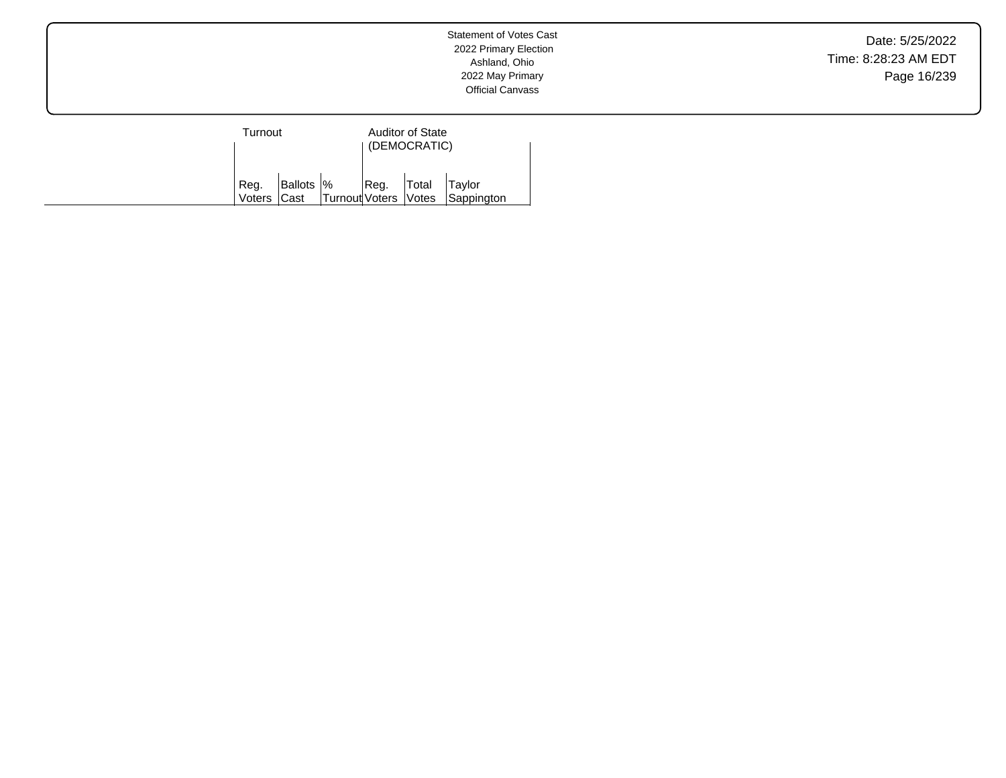Date: 5/25/2022 Time: 8:28:23 AM EDT Page 16/239

| Turnout             |            |                      | <b>Auditor of State</b><br>(DEMOCRATIC) |       |                      |  |
|---------------------|------------|----------------------|-----------------------------------------|-------|----------------------|--|
| Reg.<br>Voters Cast | Ballots  % | Turnout Voters Votes | Reg.                                    | Total | Taylor<br>Sappington |  |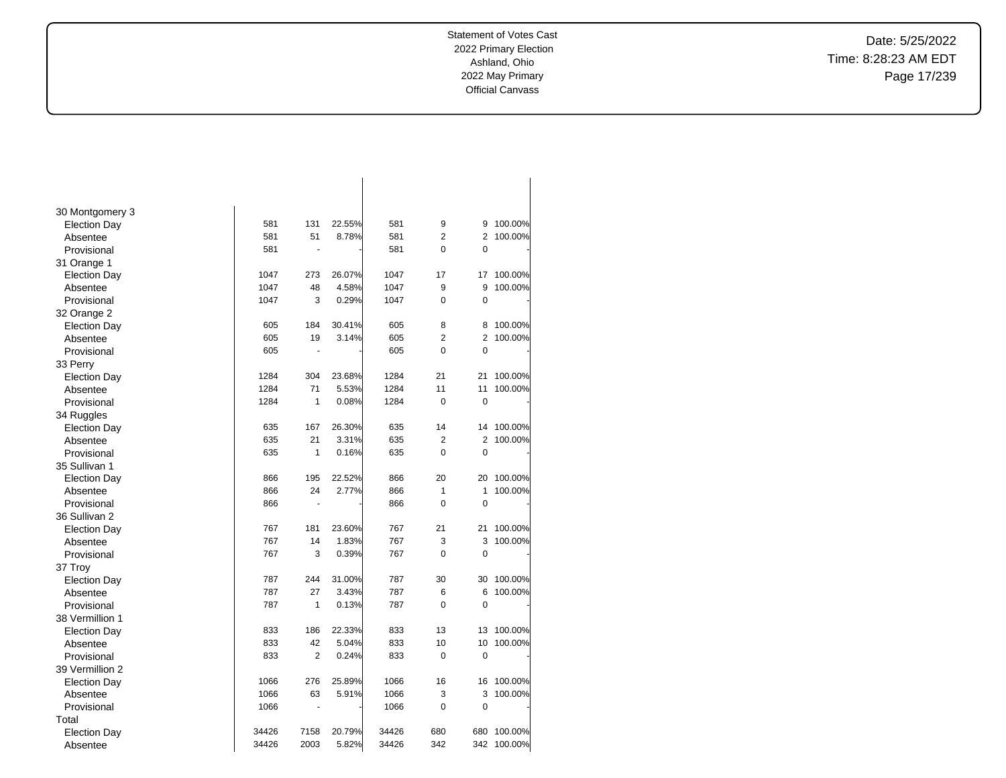Date: 5/25/2022 Time: 8:28:23 AM EDT Page 17/239

| 30 Montgomery 3     |       |                |        |       |                |                |             |
|---------------------|-------|----------------|--------|-------|----------------|----------------|-------------|
| <b>Election Day</b> | 581   | 131            | 22.55% | 581   | 9              | 9              | 100.00%     |
| Absentee            | 581   | 51             | 8.78%  | 581   | $\overline{2}$ | $\overline{2}$ | 100.00%     |
| Provisional         | 581   | Ĭ.             |        | 581   | 0              | $\mathbf 0$    |             |
| 31 Orange 1         |       |                |        |       |                |                |             |
| <b>Election Day</b> | 1047  | 273            | 26.07% | 1047  | 17             | 17             | 100.00%     |
| Absentee            | 1047  | 48             | 4.58%  | 1047  | 9              | 9              | 100.00%     |
| Provisional         | 1047  | 3              | 0.29%  | 1047  | 0              | $\mathbf 0$    |             |
| 32 Orange 2         |       |                |        |       |                |                |             |
| <b>Election Day</b> | 605   | 184            | 30.41% | 605   | 8              | 8              | 100.00%     |
| Absentee            | 605   | 19             | 3.14%  | 605   | $\overline{2}$ | $\overline{2}$ | 100.00%     |
| Provisional         | 605   | Ĭ.             |        | 605   | $\overline{0}$ | $\mathbf 0$    |             |
| 33 Perry            |       |                |        |       |                |                |             |
| <b>Election Day</b> | 1284  | 304            | 23.68% | 1284  | 21             | 21             | 100.00%     |
| Absentee            | 1284  | 71             | 5.53%  | 1284  | 11             | 11             | 100.00%     |
| Provisional         | 1284  | $\mathbf{1}$   | 0.08%  | 1284  | 0              | $\mathbf 0$    |             |
| 34 Ruggles          |       |                |        |       |                |                |             |
| <b>Election Day</b> | 635   | 167            | 26.30% | 635   | 14             | 14             | 100.00%     |
| Absentee            | 635   | 21             | 3.31%  | 635   | $\overline{2}$ | $\overline{2}$ | 100.00%     |
| Provisional         | 635   | $\mathbf{1}$   | 0.16%  | 635   | 0              | 0              |             |
| 35 Sullivan 1       |       |                |        |       |                |                |             |
| <b>Election Day</b> | 866   | 195            | 22.52% | 866   | 20             | 20             | 100.00%     |
| Absentee            | 866   | 24             | 2.77%  | 866   | 1              | 1              | 100.00%     |
| Provisional         | 866   | $\blacksquare$ |        | 866   | $\overline{0}$ | $\mathbf 0$    |             |
| 36 Sullivan 2       |       |                |        |       |                |                |             |
| <b>Election Day</b> | 767   | 181            | 23.60% | 767   | 21             | 21             | 100.00%     |
| Absentee            | 767   | 14             | 1.83%  | 767   | 3              | 3              | 100.00%     |
| Provisional         | 767   | 3              | 0.39%  | 767   | 0              | $\mathbf 0$    |             |
| 37 Troy             |       |                |        |       |                |                |             |
| <b>Election Day</b> | 787   | 244            | 31.00% | 787   | 30             | 30             | 100.00%     |
| Absentee            | 787   | 27             | 3.43%  | 787   | 6              | 6              | 100.00%     |
| Provisional         | 787   | 1              | 0.13%  | 787   | 0              | $\mathbf 0$    |             |
| 38 Vermillion 1     |       |                |        |       |                |                |             |
| <b>Election Day</b> | 833   | 186            | 22.33% | 833   | 13             | 13             | 100.00%     |
| Absentee            | 833   | 42             | 5.04%  | 833   | 10             | 10             | 100.00%     |
| Provisional         | 833   | $\overline{2}$ | 0.24%  | 833   | 0              | $\mathbf 0$    |             |
| 39 Vermillion 2     |       |                |        |       |                |                |             |
| <b>Election Day</b> | 1066  | 276            | 25.89% | 1066  | 16             | 16             | 100.00%     |
| Absentee            | 1066  | 63             | 5.91%  | 1066  | 3              | 3              | 100.00%     |
| Provisional         | 1066  | $\blacksquare$ |        | 1066  | 0              | 0              |             |
| Total               |       |                |        |       |                |                |             |
| <b>Election Day</b> | 34426 | 7158           | 20.79% | 34426 | 680            | 680            | 100.00%     |
| Absentee            | 34426 | 2003           | 5.82%  | 34426 | 342            |                | 342 100.00% |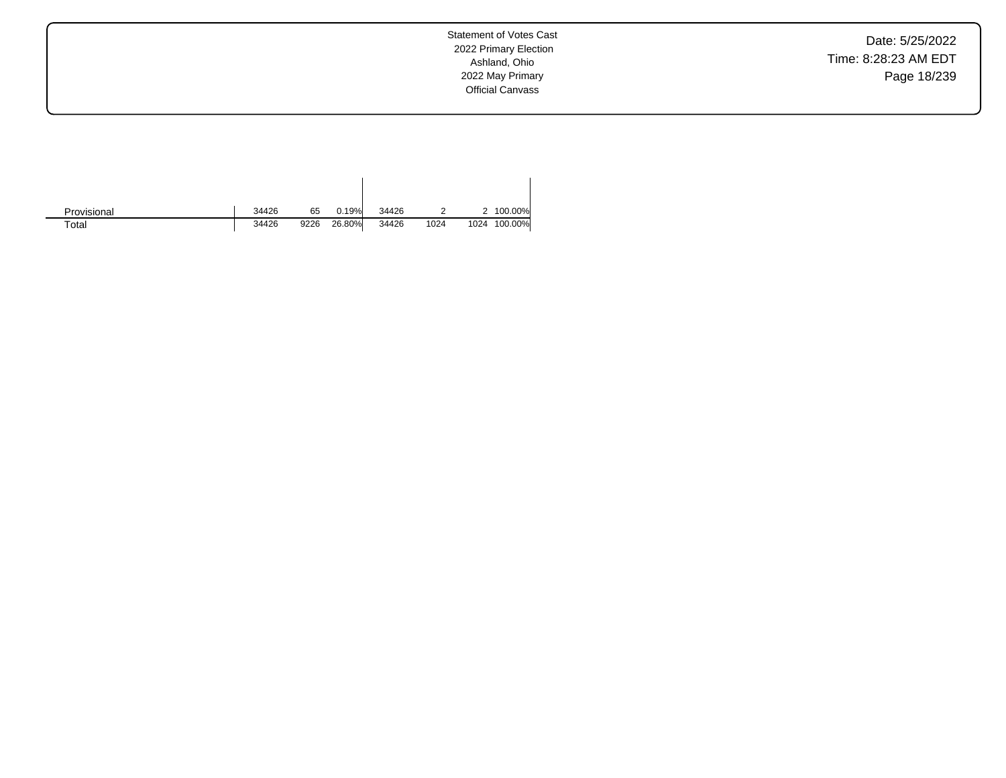Date: 5/25/2022 Time: 8:28:23 AM EDT Page 18/239

Statement of Votes Cast 2022 Primary Election Ashland, Ohio 2022 May Primary Official Canvass

| Provisional | 34426 | 65   | 0.19%  | 34426 |      |      | 100.00% |
|-------------|-------|------|--------|-------|------|------|---------|
| $\tau$ otal | 34426 | 9226 | 26.80% | 34426 | 1024 | 1024 | 100.00% |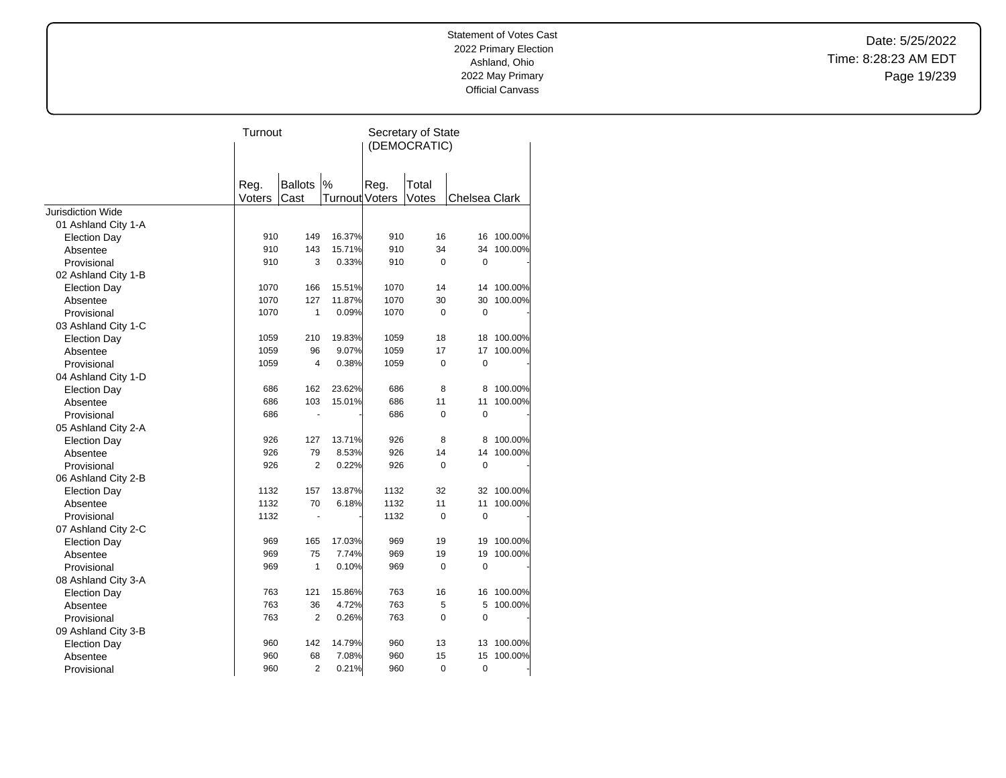Date: 5/25/2022 Time: 8:28:23 AM EDT Page 19/239

|                          | Turnout |                          |                | Secretary of State<br>(DEMOCRATIC) |             |               |         |
|--------------------------|---------|--------------------------|----------------|------------------------------------|-------------|---------------|---------|
|                          |         |                          |                |                                    |             |               |         |
|                          | Reg.    | <b>Ballots</b>           | $\%$           | Reg.                               | Total       |               |         |
|                          | Voters  | Cast                     | Turnout Voters |                                    | Votes       | Chelsea Clark |         |
| <b>Jurisdiction Wide</b> |         |                          |                |                                    |             |               |         |
| 01 Ashland City 1-A      |         |                          |                |                                    |             |               |         |
| <b>Election Day</b>      | 910     | 149                      | 16.37%         | 910                                | 16          | 16            | 100.00% |
| Absentee                 | 910     | 143                      | 15.71%         | 910                                | 34          | 34            | 100.00% |
| Provisional              | 910     | 3                        | 0.33%          | 910                                | $\mathbf 0$ | 0             |         |
| 02 Ashland City 1-B      |         |                          |                |                                    |             |               |         |
| <b>Election Day</b>      | 1070    | 166                      | 15.51%         | 1070                               | 14          | 14            | 100.00% |
| Absentee                 | 1070    | 127                      | 11.87%         | 1070                               | 30          | 30            | 100.00% |
| Provisional              | 1070    | $\mathbf{1}$             | 0.09%          | 1070                               | $\Omega$    | $\mathbf 0$   |         |
| 03 Ashland City 1-C      |         |                          |                |                                    |             |               |         |
| <b>Election Day</b>      | 1059    | 210                      | 19.83%         | 1059                               | 18          | 18            | 100.00% |
| Absentee                 | 1059    | 96                       | 9.07%          | 1059                               | 17          | 17            | 100.00% |
| Provisional              | 1059    | $\overline{4}$           | 0.38%          | 1059                               | 0           | 0             |         |
| 04 Ashland City 1-D      |         |                          |                |                                    |             |               |         |
| <b>Election Day</b>      | 686     | 162                      | 23.62%         | 686                                | 8           | 8             | 100.00% |
| Absentee                 | 686     | 103                      | 15.01%         | 686                                | 11          | 11            | 100.00% |
| Provisional              | 686     | $\blacksquare$           |                | 686                                | $\Omega$    | $\mathbf 0$   |         |
| 05 Ashland City 2-A      |         |                          |                |                                    |             |               |         |
| <b>Election Day</b>      | 926     | 127                      | 13.71%         | 926                                | 8           | 8             | 100.00% |
| Absentee                 | 926     | 79                       | 8.53%          | 926                                | 14          | 14            | 100.00% |
| Provisional              | 926     | 2                        | 0.22%          | 926                                | 0           | 0             |         |
| 06 Ashland City 2-B      |         |                          |                |                                    |             |               |         |
| <b>Election Day</b>      | 1132    | 157                      | 13.87%         | 1132                               | 32          | 32            | 100.00% |
| Absentee                 | 1132    | 70                       | 6.18%          | 1132                               | 11          | 11            | 100.00% |
| Provisional              | 1132    | $\overline{\phantom{a}}$ |                | 1132                               | $\mathbf 0$ | $\mathbf 0$   |         |
| 07 Ashland City 2-C      |         |                          |                |                                    |             |               |         |
| <b>Election Day</b>      | 969     | 165                      | 17.03%         | 969                                | 19          | 19            | 100.00% |
| Absentee                 | 969     | 75                       | 7.74%          | 969                                | 19          | 19            | 100.00% |
| Provisional              | 969     | $\mathbf{1}$             | 0.10%          | 969                                | $\mathbf 0$ | $\mathbf 0$   |         |
| 08 Ashland City 3-A      |         |                          |                |                                    |             |               |         |
| <b>Election Day</b>      | 763     | 121                      | 15.86%         | 763                                | 16          | 16            | 100.00% |
| Absentee                 | 763     | 36                       | 4.72%          | 763                                | 5           | 5             | 100.00% |
| Provisional              | 763     | 2                        | 0.26%          | 763                                | $\mathbf 0$ | $\mathbf 0$   |         |
| 09 Ashland City 3-B      |         |                          |                |                                    |             |               |         |
| <b>Election Day</b>      | 960     | 142                      | 14.79%         | 960                                | 13          | 13            | 100.00% |
| Absentee                 | 960     | 68                       | 7.08%          | 960                                | 15          | 15            | 100.00% |
| Provisional              | 960     | $\overline{2}$           | 0.21%          | 960                                | 0           | 0             |         |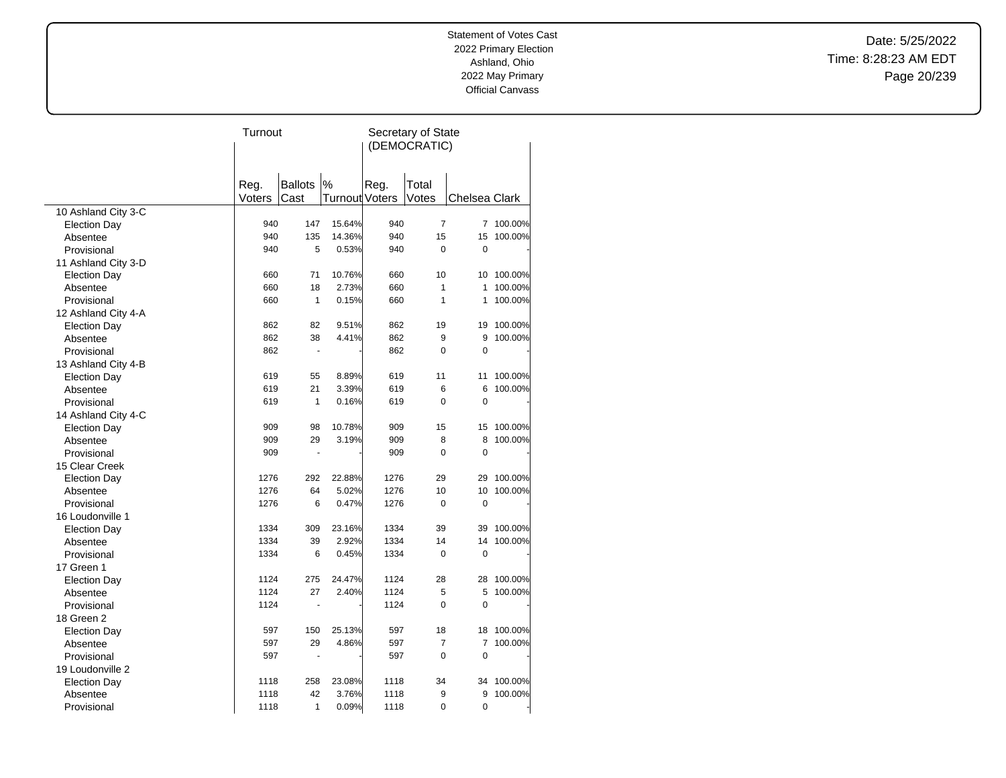Date: 5/25/2022 Time: 8:28:23 AM EDT Page 20/239

|                     | Turnout |                |                       | Secretary of State |                |               |         |
|---------------------|---------|----------------|-----------------------|--------------------|----------------|---------------|---------|
|                     |         |                |                       |                    | (DEMOCRATIC)   |               |         |
|                     |         |                |                       |                    |                |               |         |
|                     |         |                |                       |                    |                |               |         |
|                     | Reg.    | <b>Ballots</b> | $\%$                  | Reg.               | Total          |               |         |
|                     | Voters  | Cast           | <b>Turnout Voters</b> |                    | Votes          | Chelsea Clark |         |
| 10 Ashland City 3-C |         |                |                       |                    |                |               |         |
| <b>Election Day</b> | 940     | 147            | 15.64%                | 940                | 7              | 7             | 100.00% |
| Absentee            | 940     | 135            | 14.36%                | 940                | 15             | 15            | 100.00% |
| Provisional         | 940     | 5              | 0.53%                 | 940                | $\Omega$       | 0             |         |
| 11 Ashland City 3-D |         |                |                       |                    |                |               |         |
| <b>Election Day</b> | 660     | 71             | 10.76%                | 660                | 10             | 10            | 100.00% |
| Absentee            | 660     | 18             | 2.73%                 | 660                | 1              | 1             | 100.00% |
| Provisional         | 660     | $\mathbf{1}$   | 0.15%                 | 660                | $\mathbf{1}$   | 1             | 100.00% |
| 12 Ashland City 4-A |         |                |                       |                    |                |               |         |
| <b>Election Day</b> | 862     | 82             | 9.51%                 | 862                | 19             | 19            | 100.00% |
| Absentee            | 862     | 38             | 4.41%                 | 862                | 9              | 9             | 100.00% |
| Provisional         | 862     | L.             |                       | 862                | 0              | 0             |         |
| 13 Ashland City 4-B |         |                |                       |                    |                |               |         |
| <b>Election Day</b> | 619     | 55             | 8.89%                 | 619                | 11             | 11            | 100.00% |
| Absentee            | 619     | 21             | 3.39%                 | 619                | 6              | 6             | 100.00% |
| Provisional         | 619     | $\mathbf{1}$   | 0.16%                 | 619                | 0              | 0             |         |
| 14 Ashland City 4-C |         |                |                       |                    |                |               |         |
| <b>Election Day</b> | 909     | 98             | 10.78%                | 909                | 15             | 15            | 100.00% |
| Absentee            | 909     | 29             | 3.19%                 | 909                | 8              | 8             | 100.00% |
| Provisional         | 909     | ä,             |                       | 909                | $\Omega$       | 0             |         |
| 15 Clear Creek      |         |                |                       |                    |                |               |         |
| <b>Election Day</b> | 1276    | 292            | 22.88%                | 1276               | 29             | 29            | 100.00% |
| Absentee            | 1276    | 64             | 5.02%                 | 1276               | 10             | 10            | 100.00% |
| Provisional         | 1276    | 6              | 0.47%                 | 1276               | 0              | $\mathbf 0$   |         |
| 16 Loudonville 1    |         |                |                       |                    |                |               |         |
| <b>Election Day</b> | 1334    | 309            | 23.16%                | 1334               | 39             | 39            | 100.00% |
| Absentee            | 1334    | 39             | 2.92%                 | 1334               | 14             | 14            | 100.00% |
| Provisional         | 1334    | 6              | 0.45%                 | 1334               | $\Omega$       | $\mathbf 0$   |         |
| 17 Green 1          |         |                |                       |                    |                |               |         |
| <b>Election Day</b> | 1124    | 275            | 24.47%                | 1124               | 28             | 28            | 100.00% |
| Absentee            | 1124    | 27             | 2.40%                 | 1124               | 5              | 5             | 100.00% |
| Provisional         | 1124    |                |                       | 1124               | 0              | 0             |         |
| 18 Green 2          |         |                |                       |                    |                |               |         |
| <b>Election Day</b> | 597     | 150            | 25.13%                | 597                | 18             | 18            | 100.00% |
| Absentee            | 597     | 29             | 4.86%                 | 597                | $\overline{7}$ | 7             | 100.00% |
| Provisional         | 597     | L.             |                       | 597                | 0              | 0             |         |
| 19 Loudonville 2    |         |                |                       |                    |                |               |         |
| <b>Election Day</b> | 1118    | 258            | 23.08%                | 1118               | 34             | 34            | 100.00% |
| Absentee            | 1118    | 42             | 3.76%                 | 1118               | 9              | 9             | 100.00% |
| Provisional         | 1118    | 1              | 0.09%                 | 1118               | 0              | 0             |         |
|                     |         |                |                       |                    |                |               |         |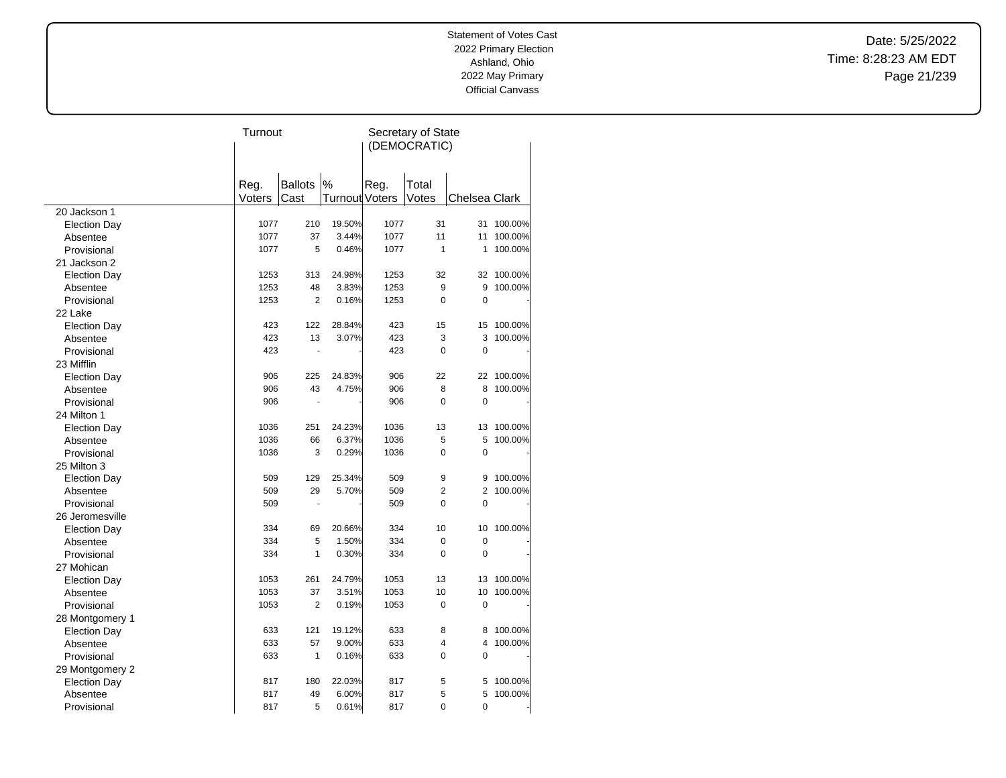Date: 5/25/2022 Time: 8:28:23 AM EDT Page 21/239

|                                 | Turnout |                |                       | Secretary of State |                |                |         |  |
|---------------------------------|---------|----------------|-----------------------|--------------------|----------------|----------------|---------|--|
|                                 |         |                |                       |                    | (DEMOCRATIC)   |                |         |  |
|                                 |         |                |                       |                    |                |                |         |  |
|                                 |         |                |                       |                    |                |                |         |  |
|                                 | Reg.    | <b>Ballots</b> | $\%$                  | Reg.               | Total          |                |         |  |
|                                 | Voters  | Cast           | <b>Turnout Voters</b> |                    | Votes          | Chelsea Clark  |         |  |
| 20 Jackson 1                    |         |                |                       |                    |                |                |         |  |
| <b>Election Day</b>             | 1077    | 210            | 19.50%                | 1077               | 31             | 31             | 100.00% |  |
| Absentee                        | 1077    | 37             | 3.44%                 | 1077               | 11             | 11             | 100.00% |  |
| Provisional                     | 1077    | 5              | 0.46%                 | 1077               | 1              | 1              | 100.00% |  |
| 21 Jackson 2                    |         |                |                       |                    |                |                |         |  |
| <b>Election Day</b>             | 1253    | 313            | 24.98%                | 1253               | 32             | 32             | 100.00% |  |
| Absentee                        | 1253    | 48             | 3.83%                 | 1253               | 9              | 9              | 100.00% |  |
| Provisional                     | 1253    | $\overline{2}$ | 0.16%                 | 1253               | 0              | $\mathbf 0$    |         |  |
| 22 Lake                         |         |                |                       |                    |                |                |         |  |
| <b>Election Day</b>             | 423     | 122            | 28.84%                | 423                | 15             | 15             | 100.00% |  |
| Absentee                        | 423     | 13             | 3.07%                 | 423                | 3              | 3              | 100.00% |  |
| Provisional                     | 423     | L.             |                       | 423                | 0              | 0              |         |  |
| 23 Mifflin                      |         |                |                       |                    |                |                |         |  |
| <b>Election Day</b>             | 906     | 225            | 24.83%                | 906                | 22             | 22             | 100.00% |  |
| Absentee                        | 906     | 43             | 4.75%                 | 906                | 8              | 8              | 100.00% |  |
| Provisional                     | 906     |                |                       | 906                | $\Omega$       | 0              |         |  |
| 24 Milton 1                     |         |                |                       |                    |                |                |         |  |
| <b>Election Day</b>             | 1036    | 251            | 24.23%                | 1036               | 13             | 13             | 100.00% |  |
| Absentee                        | 1036    | 66             | 6.37%                 | 1036               | 5              | 5              | 100.00% |  |
| Provisional                     | 1036    | 3              | 0.29%                 | 1036               | $\overline{0}$ | $\overline{0}$ |         |  |
| 25 Milton 3                     |         |                |                       |                    |                |                |         |  |
| <b>Election Day</b>             | 509     | 129            | 25.34%                | 509                | 9              | 9              | 100.00% |  |
| Absentee                        | 509     | 29             | 5.70%                 | 509                | $\overline{2}$ | 2              | 100.00% |  |
| Provisional                     | 509     |                |                       | 509                | $\Omega$       | 0              |         |  |
| 26 Jeromesville                 |         |                |                       |                    |                |                |         |  |
| <b>Election Day</b>             | 334     | 69             | 20.66%                | 334                | 10             | 10             | 100.00% |  |
| Absentee                        | 334     | 5              | 1.50%                 | 334                | 0              | 0              |         |  |
| Provisional                     | 334     | 1              | 0.30%                 | 334                | $\Omega$       | $\Omega$       |         |  |
| 27 Mohican                      |         |                |                       |                    |                |                |         |  |
|                                 | 1053    | 261            | 24.79%                | 1053               | 13             | 13             | 100.00% |  |
| <b>Election Day</b><br>Absentee | 1053    | 37             | 3.51%                 | 1053               | 10             | 10             | 100.00% |  |
| Provisional                     | 1053    | 2              | 0.19%                 | 1053               | 0              | 0              |         |  |
|                                 |         |                |                       |                    |                |                |         |  |
| 28 Montgomery 1                 | 633     | 121            | 19.12%                | 633                | 8              | 8              | 100.00% |  |
| <b>Election Day</b>             |         | 57             | 9.00%                 | 633                | 4              | 4              | 100.00% |  |
| Absentee                        | 633     | $\mathbf{1}$   |                       |                    | 0              | 0              |         |  |
| Provisional                     | 633     |                | 0.16%                 | 633                |                |                |         |  |
| 29 Montgomery 2                 |         |                |                       |                    |                |                |         |  |
| <b>Election Day</b>             | 817     | 180            | 22.03%                | 817                | 5              | 5              | 100.00% |  |
| Absentee                        | 817     | 49             | 6.00%                 | 817                | 5              | 5              | 100.00% |  |
| Provisional                     | 817     | 5              | 0.61%                 | 817                | 0              | 0              |         |  |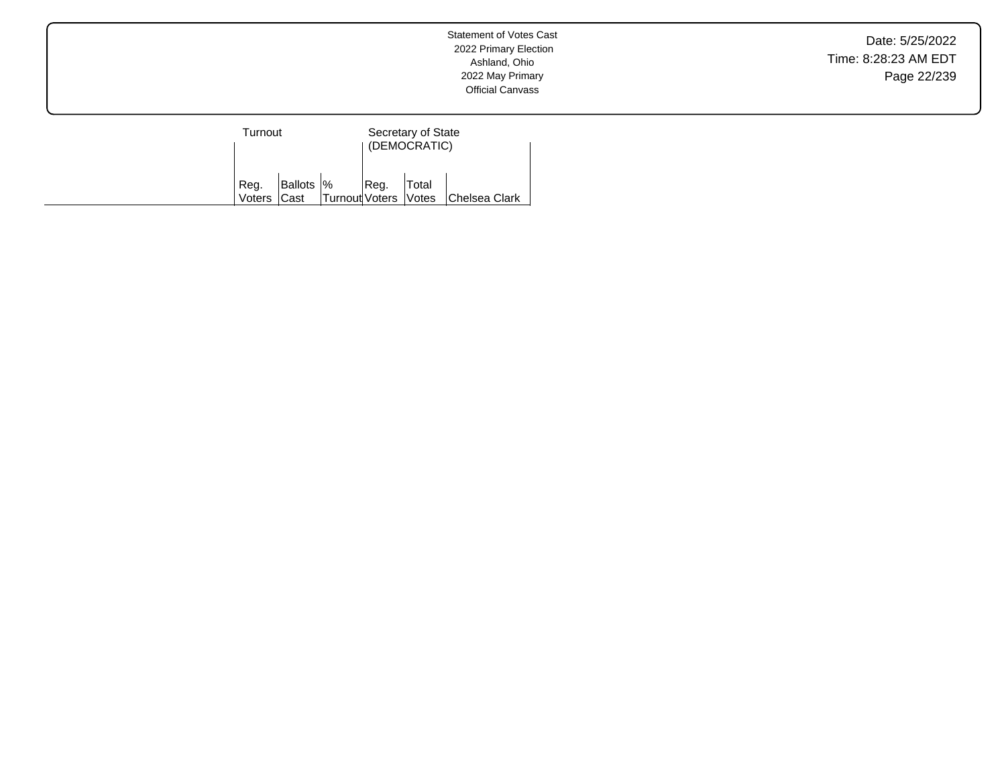Date: 5/25/2022 Time: 8:28:23 AM EDT Page 22/239

| Turnout        |                    |                      | Secretary of State<br>(DEMOCRATIC) |       |               |  |
|----------------|--------------------|----------------------|------------------------------------|-------|---------------|--|
| Reg.<br>Voters | Ballots  %<br>Cast | Turnout Voters Votes | IReg.                              | Total | Chelsea Clark |  |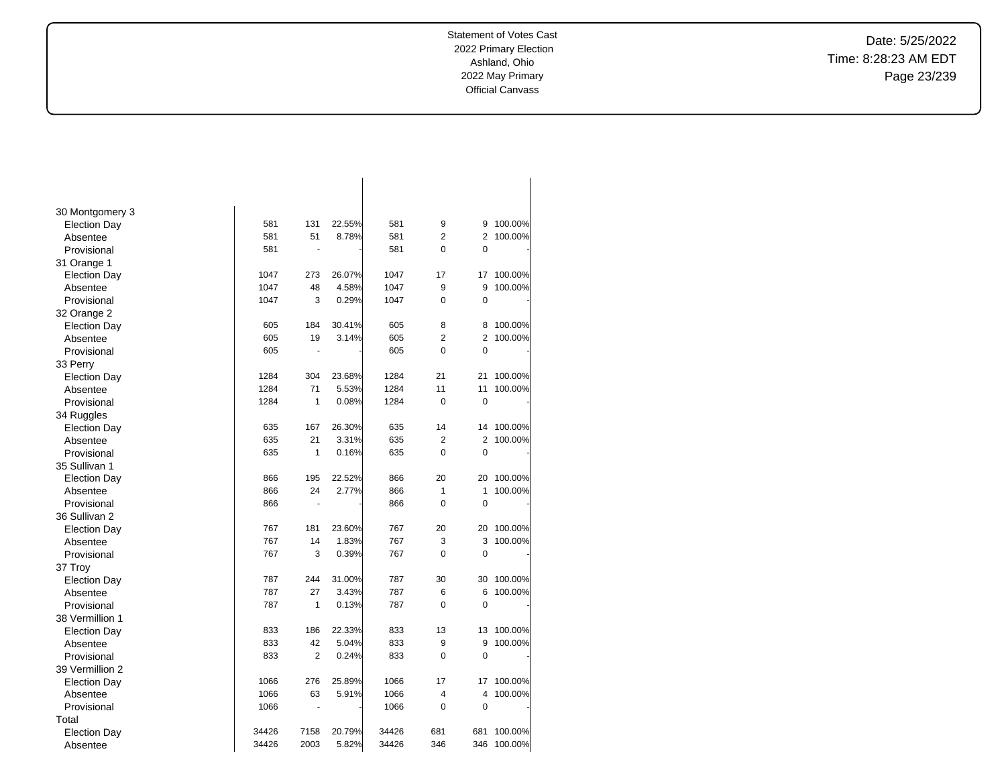Date: 5/25/2022 Time: 8:28:23 AM EDT Page 23/239

| 30 Montgomery 3     |       |                |        |       |                |                |         |
|---------------------|-------|----------------|--------|-------|----------------|----------------|---------|
| <b>Election Day</b> | 581   | 131            | 22.55% | 581   | 9              | 9              | 100.00% |
| Absentee            | 581   | 51             | 8.78%  | 581   | $\overline{2}$ | 2              | 100.00% |
| Provisional         | 581   | ä,             |        | 581   | $\overline{0}$ | 0              |         |
| 31 Orange 1         |       |                |        |       |                |                |         |
| <b>Election Day</b> | 1047  | 273            | 26.07% | 1047  | 17             | 17             | 100.00% |
| Absentee            | 1047  | 48             | 4.58%  | 1047  | 9              | 9              | 100.00% |
| Provisional         | 1047  | 3              | 0.29%  | 1047  | 0              | $\mathbf 0$    |         |
| 32 Orange 2         |       |                |        |       |                |                |         |
| <b>Election Day</b> | 605   | 184            | 30.41% | 605   | 8              | 8              | 100.00% |
| Absentee            | 605   | 19             | 3.14%  | 605   | $\overline{2}$ | $\overline{2}$ | 100.00% |
| Provisional         | 605   |                |        | 605   | $\Omega$       | $\Omega$       |         |
| 33 Perry            |       |                |        |       |                |                |         |
| <b>Election Day</b> | 1284  | 304            | 23.68% | 1284  | 21             | 21             | 100.00% |
| Absentee            | 1284  | 71             | 5.53%  | 1284  | 11             | 11             | 100.00% |
| Provisional         | 1284  | 1              | 0.08%  | 1284  | $\overline{0}$ | $\mathbf 0$    |         |
| 34 Ruggles          |       |                |        |       |                |                |         |
| <b>Election Day</b> | 635   | 167            | 26.30% | 635   | 14             | 14             | 100.00% |
| Absentee            | 635   | 21             | 3.31%  | 635   | $\overline{2}$ | $\overline{2}$ | 100.00% |
| Provisional         | 635   | 1              | 0.16%  | 635   | 0              | $\mathbf 0$    |         |
| 35 Sullivan 1       |       |                |        |       |                |                |         |
| <b>Election Day</b> | 866   | 195            | 22.52% | 866   | 20             | 20             | 100.00% |
| Absentee            | 866   | 24             | 2.77%  | 866   | 1              | 1              | 100.00% |
| Provisional         | 866   | $\blacksquare$ |        | 866   | 0              | $\mathbf 0$    |         |
| 36 Sullivan 2       |       |                |        |       |                |                |         |
| <b>Election Day</b> | 767   | 181            | 23.60% | 767   | 20             | 20             | 100.00% |
| Absentee            | 767   | 14             | 1.83%  | 767   | 3              | 3              | 100.00% |
| Provisional         | 767   | 3              | 0.39%  | 767   | $\Omega$       | 0              |         |
| 37 Troy             |       |                |        |       |                |                |         |
| <b>Election Day</b> | 787   | 244            | 31.00% | 787   | 30             | 30             | 100.00% |
| Absentee            | 787   | 27             | 3.43%  | 787   | 6              | 6              | 100.00% |
| Provisional         | 787   | 1              | 0.13%  | 787   | 0              | $\mathbf 0$    |         |
| 38 Vermillion 1     |       |                |        |       |                |                |         |
| <b>Election Day</b> | 833   | 186            | 22.33% | 833   | 13             | 13             | 100.00% |
| Absentee            | 833   | 42             | 5.04%  | 833   | 9              | 9              | 100.00% |
| Provisional         | 833   | $\overline{2}$ | 0.24%  | 833   | 0              | $\mathbf 0$    |         |
| 39 Vermillion 2     |       |                |        |       |                |                |         |
| <b>Election Day</b> | 1066  | 276            | 25.89% | 1066  | 17             | 17             | 100.00% |
| Absentee            | 1066  | 63             | 5.91%  | 1066  | 4              | 4              | 100.00% |
| Provisional         | 1066  | $\blacksquare$ |        | 1066  | 0              | $\mathbf 0$    |         |
| Total               |       |                |        |       |                |                |         |
| <b>Election Day</b> | 34426 | 7158           | 20.79% | 34426 | 681            | 681            | 100.00% |
| Absentee            | 34426 | 2003           | 5.82%  | 34426 | 346            | 346            | 100.00% |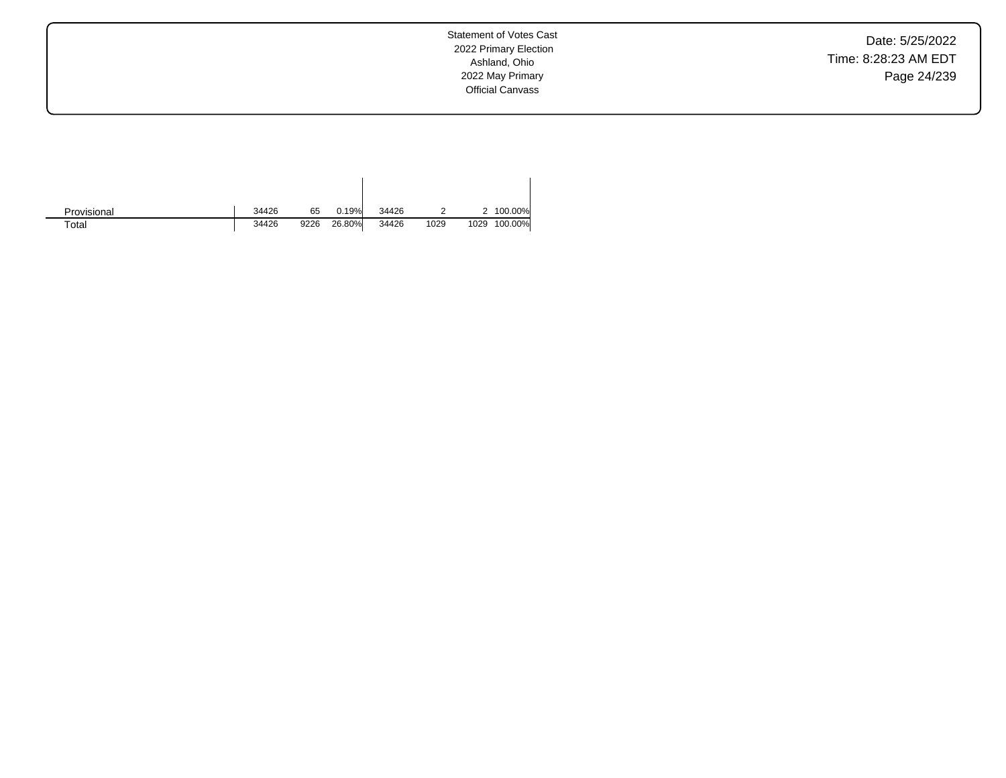Date: 5/25/2022 Time: 8:28:23 AM EDT Page 24/239

Statement of Votes Cast 2022 Primary Election Ashland, Ohio 2022 May Primary Official Canvass

| Provisional | 34426 | 65   | 0.19%  | 34426 |      |      | 100.00% |
|-------------|-------|------|--------|-------|------|------|---------|
| $\tau$ otal | 34426 | 9226 | 26.80% | 34426 | 1029 | 1029 | 100.00% |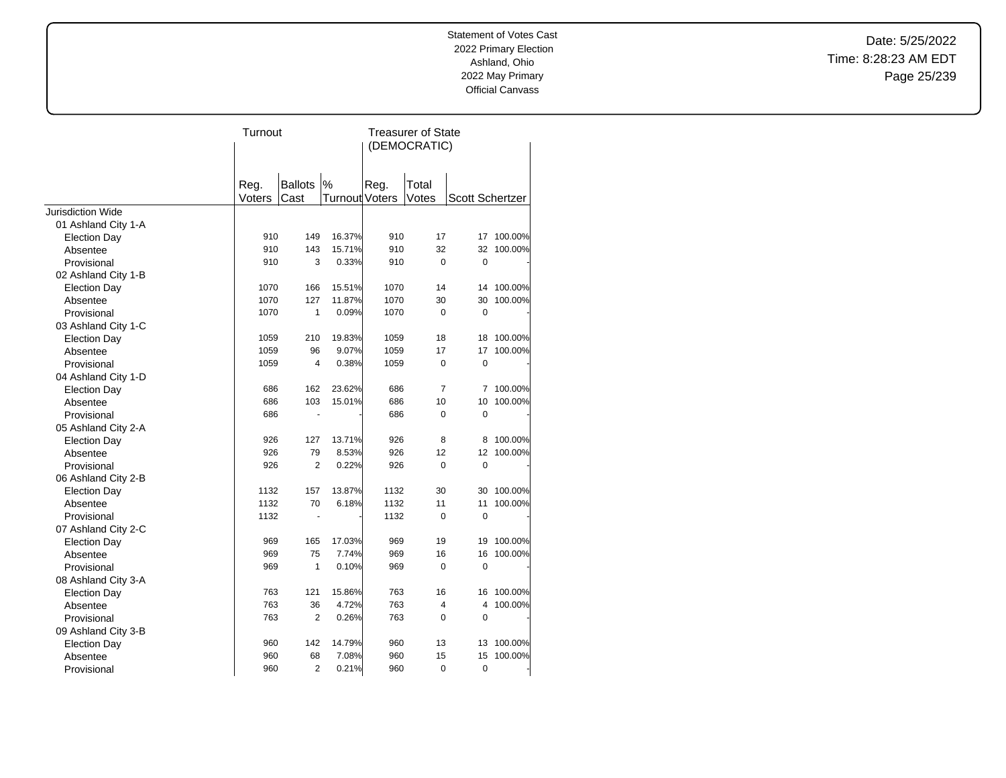Date: 5/25/2022 Time: 8:28:23 AM EDT Page 25/239

|                                            | Turnout |                |                | Treasurer of State<br>(DEMOCRATIC) |                |                        |            |
|--------------------------------------------|---------|----------------|----------------|------------------------------------|----------------|------------------------|------------|
|                                            | Reg.    | <b>Ballots</b> | %              | Reg.                               | Total          |                        |            |
|                                            | Voters  | Cast           | Turnout Voters |                                    | Votes          | <b>Scott Schertzer</b> |            |
| <b>Jurisdiction Wide</b>                   |         |                |                |                                    |                |                        |            |
| 01 Ashland City 1-A                        | 910     | 149            | 16.37%         | 910                                | 17             | 17                     | 100.00%    |
| <b>Election Day</b>                        | 910     | 143            | 15.71%         | 910                                | 32             | 32                     | 100.00%    |
| Absentee<br>Provisional                    | 910     | 3              | 0.33%          | 910                                | 0              | $\overline{0}$         |            |
|                                            |         |                |                |                                    |                |                        |            |
| 02 Ashland City 1-B<br><b>Election Day</b> | 1070    | 166            | 15.51%         | 1070                               | 14             |                        | 14 100.00% |
| Absentee                                   | 1070    | 127            | 11.87%         | 1070                               | 30             | 30                     | 100.00%    |
| Provisional                                | 1070    | $\mathbf{1}$   | 0.09%          | 1070                               | 0              | 0                      |            |
|                                            |         |                |                |                                    |                |                        |            |
| 03 Ashland City 1-C<br><b>Election Day</b> | 1059    | 210            | 19.83%         | 1059                               | 18             | 18                     | 100.00%    |
| Absentee                                   | 1059    | 96             | 9.07%          | 1059                               | 17             | 17                     | 100.00%    |
| Provisional                                | 1059    | 4              | 0.38%          | 1059                               | 0              | $\mathbf 0$            |            |
| 04 Ashland City 1-D                        |         |                |                |                                    |                |                        |            |
| <b>Election Day</b>                        | 686     | 162            | 23.62%         | 686                                | 7              | 7                      | 100.00%    |
| Absentee                                   | 686     | 103            | 15.01%         | 686                                | 10             | 10                     | 100.00%    |
| Provisional                                | 686     | ÷,             |                | 686                                | 0              | $\mathbf 0$            |            |
| 05 Ashland City 2-A                        |         |                |                |                                    |                |                        |            |
| <b>Election Day</b>                        | 926     | 127            | 13.71%         | 926                                | 8              | 8                      | 100.00%    |
| Absentee                                   | 926     | 79             | 8.53%          | 926                                | 12             | 12                     | 100.00%    |
| Provisional                                | 926     | $\overline{2}$ | 0.22%          | 926                                | 0              | 0                      |            |
| 06 Ashland City 2-B                        |         |                |                |                                    |                |                        |            |
| <b>Election Day</b>                        | 1132    | 157            | 13.87%         | 1132                               | 30             | 30                     | 100.00%    |
| Absentee                                   | 1132    | 70             | 6.18%          | 1132                               | 11             | 11                     | 100.00%    |
| Provisional                                | 1132    | ٠              |                | 1132                               | $\overline{0}$ | $\overline{0}$         |            |
| 07 Ashland City 2-C                        |         |                |                |                                    |                |                        |            |
| <b>Election Day</b>                        | 969     | 165            | 17.03%         | 969                                | 19             | 19                     | 100.00%    |
| Absentee                                   | 969     | 75             | 7.74%          | 969                                | 16             | 16                     | 100.00%    |
| Provisional                                | 969     | 1              | 0.10%          | 969                                | 0              | $\mathbf 0$            |            |
| 08 Ashland City 3-A                        |         |                |                |                                    |                |                        |            |
| <b>Election Day</b>                        | 763     | 121            | 15.86%         | 763                                | 16             | 16                     | 100.00%    |
| Absentee                                   | 763     | 36             | 4.72%          | 763                                | 4              | 4                      | 100.00%    |
| Provisional                                | 763     | $\overline{2}$ | 0.26%          | 763                                | 0              | 0                      |            |
| 09 Ashland City 3-B                        |         |                |                |                                    |                |                        |            |
| <b>Election Day</b>                        | 960     | 142            | 14.79%         | 960                                | 13             | 13                     | 100.00%    |
| Absentee                                   | 960     | 68             | 7.08%          | 960                                | 15             | 15                     | 100.00%    |
| Provisional                                | 960     | $\overline{2}$ | 0.21%          | 960                                | 0              | 0                      |            |
|                                            |         |                |                |                                    |                |                        |            |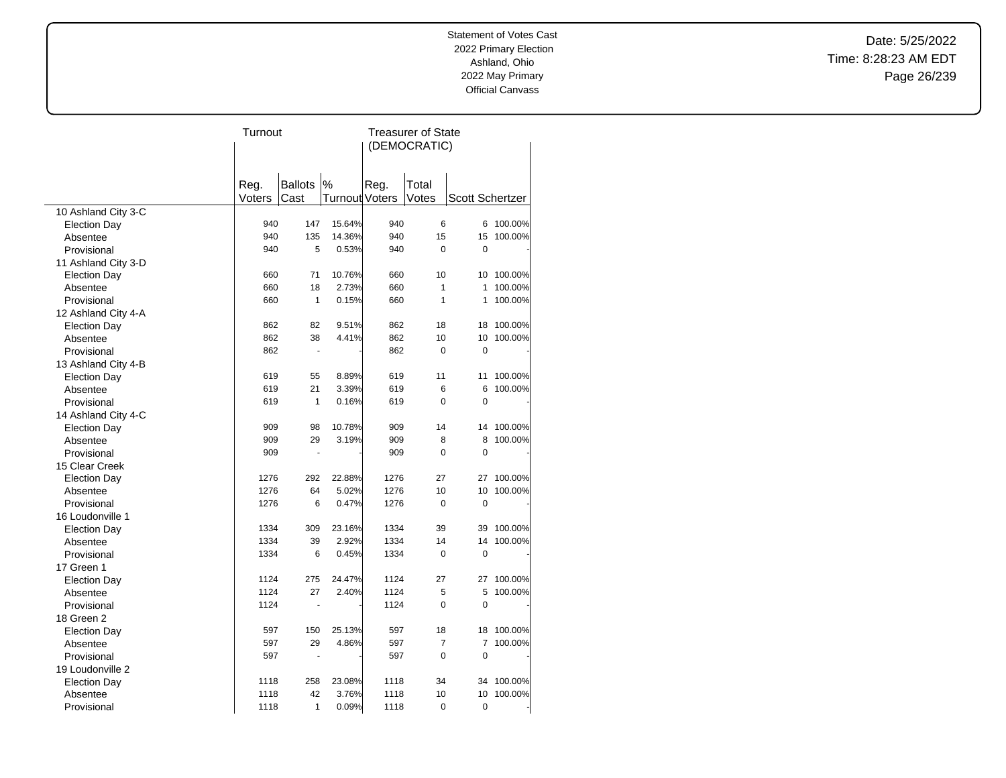Date: 5/25/2022 Time: 8:28:23 AM EDT Page 26/239

|                     |        | Turnout              |                       |              | <b>Treasurer of State</b> |                        |         |  |  |
|---------------------|--------|----------------------|-----------------------|--------------|---------------------------|------------------------|---------|--|--|
|                     |        |                      |                       | (DEMOCRATIC) |                           |                        |         |  |  |
|                     |        |                      |                       |              |                           |                        |         |  |  |
|                     |        |                      |                       |              |                           |                        |         |  |  |
|                     | Reg.   | <b>Ballots</b>       | $\%$                  | Reg.         | Total                     |                        |         |  |  |
|                     | Voters | Cast                 | <b>Turnout Voters</b> |              | Votes                     | <b>Scott Schertzer</b> |         |  |  |
| 10 Ashland City 3-C |        |                      |                       |              |                           |                        |         |  |  |
| <b>Election Day</b> | 940    | 147                  | 15.64%                | 940          | 6                         | 6                      | 100.00% |  |  |
| Absentee            | 940    | 135                  | 14.36%                | 940          | 15                        | 15                     | 100.00% |  |  |
| Provisional         | 940    | 5                    | 0.53%                 | 940          | $\mathbf 0$               | $\mathbf 0$            |         |  |  |
| 11 Ashland City 3-D |        |                      |                       |              |                           |                        |         |  |  |
| <b>Election Day</b> | 660    | 71                   | 10.76%                | 660          | 10                        | 10                     | 100.00% |  |  |
| Absentee            | 660    | 18                   | 2.73%                 | 660          | $\mathbf{1}$              | 1                      | 100.00% |  |  |
| Provisional         | 660    | $\mathbf{1}$         | 0.15%                 | 660          | $\mathbf{1}$              | 1                      | 100.00% |  |  |
| 12 Ashland City 4-A |        |                      |                       |              |                           |                        |         |  |  |
| <b>Election Day</b> | 862    | 82                   | 9.51%                 | 862          | 18                        | 18                     | 100.00% |  |  |
| Absentee            | 862    | 38                   | 4.41%                 | 862          | 10                        | 10                     | 100.00% |  |  |
| Provisional         | 862    | $\ddot{\phantom{1}}$ |                       | 862          | $\mathbf 0$               | 0                      |         |  |  |
| 13 Ashland City 4-B |        |                      |                       |              |                           |                        |         |  |  |
| <b>Election Day</b> | 619    | 55                   | 8.89%                 | 619          | 11                        | 11                     | 100.00% |  |  |
| Absentee            | 619    | 21                   | 3.39%                 | 619          | 6                         | 6                      | 100.00% |  |  |
| Provisional         | 619    | $\mathbf{1}$         | 0.16%                 | 619          | $\mathbf 0$               | $\overline{0}$         |         |  |  |
| 14 Ashland City 4-C |        |                      |                       |              |                           |                        |         |  |  |
| <b>Election Day</b> | 909    | 98                   | 10.78%                | 909          | 14                        | 14                     | 100.00% |  |  |
| Absentee            | 909    | 29                   | 3.19%                 | 909          | 8                         | 8                      | 100.00% |  |  |
| Provisional         | 909    | $\blacksquare$       |                       | 909          | $\Omega$                  | $\mathbf 0$            |         |  |  |
| 15 Clear Creek      |        |                      |                       |              |                           |                        |         |  |  |
| <b>Election Day</b> | 1276   | 292                  | 22.88%                | 1276         | 27                        | 27                     | 100.00% |  |  |
| Absentee            | 1276   | 64                   | 5.02%                 | 1276         | 10                        | 10                     | 100.00% |  |  |
| Provisional         | 1276   | 6                    | 0.47%                 | 1276         | $\mathbf 0$               | 0                      |         |  |  |
| 16 Loudonville 1    |        |                      |                       |              |                           |                        |         |  |  |
| <b>Election Day</b> | 1334   | 309                  | 23.16%                | 1334         | 39                        | 39                     | 100.00% |  |  |
| Absentee            | 1334   | 39                   | 2.92%                 | 1334         | 14                        | 14                     | 100.00% |  |  |
| Provisional         | 1334   | 6                    | 0.45%                 | 1334         | 0                         | $\mathbf 0$            |         |  |  |
| 17 Green 1          |        |                      |                       |              |                           |                        |         |  |  |
| <b>Election Day</b> | 1124   | 275                  | 24.47%                | 1124         | 27                        | 27                     | 100.00% |  |  |
| Absentee            | 1124   | 27                   | 2.40%                 | 1124         | 5                         | 5                      | 100.00% |  |  |
| Provisional         | 1124   |                      |                       | 1124         | $\mathbf 0$               | 0                      |         |  |  |
| 18 Green 2          |        |                      |                       |              |                           |                        |         |  |  |
| <b>Election Day</b> | 597    | 150                  | 25.13%                | 597          | 18                        | 18                     | 100.00% |  |  |
| Absentee            | 597    | 29                   | 4.86%                 | 597          | $\overline{7}$            | 7                      | 100.00% |  |  |
| Provisional         | 597    |                      |                       | 597          | $\mathbf 0$               | 0                      |         |  |  |
| 19 Loudonville 2    |        |                      |                       |              |                           |                        |         |  |  |
| <b>Election Day</b> | 1118   | 258                  | 23.08%                | 1118         | 34                        | 34                     | 100.00% |  |  |
| Absentee            | 1118   | 42                   | 3.76%                 | 1118         | 10                        | 10                     | 100.00% |  |  |
| Provisional         | 1118   | 1                    | 0.09%                 | 1118         | 0                         | 0                      |         |  |  |
|                     |        |                      |                       |              |                           |                        |         |  |  |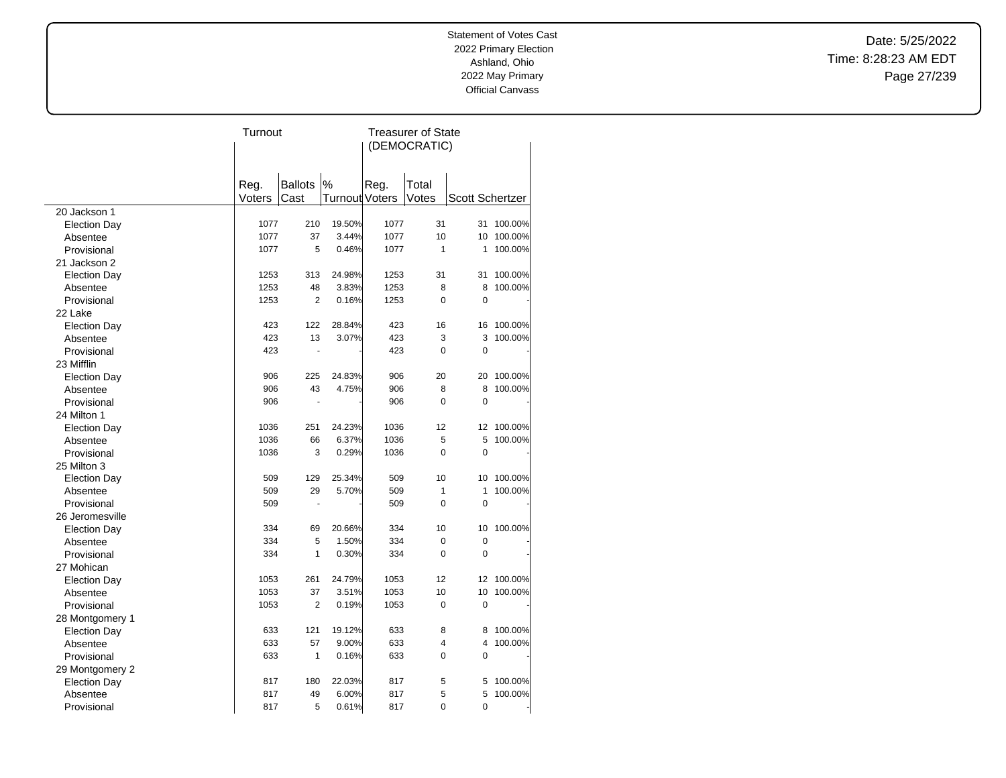Date: 5/25/2022 Time: 8:28:23 AM EDT Page 27/239

|                     | Turnout |                |                | <b>Treasurer of State</b> |                |                        |         |  |
|---------------------|---------|----------------|----------------|---------------------------|----------------|------------------------|---------|--|
|                     |         |                |                | (DEMOCRATIC)              |                |                        |         |  |
|                     |         |                |                |                           |                |                        |         |  |
|                     |         |                |                |                           |                |                        |         |  |
|                     | Reg.    | <b>Ballots</b> | $\%$           | Reg.                      | Total          |                        |         |  |
|                     | Voters  | Cast           | Turnout Voters |                           | Votes          | <b>Scott Schertzer</b> |         |  |
| 20 Jackson 1        |         |                |                |                           |                |                        |         |  |
| <b>Election Day</b> | 1077    | 210            | 19.50%         | 1077                      | 31             | 31                     | 100.00% |  |
| Absentee            | 1077    | 37             | 3.44%          | 1077                      | 10             | 10                     | 100.00% |  |
| Provisional         | 1077    | 5              | 0.46%          | 1077                      | $\mathbf{1}$   | 1                      | 100.00% |  |
| 21 Jackson 2        |         |                |                |                           |                |                        |         |  |
| <b>Election Day</b> | 1253    | 313            | 24.98%         | 1253                      | 31             | 31                     | 100.00% |  |
| Absentee            | 1253    | 48             | 3.83%          | 1253                      | 8              | 8                      | 100.00% |  |
| Provisional         | 1253    | $\overline{2}$ | 0.16%          | 1253                      | $\mathbf 0$    | 0                      |         |  |
| 22 Lake             |         |                |                |                           |                |                        |         |  |
| <b>Election Day</b> | 423     | 122            | 28.84%         | 423                       | 16             | 16                     | 100.00% |  |
| Absentee            | 423     | 13             | 3.07%          | 423                       | 3              | 3                      | 100.00% |  |
| Provisional         | 423     | ÷,             |                | 423                       | $\mathbf 0$    | $\mathbf 0$            |         |  |
| 23 Mifflin          |         |                |                |                           |                |                        |         |  |
| <b>Election Day</b> | 906     | 225            | 24.83%         | 906                       | 20             | 20                     | 100.00% |  |
| Absentee            | 906     | 43             | 4.75%          | 906                       | 8              | 8                      | 100.00% |  |
| Provisional         | 906     | ÷,             |                | 906                       | $\mathbf 0$    | 0                      |         |  |
| 24 Milton 1         |         |                |                |                           |                |                        |         |  |
| <b>Election Day</b> | 1036    | 251            | 24.23%         | 1036                      | 12             | 12                     | 100.00% |  |
| Absentee            | 1036    | 66             | 6.37%          | 1036                      | 5              | 5                      | 100.00% |  |
| Provisional         | 1036    | 3              | 0.29%          | 1036                      | $\Omega$       | $\overline{0}$         |         |  |
| 25 Milton 3         |         |                |                |                           |                |                        |         |  |
| <b>Election Day</b> | 509     | 129            | 25.34%         | 509                       | 10             | 10                     | 100.00% |  |
| Absentee            | 509     | 29             | 5.70%          | 509                       | $\mathbf{1}$   | 1                      | 100.00% |  |
| Provisional         | 509     |                |                | 509                       | $\Omega$       | $\overline{0}$         |         |  |
| 26 Jeromesville     |         |                |                |                           |                |                        |         |  |
| <b>Election Day</b> | 334     | 69             | 20.66%         | 334                       | 10             | 10                     | 100.00% |  |
| Absentee            | 334     | 5              | 1.50%          | 334                       | $\mathbf 0$    | 0                      |         |  |
| Provisional         | 334     | 1              | 0.30%          | 334                       | $\overline{0}$ | $\mathbf 0$            |         |  |
| 27 Mohican          |         |                |                |                           |                |                        |         |  |
| <b>Election Day</b> | 1053    | 261            | 24.79%         | 1053                      | 12             | 12                     | 100.00% |  |
| Absentee            | 1053    | 37             | 3.51%          | 1053                      | 10             | 10                     | 100.00% |  |
| Provisional         | 1053    | $\overline{2}$ | 0.19%          | 1053                      | $\mathbf 0$    | $\overline{0}$         |         |  |
| 28 Montgomery 1     |         |                |                |                           |                |                        |         |  |
| <b>Election Day</b> | 633     | 121            | 19.12%         | 633                       | 8              | 8                      | 100.00% |  |
| Absentee            | 633     | 57             | 9.00%          | 633                       | 4              | 4                      | 100.00% |  |
| Provisional         | 633     | $\mathbf{1}$   | 0.16%          | 633                       | 0              | 0                      |         |  |
|                     |         |                |                |                           |                |                        |         |  |
| 29 Montgomery 2     | 817     | 180            | 22.03%         | 817                       | 5              | 5                      | 100.00% |  |
| <b>Election Day</b> | 817     | 49             | 6.00%          | 817                       | 5              | 5                      | 100.00% |  |
| Absentee            |         |                |                |                           |                |                        |         |  |
| Provisional         | 817     | 5              | 0.61%          | 817                       | $\mathbf 0$    | 0                      |         |  |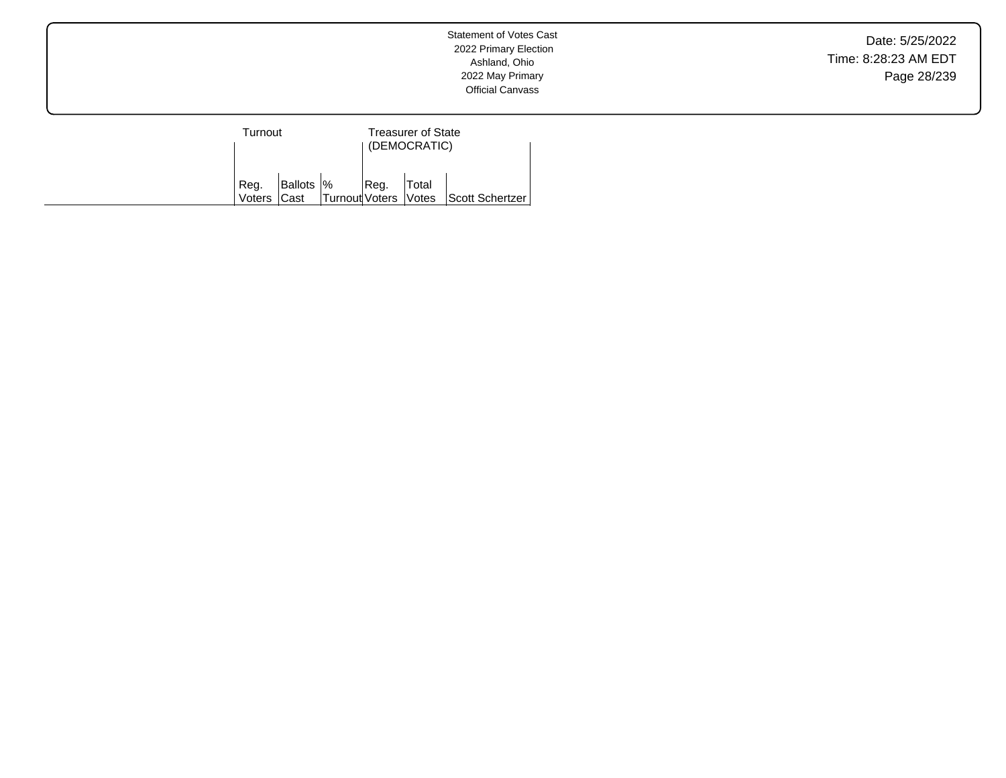Date: 5/25/2022 Time: 8:28:23 AM EDT Page 28/239

| Turnout |            |                      | <b>Treasurer of State</b><br>(DEMOCRATIC) |       |                 |  |  |
|---------|------------|----------------------|-------------------------------------------|-------|-----------------|--|--|
| Reg.    | Ballots  % |                      | Reg.                                      | Total |                 |  |  |
| Voters  | lCast      | Turnout Voters Votes |                                           |       | Scott Schertzer |  |  |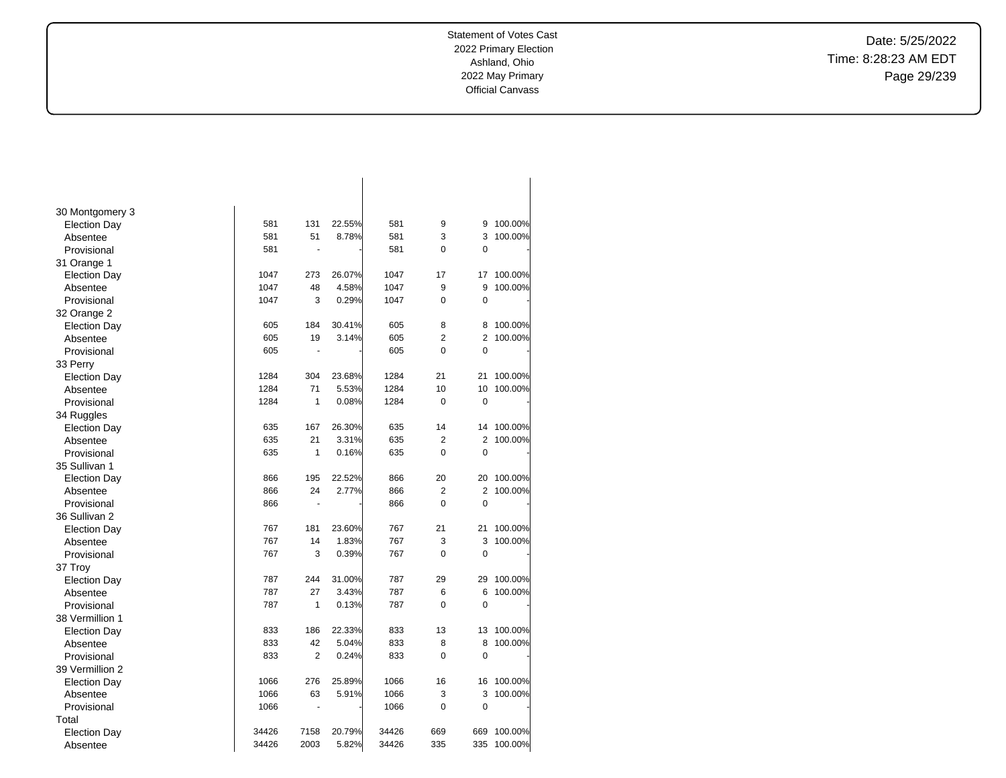Date: 5/25/2022 Time: 8:28:23 AM EDT Page 29/239

| 30 Montgomery 3     |       |                |        |       |                |                |         |
|---------------------|-------|----------------|--------|-------|----------------|----------------|---------|
| <b>Election Day</b> | 581   | 131            | 22.55% | 581   | 9              | 9              | 100.00% |
| Absentee            | 581   | 51             | 8.78%  | 581   | 3              | 3              | 100.00% |
| Provisional         | 581   | ÷,             |        | 581   | 0              | $\mathbf 0$    |         |
| 31 Orange 1         |       |                |        |       |                |                |         |
| <b>Election Day</b> | 1047  | 273            | 26.07% | 1047  | 17             | 17             | 100.00% |
| Absentee            | 1047  | 48             | 4.58%  | 1047  | 9              | 9              | 100.00% |
| Provisional         | 1047  | 3              | 0.29%  | 1047  | 0              | 0              |         |
| 32 Orange 2         |       |                |        |       |                |                |         |
| <b>Election Day</b> | 605   | 184            | 30.41% | 605   | 8              | 8              | 100.00% |
| Absentee            | 605   | 19             | 3.14%  | 605   | $\overline{2}$ | $\overline{2}$ | 100.00% |
| Provisional         | 605   |                |        | 605   | $\Omega$       | 0              |         |
| 33 Perry            |       |                |        |       |                |                |         |
| <b>Election Day</b> | 1284  | 304            | 23.68% | 1284  | 21             | 21             | 100.00% |
| Absentee            | 1284  | 71             | 5.53%  | 1284  | 10             | 10             | 100.00% |
| Provisional         | 1284  | 1              | 0.08%  | 1284  | 0              | 0              |         |
| 34 Ruggles          |       |                |        |       |                |                |         |
| <b>Election Day</b> | 635   | 167            | 26.30% | 635   | 14             | 14             | 100.00% |
| Absentee            | 635   | 21             | 3.31%  | 635   | $\overline{2}$ | $\overline{2}$ | 100.00% |
| Provisional         | 635   | 1              | 0.16%  | 635   | 0              | 0              |         |
| 35 Sullivan 1       |       |                |        |       |                |                |         |
| <b>Election Day</b> | 866   | 195            | 22.52% | 866   | 20             | 20             | 100.00% |
| Absentee            | 866   | 24             | 2.77%  | 866   | $\overline{2}$ | 2              | 100.00% |
| Provisional         | 866   | $\blacksquare$ |        | 866   | 0              | $\mathbf 0$    |         |
| 36 Sullivan 2       |       |                |        |       |                |                |         |
| <b>Election Day</b> | 767   | 181            | 23.60% | 767   | 21             | 21             | 100.00% |
| Absentee            | 767   | 14             | 1.83%  | 767   | 3              | 3              | 100.00% |
| Provisional         | 767   | 3              | 0.39%  | 767   | 0              | $\mathbf 0$    |         |
| 37 Troy             |       |                |        |       |                |                |         |
| <b>Election Day</b> | 787   | 244            | 31.00% | 787   | 29             | 29             | 100.00% |
| Absentee            | 787   | 27             | 3.43%  | 787   | 6              | 6              | 100.00% |
| Provisional         | 787   | 1              | 0.13%  | 787   | 0              | $\mathbf 0$    |         |
| 38 Vermillion 1     |       |                |        |       |                |                |         |
| <b>Election Day</b> | 833   | 186            | 22.33% | 833   | 13             | 13             | 100.00% |
| Absentee            | 833   | 42             | 5.04%  | 833   | 8              | 8              | 100.00% |
| Provisional         | 833   | $\overline{2}$ | 0.24%  | 833   | 0              | $\mathbf 0$    |         |
| 39 Vermillion 2     |       |                |        |       |                |                |         |
| <b>Election Day</b> | 1066  | 276            | 25.89% | 1066  | 16             | 16             | 100.00% |
| Absentee            | 1066  | 63             | 5.91%  | 1066  | 3              | 3              | 100.00% |
| Provisional         | 1066  | ÷,             |        | 1066  | 0              | $\mathbf 0$    |         |
| Total               |       |                |        |       |                |                |         |
| <b>Election Day</b> | 34426 | 7158           | 20.79% | 34426 | 669            | 669            | 100.00% |
| Absentee            | 34426 | 2003           | 5.82%  | 34426 | 335            | 335            | 100.00% |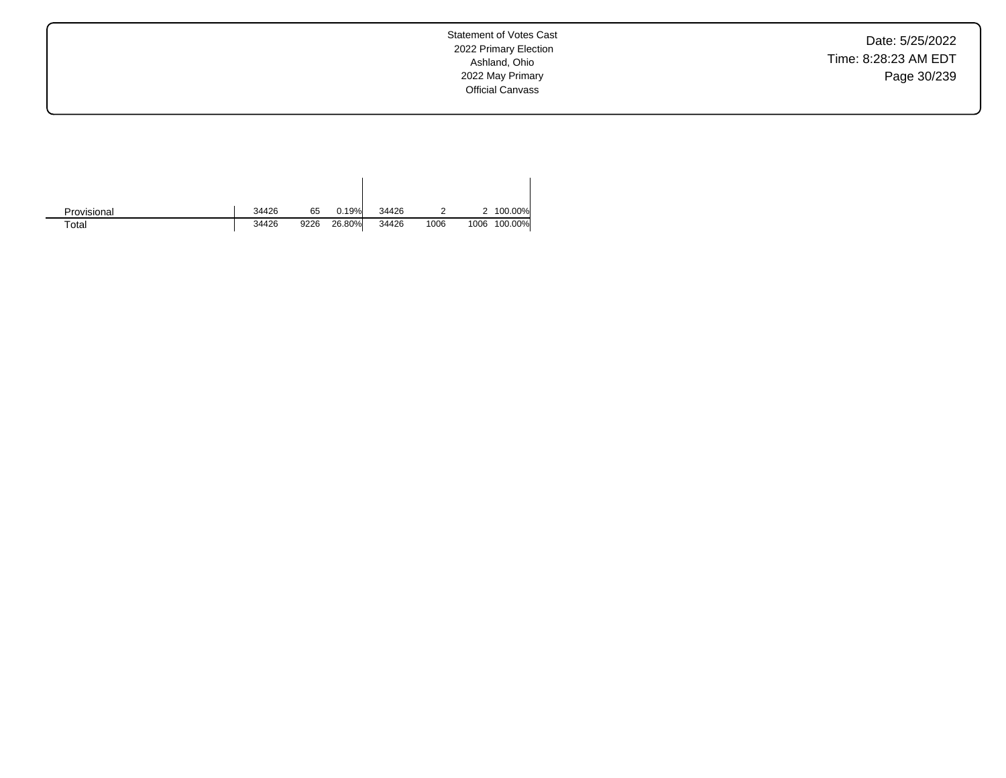Date: 5/25/2022 Time: 8:28:23 AM EDT Page 30/239

Statement of Votes Cast 2022 Primary Election Ashland, Ohio 2022 May Primary Official Canvass

| Provisional | 34426 | 65   | 0.19%  | 34426 |      |      | 100.00% |
|-------------|-------|------|--------|-------|------|------|---------|
| $\tau$ otal | 34426 | 9226 | 26.80% | 34426 | 1006 | 1006 | 100.00% |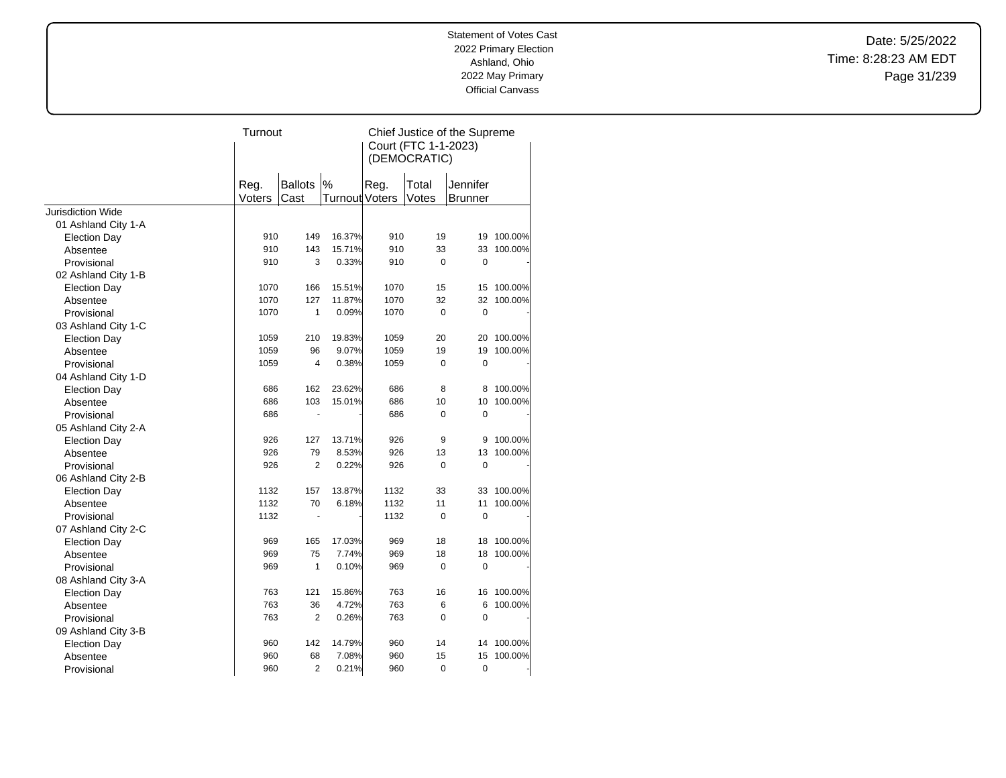Date: 5/25/2022 Time: 8:28:23 AM EDT Page 31/239

|                          | Turnout        |                        |                        | Chief Justice of the Supreme<br>Court (FTC 1-1-2023)<br>(DEMOCRATIC) |                |                            |         |
|--------------------------|----------------|------------------------|------------------------|----------------------------------------------------------------------|----------------|----------------------------|---------|
|                          | Reg.<br>Voters | <b>Ballots</b><br>Cast | $\%$<br>Turnout Voters | Reg.                                                                 | Total<br>Votes | Jennifer<br><b>Brunner</b> |         |
| <b>Jurisdiction Wide</b> |                |                        |                        |                                                                      |                |                            |         |
| 01 Ashland City 1-A      |                |                        |                        |                                                                      |                |                            |         |
| <b>Election Day</b>      | 910            | 149                    | 16.37%                 | 910                                                                  | 19             | 19                         | 100.00% |
| Absentee                 | 910            | 143                    | 15.71%                 | 910                                                                  | 33             | 33                         | 100.00% |
| Provisional              | 910            | 3                      | 0.33%                  | 910                                                                  | 0              | 0                          |         |
| 02 Ashland City 1-B      |                |                        |                        |                                                                      |                |                            |         |
| <b>Election Day</b>      | 1070           | 166                    | 15.51%                 | 1070                                                                 | 15             | 15                         | 100.00% |
| Absentee                 | 1070           | 127                    | 11.87%                 | 1070                                                                 | 32             | 32                         | 100.00% |
| Provisional              | 1070           | $\mathbf{1}$           | 0.09%                  | 1070                                                                 | 0              | $\overline{0}$             |         |
| 03 Ashland City 1-C      |                |                        |                        |                                                                      |                |                            |         |
| <b>Election Day</b>      | 1059           | 210                    | 19.83%                 | 1059                                                                 | 20             | 20                         | 100.00% |
| Absentee                 | 1059           | 96                     | 9.07%                  | 1059                                                                 | 19             | 19                         | 100.00% |
| Provisional              | 1059           | 4                      | 0.38%                  | 1059                                                                 | $\Omega$       | 0                          |         |
| 04 Ashland City 1-D      |                |                        |                        |                                                                      |                |                            |         |
| <b>Election Day</b>      | 686            | 162                    | 23.62%                 | 686                                                                  | 8              | 8                          | 100.00% |
| Absentee                 | 686            | 103                    | 15.01%                 | 686                                                                  | 10             | 10                         | 100.00% |
| Provisional              | 686            | ÷,                     |                        | 686                                                                  | 0              | $\mathbf 0$                |         |
| 05 Ashland City 2-A      |                |                        |                        |                                                                      |                |                            |         |
| <b>Election Day</b>      | 926            | 127                    | 13.71%                 | 926                                                                  | 9              | 9                          | 100.00% |
| Absentee                 | 926            | 79                     | 8.53%                  | 926                                                                  | 13             | 13                         | 100.00% |
| Provisional              | 926            | 2                      | 0.22%                  | 926                                                                  | 0              | 0                          |         |
| 06 Ashland City 2-B      |                |                        |                        |                                                                      |                |                            |         |
| <b>Election Day</b>      | 1132           | 157                    | 13.87%                 | 1132                                                                 | 33             | 33                         | 100.00% |
| Absentee                 | 1132           | 70                     | 6.18%                  | 1132                                                                 | 11             | 11                         | 100.00% |
| Provisional              | 1132           | $\frac{1}{2}$          |                        | 1132                                                                 | 0              | $\mathbf 0$                |         |
| 07 Ashland City 2-C      |                |                        |                        |                                                                      |                |                            |         |
| <b>Election Day</b>      | 969            | 165                    | 17.03%                 | 969                                                                  | 18             | 18                         | 100.00% |
| Absentee                 | 969            | 75                     | 7.74%                  | 969                                                                  | 18             | 18                         | 100.00% |
| Provisional              | 969            | 1                      | 0.10%                  | 969                                                                  | 0              | $\mathbf 0$                |         |
| 08 Ashland City 3-A      |                |                        |                        |                                                                      |                |                            |         |
| <b>Election Day</b>      | 763            | 121                    | 15.86%                 | 763                                                                  | 16             | 16                         | 100.00% |
| Absentee                 | 763            | 36                     | 4.72%                  | 763                                                                  | 6              | 6                          | 100.00% |
| Provisional              | 763            | $\overline{2}$         | 0.26%                  | 763                                                                  | 0              | 0                          |         |
| 09 Ashland City 3-B      |                |                        |                        |                                                                      |                |                            |         |
| <b>Election Day</b>      | 960            | 142                    | 14.79%                 | 960                                                                  | 14             | 14                         | 100.00% |
| Absentee                 | 960            | 68                     | 7.08%                  | 960                                                                  | 15             | 15                         | 100.00% |
| Provisional              | 960            | $\overline{2}$         | 0.21%                  | 960                                                                  | 0              | 0                          |         |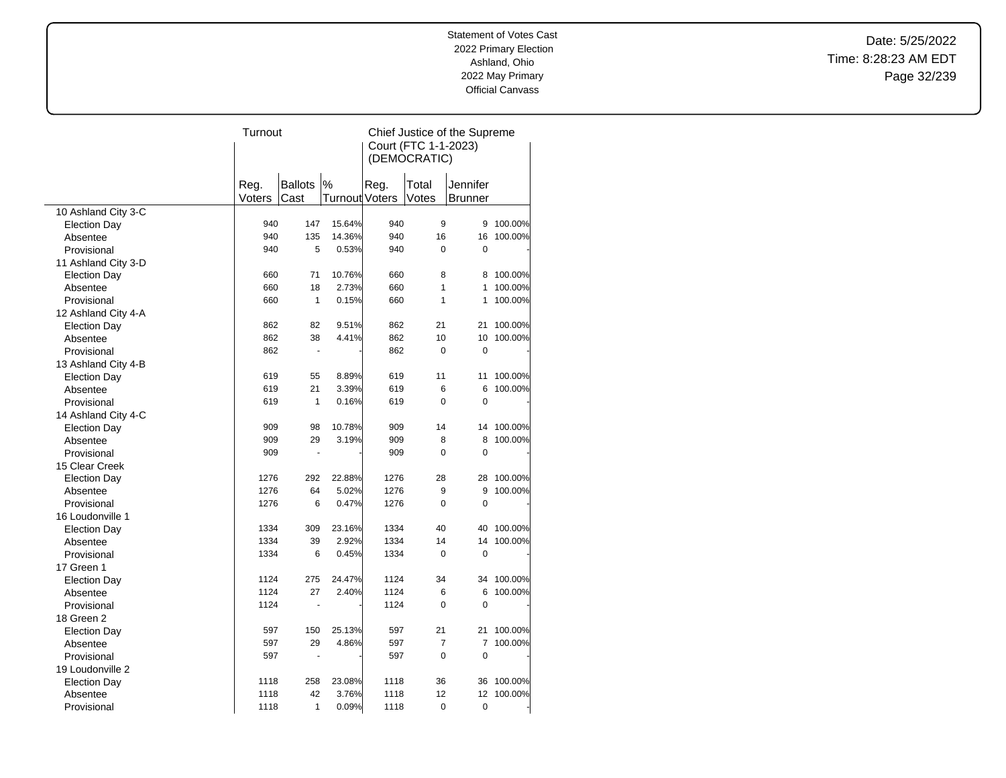Date: 5/25/2022 Time: 8:28:23 AM EDT Page 32/239

|                     | Turnout |                      |                | Chief Justice of the Supreme |                |                |         |  |
|---------------------|---------|----------------------|----------------|------------------------------|----------------|----------------|---------|--|
|                     |         |                      |                | Court (FTC 1-1-2023)         |                |                |         |  |
|                     |         |                      |                |                              | (DEMOCRATIC)   |                |         |  |
|                     |         |                      |                |                              |                |                |         |  |
|                     | Reg.    | <b>Ballots</b>       | $\%$           | Reg.                         | Total          | Jennifer       |         |  |
|                     | Voters  | Cast                 | Turnout Voters |                              | Votes          | Brunner        |         |  |
| 10 Ashland City 3-C |         |                      |                |                              |                |                |         |  |
| <b>Election Day</b> | 940     | 147                  | 15.64%         | 940                          | 9              | 9              | 100.00% |  |
| Absentee            | 940     | 135                  | 14.36%         | 940                          | 16             | 16             | 100.00% |  |
| Provisional         | 940     | 5                    | 0.53%          | 940                          | $\Omega$       | $\mathbf 0$    |         |  |
| 11 Ashland City 3-D |         |                      |                |                              |                |                |         |  |
| <b>Election Day</b> | 660     | 71                   | 10.76%         | 660                          | 8              | 8              | 100.00% |  |
| Absentee            | 660     | 18                   | 2.73%          | 660                          | 1              | 1              | 100.00% |  |
| Provisional         | 660     | $\mathbf{1}$         | 0.15%          | 660                          | $\mathbf{1}$   | 1              | 100.00% |  |
| 12 Ashland City 4-A |         |                      |                |                              |                |                |         |  |
| <b>Election Day</b> | 862     | 82                   | 9.51%          | 862                          | 21             | 21             | 100.00% |  |
| Absentee            | 862     | 38                   | 4.41%          | 862                          | 10             | 10             | 100.00% |  |
| Provisional         | 862     | $\sim$               |                | 862                          | 0              | $\mathbf 0$    |         |  |
|                     |         |                      |                |                              |                |                |         |  |
| 13 Ashland City 4-B | 619     | 55                   | 8.89%          | 619                          | 11             | 11             | 100.00% |  |
| <b>Election Day</b> | 619     | 21                   | 3.39%          | 619                          | 6              | 6              | 100.00% |  |
| Absentee            | 619     | 1                    |                | 619                          | $\Omega$       | $\mathbf 0$    |         |  |
| Provisional         |         |                      | 0.16%          |                              |                |                |         |  |
| 14 Ashland City 4-C |         |                      |                |                              |                |                |         |  |
| <b>Election Day</b> | 909     | 98                   | 10.78%         | 909                          | 14             | 14             | 100.00% |  |
| Absentee            | 909     | 29                   | 3.19%          | 909                          | 8              | 8              | 100.00% |  |
| Provisional         | 909     | $\ddot{\phantom{1}}$ |                | 909                          | $\Omega$       | $\overline{0}$ |         |  |
| 15 Clear Creek      |         |                      |                |                              |                |                |         |  |
| <b>Election Day</b> | 1276    | 292                  | 22.88%         | 1276                         | 28             | 28             | 100.00% |  |
| Absentee            | 1276    | 64                   | 5.02%          | 1276                         | 9              | 9              | 100.00% |  |
| Provisional         | 1276    | 6                    | 0.47%          | 1276                         | $\Omega$       | $\mathbf 0$    |         |  |
| 16 Loudonville 1    |         |                      |                |                              |                |                |         |  |
| <b>Election Day</b> | 1334    | 309                  | 23.16%         | 1334                         | 40             | 40             | 100.00% |  |
| Absentee            | 1334    | 39                   | 2.92%          | 1334                         | 14             | 14             | 100.00% |  |
| Provisional         | 1334    | 6                    | 0.45%          | 1334                         | $\mathbf 0$    | $\mathbf 0$    |         |  |
| 17 Green 1          |         |                      |                |                              |                |                |         |  |
| <b>Election Day</b> | 1124    | 275                  | 24.47%         | 1124                         | 34             | 34             | 100.00% |  |
| Absentee            | 1124    | 27                   | 2.40%          | 1124                         | 6              | 6              | 100.00% |  |
| Provisional         | 1124    |                      |                | 1124                         | 0              | $\mathbf 0$    |         |  |
| 18 Green 2          |         |                      |                |                              |                |                |         |  |
| <b>Election Day</b> | 597     | 150                  | 25.13%         | 597                          | 21             | 21             | 100.00% |  |
| Absentee            | 597     | 29                   | 4.86%          | 597                          | $\overline{7}$ | 7              | 100.00% |  |
| Provisional         | 597     | ÷,                   |                | 597                          | $\mathbf 0$    | 0              |         |  |
| 19 Loudonville 2    |         |                      |                |                              |                |                |         |  |
| <b>Election Day</b> | 1118    | 258                  | 23.08%         | 1118                         | 36             | 36             | 100.00% |  |
| Absentee            | 1118    | 42                   | 3.76%          | 1118                         | 12             | 12             | 100.00% |  |
| Provisional         | 1118    | 1                    | 0.09%          | 1118                         | 0              | 0              |         |  |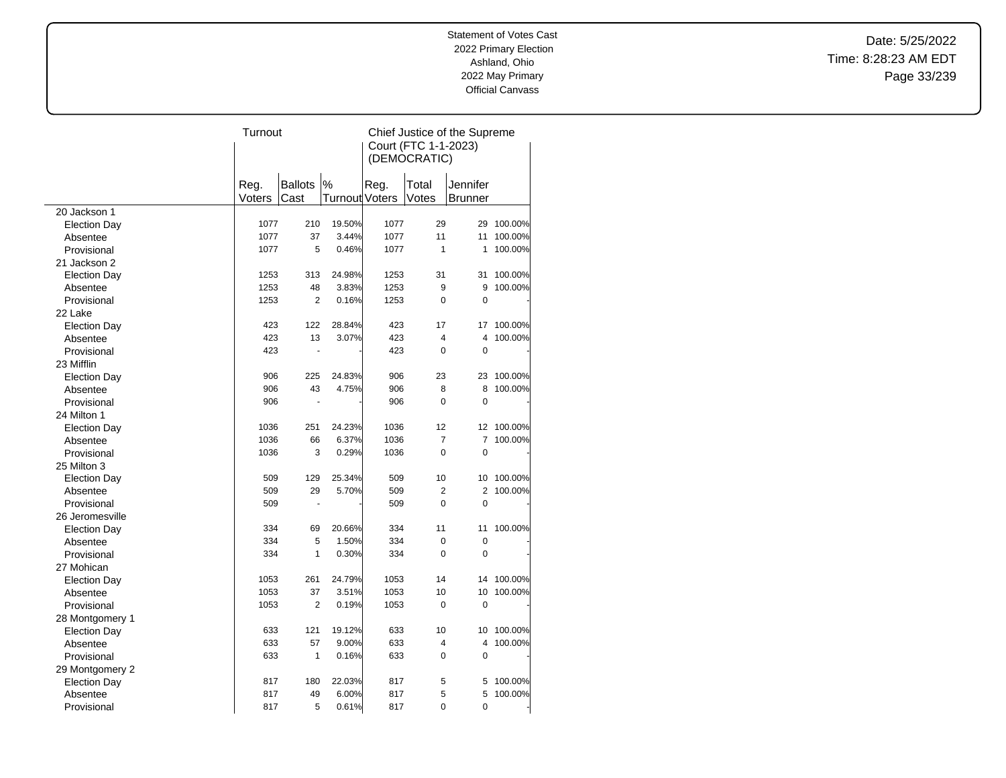Date: 5/25/2022 Time: 8:28:23 AM EDT Page 33/239

|                                 | Turnout |                      |                | Chief Justice of the Supreme |                         |                |         |  |
|---------------------------------|---------|----------------------|----------------|------------------------------|-------------------------|----------------|---------|--|
|                                 |         |                      |                | Court (FTC 1-1-2023)         |                         |                |         |  |
|                                 |         |                      |                |                              | (DEMOCRATIC)            |                |         |  |
|                                 |         |                      |                |                              |                         |                |         |  |
|                                 | Reg.    | <b>Ballots</b>       | $\%$           | Reg.                         | Total                   | Jennifer       |         |  |
|                                 | Voters  | Cast                 | Turnout Voters |                              | Votes                   | Brunner        |         |  |
| 20 Jackson 1                    |         |                      |                |                              |                         |                |         |  |
| <b>Election Day</b>             | 1077    | 210                  | 19.50%         | 1077                         | 29                      | 29             | 100.00% |  |
| Absentee                        | 1077    | 37                   | 3.44%          | 1077                         | 11                      | 11             | 100.00% |  |
| Provisional                     | 1077    | 5                    | 0.46%          | 1077                         | 1                       | 1              | 100.00% |  |
| 21 Jackson 2                    |         |                      |                |                              |                         |                |         |  |
| <b>Election Day</b>             | 1253    | 313                  | 24.98%         | 1253                         | 31                      | 31             | 100.00% |  |
| Absentee                        | 1253    | 48                   | 3.83%          | 1253                         | 9                       | 9              | 100.00% |  |
| Provisional                     | 1253    | $\overline{2}$       | 0.16%          | 1253                         | $\mathbf 0$             | $\mathbf 0$    |         |  |
| 22 Lake                         |         |                      |                |                              |                         |                |         |  |
|                                 | 423     | 122                  | 28.84%         | 423                          | 17                      | 17             | 100.00% |  |
| <b>Election Day</b><br>Absentee | 423     | 13                   | 3.07%          | 423                          | $\overline{\mathbf{4}}$ | $\overline{4}$ | 100.00% |  |
|                                 | 423     | ä,                   |                | 423                          | 0                       | $\mathbf 0$    |         |  |
| Provisional                     |         |                      |                |                              |                         |                |         |  |
| 23 Mifflin                      |         |                      |                |                              |                         |                |         |  |
| <b>Election Day</b>             | 906     | 225                  | 24.83%         | 906                          | 23                      | 23             | 100.00% |  |
| Absentee                        | 906     | 43                   | 4.75%          | 906                          | 8                       | 8              | 100.00% |  |
| Provisional                     | 906     | $\ddot{\phantom{1}}$ |                | 906                          | $\mathbf 0$             | $\mathbf 0$    |         |  |
| 24 Milton 1                     |         |                      |                |                              |                         |                |         |  |
| <b>Election Day</b>             | 1036    | 251                  | 24.23%         | 1036                         | 12                      | 12             | 100.00% |  |
| Absentee                        | 1036    | 66                   | 6.37%          | 1036                         | $\overline{7}$          | $\overline{7}$ | 100.00% |  |
| Provisional                     | 1036    | 3                    | 0.29%          | 1036                         | $\mathbf 0$             | $\mathbf 0$    |         |  |
| 25 Milton 3                     |         |                      |                |                              |                         |                |         |  |
| <b>Election Day</b>             | 509     | 129                  | 25.34%         | 509                          | 10                      | 10             | 100.00% |  |
| Absentee                        | 509     | 29                   | 5.70%          | 509                          | $\overline{2}$          | $\overline{2}$ | 100.00% |  |
| Provisional                     | 509     |                      |                | 509                          | $\mathbf 0$             | $\mathbf 0$    |         |  |
| 26 Jeromesville                 |         |                      |                |                              |                         |                |         |  |
| <b>Election Day</b>             | 334     | 69                   | 20.66%         | 334                          | 11                      | 11             | 100.00% |  |
| Absentee                        | 334     | 5                    | 1.50%          | 334                          | $\mathbf 0$             | 0              |         |  |
| Provisional                     | 334     | 1                    | 0.30%          | 334                          | $\Omega$                | $\mathbf 0$    |         |  |
| 27 Mohican                      |         |                      |                |                              |                         |                |         |  |
| <b>Election Day</b>             | 1053    | 261                  | 24.79%         | 1053                         | 14                      | 14             | 100.00% |  |
| Absentee                        | 1053    | 37                   | 3.51%          | 1053                         | 10                      | 10             | 100.00% |  |
| Provisional                     | 1053    | $\overline{2}$       | 0.19%          | 1053                         | $\mathbf 0$             | $\mathbf 0$    |         |  |
| 28 Montgomery 1                 |         |                      |                |                              |                         |                |         |  |
| <b>Election Day</b>             | 633     | 121                  | 19.12%         | 633                          | 10                      | 10             | 100.00% |  |
| Absentee                        | 633     | 57                   | 9.00%          | 633                          | 4                       | 4              | 100.00% |  |
| Provisional                     | 633     | $\mathbf{1}$         | 0.16%          | 633                          | $\mathbf 0$             | 0              |         |  |
| 29 Montgomery 2                 |         |                      |                |                              |                         |                |         |  |
| <b>Election Day</b>             | 817     | 180                  | 22.03%         | 817                          | 5                       | 5              | 100.00% |  |
| Absentee                        | 817     | 49                   | 6.00%          | 817                          | 5                       | 5              | 100.00% |  |
| Provisional                     | 817     | 5                    | 0.61%          | 817                          | 0                       | $\mathbf 0$    |         |  |
|                                 |         |                      |                |                              |                         |                |         |  |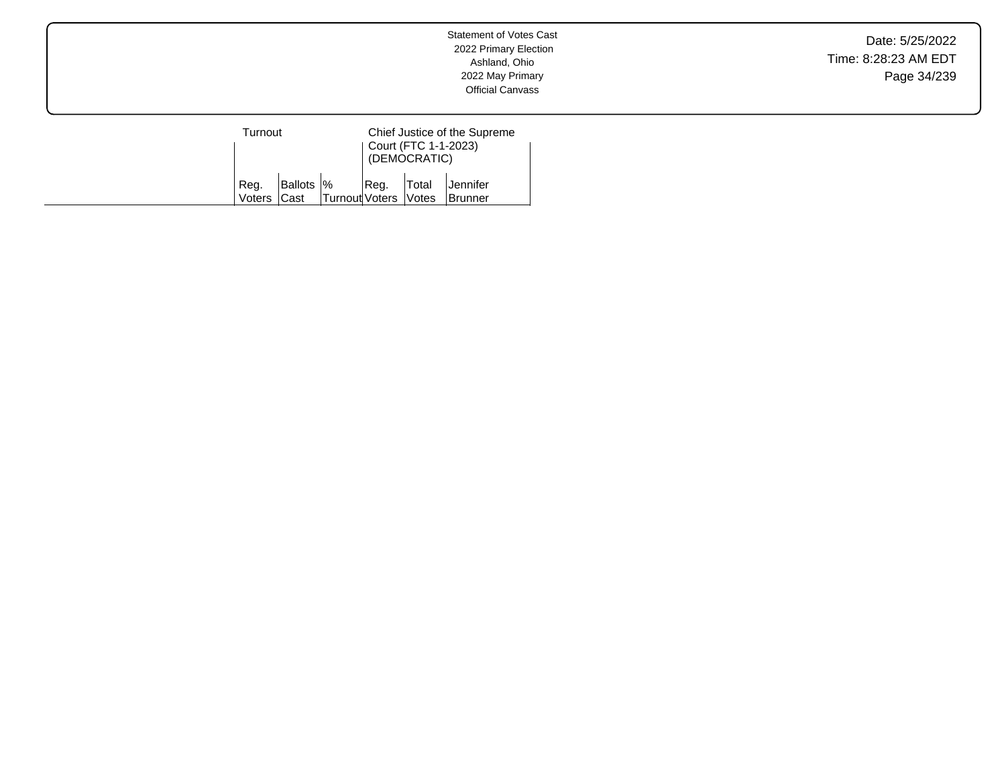Date: 5/25/2022 Time: 8:28:23 AM EDT Page 34/239

| Turnout        |                           |                        | Chief Justice of the Supreme<br>Court (FTC 1-1-2023)<br>(DEMOCRATIC) |              |                             |  |
|----------------|---------------------------|------------------------|----------------------------------------------------------------------|--------------|-----------------------------|--|
| Reg.<br>Voters | Ballots  %<br><b>Cast</b> | Turnout Voters   Votes | Reg.                                                                 | <b>Total</b> | lJennifer<br><b>Brunner</b> |  |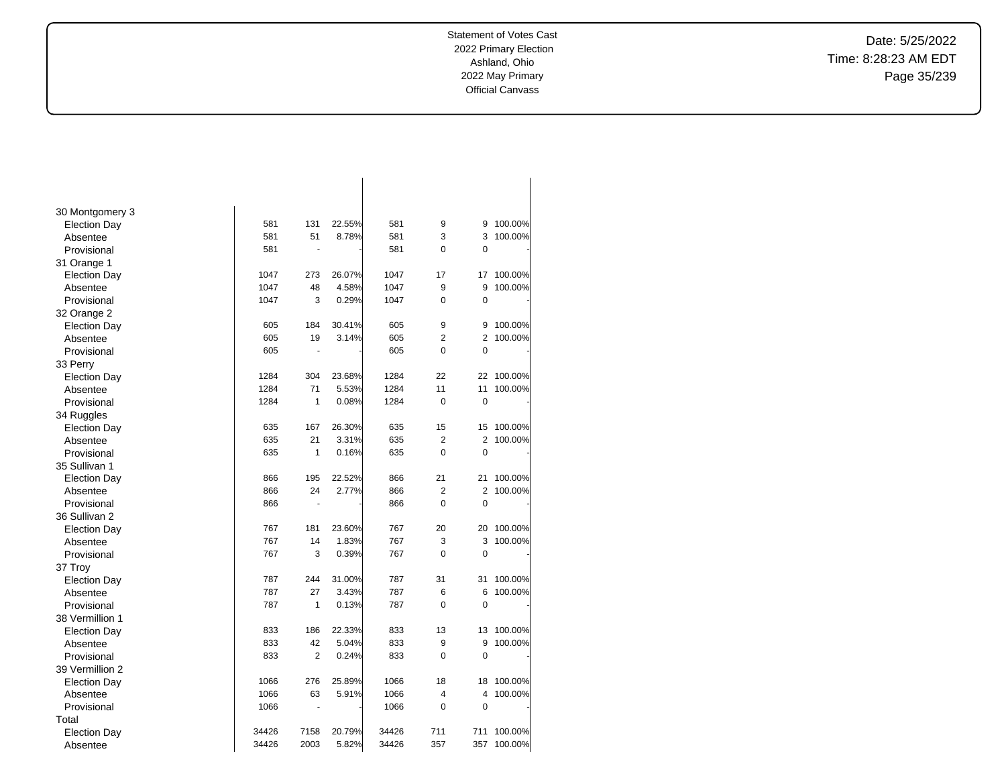Date: 5/25/2022 Time: 8:28:23 AM EDT Page 35/239

| 30 Montgomery 3     |       |                |        |       |                |                |         |
|---------------------|-------|----------------|--------|-------|----------------|----------------|---------|
| <b>Election Day</b> | 581   | 131            | 22.55% | 581   | 9              | 9              | 100.00% |
| Absentee            | 581   | 51             | 8.78%  | 581   | 3              | 3              | 100.00% |
| Provisional         | 581   | Ĭ.             |        | 581   | 0              | 0              |         |
| 31 Orange 1         |       |                |        |       |                |                |         |
| <b>Election Day</b> | 1047  | 273            | 26.07% | 1047  | 17             | 17             | 100.00% |
| Absentee            | 1047  | 48             | 4.58%  | 1047  | 9              | 9              | 100.00% |
| Provisional         | 1047  | 3              | 0.29%  | 1047  | 0              | $\mathbf 0$    |         |
| 32 Orange 2         |       |                |        |       |                |                |         |
| <b>Election Day</b> | 605   | 184            | 30.41% | 605   | 9              | 9              | 100.00% |
| Absentee            | 605   | 19             | 3.14%  | 605   | $\overline{2}$ | $\overline{2}$ | 100.00% |
| Provisional         | 605   |                |        | 605   | 0              | $\mathbf 0$    |         |
| 33 Perry            |       |                |        |       |                |                |         |
| <b>Election Day</b> | 1284  | 304            | 23.68% | 1284  | 22             | 22             | 100.00% |
| Absentee            | 1284  | 71             | 5.53%  | 1284  | 11             | 11             | 100.00% |
| Provisional         | 1284  | 1              | 0.08%  | 1284  | 0              | $\mathbf 0$    |         |
| 34 Ruggles          |       |                |        |       |                |                |         |
| <b>Election Day</b> | 635   | 167            | 26.30% | 635   | 15             | 15             | 100.00% |
| Absentee            | 635   | 21             | 3.31%  | 635   | $\overline{2}$ | 2              | 100.00% |
| Provisional         | 635   | $\mathbf{1}$   | 0.16%  | 635   | $\Omega$       | $\Omega$       |         |
| 35 Sullivan 1       |       |                |        |       |                |                |         |
| <b>Election Day</b> | 866   | 195            | 22.52% | 866   | 21             | 21             | 100.00% |
| Absentee            | 866   | 24             | 2.77%  | 866   | $\overline{2}$ | 2              | 100.00% |
| Provisional         | 866   | Ĭ.             |        | 866   | $\overline{0}$ | $\mathbf 0$    |         |
| 36 Sullivan 2       |       |                |        |       |                |                |         |
| <b>Election Day</b> | 767   | 181            | 23.60% | 767   | 20             | 20             | 100.00% |
| Absentee            | 767   | 14             | 1.83%  | 767   | 3              | 3              | 100.00% |
| Provisional         | 767   | 3              | 0.39%  | 767   | 0              | $\mathbf 0$    |         |
| 37 Troy             |       |                |        |       |                |                |         |
| <b>Election Day</b> | 787   | 244            | 31.00% | 787   | 31             | 31             | 100.00% |
| Absentee            | 787   | 27             | 3.43%  | 787   | 6              | 6              | 100.00% |
| Provisional         | 787   | 1              | 0.13%  | 787   | 0              | $\mathbf 0$    |         |
| 38 Vermillion 1     |       |                |        |       |                |                |         |
| <b>Election Day</b> | 833   | 186            | 22.33% | 833   | 13             | 13             | 100.00% |
| Absentee            | 833   | 42             | 5.04%  | 833   | 9              | 9              | 100.00% |
| Provisional         | 833   | $\overline{2}$ | 0.24%  | 833   | 0              | $\mathbf 0$    |         |
| 39 Vermillion 2     |       |                |        |       |                |                |         |
| <b>Election Day</b> | 1066  | 276            | 25.89% | 1066  | 18             | 18             | 100.00% |
| Absentee            | 1066  | 63             | 5.91%  | 1066  | 4              | 4              | 100.00% |
| Provisional         | 1066  | ÷,             |        | 1066  | 0              | $\mathbf 0$    |         |
| Total               |       |                |        |       |                |                |         |
| <b>Election Day</b> | 34426 | 7158           | 20.79% | 34426 | 711            | 711            | 100.00% |
| Absentee            | 34426 | 2003           | 5.82%  | 34426 | 357            | 357            | 100.00% |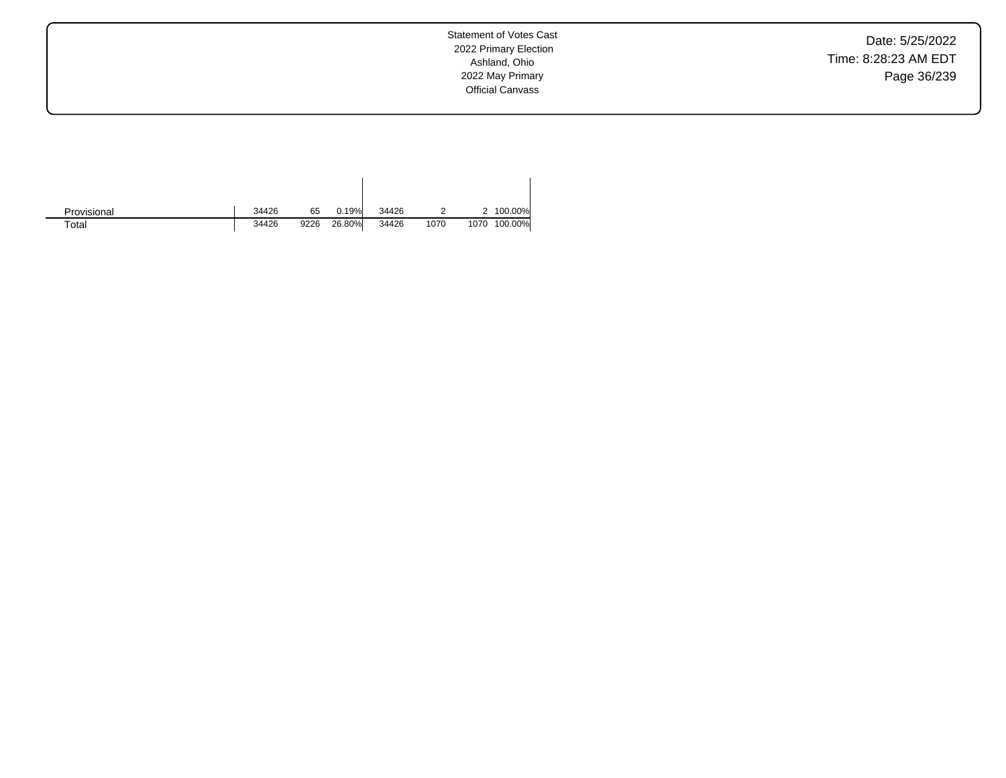Date: 5/25/2022 Time: 8:28:23 AM EDT Page 36/239

Statement of Votes Cast 2022 Primary Election Ashland, Ohio 2022 May Primary Official Canvass

| Provisional | 34426 | 65   | 0.19%  | 34426 |      |      | 100.00% |
|-------------|-------|------|--------|-------|------|------|---------|
| Total       | 34426 | 9226 | 26.80% | 34426 | 1070 | 1070 | 100.00% |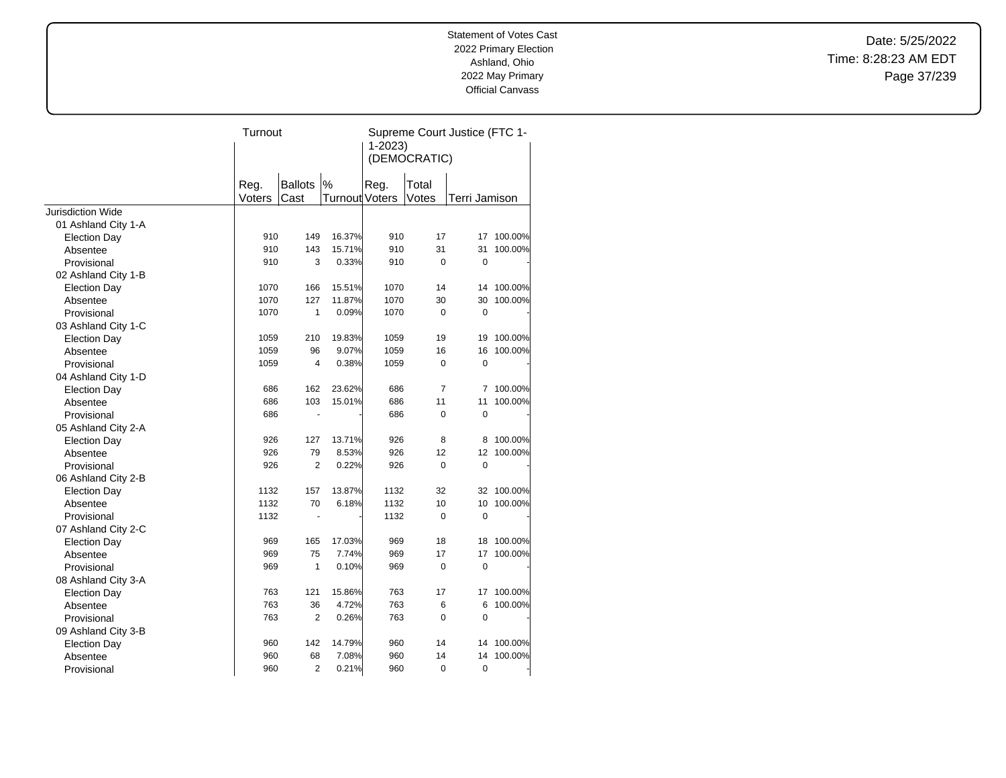Date: 5/25/2022 Time: 8:28:23 AM EDT Page 37/239

|                          | Turnout |                |                       | Supreme Court Justice (FTC 1-<br>$1 - 2023$<br>(DEMOCRATIC) |             |                |            |
|--------------------------|---------|----------------|-----------------------|-------------------------------------------------------------|-------------|----------------|------------|
|                          | Reg.    | <b>Ballots</b> | $\%$                  | Reg.                                                        | Total       |                |            |
|                          | Voters  | Cast           | <b>Turnout Voters</b> |                                                             | Votes       | Terri Jamison  |            |
| <b>Jurisdiction Wide</b> |         |                |                       |                                                             |             |                |            |
| 01 Ashland City 1-A      |         |                |                       |                                                             |             |                |            |
| <b>Election Day</b>      | 910     | 149            | 16.37%                | 910                                                         | 17          |                | 17 100.00% |
| Absentee                 | 910     | 143            | 15.71%                | 910                                                         | 31          | 31             | 100.00%    |
| Provisional              | 910     | 3              | 0.33%                 | 910                                                         | 0           | 0              |            |
| 02 Ashland City 1-B      |         |                |                       |                                                             |             |                |            |
| <b>Election Day</b>      | 1070    | 166            | 15.51%                | 1070                                                        | 14          | 14             | 100.00%    |
| Absentee                 | 1070    | 127            | 11.87%                | 1070                                                        | 30          | 30             | 100.00%    |
| Provisional              | 1070    | $\mathbf{1}$   | 0.09%                 | 1070                                                        | 0           | $\mathbf 0$    |            |
| 03 Ashland City 1-C      |         |                |                       |                                                             |             |                |            |
| <b>Election Day</b>      | 1059    | 210            | 19.83%                | 1059                                                        | 19          | 19             | 100.00%    |
| Absentee                 | 1059    | 96             | 9.07%                 | 1059                                                        | 16          | 16             | 100.00%    |
| Provisional              | 1059    | 4              | 0.38%                 | 1059                                                        | 0           | $\mathbf 0$    |            |
| 04 Ashland City 1-D      |         |                |                       |                                                             |             |                |            |
| <b>Election Day</b>      | 686     | 162            | 23.62%                | 686                                                         | 7           | $\overline{7}$ | 100.00%    |
| Absentee                 | 686     | 103            | 15.01%                | 686                                                         | 11          | 11             | 100.00%    |
| Provisional              | 686     | ÷              |                       | 686                                                         | 0           | $\mathbf 0$    |            |
| 05 Ashland City 2-A      |         |                |                       |                                                             |             |                |            |
| <b>Election Day</b>      | 926     | 127            | 13.71%                | 926                                                         | 8           | 8              | 100.00%    |
| Absentee                 | 926     | 79             | 8.53%                 | 926                                                         | 12          | 12             | 100.00%    |
| Provisional              | 926     | $\overline{2}$ | 0.22%                 | 926                                                         | 0           | 0              |            |
| 06 Ashland City 2-B      |         |                |                       |                                                             |             |                |            |
| <b>Election Day</b>      | 1132    | 157            | 13.87%                | 1132                                                        | 32          | 32             | 100.00%    |
| Absentee                 | 1132    | 70             | 6.18%                 | 1132                                                        | 10          | 10             | 100.00%    |
| Provisional              | 1132    | $\blacksquare$ |                       | 1132                                                        | 0           | $\mathbf 0$    |            |
| 07 Ashland City 2-C      |         |                |                       |                                                             |             |                |            |
| <b>Election Day</b>      | 969     | 165            | 17.03%                | 969                                                         | 18          | 18             | 100.00%    |
| Absentee                 | 969     | 75             | 7.74%                 | 969                                                         | 17          | 17             | 100.00%    |
| Provisional              | 969     | $\mathbf{1}$   | 0.10%                 | 969                                                         | $\mathbf 0$ | $\mathbf 0$    |            |
| 08 Ashland City 3-A      |         |                |                       |                                                             |             |                |            |
| <b>Election Day</b>      | 763     | 121            | 15.86%                | 763                                                         | 17          | 17             | 100.00%    |
| Absentee                 | 763     | 36             | 4.72%                 | 763                                                         | 6           | 6              | 100.00%    |
| Provisional              | 763     | 2              | 0.26%                 | 763                                                         | 0           | $\mathbf 0$    |            |
| 09 Ashland City 3-B      |         |                |                       |                                                             |             |                |            |
| <b>Election Day</b>      | 960     | 142            | 14.79%                | 960                                                         | 14          | 14             | 100.00%    |
| Absentee                 | 960     | 68             | 7.08%                 | 960                                                         | 14          | 14             | 100.00%    |
| Provisional              | 960     | $\overline{2}$ | 0.21%                 | 960                                                         | 0           | $\mathbf 0$    |            |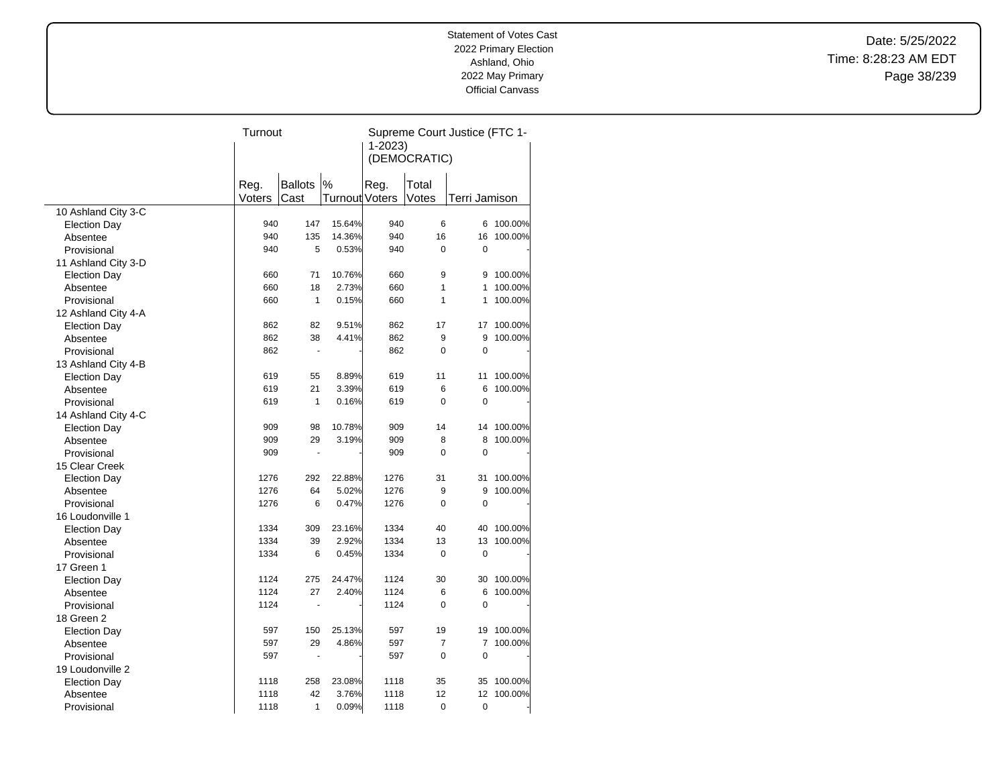Date: 5/25/2022 Time: 8:28:23 AM EDT Page 38/239

|                     | Turnout |                          |                       | Supreme Court Justice (FTC 1- |                |                |         |  |
|---------------------|---------|--------------------------|-----------------------|-------------------------------|----------------|----------------|---------|--|
|                     |         |                          |                       | $1 - 2023$                    |                |                |         |  |
|                     |         |                          |                       |                               | (DEMOCRATIC)   |                |         |  |
|                     |         |                          |                       |                               |                |                |         |  |
|                     | Reg.    | <b>Ballots</b>           | %                     | Reg.                          | Total          |                |         |  |
|                     | Voters  | Cast                     | <b>Turnout Voters</b> |                               | Votes          | Terri Jamison  |         |  |
| 10 Ashland City 3-C |         |                          |                       |                               |                |                |         |  |
| <b>Election Day</b> | 940     | 147                      | 15.64%                | 940                           | 6              | 6              | 100.00% |  |
| Absentee            | 940     | 135                      | 14.36%                | 940                           | 16             | 16             | 100.00% |  |
| Provisional         | 940     | 5                        | 0.53%                 | 940                           | $\Omega$       | 0              |         |  |
| 11 Ashland City 3-D |         |                          |                       |                               |                |                |         |  |
| <b>Election Day</b> | 660     | 71                       | 10.76%                | 660                           | 9              | 9              | 100.00% |  |
| Absentee            | 660     | 18                       | 2.73%                 | 660                           | 1              | 1              | 100.00% |  |
| Provisional         | 660     | $\mathbf{1}$             | 0.15%                 | 660                           | 1              | 1              | 100.00% |  |
| 12 Ashland City 4-A |         |                          |                       |                               |                |                |         |  |
| <b>Election Day</b> | 862     | 82                       | 9.51%                 | 862                           | 17             | 17             | 100.00% |  |
| Absentee            | 862     | 38                       | 4.41%                 | 862                           | 9              | 9              | 100.00% |  |
| Provisional         | 862     | $\overline{\phantom{a}}$ |                       | 862                           | $\mathbf 0$    | $\mathbf 0$    |         |  |
| 13 Ashland City 4-B |         |                          |                       |                               |                |                |         |  |
| <b>Election Day</b> | 619     | 55                       | 8.89%                 | 619                           | 11             | 11             | 100.00% |  |
| Absentee            | 619     | 21                       | 3.39%                 | 619                           | 6              | 6              | 100.00% |  |
| Provisional         | 619     | $\mathbf{1}$             | 0.16%                 | 619                           | $\Omega$       | 0              |         |  |
| 14 Ashland City 4-C |         |                          |                       |                               |                |                |         |  |
| <b>Election Day</b> | 909     | 98                       | 10.78%                | 909                           | 14             | 14             | 100.00% |  |
| Absentee            | 909     | 29                       | 3.19%                 | 909                           | 8              | 8              | 100.00% |  |
| Provisional         | 909     | $\ddot{\phantom{0}}$     |                       | 909                           | $\Omega$       | $\Omega$       |         |  |
| 15 Clear Creek      |         |                          |                       |                               |                |                |         |  |
| <b>Election Day</b> | 1276    | 292                      | 22.88%                | 1276                          | 31             | 31             | 100.00% |  |
| Absentee            | 1276    | 64                       | 5.02%                 | 1276                          | 9              | 9              | 100.00% |  |
| Provisional         | 1276    | 6                        | 0.47%                 | 1276                          | $\mathbf 0$    | 0              |         |  |
| 16 Loudonville 1    |         |                          |                       |                               |                |                |         |  |
| <b>Election Day</b> | 1334    | 309                      | 23.16%                | 1334                          | 40             | 40             | 100.00% |  |
| Absentee            | 1334    | 39                       | 2.92%                 | 1334                          | 13             | 13             | 100.00% |  |
| Provisional         | 1334    | 6                        | 0.45%                 | 1334                          | 0              | $\mathbf 0$    |         |  |
| 17 Green 1          |         |                          |                       |                               |                |                |         |  |
| <b>Election Day</b> | 1124    | 275                      | 24.47%                | 1124                          | 30             | 30             | 100.00% |  |
| Absentee            | 1124    | 27                       | 2.40%                 | 1124                          | 6              | 6              | 100.00% |  |
| Provisional         | 1124    | ä,                       |                       | 1124                          | $\mathbf 0$    | $\overline{0}$ |         |  |
| 18 Green 2          |         |                          |                       |                               |                |                |         |  |
| <b>Election Day</b> | 597     | 150                      | 25.13%                | 597                           | 19             | 19             | 100.00% |  |
| Absentee            | 597     | 29                       | 4.86%                 | 597                           | $\overline{7}$ | $\overline{7}$ | 100.00% |  |
| Provisional         | 597     | $\overline{a}$           |                       | 597                           | $\mathbf 0$    | $\mathbf 0$    |         |  |
| 19 Loudonville 2    |         |                          |                       |                               |                |                |         |  |
| <b>Election Day</b> | 1118    | 258                      | 23.08%                | 1118                          | 35             | 35             | 100.00% |  |
| Absentee            | 1118    | 42                       | 3.76%                 | 1118                          | 12             | 12             | 100.00% |  |
| Provisional         | 1118    | $\mathbf{1}$             | 0.09%                 | 1118                          | $\mathbf 0$    | $\mathbf 0$    |         |  |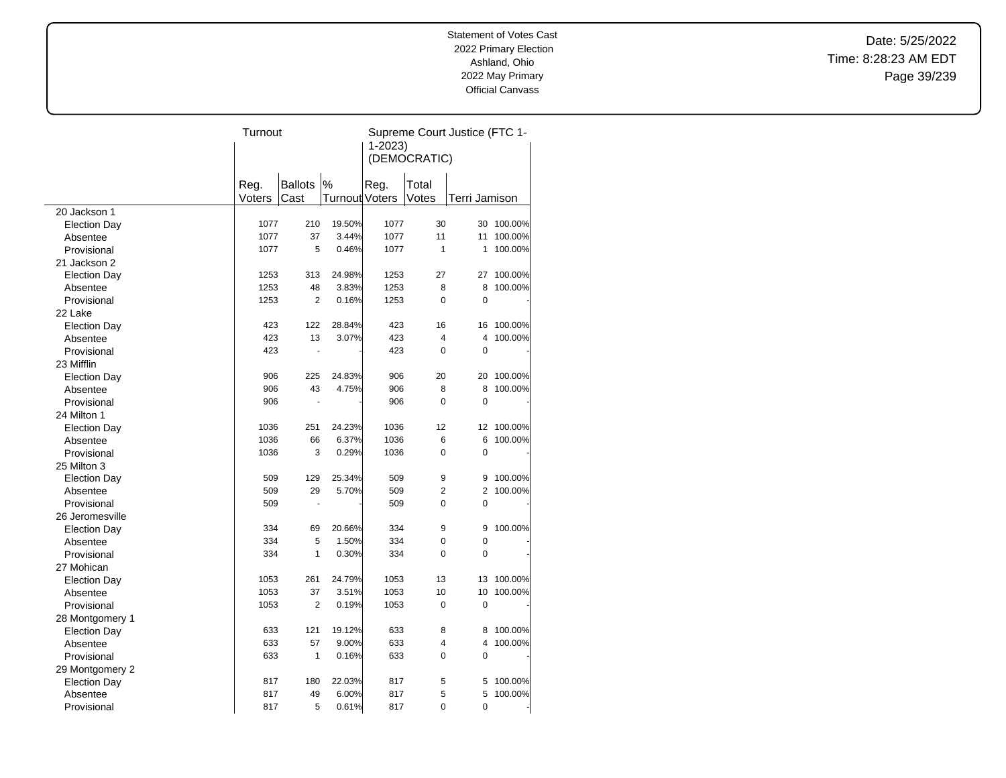Date: 5/25/2022 Time: 8:28:23 AM EDT Page 39/239

|                     | Turnout |                |                       | Supreme Court Justice (FTC 1- |                |                |         |  |
|---------------------|---------|----------------|-----------------------|-------------------------------|----------------|----------------|---------|--|
|                     |         |                |                       | $1 - 2023$                    |                |                |         |  |
|                     |         |                |                       |                               | (DEMOCRATIC)   |                |         |  |
|                     |         |                |                       |                               |                |                |         |  |
|                     | Reg.    | <b>Ballots</b> | $\%$                  | Reg.                          | Total          |                |         |  |
|                     | Voters  | Cast           | <b>Turnout Voters</b> |                               | Votes          | Terri Jamison  |         |  |
| 20 Jackson 1        |         |                |                       |                               |                |                |         |  |
| <b>Election Day</b> | 1077    | 210            | 19.50%                | 1077                          | 30             | 30             | 100.00% |  |
| Absentee            | 1077    | 37             | 3.44%                 | 1077                          | 11             | 11             | 100.00% |  |
| Provisional         | 1077    | 5              | 0.46%                 | 1077                          | $\mathbf{1}$   | 1              | 100.00% |  |
| 21 Jackson 2        |         |                |                       |                               |                |                |         |  |
| <b>Election Day</b> | 1253    | 313            | 24.98%                | 1253                          | 27             | 27             | 100.00% |  |
| Absentee            | 1253    | 48             | 3.83%                 | 1253                          | 8              | 8              | 100.00% |  |
| Provisional         | 1253    | $\overline{2}$ | 0.16%                 | 1253                          | $\mathbf 0$    | 0              |         |  |
| 22 Lake             |         |                |                       |                               |                |                |         |  |
| <b>Election Day</b> | 423     | 122            | 28.84%                | 423                           | 16             | 16             | 100.00% |  |
| Absentee            | 423     | 13             | 3.07%                 | 423                           | 4              | 4              | 100.00% |  |
| Provisional         | 423     | ä,             |                       | 423                           | $\overline{0}$ | $\overline{0}$ |         |  |
| 23 Mifflin          |         |                |                       |                               |                |                |         |  |
| <b>Election Day</b> | 906     | 225            | 24.83%                | 906                           | 20             | 20             | 100.00% |  |
| Absentee            | 906     | 43             | 4.75%                 | 906                           | 8              | 8              | 100.00% |  |
| Provisional         | 906     | ÷,             |                       | 906                           | $\mathbf 0$    | $\mathbf 0$    |         |  |
| 24 Milton 1         |         |                |                       |                               |                |                |         |  |
| <b>Election Day</b> | 1036    | 251            | 24.23%                | 1036                          | 12             | 12             | 100.00% |  |
| Absentee            | 1036    | 66             | 6.37%                 | 1036                          | 6              | 6              | 100.00% |  |
| Provisional         | 1036    | 3              | 0.29%                 | 1036                          | $\mathbf 0$    | 0              |         |  |
| 25 Milton 3         |         |                |                       |                               |                |                |         |  |
| <b>Election Day</b> | 509     | 129            | 25.34%                | 509                           | 9              | 9              | 100.00% |  |
| Absentee            | 509     | 29             | 5.70%                 | 509                           | $\overline{2}$ | $\overline{2}$ | 100.00% |  |
| Provisional         | 509     |                |                       | 509                           | $\mathbf 0$    | 0              |         |  |
| 26 Jeromesville     |         |                |                       |                               |                |                |         |  |
| <b>Election Day</b> | 334     | 69             | 20.66%                | 334                           | 9              | 9              | 100.00% |  |
| Absentee            | 334     | 5              | 1.50%                 | 334                           | $\mathbf 0$    | 0              |         |  |
| Provisional         | 334     | $\mathbf{1}$   | 0.30%                 | 334                           | $\Omega$       | $\Omega$       |         |  |
| 27 Mohican          |         |                |                       |                               |                |                |         |  |
| <b>Election Day</b> | 1053    | 261            | 24.79%                | 1053                          | 13             | 13             | 100.00% |  |
| Absentee            | 1053    | 37             | 3.51%                 | 1053                          | 10             | 10             | 100.00% |  |
| Provisional         | 1053    | $\overline{2}$ | 0.19%                 | 1053                          | $\mathbf 0$    | 0              |         |  |
| 28 Montgomery 1     |         |                |                       |                               |                |                |         |  |
| <b>Election Day</b> | 633     | 121            | 19.12%                | 633                           | 8              | 8              | 100.00% |  |
| Absentee            | 633     | 57             | 9.00%                 | 633                           | 4              | 4              | 100.00% |  |
| Provisional         | 633     | 1              | 0.16%                 | 633                           | $\Omega$       | 0              |         |  |
| 29 Montgomery 2     |         |                |                       |                               |                |                |         |  |
| <b>Election Day</b> | 817     | 180            | 22.03%                | 817                           | 5              | 5              | 100.00% |  |
| Absentee            | 817     | 49             | 6.00%                 | 817                           | 5              | 5              | 100.00% |  |
|                     | 817     | 5              | 0.61%                 | 817                           | $\overline{0}$ | $\mathbf 0$    |         |  |
| Provisional         |         |                |                       |                               |                |                |         |  |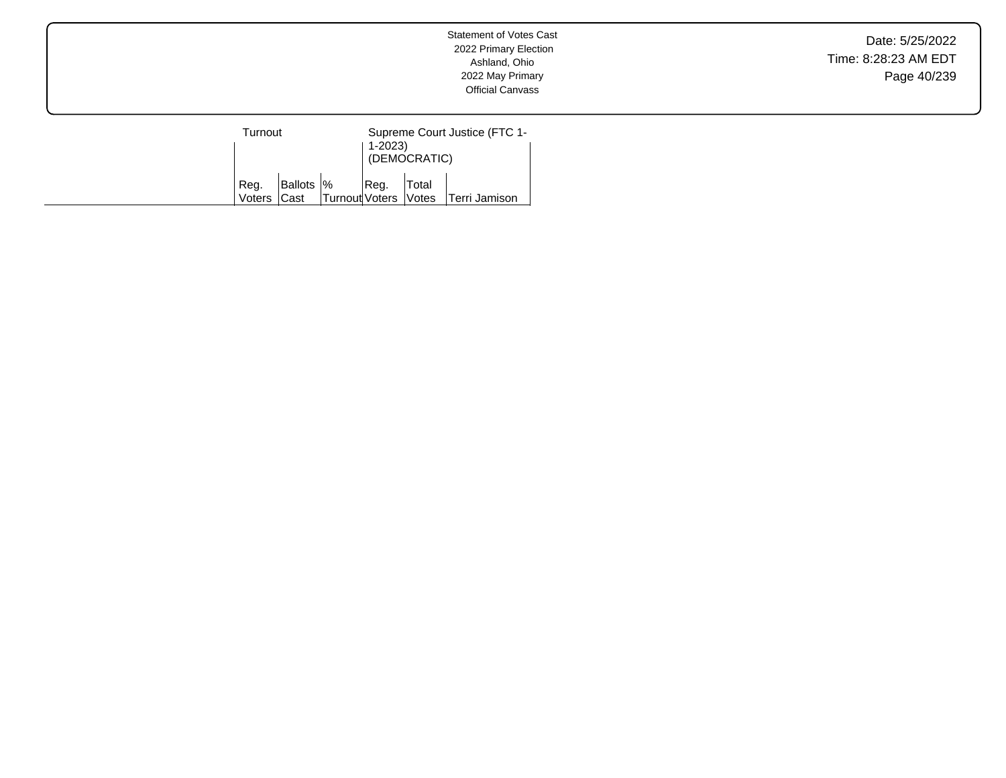Date: 5/25/2022 Time: 8:28:23 AM EDT Page 40/239

| Turnout        |                     |                        | Supreme Court Justice (FTC 1-<br>1-2023)<br>(DEMOCRATIC) |       |                      |  |
|----------------|---------------------|------------------------|----------------------------------------------------------|-------|----------------------|--|
| Reg.<br>Voters | Ballots  %<br>lCast | Turnout Voters   Votes | Req.                                                     | Total | <b>Terri Jamison</b> |  |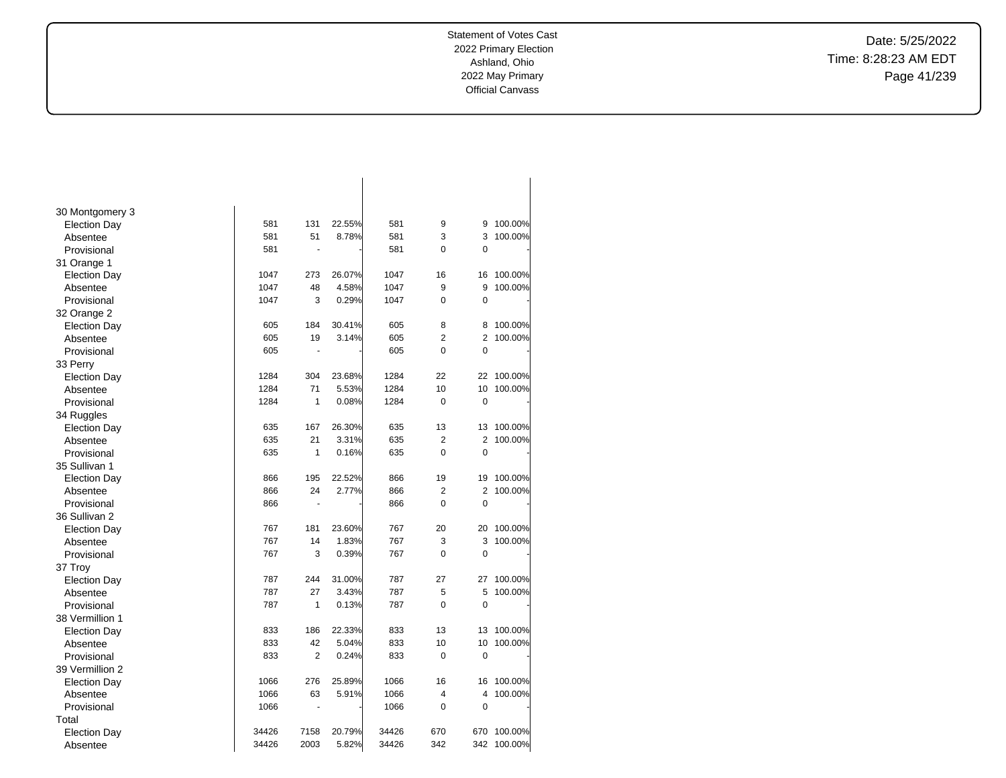Date: 5/25/2022 Time: 8:28:23 AM EDT Page 41/239

| 30 Montgomery 3     |       |                |        |       |                |                |         |
|---------------------|-------|----------------|--------|-------|----------------|----------------|---------|
| <b>Election Day</b> | 581   | 131            | 22.55% | 581   | 9              | 9              | 100.00% |
| Absentee            | 581   | 51             | 8.78%  | 581   | 3              | 3              | 100.00% |
| Provisional         | 581   | ä,             |        | 581   | 0              | 0              |         |
| 31 Orange 1         |       |                |        |       |                |                |         |
| <b>Election Day</b> | 1047  | 273            | 26.07% | 1047  | 16             | 16             | 100.00% |
| Absentee            | 1047  | 48             | 4.58%  | 1047  | 9              | 9              | 100.00% |
| Provisional         | 1047  | 3              | 0.29%  | 1047  | 0              | 0              |         |
| 32 Orange 2         |       |                |        |       |                |                |         |
| <b>Election Day</b> | 605   | 184            | 30.41% | 605   | 8              | 8              | 100.00% |
| Absentee            | 605   | 19             | 3.14%  | 605   | $\overline{2}$ | $\overline{2}$ | 100.00% |
| Provisional         | 605   |                |        | 605   | 0              | $\mathbf 0$    |         |
| 33 Perry            |       |                |        |       |                |                |         |
| <b>Election Day</b> | 1284  | 304            | 23.68% | 1284  | 22             | 22             | 100.00% |
| Absentee            | 1284  | 71             | 5.53%  | 1284  | 10             | 10             | 100.00% |
| Provisional         | 1284  | 1              | 0.08%  | 1284  | 0              | $\mathbf 0$    |         |
| 34 Ruggles          |       |                |        |       |                |                |         |
| <b>Election Day</b> | 635   | 167            | 26.30% | 635   | 13             | 13             | 100.00% |
| Absentee            | 635   | 21             | 3.31%  | 635   | $\overline{2}$ | $\overline{2}$ | 100.00% |
| Provisional         | 635   | 1              | 0.16%  | 635   | $\mathbf 0$    | 0              |         |
| 35 Sullivan 1       |       |                |        |       |                |                |         |
| <b>Election Day</b> | 866   | 195            | 22.52% | 866   | 19             | 19             | 100.00% |
| Absentee            | 866   | 24             | 2.77%  | 866   | 2              | $\overline{2}$ | 100.00% |
| Provisional         | 866   | $\blacksquare$ |        | 866   | $\overline{0}$ | $\overline{0}$ |         |
| 36 Sullivan 2       |       |                |        |       |                |                |         |
| <b>Election Day</b> | 767   | 181            | 23.60% | 767   | 20             | 20             | 100.00% |
| Absentee            | 767   | 14             | 1.83%  | 767   | 3              | 3              | 100.00% |
| Provisional         | 767   | 3              | 0.39%  | 767   | $\overline{0}$ | $\mathbf 0$    |         |
| 37 Troy             |       |                |        |       |                |                |         |
| <b>Election Day</b> | 787   | 244            | 31.00% | 787   | 27             | 27             | 100.00% |
| Absentee            | 787   | 27             | 3.43%  | 787   | 5              | 5              | 100.00% |
| Provisional         | 787   | 1              | 0.13%  | 787   | $\Omega$       | $\mathbf 0$    |         |
| 38 Vermillion 1     |       |                |        |       |                |                |         |
| <b>Election Day</b> | 833   | 186            | 22.33% | 833   | 13             | 13             | 100.00% |
| Absentee            | 833   | 42             | 5.04%  | 833   | 10             | 10             | 100.00% |
| Provisional         | 833   | $\overline{2}$ | 0.24%  | 833   | 0              | 0              |         |
| 39 Vermillion 2     |       |                |        |       |                |                |         |
| <b>Election Day</b> | 1066  | 276            | 25.89% | 1066  | 16             | 16             | 100.00% |
| Absentee            | 1066  | 63             | 5.91%  | 1066  | 4              | 4              | 100.00% |
| Provisional         | 1066  | ÷,             |        | 1066  | $\mathbf 0$    | $\mathbf 0$    |         |
| Total               |       |                |        |       |                |                |         |
| <b>Election Day</b> | 34426 | 7158           | 20.79% | 34426 | 670            | 670            | 100.00% |
| Absentee            | 34426 | 2003           | 5.82%  | 34426 | 342            | 342            | 100.00% |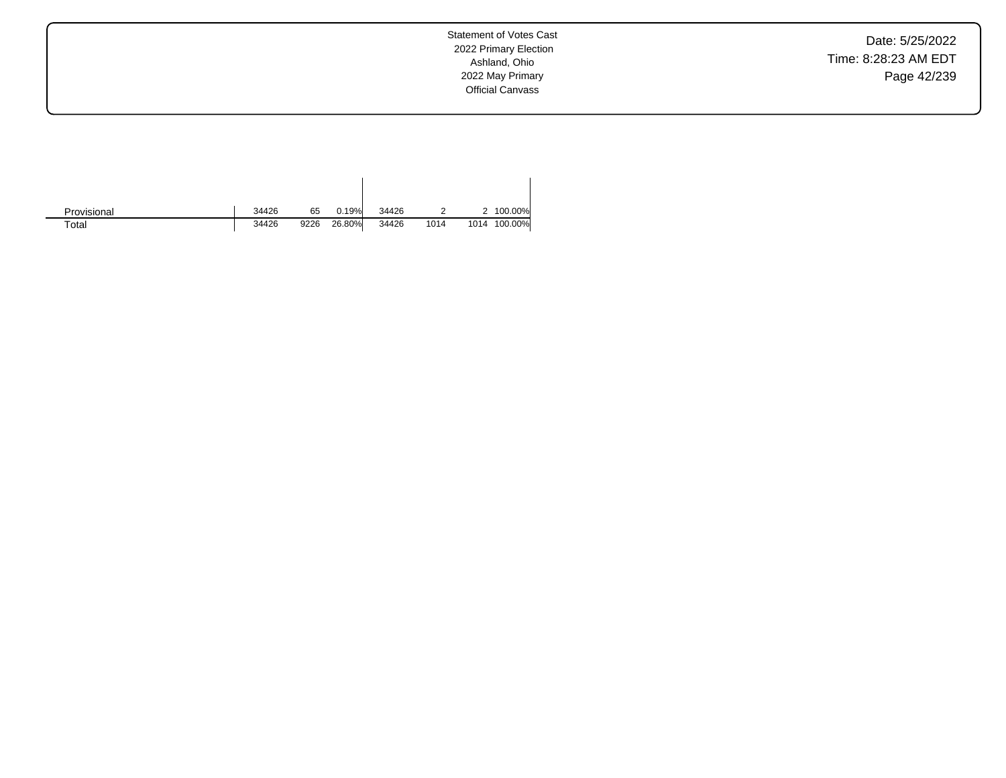Date: 5/25/2022 Time: 8:28:23 AM EDT Page 42/239

Statement of Votes Cast 2022 Primary Election Ashland, Ohio 2022 May Primary Official Canvass

| Provisional | 34426 | 65   | 0.19%  | 34426 |      |      | 100.00% |
|-------------|-------|------|--------|-------|------|------|---------|
| $\tau$ otal | 34426 | 9226 | 26.80% | 34426 | 1014 | 1014 | 100.00% |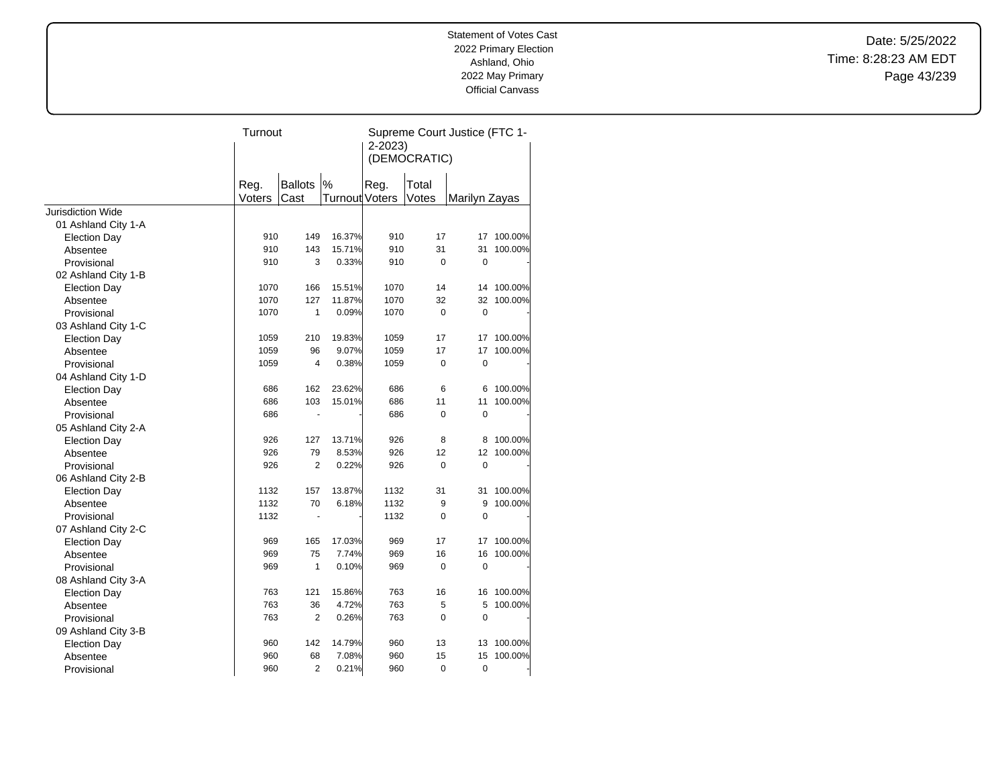Date: 5/25/2022 Time: 8:28:23 AM EDT Page 43/239

|                                 | Turnout      |                |                  | Supreme Court Justice (FTC 1-<br>$2 - 2023$<br>(DEMOCRATIC) |             |               |                    |
|---------------------------------|--------------|----------------|------------------|-------------------------------------------------------------|-------------|---------------|--------------------|
|                                 | Reg.         | <b>Ballots</b> | %                | Reg.                                                        | Total       |               |                    |
|                                 | Voters       | Cast           | Turnout Voters   |                                                             | Votes       | Marilyn Zayas |                    |
| <b>Jurisdiction Wide</b>        |              |                |                  |                                                             |             |               |                    |
| 01 Ashland City 1-A             | 910          | 149            |                  | 910                                                         |             |               |                    |
| <b>Election Day</b>             |              |                | 16.37%           |                                                             | 17          |               | 17 100.00%         |
| Absentee                        | 910<br>910   | 143<br>3       | 15.71%<br>0.33%  | 910<br>910                                                  | 31<br>0     | 31<br>0       | 100.00%            |
| Provisional                     |              |                |                  |                                                             |             |               |                    |
| 02 Ashland City 1-B             |              |                |                  |                                                             |             |               |                    |
| <b>Election Day</b>             | 1070<br>1070 | 166<br>127     | 15.51%<br>11.87% | 1070<br>1070                                                | 14<br>32    | 14<br>32      | 100.00%<br>100.00% |
| Absentee                        | 1070         | $\mathbf{1}$   | 0.09%            | 1070                                                        | $\mathbf 0$ | $\mathbf 0$   |                    |
| Provisional                     |              |                |                  |                                                             |             |               |                    |
| 03 Ashland City 1-C             | 1059         | 210            | 19.83%           | 1059                                                        | 17          | 17            | 100.00%            |
| <b>Election Day</b>             | 1059         | 96             | 9.07%            | 1059                                                        | 17          | 17            | 100.00%            |
| Absentee<br>Provisional         | 1059         | $\overline{4}$ | 0.38%            | 1059                                                        | 0           | $\mathbf 0$   |                    |
|                                 |              |                |                  |                                                             |             |               |                    |
| 04 Ashland City 1-D             | 686          | 162            | 23.62%           | 686                                                         | 6           | 6             | 100.00%            |
| <b>Election Day</b><br>Absentee | 686          | 103            | 15.01%           | 686                                                         | 11          | 11            | 100.00%            |
| Provisional                     | 686          | $\blacksquare$ |                  | 686                                                         | 0           | $\mathbf 0$   |                    |
| 05 Ashland City 2-A             |              |                |                  |                                                             |             |               |                    |
| <b>Election Day</b>             | 926          | 127            | 13.71%           | 926                                                         | 8           | 8             | 100.00%            |
| Absentee                        | 926          | 79             | 8.53%            | 926                                                         | 12          | 12            | 100.00%            |
| Provisional                     | 926          | 2              | 0.22%            | 926                                                         | 0           | $\mathbf 0$   |                    |
| 06 Ashland City 2-B             |              |                |                  |                                                             |             |               |                    |
| <b>Election Day</b>             | 1132         | 157            | 13.87%           | 1132                                                        | 31          | 31            | 100.00%            |
| Absentee                        | 1132         | 70             | 6.18%            | 1132                                                        | 9           | 9             | 100.00%            |
| Provisional                     | 1132         | $\blacksquare$ |                  | 1132                                                        | 0           | $\mathbf 0$   |                    |
| 07 Ashland City 2-C             |              |                |                  |                                                             |             |               |                    |
| <b>Election Day</b>             | 969          | 165            | 17.03%           | 969                                                         | 17          | 17            | 100.00%            |
| Absentee                        | 969          | 75             | 7.74%            | 969                                                         | 16          | 16            | 100.00%            |
| Provisional                     | 969          | $\mathbf{1}$   | 0.10%            | 969                                                         | 0           | $\mathbf 0$   |                    |
| 08 Ashland City 3-A             |              |                |                  |                                                             |             |               |                    |
| <b>Election Day</b>             | 763          | 121            | 15.86%           | 763                                                         | 16          | 16            | 100.00%            |
| Absentee                        | 763          | 36             | 4.72%            | 763                                                         | 5           | 5             | 100.00%            |
| Provisional                     | 763          | 2              | 0.26%            | 763                                                         | 0           | $\mathbf 0$   |                    |
| 09 Ashland City 3-B             |              |                |                  |                                                             |             |               |                    |
| <b>Election Day</b>             | 960          | 142            | 14.79%           | 960                                                         | 13          | 13            | 100.00%            |
| Absentee                        | 960          | 68             | 7.08%            | 960                                                         | 15          | 15            | 100.00%            |
| Provisional                     | 960          | $\overline{2}$ | 0.21%            | 960                                                         | $\mathbf 0$ | 0             |                    |
|                                 |              |                |                  |                                                             |             |               |                    |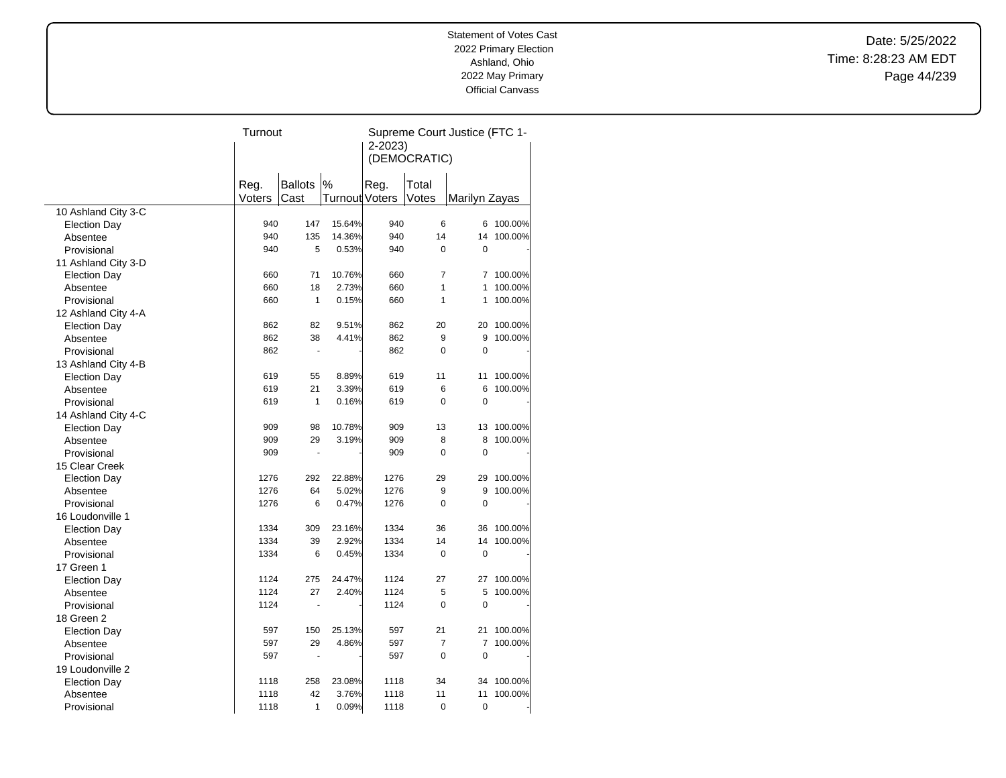Date: 5/25/2022 Time: 8:28:23 AM EDT Page 44/239

|                     | Turnout |                       |                       | Supreme Court Justice (FTC 1- |                |                |         |  |
|---------------------|---------|-----------------------|-----------------------|-------------------------------|----------------|----------------|---------|--|
|                     |         |                       |                       | $2 - 2023$                    |                |                |         |  |
|                     |         |                       |                       | (DEMOCRATIC)                  |                |                |         |  |
|                     |         |                       |                       |                               |                |                |         |  |
|                     | Reg.    | <b>Ballots</b>        | %                     | Reg.                          | Total          |                |         |  |
|                     | Voters  | Cast                  | <b>Turnout Voters</b> |                               | Votes          | Marilyn Zayas  |         |  |
| 10 Ashland City 3-C |         |                       |                       |                               |                |                |         |  |
| <b>Election Day</b> | 940     | 147                   | 15.64%                | 940                           | 6              | 6              | 100.00% |  |
| Absentee            | 940     | 135                   | 14.36%                | 940                           | 14             | 14             | 100.00% |  |
| Provisional         | 940     | 5                     | 0.53%                 | 940                           | $\mathbf 0$    | 0              |         |  |
| 11 Ashland City 3-D |         |                       |                       |                               |                |                |         |  |
| <b>Election Day</b> | 660     | 71                    | 10.76%                | 660                           | $\overline{7}$ | 7              | 100.00% |  |
| Absentee            | 660     | 18                    | 2.73%                 | 660                           | 1              | 1              | 100.00% |  |
| Provisional         | 660     | $\mathbf{1}$          | 0.15%                 | 660                           | 1              | 1              | 100.00% |  |
| 12 Ashland City 4-A |         |                       |                       |                               |                |                |         |  |
| <b>Election Day</b> | 862     | 82                    | 9.51%                 | 862                           | 20             | 20             | 100.00% |  |
| Absentee            | 862     | 38                    | 4.41%                 | 862                           | 9              | 9              | 100.00% |  |
| Provisional         | 862     | $\tilde{\phantom{a}}$ |                       | 862                           | $\Omega$       | $\Omega$       |         |  |
| 13 Ashland City 4-B |         |                       |                       |                               |                |                |         |  |
| <b>Election Day</b> | 619     | 55                    | 8.89%                 | 619                           | 11             | 11             | 100.00% |  |
| Absentee            | 619     | 21                    | 3.39%                 | 619                           | 6              | 6              | 100.00% |  |
| Provisional         | 619     | $\mathbf{1}$          | 0.16%                 | 619                           | $\Omega$       | 0              |         |  |
| 14 Ashland City 4-C |         |                       |                       |                               |                |                |         |  |
| <b>Election Day</b> | 909     | 98                    | 10.78%                | 909                           | 13             | 13             | 100.00% |  |
| Absentee            | 909     | 29                    | 3.19%                 | 909                           | 8              | 8              | 100.00% |  |
| Provisional         | 909     | $\ddot{\phantom{0}}$  |                       | 909                           | $\Omega$       | $\mathbf 0$    |         |  |
| 15 Clear Creek      |         |                       |                       |                               |                |                |         |  |
| <b>Election Day</b> | 1276    | 292                   | 22.88%                | 1276                          | 29             | 29             | 100.00% |  |
| Absentee            | 1276    | 64                    | 5.02%                 | 1276                          | 9              | 9              | 100.00% |  |
| Provisional         | 1276    | 6                     | 0.47%                 | 1276                          | $\Omega$       | 0              |         |  |
| 16 Loudonville 1    |         |                       |                       |                               |                |                |         |  |
| <b>Election Day</b> | 1334    | 309                   | 23.16%                | 1334                          | 36             | 36             | 100.00% |  |
| Absentee            | 1334    | 39                    | 2.92%                 | 1334                          | 14             | 14             | 100.00% |  |
| Provisional         | 1334    | 6                     | 0.45%                 | 1334                          | 0              | $\mathbf 0$    |         |  |
| 17 Green 1          |         |                       |                       |                               |                |                |         |  |
| <b>Election Day</b> | 1124    | 275                   | 24.47%                | 1124                          | 27             | 27             | 100.00% |  |
| Absentee            | 1124    | 27                    | 2.40%                 | 1124                          | 5              | 5              | 100.00% |  |
| Provisional         | 1124    | ÷.                    |                       | 1124                          | $\mathbf 0$    | $\overline{0}$ |         |  |
| 18 Green 2          |         |                       |                       |                               |                |                |         |  |
| <b>Election Day</b> | 597     | 150                   | 25.13%                | 597                           | 21             | 21             | 100.00% |  |
| Absentee            | 597     | 29                    | 4.86%                 | 597                           | $\overline{7}$ | 7              | 100.00% |  |
| Provisional         | 597     | ÷,                    |                       | 597                           | $\Omega$       | $\mathbf 0$    |         |  |
| 19 Loudonville 2    |         |                       |                       |                               |                |                |         |  |
| <b>Election Day</b> | 1118    | 258                   | 23.08%                | 1118                          | 34             | 34             | 100.00% |  |
| Absentee            | 1118    | 42                    | 3.76%                 | 1118                          | 11             | 11             | 100.00% |  |
| Provisional         | 1118    | 1                     | 0.09%                 | 1118                          | $\mathbf 0$    | $\mathbf 0$    |         |  |
|                     |         |                       |                       |                               |                |                |         |  |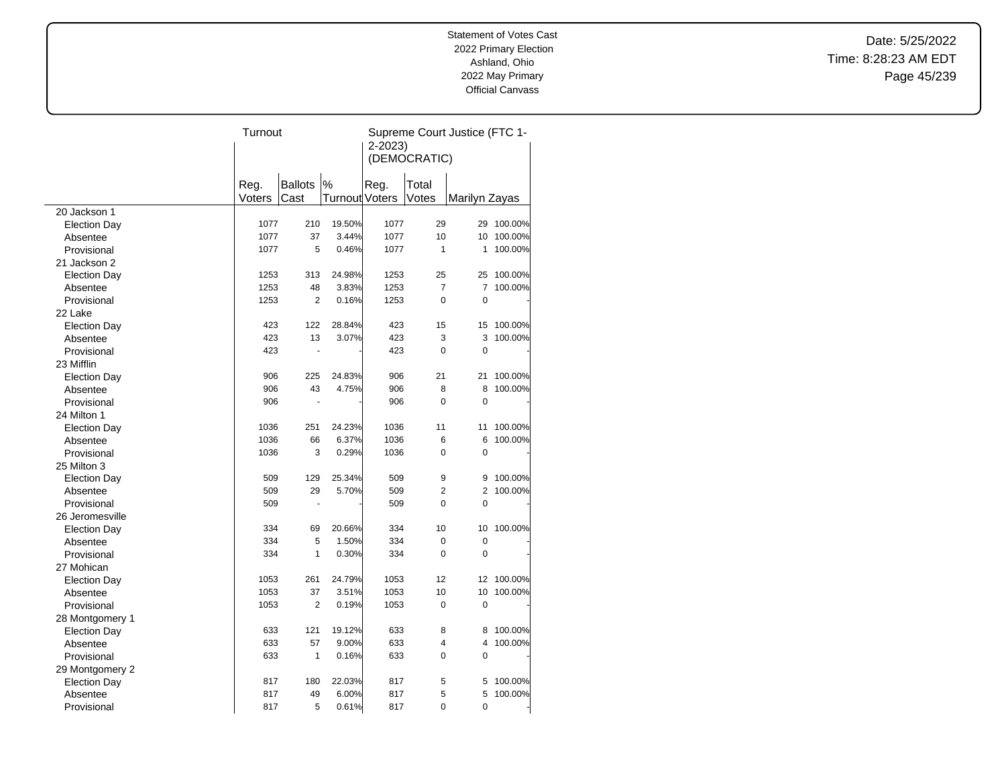Date: 5/25/2022 Time: 8:28:23 AM EDT Page 45/239

|                     | Turnout |                |                | Supreme Court Justice (FTC 1- |                |                |         |  |
|---------------------|---------|----------------|----------------|-------------------------------|----------------|----------------|---------|--|
|                     |         |                |                | $2 - 2023$                    |                |                |         |  |
|                     |         |                |                | (DEMOCRATIC)                  |                |                |         |  |
|                     |         |                |                |                               |                |                |         |  |
|                     | Reg.    | <b>Ballots</b> | %              | Reg.                          | Total          |                |         |  |
|                     | Voters  | Cast           | Turnout Voters |                               | Votes          | Marilyn Zayas  |         |  |
| 20 Jackson 1        |         |                |                |                               |                |                |         |  |
| <b>Election Day</b> | 1077    | 210            | 19.50%         | 1077                          | 29             | 29             | 100.00% |  |
| Absentee            | 1077    | 37             | 3.44%          | 1077                          | 10             | 10             | 100.00% |  |
| Provisional         | 1077    | 5              | 0.46%          | 1077                          | 1              | 1              | 100.00% |  |
| 21 Jackson 2        |         |                |                |                               |                |                |         |  |
| <b>Election Day</b> | 1253    | 313            | 24.98%         | 1253                          | 25             | 25             | 100.00% |  |
| Absentee            | 1253    | 48             | 3.83%          | 1253                          | $\overline{7}$ | 7              | 100.00% |  |
| Provisional         | 1253    | 2              | 0.16%          | 1253                          | $\mathbf 0$    | 0              |         |  |
| 22 Lake             |         |                |                |                               |                |                |         |  |
| <b>Election Day</b> | 423     | 122            | 28.84%         | 423                           | 15             | 15             | 100.00% |  |
| Absentee            | 423     | 13             | 3.07%          | 423                           | 3              | 3              | 100.00% |  |
| Provisional         | 423     | L.             |                | 423                           | $\mathbf 0$    | $\mathbf 0$    |         |  |
| 23 Mifflin          |         |                |                |                               |                |                |         |  |
| <b>Election Day</b> | 906     | 225            | 24.83%         | 906                           | 21             | 21             | 100.00% |  |
| Absentee            | 906     | 43             | 4.75%          | 906                           | 8              | 8              | 100.00% |  |
| Provisional         | 906     | ä,             |                | 906                           | $\Omega$       | 0              |         |  |
| 24 Milton 1         |         |                |                |                               |                |                |         |  |
| <b>Election Day</b> | 1036    | 251            | 24.23%         | 1036                          | 11             | 11             | 100.00% |  |
| Absentee            | 1036    | 66             | 6.37%          | 1036                          | 6              | 6              | 100.00% |  |
| Provisional         | 1036    | 3              | 0.29%          | 1036                          | $\mathbf 0$    | 0              |         |  |
| 25 Milton 3         |         |                |                |                               |                |                |         |  |
| <b>Election Day</b> | 509     | 129            | 25.34%         | 509                           | 9              | 9              | 100.00% |  |
| Absentee            | 509     | 29             | 5.70%          | 509                           | $\overline{2}$ | $\overline{2}$ | 100.00% |  |
| Provisional         | 509     | ÷              |                | 509                           | 0              | 0              |         |  |
| 26 Jeromesville     |         |                |                |                               |                |                |         |  |
| <b>Election Day</b> | 334     | 69             | 20.66%         | 334                           | 10             | 10             | 100.00% |  |
| Absentee            | 334     | 5              | 1.50%          | 334                           | $\mathbf 0$    | 0              |         |  |
| Provisional         | 334     | 1              | 0.30%          | 334                           | $\mathbf 0$    | $\overline{0}$ |         |  |
| 27 Mohican          |         |                |                |                               |                |                |         |  |
| <b>Election Day</b> | 1053    | 261            | 24.79%         | 1053                          | 12             | 12             | 100.00% |  |
| Absentee            | 1053    | 37             | 3.51%          | 1053                          | 10             | 10             | 100.00% |  |
| Provisional         | 1053    | $\overline{2}$ | 0.19%          | 1053                          | $\mathbf 0$    | $\mathbf 0$    |         |  |
| 28 Montgomery 1     |         |                |                |                               |                |                |         |  |
| <b>Election Day</b> | 633     | 121            | 19.12%         | 633                           | 8              | 8              | 100.00% |  |
| Absentee            | 633     | 57             | 9.00%          | 633                           | $\overline{4}$ | 4              | 100.00% |  |
| Provisional         | 633     | $\mathbf{1}$   | 0.16%          | 633                           | $\Omega$       | $\mathbf 0$    |         |  |
| 29 Montgomery 2     |         |                |                |                               |                |                |         |  |
| <b>Election Day</b> | 817     | 180            | 22.03%         | 817                           | 5              | 5              | 100.00% |  |
| Absentee            | 817     | 49             | 6.00%          | 817                           | 5              | 5              | 100.00% |  |
| Provisional         | 817     | 5              | 0.61%          | 817                           | 0              | 0              |         |  |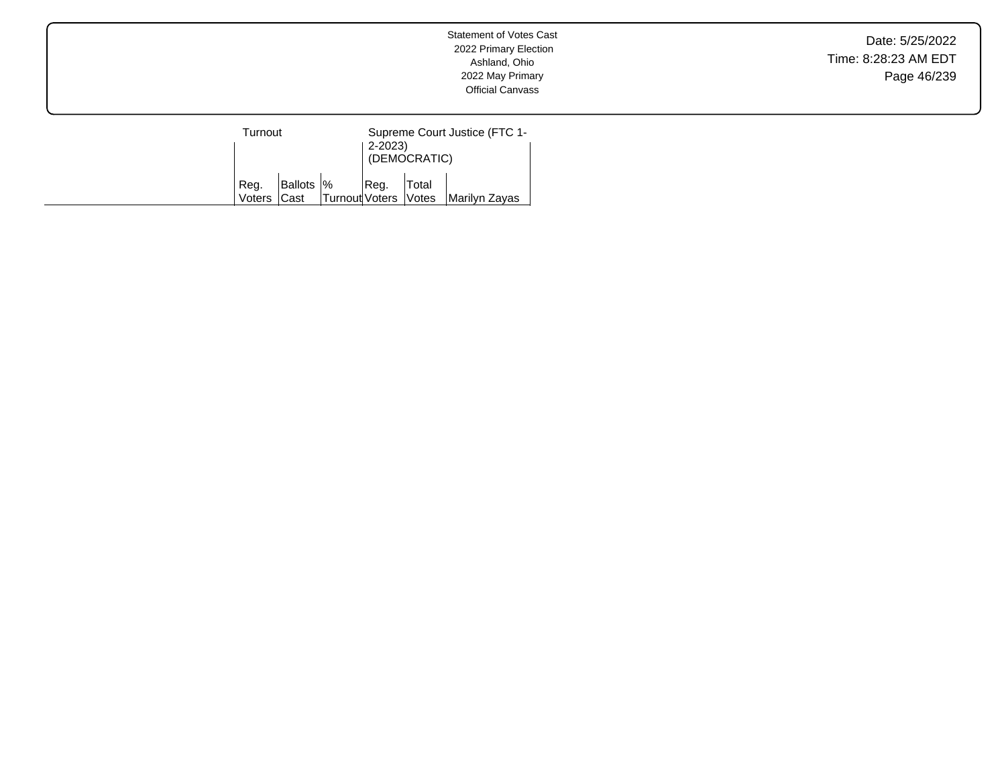Date: 5/25/2022 Time: 8:28:23 AM EDT Page 46/239

| Turnout |             |                      | Supreme Court Justice (FTC 1-<br>2-2023) |        |               |  |
|---------|-------------|----------------------|------------------------------------------|--------|---------------|--|
|         |             |                      | (DEMOCRATIC)                             |        |               |  |
| Reg.    | Ballots  %  |                      | Req.                                     | 'Total |               |  |
| Voters  | <b>Cast</b> | Turnout Voters Votes |                                          |        | Marilyn Zavas |  |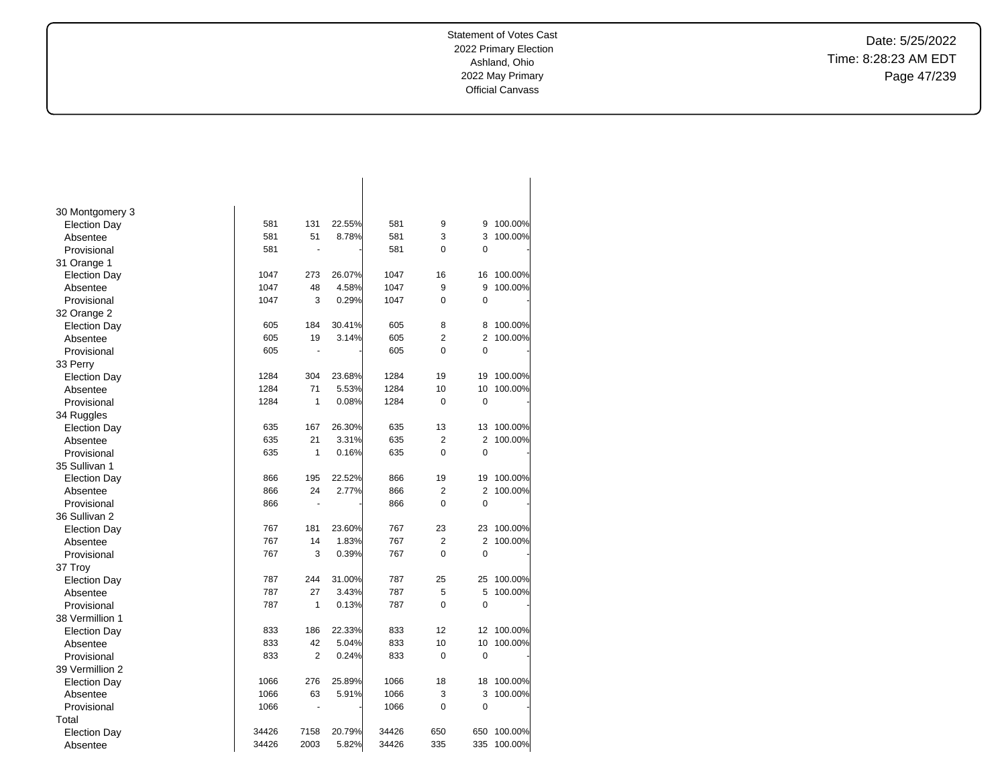Date: 5/25/2022 Time: 8:28:23 AM EDT Page 47/239

| 30 Montgomery 3     |       |                |        |       |                |                |         |
|---------------------|-------|----------------|--------|-------|----------------|----------------|---------|
| <b>Election Day</b> | 581   | 131            | 22.55% | 581   | 9              | 9              | 100.00% |
| Absentee            | 581   | 51             | 8.78%  | 581   | 3              | 3              | 100.00% |
| Provisional         | 581   | ä,             |        | 581   | 0              | 0              |         |
| 31 Orange 1         |       |                |        |       |                |                |         |
| <b>Election Day</b> | 1047  | 273            | 26.07% | 1047  | 16             | 16             | 100.00% |
| Absentee            | 1047  | 48             | 4.58%  | 1047  | 9              | 9              | 100.00% |
| Provisional         | 1047  | 3              | 0.29%  | 1047  | 0              | $\mathbf 0$    |         |
| 32 Orange 2         |       |                |        |       |                |                |         |
| <b>Election Day</b> | 605   | 184            | 30.41% | 605   | 8              | 8              | 100.00% |
| Absentee            | 605   | 19             | 3.14%  | 605   | $\overline{2}$ | $\overline{2}$ | 100.00% |
| Provisional         | 605   | ä,             |        | 605   | 0              | $\mathbf 0$    |         |
| 33 Perry            |       |                |        |       |                |                |         |
| <b>Election Day</b> | 1284  | 304            | 23.68% | 1284  | 19             | 19             | 100.00% |
| Absentee            | 1284  | 71             | 5.53%  | 1284  | 10             | 10             | 100.00% |
| Provisional         | 1284  | 1              | 0.08%  | 1284  | 0              | $\mathbf 0$    |         |
| 34 Ruggles          |       |                |        |       |                |                |         |
| <b>Election Day</b> | 635   | 167            | 26.30% | 635   | 13             | 13             | 100.00% |
| Absentee            | 635   | 21             | 3.31%  | 635   | $\overline{2}$ | $\overline{2}$ | 100.00% |
| Provisional         | 635   | 1              | 0.16%  | 635   | 0              | $\mathbf 0$    |         |
| 35 Sullivan 1       |       |                |        |       |                |                |         |
| <b>Election Day</b> | 866   | 195            | 22.52% | 866   | 19             | 19             | 100.00% |
| Absentee            | 866   | 24             | 2.77%  | 866   | $\overline{2}$ | 2              | 100.00% |
| Provisional         | 866   | $\blacksquare$ |        | 866   | $\overline{0}$ | $\mathbf 0$    |         |
| 36 Sullivan 2       |       |                |        |       |                |                |         |
| <b>Election Day</b> | 767   | 181            | 23.60% | 767   | 23             | 23             | 100.00% |
| Absentee            | 767   | 14             | 1.83%  | 767   | $\overline{2}$ | 2              | 100.00% |
| Provisional         | 767   | 3              | 0.39%  | 767   | 0              | $\mathbf 0$    |         |
| 37 Troy             |       |                |        |       |                |                |         |
| <b>Election Day</b> | 787   | 244            | 31.00% | 787   | 25             | 25             | 100.00% |
| Absentee            | 787   | 27             | 3.43%  | 787   | 5              | 5              | 100.00% |
| Provisional         | 787   | 1              | 0.13%  | 787   | 0              | $\mathbf 0$    |         |
| 38 Vermillion 1     |       |                |        |       |                |                |         |
| <b>Election Day</b> | 833   | 186            | 22.33% | 833   | 12             | 12             | 100.00% |
| Absentee            | 833   | 42             | 5.04%  | 833   | 10             | 10             | 100.00% |
| Provisional         | 833   | $\overline{2}$ | 0.24%  | 833   | 0              | $\mathbf 0$    |         |
| 39 Vermillion 2     |       |                |        |       |                |                |         |
| <b>Election Day</b> | 1066  | 276            | 25.89% | 1066  | 18             | 18             | 100.00% |
| Absentee            | 1066  | 63             | 5.91%  | 1066  | 3              | 3              | 100.00% |
| Provisional         | 1066  | $\blacksquare$ |        | 1066  | 0              | $\mathbf 0$    |         |
| Total               |       |                |        |       |                |                |         |
| <b>Election Day</b> | 34426 | 7158           | 20.79% | 34426 | 650            | 650            | 100.00% |
| Absentee            | 34426 | 2003           | 5.82%  | 34426 | 335            | 335            | 100.00% |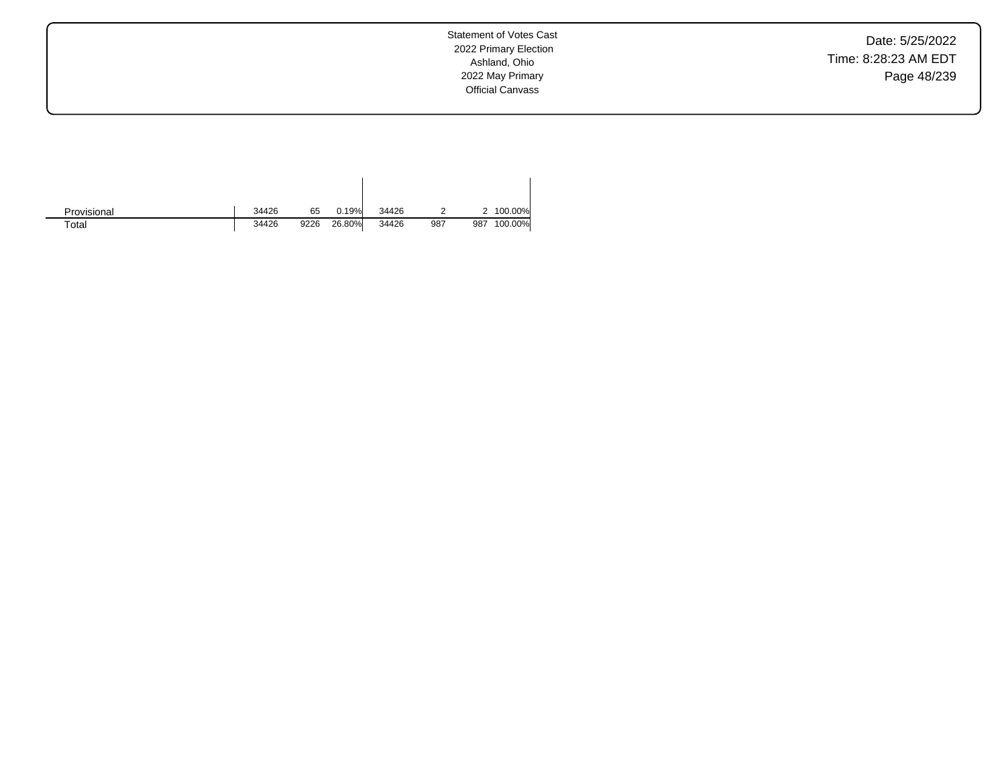Date: 5/25/2022 Time: 8:28:23 AM EDT Page 48/239

Statement of Votes Cast 2022 Primary Election Ashland, Ohio 2022 May Primary Official Canvass

| Provisional | 34426 | 65   | 0.19%  | 34426 |     |     | 2 100.00% |
|-------------|-------|------|--------|-------|-----|-----|-----------|
| $\tau$ otal | 34426 | 9226 | 26.80% | 34426 | 987 | 987 | 100.00%   |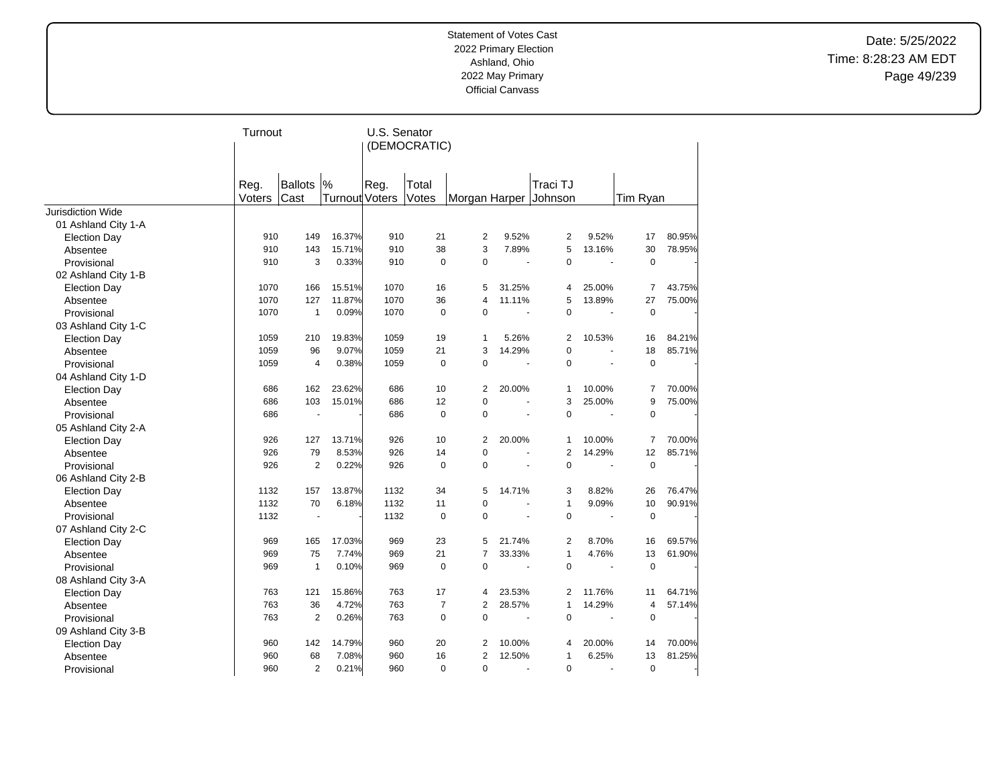Date: 5/25/2022 Time: 8:28:23 AM EDT Page 49/239

|                          | Turnout |                          |                       | U.S. Senator | (DEMOCRATIC)   |                |        |                       |                |                |        |
|--------------------------|---------|--------------------------|-----------------------|--------------|----------------|----------------|--------|-----------------------|----------------|----------------|--------|
|                          | Reg.    | Ballots                  | %                     | Reg.         | Total          |                |        | Traci TJ              |                |                |        |
|                          | Voters  | Cast                     | <b>Turnout Voters</b> |              | Votes          |                |        | Morgan Harper Johnson |                | Tim Ryan       |        |
| <b>Jurisdiction Wide</b> |         |                          |                       |              |                |                |        |                       |                |                |        |
| 01 Ashland City 1-A      |         |                          |                       |              |                |                |        |                       |                |                |        |
| <b>Election Day</b>      | 910     | 149                      | 16.37%                | 910          | 21             | $\overline{2}$ | 9.52%  | 2                     | 9.52%          | 17             | 80.95% |
| Absentee                 | 910     | 143                      | 15.71%                | 910          | 38             | 3              | 7.89%  | 5                     | 13.16%         | 30             | 78.95% |
| Provisional              | 910     | 3                        | 0.33%                 | 910          | $\mathbf 0$    | $\overline{0}$ | ÷,     | 0                     | $\overline{a}$ | $\pmb{0}$      |        |
| 02 Ashland City 1-B      |         |                          |                       |              |                |                |        |                       |                |                |        |
| <b>Election Day</b>      | 1070    | 166                      | 15.51%                | 1070         | 16             | 5              | 31.25% | 4                     | 25.00%         | $\overline{7}$ | 43.75% |
| Absentee                 | 1070    | 127                      | 11.87%                | 1070         | 36             | $\overline{4}$ | 11.11% | 5                     | 13.89%         | 27             | 75.00% |
| Provisional              | 1070    | $\mathbf{1}$             | 0.09%                 | 1070         | $\mathbf 0$    | 0              | ÷,     | 0                     | $\sim$         | 0              |        |
| 03 Ashland City 1-C      |         |                          |                       |              |                |                |        |                       |                |                |        |
| <b>Election Day</b>      | 1059    | 210                      | 19.83%                | 1059         | 19             | 1              | 5.26%  | 2                     | 10.53%         | 16             | 84.21% |
| Absentee                 | 1059    | 96                       | 9.07%                 | 1059         | 21             | 3              | 14.29% | 0                     | ÷,             | 18             | 85.71% |
| Provisional              | 1059    | $\overline{4}$           | 0.38%                 | 1059         | $\mathbf 0$    | 0              | ä,     | 0                     | ä,             | $\mathbf 0$    |        |
| 04 Ashland City 1-D      |         |                          |                       |              |                |                |        |                       |                |                |        |
| <b>Election Day</b>      | 686     | 162                      | 23.62%                | 686          | 10             | 2              | 20.00% | 1                     | 10.00%         | 7              | 70.00% |
| Absentee                 | 686     | 103                      | 15.01%                | 686          | 12             | 0              | ÷.     | 3                     | 25.00%         | 9              | 75.00% |
| Provisional              | 686     |                          |                       | 686          | $\mathbf 0$    | $\Omega$       |        | 0                     |                | $\mathbf 0$    |        |
| 05 Ashland City 2-A      |         |                          |                       |              |                |                |        |                       |                |                |        |
| <b>Election Day</b>      | 926     | 127                      | 13.71%                | 926          | 10             | 2              | 20.00% | 1                     | 10.00%         | 7              | 70.00% |
| Absentee                 | 926     | 79                       | 8.53%                 | 926          | 14             | $\Omega$       | ä,     | $\overline{2}$        | 14.29%         | 12             | 85.71% |
| Provisional              | 926     | $\overline{2}$           | 0.22%                 | 926          | $\mathbf 0$    | 0              |        | 0                     |                | $\pmb{0}$      |        |
| 06 Ashland City 2-B      |         |                          |                       |              |                |                |        |                       |                |                |        |
| <b>Election Day</b>      | 1132    | 157                      | 13.87%                | 1132         | 34             | 5              | 14.71% | 3                     | 8.82%          | 26             | 76.47% |
| Absentee                 | 1132    | 70                       | 6.18%                 | 1132         | 11             | $\Omega$       | ä,     | $\mathbf{1}$          | 9.09%          | 10             | 90.91% |
| Provisional              | 1132    | $\overline{\phantom{a}}$ |                       | 1132         | $\Omega$       | $\Omega$       |        | $\Omega$              |                | $\mathbf 0$    |        |
| 07 Ashland City 2-C      |         |                          |                       |              |                |                |        |                       |                |                |        |
| <b>Election Day</b>      | 969     | 165                      | 17.03%                | 969          | 23             | 5              | 21.74% | 2                     | 8.70%          | 16             | 69.57% |
| Absentee                 | 969     | 75                       | 7.74%                 | 969          | 21             | $\overline{7}$ | 33.33% | $\mathbf{1}$          | 4.76%          | 13             | 61.90% |
| Provisional              | 969     | 1                        | 0.10%                 | 969          | $\mathbf 0$    | 0              |        | 0                     |                | $\pmb{0}$      |        |
| 08 Ashland City 3-A      |         |                          |                       |              |                |                |        |                       |                |                |        |
| <b>Election Day</b>      | 763     | 121                      | 15.86%                | 763          | 17             | 4              | 23.53% | 2                     | 11.76%         | 11             | 64.71% |
| Absentee                 | 763     | 36                       | 4.72%                 | 763          | $\overline{7}$ | $\overline{2}$ | 28.57% | $\mathbf{1}$          | 14.29%         | 4              | 57.14% |
| Provisional              | 763     | $\overline{2}$           | 0.26%                 | 763          | $\mathbf 0$    | 0              |        | 0                     |                | $\mathbf 0$    |        |
| 09 Ashland City 3-B      |         |                          |                       |              |                |                |        |                       |                |                |        |
| <b>Election Day</b>      | 960     | 142                      | 14.79%                | 960          | 20             | $\overline{2}$ | 10.00% | 4                     | 20.00%         | 14             | 70.00% |
| Absentee                 | 960     | 68                       | 7.08%                 | 960          | 16             | $\overline{2}$ | 12.50% | 1                     | 6.25%          | 13             | 81.25% |
| Provisional              | 960     | $\overline{2}$           | 0.21%                 | 960          | $\mathbf 0$    | 0              | ä,     | 0                     | ä,             | $\mathbf 0$    |        |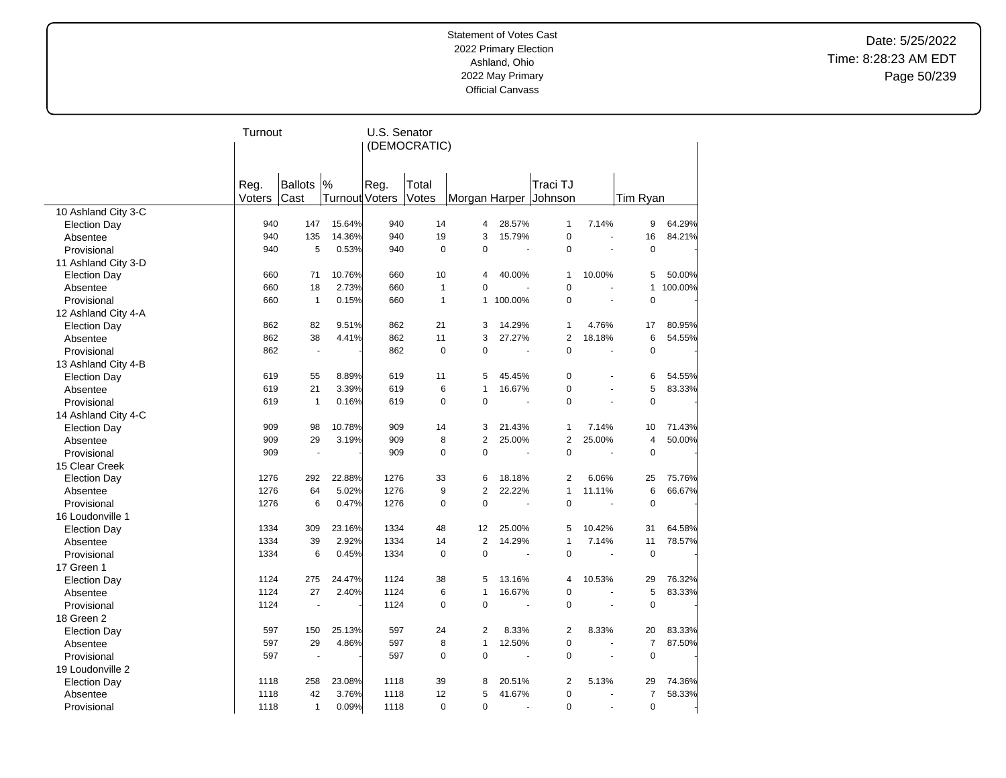Date: 5/25/2022 Time: 8:28:23 AM EDT Page 50/239

|                     | Turnout |                |                | U.S. Senator |                |                |                          |                       |                          |                |         |
|---------------------|---------|----------------|----------------|--------------|----------------|----------------|--------------------------|-----------------------|--------------------------|----------------|---------|
|                     |         |                |                |              | (DEMOCRATIC)   |                |                          |                       |                          |                |         |
|                     |         |                |                |              |                |                |                          |                       |                          |                |         |
|                     |         |                |                |              |                |                |                          |                       |                          |                |         |
|                     | Reg.    | <b>Ballots</b> | %              | Reg.         | Total          |                |                          | Traci TJ              |                          |                |         |
|                     | Voters  | Cast           | Turnout Voters |              | Votes          |                |                          | Morgan Harper Johnson |                          | Tim Ryan       |         |
| 10 Ashland City 3-C |         |                |                |              |                |                |                          |                       |                          |                |         |
| <b>Election Day</b> | 940     | 147            | 15.64%         | 940          | 14             | 4              | 28.57%                   | $\mathbf{1}$          | 7.14%                    | 9              | 64.29%  |
| Absentee            | 940     | 135            | 14.36%         | 940          | 19             | 3              | 15.79%                   | $\mathbf 0$           |                          | 16             | 84.21%  |
| Provisional         | 940     | 5              | 0.53%          | 940          | $\overline{0}$ | $\Omega$       | $\ddot{\phantom{a}}$     | $\Omega$              | $\overline{\phantom{a}}$ | $\mathbf 0$    |         |
| 11 Ashland City 3-D |         |                |                |              |                |                |                          |                       |                          |                |         |
| <b>Election Day</b> | 660     | 71             | 10.76%         | 660          | 10             | 4              | 40.00%                   | $\mathbf{1}$          | 10.00%                   | 5              | 50.00%  |
| Absentee            | 660     | 18             | 2.73%          | 660          | $\mathbf{1}$   | 0              |                          | $\mathbf 0$           |                          | $\mathbf{1}$   | 100.00% |
| Provisional         | 660     | $\mathbf{1}$   | 0.15%          | 660          | $\mathbf{1}$   | $\mathbf{1}$   | 100.00%                  | $\mathbf 0$           |                          | 0              |         |
| 12 Ashland City 4-A |         |                |                |              |                |                |                          |                       |                          |                |         |
| <b>Election Day</b> | 862     | 82             | 9.51%          | 862          | 21             | 3              | 14.29%                   | $\mathbf{1}$          | 4.76%                    | 17             | 80.95%  |
| Absentee            | 862     | 38             | 4.41%          | 862          | 11             | 3              | 27.27%                   | $\overline{2}$        | 18.18%                   | 6              | 54.55%  |
| Provisional         | 862     | ÷,             |                | 862          | $\mathbf 0$    | 0              | $\ddot{\phantom{a}}$     | $\mathbf 0$           | $\overline{\phantom{a}}$ | $\pmb{0}$      |         |
| 13 Ashland City 4-B |         |                |                |              |                |                |                          |                       |                          |                |         |
| <b>Election Day</b> | 619     | 55             | 8.89%          | 619          | 11             | 5              | 45.45%                   | $\mathbf 0$           |                          | 6              | 54.55%  |
| Absentee            | 619     | 21             | 3.39%          | 619          | 6              | 1              | 16.67%                   | $\mathbf 0$           |                          | 5              | 83.33%  |
| Provisional         | 619     | $\mathbf{1}$   | 0.16%          | 619          | $\mathbf 0$    | $\Omega$       | $\blacksquare$           | $\Omega$              |                          | $\mathbf 0$    |         |
| 14 Ashland City 4-C |         |                |                |              |                |                |                          |                       |                          |                |         |
| <b>Election Day</b> | 909     | 98             | 10.78%         | 909          | 14             | 3              | 21.43%                   | $\mathbf{1}$          | 7.14%                    | 10             | 71.43%  |
| Absentee            | 909     | 29             | 3.19%          | 909          | 8              | $\overline{2}$ | 25.00%                   | 2                     | 25.00%                   | $\overline{4}$ | 50.00%  |
| Provisional         | 909     | ä,             |                | 909          | $\Omega$       | $\Omega$       | $\ddot{\phantom{a}}$     | $\Omega$              | $\overline{\phantom{a}}$ | $\overline{0}$ |         |
| 15 Clear Creek      |         |                |                |              |                |                |                          |                       |                          |                |         |
| <b>Election Day</b> | 1276    | 292            | 22.88%         | 1276         | 33             | 6              | 18.18%                   | 2                     | 6.06%                    | 25             | 75.76%  |
| Absentee            | 1276    | 64             | 5.02%          | 1276         | 9              | $\overline{2}$ | 22.22%                   | $\mathbf{1}$          | 11.11%                   | 6              | 66.67%  |
| Provisional         | 1276    | 6              | 0.47%          | 1276         | $\overline{0}$ | $\Omega$       |                          | $\Omega$              |                          | $\mathbf 0$    |         |
| 16 Loudonville 1    |         |                |                |              |                |                |                          |                       |                          |                |         |
| <b>Election Day</b> | 1334    | 309            | 23.16%         | 1334         | 48             | 12             | 25.00%                   | 5                     | 10.42%                   | 31             | 64.58%  |
| Absentee            | 1334    | 39             | 2.92%          | 1334         | 14             | $\overline{2}$ | 14.29%                   | $\mathbf{1}$          | 7.14%                    | 11             | 78.57%  |
| Provisional         | 1334    | 6              | 0.45%          | 1334         | $\mathbf 0$    | $\mathbf 0$    |                          | $\mathbf 0$           |                          | $\pmb{0}$      |         |
| 17 Green 1          |         |                |                |              |                |                |                          |                       |                          |                |         |
| <b>Election Day</b> | 1124    | 275            | 24.47%         | 1124         | 38             | 5              | 13.16%                   | 4                     | 10.53%                   | 29             | 76.32%  |
| Absentee            | 1124    | 27             | 2.40%          | 1124         | 6              | $\overline{1}$ | 16.67%                   | $\mathbf 0$           |                          | 5              | 83.33%  |
| Provisional         | 1124    | Ĭ.             |                | 1124         | $\overline{0}$ | $\mathbf 0$    | ÷,                       | $\mathbf 0$           |                          | $\mathbf 0$    |         |
| 18 Green 2          |         |                |                |              |                |                |                          |                       |                          |                |         |
| <b>Election Day</b> | 597     | 150            | 25.13%         | 597          | 24             | $\overline{2}$ | 8.33%                    | 2                     | 8.33%                    | 20             | 83.33%  |
| Absentee            | 597     | 29             | 4.86%          | 597          | 8              | $\mathbf{1}$   | 12.50%                   | $\mathbf 0$           |                          | $\overline{7}$ | 87.50%  |
| Provisional         | 597     | ÷,             |                | 597          | 0              | $\mathbf 0$    | $\overline{\phantom{a}}$ | $\mathbf 0$           |                          | $\mathbf 0$    |         |
| 19 Loudonville 2    |         |                |                |              |                |                |                          |                       |                          |                |         |
| <b>Election Day</b> | 1118    | 258            | 23.08%         | 1118         | 39             | 8              | 20.51%                   | $\overline{2}$        | 5.13%                    | 29             | 74.36%  |
| Absentee            | 1118    | 42             | 3.76%          | 1118         | 12             | 5              | 41.67%                   | $\mathbf 0$           |                          | $\overline{7}$ | 58.33%  |
| Provisional         | 1118    | $\mathbf{1}$   | 0.09%          | 1118         | $\mathbf 0$    | $\Omega$       | ÷.                       | $\Omega$              | ÷.                       | $\mathbf 0$    |         |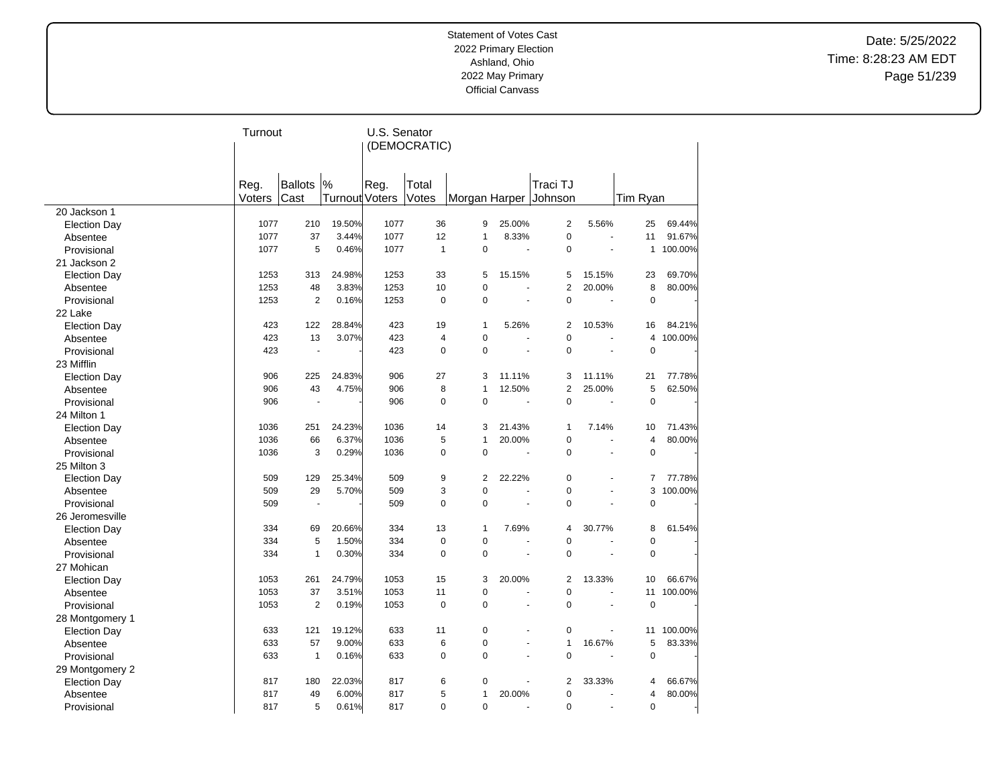Date: 5/25/2022 Time: 8:28:23 AM EDT Page 51/239

|                     | Turnout |                |                | U.S. Senator |                |                       |                          |                |                |                |           |
|---------------------|---------|----------------|----------------|--------------|----------------|-----------------------|--------------------------|----------------|----------------|----------------|-----------|
|                     |         |                |                |              | (DEMOCRATIC)   |                       |                          |                |                |                |           |
|                     |         |                |                |              |                |                       |                          |                |                |                |           |
|                     |         |                |                |              |                |                       |                          |                |                |                |           |
|                     | Reg.    | Ballots        | %              | Reg.         | Total          |                       |                          | Traci TJ       |                |                |           |
|                     | Voters  | Cast           | Turnout Voters |              | Votes          | Morgan Harper Johnson |                          |                |                | Tim Ryan       |           |
| 20 Jackson 1        |         |                |                |              |                |                       |                          |                |                |                |           |
| <b>Election Day</b> | 1077    | 210            | 19.50%         | 1077         | 36             | 9                     | 25.00%                   | $\overline{2}$ | 5.56%          | 25             | 69.44%    |
| Absentee            | 1077    | 37             | 3.44%          | 1077         | 12             | $\mathbf{1}$          | 8.33%                    | $\pmb{0}$      |                | 11             | 91.67%    |
| Provisional         | 1077    | 5              | 0.46%          | 1077         | $\mathbf{1}$   | $\Omega$              | $\overline{\phantom{a}}$ | $\Omega$       | ÷,             |                | 1 100.00% |
| 21 Jackson 2        |         |                |                |              |                |                       |                          |                |                |                |           |
| <b>Election Day</b> | 1253    | 313            | 24.98%         | 1253         | 33             | 5                     | 15.15%                   | 5              | 15.15%         | 23             | 69.70%    |
| Absentee            | 1253    | 48             | 3.83%          | 1253         | 10             | $\mathbf 0$           | $\overline{\phantom{a}}$ | $\overline{2}$ | 20.00%         | 8              | 80.00%    |
| Provisional         | 1253    | $\overline{2}$ | 0.16%          | 1253         | $\pmb{0}$      | $\mathbf 0$           | $\sim$                   | $\pmb{0}$      |                | $\pmb{0}$      |           |
| 22 Lake             |         |                |                |              |                |                       |                          |                |                |                |           |
| <b>Election Day</b> | 423     | 122            | 28.84%         | 423          | 19             | $\mathbf{1}$          | 5.26%                    | 2              | 10.53%         | 16             | 84.21%    |
| Absentee            | 423     | 13             | 3.07%          | 423          | 4              | $\mathbf 0$           |                          | $\overline{0}$ |                | 4              | 100.00%   |
| Provisional         | 423     | ä,             |                | 423          | 0              | $\mathbf 0$           | $\sim$                   | $\mathbf 0$    |                | $\mathbf 0$    |           |
| 23 Mifflin          |         |                |                |              |                |                       |                          |                |                |                |           |
| <b>Election Day</b> | 906     | 225            | 24.83%         | 906          | 27             | 3                     | 11.11%                   | 3              | 11.11%         | 21             | 77.78%    |
| Absentee            | 906     | 43             | 4.75%          | 906          | 8              | $\overline{1}$        | 12.50%                   | $\overline{2}$ | 25.00%         | 5              | 62.50%    |
| Provisional         | 906     | ÷              |                | 906          | $\mathbf 0$    | $\mathbf 0$           | $\blacksquare$           | $\mathbf 0$    |                | $\pmb{0}$      |           |
| 24 Milton 1         |         |                |                |              |                |                       |                          |                |                |                |           |
| <b>Election Day</b> | 1036    | 251            | 24.23%         | 1036         | 14             | 3                     | 21.43%                   | $\mathbf{1}$   | 7.14%          | 10             | 71.43%    |
| Absentee            | 1036    | 66             | 6.37%          | 1036         | 5              | $\overline{1}$        | 20.00%                   | $\mathbf 0$    |                | $\overline{4}$ | 80.00%    |
| Provisional         | 1036    | 3              | 0.29%          | 1036         | 0              | $\Omega$              | $\tilde{\phantom{a}}$    | $\Omega$       | ÷,             | $\mathbf 0$    |           |
| 25 Milton 3         |         |                |                |              |                |                       |                          |                |                |                |           |
| <b>Election Day</b> | 509     | 129            | 25.34%         | 509          | 9              | $\overline{2}$        | 22.22%                   | $\mathbf 0$    |                | 7              | 77.78%    |
| Absentee            | 509     | 29             | 5.70%          | 509          | 3              | $\mathbf 0$           |                          | $\pmb{0}$      |                | 3              | 100.00%   |
| Provisional         | 509     | ÷.             |                | 509          | $\Omega$       | $\mathbf 0$           | $\overline{a}$           | $\mathbf 0$    |                | $\mathbf 0$    |           |
| 26 Jeromesville     |         |                |                |              |                |                       |                          |                |                |                |           |
| <b>Election Day</b> | 334     | 69             | 20.66%         | 334          | 13             | $\mathbf{1}$          | 7.69%                    | 4              | 30.77%         | 8              | 61.54%    |
| Absentee            | 334     | 5              | 1.50%          | 334          | $\pmb{0}$      | $\mathbf 0$           |                          | $\overline{0}$ |                | $\pmb{0}$      |           |
| Provisional         | 334     | $\mathbf{1}$   | 0.30%          | 334          | $\overline{0}$ | $\mathbf 0$           | $\tilde{\phantom{a}}$    | $\overline{0}$ |                | $\mathbf 0$    |           |
| 27 Mohican          |         |                |                |              |                |                       |                          |                |                |                |           |
| <b>Election Day</b> | 1053    | 261            | 24.79%         | 1053         | 15             | 3                     | 20.00%                   | 2              | 13.33%         | 10             | 66.67%    |
| Absentee            | 1053    | 37             | 3.51%          | 1053         | 11             | $\mathbf 0$           |                          | $\mathbf 0$    |                | 11             | 100.00%   |
| Provisional         | 1053    | $\overline{2}$ | 0.19%          | 1053         | $\mathbf 0$    | $\mathbf 0$           | $\tilde{\phantom{a}}$    | $\mathbf 0$    |                | $\mathbf 0$    |           |
| 28 Montgomery 1     |         |                |                |              |                |                       |                          |                |                |                |           |
| <b>Election Day</b> | 633     | 121            | 19.12%         | 633          | 11             | $\mathbf 0$           |                          | $\mathbf 0$    |                | 11             | 100.00%   |
| Absentee            | 633     | 57             | 9.00%          | 633          | 6              | $\mathbf 0$           | $\tilde{\phantom{a}}$    | $\mathbf{1}$   | 16.67%         | 5              | 83.33%    |
| Provisional         | 633     | $\mathbf{1}$   | 0.16%          | 633          | 0              | $\mathbf 0$           | $\sim$                   | $\mathbf 0$    | ä,             | $\mathbf 0$    |           |
| 29 Montgomery 2     |         |                |                |              |                |                       |                          |                |                |                |           |
| <b>Election Day</b> | 817     | 180            | 22.03%         | 817          | 6              | $\mathbf 0$           |                          | $\overline{2}$ | 33.33%         | 4              | 66.67%    |
| Absentee            | 817     | 49             | 6.00%          | 817          | 5              | $\overline{1}$        | 20.00%                   | 0              |                | 4              | 80.00%    |
| Provisional         | 817     | 5              | 0.61%          | 817          | 0              | $\mathbf 0$           |                          | $\Omega$       | $\blacksquare$ | $\mathbf 0$    |           |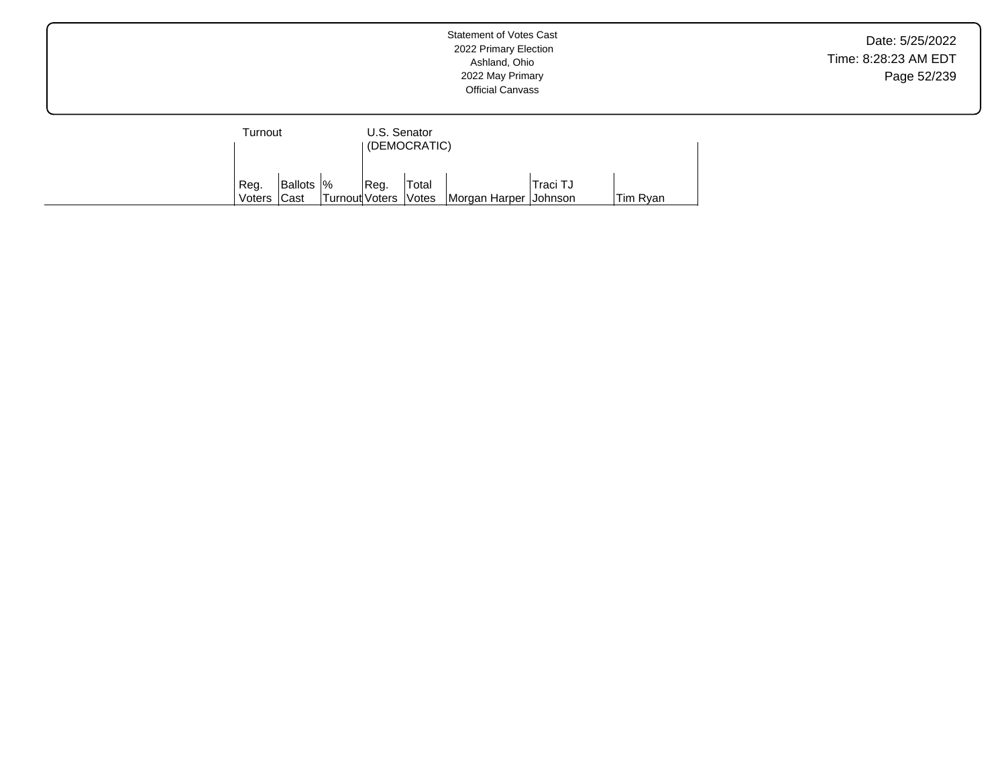| Turnout          |                     |                        | U.S. Senator | (DEMOCRATIC) |                         |          |          |
|------------------|---------------------|------------------------|--------------|--------------|-------------------------|----------|----------|
| ' Reg.<br>Voters | Ballots  %<br> Cast | Turnout Voters   Votes | Reg.         | Total        | Morgan Harper   Johnson | Traci TJ | Tim Ryan |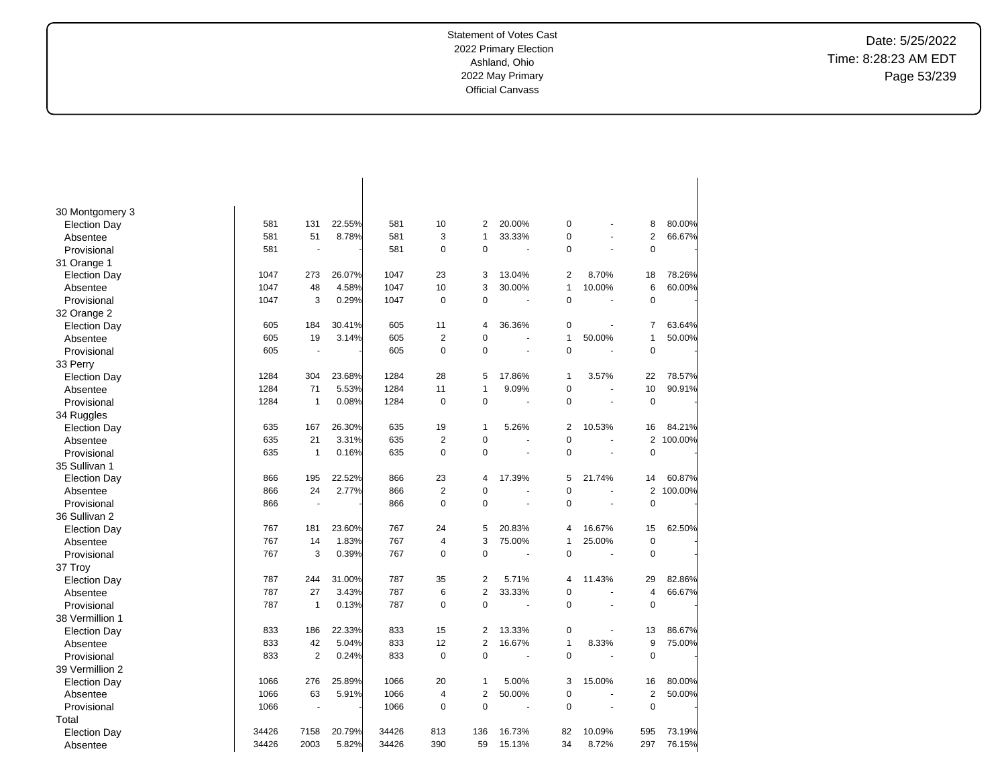Date: 5/25/2022 Time: 8:28:23 AM EDT Page 53/239

| 30 Montgomery 3     |       |                          |        |       |                |                |                |                |                |                |         |
|---------------------|-------|--------------------------|--------|-------|----------------|----------------|----------------|----------------|----------------|----------------|---------|
| <b>Election Day</b> | 581   | 131                      | 22.55% | 581   | 10             | $\overline{2}$ | 20.00%         | 0              |                | 8              | 80.00%  |
| Absentee            | 581   | 51                       | 8.78%  | 581   | 3              | $\overline{1}$ | 33.33%         | 0              |                | $\overline{2}$ | 66.67%  |
| Provisional         | 581   | ÷,                       |        | 581   | $\mathbf 0$    | $\mathbf 0$    | ÷,             | 0              |                | $\pmb{0}$      |         |
| 31 Orange 1         |       |                          |        |       |                |                |                |                |                |                |         |
| <b>Election Day</b> | 1047  | 273                      | 26.07% | 1047  | 23             | 3              | 13.04%         | $\overline{2}$ | 8.70%          | 18             | 78.26%  |
| Absentee            | 1047  | 48                       | 4.58%  | 1047  | 10             | 3              | 30.00%         | $\mathbf{1}$   | 10.00%         | 6              | 60.00%  |
| Provisional         | 1047  | 3                        | 0.29%  | 1047  | $\pmb{0}$      | $\mathbf 0$    | ÷,             | 0              |                | $\mathbf 0$    |         |
| 32 Orange 2         |       |                          |        |       |                |                |                |                |                |                |         |
| <b>Election Day</b> | 605   | 184                      | 30.41% | 605   | 11             | $\overline{4}$ | 36.36%         | 0              |                | $\overline{7}$ | 63.64%  |
| Absentee            | 605   | 19                       | 3.14%  | 605   | $\overline{2}$ | $\mathbf 0$    | ÷,             | 1              | 50.00%         | $\mathbf{1}$   | 50.00%  |
| Provisional         | 605   | $\overline{\phantom{a}}$ |        | 605   | $\mathbf 0$    | $\mathbf 0$    | ÷              | $\mathbf 0$    |                | $\mathbf 0$    |         |
| 33 Perry            |       |                          |        |       |                |                |                |                |                |                |         |
| <b>Election Day</b> | 1284  | 304                      | 23.68% | 1284  | 28             | 5              | 17.86%         | 1              | 3.57%          | 22             | 78.57%  |
| Absentee            | 1284  | 71                       | 5.53%  | 1284  | 11             | $\overline{1}$ | 9.09%          | 0              |                | 10             | 90.91%  |
| Provisional         | 1284  | $\mathbf{1}$             | 0.08%  | 1284  | $\pmb{0}$      | $\mathbf 0$    | $\blacksquare$ | 0              | ÷,             | $\pmb{0}$      |         |
| 34 Ruggles          |       |                          |        |       |                |                |                |                |                |                |         |
| <b>Election Day</b> | 635   | 167                      | 26.30% | 635   | 19             | $\mathbf{1}$   | 5.26%          | $\overline{2}$ | 10.53%         | 16             | 84.21%  |
| Absentee            | 635   | 21                       | 3.31%  | 635   | $\overline{2}$ | $\mathbf 0$    | ÷.             | 0              | $\overline{a}$ | $\mathbf{2}$   | 100.00% |
| Provisional         | 635   | $\mathbf{1}$             | 0.16%  | 635   | $\pmb{0}$      | $\mathbf 0$    |                | 0              |                | $\pmb{0}$      |         |
| 35 Sullivan 1       |       |                          |        |       |                |                |                |                |                |                |         |
| <b>Election Day</b> | 866   | 195                      | 22.52% | 866   | 23             | $\overline{4}$ | 17.39%         | 5              | 21.74%         | 14             | 60.87%  |
| Absentee            | 866   | 24                       | 2.77%  | 866   | $\overline{2}$ | $\mathbf 0$    | ÷.             | 0              |                | $\overline{2}$ | 100.00% |
| Provisional         | 866   | ÷                        |        | 866   | $\mathbf 0$    | $\Omega$       | ÷.             | $\Omega$       |                | $\mathbf 0$    |         |
| 36 Sullivan 2       |       |                          |        |       |                |                |                |                |                |                |         |
| <b>Election Day</b> | 767   | 181                      | 23.60% | 767   | 24             | 5              | 20.83%         | 4              | 16.67%         | 15             | 62.50%  |
| Absentee            | 767   | 14                       | 1.83%  | 767   | $\overline{4}$ | 3              | 75.00%         | 1              | 25.00%         | $\pmb{0}$      |         |
| Provisional         | 767   | 3                        | 0.39%  | 767   | $\mathbf 0$    | $\Omega$       | ÷,             | $\Omega$       | ÷,             | $\mathbf 0$    |         |
| 37 Troy             |       |                          |        |       |                |                |                |                |                |                |         |
| <b>Election Day</b> | 787   | 244                      | 31.00% | 787   | 35             | $\overline{2}$ | 5.71%          | 4              | 11.43%         | 29             | 82.86%  |
| Absentee            | 787   | 27                       | 3.43%  | 787   | 6              | $\overline{2}$ | 33.33%         | 0              |                | $\overline{4}$ | 66.67%  |
| Provisional         | 787   | $\mathbf{1}$             | 0.13%  | 787   | $\pmb{0}$      | $\mathbf 0$    |                | 0              |                | $\pmb{0}$      |         |
| 38 Vermillion 1     |       |                          |        |       |                |                |                |                |                |                |         |
| <b>Election Day</b> | 833   | 186                      | 22.33% | 833   | 15             | $\overline{2}$ | 13.33%         | 0              |                | 13             | 86.67%  |
| Absentee            | 833   | 42                       | 5.04%  | 833   | 12             | $\overline{2}$ | 16.67%         | 1              | 8.33%          | 9              | 75.00%  |
| Provisional         | 833   | $\overline{2}$           | 0.24%  | 833   | $\mathbf 0$    | $\mathbf 0$    | ÷,             | 0              | ÷.             | $\mathbf 0$    |         |
| 39 Vermillion 2     |       |                          |        |       |                |                |                |                |                |                |         |
| <b>Election Day</b> | 1066  | 276                      | 25.89% | 1066  | 20             | $\mathbf{1}$   | 5.00%          | 3              | 15.00%         | 16             | 80.00%  |
| Absentee            | 1066  | 63                       | 5.91%  | 1066  | $\overline{4}$ | $\overline{2}$ | 50.00%         | 0              |                | $\overline{2}$ | 50.00%  |
| Provisional         | 1066  |                          |        | 1066  | $\mathbf 0$    | $\Omega$       | ÷.             | $\Omega$       |                | $\mathbf 0$    |         |
| Total               |       |                          |        |       |                |                |                |                |                |                |         |
| <b>Election Day</b> | 34426 | 7158                     | 20.79% | 34426 | 813            | 136            | 16.73%         | 82             | 10.09%         | 595            | 73.19%  |
| Absentee            | 34426 | 2003                     | 5.82%  | 34426 | 390            | 59             | 15.13%         | 34             | 8.72%          | 297            | 76.15%  |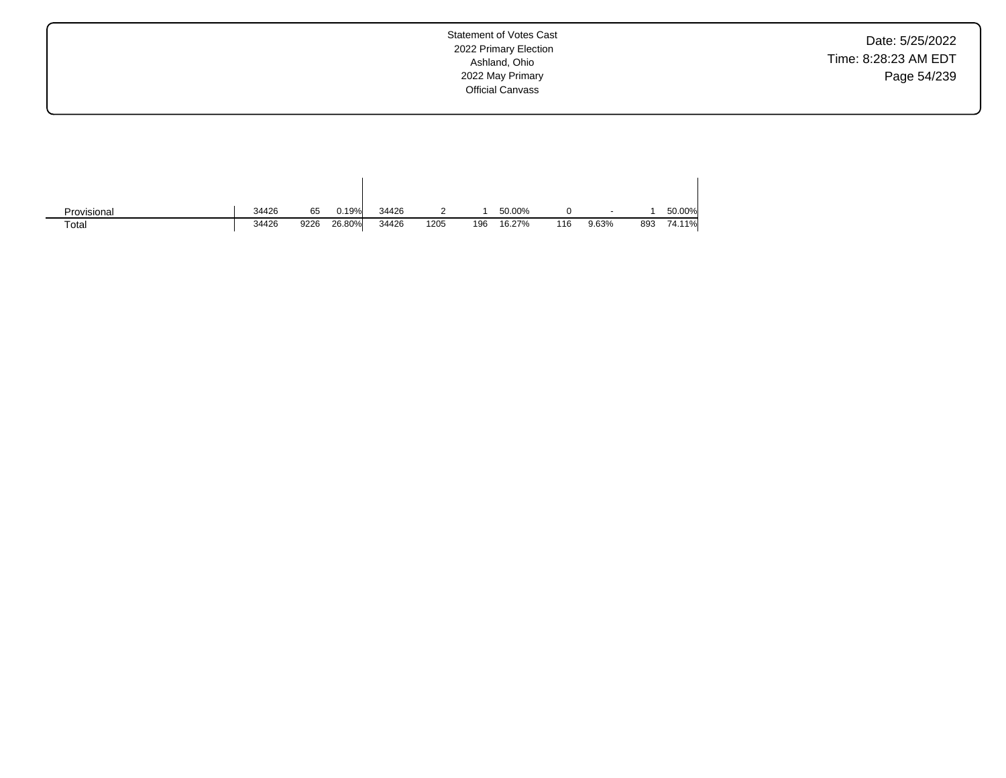Date: 5/25/2022 Time: 8:28:23 AM EDT Page 54/239

Statement of Votes Cast 2022 Primary Election Ashland, Ohio 2022 May Primary Official Canvass

| Provisional | 34426 | 65   | 0.19%  | 34426 |      |     | 50.00% |     | $\sim$ |     | 50.00% |
|-------------|-------|------|--------|-------|------|-----|--------|-----|--------|-----|--------|
| Total       | 34426 | 9226 | 26.80% | 34426 | 1205 | 196 | 16.27% | 116 | 9.63%  | 893 | 74.11% |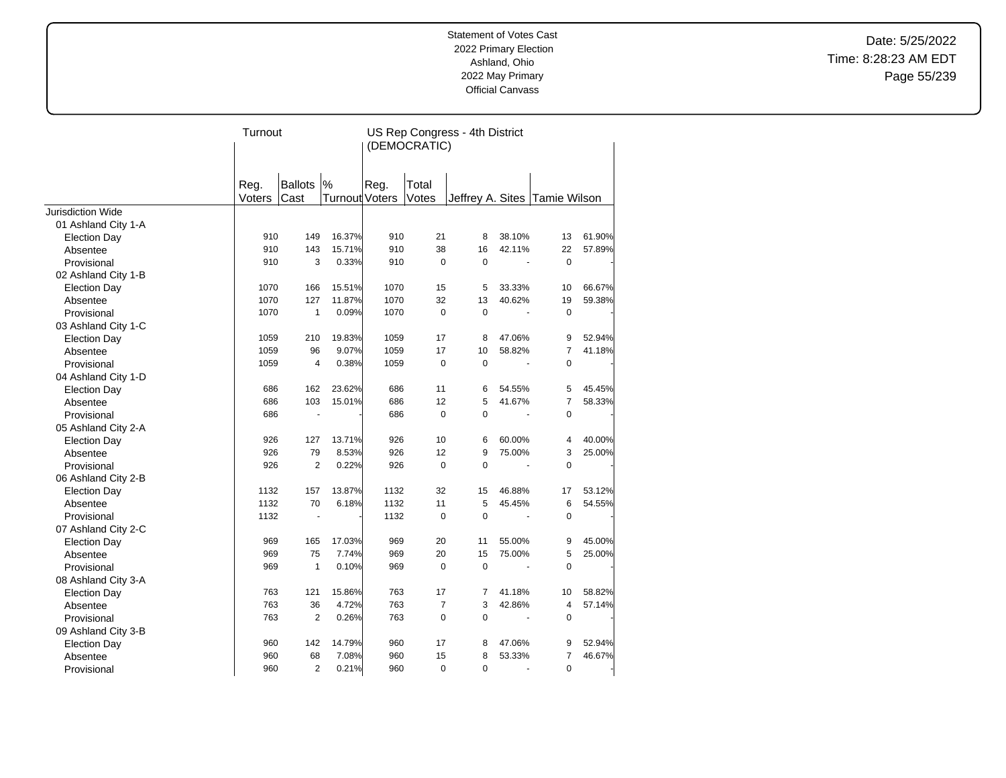Date: 5/25/2022 Time: 8:28:23 AM EDT Page 55/239

|                          | Turnout |                |                       |      |                | US Rep Congress - 4th District |        |                |        |
|--------------------------|---------|----------------|-----------------------|------|----------------|--------------------------------|--------|----------------|--------|
|                          |         |                |                       |      | (DEMOCRATIC)   |                                |        |                |        |
|                          |         |                |                       |      |                |                                |        |                |        |
|                          |         |                |                       |      |                |                                |        |                |        |
|                          | Reg.    | Ballots  %     |                       | Reg. | Total          |                                |        |                |        |
|                          | Voters  | Cast           | <b>Turnout Voters</b> |      | Votes          | Jeffrey A. Sites Tamie Wilson  |        |                |        |
| <b>Jurisdiction Wide</b> |         |                |                       |      |                |                                |        |                |        |
| 01 Ashland City 1-A      |         |                |                       |      |                |                                |        |                |        |
| <b>Election Day</b>      | 910     | 149            | 16.37%                | 910  | 21             | 8                              | 38.10% | 13             | 61.90% |
| Absentee                 | 910     | 143            | 15.71%                | 910  | 38             | 16                             | 42.11% | 22             | 57.89% |
| Provisional              | 910     | 3              | 0.33%                 | 910  | $\mathbf 0$    | $\mathbf 0$                    |        | $\mathbf 0$    |        |
| 02 Ashland City 1-B      |         |                |                       |      |                |                                |        |                |        |
| <b>Election Day</b>      | 1070    | 166            | 15.51%                | 1070 | 15             | 5                              | 33.33% | 10             | 66.67% |
| Absentee                 | 1070    | 127            | 11.87%                | 1070 | 32             | 13                             | 40.62% | 19             | 59.38% |
| Provisional              | 1070    | $\mathbf{1}$   | 0.09%                 | 1070 | $\mathbf 0$    | $\mathbf 0$                    |        | $\mathbf 0$    |        |
| 03 Ashland City 1-C      |         |                |                       |      |                |                                |        |                |        |
| <b>Election Day</b>      | 1059    | 210            | 19.83%                | 1059 | 17             | 8                              | 47.06% | 9              | 52.94% |
| Absentee                 | 1059    | 96             | 9.07%                 | 1059 | 17             | 10                             | 58.82% | $\overline{7}$ | 41.18% |
| Provisional              | 1059    | $\overline{4}$ | 0.38%                 | 1059 | 0              | $\mathbf 0$                    |        | 0              |        |
| 04 Ashland City 1-D      |         |                |                       |      |                |                                |        |                |        |
| <b>Election Day</b>      | 686     | 162            | 23.62%                | 686  | 11             | 6                              | 54.55% | 5              | 45.45% |
| Absentee                 | 686     | 103            | 15.01%                | 686  | 12             | 5                              | 41.67% | 7              | 58.33% |
| Provisional              | 686     | $\blacksquare$ |                       | 686  | $\mathbf 0$    | $\Omega$                       | ä,     | $\mathbf 0$    |        |
| 05 Ashland City 2-A      |         |                |                       |      |                |                                |        |                |        |
| <b>Election Day</b>      | 926     | 127            | 13.71%                | 926  | 10             | 6                              | 60.00% | 4              | 40.00% |
| Absentee                 | 926     | 79             | 8.53%                 | 926  | 12             | 9                              | 75.00% | 3              | 25.00% |
| Provisional              | 926     | $\overline{2}$ | 0.22%                 | 926  | $\mathbf 0$    | 0                              |        | $\mathbf 0$    |        |
| 06 Ashland City 2-B      |         |                |                       |      |                |                                |        |                |        |
| <b>Election Day</b>      | 1132    | 157            | 13.87%                | 1132 | 32             | 15                             | 46.88% | 17             | 53.12% |
| Absentee                 | 1132    | 70             | 6.18%                 | 1132 | 11             | 5                              | 45.45% | 6              | 54.55% |
| Provisional              | 1132    | ä,             |                       | 1132 | $\mathbf 0$    | $\mathbf 0$                    |        | $\pmb{0}$      |        |
| 07 Ashland City 2-C      |         |                |                       |      |                |                                |        |                |        |
| <b>Election Day</b>      | 969     | 165            | 17.03%                | 969  | 20             | 11                             | 55.00% | 9              | 45.00% |
| Absentee                 | 969     | 75             | 7.74%                 | 969  | 20             | 15                             | 75.00% | 5              | 25.00% |
| Provisional              | 969     | $\mathbf{1}$   | 0.10%                 | 969  | 0              | $\mathbf 0$                    |        | $\mathbf 0$    |        |
| 08 Ashland City 3-A      |         |                |                       |      |                |                                |        |                |        |
| <b>Election Day</b>      | 763     | 121            | 15.86%                | 763  | 17             | 7                              | 41.18% | 10             | 58.82% |
| Absentee                 | 763     | 36             | 4.72%                 | 763  | $\overline{7}$ | 3                              | 42.86% | $\overline{4}$ | 57.14% |
| Provisional              | 763     | $\overline{2}$ | 0.26%                 | 763  | $\pmb{0}$      | 0                              | L.     | $\mathbf 0$    |        |
| 09 Ashland City 3-B      |         |                |                       |      |                |                                |        |                |        |
| <b>Election Day</b>      | 960     | 142            | 14.79%                | 960  | 17             | 8                              | 47.06% | 9              | 52.94% |
| Absentee                 | 960     | 68             | 7.08%                 | 960  | 15             | 8                              | 53.33% | 7              | 46.67% |
| Provisional              | 960     | $\overline{2}$ | 0.21%                 | 960  | $\mathbf 0$    | 0                              | ÷,     | $\pmb{0}$      |        |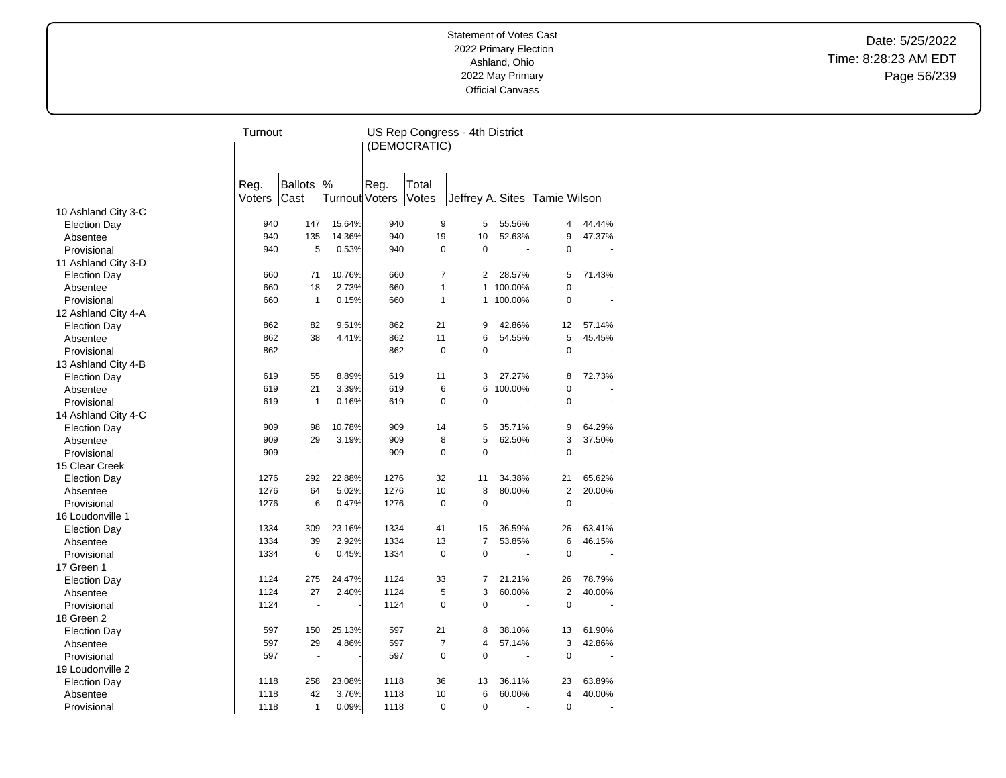Date: 5/25/2022 Time: 8:28:23 AM EDT Page 56/239

|                     | Turnout |                          |                |      |                | US Rep Congress - 4th District |                          |                                 |        |
|---------------------|---------|--------------------------|----------------|------|----------------|--------------------------------|--------------------------|---------------------------------|--------|
|                     |         |                          |                |      | (DEMOCRATIC)   |                                |                          |                                 |        |
|                     |         |                          |                |      |                |                                |                          |                                 |        |
|                     |         |                          |                |      |                |                                |                          |                                 |        |
|                     | Reg.    | <b>Ballots</b>           | $\frac{9}{6}$  | Reg. | Total          |                                |                          |                                 |        |
|                     | Voters  | Cast                     | Turnout Voters |      | Votes          |                                |                          | Jeffrey A. Sites   Tamie Wilson |        |
| 10 Ashland City 3-C |         |                          |                |      |                |                                |                          |                                 |        |
| <b>Election Day</b> | 940     | 147                      | 15.64%         | 940  | 9              | 5                              | 55.56%                   | 4                               | 44.44% |
| Absentee            | 940     | 135                      | 14.36%         | 940  | 19             | 10                             | 52.63%                   | 9                               | 47.37% |
| Provisional         | 940     | 5                        | 0.53%          | 940  | $\mathbf 0$    | 0                              | $\overline{\phantom{a}}$ | $\mathbf 0$                     |        |
| 11 Ashland City 3-D |         |                          |                |      |                |                                |                          |                                 |        |
| <b>Election Day</b> | 660     | 71                       | 10.76%         | 660  | $\overline{7}$ | 2                              | 28.57%                   | 5                               | 71.43% |
| Absentee            | 660     | 18                       | 2.73%          | 660  | $\mathbf{1}$   | $\mathbf{1}$                   | 100.00%                  | $\overline{0}$                  |        |
| Provisional         | 660     | $\mathbf{1}$             | 0.15%          | 660  | $\mathbf{1}$   | $\mathbf{1}$                   | 100.00%                  | $\pmb{0}$                       |        |
| 12 Ashland City 4-A |         |                          |                |      |                |                                |                          |                                 |        |
| <b>Election Day</b> | 862     | 82                       | 9.51%          | 862  | 21             | 9                              | 42.86%                   | 12                              | 57.14% |
| Absentee            | 862     | 38                       | 4.41%          | 862  | 11             | 6                              | 54.55%                   | 5                               | 45.45% |
| Provisional         | 862     | $\overline{\phantom{a}}$ |                | 862  | $\mathbf 0$    | 0                              | ÷,                       | $\mathbf 0$                     |        |
| 13 Ashland City 4-B |         |                          |                |      |                |                                |                          |                                 |        |
| <b>Election Day</b> | 619     | 55                       | 8.89%          | 619  | 11             | 3                              | 27.27%                   | 8                               | 72.73% |
| Absentee            | 619     | 21                       | 3.39%          | 619  | 6              | 6                              | 100.00%                  | 0                               |        |
| Provisional         | 619     | $\mathbf{1}$             | 0.16%          | 619  | $\Omega$       | $\Omega$                       |                          | $\mathbf 0$                     |        |
| 14 Ashland City 4-C |         |                          |                |      |                |                                |                          |                                 |        |
| <b>Election Day</b> | 909     | 98                       | 10.78%         | 909  | 14             | 5                              | 35.71%                   | 9                               | 64.29% |
| Absentee            | 909     | 29                       | 3.19%          | 909  | 8              | 5                              | 62.50%                   | 3                               | 37.50% |
| Provisional         | 909     | $\blacksquare$           |                | 909  | $\mathbf 0$    | 0                              |                          | $\mathbf 0$                     |        |
| 15 Clear Creek      |         |                          |                |      |                |                                |                          |                                 |        |
| <b>Election Day</b> | 1276    | 292                      | 22.88%         | 1276 | 32             | 11                             | 34.38%                   | 21                              | 65.62% |
| Absentee            | 1276    | 64                       | 5.02%          | 1276 | 10             | 8                              | 80.00%                   | $\overline{2}$                  | 20.00% |
| Provisional         | 1276    | 6                        | 0.47%          | 1276 | $\mathbf 0$    | 0                              |                          | $\mathbf 0$                     |        |
| 16 Loudonville 1    |         |                          |                |      |                |                                |                          |                                 |        |
| <b>Election Day</b> | 1334    | 309                      | 23.16%         | 1334 | 41             | 15                             | 36.59%                   | 26                              | 63.41% |
| Absentee            | 1334    | 39                       | 2.92%          | 1334 | 13             | $\overline{7}$                 | 53.85%                   | 6                               | 46.15% |
| Provisional         | 1334    | 6                        | 0.45%          | 1334 | $\mathbf 0$    | 0                              |                          | $\mathbf 0$                     |        |
| 17 Green 1          |         |                          |                |      |                |                                |                          |                                 |        |
| <b>Election Day</b> | 1124    | 275                      | 24.47%         | 1124 | 33             | $\overline{7}$                 | 21.21%                   | 26                              | 78.79% |
| Absentee            | 1124    | 27                       | 2.40%          | 1124 | 5              | 3                              | 60.00%                   | $\overline{2}$                  | 40.00% |
| Provisional         | 1124    | L.                       |                | 1124 | $\mathbf 0$    | 0                              |                          | $\pmb{0}$                       |        |
| 18 Green 2          |         |                          |                |      |                |                                |                          |                                 |        |
| <b>Election Day</b> | 597     | 150                      | 25.13%         | 597  | 21             | 8                              | 38.10%                   | 13                              | 61.90% |
| Absentee            | 597     | 29                       | 4.86%          | 597  | $\overline{7}$ | 4                              | 57.14%                   | 3                               | 42.86% |
| Provisional         | 597     | ÷,                       |                | 597  | $\mathbf 0$    | 0                              |                          | $\mathbf 0$                     |        |
| 19 Loudonville 2    |         |                          |                |      |                |                                |                          |                                 |        |
| <b>Election Day</b> | 1118    | 258                      | 23.08%         | 1118 | 36             | 13                             | 36.11%                   | 23                              | 63.89% |
| Absentee            | 1118    | 42                       | 3.76%          | 1118 | 10             | 6                              | 60.00%                   | 4                               | 40.00% |
| Provisional         | 1118    | $\mathbf{1}$             | 0.09%          | 1118 | $\mathbf 0$    | 0                              |                          | 0                               |        |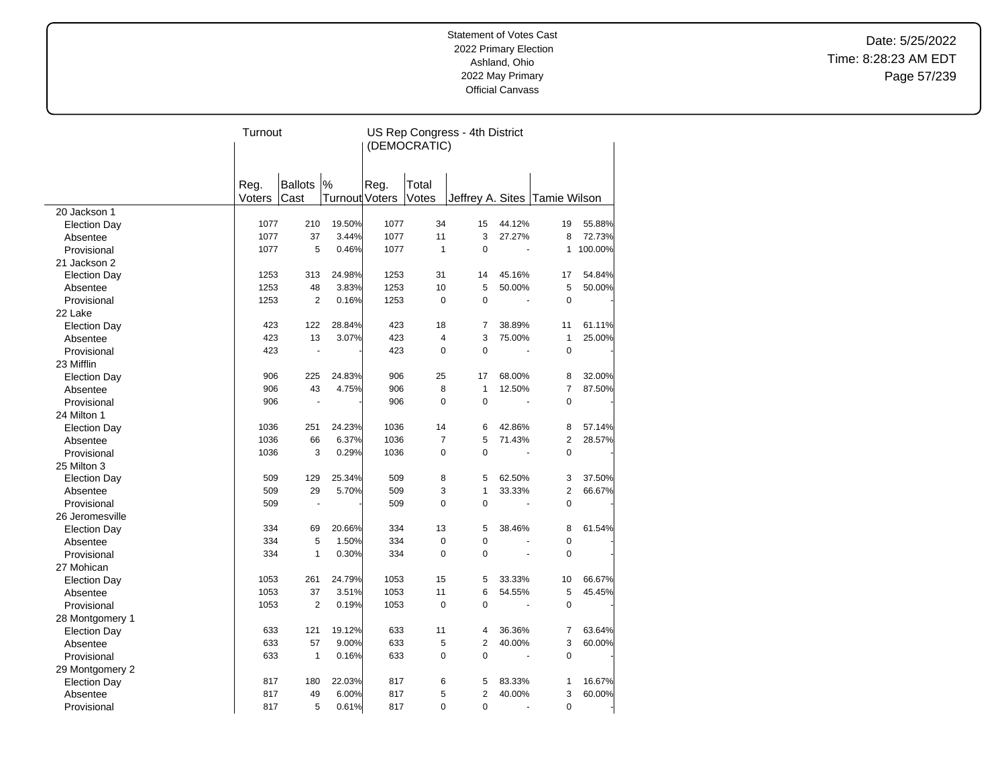Date: 5/25/2022 Time: 8:28:23 AM EDT Page 57/239

|                     | Turnout |                |                       |      |                | US Rep Congress - 4th District |                       |                |         |
|---------------------|---------|----------------|-----------------------|------|----------------|--------------------------------|-----------------------|----------------|---------|
|                     |         |                |                       |      | (DEMOCRATIC)   |                                |                       |                |         |
|                     |         |                |                       |      |                |                                |                       |                |         |
|                     |         |                |                       |      |                |                                |                       |                |         |
|                     | Reg.    | <b>Ballots</b> | $\frac{9}{6}$         | Reg. | Total          |                                |                       |                |         |
|                     | Voters  | Cast           | <b>Turnout Voters</b> |      | Votes          | Jeffrey A. Sites Tamie Wilson  |                       |                |         |
| 20 Jackson 1        |         |                |                       |      |                |                                |                       |                |         |
| <b>Election Day</b> | 1077    | 210            | 19.50%                | 1077 | 34             | 15                             | 44.12%                | 19             | 55.88%  |
| Absentee            | 1077    | 37             | 3.44%                 | 1077 | 11             | 3                              | 27.27%                | 8              | 72.73%  |
| Provisional         | 1077    | 5              | 0.46%                 | 1077 | $\mathbf{1}$   | 0                              | $\tilde{\phantom{a}}$ | $\mathbf{1}$   | 100.00% |
| 21 Jackson 2        |         |                |                       |      |                |                                |                       |                |         |
| <b>Election Day</b> | 1253    | 313            | 24.98%                | 1253 | 31             | 14                             | 45.16%                | 17             | 54.84%  |
| Absentee            | 1253    | 48             | 3.83%                 | 1253 | 10             | 5                              | 50.00%                | 5              | 50.00%  |
| Provisional         | 1253    | $\overline{2}$ | 0.16%                 | 1253 | $\mathbf 0$    | 0                              |                       | $\mathbf 0$    |         |
| 22 Lake             |         |                |                       |      |                |                                |                       |                |         |
| <b>Election Day</b> | 423     | 122            | 28.84%                | 423  | 18             | 7                              | 38.89%                | 11             | 61.11%  |
| Absentee            | 423     | 13             | 3.07%                 | 423  | $\overline{4}$ | 3                              | 75.00%                | $\mathbf{1}$   | 25.00%  |
| Provisional         | 423     | Ĭ.             |                       | 423  | $\mathbf 0$    | 0                              | ÷,                    | $\pmb{0}$      |         |
| 23 Mifflin          |         |                |                       |      |                |                                |                       |                |         |
| <b>Election Day</b> | 906     | 225            | 24.83%                | 906  | 25             | 17                             | 68.00%                | 8              | 32.00%  |
| Absentee            | 906     | 43             | 4.75%                 | 906  | 8              | $\mathbf{1}$                   | 12.50%                | $\overline{7}$ | 87.50%  |
| Provisional         | 906     | ÷,             |                       | 906  | $\mathbf 0$    | 0                              |                       | $\pmb{0}$      |         |
| 24 Milton 1         |         |                |                       |      |                |                                |                       |                |         |
| <b>Election Day</b> | 1036    | 251            | 24.23%                | 1036 | 14             | 6                              | 42.86%                | 8              | 57.14%  |
| Absentee            | 1036    | 66             | 6.37%                 | 1036 | $\overline{7}$ | 5                              | 71.43%                | $\overline{2}$ | 28.57%  |
| Provisional         | 1036    | 3              | 0.29%                 | 1036 | $\mathbf 0$    | 0                              |                       | $\pmb{0}$      |         |
| 25 Milton 3         |         |                |                       |      |                |                                |                       |                |         |
| <b>Election Day</b> | 509     | 129            | 25.34%                | 509  | 8              | 5                              | 62.50%                | 3              | 37.50%  |
| Absentee            | 509     | 29             | 5.70%                 | 509  | 3              | $\mathbf{1}$                   | 33.33%                | $\overline{2}$ | 66.67%  |
| Provisional         | 509     | ÷.             |                       | 509  | $\mathbf 0$    | 0                              |                       | $\mathbf 0$    |         |
| 26 Jeromesville     |         |                |                       |      |                |                                |                       |                |         |
| <b>Election Day</b> | 334     | 69             | 20.66%                | 334  | 13             | 5                              | 38.46%                | 8              | 61.54%  |
| Absentee            | 334     | 5              | 1.50%                 | 334  | $\pmb{0}$      | 0                              |                       | 0              |         |
| Provisional         | 334     | $\mathbf{1}$   | 0.30%                 | 334  | $\Omega$       | 0                              | ä,                    | $\mathbf 0$    |         |
| 27 Mohican          |         |                |                       |      |                |                                |                       |                |         |
| <b>Election Day</b> | 1053    | 261            | 24.79%                | 1053 | 15             | 5                              | 33.33%                | 10             | 66.67%  |
| Absentee            | 1053    | 37             | 3.51%                 | 1053 | 11             | 6                              | 54.55%                | 5              | 45.45%  |
| Provisional         | 1053    | $\overline{2}$ | 0.19%                 | 1053 | $\mathbf 0$    | $\Omega$                       |                       | $\mathbf 0$    |         |
| 28 Montgomery 1     |         |                |                       |      |                |                                |                       |                |         |
| <b>Election Day</b> | 633     | 121            | 19.12%                | 633  | 11             | 4                              | 36.36%                | 7              | 63.64%  |
| Absentee            | 633     | 57             | 9.00%                 | 633  | 5              | $\overline{2}$                 | 40.00%                | 3              | 60.00%  |
| Provisional         | 633     | $\mathbf{1}$   | 0.16%                 | 633  | $\mathbf 0$    | 0                              |                       | $\mathbf 0$    |         |
| 29 Montgomery 2     |         |                |                       |      |                |                                |                       |                |         |
| <b>Election Day</b> | 817     | 180            | 22.03%                | 817  | 6              | 5                              | 83.33%                | 1              | 16.67%  |
| Absentee            | 817     | 49             | 6.00%                 | 817  | 5              | $\overline{2}$                 | 40.00%                | 3              | 60.00%  |
| Provisional         | 817     | 5              | 0.61%                 | 817  | $\Omega$       | $\Omega$                       |                       | $\mathbf 0$    |         |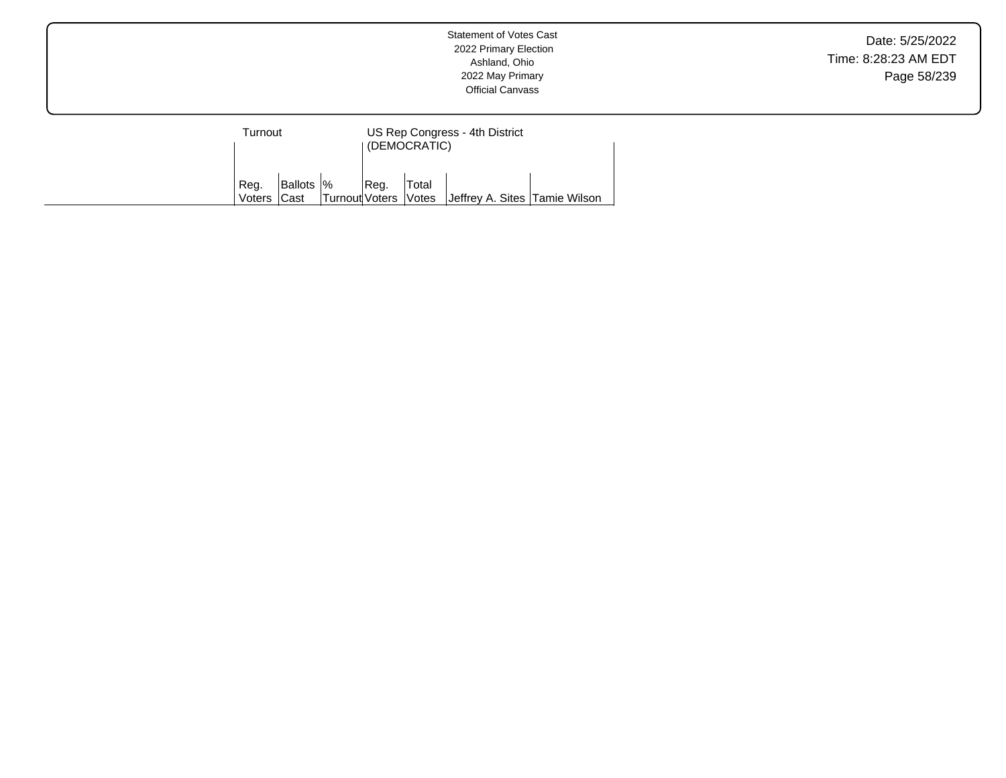Date: 5/25/2022 Time: 8:28:23 AM EDT Page 58/239

| Turnout        |                     | (DEMOCRATIC)         | US Rep Congress - 4th District |       |                               |  |
|----------------|---------------------|----------------------|--------------------------------|-------|-------------------------------|--|
| Reg.<br>Voters | Ballots  %<br>∣Cast | Turnout Voters Votes | Req.                           | Total | Jeffrey A. Sites Tamie Wilson |  |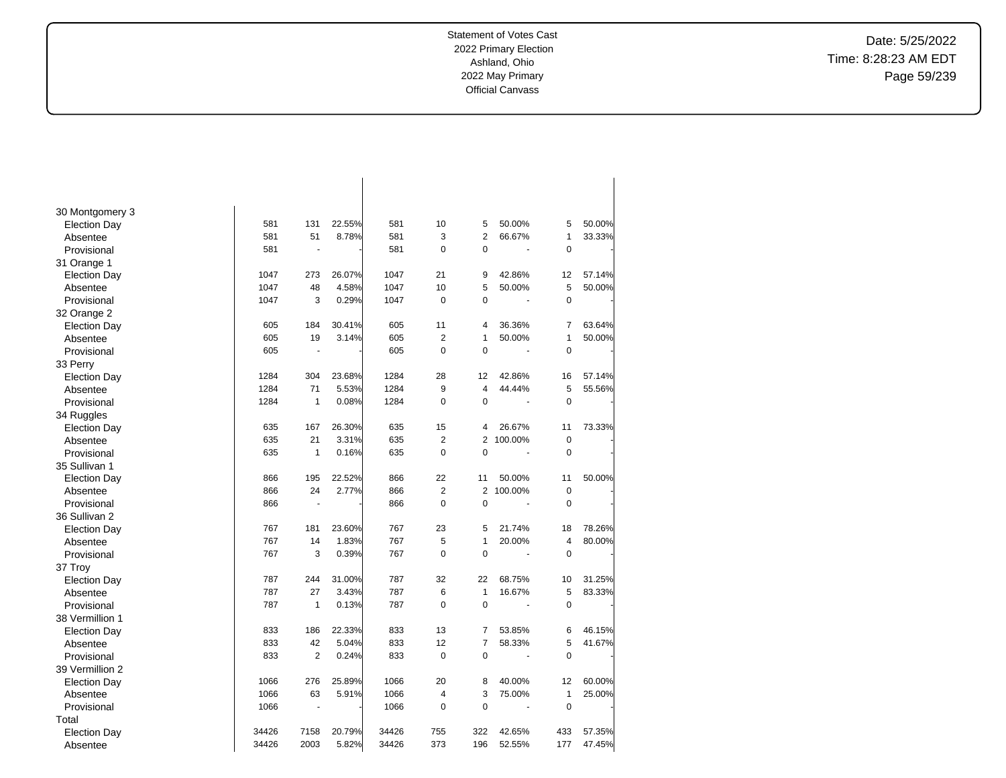$\overline{\phantom{a}}$ 

Date: 5/25/2022 Time: 8:28:23 AM EDT Page 59/239

| 30 Montgomery 3     |       |                |        |       |                |                |         |                |        |
|---------------------|-------|----------------|--------|-------|----------------|----------------|---------|----------------|--------|
| <b>Election Day</b> | 581   | 131            | 22.55% | 581   | 10             | 5              | 50.00%  | 5              | 50.00% |
| Absentee            | 581   | 51             | 8.78%  | 581   | 3              | $\overline{2}$ | 66.67%  | $\mathbf{1}$   | 33.33% |
| Provisional         | 581   | ä,             |        | 581   | 0              | $\mathbf 0$    | Ĭ.      | $\mathbf 0$    |        |
| 31 Orange 1         |       |                |        |       |                |                |         |                |        |
| <b>Election Day</b> | 1047  | 273            | 26.07% | 1047  | 21             | 9              | 42.86%  | 12             | 57.14% |
| Absentee            | 1047  | 48             | 4.58%  | 1047  | 10             | 5              | 50.00%  | 5              | 50.00% |
| Provisional         | 1047  | 3              | 0.29%  | 1047  | $\mathbf 0$    | $\mathbf 0$    |         | $\mathbf 0$    |        |
| 32 Orange 2         |       |                |        |       |                |                |         |                |        |
| <b>Election Day</b> | 605   | 184            | 30.41% | 605   | 11             | $\overline{4}$ | 36.36%  | $\overline{7}$ | 63.64% |
| Absentee            | 605   | 19             | 3.14%  | 605   | $\overline{2}$ | $\mathbf{1}$   | 50.00%  | $\mathbf{1}$   | 50.00% |
| Provisional         | 605   | L,             |        | 605   | $\mathbf 0$    | $\mathbf 0$    |         | $\mathbf 0$    |        |
| 33 Perry            |       |                |        |       |                |                |         |                |        |
| <b>Election Day</b> | 1284  | 304            | 23.68% | 1284  | 28             | 12             | 42.86%  | 16             | 57.14% |
| Absentee            | 1284  | 71             | 5.53%  | 1284  | 9              | 4              | 44.44%  | 5              | 55.56% |
| Provisional         | 1284  | $\mathbf{1}$   | 0.08%  | 1284  | $\mathbf 0$    | $\mathbf 0$    | Ĭ.      | $\mathbf 0$    |        |
| 34 Ruggles          |       |                |        |       |                |                |         |                |        |
| <b>Election Day</b> | 635   | 167            | 26.30% | 635   | 15             | 4              | 26.67%  | 11             | 73.33% |
| Absentee            | 635   | 21             | 3.31%  | 635   | $\overline{2}$ | $\overline{2}$ | 100.00% | $\mathbf 0$    |        |
| Provisional         | 635   | $\mathbf{1}$   | 0.16%  | 635   | $\mathbf 0$    | $\mathbf 0$    |         | $\mathbf 0$    |        |
| 35 Sullivan 1       |       |                |        |       |                |                |         |                |        |
| <b>Election Day</b> | 866   | 195            | 22.52% | 866   | 22             | 11             | 50.00%  | 11             | 50.00% |
| Absentee            | 866   | 24             | 2.77%  | 866   | $\overline{2}$ | $\overline{2}$ | 100.00% | 0              |        |
| Provisional         | 866   |                |        | 866   | $\mathbf 0$    | $\mathbf 0$    |         | 0              |        |
| 36 Sullivan 2       |       |                |        |       |                |                |         |                |        |
| <b>Election Day</b> | 767   | 181            | 23.60% | 767   | 23             | 5              | 21.74%  | 18             | 78.26% |
| Absentee            | 767   | 14             | 1.83%  | 767   | 5              | $\mathbf{1}$   | 20.00%  | $\overline{4}$ | 80.00% |
| Provisional         | 767   | 3              | 0.39%  | 767   | $\mathbf 0$    | $\mathbf 0$    |         | $\mathbf 0$    |        |
| 37 Troy             |       |                |        |       |                |                |         |                |        |
| <b>Election Day</b> | 787   | 244            | 31.00% | 787   | 32             | 22             | 68.75%  | 10             | 31.25% |
| Absentee            | 787   | 27             | 3.43%  | 787   | 6              | $\mathbf{1}$   | 16.67%  | 5              | 83.33% |
| Provisional         | 787   | $\mathbf{1}$   | 0.13%  | 787   | $\mathbf 0$    | $\mathbf 0$    |         | $\mathbf 0$    |        |
| 38 Vermillion 1     |       |                |        |       |                |                |         |                |        |
| <b>Election Day</b> | 833   | 186            | 22.33% | 833   | 13             | 7              | 53.85%  | 6              | 46.15% |
| Absentee            | 833   | 42             | 5.04%  | 833   | 12             | $\overline{7}$ | 58.33%  | 5              | 41.67% |
| Provisional         | 833   | $\overline{2}$ | 0.24%  | 833   | 0              | 0              |         | $\mathbf 0$    |        |
| 39 Vermillion 2     |       |                |        |       |                |                |         |                |        |
| <b>Election Day</b> | 1066  | 276            | 25.89% | 1066  | 20             | 8              | 40.00%  | 12             | 60.00% |
| Absentee            | 1066  | 63             | 5.91%  | 1066  | 4              | 3              | 75.00%  | $\mathbf{1}$   | 25.00% |
| Provisional         | 1066  | Ĭ.             |        | 1066  | $\mathbf 0$    | $\mathbf 0$    |         | 0              |        |
| Total               |       |                |        |       |                |                |         |                |        |
| <b>Election Day</b> | 34426 | 7158           | 20.79% | 34426 | 755            | 322            | 42.65%  | 433            | 57.35% |
| Absentee            | 34426 | 2003           | 5.82%  | 34426 | 373            | 196            | 52.55%  | 177            | 47.45% |

 $\overline{\phantom{a}}$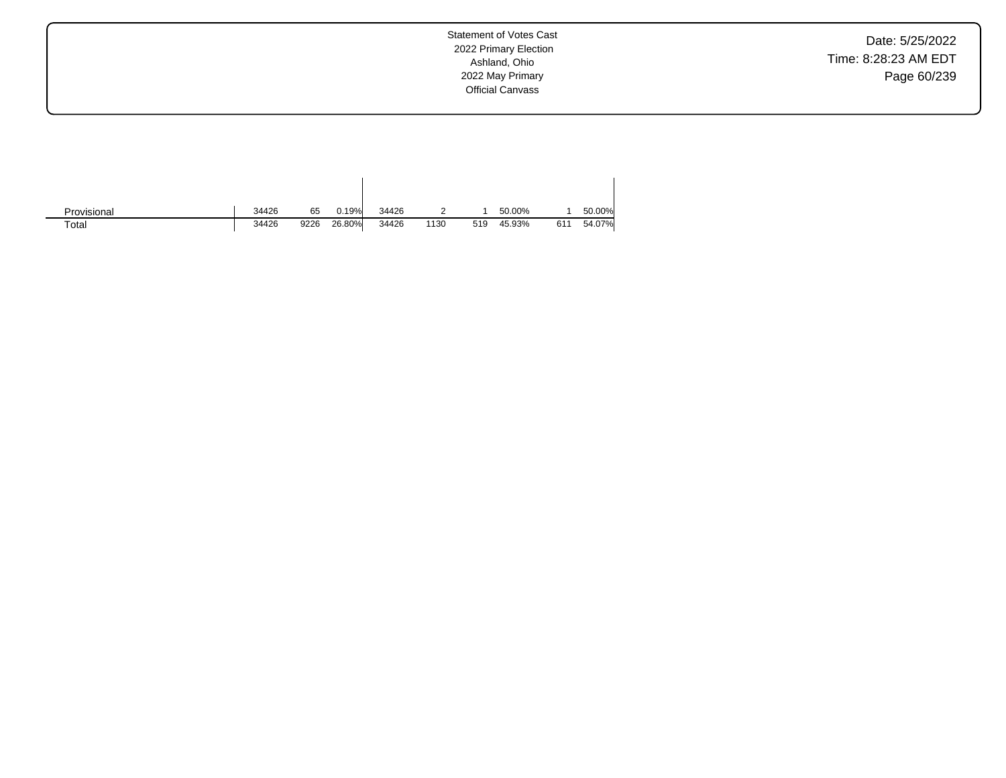Date: 5/25/2022 Time: 8:28:23 AM EDT Page 60/239

Statement of Votes Cast 2022 Primary Election Ashland, Ohio 2022 May Primary Official Canvass

| Provisional | 34426 | 65   | 0.19%  | 34426 |      |     | 50.00% |     | 50.00% |
|-------------|-------|------|--------|-------|------|-----|--------|-----|--------|
| Total       | 34426 | 9226 | 26.80% | 34426 | 1130 | 519 | 45.93% | 611 | 54.07% |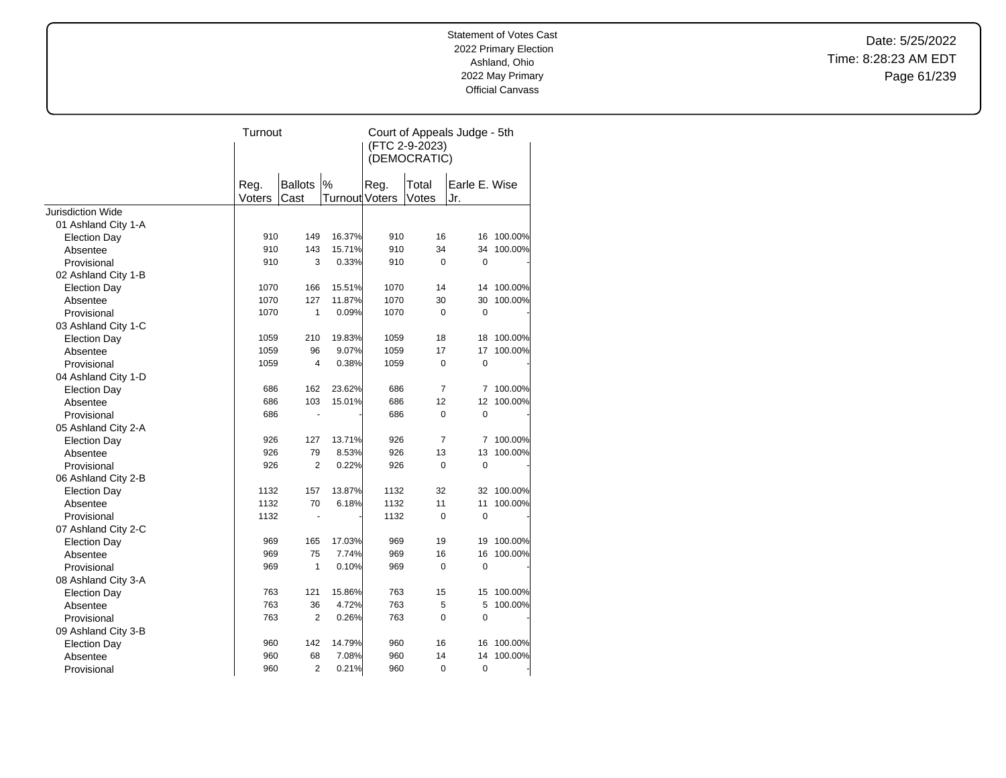Date: 5/25/2022 Time: 8:28:23 AM EDT Page 61/239

|                     | Turnout        |                        |                        | Court of Appeals Judge - 5th<br>(FTC 2-9-2023)<br>(DEMOCRATIC) |                |                      |            |
|---------------------|----------------|------------------------|------------------------|----------------------------------------------------------------|----------------|----------------------|------------|
|                     | Reg.<br>Voters | <b>Ballots</b><br>Cast | $\%$<br>Turnout Voters | Reg.                                                           | Total<br>Votes | Earle E. Wise<br>Jr. |            |
| Jurisdiction Wide   |                |                        |                        |                                                                |                |                      |            |
| 01 Ashland City 1-A |                |                        |                        |                                                                |                |                      |            |
| <b>Election Day</b> | 910            | 149                    | 16.37%                 | 910                                                            | 16             |                      | 16 100.00% |
| Absentee            | 910            | 143                    | 15.71%                 | 910                                                            | 34             | 34                   | 100.00%    |
| Provisional         | 910            | 3                      | 0.33%                  | 910                                                            | 0              | $\mathbf 0$          |            |
| 02 Ashland City 1-B |                |                        |                        |                                                                |                |                      |            |
| <b>Election Day</b> | 1070           | 166                    | 15.51%                 | 1070                                                           | 14             | 14                   | 100.00%    |
| Absentee            | 1070           | 127                    | 11.87%                 | 1070                                                           | 30             | 30                   | 100.00%    |
| Provisional         | 1070           | $\mathbf{1}$           | 0.09%                  | 1070                                                           | 0              | $\mathbf 0$          |            |
| 03 Ashland City 1-C |                |                        |                        |                                                                |                |                      |            |
| <b>Election Day</b> | 1059           | 210                    | 19.83%                 | 1059                                                           | 18             | 18                   | 100.00%    |
| Absentee            | 1059           | 96                     | 9.07%                  | 1059                                                           | 17             | 17                   | 100.00%    |
| Provisional         | 1059           | $\overline{4}$         | 0.38%                  | 1059                                                           | 0              | $\mathbf 0$          |            |
| 04 Ashland City 1-D |                |                        |                        |                                                                |                |                      |            |
| <b>Election Day</b> | 686            | 162                    | 23.62%                 | 686                                                            | 7              | 7                    | 100.00%    |
| Absentee            | 686            | 103                    | 15.01%                 | 686                                                            | 12             | 12                   | 100.00%    |
| Provisional         | 686            | ٠                      |                        | 686                                                            | 0              | $\mathbf 0$          |            |
| 05 Ashland City 2-A |                |                        |                        |                                                                |                |                      |            |
| <b>Election Day</b> | 926            | 127                    | 13.71%                 | 926                                                            | 7              | 7                    | 100.00%    |
| Absentee            | 926            | 79                     | 8.53%                  | 926                                                            | 13             | 13                   | 100.00%    |
| Provisional         | 926            | $\overline{2}$         | 0.22%                  | 926                                                            | 0              | $\mathbf 0$          |            |
| 06 Ashland City 2-B |                |                        |                        |                                                                |                |                      |            |
| <b>Election Day</b> | 1132           | 157                    | 13.87%                 | 1132                                                           | 32             | 32                   | 100.00%    |
| Absentee            | 1132           | 70                     | 6.18%                  | 1132                                                           | 11             | 11                   | 100.00%    |
| Provisional         | 1132           | ٠                      |                        | 1132                                                           | 0              | 0                    |            |
| 07 Ashland City 2-C |                |                        |                        |                                                                |                |                      |            |
| <b>Election Day</b> | 969            | 165                    | 17.03%                 | 969                                                            | 19             | 19                   | 100.00%    |
| Absentee            | 969            | 75                     | 7.74%                  | 969                                                            | 16             | 16                   | 100.00%    |
| Provisional         | 969            | 1                      | 0.10%                  | 969                                                            | 0              | 0                    |            |
| 08 Ashland City 3-A |                |                        |                        |                                                                |                |                      |            |
| <b>Election Day</b> | 763            | 121                    | 15.86%                 | 763                                                            | 15             | 15                   | 100.00%    |
| Absentee            | 763            | 36                     | 4.72%                  | 763                                                            | 5              | 5                    | 100.00%    |
| Provisional         | 763            | $\overline{2}$         | 0.26%                  | 763                                                            | 0              | $\mathbf 0$          |            |
| 09 Ashland City 3-B |                |                        |                        |                                                                |                |                      |            |
| <b>Election Day</b> | 960            | 142                    | 14.79%                 | 960                                                            | 16             | 16                   | 100.00%    |
| Absentee            | 960            | 68                     | 7.08%                  | 960                                                            | 14             | 14                   | 100.00%    |
| Provisional         | 960            | $\overline{2}$         | 0.21%                  | 960                                                            | 0              | 0                    |            |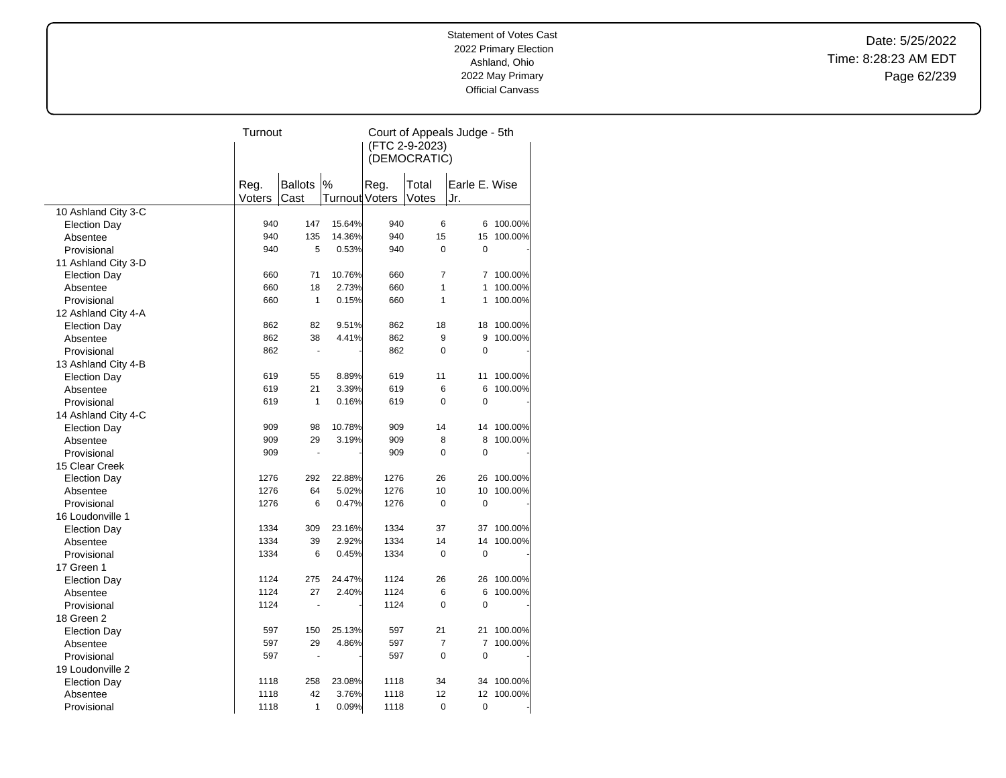Date: 5/25/2022 Time: 8:28:23 AM EDT Page 62/239

|                     | Turnout |                      |                       | Court of Appeals Judge - 5th |                |               |         |  |
|---------------------|---------|----------------------|-----------------------|------------------------------|----------------|---------------|---------|--|
|                     |         |                      |                       | (FTC 2-9-2023)               |                |               |         |  |
|                     |         |                      |                       |                              | (DEMOCRATIC)   |               |         |  |
|                     |         |                      |                       |                              |                |               |         |  |
|                     | Reg.    | <b>Ballots</b>       | %                     | Reg.                         | Total          | Earle E. Wise |         |  |
|                     | Voters  | Cast                 | <b>Turnout Voters</b> |                              | Votes          | Jr.           |         |  |
| 10 Ashland City 3-C |         |                      |                       |                              |                |               |         |  |
| <b>Election Day</b> | 940     | 147                  | 15.64%                | 940                          | 6              | 6             | 100.00% |  |
| Absentee            | 940     | 135                  | 14.36%                | 940                          | 15             | 15            | 100.00% |  |
| Provisional         | 940     | 5                    | 0.53%                 | 940                          | 0              | 0             |         |  |
| 11 Ashland City 3-D |         |                      |                       |                              |                |               |         |  |
| <b>Election Day</b> | 660     | 71                   | 10.76%                | 660                          | $\overline{7}$ | 7             | 100.00% |  |
| Absentee            | 660     | 18                   | 2.73%                 | 660                          | 1              | 1             | 100.00% |  |
| Provisional         | 660     | $\mathbf{1}$         | 0.15%                 | 660                          | 1              | 1             | 100.00% |  |
| 12 Ashland City 4-A |         |                      |                       |                              |                |               |         |  |
| <b>Election Day</b> | 862     | 82                   | 9.51%                 | 862                          | 18             | 18            | 100.00% |  |
| Absentee            | 862     | 38                   | 4.41%                 | 862                          | 9              | 9             | 100.00% |  |
|                     | 862     | $\blacksquare$       |                       | 862                          | 0              | $\mathbf 0$   |         |  |
| Provisional         |         |                      |                       |                              |                |               |         |  |
| 13 Ashland City 4-B | 619     | 55                   | 8.89%                 | 619                          | 11             | 11            | 100.00% |  |
| <b>Election Day</b> | 619     | 21                   |                       |                              | 6              | 6             | 100.00% |  |
| Absentee            |         |                      | 3.39%                 | 619                          |                |               |         |  |
| Provisional         | 619     | $\mathbf{1}$         | 0.16%                 | 619                          | 0              | $\mathbf 0$   |         |  |
| 14 Ashland City 4-C |         |                      |                       |                              |                |               |         |  |
| <b>Election Day</b> | 909     | 98                   | 10.78%                | 909                          | 14             | 14            | 100.00% |  |
| Absentee            | 909     | 29                   | 3.19%                 | 909                          | 8              | 8             | 100.00% |  |
| Provisional         | 909     | $\ddot{\phantom{1}}$ |                       | 909                          | $\mathbf 0$    | $\mathbf 0$   |         |  |
| 15 Clear Creek      |         |                      |                       |                              |                |               |         |  |
| <b>Election Day</b> | 1276    | 292                  | 22.88%                | 1276                         | 26             | 26            | 100.00% |  |
| Absentee            | 1276    | 64                   | 5.02%                 | 1276                         | 10             | 10            | 100.00% |  |
| Provisional         | 1276    | 6                    | 0.47%                 | 1276                         | 0              | $\mathbf 0$   |         |  |
| 16 Loudonville 1    |         |                      |                       |                              |                |               |         |  |
| <b>Election Day</b> | 1334    | 309                  | 23.16%                | 1334                         | 37             | 37            | 100.00% |  |
| Absentee            | 1334    | 39                   | 2.92%                 | 1334                         | 14             | 14            | 100.00% |  |
| Provisional         | 1334    | 6                    | 0.45%                 | 1334                         | $\mathbf 0$    | $\mathbf 0$   |         |  |
| 17 Green 1          |         |                      |                       |                              |                |               |         |  |
| <b>Election Day</b> | 1124    | 275                  | 24.47%                | 1124                         | 26             | 26            | 100.00% |  |
| Absentee            | 1124    | 27                   | 2.40%                 | 1124                         | 6              | 6             | 100.00% |  |
| Provisional         | 1124    |                      |                       | 1124                         | 0              | $\mathbf 0$   |         |  |
| 18 Green 2          |         |                      |                       |                              |                |               |         |  |
| <b>Election Day</b> | 597     | 150                  | 25.13%                | 597                          | 21             | 21            | 100.00% |  |
| Absentee            | 597     | 29                   | 4.86%                 | 597                          | 7              | 7             | 100.00% |  |
| Provisional         | 597     | ÷.                   |                       | 597                          | $\Omega$       | $\mathbf 0$   |         |  |
| 19 Loudonville 2    |         |                      |                       |                              |                |               |         |  |
| <b>Election Day</b> | 1118    | 258                  | 23.08%                | 1118                         | 34             | 34            | 100.00% |  |
| Absentee            | 1118    | 42                   | 3.76%                 | 1118                         | 12             | 12            | 100.00% |  |
| Provisional         | 1118    | 1                    | 0.09%                 | 1118                         | 0              | $\mathbf 0$   |         |  |
|                     |         |                      |                       |                              |                |               |         |  |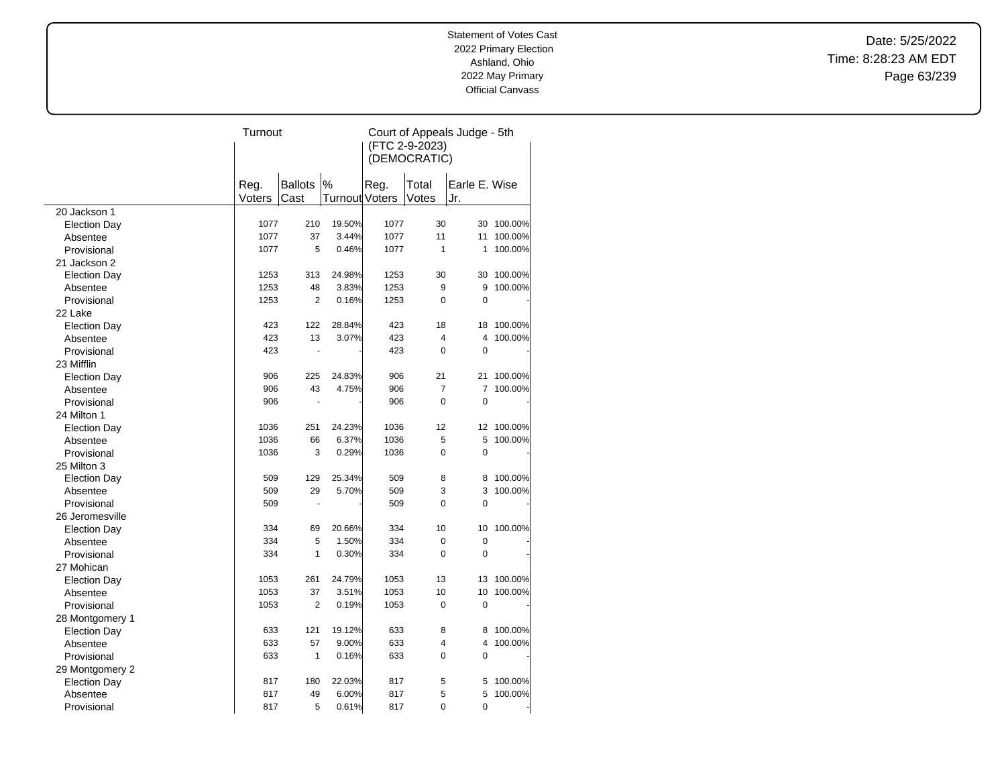Date: 5/25/2022 Time: 8:28:23 AM EDT Page 63/239

|                                        | Turnout |                |                       | Court of Appeals Judge - 5th |                |                |         |  |
|----------------------------------------|---------|----------------|-----------------------|------------------------------|----------------|----------------|---------|--|
|                                        |         |                |                       | (FTC 2-9-2023)               |                |                |         |  |
|                                        |         |                |                       |                              | (DEMOCRATIC)   |                |         |  |
|                                        |         |                |                       |                              |                |                |         |  |
|                                        | Reg.    | <b>Ballots</b> | %                     | Reg.                         | Total          | Earle E. Wise  |         |  |
|                                        | Voters  | Cast           | <b>Turnout Voters</b> |                              | Votes          | Jr.            |         |  |
| 20 Jackson 1                           |         |                |                       |                              |                |                |         |  |
| <b>Election Day</b>                    | 1077    | 210            | 19.50%                | 1077                         | 30             | 30             | 100.00% |  |
| Absentee                               | 1077    | 37             | 3.44%                 | 1077                         | 11             | 11             | 100.00% |  |
| Provisional                            | 1077    | 5              | 0.46%                 | 1077                         | 1              | 1              | 100.00% |  |
| 21 Jackson 2                           |         |                |                       |                              |                |                |         |  |
| <b>Election Day</b>                    | 1253    | 313            | 24.98%                | 1253                         | 30             | 30             | 100.00% |  |
| Absentee                               | 1253    | 48             | 3.83%                 | 1253                         | 9              | 9              | 100.00% |  |
| Provisional                            | 1253    | 2              | 0.16%                 | 1253                         | 0              | $\mathbf 0$    |         |  |
| 22 Lake                                |         |                |                       |                              |                |                |         |  |
| <b>Election Day</b>                    | 423     | 122            | 28.84%                | 423                          | 18             | 18             | 100.00% |  |
| Absentee                               | 423     | 13             | 3.07%                 | 423                          | 4              | 4              | 100.00% |  |
| Provisional                            | 423     |                |                       | 423                          | $\Omega$       | $\mathbf 0$    |         |  |
| 23 Mifflin                             |         |                |                       |                              |                |                |         |  |
| <b>Election Day</b>                    | 906     | 225            | 24.83%                | 906                          | 21             | 21             | 100.00% |  |
| Absentee                               | 906     | 43             | 4.75%                 | 906                          | 7              | $\overline{7}$ | 100.00% |  |
| Provisional                            | 906     | ä,             |                       | 906                          | $\mathbf 0$    | $\mathbf 0$    |         |  |
| 24 Milton 1                            |         |                |                       |                              |                |                |         |  |
| <b>Election Day</b>                    | 1036    | 251            | 24.23%                | 1036                         | 12             | 12             | 100.00% |  |
| Absentee                               | 1036    | 66             | 6.37%                 | 1036                         | 5              | 5              | 100.00% |  |
| Provisional                            | 1036    | 3              | 0.29%                 | 1036                         | 0              | 0              |         |  |
| 25 Milton 3                            |         |                |                       |                              |                |                |         |  |
| <b>Election Day</b>                    | 509     | 129            | 25.34%                | 509                          | 8              | 8              | 100.00% |  |
| Absentee                               | 509     | 29             | 5.70%                 | 509                          | 3              | 3              | 100.00% |  |
| Provisional                            | 509     | L.             |                       | 509                          | 0              | $\mathbf 0$    |         |  |
| 26 Jeromesville                        |         |                |                       |                              |                |                |         |  |
| <b>Election Day</b>                    | 334     | 69             | 20.66%                | 334                          | 10             | 10             | 100.00% |  |
| Absentee                               | 334     | 5              | 1.50%                 | 334                          | 0              | 0              |         |  |
| Provisional                            | 334     | $\mathbf{1}$   | 0.30%                 | 334                          | $\overline{0}$ | $\overline{0}$ |         |  |
| 27 Mohican                             |         |                |                       |                              |                |                |         |  |
| <b>Election Day</b>                    | 1053    | 261            | 24.79%                | 1053                         | 13             | 13             | 100.00% |  |
| Absentee                               | 1053    | 37             | 3.51%                 | 1053                         | 10             | 10             | 100.00% |  |
| Provisional                            | 1053    | $\overline{2}$ | 0.19%                 | 1053                         | $\pmb{0}$      | 0              |         |  |
| 28 Montgomery 1                        |         |                |                       |                              |                |                |         |  |
| <b>Election Day</b>                    | 633     | 121            | 19.12%                | 633                          | 8              | 8              | 100.00% |  |
| Absentee                               | 633     | 57             | 9.00%                 | 633                          | 4              | 4              | 100.00% |  |
|                                        | 633     | $\mathbf{1}$   | 0.16%                 | 633                          | $\Omega$       | $\mathbf 0$    |         |  |
| Provisional                            |         |                |                       |                              |                |                |         |  |
| 29 Montgomery 2<br><b>Election Day</b> | 817     | 180            | 22.03%                | 817                          | 5              | 5              | 100.00% |  |
|                                        | 817     | 49             | 6.00%                 | 817                          | 5              | 5              | 100.00% |  |
| Absentee                               |         | 5              |                       |                              | 0              | 0              |         |  |
| Provisional                            | 817     |                | 0.61%                 | 817                          |                |                |         |  |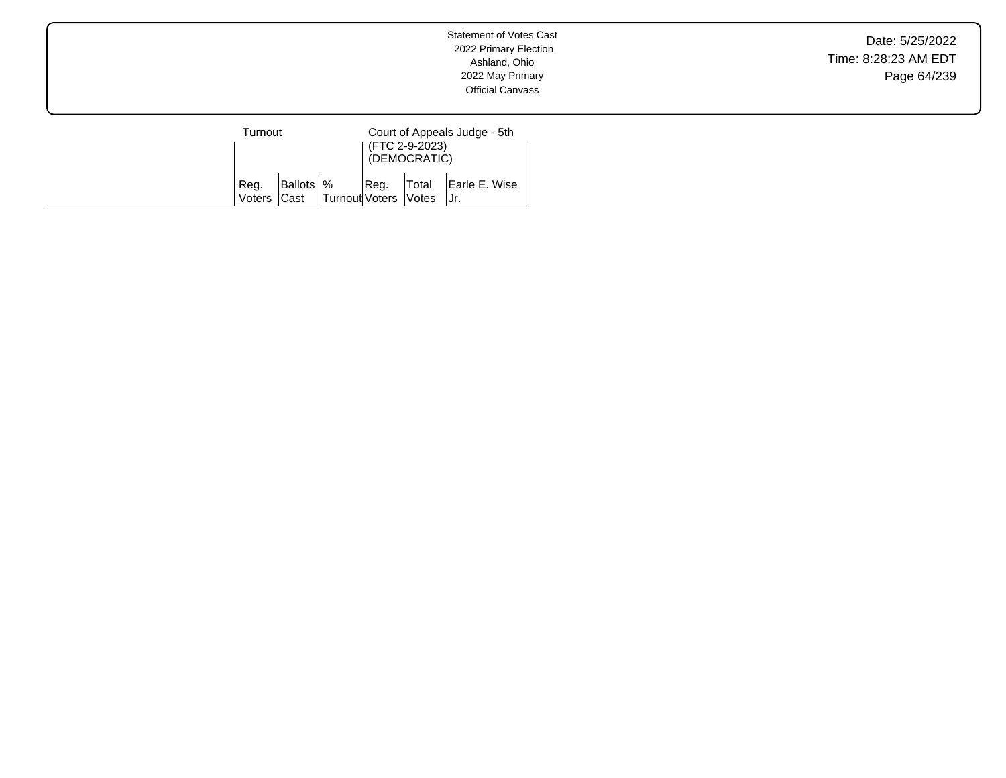Date: 5/25/2022 Time: 8:28:23 AM EDT Page 64/239

| Turnout        |                           |                | Court of Appeals Judge - 5th<br>(FTC 2-9-2023)<br>(DEMOCRATIC) |                              |                      |  |
|----------------|---------------------------|----------------|----------------------------------------------------------------|------------------------------|----------------------|--|
| Reg.<br>Voters | Ballots  %<br><b>Cast</b> | Turnout Voters | ∣Reg.                                                          | Total<br><i><b>Notes</b></i> | Earle E. Wise<br>Jr. |  |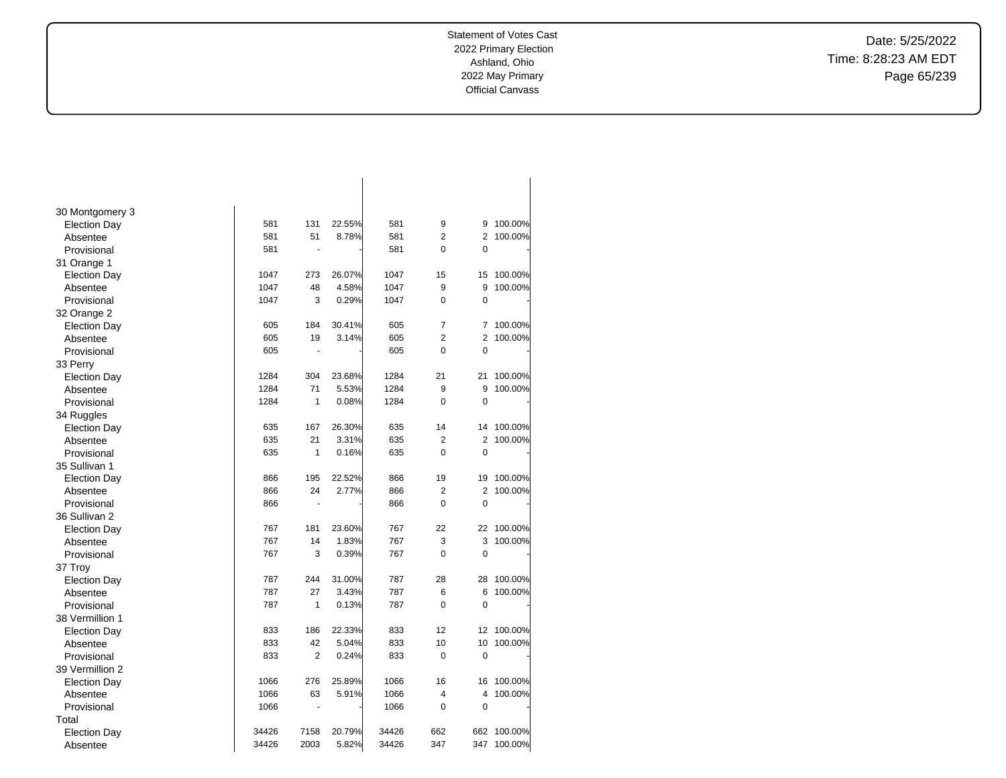Date: 5/25/2022 Time: 8:28:23 AM EDT Page 65/239

| 30 Montgomery 3     |       |                |        |       |                |                |         |
|---------------------|-------|----------------|--------|-------|----------------|----------------|---------|
| Election Day        | 581   | 131            | 22.55% | 581   | 9              | 9              | 100.00% |
| Absentee            | 581   | 51             | 8.78%  | 581   | $\overline{2}$ | $\overline{2}$ | 100.00% |
| Provisional         | 581   | ÷,             |        | 581   | 0              | 0              |         |
| 31 Orange 1         |       |                |        |       |                |                |         |
| <b>Election Day</b> | 1047  | 273            | 26.07% | 1047  | 15             | 15             | 100.00% |
| Absentee            | 1047  | 48             | 4.58%  | 1047  | 9              | 9              | 100.00% |
| Provisional         | 1047  | 3              | 0.29%  | 1047  | $\overline{0}$ | $\mathbf 0$    |         |
| 32 Orange 2         |       |                |        |       |                |                |         |
| Election Day        | 605   | 184            | 30.41% | 605   | 7              | 7              | 100.00% |
| Absentee            | 605   | 19             | 3.14%  | 605   | $\overline{2}$ | 2              | 100.00% |
| Provisional         | 605   |                |        | 605   | 0              | 0              |         |
| 33 Perry            |       |                |        |       |                |                |         |
| <b>Election Day</b> | 1284  | 304            | 23.68% | 1284  | 21             | 21             | 100.00% |
| Absentee            | 1284  | 71             | 5.53%  | 1284  | 9              | 9              | 100.00% |
| Provisional         | 1284  | 1              | 0.08%  | 1284  | 0              | 0              |         |
| 34 Ruggles          |       |                |        |       |                |                |         |
| <b>Election Day</b> | 635   | 167            | 26.30% | 635   | 14             | 14             | 100.00% |
| Absentee            | 635   | 21             | 3.31%  | 635   | $\overline{2}$ | $\overline{2}$ | 100.00% |
| Provisional         | 635   | 1              | 0.16%  | 635   | 0              | $\mathbf 0$    |         |
| 35 Sullivan 1       |       |                |        |       |                |                |         |
| <b>Election Day</b> | 866   | 195            | 22.52% | 866   | 19             | 19             | 100.00% |
| Absentee            | 866   | 24             | 2.77%  | 866   | $\overline{2}$ | 2              | 100.00% |
| Provisional         | 866   | $\blacksquare$ |        | 866   | $\overline{0}$ | $\mathbf 0$    |         |
| 36 Sullivan 2       |       |                |        |       |                |                |         |
| <b>Election Day</b> | 767   | 181            | 23.60% | 767   | 22             | 22             | 100.00% |
| Absentee            | 767   | 14             | 1.83%  | 767   | 3              | 3              | 100.00% |
| Provisional         | 767   | 3              | 0.39%  | 767   | $\Omega$       | $\mathbf 0$    |         |
| 37 Troy             |       |                |        |       |                |                |         |
| <b>Election Day</b> | 787   | 244            | 31.00% | 787   | 28             | 28             | 100.00% |
| Absentee            | 787   | 27             | 3.43%  | 787   | 6              | 6              | 100.00% |
| Provisional         | 787   | 1              | 0.13%  | 787   | 0              | $\mathbf 0$    |         |
| 38 Vermillion 1     |       |                |        |       |                |                |         |
| <b>Election Day</b> | 833   | 186            | 22.33% | 833   | 12             | 12             | 100.00% |
| Absentee            | 833   | 42             | 5.04%  | 833   | 10             | 10             | 100.00% |
| Provisional         | 833   | $\overline{2}$ | 0.24%  | 833   | $\mathbf 0$    | $\mathbf 0$    |         |
| 39 Vermillion 2     |       |                |        |       |                |                |         |
| <b>Election Day</b> | 1066  | 276            | 25.89% | 1066  | 16             | 16             | 100.00% |
| Absentee            | 1066  | 63             | 5.91%  | 1066  | 4              | 4              | 100.00% |
| Provisional         | 1066  | $\blacksquare$ |        | 1066  | 0              | $\mathbf 0$    |         |
| Total               |       |                |        |       |                |                |         |
| <b>Election Day</b> | 34426 | 7158           | 20.79% | 34426 | 662            | 662            | 100.00% |
| Absentee            | 34426 | 2003           | 5.82%  | 34426 | 347            | 347            | 100.00% |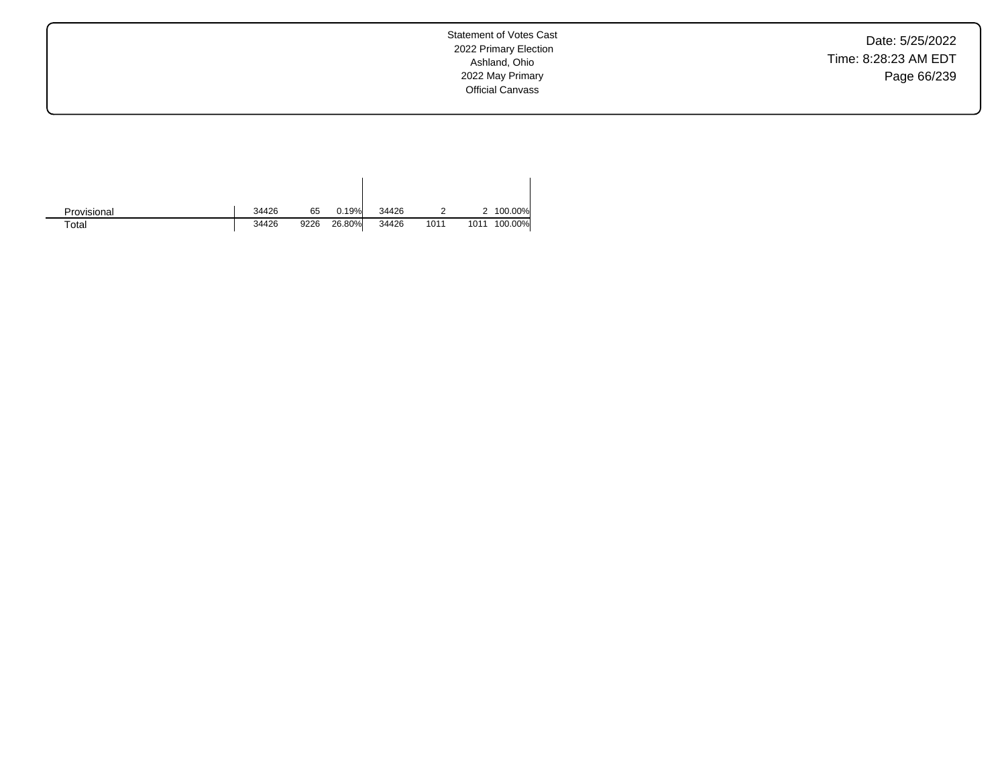Date: 5/25/2022 Time: 8:28:23 AM EDT Page 66/239

Statement of Votes Cast 2022 Primary Election Ashland, Ohio 2022 May Primary Official Canvass

| Provisional | 34426 | 65   | 0.19%  | 34426 |      |      | 2 100.00% |
|-------------|-------|------|--------|-------|------|------|-----------|
| Total       | 34426 | 9226 | 26.80% | 34426 | 1011 | 1011 | 100.00%   |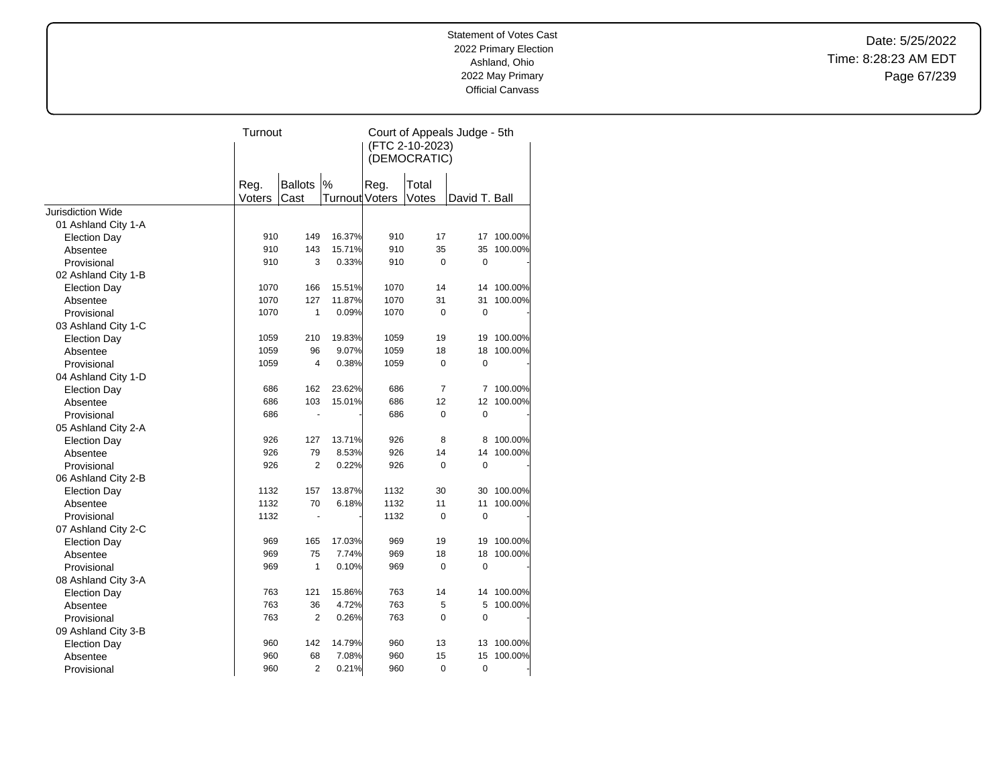Date: 5/25/2022 Time: 8:28:23 AM EDT Page 67/239

|                          | Turnout        |                        |                     | Court of Appeals Judge - 5th<br>(FTC 2-10-2023)<br>(DEMOCRATIC) |                |               |         |
|--------------------------|----------------|------------------------|---------------------|-----------------------------------------------------------------|----------------|---------------|---------|
|                          | Reg.<br>Voters | <b>Ballots</b><br>Cast | %<br>Turnout Voters | Reg.                                                            | Total<br>Votes | David T. Ball |         |
| <b>Jurisdiction Wide</b> |                |                        |                     |                                                                 |                |               |         |
| 01 Ashland City 1-A      |                |                        |                     |                                                                 |                |               |         |
| <b>Election Day</b>      | 910            | 149                    | 16.37%              | 910                                                             | 17             | 17            | 100.00% |
| Absentee                 | 910            | 143                    | 15.71%              | 910                                                             | 35             | 35            | 100.00% |
| Provisional              | 910            | 3                      | 0.33%               | 910                                                             | 0              | $\mathbf 0$   |         |
| 02 Ashland City 1-B      |                |                        |                     |                                                                 |                |               |         |
| <b>Election Day</b>      | 1070           | 166                    | 15.51%              | 1070                                                            | 14             | 14            | 100.00% |
| Absentee                 | 1070           | 127                    | 11.87%              | 1070                                                            | 31             | 31            | 100.00% |
| Provisional              | 1070           | $\mathbf{1}$           | 0.09%               | 1070                                                            | $\overline{0}$ | $\mathbf 0$   |         |
| 03 Ashland City 1-C      |                |                        |                     |                                                                 |                |               |         |
| <b>Election Day</b>      | 1059           | 210                    | 19.83%              | 1059                                                            | 19             | 19            | 100.00% |
| Absentee                 | 1059           | 96                     | 9.07%               | 1059                                                            | 18             | 18            | 100.00% |
| Provisional              | 1059           | 4                      | 0.38%               | 1059                                                            | 0              | $\mathbf 0$   |         |
| 04 Ashland City 1-D      |                |                        |                     |                                                                 |                |               |         |
| <b>Election Day</b>      | 686            | 162                    | 23.62%              | 686                                                             | $\overline{7}$ | 7             | 100.00% |
| Absentee                 | 686            | 103                    | 15.01%              | 686                                                             | 12             | 12            | 100.00% |
| Provisional              | 686            | ÷,                     |                     | 686                                                             | $\Omega$       | $\mathbf 0$   |         |
| 05 Ashland City 2-A      |                |                        |                     |                                                                 |                |               |         |
| <b>Election Day</b>      | 926            | 127                    | 13.71%              | 926                                                             | 8              | 8             | 100.00% |
| Absentee                 | 926            | 79                     | 8.53%               | 926                                                             | 14             | 14            | 100.00% |
| Provisional              | 926            | 2                      | 0.22%               | 926                                                             | 0              | $\mathbf 0$   |         |
| 06 Ashland City 2-B      |                |                        |                     |                                                                 |                |               |         |
| <b>Election Day</b>      | 1132           | 157                    | 13.87%              | 1132                                                            | 30             | 30            | 100.00% |
| Absentee                 | 1132           | 70                     | 6.18%               | 1132                                                            | 11             | 11            | 100.00% |
| Provisional              | 1132           | ٠                      |                     | 1132                                                            | $\mathbf 0$    | $\mathbf 0$   |         |
| 07 Ashland City 2-C      |                |                        |                     |                                                                 |                |               |         |
| <b>Election Day</b>      | 969            | 165                    | 17.03%              | 969                                                             | 19             | 19            | 100.00% |
| Absentee                 | 969            | 75                     | 7.74%               | 969                                                             | 18             | 18            | 100.00% |
| Provisional              | 969            | 1                      | 0.10%               | 969                                                             | 0              | $\mathbf 0$   |         |
| 08 Ashland City 3-A      |                |                        |                     |                                                                 |                |               |         |
| <b>Election Day</b>      | 763            | 121                    | 15.86%              | 763                                                             | 14             | 14            | 100.00% |
| Absentee                 | 763            | 36                     | 4.72%               | 763                                                             | 5              | 5             | 100.00% |
| Provisional              | 763            | $\overline{2}$         | 0.26%               | 763                                                             | 0              | $\mathbf 0$   |         |
| 09 Ashland City 3-B      |                |                        |                     |                                                                 |                |               |         |
| <b>Election Day</b>      | 960            | 142                    | 14.79%              | 960                                                             | 13             | 13            | 100.00% |
| Absentee                 | 960            | 68                     | 7.08%               | 960                                                             | 15             | 15            | 100.00% |
| Provisional              | 960            | $\overline{2}$         | 0.21%               | 960                                                             | 0              | 0             |         |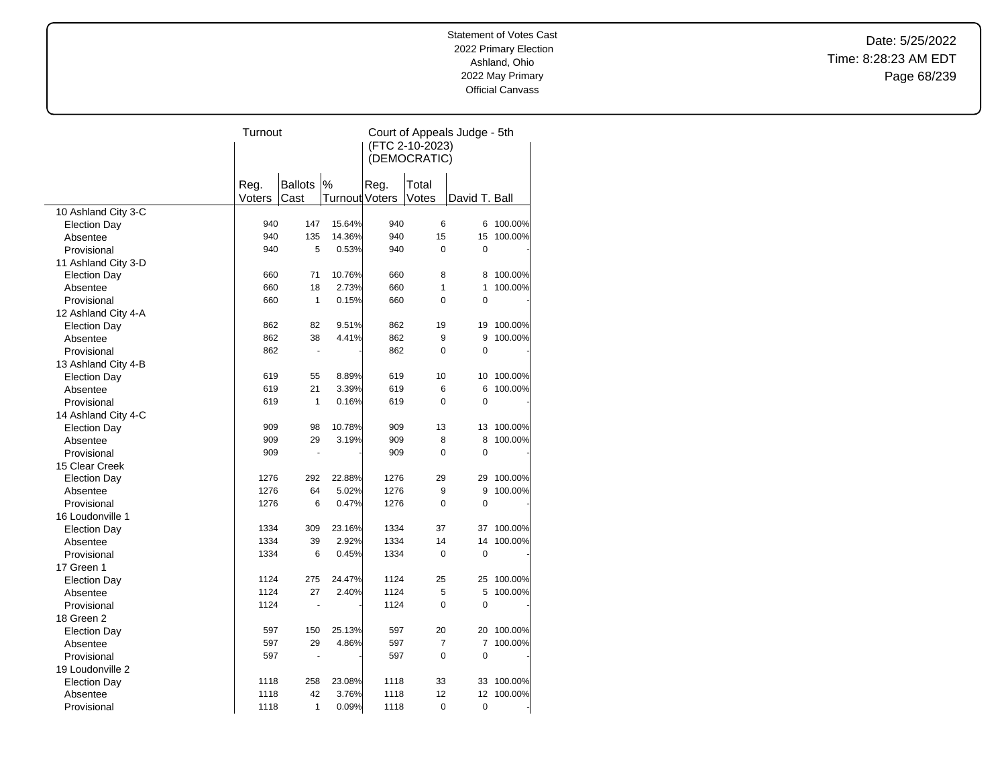Date: 5/25/2022 Time: 8:28:23 AM EDT Page 68/239

|                     | Turnout |                      |                | Court of Appeals Judge - 5th |                |               |         |  |
|---------------------|---------|----------------------|----------------|------------------------------|----------------|---------------|---------|--|
|                     |         |                      |                | (FTC 2-10-2023)              |                |               |         |  |
|                     |         |                      |                |                              | (DEMOCRATIC)   |               |         |  |
|                     |         |                      |                |                              |                |               |         |  |
|                     | Reg.    | <b>Ballots</b>       | %              | Reg.                         | Total          |               |         |  |
|                     | Voters  | Cast                 | Turnout Voters |                              | Votes          | David T. Ball |         |  |
| 10 Ashland City 3-C |         |                      |                |                              |                |               |         |  |
| <b>Election Day</b> | 940     | 147                  | 15.64%         | 940                          | 6              | 6             | 100.00% |  |
| Absentee            | 940     | 135                  | 14.36%         | 940                          | 15             | 15            | 100.00% |  |
| Provisional         | 940     | 5                    | 0.53%          | 940                          | $\mathbf 0$    | 0             |         |  |
| 11 Ashland City 3-D |         |                      |                |                              |                |               |         |  |
| <b>Election Day</b> | 660     | 71                   | 10.76%         | 660                          | 8              | 8             | 100.00% |  |
| Absentee            | 660     | 18                   | 2.73%          | 660                          | $\mathbf{1}$   | 1             | 100.00% |  |
| Provisional         | 660     | $\mathbf{1}$         | 0.15%          | 660                          | $\Omega$       | 0             |         |  |
| 12 Ashland City 4-A |         |                      |                |                              |                |               |         |  |
| <b>Election Day</b> | 862     | 82                   | 9.51%          | 862                          | 19             | 19            | 100.00% |  |
| Absentee            | 862     | 38                   | 4.41%          | 862                          | 9              | 9             | 100.00% |  |
| Provisional         | 862     | $\blacksquare$       |                | 862                          | $\mathbf 0$    | $\mathbf 0$   |         |  |
| 13 Ashland City 4-B |         |                      |                |                              |                |               |         |  |
| <b>Election Day</b> | 619     | 55                   | 8.89%          | 619                          | 10             | 10            | 100.00% |  |
| Absentee            | 619     | 21                   | 3.39%          | 619                          | 6              | 6             | 100.00% |  |
| Provisional         | 619     | $\mathbf{1}$         | 0.16%          | 619                          | $\Omega$       | 0             |         |  |
| 14 Ashland City 4-C |         |                      |                |                              |                |               |         |  |
| <b>Election Day</b> | 909     | 98                   | 10.78%         | 909                          | 13             | 13            | 100.00% |  |
| Absentee            | 909     | 29                   | 3.19%          | 909                          | 8              | 8             | 100.00% |  |
| Provisional         | 909     | $\ddot{\phantom{1}}$ |                | 909                          | $\Omega$       | 0             |         |  |
| 15 Clear Creek      |         |                      |                |                              |                |               |         |  |
| <b>Election Day</b> | 1276    | 292                  | 22.88%         | 1276                         | 29             | 29            | 100.00% |  |
| Absentee            | 1276    | 64                   | 5.02%          | 1276                         | 9              | 9             | 100.00% |  |
| Provisional         | 1276    | 6                    | 0.47%          | 1276                         | $\mathbf 0$    | 0             |         |  |
| 16 Loudonville 1    |         |                      |                |                              |                |               |         |  |
| <b>Election Day</b> | 1334    | 309                  | 23.16%         | 1334                         | 37             | 37            | 100.00% |  |
| Absentee            | 1334    | 39                   | 2.92%          | 1334                         | 14             | 14            | 100.00% |  |
| Provisional         | 1334    | 6                    | 0.45%          | 1334                         | $\mathbf 0$    | 0             |         |  |
| 17 Green 1          |         |                      |                |                              |                |               |         |  |
| <b>Election Day</b> | 1124    | 275                  | 24.47%         | 1124                         | 25             | 25            | 100.00% |  |
| Absentee            | 1124    | 27                   | 2.40%          | 1124                         | 5              | 5             | 100.00% |  |
| Provisional         | 1124    |                      |                | 1124                         | $\mathbf 0$    | 0             |         |  |
| 18 Green 2          |         |                      |                |                              |                |               |         |  |
| <b>Election Day</b> | 597     | 150                  | 25.13%         | 597                          | 20             | 20            | 100.00% |  |
| Absentee            | 597     | 29                   | 4.86%          | 597                          | $\overline{7}$ | 7             | 100.00% |  |
| Provisional         | 597     |                      |                | 597                          | $\Omega$       | 0             |         |  |
| 19 Loudonville 2    |         |                      |                |                              |                |               |         |  |
| <b>Election Day</b> | 1118    | 258                  | 23.08%         | 1118                         | 33             | 33            | 100.00% |  |
| Absentee            | 1118    | 42                   | 3.76%          | 1118                         | 12             | 12            | 100.00% |  |
| Provisional         | 1118    | 1                    | 0.09%          | 1118                         | 0              | $\mathbf 0$   |         |  |
|                     |         |                      |                |                              |                |               |         |  |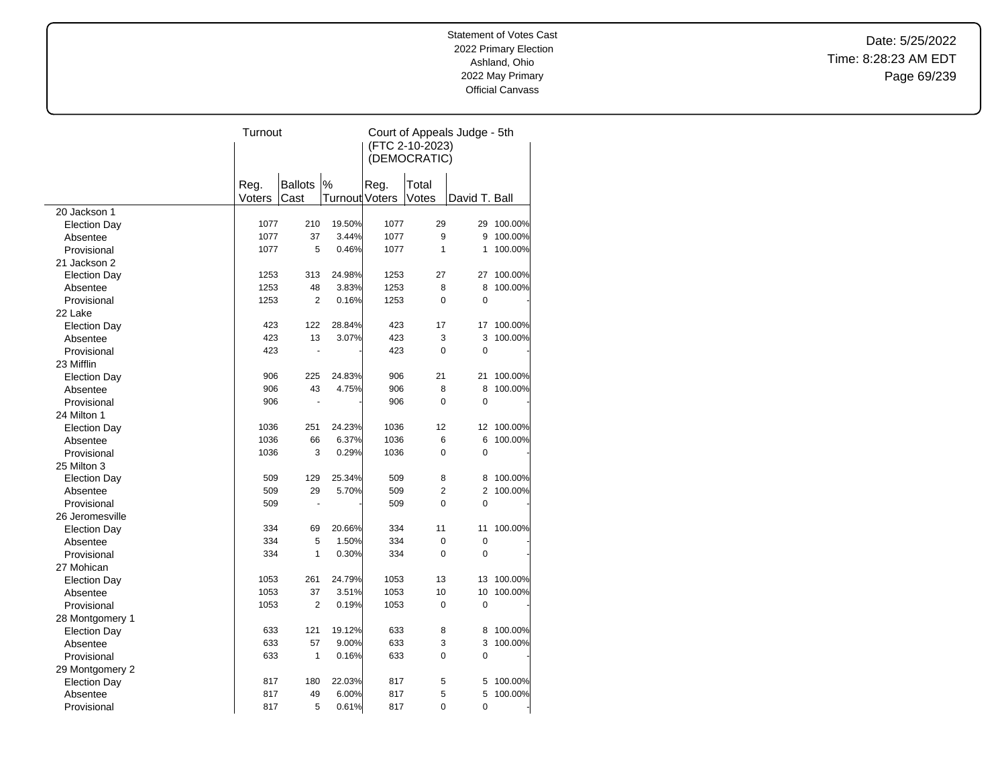Date: 5/25/2022 Time: 8:28:23 AM EDT Page 69/239

|                     | Turnout |                |                | Court of Appeals Judge - 5th |                |                |         |  |
|---------------------|---------|----------------|----------------|------------------------------|----------------|----------------|---------|--|
|                     |         |                |                | (FTC 2-10-2023)              |                |                |         |  |
|                     |         |                |                |                              | (DEMOCRATIC)   |                |         |  |
|                     |         |                |                |                              |                |                |         |  |
|                     | Reg.    | <b>Ballots</b> | %              | Reg.                         | Total          |                |         |  |
|                     | Voters  | Cast           | Turnout Voters |                              | Votes          | David T. Ball  |         |  |
| 20 Jackson 1        |         |                |                |                              |                |                |         |  |
| <b>Election Day</b> | 1077    | 210            | 19.50%         | 1077                         | 29             | 29             | 100.00% |  |
| Absentee            | 1077    | 37             | 3.44%          | 1077                         | 9              | 9              | 100.00% |  |
| Provisional         | 1077    | 5              | 0.46%          | 1077                         | $\mathbf{1}$   | 1              | 100.00% |  |
| 21 Jackson 2        |         |                |                |                              |                |                |         |  |
| <b>Election Day</b> | 1253    | 313            | 24.98%         | 1253                         | 27             | 27             | 100.00% |  |
| Absentee            | 1253    | 48             | 3.83%          | 1253                         | 8              | 8              | 100.00% |  |
| Provisional         | 1253    | $\overline{2}$ | 0.16%          | 1253                         | $\mathbf 0$    | 0              |         |  |
| 22 Lake             |         |                |                |                              |                |                |         |  |
| <b>Election Day</b> | 423     | 122            | 28.84%         | 423                          | 17             | 17             | 100.00% |  |
| Absentee            | 423     | 13             | 3.07%          | 423                          | 3              | 3              | 100.00% |  |
| Provisional         | 423     |                |                | 423                          | $\mathbf 0$    | $\mathbf 0$    |         |  |
| 23 Mifflin          |         |                |                |                              |                |                |         |  |
| <b>Election Day</b> | 906     | 225            | 24.83%         | 906                          | 21             | 21             | 100.00% |  |
| Absentee            | 906     | 43             | 4.75%          | 906                          | 8              | 8              | 100.00% |  |
| Provisional         | 906     |                |                | 906                          | $\Omega$       | 0              |         |  |
| 24 Milton 1         |         |                |                |                              |                |                |         |  |
| <b>Election Day</b> | 1036    | 251            | 24.23%         | 1036                         | 12             | 12             | 100.00% |  |
| Absentee            | 1036    | 66             | 6.37%          | 1036                         | 6              | 6              | 100.00% |  |
| Provisional         | 1036    | 3              | 0.29%          | 1036                         | $\mathbf 0$    | 0              |         |  |
| 25 Milton 3         |         |                |                |                              |                |                |         |  |
| <b>Election Day</b> | 509     | 129            | 25.34%         | 509                          | 8              | 8              | 100.00% |  |
| Absentee            | 509     | 29             | 5.70%          | 509                          | $\overline{2}$ | $\overline{2}$ | 100.00% |  |
| Provisional         | 509     |                |                | 509                          | $\mathbf 0$    | 0              |         |  |
| 26 Jeromesville     |         |                |                |                              |                |                |         |  |
| <b>Election Day</b> | 334     | 69             | 20.66%         | 334                          | 11             | 11             | 100.00% |  |
| Absentee            | 334     | 5              | 1.50%          | 334                          | $\mathbf 0$    | $\mathbf 0$    |         |  |
| Provisional         | 334     | 1              | 0.30%          | 334                          | $\Omega$       | 0              |         |  |
| 27 Mohican          |         |                |                |                              |                |                |         |  |
| <b>Election Day</b> | 1053    | 261            | 24.79%         | 1053                         | 13             | 13             | 100.00% |  |
| Absentee            | 1053    | 37             | 3.51%          | 1053                         | 10             | 10             | 100.00% |  |
| Provisional         | 1053    | $\overline{2}$ | 0.19%          | 1053                         | $\pmb{0}$      | 0              |         |  |
| 28 Montgomery 1     |         |                |                |                              |                |                |         |  |
| <b>Election Day</b> | 633     | 121            | 19.12%         | 633                          | 8              | 8              | 100.00% |  |
| Absentee            | 633     | 57             | 9.00%          | 633                          | 3              | 3              | 100.00% |  |
| Provisional         | 633     | $\mathbf{1}$   | 0.16%          | 633                          | $\Omega$       | 0              |         |  |
| 29 Montgomery 2     |         |                |                |                              |                |                |         |  |
| <b>Election Day</b> | 817     | 180            | 22.03%         | 817                          | 5              | 5              | 100.00% |  |
| Absentee            | 817     | 49             | 6.00%          | 817                          | 5              | 5              | 100.00% |  |
| Provisional         | 817     | 5              | 0.61%          | 817                          | $\mathbf 0$    | 0              |         |  |
|                     |         |                |                |                              |                |                |         |  |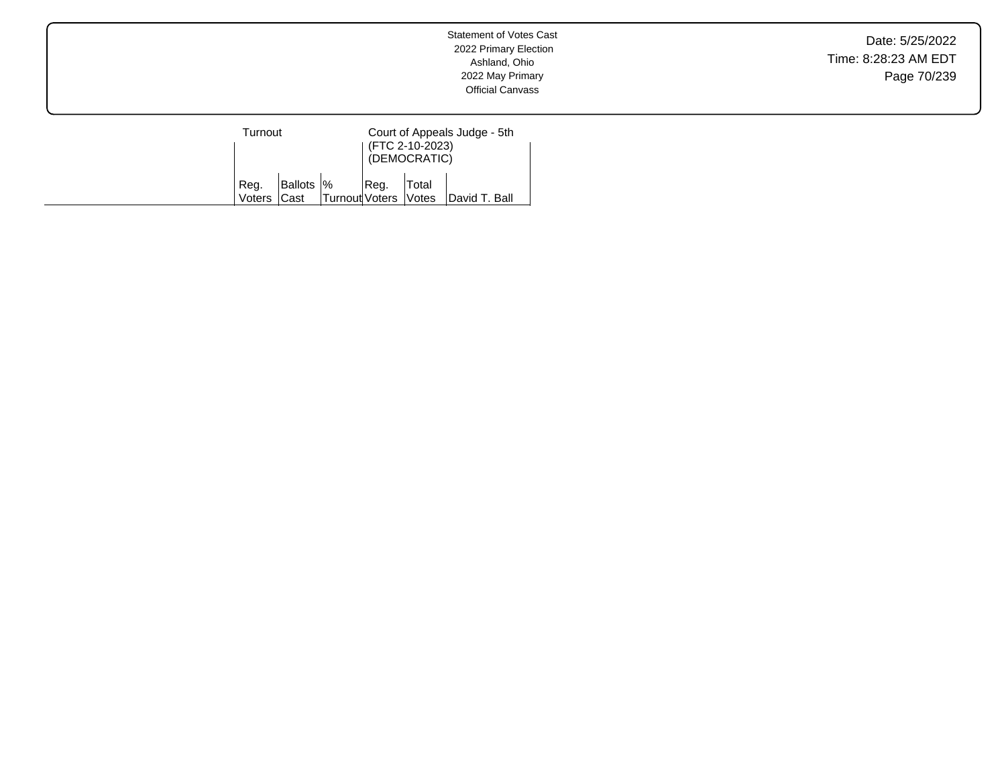Date: 5/25/2022 Time: 8:28:23 AM EDT Page 70/239

| Turnout              |            |                      | Court of Appeals Judge - 5th<br>(FTC 2-10-2023)<br>(DEMOCRATIC) |       |               |  |
|----------------------|------------|----------------------|-----------------------------------------------------------------|-------|---------------|--|
| `Reg.<br>Voters Cast | Ballots  % | Turnout Voters Votes | Reg.                                                            | Total | David T. Ball |  |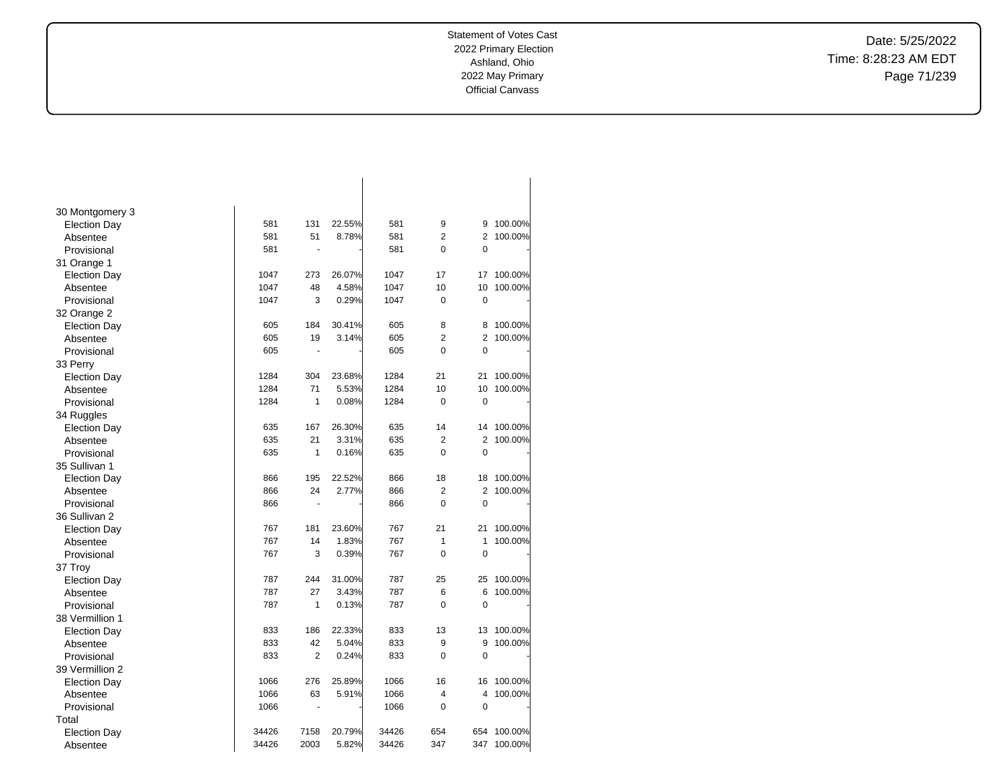Date: 5/25/2022 Time: 8:28:23 AM EDT Page 71/239

| 30 Montgomery 3     |       |                |        |       |                |                |         |
|---------------------|-------|----------------|--------|-------|----------------|----------------|---------|
| <b>Election Day</b> | 581   | 131            | 22.55% | 581   | 9              | 9              | 100.00% |
| Absentee            | 581   | 51             | 8.78%  | 581   | $\overline{2}$ | 2              | 100.00% |
| Provisional         | 581   | ä,             |        | 581   | $\overline{0}$ | 0              |         |
| 31 Orange 1         |       |                |        |       |                |                |         |
| <b>Election Day</b> | 1047  | 273            | 26.07% | 1047  | 17             | 17             | 100.00% |
| Absentee            | 1047  | 48             | 4.58%  | 1047  | 10             | 10             | 100.00% |
| Provisional         | 1047  | 3              | 0.29%  | 1047  | 0              | $\mathbf 0$    |         |
| 32 Orange 2         |       |                |        |       |                |                |         |
| <b>Election Day</b> | 605   | 184            | 30.41% | 605   | 8              | 8              | 100.00% |
| Absentee            | 605   | 19             | 3.14%  | 605   | $\overline{2}$ | $\overline{2}$ | 100.00% |
| Provisional         | 605   |                |        | 605   | $\Omega$       | $\Omega$       |         |
| 33 Perry            |       |                |        |       |                |                |         |
| <b>Election Day</b> | 1284  | 304            | 23.68% | 1284  | 21             | 21             | 100.00% |
| Absentee            | 1284  | 71             | 5.53%  | 1284  | 10             | 10             | 100.00% |
| Provisional         | 1284  | 1              | 0.08%  | 1284  | 0              | $\mathbf 0$    |         |
| 34 Ruggles          |       |                |        |       |                |                |         |
| <b>Election Day</b> | 635   | 167            | 26.30% | 635   | 14             | 14             | 100.00% |
| Absentee            | 635   | 21             | 3.31%  | 635   | $\overline{2}$ | $\overline{2}$ | 100.00% |
| Provisional         | 635   | 1              | 0.16%  | 635   | 0              | $\mathbf 0$    |         |
| 35 Sullivan 1       |       |                |        |       |                |                |         |
| <b>Election Day</b> | 866   | 195            | 22.52% | 866   | 18             | 18             | 100.00% |
| Absentee            | 866   | 24             | 2.77%  | 866   | $\overline{2}$ | $\overline{2}$ | 100.00% |
| Provisional         | 866   | $\blacksquare$ |        | 866   | 0              | $\mathbf 0$    |         |
| 36 Sullivan 2       |       |                |        |       |                |                |         |
| <b>Election Day</b> | 767   | 181            | 23.60% | 767   | 21             | 21             | 100.00% |
| Absentee            | 767   | 14             | 1.83%  | 767   | 1              | 1              | 100.00% |
| Provisional         | 767   | 3              | 0.39%  | 767   | $\Omega$       | $\mathbf 0$    |         |
| 37 Troy             |       |                |        |       |                |                |         |
| <b>Election Day</b> | 787   | 244            | 31.00% | 787   | 25             | 25             | 100.00% |
| Absentee            | 787   | 27             | 3.43%  | 787   | 6              | 6              | 100.00% |
| Provisional         | 787   | 1              | 0.13%  | 787   | 0              | $\mathbf 0$    |         |
| 38 Vermillion 1     |       |                |        |       |                |                |         |
| <b>Election Day</b> | 833   | 186            | 22.33% | 833   | 13             | 13             | 100.00% |
| Absentee            | 833   | 42             | 5.04%  | 833   | 9              | 9              | 100.00% |
| Provisional         | 833   | $\overline{2}$ | 0.24%  | 833   | 0              | $\mathbf 0$    |         |
| 39 Vermillion 2     |       |                |        |       |                |                |         |
| <b>Election Day</b> | 1066  | 276            | 25.89% | 1066  | 16             | 16             | 100.00% |
| Absentee            | 1066  | 63             | 5.91%  | 1066  | 4              | 4              | 100.00% |
| Provisional         | 1066  | $\blacksquare$ |        | 1066  | 0              | $\mathbf 0$    |         |
| Total               |       |                |        |       |                |                |         |
| <b>Election Day</b> | 34426 | 7158           | 20.79% | 34426 | 654            | 654            | 100.00% |
| Absentee            | 34426 | 2003           | 5.82%  | 34426 | 347            | 347            | 100.00% |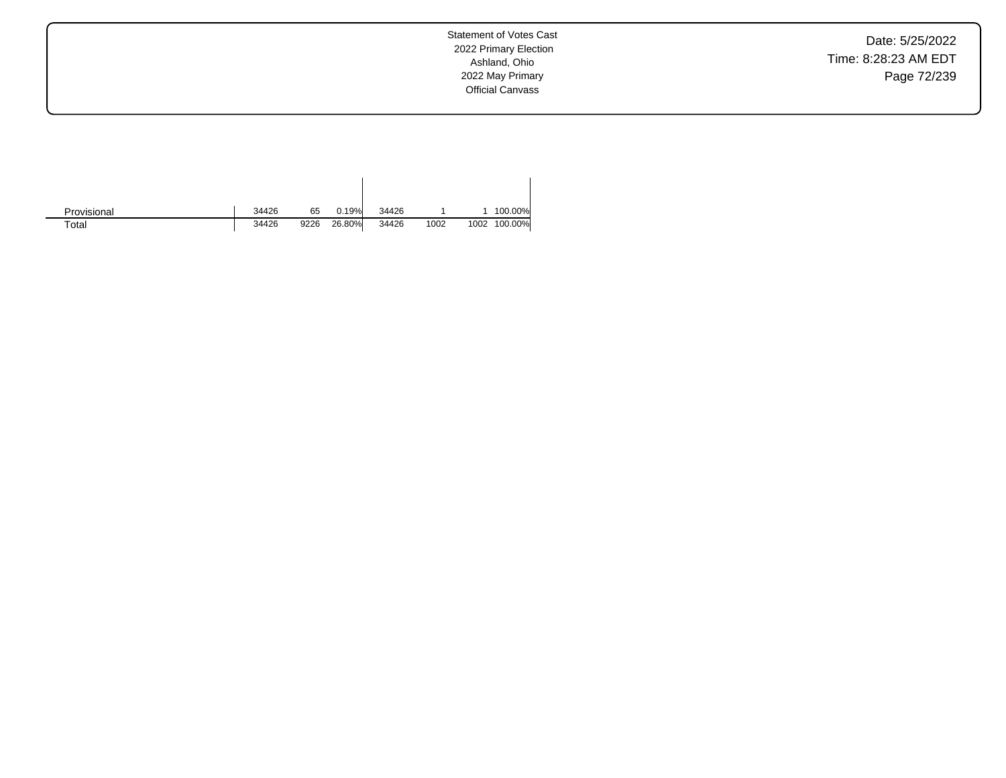Date: 5/25/2022 Time: 8:28:23 AM EDT Page 72/239

Statement of Votes Cast 2022 Primary Election Ashland, Ohio 2022 May Primary Official Canvass

| Provisional | 34426 | 65   | 0.19%  | 34426 |      |      | 100.00% |
|-------------|-------|------|--------|-------|------|------|---------|
| $\tau$ otal | 34426 | 9226 | 26.80% | 34426 | 1002 | 1002 | 100.00% |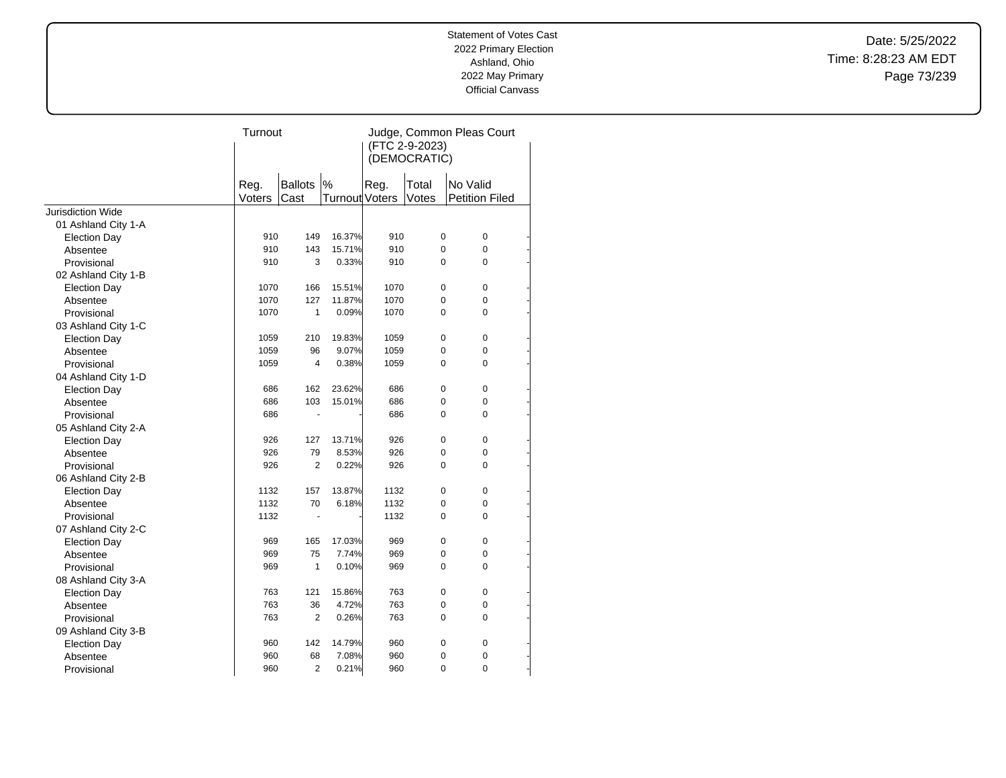Date: 5/25/2022 Time: 8:28:23 AM EDT Page 73/239

|                          | Turnout        |                |                       | Judge, Common Pleas Court |                |                       |  |  |
|--------------------------|----------------|----------------|-----------------------|---------------------------|----------------|-----------------------|--|--|
|                          |                |                |                       | (FTC 2-9-2023)            |                |                       |  |  |
|                          |                |                |                       |                           | (DEMOCRATIC)   |                       |  |  |
|                          |                | <b>Ballots</b> | $\%$                  |                           |                | No Valid              |  |  |
|                          | Reg.<br>Voters | Cast           | <b>Turnout Voters</b> | Reg.                      | Total<br>Votes | <b>Petition Filed</b> |  |  |
| <b>Jurisdiction Wide</b> |                |                |                       |                           |                |                       |  |  |
| 01 Ashland City 1-A      |                |                |                       |                           |                |                       |  |  |
| <b>Election Day</b>      | 910            | 149            | 16.37%                | 910                       | $\pmb{0}$      | 0                     |  |  |
| Absentee                 | 910            | 143            | 15.71%                | 910                       | 0              | 0                     |  |  |
| Provisional              | 910            | 3              | 0.33%                 | 910                       | $\Omega$       | $\Omega$              |  |  |
| 02 Ashland City 1-B      |                |                |                       |                           |                |                       |  |  |
| <b>Election Day</b>      | 1070           | 166            | 15.51%                | 1070                      | 0              | $\mathbf 0$           |  |  |
| Absentee                 | 1070           | 127            | 11.87%                | 1070                      | 0              | 0                     |  |  |
| Provisional              | 1070           | $\mathbf{1}$   | 0.09%                 | 1070                      | 0              | 0                     |  |  |
| 03 Ashland City 1-C      |                |                |                       |                           |                |                       |  |  |
| <b>Election Day</b>      | 1059           | 210            | 19.83%                | 1059                      | 0              | $\mathbf 0$           |  |  |
| Absentee                 | 1059           | 96             | 9.07%                 | 1059                      | 0              | 0                     |  |  |
| Provisional              | 1059           | 4              | 0.38%                 | 1059                      | $\Omega$       | $\Omega$              |  |  |
| 04 Ashland City 1-D      |                |                |                       |                           |                |                       |  |  |
| <b>Election Day</b>      | 686            | 162            | 23.62%                | 686                       | $\mathbf 0$    | $\mathbf 0$           |  |  |
| Absentee                 | 686            | 103            | 15.01%                | 686                       | 0              | 0                     |  |  |
| Provisional              | 686            | ä,             |                       | 686                       | $\Omega$       | $\Omega$              |  |  |
| 05 Ashland City 2-A      |                |                |                       |                           |                |                       |  |  |
| <b>Election Day</b>      | 926            | 127            | 13.71%                | 926                       | 0              | $\mathbf 0$           |  |  |
| Absentee                 | 926            | 79             | 8.53%                 | 926                       | 0              | 0                     |  |  |
| Provisional              | 926            | $\overline{2}$ | 0.22%                 | 926                       | $\Omega$       | $\Omega$              |  |  |
| 06 Ashland City 2-B      |                |                |                       |                           |                |                       |  |  |
| <b>Election Day</b>      | 1132           | 157            | 13.87%                | 1132                      | $\mathbf 0$    | $\mathbf 0$           |  |  |
| Absentee                 | 1132           | 70             | 6.18%                 | 1132                      | 0              | 0                     |  |  |
| Provisional              | 1132           | ä,             |                       | 1132                      | 0              | 0                     |  |  |
| 07 Ashland City 2-C      |                |                |                       |                           |                |                       |  |  |
| <b>Election Day</b>      | 969            | 165            | 17.03%                | 969                       | 0              | $\mathbf 0$           |  |  |
| Absentee                 | 969            | 75             | 7.74%                 | 969                       | 0              | $\mathbf 0$           |  |  |
| Provisional              | 969            | $\mathbf{1}$   | 0.10%                 | 969                       | 0              | 0                     |  |  |
| 08 Ashland City 3-A      |                |                |                       |                           |                |                       |  |  |
| <b>Election Day</b>      | 763            | 121            | 15.86%                | 763                       | 0              | $\mathbf 0$           |  |  |
| Absentee                 | 763            | 36             | 4.72%                 | 763                       | 0              | 0                     |  |  |
| Provisional              | 763            | $\overline{2}$ | 0.26%                 | 763                       | 0              | 0                     |  |  |
| 09 Ashland City 3-B      |                |                |                       |                           |                |                       |  |  |
| <b>Election Day</b>      | 960            | 142            | 14.79%                | 960                       | 0              | 0                     |  |  |
| Absentee                 | 960            | 68             | 7.08%                 | 960                       | 0              | 0                     |  |  |
| Provisional              | 960            | $\overline{2}$ | 0.21%                 | 960                       | 0              | $\overline{0}$        |  |  |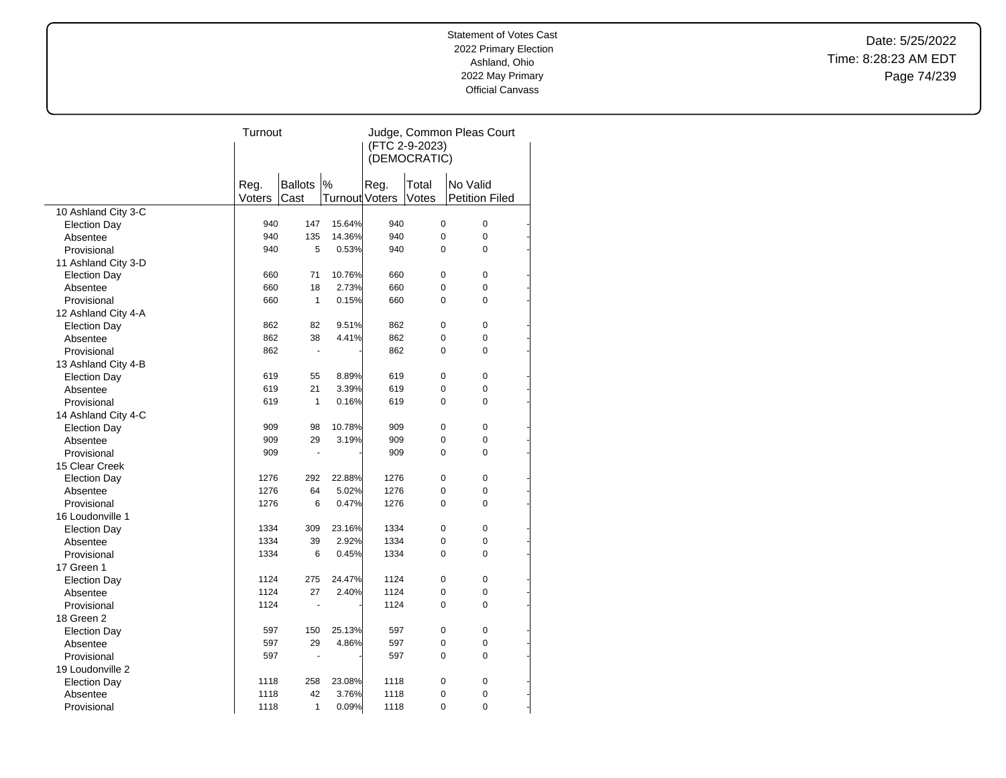Date: 5/25/2022 Time: 8:28:23 AM EDT Page 74/239

| (FTC 2-9-2023)<br>(DEMOCRATIC)<br><b>Ballots</b><br>$\frac{9}{6}$<br>Reg.<br>Reg.<br>Total<br>No Valid<br><b>Turnout Voters</b><br>Votes<br><b>Petition Filed</b><br>Voters<br>Cast<br>10 Ashland City 3-C<br>940<br>147<br>15.64%<br>940<br>$\pmb{0}$<br>$\pmb{0}$<br><b>Election Day</b><br>135<br>14.36%<br>$\mathbf 0$<br>0<br>940<br>940<br>Absentee<br>5<br>0.53%<br>0<br>0<br>Provisional<br>940<br>940<br>11 Ashland City 3-D<br>10.76%<br>660<br>71<br>660<br>$\mathbf 0$<br>$\pmb{0}$<br><b>Election Day</b><br>18<br>2.73%<br>0<br>0<br>660<br>660<br>Absentee<br>660<br>$\mathbf{1}$<br>0.15%<br>660<br>0<br>0<br>Provisional<br>12 Ashland City 4-A<br>$\mathbf 0$<br>$\mathbf 0$<br>862<br>82<br>9.51%<br>862<br><b>Election Day</b><br>862<br>862<br>38<br>4.41%<br>$\pmb{0}$<br>0<br>Absentee<br>862<br>862<br>0<br>0<br>Provisional<br>$\blacksquare$<br>13 Ashland City 4-B<br>619<br>8.89%<br>619<br>$\mathbf 0$<br>$\mathbf 0$<br>55<br><b>Election Day</b><br>21<br>$\Omega$<br>619<br>3.39%<br>619<br>$\Omega$<br>Absentee<br>619<br>$\mathbf{1}$<br>0.16%<br>619<br>$\Omega$<br>0<br>Provisional<br>14 Ashland City 4-C<br>909<br>10.78%<br>909<br>$\mathbf 0$<br>$\mathbf 0$<br>98<br><b>Election Day</b><br>29<br>3.19%<br>909<br>$\Omega$<br>0<br>909<br>Absentee<br>$\Omega$<br>$\Omega$<br>909<br>909<br>Provisional<br>$\sim$<br>15 Clear Creek<br>22.88%<br>$\mathbf 0$<br>$\pmb{0}$<br>1276<br>292<br>1276<br><b>Election Day</b><br>$\mathbf 0$<br>1276<br>64<br>5.02%<br>1276<br>0<br>Absentee<br>$\mathbf 0$<br>$\overline{0}$<br>1276<br>6<br>0.47%<br>1276<br>Provisional<br>16 Loudonville 1<br>$\mathbf 0$<br>$\mathbf 0$<br>1334<br>309<br>23.16%<br>1334<br><b>Election Day</b><br>0<br>1334<br>39<br>2.92%<br>1334<br>0<br>Absentee<br>$\overline{0}$<br>Provisional<br>1334<br>6<br>0.45%<br>1334<br>$\mathbf 0$<br>17 Green 1<br>$\pmb{0}$<br>1124<br>275<br>24.47%<br>1124<br>$\pmb{0}$<br><b>Election Day</b><br>1124<br>27<br>2.40%<br>1124<br>$\pmb{0}$<br>0<br>Absentee<br>1124<br>$\Omega$<br>0<br>1124<br>Provisional<br>÷.<br>18 Green 2<br>150<br>25.13%<br>597<br>$\mathbf 0$<br>$\mathbf 0$<br><b>Election Day</b><br>597<br>597<br>29<br>4.86%<br>597<br>0<br>0<br>Absentee<br>597<br>$\Omega$<br>0<br>597<br>Provisional<br>19 Loudonville 2<br>$\mathbf 0$<br>$\mathbf 0$<br>1118<br>258<br>23.08%<br>1118<br><b>Election Day</b><br>42<br>3.76%<br>1118<br>1118<br>0<br>0<br>Absentee<br>0.09%<br>$\overline{0}$<br>$\overline{0}$<br>1118<br>1<br>1118<br>Provisional | Turnout |  | Judge, Common Pleas Court |  |  |  |  |
|----------------------------------------------------------------------------------------------------------------------------------------------------------------------------------------------------------------------------------------------------------------------------------------------------------------------------------------------------------------------------------------------------------------------------------------------------------------------------------------------------------------------------------------------------------------------------------------------------------------------------------------------------------------------------------------------------------------------------------------------------------------------------------------------------------------------------------------------------------------------------------------------------------------------------------------------------------------------------------------------------------------------------------------------------------------------------------------------------------------------------------------------------------------------------------------------------------------------------------------------------------------------------------------------------------------------------------------------------------------------------------------------------------------------------------------------------------------------------------------------------------------------------------------------------------------------------------------------------------------------------------------------------------------------------------------------------------------------------------------------------------------------------------------------------------------------------------------------------------------------------------------------------------------------------------------------------------------------------------------------------------------------------------------------------------------------------------------------------------------------------------------------------------------------------------------------------------------------------------------------------------------------------------------------------------------------------------------------------------------------------------------------------------------------------------------------------------------------------------------------------------------------------------|---------|--|---------------------------|--|--|--|--|
|                                                                                                                                                                                                                                                                                                                                                                                                                                                                                                                                                                                                                                                                                                                                                                                                                                                                                                                                                                                                                                                                                                                                                                                                                                                                                                                                                                                                                                                                                                                                                                                                                                                                                                                                                                                                                                                                                                                                                                                                                                                                                                                                                                                                                                                                                                                                                                                                                                                                                                                                  |         |  |                           |  |  |  |  |
|                                                                                                                                                                                                                                                                                                                                                                                                                                                                                                                                                                                                                                                                                                                                                                                                                                                                                                                                                                                                                                                                                                                                                                                                                                                                                                                                                                                                                                                                                                                                                                                                                                                                                                                                                                                                                                                                                                                                                                                                                                                                                                                                                                                                                                                                                                                                                                                                                                                                                                                                  |         |  |                           |  |  |  |  |
|                                                                                                                                                                                                                                                                                                                                                                                                                                                                                                                                                                                                                                                                                                                                                                                                                                                                                                                                                                                                                                                                                                                                                                                                                                                                                                                                                                                                                                                                                                                                                                                                                                                                                                                                                                                                                                                                                                                                                                                                                                                                                                                                                                                                                                                                                                                                                                                                                                                                                                                                  |         |  |                           |  |  |  |  |
|                                                                                                                                                                                                                                                                                                                                                                                                                                                                                                                                                                                                                                                                                                                                                                                                                                                                                                                                                                                                                                                                                                                                                                                                                                                                                                                                                                                                                                                                                                                                                                                                                                                                                                                                                                                                                                                                                                                                                                                                                                                                                                                                                                                                                                                                                                                                                                                                                                                                                                                                  |         |  |                           |  |  |  |  |
|                                                                                                                                                                                                                                                                                                                                                                                                                                                                                                                                                                                                                                                                                                                                                                                                                                                                                                                                                                                                                                                                                                                                                                                                                                                                                                                                                                                                                                                                                                                                                                                                                                                                                                                                                                                                                                                                                                                                                                                                                                                                                                                                                                                                                                                                                                                                                                                                                                                                                                                                  |         |  |                           |  |  |  |  |
|                                                                                                                                                                                                                                                                                                                                                                                                                                                                                                                                                                                                                                                                                                                                                                                                                                                                                                                                                                                                                                                                                                                                                                                                                                                                                                                                                                                                                                                                                                                                                                                                                                                                                                                                                                                                                                                                                                                                                                                                                                                                                                                                                                                                                                                                                                                                                                                                                                                                                                                                  |         |  |                           |  |  |  |  |
|                                                                                                                                                                                                                                                                                                                                                                                                                                                                                                                                                                                                                                                                                                                                                                                                                                                                                                                                                                                                                                                                                                                                                                                                                                                                                                                                                                                                                                                                                                                                                                                                                                                                                                                                                                                                                                                                                                                                                                                                                                                                                                                                                                                                                                                                                                                                                                                                                                                                                                                                  |         |  |                           |  |  |  |  |
|                                                                                                                                                                                                                                                                                                                                                                                                                                                                                                                                                                                                                                                                                                                                                                                                                                                                                                                                                                                                                                                                                                                                                                                                                                                                                                                                                                                                                                                                                                                                                                                                                                                                                                                                                                                                                                                                                                                                                                                                                                                                                                                                                                                                                                                                                                                                                                                                                                                                                                                                  |         |  |                           |  |  |  |  |
|                                                                                                                                                                                                                                                                                                                                                                                                                                                                                                                                                                                                                                                                                                                                                                                                                                                                                                                                                                                                                                                                                                                                                                                                                                                                                                                                                                                                                                                                                                                                                                                                                                                                                                                                                                                                                                                                                                                                                                                                                                                                                                                                                                                                                                                                                                                                                                                                                                                                                                                                  |         |  |                           |  |  |  |  |
|                                                                                                                                                                                                                                                                                                                                                                                                                                                                                                                                                                                                                                                                                                                                                                                                                                                                                                                                                                                                                                                                                                                                                                                                                                                                                                                                                                                                                                                                                                                                                                                                                                                                                                                                                                                                                                                                                                                                                                                                                                                                                                                                                                                                                                                                                                                                                                                                                                                                                                                                  |         |  |                           |  |  |  |  |
|                                                                                                                                                                                                                                                                                                                                                                                                                                                                                                                                                                                                                                                                                                                                                                                                                                                                                                                                                                                                                                                                                                                                                                                                                                                                                                                                                                                                                                                                                                                                                                                                                                                                                                                                                                                                                                                                                                                                                                                                                                                                                                                                                                                                                                                                                                                                                                                                                                                                                                                                  |         |  |                           |  |  |  |  |
|                                                                                                                                                                                                                                                                                                                                                                                                                                                                                                                                                                                                                                                                                                                                                                                                                                                                                                                                                                                                                                                                                                                                                                                                                                                                                                                                                                                                                                                                                                                                                                                                                                                                                                                                                                                                                                                                                                                                                                                                                                                                                                                                                                                                                                                                                                                                                                                                                                                                                                                                  |         |  |                           |  |  |  |  |
|                                                                                                                                                                                                                                                                                                                                                                                                                                                                                                                                                                                                                                                                                                                                                                                                                                                                                                                                                                                                                                                                                                                                                                                                                                                                                                                                                                                                                                                                                                                                                                                                                                                                                                                                                                                                                                                                                                                                                                                                                                                                                                                                                                                                                                                                                                                                                                                                                                                                                                                                  |         |  |                           |  |  |  |  |
|                                                                                                                                                                                                                                                                                                                                                                                                                                                                                                                                                                                                                                                                                                                                                                                                                                                                                                                                                                                                                                                                                                                                                                                                                                                                                                                                                                                                                                                                                                                                                                                                                                                                                                                                                                                                                                                                                                                                                                                                                                                                                                                                                                                                                                                                                                                                                                                                                                                                                                                                  |         |  |                           |  |  |  |  |
|                                                                                                                                                                                                                                                                                                                                                                                                                                                                                                                                                                                                                                                                                                                                                                                                                                                                                                                                                                                                                                                                                                                                                                                                                                                                                                                                                                                                                                                                                                                                                                                                                                                                                                                                                                                                                                                                                                                                                                                                                                                                                                                                                                                                                                                                                                                                                                                                                                                                                                                                  |         |  |                           |  |  |  |  |
|                                                                                                                                                                                                                                                                                                                                                                                                                                                                                                                                                                                                                                                                                                                                                                                                                                                                                                                                                                                                                                                                                                                                                                                                                                                                                                                                                                                                                                                                                                                                                                                                                                                                                                                                                                                                                                                                                                                                                                                                                                                                                                                                                                                                                                                                                                                                                                                                                                                                                                                                  |         |  |                           |  |  |  |  |
|                                                                                                                                                                                                                                                                                                                                                                                                                                                                                                                                                                                                                                                                                                                                                                                                                                                                                                                                                                                                                                                                                                                                                                                                                                                                                                                                                                                                                                                                                                                                                                                                                                                                                                                                                                                                                                                                                                                                                                                                                                                                                                                                                                                                                                                                                                                                                                                                                                                                                                                                  |         |  |                           |  |  |  |  |
|                                                                                                                                                                                                                                                                                                                                                                                                                                                                                                                                                                                                                                                                                                                                                                                                                                                                                                                                                                                                                                                                                                                                                                                                                                                                                                                                                                                                                                                                                                                                                                                                                                                                                                                                                                                                                                                                                                                                                                                                                                                                                                                                                                                                                                                                                                                                                                                                                                                                                                                                  |         |  |                           |  |  |  |  |
|                                                                                                                                                                                                                                                                                                                                                                                                                                                                                                                                                                                                                                                                                                                                                                                                                                                                                                                                                                                                                                                                                                                                                                                                                                                                                                                                                                                                                                                                                                                                                                                                                                                                                                                                                                                                                                                                                                                                                                                                                                                                                                                                                                                                                                                                                                                                                                                                                                                                                                                                  |         |  |                           |  |  |  |  |
|                                                                                                                                                                                                                                                                                                                                                                                                                                                                                                                                                                                                                                                                                                                                                                                                                                                                                                                                                                                                                                                                                                                                                                                                                                                                                                                                                                                                                                                                                                                                                                                                                                                                                                                                                                                                                                                                                                                                                                                                                                                                                                                                                                                                                                                                                                                                                                                                                                                                                                                                  |         |  |                           |  |  |  |  |
|                                                                                                                                                                                                                                                                                                                                                                                                                                                                                                                                                                                                                                                                                                                                                                                                                                                                                                                                                                                                                                                                                                                                                                                                                                                                                                                                                                                                                                                                                                                                                                                                                                                                                                                                                                                                                                                                                                                                                                                                                                                                                                                                                                                                                                                                                                                                                                                                                                                                                                                                  |         |  |                           |  |  |  |  |
|                                                                                                                                                                                                                                                                                                                                                                                                                                                                                                                                                                                                                                                                                                                                                                                                                                                                                                                                                                                                                                                                                                                                                                                                                                                                                                                                                                                                                                                                                                                                                                                                                                                                                                                                                                                                                                                                                                                                                                                                                                                                                                                                                                                                                                                                                                                                                                                                                                                                                                                                  |         |  |                           |  |  |  |  |
|                                                                                                                                                                                                                                                                                                                                                                                                                                                                                                                                                                                                                                                                                                                                                                                                                                                                                                                                                                                                                                                                                                                                                                                                                                                                                                                                                                                                                                                                                                                                                                                                                                                                                                                                                                                                                                                                                                                                                                                                                                                                                                                                                                                                                                                                                                                                                                                                                                                                                                                                  |         |  |                           |  |  |  |  |
|                                                                                                                                                                                                                                                                                                                                                                                                                                                                                                                                                                                                                                                                                                                                                                                                                                                                                                                                                                                                                                                                                                                                                                                                                                                                                                                                                                                                                                                                                                                                                                                                                                                                                                                                                                                                                                                                                                                                                                                                                                                                                                                                                                                                                                                                                                                                                                                                                                                                                                                                  |         |  |                           |  |  |  |  |
|                                                                                                                                                                                                                                                                                                                                                                                                                                                                                                                                                                                                                                                                                                                                                                                                                                                                                                                                                                                                                                                                                                                                                                                                                                                                                                                                                                                                                                                                                                                                                                                                                                                                                                                                                                                                                                                                                                                                                                                                                                                                                                                                                                                                                                                                                                                                                                                                                                                                                                                                  |         |  |                           |  |  |  |  |
|                                                                                                                                                                                                                                                                                                                                                                                                                                                                                                                                                                                                                                                                                                                                                                                                                                                                                                                                                                                                                                                                                                                                                                                                                                                                                                                                                                                                                                                                                                                                                                                                                                                                                                                                                                                                                                                                                                                                                                                                                                                                                                                                                                                                                                                                                                                                                                                                                                                                                                                                  |         |  |                           |  |  |  |  |
|                                                                                                                                                                                                                                                                                                                                                                                                                                                                                                                                                                                                                                                                                                                                                                                                                                                                                                                                                                                                                                                                                                                                                                                                                                                                                                                                                                                                                                                                                                                                                                                                                                                                                                                                                                                                                                                                                                                                                                                                                                                                                                                                                                                                                                                                                                                                                                                                                                                                                                                                  |         |  |                           |  |  |  |  |
|                                                                                                                                                                                                                                                                                                                                                                                                                                                                                                                                                                                                                                                                                                                                                                                                                                                                                                                                                                                                                                                                                                                                                                                                                                                                                                                                                                                                                                                                                                                                                                                                                                                                                                                                                                                                                                                                                                                                                                                                                                                                                                                                                                                                                                                                                                                                                                                                                                                                                                                                  |         |  |                           |  |  |  |  |
|                                                                                                                                                                                                                                                                                                                                                                                                                                                                                                                                                                                                                                                                                                                                                                                                                                                                                                                                                                                                                                                                                                                                                                                                                                                                                                                                                                                                                                                                                                                                                                                                                                                                                                                                                                                                                                                                                                                                                                                                                                                                                                                                                                                                                                                                                                                                                                                                                                                                                                                                  |         |  |                           |  |  |  |  |
|                                                                                                                                                                                                                                                                                                                                                                                                                                                                                                                                                                                                                                                                                                                                                                                                                                                                                                                                                                                                                                                                                                                                                                                                                                                                                                                                                                                                                                                                                                                                                                                                                                                                                                                                                                                                                                                                                                                                                                                                                                                                                                                                                                                                                                                                                                                                                                                                                                                                                                                                  |         |  |                           |  |  |  |  |
|                                                                                                                                                                                                                                                                                                                                                                                                                                                                                                                                                                                                                                                                                                                                                                                                                                                                                                                                                                                                                                                                                                                                                                                                                                                                                                                                                                                                                                                                                                                                                                                                                                                                                                                                                                                                                                                                                                                                                                                                                                                                                                                                                                                                                                                                                                                                                                                                                                                                                                                                  |         |  |                           |  |  |  |  |
|                                                                                                                                                                                                                                                                                                                                                                                                                                                                                                                                                                                                                                                                                                                                                                                                                                                                                                                                                                                                                                                                                                                                                                                                                                                                                                                                                                                                                                                                                                                                                                                                                                                                                                                                                                                                                                                                                                                                                                                                                                                                                                                                                                                                                                                                                                                                                                                                                                                                                                                                  |         |  |                           |  |  |  |  |
|                                                                                                                                                                                                                                                                                                                                                                                                                                                                                                                                                                                                                                                                                                                                                                                                                                                                                                                                                                                                                                                                                                                                                                                                                                                                                                                                                                                                                                                                                                                                                                                                                                                                                                                                                                                                                                                                                                                                                                                                                                                                                                                                                                                                                                                                                                                                                                                                                                                                                                                                  |         |  |                           |  |  |  |  |
|                                                                                                                                                                                                                                                                                                                                                                                                                                                                                                                                                                                                                                                                                                                                                                                                                                                                                                                                                                                                                                                                                                                                                                                                                                                                                                                                                                                                                                                                                                                                                                                                                                                                                                                                                                                                                                                                                                                                                                                                                                                                                                                                                                                                                                                                                                                                                                                                                                                                                                                                  |         |  |                           |  |  |  |  |
|                                                                                                                                                                                                                                                                                                                                                                                                                                                                                                                                                                                                                                                                                                                                                                                                                                                                                                                                                                                                                                                                                                                                                                                                                                                                                                                                                                                                                                                                                                                                                                                                                                                                                                                                                                                                                                                                                                                                                                                                                                                                                                                                                                                                                                                                                                                                                                                                                                                                                                                                  |         |  |                           |  |  |  |  |
|                                                                                                                                                                                                                                                                                                                                                                                                                                                                                                                                                                                                                                                                                                                                                                                                                                                                                                                                                                                                                                                                                                                                                                                                                                                                                                                                                                                                                                                                                                                                                                                                                                                                                                                                                                                                                                                                                                                                                                                                                                                                                                                                                                                                                                                                                                                                                                                                                                                                                                                                  |         |  |                           |  |  |  |  |
|                                                                                                                                                                                                                                                                                                                                                                                                                                                                                                                                                                                                                                                                                                                                                                                                                                                                                                                                                                                                                                                                                                                                                                                                                                                                                                                                                                                                                                                                                                                                                                                                                                                                                                                                                                                                                                                                                                                                                                                                                                                                                                                                                                                                                                                                                                                                                                                                                                                                                                                                  |         |  |                           |  |  |  |  |
|                                                                                                                                                                                                                                                                                                                                                                                                                                                                                                                                                                                                                                                                                                                                                                                                                                                                                                                                                                                                                                                                                                                                                                                                                                                                                                                                                                                                                                                                                                                                                                                                                                                                                                                                                                                                                                                                                                                                                                                                                                                                                                                                                                                                                                                                                                                                                                                                                                                                                                                                  |         |  |                           |  |  |  |  |
|                                                                                                                                                                                                                                                                                                                                                                                                                                                                                                                                                                                                                                                                                                                                                                                                                                                                                                                                                                                                                                                                                                                                                                                                                                                                                                                                                                                                                                                                                                                                                                                                                                                                                                                                                                                                                                                                                                                                                                                                                                                                                                                                                                                                                                                                                                                                                                                                                                                                                                                                  |         |  |                           |  |  |  |  |
|                                                                                                                                                                                                                                                                                                                                                                                                                                                                                                                                                                                                                                                                                                                                                                                                                                                                                                                                                                                                                                                                                                                                                                                                                                                                                                                                                                                                                                                                                                                                                                                                                                                                                                                                                                                                                                                                                                                                                                                                                                                                                                                                                                                                                                                                                                                                                                                                                                                                                                                                  |         |  |                           |  |  |  |  |
|                                                                                                                                                                                                                                                                                                                                                                                                                                                                                                                                                                                                                                                                                                                                                                                                                                                                                                                                                                                                                                                                                                                                                                                                                                                                                                                                                                                                                                                                                                                                                                                                                                                                                                                                                                                                                                                                                                                                                                                                                                                                                                                                                                                                                                                                                                                                                                                                                                                                                                                                  |         |  |                           |  |  |  |  |
|                                                                                                                                                                                                                                                                                                                                                                                                                                                                                                                                                                                                                                                                                                                                                                                                                                                                                                                                                                                                                                                                                                                                                                                                                                                                                                                                                                                                                                                                                                                                                                                                                                                                                                                                                                                                                                                                                                                                                                                                                                                                                                                                                                                                                                                                                                                                                                                                                                                                                                                                  |         |  |                           |  |  |  |  |
|                                                                                                                                                                                                                                                                                                                                                                                                                                                                                                                                                                                                                                                                                                                                                                                                                                                                                                                                                                                                                                                                                                                                                                                                                                                                                                                                                                                                                                                                                                                                                                                                                                                                                                                                                                                                                                                                                                                                                                                                                                                                                                                                                                                                                                                                                                                                                                                                                                                                                                                                  |         |  |                           |  |  |  |  |
|                                                                                                                                                                                                                                                                                                                                                                                                                                                                                                                                                                                                                                                                                                                                                                                                                                                                                                                                                                                                                                                                                                                                                                                                                                                                                                                                                                                                                                                                                                                                                                                                                                                                                                                                                                                                                                                                                                                                                                                                                                                                                                                                                                                                                                                                                                                                                                                                                                                                                                                                  |         |  |                           |  |  |  |  |
|                                                                                                                                                                                                                                                                                                                                                                                                                                                                                                                                                                                                                                                                                                                                                                                                                                                                                                                                                                                                                                                                                                                                                                                                                                                                                                                                                                                                                                                                                                                                                                                                                                                                                                                                                                                                                                                                                                                                                                                                                                                                                                                                                                                                                                                                                                                                                                                                                                                                                                                                  |         |  |                           |  |  |  |  |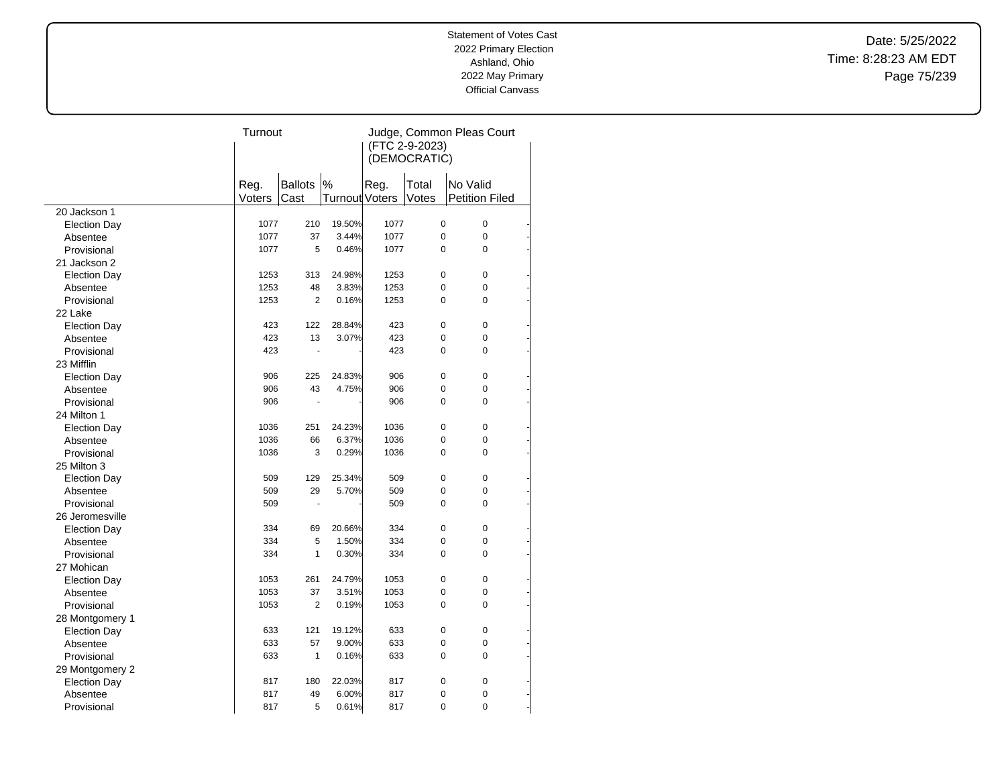Date: 5/25/2022 Time: 8:28:23 AM EDT Page 75/239

|                     | Turnout |                |                | Judge, Common Pleas Court |                |                       |  |  |
|---------------------|---------|----------------|----------------|---------------------------|----------------|-----------------------|--|--|
|                     |         |                |                |                           | (FTC 2-9-2023) |                       |  |  |
|                     |         | (DEMOCRATIC)   |                |                           |                |                       |  |  |
|                     |         |                |                |                           |                |                       |  |  |
|                     | Reg.    | <b>Ballots</b> | $\%$           | Reg.                      | Total          | No Valid              |  |  |
|                     | Voters  | Cast           | Turnout Voters |                           | Votes          | <b>Petition Filed</b> |  |  |
| 20 Jackson 1        |         |                |                |                           |                |                       |  |  |
| <b>Election Day</b> | 1077    | 210            | 19.50%         | 1077                      | 0              | $\pmb{0}$             |  |  |
| Absentee            | 1077    | 37             | 3.44%          | 1077                      | 0              | 0                     |  |  |
| Provisional         | 1077    | 5              | 0.46%          | 1077                      | 0              | 0                     |  |  |
| 21 Jackson 2        |         |                |                |                           |                |                       |  |  |
| <b>Election Day</b> | 1253    | 313            | 24.98%         | 1253                      | 0              | $\mathbf 0$           |  |  |
| Absentee            | 1253    | 48             | 3.83%          | 1253                      | 0              | 0                     |  |  |
| Provisional         | 1253    | $\overline{2}$ | 0.16%          | 1253                      | $\Omega$       | 0                     |  |  |
| 22 Lake             |         |                |                |                           |                |                       |  |  |
| <b>Election Day</b> | 423     | 122            | 28.84%         | 423                       | 0              | $\mathbf 0$           |  |  |
| Absentee            | 423     | 13             | 3.07%          | 423                       | 0              | 0                     |  |  |
| Provisional         | 423     | Ĭ.             |                | 423                       | 0              | 0                     |  |  |
| 23 Mifflin          |         |                |                |                           |                |                       |  |  |
| <b>Election Day</b> | 906     | 225            | 24.83%         | 906                       | 0              | 0                     |  |  |
| Absentee            | 906     | 43             | 4.75%          | 906                       | 0              | 0                     |  |  |
| Provisional         | 906     |                |                | 906                       | $\Omega$       | $\Omega$              |  |  |
| 24 Milton 1         |         |                |                |                           |                |                       |  |  |
| <b>Election Day</b> | 1036    | 251            | 24.23%         | 1036                      | 0              | 0                     |  |  |
| Absentee            | 1036    | 66             | 6.37%          | 1036                      | 0              | 0                     |  |  |
| Provisional         | 1036    | 3              | 0.29%          | 1036                      | 0              | 0                     |  |  |
| 25 Milton 3         |         |                |                |                           |                |                       |  |  |
| <b>Election Day</b> | 509     | 129            | 25.34%         | 509                       | 0              | 0                     |  |  |
| Absentee            | 509     | 29             | 5.70%          | 509                       | 0              | 0                     |  |  |
| Provisional         | 509     |                |                | 509                       | 0              | 0                     |  |  |
| 26 Jeromesville     |         |                |                |                           |                |                       |  |  |
| <b>Election Day</b> | 334     | 69             | 20.66%         | 334                       | 0              | $\pmb{0}$             |  |  |
| Absentee            | 334     | 5              | 1.50%          | 334                       | 0              | 0                     |  |  |
| Provisional         | 334     | 1              | 0.30%          | 334                       | 0              | 0                     |  |  |
| 27 Mohican          |         |                |                |                           |                |                       |  |  |
| <b>Election Day</b> | 1053    | 261            | 24.79%         | 1053                      | 0              | 0                     |  |  |
| Absentee            | 1053    | 37             | 3.51%          | 1053                      | 0              | 0                     |  |  |
| Provisional         | 1053    | $\overline{2}$ | 0.19%          | 1053                      | 0              | 0                     |  |  |
| 28 Montgomery 1     |         |                |                |                           |                |                       |  |  |
| <b>Election Day</b> | 633     | 121            | 19.12%         | 633                       | 0              | $\pmb{0}$             |  |  |
| Absentee            | 633     | 57             | 9.00%          | 633                       | 0              | 0                     |  |  |
| Provisional         | 633     | 1              | 0.16%          | 633                       | 0              | 0                     |  |  |
| 29 Montgomery 2     |         |                |                |                           |                |                       |  |  |
| <b>Election Day</b> | 817     | 180            | 22.03%         | 817                       | 0              | $\mathbf 0$           |  |  |
| Absentee            | 817     | 49             | 6.00%          | 817                       | 0              | 0                     |  |  |
| Provisional         | 817     | 5              | 0.61%          | 817                       | 0              | 0                     |  |  |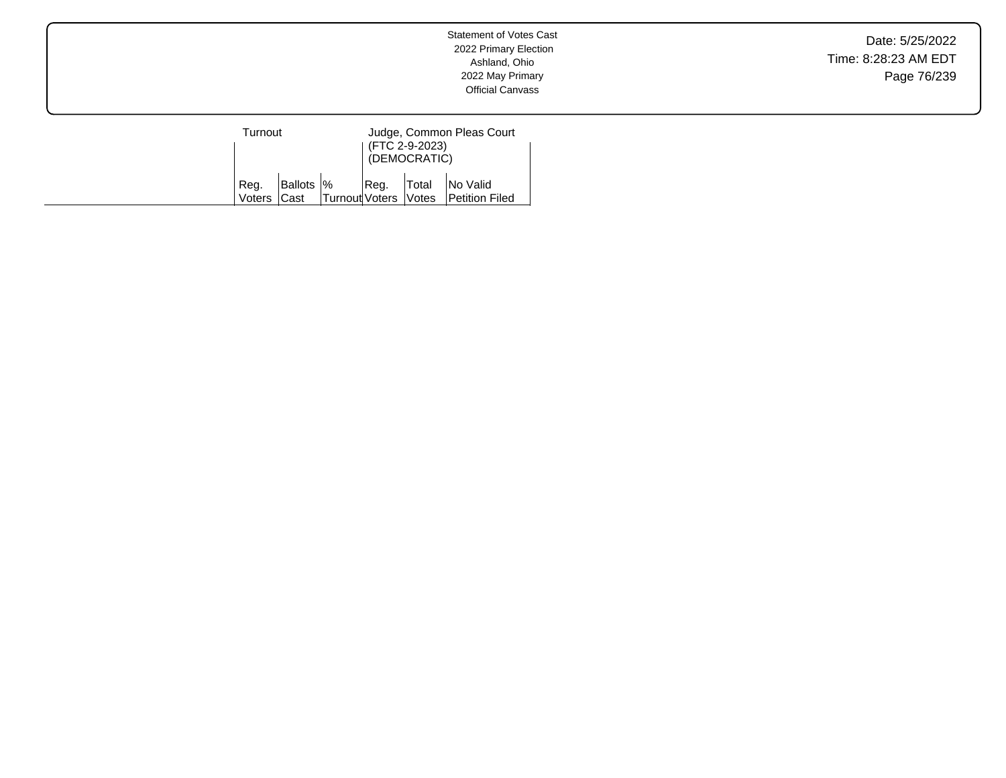Date: 5/25/2022 Time: 8:28:23 AM EDT Page 76/239

| Turnout              |            |                      | (FTC 2-9-2023)<br>(DEMOCRATIC) | Judge, Common Pleas Court                 |
|----------------------|------------|----------------------|--------------------------------|-------------------------------------------|
| `Reg.<br>Voters Cast | Ballots  % | Turnout Voters Votes |                                | Reg.   Total   No Valid<br>Petition Filed |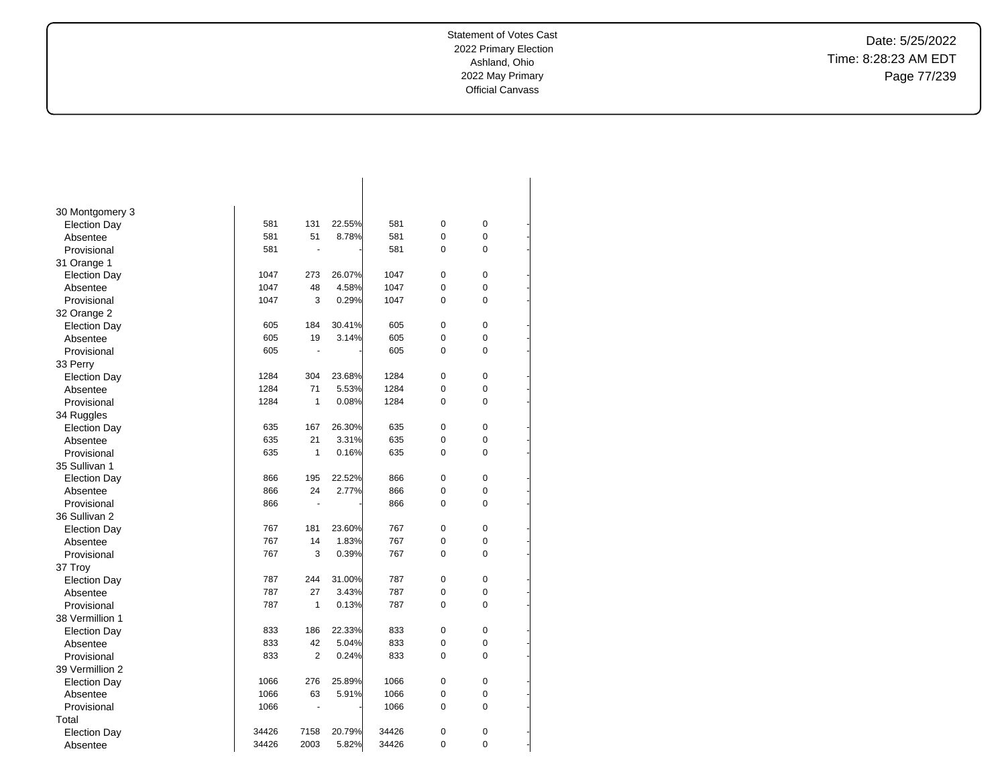-

-

-

-

-

-

-

-

-

-

-

-

-

-

-

-

-

-

-

-

-

-

-

-

-

-

-

-

-

-

-

-

Date: 5/25/2022 Time: 8:28:23 AM EDT Page 77/239

| 30 Montgomery 3     |       |                |        |       |             |   |  |
|---------------------|-------|----------------|--------|-------|-------------|---|--|
| <b>Election Day</b> | 581   | 131            | 22.55% | 581   | $\pmb{0}$   | 0 |  |
| Absentee            | 581   | 51             | 8.78%  | 581   | 0           | 0 |  |
| Provisional         | 581   | ä,             |        | 581   | 0           | 0 |  |
| 31 Orange 1         |       |                |        |       |             |   |  |
| <b>Election Day</b> | 1047  | 273            | 26.07% | 1047  | $\mathbf 0$ | 0 |  |
| Absentee            | 1047  | 48             | 4.58%  | 1047  | 0           | 0 |  |
| Provisional         | 1047  | 3              | 0.29%  | 1047  | 0           | 0 |  |
| 32 Orange 2         |       |                |        |       |             |   |  |
| <b>Election Day</b> | 605   | 184            | 30.41% | 605   | 0           | 0 |  |
| Absentee            | 605   | 19             | 3.14%  | 605   | 0           | 0 |  |
| Provisional         | 605   | ä,             |        | 605   | $\Omega$    | 0 |  |
| 33 Perry            |       |                |        |       |             |   |  |
| <b>Election Day</b> | 1284  | 304            | 23.68% | 1284  | $\mathbf 0$ | 0 |  |
| Absentee            | 1284  | 71             | 5.53%  | 1284  | 0           | 0 |  |
| Provisional         | 1284  | $\mathbf{1}$   | 0.08%  | 1284  | 0           | 0 |  |
| 34 Ruggles          |       |                |        |       |             |   |  |
| <b>Election Day</b> | 635   | 167            | 26.30% | 635   | $\mathbf 0$ | 0 |  |
| Absentee            | 635   | 21             | 3.31%  | 635   | 0           | 0 |  |
| Provisional         | 635   | $\mathbf{1}$   | 0.16%  | 635   | 0           | 0 |  |
| 35 Sullivan 1       |       |                |        |       |             |   |  |
| <b>Election Day</b> | 866   | 195            | 22.52% | 866   | $\pmb{0}$   | 0 |  |
| Absentee            | 866   | 24             | 2.77%  | 866   | 0           | 0 |  |
| Provisional         | 866   | $\blacksquare$ |        | 866   | 0           | 0 |  |
| 36 Sullivan 2       |       |                |        |       |             |   |  |
| <b>Election Day</b> | 767   | 181            | 23.60% | 767   | 0           | 0 |  |
| Absentee            | 767   | 14             | 1.83%  | 767   | $\mathbf 0$ | 0 |  |
| Provisional         | 767   | 3              | 0.39%  | 767   | 0           | 0 |  |
| 37 Troy             |       |                |        |       |             |   |  |
| <b>Election Day</b> | 787   | 244            | 31.00% | 787   | $\mathbf 0$ | 0 |  |
| Absentee            | 787   | 27             | 3.43%  | 787   | 0           | 0 |  |
| Provisional         | 787   | 1              | 0.13%  | 787   | 0           | 0 |  |
| 38 Vermillion 1     |       |                |        |       |             |   |  |
| <b>Election Day</b> | 833   | 186            | 22.33% | 833   | $\pmb{0}$   | 0 |  |
| Absentee            | 833   | 42             | 5.04%  | 833   | 0           | 0 |  |
| Provisional         | 833   | $\overline{2}$ | 0.24%  | 833   | 0           | 0 |  |
| 39 Vermillion 2     |       |                |        |       |             |   |  |
| <b>Election Day</b> | 1066  | 276            | 25.89% | 1066  | 0           | 0 |  |
| Absentee            | 1066  | 63             | 5.91%  | 1066  | 0           | 0 |  |
| Provisional         | 1066  | ٠              |        | 1066  | 0           | 0 |  |
| Total               |       |                |        |       |             |   |  |
| <b>Election Day</b> | 34426 | 7158           | 20.79% | 34426 | 0           | 0 |  |
| Absentee            | 34426 | 2003           | 5.82%  | 34426 | 0           | 0 |  |
|                     |       |                |        |       |             |   |  |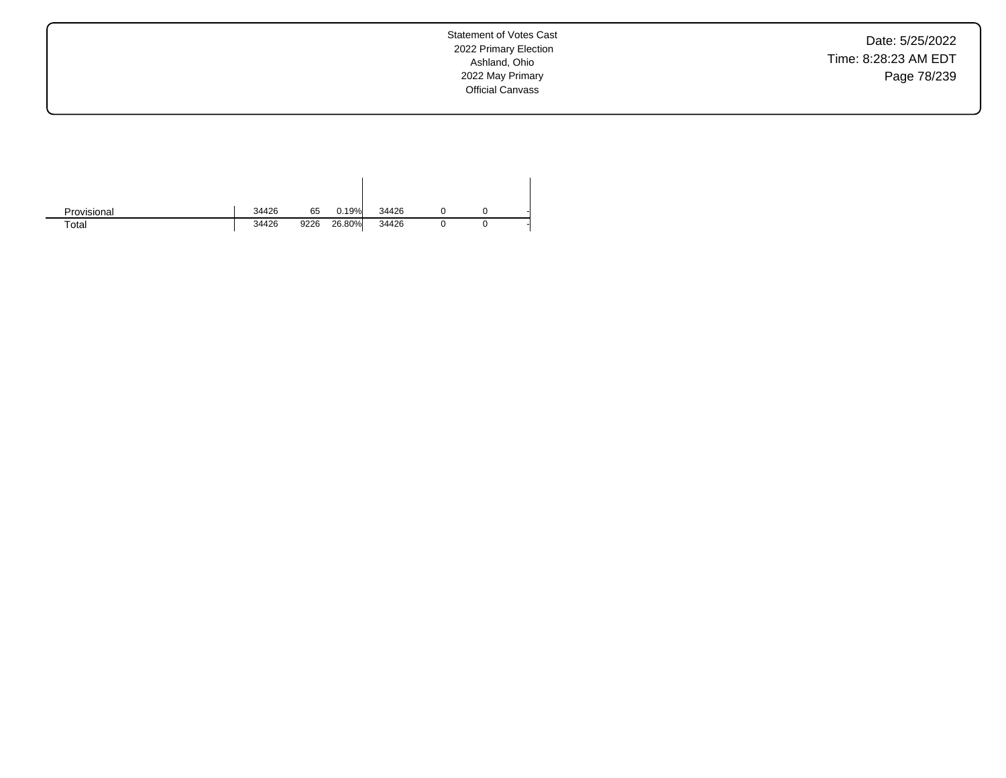Date: 5/25/2022 Time: 8:28:23 AM EDT Page 78/239

| Provisional | 34426 | 65   | 0.19%  | 34426 |  |  |
|-------------|-------|------|--------|-------|--|--|
| Total       | 34426 | 9226 | 26.80% | 34426 |  |  |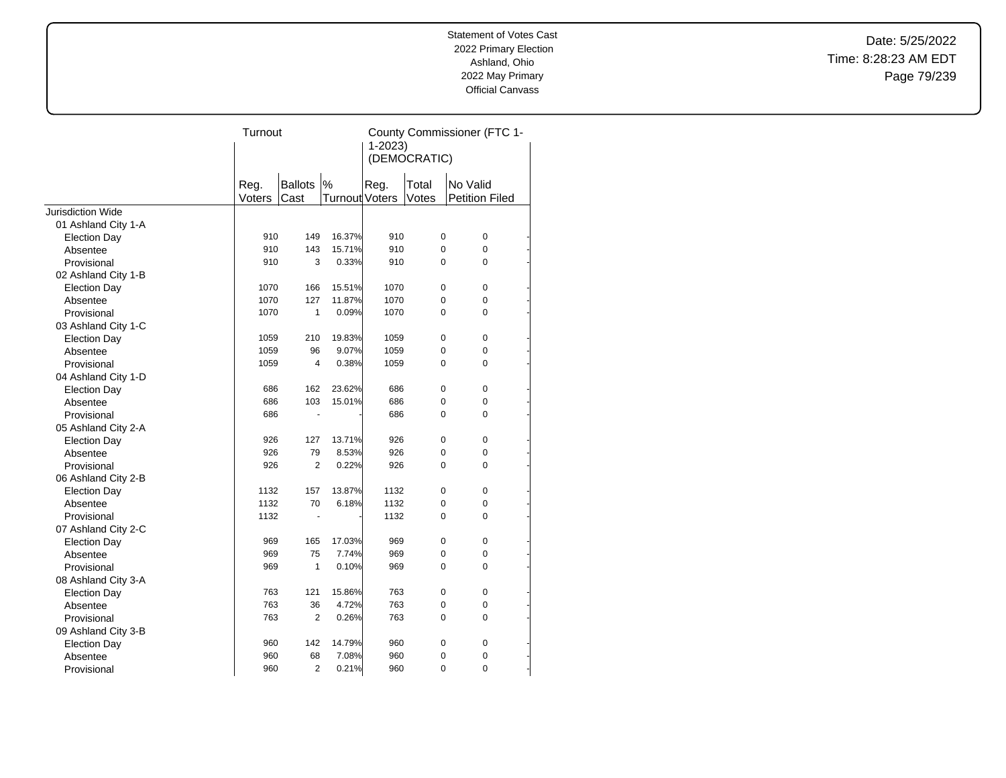Date: 5/25/2022 Time: 8:28:23 AM EDT Page 79/239

|                     | Turnout        |                 |                            | County Commissioner (FTC 1-<br>$1 - 2023$ |                |                                   |  |
|---------------------|----------------|-----------------|----------------------------|-------------------------------------------|----------------|-----------------------------------|--|
|                     |                |                 |                            | (DEMOCRATIC)                              |                |                                   |  |
|                     | Reg.<br>Voters | Ballots<br>Cast | %<br><b>Turnout Voters</b> | Reg.                                      | Total<br>Votes | No Valid<br><b>Petition Filed</b> |  |
| Jurisdiction Wide   |                |                 |                            |                                           |                |                                   |  |
| 01 Ashland City 1-A |                |                 |                            |                                           |                |                                   |  |
| <b>Election Day</b> | 910            | 149             | 16.37%                     | 910                                       | 0              | 0                                 |  |
| Absentee            | 910            | 143             | 15.71%                     | 910                                       | 0              | 0                                 |  |
| Provisional         | 910            | 3               | 0.33%                      | 910                                       | 0              | 0                                 |  |
| 02 Ashland City 1-B |                |                 |                            |                                           |                |                                   |  |
| <b>Election Day</b> | 1070           | 166             | 15.51%                     | 1070                                      | 0              | 0                                 |  |
| Absentee            | 1070           | 127             | 11.87%                     | 1070                                      | 0              | 0                                 |  |
| Provisional         | 1070           | $\mathbf{1}$    | 0.09%                      | 1070                                      | 0              | $\Omega$                          |  |
| 03 Ashland City 1-C |                |                 |                            |                                           |                |                                   |  |
| <b>Election Day</b> | 1059           | 210             | 19.83%                     | 1059                                      | $\Omega$       | $\Omega$                          |  |
| Absentee            | 1059           | 96              | 9.07%                      | 1059                                      | 0              | 0                                 |  |
| Provisional         | 1059           | $\overline{4}$  | 0.38%                      | 1059                                      | 0              | 0                                 |  |
| 04 Ashland City 1-D |                |                 |                            |                                           |                |                                   |  |
| <b>Election Day</b> | 686            | 162             | 23.62%                     | 686                                       | 0              | 0                                 |  |
| Absentee            | 686            | 103             | 15.01%                     | 686                                       | 0              | 0                                 |  |
| Provisional         | 686            | $\blacksquare$  |                            | 686                                       | $\Omega$       | $\Omega$                          |  |
| 05 Ashland City 2-A |                |                 |                            |                                           |                |                                   |  |
| <b>Election Day</b> | 926            | 127             | 13.71%                     | 926                                       | 0              | $\Omega$                          |  |
| Absentee            | 926            | 79              | 8.53%                      | 926                                       | 0              | 0                                 |  |
| Provisional         | 926            | $\overline{2}$  | 0.22%                      | 926                                       | 0              | 0                                 |  |
| 06 Ashland City 2-B |                |                 |                            |                                           |                |                                   |  |
| <b>Election Day</b> | 1132           | 157             | 13.87%                     | 1132                                      | 0              | 0                                 |  |
| Absentee            | 1132           | 70              | 6.18%                      | 1132                                      | 0              | 0                                 |  |
| Provisional         | 1132           |                 |                            | 1132                                      | $\Omega$       | $\Omega$                          |  |
| 07 Ashland City 2-C |                |                 |                            |                                           |                |                                   |  |
| <b>Election Day</b> | 969            | 165             | 17.03%                     | 969                                       | 0              | 0                                 |  |
| Absentee            | 969            | 75              | 7.74%                      | 969                                       | 0              | 0                                 |  |
| Provisional         | 969            | $\mathbf{1}$    | 0.10%                      | 969                                       | 0              | 0                                 |  |
| 08 Ashland City 3-A |                |                 |                            |                                           |                |                                   |  |
| <b>Election Day</b> | 763            | 121             | 15.86%                     | 763                                       | 0              | 0                                 |  |
| Absentee            | 763            | 36              | 4.72%                      | 763                                       | 0              | 0                                 |  |
| Provisional         | 763            | 2               | 0.26%                      | 763                                       | $\Omega$       | $\Omega$                          |  |
| 09 Ashland City 3-B |                |                 |                            |                                           |                |                                   |  |
| <b>Election Day</b> | 960            | 142             | 14.79%                     | 960                                       | 0              | 0                                 |  |
| Absentee            | 960            | 68              | 7.08%                      | 960                                       | 0              | 0                                 |  |
| Provisional         | 960            | $\overline{2}$  | 0.21%                      | 960                                       | $\overline{0}$ | $\overline{0}$                    |  |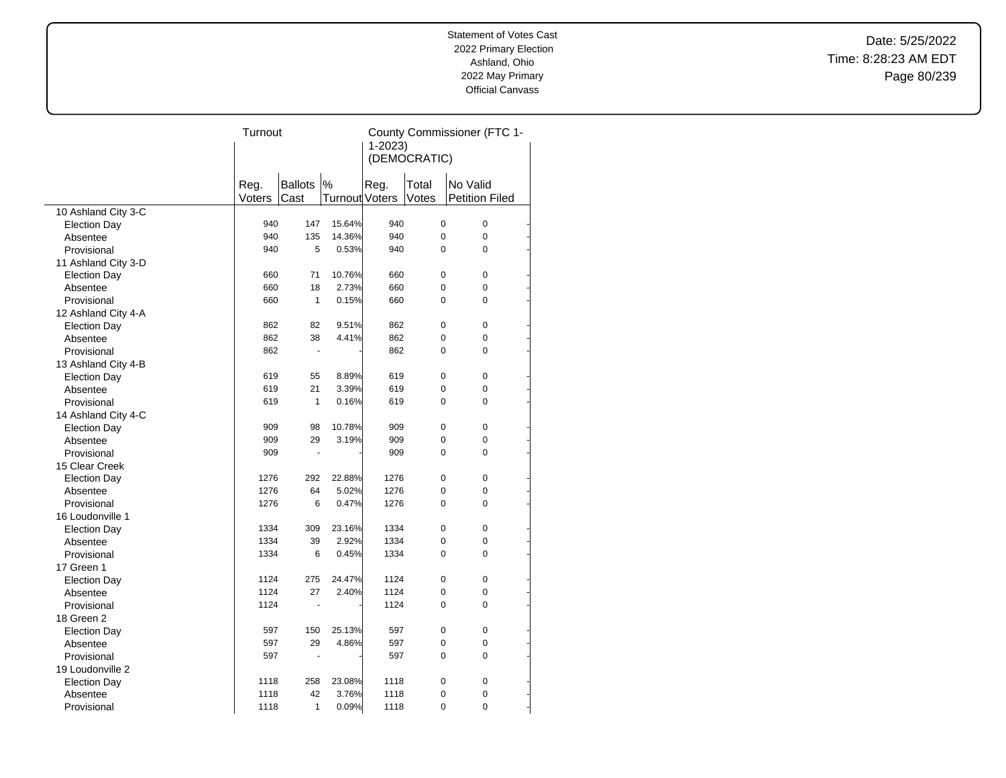Date: 5/25/2022 Time: 8:28:23 AM EDT Page 80/239

| $1 - 2023$<br>(DEMOCRATIC)<br>%<br><b>Ballots</b><br>Reg.<br>Reg.<br>Total<br>No Valid<br>Cast<br>Turnout Voters<br>Votes<br><b>Petition Filed</b><br>Voters<br>10 Ashland City 3-C<br>940<br>147<br>15.64%<br>940<br>0<br>$\mathbf 0$<br><b>Election Day</b><br>0<br>135<br>14.36%<br>$\mathbf 0$<br>940<br>940<br>Absentee<br>940<br>5<br>0.53%<br>940<br>0<br>$\mathbf 0$<br>Provisional<br>11 Ashland City 3-D<br>71<br>10.76%<br>$\mathbf 0$<br>660<br>660<br>0<br><b>Election Day</b><br>2.73%<br>18<br>0<br>$\mathbf 0$<br>660<br>660<br>Absentee<br>660<br>$\mathbf{1}$<br>0.15%<br>660<br>0<br>$\mathbf 0$<br>Provisional<br>12 Ashland City 4-A<br>862<br>82<br>9.51%<br>862<br>0<br>$\mathbf 0$<br><b>Election Day</b><br>0<br>862<br>38<br>4.41%<br>862<br>$\pmb{0}$<br>Absentee<br>862<br>862<br>0<br>$\mathbf 0$<br>Provisional<br>÷,<br>13 Ashland City 4-B<br>$\Omega$<br>619<br>55<br>8.89%<br>619<br>0<br><b>Election Day</b><br>0<br>619<br>21<br>3.39%<br>619<br>$\Omega$<br>Absentee<br>$\mathbf{1}$<br>0.16%<br>619<br>0<br>$\Omega$<br>Provisional<br>619<br>14 Ashland City 4-C<br>909<br>98<br>10.78%<br>909<br>0<br>$\mathbf 0$<br><b>Election Day</b><br>29<br>3.19%<br>909<br>0<br>$\mathbf 0$<br>Absentee<br>909<br>909<br>909<br>0<br>$\Omega$<br>Provisional<br>$\blacksquare$<br>15 Clear Creek<br>292<br>22.88%<br>1276<br>0<br>$\mathbf 0$<br>1276<br><b>Election Day</b><br>5.02%<br>0<br>$\mathbf 0$<br>1276<br>64<br>1276<br>Absentee<br>$\mathbf 0$<br>1276<br>6<br>0.47%<br>1276<br>0<br>Provisional<br>16 Loudonville 1<br>$\mathbf 0$<br>1334<br>309<br>23.16%<br>1334<br>0<br><b>Election Day</b><br>39<br>2.92%<br>0<br>1334<br>1334<br>$\mathbf 0$<br>Absentee<br>$\Omega$<br>Provisional<br>1334<br>6<br>0.45%<br>1334<br>0<br>17 Green 1<br>0<br>$\mathbf 0$<br>1124<br>275<br>24.47%<br>1124<br><b>Election Day</b><br>0<br>1124<br>27<br>2.40%<br>1124<br>$\pmb{0}$<br>Absentee<br>1124<br>1124<br>0<br>$\Omega$<br>Provisional<br>18 Green 2<br>597<br>150<br>25.13%<br>597<br>0<br>$\mathbf 0$<br><b>Election Day</b><br>4.86%<br>597<br>29<br>0<br>$\mathbf 0$<br>597<br>Absentee<br>0<br>$\Omega$<br>597<br>597<br>Provisional<br>ä,<br>19 Loudonville 2<br>0<br>$\mathbf 0$<br>1118<br>258<br>23.08%<br>1118<br><b>Election Day</b><br>42<br>3.76%<br>0<br>1118<br>1118<br>0<br>Absentee<br>0<br>$\mathbf 0$ |             | Turnout |   |       | County Commissioner (FTC 1- |  |  |  |  |
|-------------------------------------------------------------------------------------------------------------------------------------------------------------------------------------------------------------------------------------------------------------------------------------------------------------------------------------------------------------------------------------------------------------------------------------------------------------------------------------------------------------------------------------------------------------------------------------------------------------------------------------------------------------------------------------------------------------------------------------------------------------------------------------------------------------------------------------------------------------------------------------------------------------------------------------------------------------------------------------------------------------------------------------------------------------------------------------------------------------------------------------------------------------------------------------------------------------------------------------------------------------------------------------------------------------------------------------------------------------------------------------------------------------------------------------------------------------------------------------------------------------------------------------------------------------------------------------------------------------------------------------------------------------------------------------------------------------------------------------------------------------------------------------------------------------------------------------------------------------------------------------------------------------------------------------------------------------------------------------------------------------------------------------------------------------------------------------------------------------------------------------------------------------------------------------------------------------------------------------------------------------------------------------------------------------------------------------------------------------------|-------------|---------|---|-------|-----------------------------|--|--|--|--|
|                                                                                                                                                                                                                                                                                                                                                                                                                                                                                                                                                                                                                                                                                                                                                                                                                                                                                                                                                                                                                                                                                                                                                                                                                                                                                                                                                                                                                                                                                                                                                                                                                                                                                                                                                                                                                                                                                                                                                                                                                                                                                                                                                                                                                                                                                                                                                                   |             |         |   |       |                             |  |  |  |  |
|                                                                                                                                                                                                                                                                                                                                                                                                                                                                                                                                                                                                                                                                                                                                                                                                                                                                                                                                                                                                                                                                                                                                                                                                                                                                                                                                                                                                                                                                                                                                                                                                                                                                                                                                                                                                                                                                                                                                                                                                                                                                                                                                                                                                                                                                                                                                                                   |             |         |   |       |                             |  |  |  |  |
|                                                                                                                                                                                                                                                                                                                                                                                                                                                                                                                                                                                                                                                                                                                                                                                                                                                                                                                                                                                                                                                                                                                                                                                                                                                                                                                                                                                                                                                                                                                                                                                                                                                                                                                                                                                                                                                                                                                                                                                                                                                                                                                                                                                                                                                                                                                                                                   |             |         |   |       |                             |  |  |  |  |
|                                                                                                                                                                                                                                                                                                                                                                                                                                                                                                                                                                                                                                                                                                                                                                                                                                                                                                                                                                                                                                                                                                                                                                                                                                                                                                                                                                                                                                                                                                                                                                                                                                                                                                                                                                                                                                                                                                                                                                                                                                                                                                                                                                                                                                                                                                                                                                   |             |         |   |       |                             |  |  |  |  |
|                                                                                                                                                                                                                                                                                                                                                                                                                                                                                                                                                                                                                                                                                                                                                                                                                                                                                                                                                                                                                                                                                                                                                                                                                                                                                                                                                                                                                                                                                                                                                                                                                                                                                                                                                                                                                                                                                                                                                                                                                                                                                                                                                                                                                                                                                                                                                                   |             |         |   |       |                             |  |  |  |  |
|                                                                                                                                                                                                                                                                                                                                                                                                                                                                                                                                                                                                                                                                                                                                                                                                                                                                                                                                                                                                                                                                                                                                                                                                                                                                                                                                                                                                                                                                                                                                                                                                                                                                                                                                                                                                                                                                                                                                                                                                                                                                                                                                                                                                                                                                                                                                                                   |             |         |   |       |                             |  |  |  |  |
|                                                                                                                                                                                                                                                                                                                                                                                                                                                                                                                                                                                                                                                                                                                                                                                                                                                                                                                                                                                                                                                                                                                                                                                                                                                                                                                                                                                                                                                                                                                                                                                                                                                                                                                                                                                                                                                                                                                                                                                                                                                                                                                                                                                                                                                                                                                                                                   |             |         |   |       |                             |  |  |  |  |
|                                                                                                                                                                                                                                                                                                                                                                                                                                                                                                                                                                                                                                                                                                                                                                                                                                                                                                                                                                                                                                                                                                                                                                                                                                                                                                                                                                                                                                                                                                                                                                                                                                                                                                                                                                                                                                                                                                                                                                                                                                                                                                                                                                                                                                                                                                                                                                   |             |         |   |       |                             |  |  |  |  |
|                                                                                                                                                                                                                                                                                                                                                                                                                                                                                                                                                                                                                                                                                                                                                                                                                                                                                                                                                                                                                                                                                                                                                                                                                                                                                                                                                                                                                                                                                                                                                                                                                                                                                                                                                                                                                                                                                                                                                                                                                                                                                                                                                                                                                                                                                                                                                                   |             |         |   |       |                             |  |  |  |  |
|                                                                                                                                                                                                                                                                                                                                                                                                                                                                                                                                                                                                                                                                                                                                                                                                                                                                                                                                                                                                                                                                                                                                                                                                                                                                                                                                                                                                                                                                                                                                                                                                                                                                                                                                                                                                                                                                                                                                                                                                                                                                                                                                                                                                                                                                                                                                                                   |             |         |   |       |                             |  |  |  |  |
|                                                                                                                                                                                                                                                                                                                                                                                                                                                                                                                                                                                                                                                                                                                                                                                                                                                                                                                                                                                                                                                                                                                                                                                                                                                                                                                                                                                                                                                                                                                                                                                                                                                                                                                                                                                                                                                                                                                                                                                                                                                                                                                                                                                                                                                                                                                                                                   |             |         |   |       |                             |  |  |  |  |
|                                                                                                                                                                                                                                                                                                                                                                                                                                                                                                                                                                                                                                                                                                                                                                                                                                                                                                                                                                                                                                                                                                                                                                                                                                                                                                                                                                                                                                                                                                                                                                                                                                                                                                                                                                                                                                                                                                                                                                                                                                                                                                                                                                                                                                                                                                                                                                   |             |         |   |       |                             |  |  |  |  |
|                                                                                                                                                                                                                                                                                                                                                                                                                                                                                                                                                                                                                                                                                                                                                                                                                                                                                                                                                                                                                                                                                                                                                                                                                                                                                                                                                                                                                                                                                                                                                                                                                                                                                                                                                                                                                                                                                                                                                                                                                                                                                                                                                                                                                                                                                                                                                                   |             |         |   |       |                             |  |  |  |  |
|                                                                                                                                                                                                                                                                                                                                                                                                                                                                                                                                                                                                                                                                                                                                                                                                                                                                                                                                                                                                                                                                                                                                                                                                                                                                                                                                                                                                                                                                                                                                                                                                                                                                                                                                                                                                                                                                                                                                                                                                                                                                                                                                                                                                                                                                                                                                                                   |             |         |   |       |                             |  |  |  |  |
|                                                                                                                                                                                                                                                                                                                                                                                                                                                                                                                                                                                                                                                                                                                                                                                                                                                                                                                                                                                                                                                                                                                                                                                                                                                                                                                                                                                                                                                                                                                                                                                                                                                                                                                                                                                                                                                                                                                                                                                                                                                                                                                                                                                                                                                                                                                                                                   |             |         |   |       |                             |  |  |  |  |
|                                                                                                                                                                                                                                                                                                                                                                                                                                                                                                                                                                                                                                                                                                                                                                                                                                                                                                                                                                                                                                                                                                                                                                                                                                                                                                                                                                                                                                                                                                                                                                                                                                                                                                                                                                                                                                                                                                                                                                                                                                                                                                                                                                                                                                                                                                                                                                   |             |         |   |       |                             |  |  |  |  |
|                                                                                                                                                                                                                                                                                                                                                                                                                                                                                                                                                                                                                                                                                                                                                                                                                                                                                                                                                                                                                                                                                                                                                                                                                                                                                                                                                                                                                                                                                                                                                                                                                                                                                                                                                                                                                                                                                                                                                                                                                                                                                                                                                                                                                                                                                                                                                                   |             |         |   |       |                             |  |  |  |  |
|                                                                                                                                                                                                                                                                                                                                                                                                                                                                                                                                                                                                                                                                                                                                                                                                                                                                                                                                                                                                                                                                                                                                                                                                                                                                                                                                                                                                                                                                                                                                                                                                                                                                                                                                                                                                                                                                                                                                                                                                                                                                                                                                                                                                                                                                                                                                                                   |             |         |   |       |                             |  |  |  |  |
|                                                                                                                                                                                                                                                                                                                                                                                                                                                                                                                                                                                                                                                                                                                                                                                                                                                                                                                                                                                                                                                                                                                                                                                                                                                                                                                                                                                                                                                                                                                                                                                                                                                                                                                                                                                                                                                                                                                                                                                                                                                                                                                                                                                                                                                                                                                                                                   |             |         |   |       |                             |  |  |  |  |
|                                                                                                                                                                                                                                                                                                                                                                                                                                                                                                                                                                                                                                                                                                                                                                                                                                                                                                                                                                                                                                                                                                                                                                                                                                                                                                                                                                                                                                                                                                                                                                                                                                                                                                                                                                                                                                                                                                                                                                                                                                                                                                                                                                                                                                                                                                                                                                   |             |         |   |       |                             |  |  |  |  |
|                                                                                                                                                                                                                                                                                                                                                                                                                                                                                                                                                                                                                                                                                                                                                                                                                                                                                                                                                                                                                                                                                                                                                                                                                                                                                                                                                                                                                                                                                                                                                                                                                                                                                                                                                                                                                                                                                                                                                                                                                                                                                                                                                                                                                                                                                                                                                                   |             |         |   |       |                             |  |  |  |  |
|                                                                                                                                                                                                                                                                                                                                                                                                                                                                                                                                                                                                                                                                                                                                                                                                                                                                                                                                                                                                                                                                                                                                                                                                                                                                                                                                                                                                                                                                                                                                                                                                                                                                                                                                                                                                                                                                                                                                                                                                                                                                                                                                                                                                                                                                                                                                                                   |             |         |   |       |                             |  |  |  |  |
|                                                                                                                                                                                                                                                                                                                                                                                                                                                                                                                                                                                                                                                                                                                                                                                                                                                                                                                                                                                                                                                                                                                                                                                                                                                                                                                                                                                                                                                                                                                                                                                                                                                                                                                                                                                                                                                                                                                                                                                                                                                                                                                                                                                                                                                                                                                                                                   |             |         |   |       |                             |  |  |  |  |
|                                                                                                                                                                                                                                                                                                                                                                                                                                                                                                                                                                                                                                                                                                                                                                                                                                                                                                                                                                                                                                                                                                                                                                                                                                                                                                                                                                                                                                                                                                                                                                                                                                                                                                                                                                                                                                                                                                                                                                                                                                                                                                                                                                                                                                                                                                                                                                   |             |         |   |       |                             |  |  |  |  |
|                                                                                                                                                                                                                                                                                                                                                                                                                                                                                                                                                                                                                                                                                                                                                                                                                                                                                                                                                                                                                                                                                                                                                                                                                                                                                                                                                                                                                                                                                                                                                                                                                                                                                                                                                                                                                                                                                                                                                                                                                                                                                                                                                                                                                                                                                                                                                                   |             |         |   |       |                             |  |  |  |  |
|                                                                                                                                                                                                                                                                                                                                                                                                                                                                                                                                                                                                                                                                                                                                                                                                                                                                                                                                                                                                                                                                                                                                                                                                                                                                                                                                                                                                                                                                                                                                                                                                                                                                                                                                                                                                                                                                                                                                                                                                                                                                                                                                                                                                                                                                                                                                                                   |             |         |   |       |                             |  |  |  |  |
|                                                                                                                                                                                                                                                                                                                                                                                                                                                                                                                                                                                                                                                                                                                                                                                                                                                                                                                                                                                                                                                                                                                                                                                                                                                                                                                                                                                                                                                                                                                                                                                                                                                                                                                                                                                                                                                                                                                                                                                                                                                                                                                                                                                                                                                                                                                                                                   |             |         |   |       |                             |  |  |  |  |
|                                                                                                                                                                                                                                                                                                                                                                                                                                                                                                                                                                                                                                                                                                                                                                                                                                                                                                                                                                                                                                                                                                                                                                                                                                                                                                                                                                                                                                                                                                                                                                                                                                                                                                                                                                                                                                                                                                                                                                                                                                                                                                                                                                                                                                                                                                                                                                   |             |         |   |       |                             |  |  |  |  |
|                                                                                                                                                                                                                                                                                                                                                                                                                                                                                                                                                                                                                                                                                                                                                                                                                                                                                                                                                                                                                                                                                                                                                                                                                                                                                                                                                                                                                                                                                                                                                                                                                                                                                                                                                                                                                                                                                                                                                                                                                                                                                                                                                                                                                                                                                                                                                                   |             |         |   |       |                             |  |  |  |  |
|                                                                                                                                                                                                                                                                                                                                                                                                                                                                                                                                                                                                                                                                                                                                                                                                                                                                                                                                                                                                                                                                                                                                                                                                                                                                                                                                                                                                                                                                                                                                                                                                                                                                                                                                                                                                                                                                                                                                                                                                                                                                                                                                                                                                                                                                                                                                                                   |             |         |   |       |                             |  |  |  |  |
|                                                                                                                                                                                                                                                                                                                                                                                                                                                                                                                                                                                                                                                                                                                                                                                                                                                                                                                                                                                                                                                                                                                                                                                                                                                                                                                                                                                                                                                                                                                                                                                                                                                                                                                                                                                                                                                                                                                                                                                                                                                                                                                                                                                                                                                                                                                                                                   |             |         |   |       |                             |  |  |  |  |
|                                                                                                                                                                                                                                                                                                                                                                                                                                                                                                                                                                                                                                                                                                                                                                                                                                                                                                                                                                                                                                                                                                                                                                                                                                                                                                                                                                                                                                                                                                                                                                                                                                                                                                                                                                                                                                                                                                                                                                                                                                                                                                                                                                                                                                                                                                                                                                   |             |         |   |       |                             |  |  |  |  |
|                                                                                                                                                                                                                                                                                                                                                                                                                                                                                                                                                                                                                                                                                                                                                                                                                                                                                                                                                                                                                                                                                                                                                                                                                                                                                                                                                                                                                                                                                                                                                                                                                                                                                                                                                                                                                                                                                                                                                                                                                                                                                                                                                                                                                                                                                                                                                                   |             |         |   |       |                             |  |  |  |  |
|                                                                                                                                                                                                                                                                                                                                                                                                                                                                                                                                                                                                                                                                                                                                                                                                                                                                                                                                                                                                                                                                                                                                                                                                                                                                                                                                                                                                                                                                                                                                                                                                                                                                                                                                                                                                                                                                                                                                                                                                                                                                                                                                                                                                                                                                                                                                                                   |             |         |   |       |                             |  |  |  |  |
|                                                                                                                                                                                                                                                                                                                                                                                                                                                                                                                                                                                                                                                                                                                                                                                                                                                                                                                                                                                                                                                                                                                                                                                                                                                                                                                                                                                                                                                                                                                                                                                                                                                                                                                                                                                                                                                                                                                                                                                                                                                                                                                                                                                                                                                                                                                                                                   |             |         |   |       |                             |  |  |  |  |
|                                                                                                                                                                                                                                                                                                                                                                                                                                                                                                                                                                                                                                                                                                                                                                                                                                                                                                                                                                                                                                                                                                                                                                                                                                                                                                                                                                                                                                                                                                                                                                                                                                                                                                                                                                                                                                                                                                                                                                                                                                                                                                                                                                                                                                                                                                                                                                   |             |         |   |       |                             |  |  |  |  |
|                                                                                                                                                                                                                                                                                                                                                                                                                                                                                                                                                                                                                                                                                                                                                                                                                                                                                                                                                                                                                                                                                                                                                                                                                                                                                                                                                                                                                                                                                                                                                                                                                                                                                                                                                                                                                                                                                                                                                                                                                                                                                                                                                                                                                                                                                                                                                                   |             |         |   |       |                             |  |  |  |  |
|                                                                                                                                                                                                                                                                                                                                                                                                                                                                                                                                                                                                                                                                                                                                                                                                                                                                                                                                                                                                                                                                                                                                                                                                                                                                                                                                                                                                                                                                                                                                                                                                                                                                                                                                                                                                                                                                                                                                                                                                                                                                                                                                                                                                                                                                                                                                                                   |             |         |   |       |                             |  |  |  |  |
|                                                                                                                                                                                                                                                                                                                                                                                                                                                                                                                                                                                                                                                                                                                                                                                                                                                                                                                                                                                                                                                                                                                                                                                                                                                                                                                                                                                                                                                                                                                                                                                                                                                                                                                                                                                                                                                                                                                                                                                                                                                                                                                                                                                                                                                                                                                                                                   |             |         |   |       |                             |  |  |  |  |
|                                                                                                                                                                                                                                                                                                                                                                                                                                                                                                                                                                                                                                                                                                                                                                                                                                                                                                                                                                                                                                                                                                                                                                                                                                                                                                                                                                                                                                                                                                                                                                                                                                                                                                                                                                                                                                                                                                                                                                                                                                                                                                                                                                                                                                                                                                                                                                   |             |         |   |       |                             |  |  |  |  |
|                                                                                                                                                                                                                                                                                                                                                                                                                                                                                                                                                                                                                                                                                                                                                                                                                                                                                                                                                                                                                                                                                                                                                                                                                                                                                                                                                                                                                                                                                                                                                                                                                                                                                                                                                                                                                                                                                                                                                                                                                                                                                                                                                                                                                                                                                                                                                                   |             |         |   |       |                             |  |  |  |  |
|                                                                                                                                                                                                                                                                                                                                                                                                                                                                                                                                                                                                                                                                                                                                                                                                                                                                                                                                                                                                                                                                                                                                                                                                                                                                                                                                                                                                                                                                                                                                                                                                                                                                                                                                                                                                                                                                                                                                                                                                                                                                                                                                                                                                                                                                                                                                                                   |             |         |   |       |                             |  |  |  |  |
|                                                                                                                                                                                                                                                                                                                                                                                                                                                                                                                                                                                                                                                                                                                                                                                                                                                                                                                                                                                                                                                                                                                                                                                                                                                                                                                                                                                                                                                                                                                                                                                                                                                                                                                                                                                                                                                                                                                                                                                                                                                                                                                                                                                                                                                                                                                                                                   |             |         |   |       |                             |  |  |  |  |
|                                                                                                                                                                                                                                                                                                                                                                                                                                                                                                                                                                                                                                                                                                                                                                                                                                                                                                                                                                                                                                                                                                                                                                                                                                                                                                                                                                                                                                                                                                                                                                                                                                                                                                                                                                                                                                                                                                                                                                                                                                                                                                                                                                                                                                                                                                                                                                   |             |         |   |       |                             |  |  |  |  |
|                                                                                                                                                                                                                                                                                                                                                                                                                                                                                                                                                                                                                                                                                                                                                                                                                                                                                                                                                                                                                                                                                                                                                                                                                                                                                                                                                                                                                                                                                                                                                                                                                                                                                                                                                                                                                                                                                                                                                                                                                                                                                                                                                                                                                                                                                                                                                                   | Provisional | 1118    | 1 | 0.09% | 1118                        |  |  |  |  |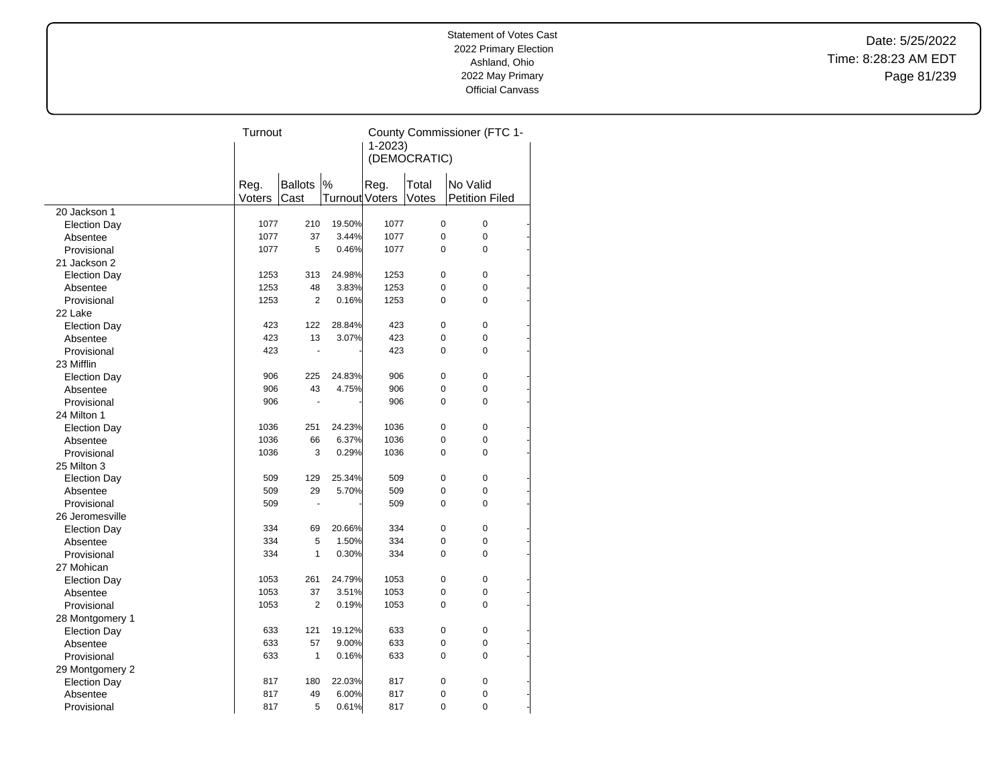Date: 5/25/2022 Time: 8:28:23 AM EDT Page 81/239

|                     | Turnout |                |                       | County Commissioner (FTC 1- |              |                       |  |
|---------------------|---------|----------------|-----------------------|-----------------------------|--------------|-----------------------|--|
|                     |         |                |                       | $1 - 2023$                  |              |                       |  |
|                     |         |                |                       |                             | (DEMOCRATIC) |                       |  |
|                     |         |                |                       |                             |              |                       |  |
|                     | Reg.    | <b>Ballots</b> | %                     | Reg.                        | Total        | No Valid              |  |
|                     | Voters  | Cast           | <b>Turnout Voters</b> |                             | Votes        | <b>Petition Filed</b> |  |
| 20 Jackson 1        |         |                |                       |                             |              |                       |  |
| <b>Election Day</b> | 1077    | 210            | 19.50%                | 1077                        | 0            | 0                     |  |
| Absentee            | 1077    | 37             | 3.44%                 | 1077                        | 0            | 0                     |  |
| Provisional         | 1077    | 5              | 0.46%                 | 1077                        | 0            | 0                     |  |
| 21 Jackson 2        |         |                |                       |                             |              |                       |  |
| <b>Election Day</b> | 1253    | 313            | 24.98%                | 1253                        | 0            | $\mathbf 0$           |  |
| Absentee            | 1253    | 48             | 3.83%                 | 1253                        | 0            | 0                     |  |
| Provisional         | 1253    | 2              | 0.16%                 | 1253                        | 0            | 0                     |  |
| 22 Lake             |         |                |                       |                             |              |                       |  |
| <b>Election Day</b> | 423     | 122            | 28.84%                | 423                         | 0            | 0                     |  |
| Absentee            | 423     | 13             | 3.07%                 | 423                         | 0            | 0                     |  |
| Provisional         | 423     | ÷.             |                       | 423                         | $\Omega$     | 0                     |  |
| 23 Mifflin          |         |                |                       |                             |              |                       |  |
| <b>Election Day</b> | 906     | 225            | 24.83%                | 906                         | 0            | 0                     |  |
| Absentee            | 906     | 43             | 4.75%                 | 906                         | 0            | 0                     |  |
| Provisional         | 906     | ÷.             |                       | 906                         | $\Omega$     | 0                     |  |
| 24 Milton 1         |         |                |                       |                             |              |                       |  |
| <b>Election Day</b> | 1036    | 251            | 24.23%                | 1036                        | 0            | 0                     |  |
| Absentee            | 1036    | 66             | 6.37%                 | 1036                        | 0            | 0                     |  |
| Provisional         | 1036    | 3              | 0.29%                 | 1036                        | 0            | 0                     |  |
| 25 Milton 3         |         |                |                       |                             |              |                       |  |
| <b>Election Day</b> | 509     | 129            | 25.34%                | 509                         | 0            | 0                     |  |
| Absentee            | 509     | 29             | 5.70%                 | 509                         | 0            | $\Omega$              |  |
| Provisional         | 509     | ÷.             |                       | 509                         | 0            | 0                     |  |
| 26 Jeromesville     |         |                |                       |                             |              |                       |  |
| <b>Election Day</b> | 334     | 69             | 20.66%                | 334                         | 0            | 0                     |  |
| Absentee            | 334     | 5              | 1.50%                 | 334                         | 0            | 0                     |  |
| Provisional         | 334     | 1              | 0.30%                 | 334                         | 0            | 0                     |  |
| 27 Mohican          |         |                |                       |                             |              |                       |  |
| <b>Election Day</b> | 1053    | 261            | 24.79%                | 1053                        | 0            | 0                     |  |
| Absentee            | 1053    | 37             | 3.51%                 | 1053                        | 0            | 0                     |  |
| Provisional         | 1053    | $\overline{2}$ | 0.19%                 | 1053                        | 0            | 0                     |  |
| 28 Montgomery 1     |         |                |                       |                             |              |                       |  |
| <b>Election Day</b> | 633     | 121            | 19.12%                | 633                         | 0            | 0                     |  |
| Absentee            | 633     | 57             | 9.00%                 | 633                         | 0            | 0                     |  |
| Provisional         | 633     | 1              | 0.16%                 | 633                         | $\Omega$     | $\Omega$              |  |
| 29 Montgomery 2     |         |                |                       |                             |              |                       |  |
| <b>Election Day</b> | 817     | 180            | 22.03%                | 817                         | 0            | 0                     |  |
| Absentee            | 817     | 49             | 6.00%                 | 817                         | 0            | 0                     |  |
| Provisional         | 817     | 5              | 0.61%                 | 817                         | 0            | 0                     |  |
|                     |         |                |                       |                             |              |                       |  |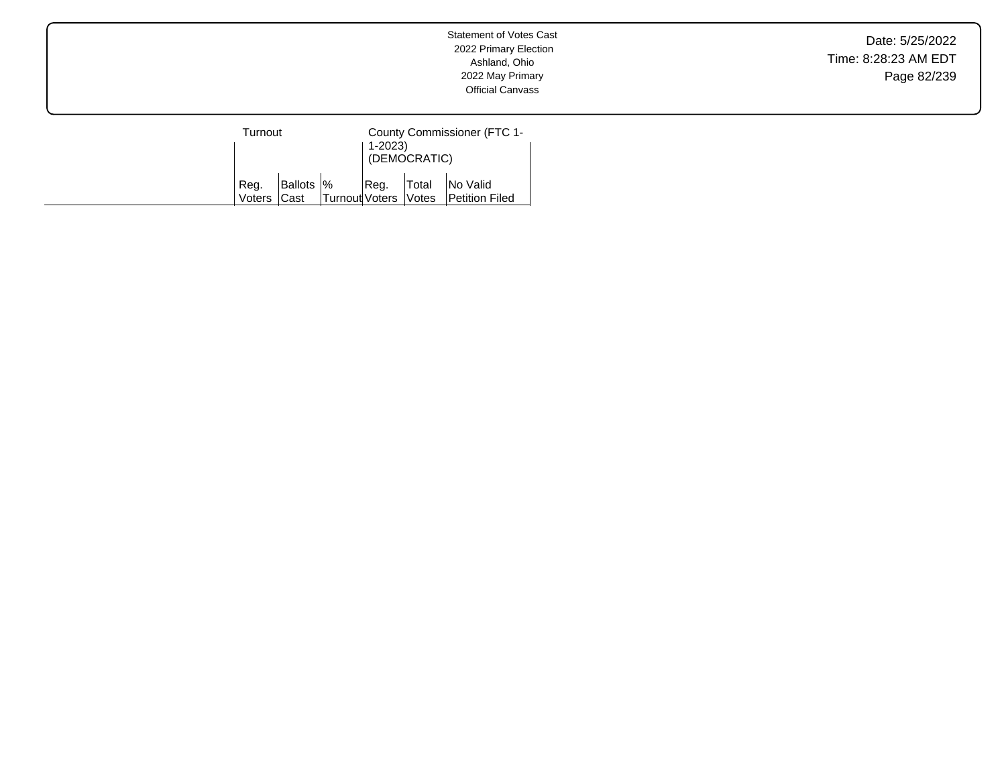Date: 5/25/2022 Time: 8:28:23 AM EDT Page 82/239

| Turnout        |                           |                        | 1-2023) | (DEMOCRATIC) | County Commissioner (FTC 1-       |
|----------------|---------------------------|------------------------|---------|--------------|-----------------------------------|
| Reg.<br>Voters | Ballots  %<br><b>Cast</b> | Turnout Voters   Votes | Reg.    | Total        | No Valid<br><b>Petition Filed</b> |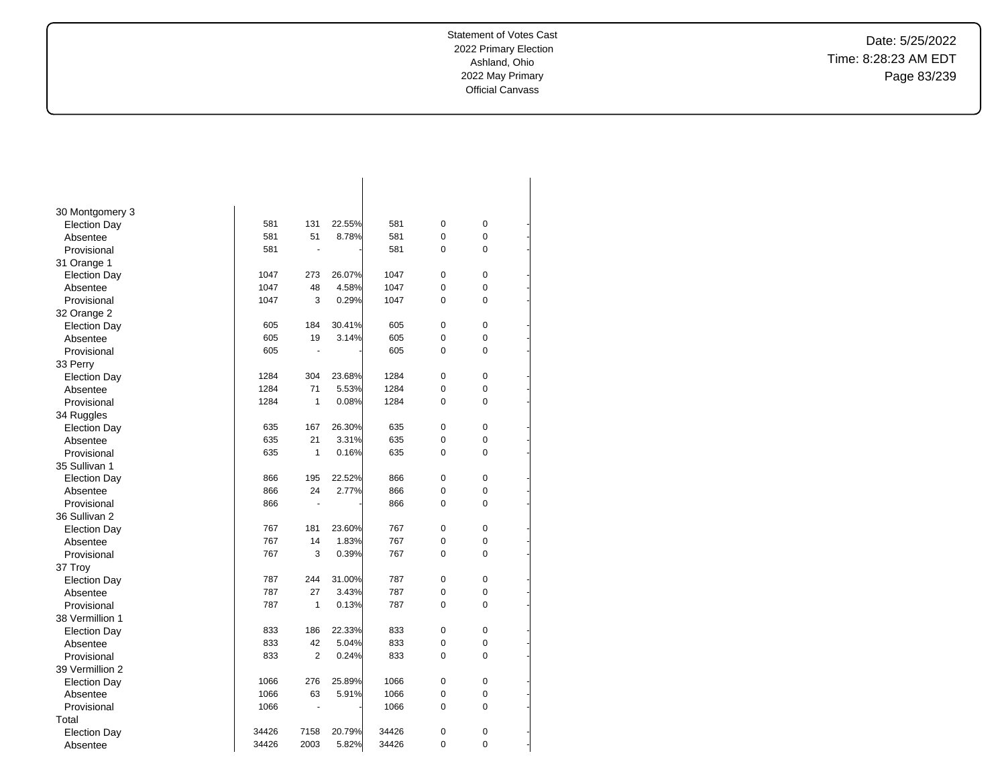-

-

-

-

-

-

-

-

-

-

-

-

-

-

-

-

-

-

-

-

-

-

-

-

-

-

-

-

-

-

-

-

Date: 5/25/2022 Time: 8:28:23 AM EDT Page 83/239

| 30 Montgomery 3     |       |                |        |       |             |                |  |
|---------------------|-------|----------------|--------|-------|-------------|----------------|--|
| <b>Election Day</b> | 581   | 131            | 22.55% | 581   | 0           | $\pmb{0}$      |  |
| Absentee            | 581   | 51             | 8.78%  | 581   | 0           | 0              |  |
| Provisional         | 581   | ä,             |        | 581   | 0           | 0              |  |
| 31 Orange 1         |       |                |        |       |             |                |  |
| <b>Election Day</b> | 1047  | 273            | 26.07% | 1047  | 0           | $\mathbf 0$    |  |
| Absentee            | 1047  | 48             | 4.58%  | 1047  | 0           | 0              |  |
| Provisional         | 1047  | 3              | 0.29%  | 1047  | 0           | 0              |  |
| 32 Orange 2         |       |                |        |       |             |                |  |
| <b>Election Day</b> | 605   | 184            | 30.41% | 605   | 0           | 0              |  |
| Absentee            | 605   | 19             | 3.14%  | 605   | 0           | 0              |  |
| Provisional         | 605   | $\overline{a}$ |        | 605   | 0           | 0              |  |
| 33 Perry            |       |                |        |       |             |                |  |
| <b>Election Day</b> | 1284  | 304            | 23.68% | 1284  | 0           | $\mathbf 0$    |  |
| Absentee            | 1284  | 71             | 5.53%  | 1284  | 0           | 0              |  |
| Provisional         | 1284  | $\mathbf{1}$   | 0.08%  | 1284  | 0           | 0              |  |
| 34 Ruggles          |       |                |        |       |             |                |  |
| <b>Election Day</b> | 635   | 167            | 26.30% | 635   | 0           | $\overline{0}$ |  |
| Absentee            | 635   | 21             | 3.31%  | 635   | 0           | 0              |  |
| Provisional         | 635   | $\mathbf{1}$   | 0.16%  | 635   | 0           | 0              |  |
| 35 Sullivan 1       |       |                |        |       |             |                |  |
| <b>Election Day</b> | 866   | 195            | 22.52% | 866   | 0           | 0              |  |
| Absentee            | 866   | 24             | 2.77%  | 866   | 0           | 0              |  |
| Provisional         | 866   | ٠              |        | 866   | 0           | 0              |  |
| 36 Sullivan 2       |       |                |        |       |             |                |  |
| <b>Election Day</b> | 767   | 181            | 23.60% | 767   | 0           | $\mathbf 0$    |  |
| Absentee            | 767   | 14             | 1.83%  | 767   | 0           | 0              |  |
| Provisional         | 767   | 3              | 0.39%  | 767   | 0           | 0              |  |
| 37 Troy             |       |                |        |       |             |                |  |
| <b>Election Day</b> | 787   | 244            | 31.00% | 787   | 0           | $\mathbf 0$    |  |
| Absentee            | 787   | 27             | 3.43%  | 787   | 0           | 0              |  |
| Provisional         | 787   | $\mathbf{1}$   | 0.13%  | 787   | 0           | 0              |  |
| 38 Vermillion 1     |       |                |        |       |             |                |  |
| <b>Election Day</b> | 833   | 186            | 22.33% | 833   | $\mathbf 0$ | 0              |  |
| Absentee            | 833   | 42             | 5.04%  | 833   | 0           | 0              |  |
| Provisional         | 833   | 2              | 0.24%  | 833   | 0           | 0              |  |
| 39 Vermillion 2     |       |                |        |       |             |                |  |
| <b>Election Day</b> | 1066  | 276            | 25.89% | 1066  | 0           | $\mathbf 0$    |  |
| Absentee            | 1066  | 63             | 5.91%  | 1066  | 0           | 0              |  |
| Provisional         | 1066  | ٠              |        | 1066  | 0           | 0              |  |
| Total               |       |                |        |       |             |                |  |
| <b>Election Day</b> | 34426 | 7158           | 20.79% | 34426 | 0           | 0              |  |
| Absentee            | 34426 | 2003           | 5.82%  | 34426 | 0           | 0              |  |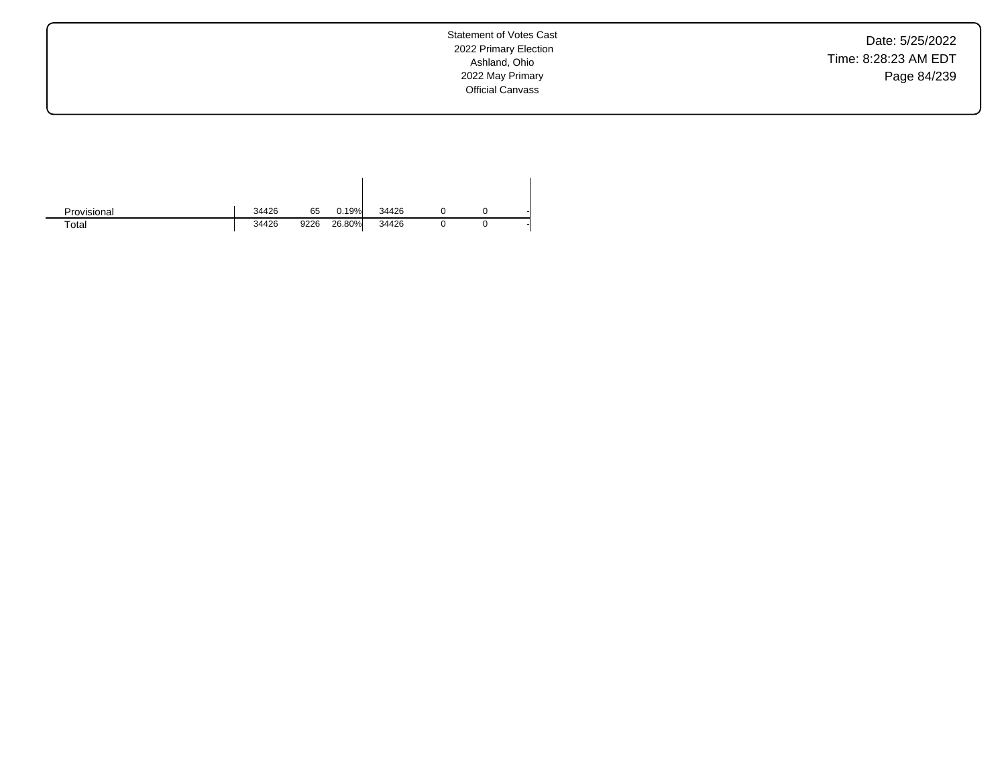Date: 5/25/2022 Time: 8:28:23 AM EDT Page 84/239

| Provisional | 34426 | 65   | 0.19%  | 34426 |  |  |
|-------------|-------|------|--------|-------|--|--|
| Total       | 34426 | 9226 | 26.80% | 34426 |  |  |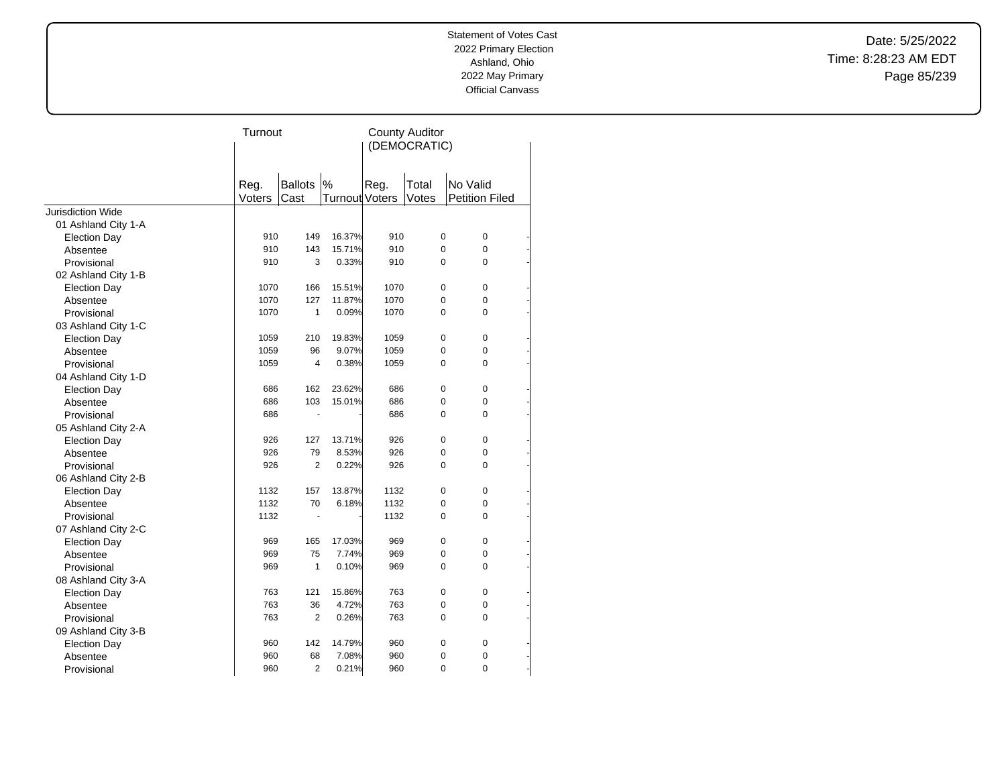Date: 5/25/2022 Time: 8:28:23 AM EDT Page 85/239

|                     | Turnout |                |                | <b>County Auditor</b><br>(DEMOCRATIC) |                |          |                       |  |
|---------------------|---------|----------------|----------------|---------------------------------------|----------------|----------|-----------------------|--|
|                     | Reg.    | <b>Ballots</b> | %              | Reg.                                  | Total          | No Valid |                       |  |
|                     | Voters  | Cast           | Turnout Voters |                                       | Votes          |          | <b>Petition Filed</b> |  |
| Jurisdiction Wide   |         |                |                |                                       |                |          |                       |  |
| 01 Ashland City 1-A |         |                |                |                                       |                |          |                       |  |
| <b>Election Day</b> | 910     | 149            | 16.37%         | 910                                   | $\pmb{0}$      |          | 0                     |  |
| Absentee            | 910     | 143            | 15.71%         | 910                                   | 0              |          | 0                     |  |
| Provisional         | 910     | 3              | 0.33%          | 910                                   | $\Omega$       |          | 0                     |  |
| 02 Ashland City 1-B |         |                |                |                                       |                |          |                       |  |
| <b>Election Day</b> | 1070    | 166            | 15.51%         | 1070                                  | 0              |          | 0                     |  |
| Absentee            | 1070    | 127            | 11.87%         | 1070                                  | 0              |          | 0                     |  |
| Provisional         | 1070    | $\mathbf{1}$   | 0.09%          | 1070                                  | $\Omega$       |          | 0                     |  |
| 03 Ashland City 1-C |         |                |                |                                       |                |          |                       |  |
| <b>Election Day</b> | 1059    | 210            | 19.83%         | 1059                                  | 0              |          | 0                     |  |
| Absentee            | 1059    | 96             | 9.07%          | 1059                                  | 0              |          | 0                     |  |
| Provisional         | 1059    | $\overline{4}$ | 0.38%          | 1059                                  | 0              |          | 0                     |  |
| 04 Ashland City 1-D |         |                |                |                                       |                |          |                       |  |
| <b>Election Day</b> | 686     | 162            | 23.62%         | 686                                   | 0              |          | 0                     |  |
| Absentee            | 686     | 103            | 15.01%         | 686                                   | 0              |          | 0                     |  |
| Provisional         | 686     |                |                | 686                                   | $\Omega$       |          | 0                     |  |
| 05 Ashland City 2-A |         |                |                |                                       |                |          |                       |  |
| <b>Election Day</b> | 926     | 127            | 13.71%         | 926                                   | 0              |          | 0                     |  |
| Absentee            | 926     | 79             | 8.53%          | 926                                   | 0              |          | 0                     |  |
| Provisional         | 926     | $\overline{2}$ | 0.22%          | 926                                   | 0              |          | 0                     |  |
| 06 Ashland City 2-B |         |                |                |                                       |                |          |                       |  |
| <b>Election Day</b> | 1132    | 157            | 13.87%         | 1132                                  | 0              |          | 0                     |  |
| Absentee            | 1132    | 70             | 6.18%          | 1132                                  | 0              |          | 0                     |  |
| Provisional         | 1132    | ä,             |                | 1132                                  | 0              |          | 0                     |  |
| 07 Ashland City 2-C |         |                |                |                                       |                |          |                       |  |
| <b>Election Day</b> | 969     | 165            | 17.03%         | 969                                   | 0              |          | 0                     |  |
| Absentee            | 969     | 75             | 7.74%          | 969                                   | 0              |          | 0                     |  |
| Provisional         | 969     | 1              | 0.10%          | 969                                   | $\Omega$       |          | 0                     |  |
| 08 Ashland City 3-A |         |                |                |                                       |                |          |                       |  |
| <b>Election Day</b> | 763     | 121            | 15.86%         | 763                                   | 0              |          | 0                     |  |
| Absentee            | 763     | 36             | 4.72%          | 763                                   | 0              |          | 0                     |  |
| Provisional         | 763     | $\overline{2}$ | 0.26%          | 763                                   | 0              |          | 0                     |  |
| 09 Ashland City 3-B |         |                |                |                                       |                |          |                       |  |
| <b>Election Day</b> | 960     | 142            | 14.79%         | 960                                   | 0              |          | 0                     |  |
| Absentee            | 960     | 68             | 7.08%          | 960                                   | 0              |          | 0                     |  |
| Provisional         | 960     | $\overline{2}$ | 0.21%          | 960                                   | $\overline{0}$ |          | 0                     |  |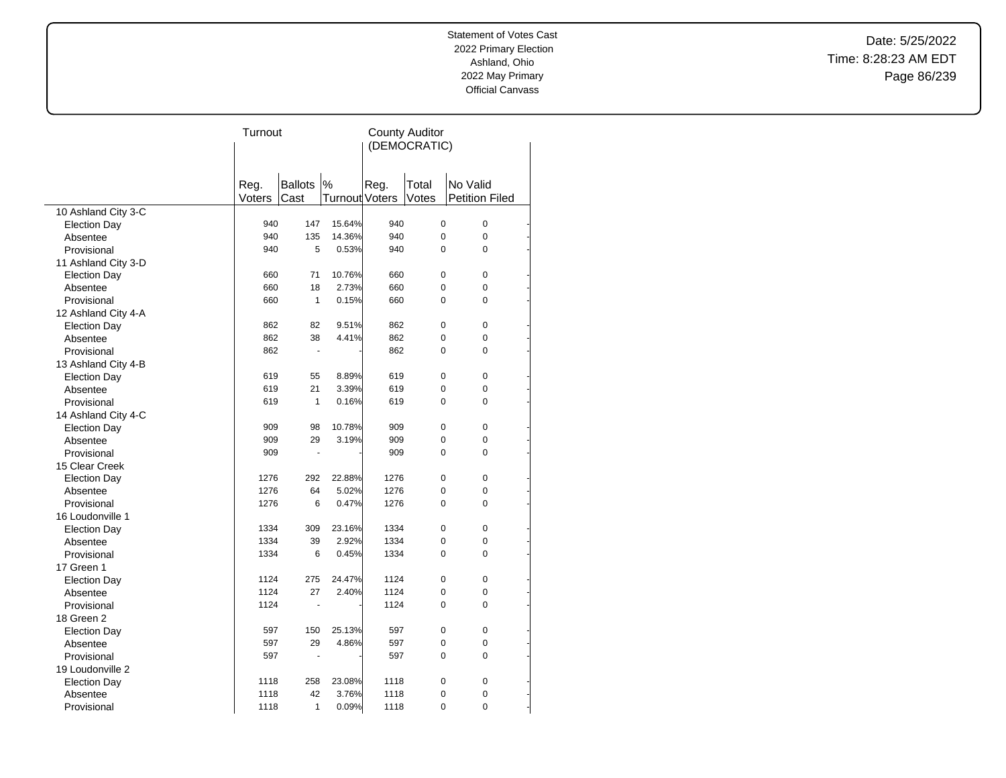Date: 5/25/2022 Time: 8:28:23 AM EDT Page 86/239

|                     | Turnout | <b>County Auditor</b> |                       |      |             |             |                       |  |
|---------------------|---------|-----------------------|-----------------------|------|-------------|-------------|-----------------------|--|
|                     |         | (DEMOCRATIC)          |                       |      |             |             |                       |  |
|                     |         |                       |                       |      |             |             |                       |  |
|                     |         |                       |                       |      |             |             |                       |  |
|                     | Reg.    | <b>Ballots</b>        | $\%$                  | Reg. | Total       | No Valid    |                       |  |
|                     | Voters  | Cast                  | <b>Turnout Voters</b> |      | Votes       |             | <b>Petition Filed</b> |  |
| 10 Ashland City 3-C |         |                       |                       |      |             |             |                       |  |
| <b>Election Day</b> | 940     | 147                   | 15.64%                | 940  | $\mathbf 0$ |             | 0                     |  |
| Absentee            | 940     | 135                   | 14.36%                | 940  |             | $\mathbf 0$ | 0                     |  |
| Provisional         | 940     | 5                     | 0.53%                 | 940  |             | $\Omega$    | $\Omega$              |  |
| 11 Ashland City 3-D |         |                       |                       |      |             |             |                       |  |
| <b>Election Day</b> | 660     | 71                    | 10.76%                | 660  |             | $\mathbf 0$ | $\mathbf 0$           |  |
| Absentee            | 660     | 18                    | 2.73%                 | 660  |             | 0           | 0                     |  |
| Provisional         | 660     | $\mathbf{1}$          | 0.15%                 | 660  |             | $\mathbf 0$ | 0                     |  |
| 12 Ashland City 4-A |         |                       |                       |      |             |             |                       |  |
| <b>Election Day</b> | 862     | 82                    | 9.51%                 | 862  |             | $\mathbf 0$ | 0                     |  |
| Absentee            | 862     | 38                    | 4.41%                 | 862  | $\mathbf 0$ |             | 0                     |  |
| Provisional         | 862     | $\blacksquare$        |                       | 862  |             | 0           | 0                     |  |
| 13 Ashland City 4-B |         |                       |                       |      |             |             |                       |  |
| <b>Election Day</b> | 619     | 55                    | 8.89%                 | 619  |             | $\pmb{0}$   | 0                     |  |
| Absentee            | 619     | 21                    | 3.39%                 | 619  | $\mathbf 0$ |             | 0                     |  |
| Provisional         | 619     | $\mathbf{1}$          | 0.16%                 | 619  |             | $\Omega$    | 0                     |  |
| 14 Ashland City 4-C |         |                       |                       |      |             |             |                       |  |
| <b>Election Day</b> | 909     | 98                    | 10.78%                | 909  |             | 0           | 0                     |  |
| Absentee            | 909     | 29                    | 3.19%                 | 909  |             | $\mathbf 0$ | 0                     |  |
| Provisional         | 909     | ٠                     |                       | 909  | $\Omega$    |             | $\Omega$              |  |
| 15 Clear Creek      |         |                       |                       |      |             |             |                       |  |
| <b>Election Day</b> | 1276    | 292                   | 22.88%                | 1276 |             | $\mathbf 0$ | 0                     |  |
| Absentee            | 1276    | 64                    | 5.02%                 | 1276 | $\mathbf 0$ |             | 0                     |  |
| Provisional         | 1276    | 6                     | 0.47%                 | 1276 | $\Omega$    |             | $\Omega$              |  |
| 16 Loudonville 1    |         |                       |                       |      |             |             |                       |  |
| <b>Election Day</b> | 1334    | 309                   | 23.16%                | 1334 |             | $\mathbf 0$ | 0                     |  |
| Absentee            | 1334    | 39                    | 2.92%                 | 1334 |             | $\mathbf 0$ | 0                     |  |
| Provisional         | 1334    | 6                     | 0.45%                 | 1334 |             | $\mathbf 0$ | 0                     |  |
| 17 Green 1          |         |                       |                       |      |             |             |                       |  |
| <b>Election Day</b> | 1124    | 275                   | 24.47%                | 1124 |             | $\pmb{0}$   | 0                     |  |
| Absentee            | 1124    | 27                    | 2.40%                 | 1124 |             | $\mathbf 0$ | 0                     |  |
| Provisional         | 1124    |                       |                       | 1124 |             | $\mathbf 0$ | 0                     |  |
| 18 Green 2          |         |                       |                       |      |             |             |                       |  |
| <b>Election Day</b> | 597     | 150                   | 25.13%                | 597  |             | $\mathbf 0$ | 0                     |  |
| Absentee            | 597     | 29                    | 4.86%                 | 597  |             | $\mathbf 0$ | 0                     |  |
| Provisional         | 597     | ä,                    |                       | 597  | $\mathbf 0$ |             | 0                     |  |
| 19 Loudonville 2    |         |                       |                       |      |             |             |                       |  |
| <b>Election Day</b> | 1118    | 258                   | 23.08%                | 1118 |             | $\mathbf 0$ | 0                     |  |
| Absentee            | 1118    | 42                    | 3.76%                 | 1118 |             | 0           | 0                     |  |
| Provisional         | 1118    | 1                     | 0.09%                 | 1118 |             | 0           | 0                     |  |

 $\overline{a}$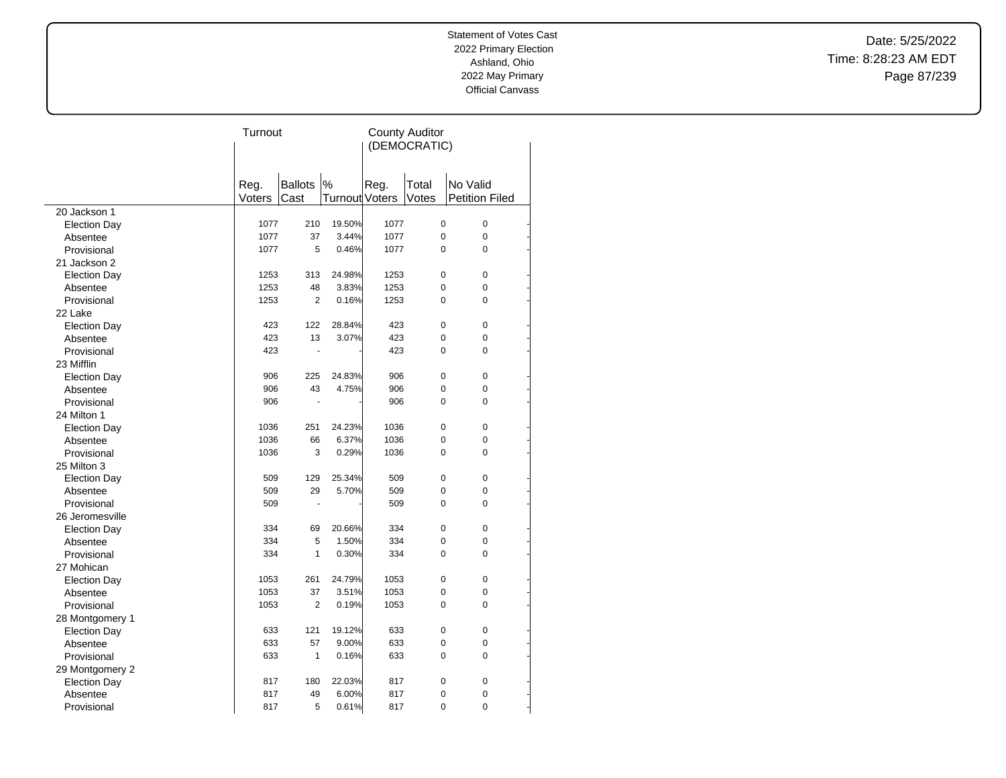Date: 5/25/2022 Time: 8:28:23 AM EDT Page 87/239

|                     | Turnout      |                      |                | <b>County Auditor</b> |                |          |                       |  |
|---------------------|--------------|----------------------|----------------|-----------------------|----------------|----------|-----------------------|--|
|                     | (DEMOCRATIC) |                      |                |                       |                |          |                       |  |
|                     |              |                      |                |                       |                |          |                       |  |
|                     |              |                      |                |                       |                |          |                       |  |
|                     | Reg.         | <b>Ballots</b>       | $\%$           | Reg.                  | Total          | No Valid |                       |  |
|                     | Voters       | Cast                 | Turnout Voters |                       | Votes          |          | <b>Petition Filed</b> |  |
| 20 Jackson 1        |              |                      |                |                       |                |          |                       |  |
| <b>Election Day</b> | 1077         | 210                  | 19.50%         | 1077                  | 0              |          | 0                     |  |
| Absentee            | 1077         | 37                   | 3.44%          | 1077                  | $\pmb{0}$      |          | 0                     |  |
| Provisional         | 1077         | 5                    | 0.46%          | 1077                  | $\overline{0}$ |          | 0                     |  |
| 21 Jackson 2        |              |                      |                |                       |                |          |                       |  |
| <b>Election Day</b> | 1253         | 313                  | 24.98%         | 1253                  | $\Omega$       |          | $\mathbf 0$           |  |
| Absentee            | 1253         | 48                   | 3.83%          | 1253                  | 0              |          | 0                     |  |
| Provisional         | 1253         | $\overline{2}$       | 0.16%          | 1253                  | 0              |          | 0                     |  |
| 22 Lake             |              |                      |                |                       |                |          |                       |  |
| <b>Election Day</b> | 423          | 122                  | 28.84%         | 423                   | $\mathbf 0$    |          | $\mathbf 0$           |  |
| Absentee            | 423          | 13                   | 3.07%          | 423                   | $\mathbf 0$    |          | 0                     |  |
| Provisional         | 423          | ä,                   |                | 423                   | $\mathbf 0$    |          | 0                     |  |
| 23 Mifflin          |              |                      |                |                       |                |          |                       |  |
| <b>Election Day</b> | 906          | 225                  | 24.83%         | 906                   | $\pmb{0}$      |          | 0                     |  |
| Absentee            | 906          | 43                   | 4.75%          | 906                   | $\mathbf 0$    |          | 0                     |  |
| Provisional         | 906          | $\ddot{\phantom{1}}$ |                | 906                   | $\mathbf 0$    |          | 0                     |  |
| 24 Milton 1         |              |                      |                |                       |                |          |                       |  |
| <b>Election Day</b> | 1036         | 251                  | 24.23%         | 1036                  | $\mathbf 0$    |          | 0                     |  |
| Absentee            | 1036         | 66                   | 6.37%          | 1036                  | $\mathbf 0$    |          | 0                     |  |
| Provisional         | 1036         | 3                    | 0.29%          | 1036                  | $\mathbf 0$    |          | 0                     |  |
| 25 Milton 3         |              |                      |                |                       |                |          |                       |  |
| <b>Election Day</b> | 509          | 129                  | 25.34%         | 509                   | $\mathbf 0$    |          | 0                     |  |
| Absentee            | 509          | 29                   | 5.70%          | 509                   | $\mathbf 0$    |          | 0                     |  |
| Provisional         | 509          |                      |                | 509                   | $\mathbf 0$    |          | 0                     |  |
| 26 Jeromesville     |              |                      |                |                       |                |          |                       |  |
| <b>Election Day</b> | 334          | 69                   | 20.66%         | 334                   | $\pmb{0}$      |          | 0                     |  |
| Absentee            | 334          | 5                    | 1.50%          | 334                   | $\pmb{0}$      |          | 0                     |  |
| Provisional         | 334          | 1                    | 0.30%          | 334                   | $\Omega$       |          | 0                     |  |
| 27 Mohican          |              |                      |                |                       |                |          |                       |  |
| <b>Election Day</b> | 1053         | 261                  | 24.79%         | 1053                  | $\mathbf 0$    |          | 0                     |  |
| Absentee            | 1053         | 37                   | 3.51%          | 1053                  | $\mathbf 0$    |          | 0                     |  |
| Provisional         | 1053         | $\overline{2}$       | 0.19%          | 1053                  | $\mathbf 0$    |          | 0                     |  |
| 28 Montgomery 1     |              |                      |                |                       |                |          |                       |  |
| <b>Election Day</b> | 633          | 121                  | 19.12%         | 633                   | $\mathbf 0$    |          | $\mathbf 0$           |  |
| Absentee            | 633          | 57                   | 9.00%          | 633                   | 0              |          | 0                     |  |
| Provisional         | 633          | 1                    | 0.16%          | 633                   | $\mathbf 0$    |          | 0                     |  |
| 29 Montgomery 2     |              |                      |                |                       |                |          |                       |  |
| <b>Election Day</b> | 817          | 180                  | 22.03%         | 817                   | $\pmb{0}$      |          | 0                     |  |
| Absentee            | 817          | 49                   | 6.00%          | 817                   | $\mathbf 0$    |          | 0                     |  |
| Provisional         | 817          | 5                    | 0.61%          | 817                   | $\mathbf 0$    |          | 0                     |  |
|                     |              |                      |                |                       |                |          |                       |  |

 $\overline{a}$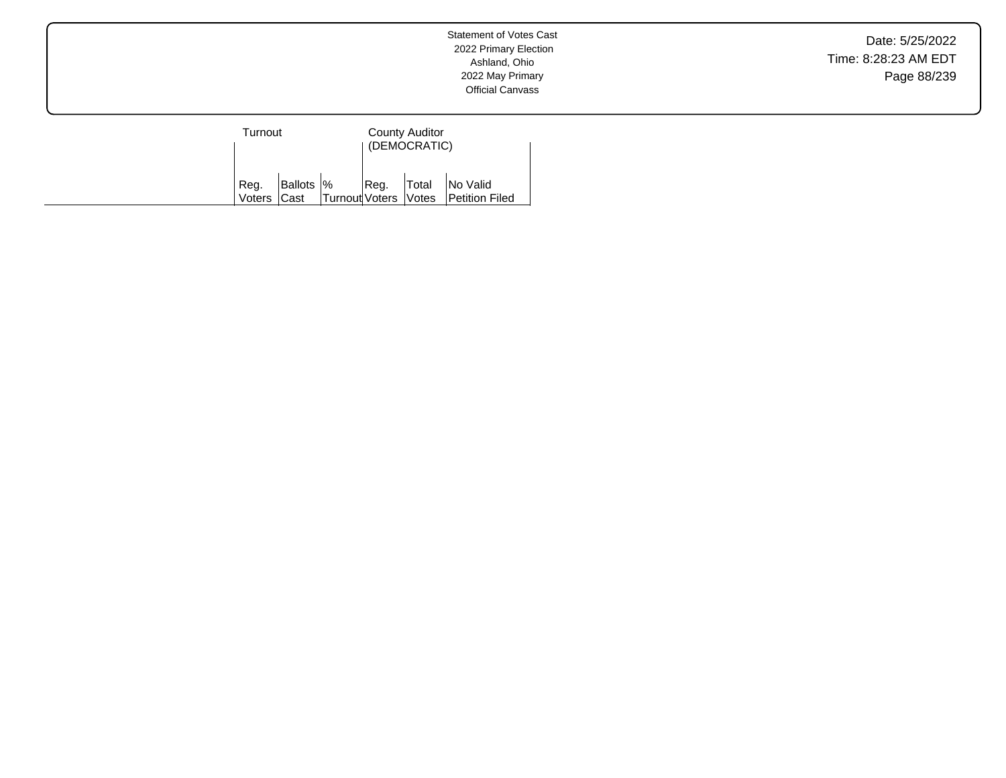Date: 5/25/2022 Time: 8:28:23 AM EDT Page 88/239

| Turnout |  |                                      | County Auditor<br>(DEMOCRATIC) |  |                                                       |
|---------|--|--------------------------------------|--------------------------------|--|-------------------------------------------------------|
| Reg.    |  | Voters Cast   Turnout Voters   Votes |                                |  | Ballots %   Reg.   Total   No Valid<br>Petition Filed |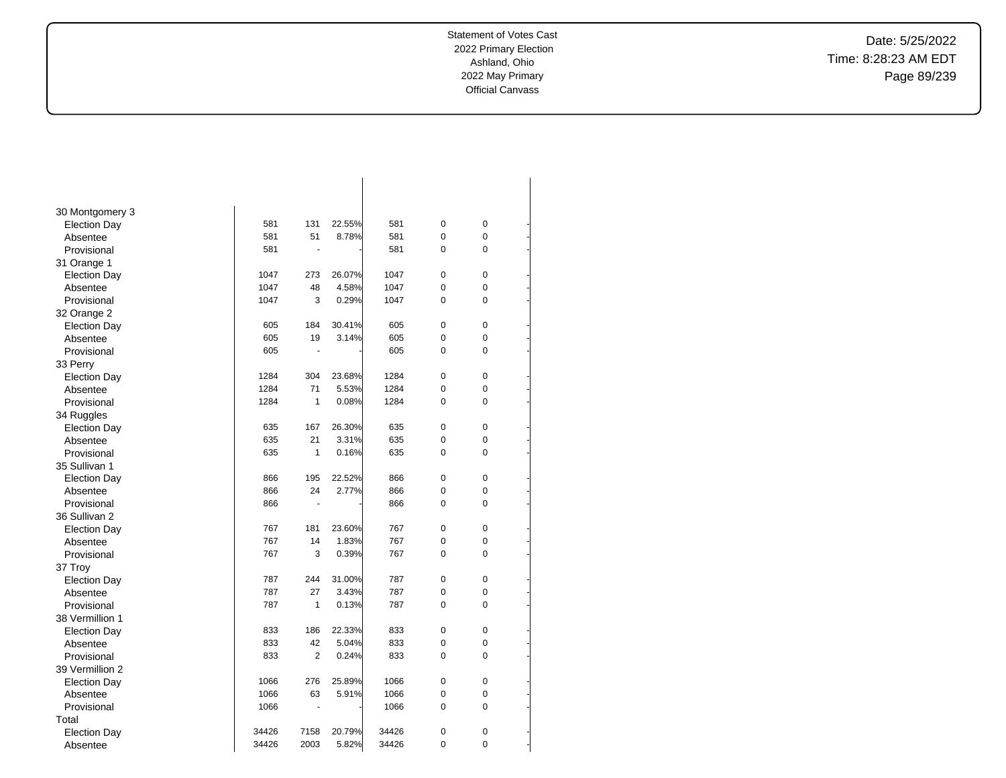-

-

-

-

-

-

-

-

-

-

-

-

-

-

-

-

-

-

-

-

-

-

-

-

-

-

-

-

-

-

-

-

Date: 5/25/2022 Time: 8:28:23 AM EDT Page 89/239

| 30 Montgomery 3     |       |                |        |       |                |   |  |
|---------------------|-------|----------------|--------|-------|----------------|---|--|
| <b>Election Day</b> | 581   | 131            | 22.55% | 581   | $\mathbf 0$    | 0 |  |
| Absentee            | 581   | 51             | 8.78%  | 581   | 0              | 0 |  |
| Provisional         | 581   | ä,             |        | 581   | 0              | 0 |  |
| 31 Orange 1         |       |                |        |       |                |   |  |
| <b>Election Day</b> | 1047  | 273            | 26.07% | 1047  | $\mathbf 0$    | 0 |  |
| Absentee            | 1047  | 48             | 4.58%  | 1047  | 0              | 0 |  |
| Provisional         | 1047  | 3              | 0.29%  | 1047  | 0              | 0 |  |
| 32 Orange 2         |       |                |        |       |                |   |  |
| <b>Election Day</b> | 605   | 184            | 30.41% | 605   | 0              | 0 |  |
| Absentee            | 605   | 19             | 3.14%  | 605   | 0              | 0 |  |
| Provisional         | 605   | $\blacksquare$ |        | 605   | 0              | 0 |  |
| 33 Perry            |       |                |        |       |                |   |  |
| <b>Election Day</b> | 1284  | 304            | 23.68% | 1284  | $\mathbf 0$    | 0 |  |
| Absentee            | 1284  | 71             | 5.53%  | 1284  | 0              | 0 |  |
| Provisional         | 1284  | 1              | 0.08%  | 1284  | 0              | 0 |  |
| 34 Ruggles          |       |                |        |       |                |   |  |
| <b>Election Day</b> | 635   | 167            | 26.30% | 635   | $\mathbf 0$    | 0 |  |
| Absentee            | 635   | 21             | 3.31%  | 635   | 0              | 0 |  |
| Provisional         | 635   | $\mathbf{1}$   | 0.16%  | 635   | 0              | 0 |  |
| 35 Sullivan 1       |       |                |        |       |                |   |  |
| <b>Election Day</b> | 866   | 195            | 22.52% | 866   | $\pmb{0}$      | 0 |  |
| Absentee            | 866   | 24             | 2.77%  | 866   | 0              | 0 |  |
| Provisional         | 866   | $\overline{a}$ |        | 866   | 0              | 0 |  |
| 36 Sullivan 2       |       |                |        |       |                |   |  |
| <b>Election Day</b> | 767   | 181            | 23.60% | 767   | $\mathbf 0$    | 0 |  |
| Absentee            | 767   | 14             | 1.83%  | 767   | 0              | 0 |  |
| Provisional         | 767   | 3              | 0.39%  | 767   | 0              | 0 |  |
| 37 Troy             |       |                |        |       |                |   |  |
| <b>Election Day</b> | 787   | 244            | 31.00% | 787   | $\mathbf 0$    | 0 |  |
| Absentee            | 787   | 27             | 3.43%  | 787   | 0              | 0 |  |
| Provisional         | 787   | 1              | 0.13%  | 787   | 0              | 0 |  |
| 38 Vermillion 1     |       |                |        |       |                |   |  |
| <b>Election Day</b> | 833   | 186            | 22.33% | 833   | 0              | 0 |  |
| Absentee            | 833   | 42             | 5.04%  | 833   | 0              | 0 |  |
| Provisional         | 833   | $\overline{2}$ | 0.24%  | 833   | 0              | 0 |  |
| 39 Vermillion 2     |       |                |        |       |                |   |  |
| <b>Election Day</b> | 1066  | 276            | 25.89% | 1066  | $\mathbf 0$    | 0 |  |
| Absentee            | 1066  | 63             | 5.91%  | 1066  | 0              | 0 |  |
| Provisional         | 1066  | $\blacksquare$ |        | 1066  | 0              | 0 |  |
| Total               |       |                |        |       |                |   |  |
| <b>Election Day</b> | 34426 | 7158           | 20.79% | 34426 | 0              | 0 |  |
| Absentee            | 34426 | 2003           | 5.82%  | 34426 | $\overline{0}$ | 0 |  |
|                     |       |                |        |       |                |   |  |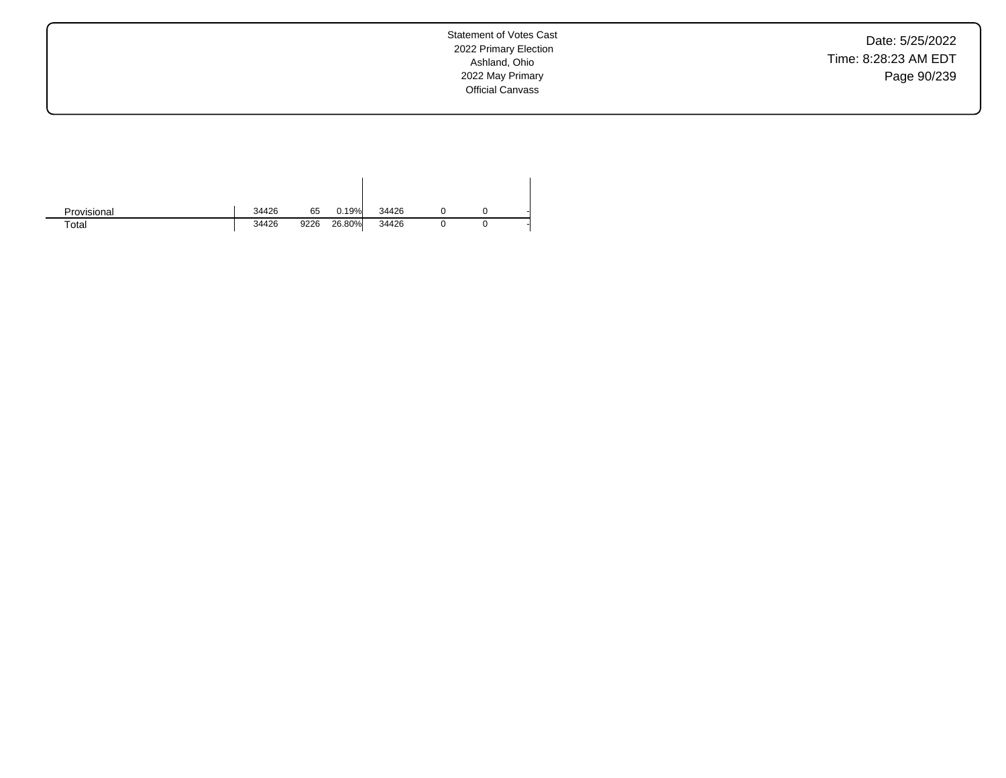Date: 5/25/2022 Time: 8:28:23 AM EDT Page 90/239

| Provisional | 34426 | 65   | 0.19%  | 34426 |  |  |
|-------------|-------|------|--------|-------|--|--|
| Total       | 34426 | 9226 | 26.80% | 34426 |  |  |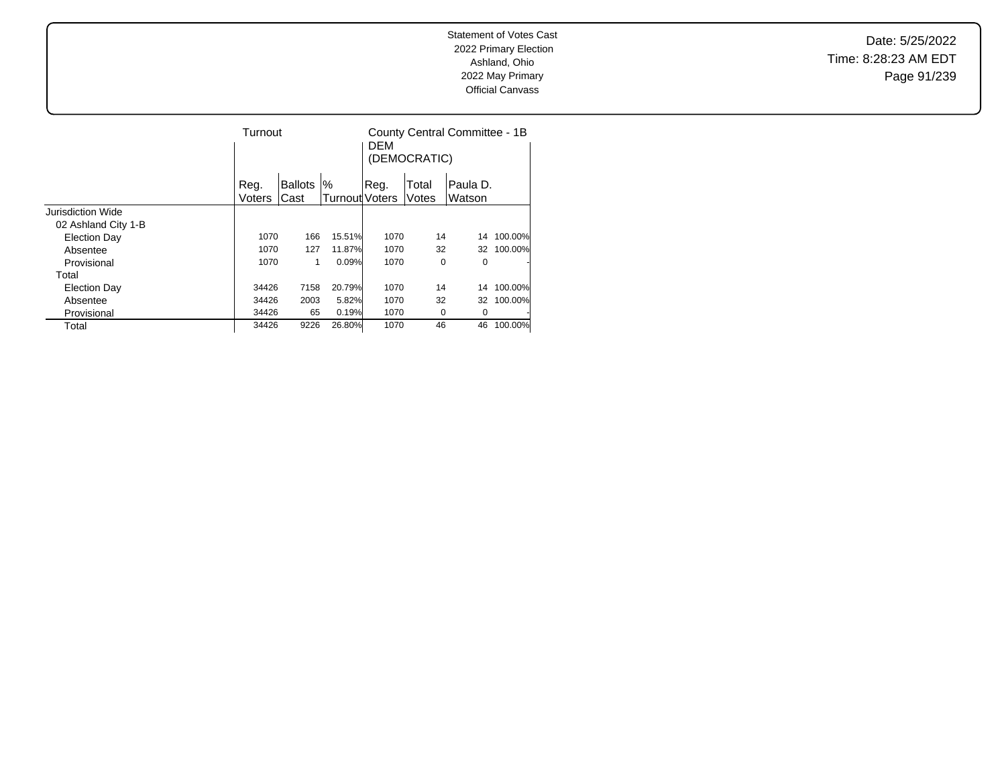Date: 5/25/2022 Time: 8:28:23 AM EDT Page 91/239

|                     | Turnout |                |                       | <b>DFM</b> | (DEMOCRATIC) | County Central Committee - 1B |         |
|---------------------|---------|----------------|-----------------------|------------|--------------|-------------------------------|---------|
|                     | Reg.    | <b>Ballots</b> | %                     | Reg.       | Total        | Paula D.                      |         |
|                     | Voters  | Cast           | <b>Turnout Voters</b> |            | Votes        | Watson                        |         |
| Jurisdiction Wide   |         |                |                       |            |              |                               |         |
| 02 Ashland City 1-B |         |                |                       |            |              |                               |         |
| <b>Election Day</b> | 1070    | 166            | 15.51%                | 1070       | 14           | 14                            | 100.00% |
| Absentee            | 1070    | 127            | 11.87%                | 1070       | 32           | 32                            | 100.00% |
| Provisional         | 1070    | 1              | 0.09%                 | 1070       | 0            | 0                             | ٠       |
| Total               |         |                |                       |            |              |                               |         |
| <b>Election Day</b> | 34426   | 7158           | 20.79%                | 1070       | 14           | 14                            | 100.00% |
| Absentee            | 34426   | 2003           | 5.82%                 | 1070       | 32           | 32                            | 100.00% |
| Provisional         | 34426   | 65             | 0.19%                 | 1070       | 0            | 0                             | ٠       |
| Total               | 34426   | 9226           | 26.80%                | 1070       | 46           | 46                            | 100.00% |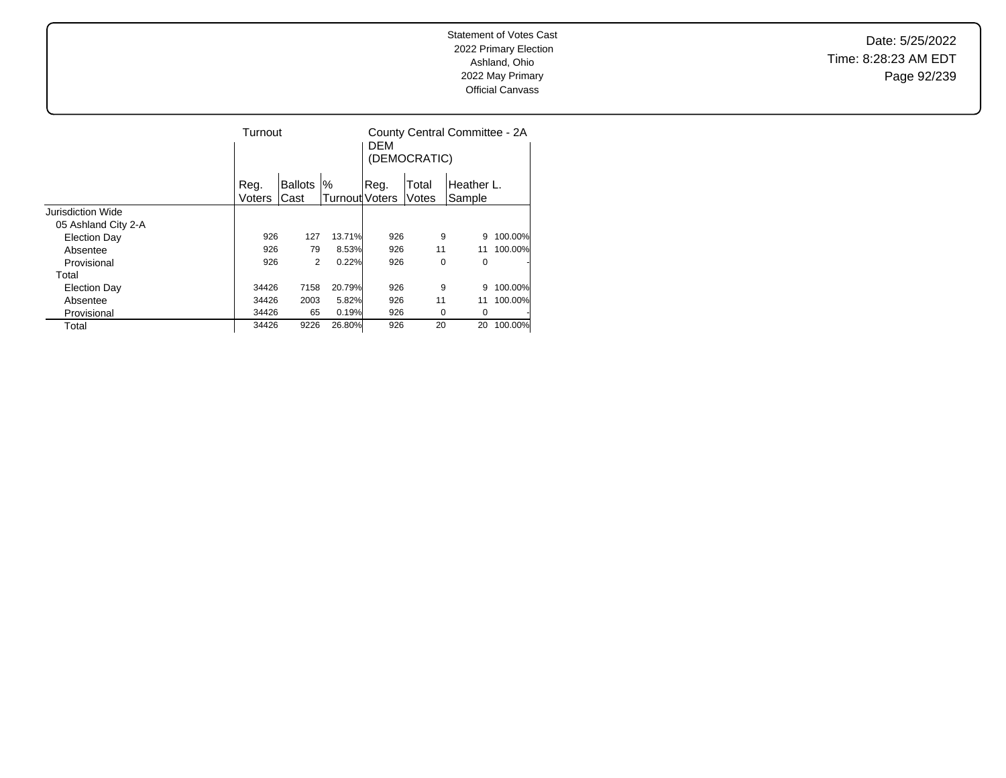Date: 5/25/2022 Time: 8:28:23 AM EDT Page 92/239

|                     | Turnout |                |                | <b>DEM</b> | (DEMOCRATIC) | County Central Committee - 2A |         |
|---------------------|---------|----------------|----------------|------------|--------------|-------------------------------|---------|
|                     | Reg.    | <b>Ballots</b> | %              | .Reg.      | Total        | Heather L.                    |         |
|                     | Voters  | Cast           | Turnout Voters |            | Votes        | Sample                        |         |
| Jurisdiction Wide   |         |                |                |            |              |                               |         |
| 05 Ashland City 2-A |         |                |                |            |              |                               |         |
| <b>Election Day</b> | 926     | 127            | 13.71%         | 926        | 9            | 9                             | 100.00% |
| Absentee            | 926     | 79             | 8.53%          | 926        | 11           | 11                            | 100.00% |
| Provisional         | 926     | 2              | 0.22%          | 926        | 0            | 0                             |         |
| Total               |         |                |                |            |              |                               |         |
| <b>Election Day</b> | 34426   | 7158           | 20.79%         | 926        | 9            | 9                             | 100.00% |
| Absentee            | 34426   | 2003           | 5.82%          | 926        | 11           | 11                            | 100.00% |
| Provisional         | 34426   | 65             | 0.19%          | 926        | 0            | 0                             |         |
| Total               | 34426   | 9226           | 26.80%         | 926        | 20           | 20                            | 100.00% |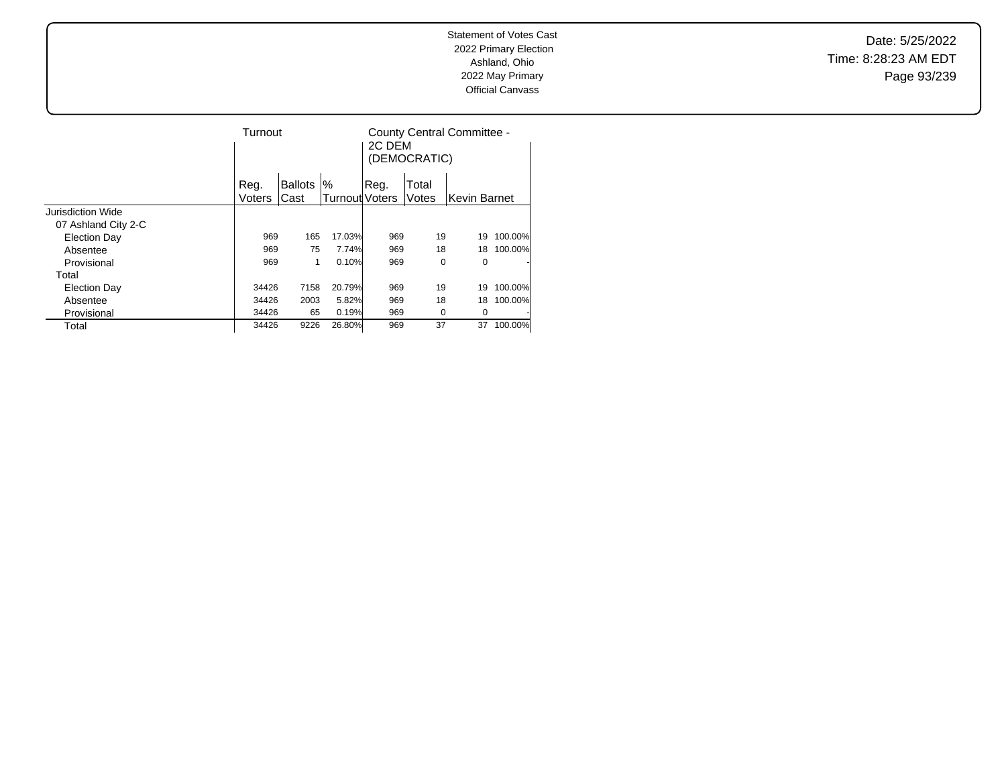Date: 5/25/2022 Time: 8:28:23 AM EDT Page 93/239

|                     | Turnout       |                |                       | 2C DEM | (DEMOCRATIC) | County Central Committee - |         |
|---------------------|---------------|----------------|-----------------------|--------|--------------|----------------------------|---------|
|                     | Reg.          | <b>Ballots</b> | '%                    | Reg.   | Total        |                            |         |
|                     | <b>Voters</b> | Cast           | <b>Turnout Voters</b> |        | Votes        | Kevin Barnet               |         |
| Jurisdiction Wide   |               |                |                       |        |              |                            |         |
| 07 Ashland City 2-C |               |                |                       |        |              |                            |         |
| <b>Election Day</b> | 969           | 165            | 17.03%                | 969    | 19           | 19                         | 100.00% |
| Absentee            | 969           | 75             | 7.74%                 | 969    | 18           | 18                         | 100.00% |
| Provisional         | 969           | 1              | 0.10%                 | 969    | 0            | 0                          |         |
| Total               |               |                |                       |        |              |                            |         |
| <b>Election Day</b> | 34426         | 7158           | 20.79%                | 969    | 19           | 19                         | 100.00% |
| Absentee            | 34426         | 2003           | 5.82%                 | 969    | 18           | 18                         | 100.00% |
| Provisional         | 34426         | 65             | 0.19%                 | 969    | 0            | 0                          |         |
| Total               | 34426         | 9226           | 26.80%                | 969    | 37           | 37                         | 100.00% |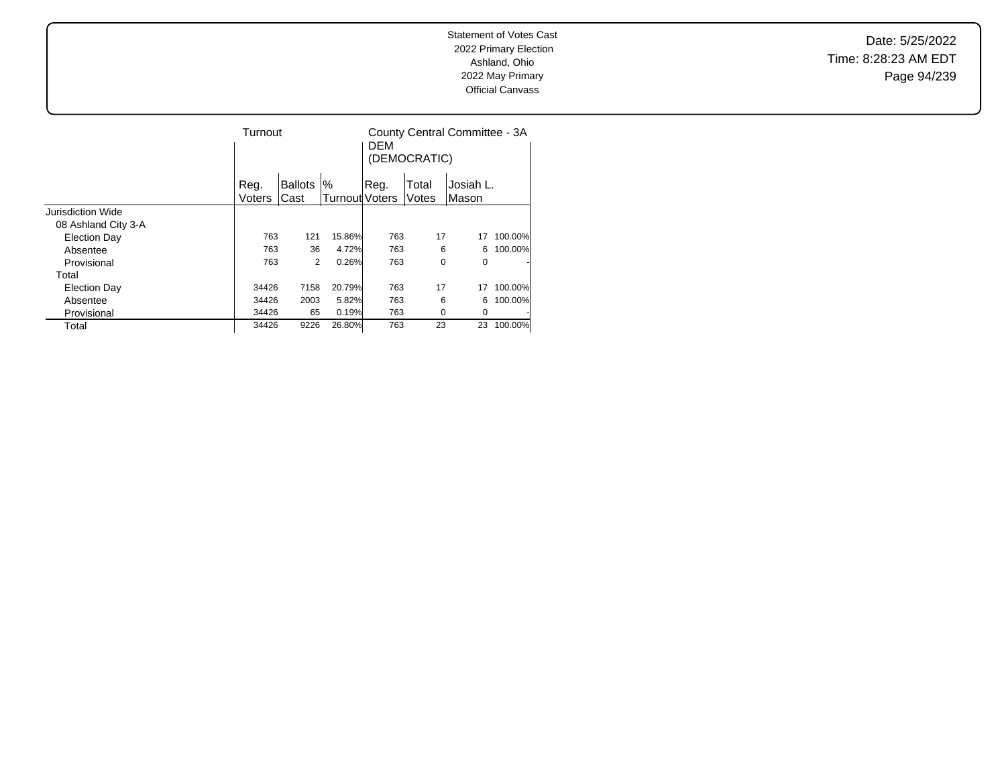Date: 5/25/2022 Time: 8:28:23 AM EDT Page 94/239

|                     | Turnout |                |                       | <b>DEM</b><br>(DEMOCRATIC) | County Central Committee - 3A |           |         |
|---------------------|---------|----------------|-----------------------|----------------------------|-------------------------------|-----------|---------|
|                     | Reg.    | <b>Ballots</b> | %                     | Reg.                       | Total                         | Josiah L. |         |
|                     | Voters  | Cast           | <b>Turnout Voters</b> |                            | Votes                         | Mason     |         |
| Jurisdiction Wide   |         |                |                       |                            |                               |           |         |
| 08 Ashland City 3-A |         |                |                       |                            |                               |           |         |
| <b>Election Day</b> | 763     | 121            | 15.86%                | 763                        | 17                            | 17        | 100.00% |
| Absentee            | 763     | 36             | 4.72%                 | 763                        | 6                             | 6         | 100.00% |
| Provisional         | 763     | 2              | 0.26%                 | 763                        | 0                             | 0         |         |
| Total               |         |                |                       |                            |                               |           |         |
| <b>Election Day</b> | 34426   | 7158           | 20.79%                | 763                        | 17                            | 17        | 100.00% |
| Absentee            | 34426   | 2003           | 5.82%                 | 763                        | 6                             | 6         | 100.00% |
| Provisional         | 34426   | 65             | 0.19%                 | 763                        | 0                             | 0         |         |
| Total               | 34426   | 9226           | 26.80%                | 763                        | 23                            | 23        | 100.00% |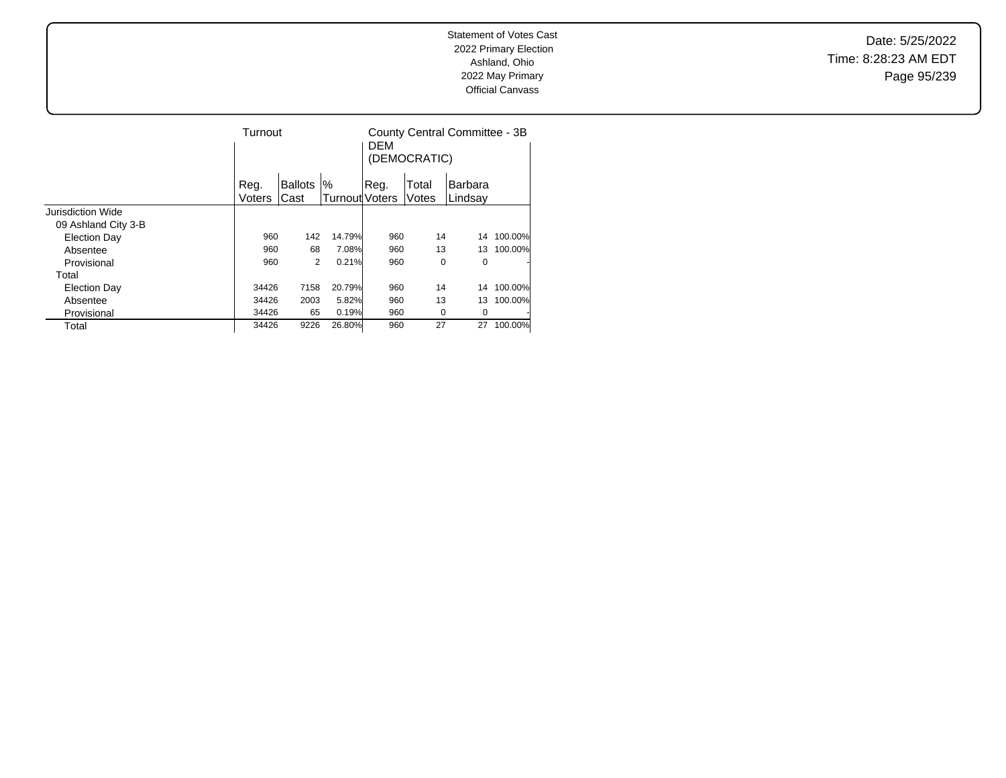Date: 5/25/2022 Time: 8:28:23 AM EDT Page 95/239

|                     |               | Turnout        |                |       | (DEMOCRATIC) | County Central Committee - 3B |         |
|---------------------|---------------|----------------|----------------|-------|--------------|-------------------------------|---------|
|                     | Reg.          | <b>Ballots</b> | $\%$           | .Reg. | Total        | Barbara                       |         |
|                     | <b>Voters</b> | Cast           | Turnout Voters |       | Votes        | Lindsay                       |         |
| Jurisdiction Wide   |               |                |                |       |              |                               |         |
| 09 Ashland City 3-B |               |                |                |       |              |                               |         |
| <b>Election Day</b> | 960           | 142            | 14.79%         | 960   | 14           | 14                            | 100.00% |
| Absentee            | 960           | 68             | 7.08%          | 960   | 13           | 13                            | 100.00% |
| Provisional         | 960           | 2              | 0.21%          | 960   | 0            | 0                             |         |
| Total               |               |                |                |       |              |                               |         |
| <b>Election Day</b> | 34426         | 7158           | 20.79%         | 960   | 14           | 14                            | 100.00% |
| Absentee            | 34426         | 2003           | 5.82%          | 960   | 13           | 13                            | 100.00% |
| Provisional         | 34426         | 65             | 0.19%          | 960   | 0            | 0                             |         |
| Total               | 34426         | 9226           | 26.80%         | 960   | 27           | 27                            | 100.00% |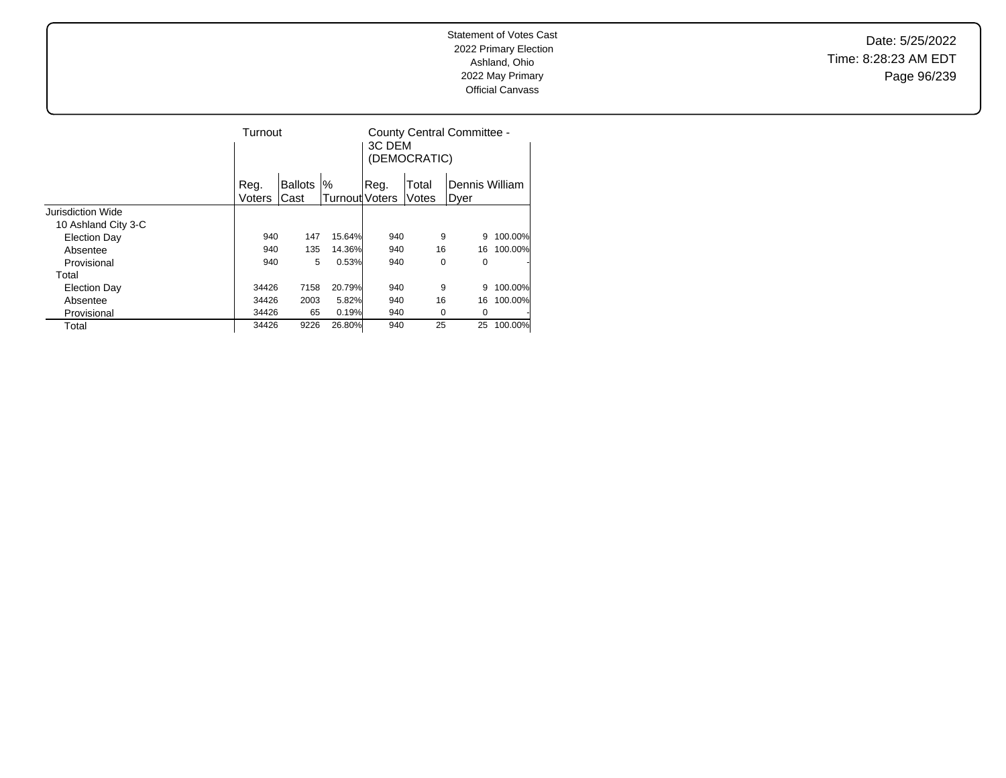Date: 5/25/2022 Time: 8:28:23 AM EDT Page 96/239

|                          |        | Turnout        |                |       | 3C DEM<br>(DEMOCRATIC) | County Central Committee - |         |
|--------------------------|--------|----------------|----------------|-------|------------------------|----------------------------|---------|
|                          | Reg.   | <b>Ballots</b> | %              | .Reg. | Total                  | Dennis William             |         |
|                          | Voters | Cast           | Turnout Voters |       | Votes                  | Dyer                       |         |
| <b>Jurisdiction Wide</b> |        |                |                |       |                        |                            |         |
| 10 Ashland City 3-C      |        |                |                |       |                        |                            |         |
| <b>Election Day</b>      | 940    | 147            | 15.64%         | 940   | 9                      | 9                          | 100.00% |
| Absentee                 | 940    | 135            | 14.36%         | 940   | 16                     | 16                         | 100.00% |
| Provisional              | 940    | 5              | 0.53%          | 940   | 0                      | 0                          |         |
| Total                    |        |                |                |       |                        |                            |         |
| <b>Election Day</b>      | 34426  | 7158           | 20.79%         | 940   | 9                      | 9                          | 100.00% |
| Absentee                 | 34426  | 2003           | 5.82%          | 940   | 16                     | 16                         | 100.00% |
| Provisional              | 34426  | 65             | 0.19%          | 940   | 0                      | 0                          |         |
| Total                    | 34426  | 9226           | 26.80%         | 940   | 25                     | 25                         | 100.00% |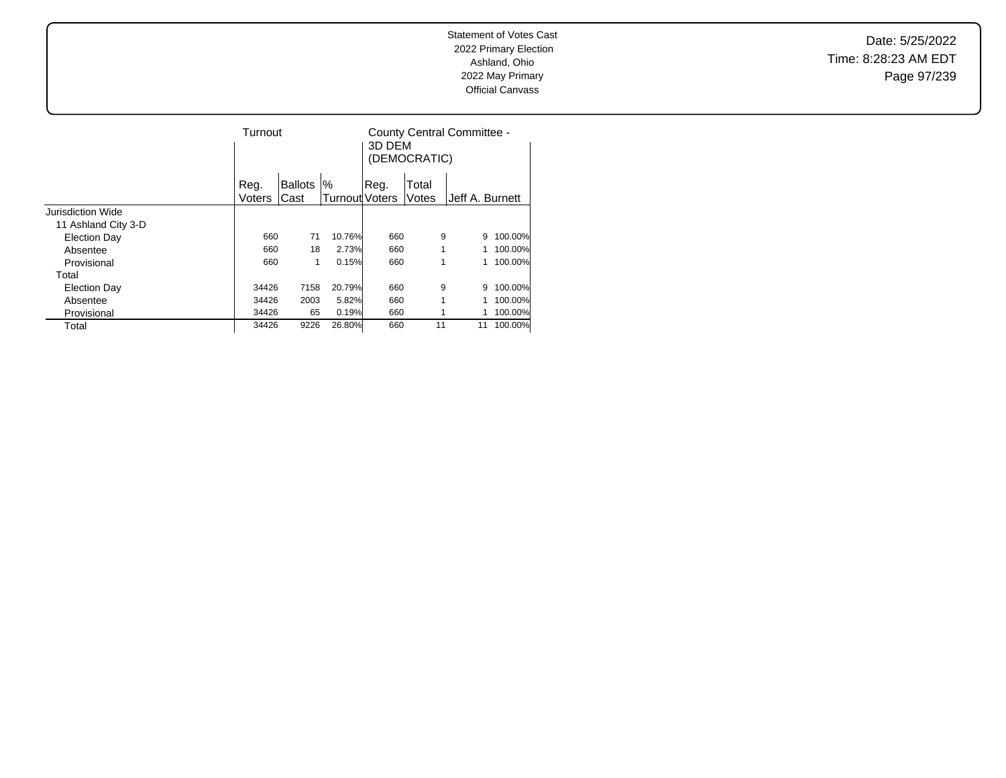Date: 5/25/2022 Time: 8:28:23 AM EDT Page 97/239

|                     | Turnout |                |                       | County Central Committee -<br>3D DEM<br>(DEMOCRATIC) |       |                 |         |
|---------------------|---------|----------------|-----------------------|------------------------------------------------------|-------|-----------------|---------|
|                     | Reg.    | <b>Ballots</b> | $\%$                  | Reg.                                                 | Total |                 |         |
|                     | Voters  | Cast           | <b>Turnout</b> Voters |                                                      | Votes | Jeff A. Burnett |         |
| Jurisdiction Wide   |         |                |                       |                                                      |       |                 |         |
| 11 Ashland City 3-D |         |                |                       |                                                      |       |                 |         |
| <b>Election Day</b> | 660     | 71             | 10.76%                | 660                                                  | 9     | 9               | 100.00% |
| Absentee            | 660     | 18             | 2.73%                 | 660                                                  | 1     |                 | 100.00% |
| Provisional         | 660     | 1              | 0.15%                 | 660                                                  | 1     |                 | 100.00% |
| Total               |         |                |                       |                                                      |       |                 |         |
| <b>Election Day</b> | 34426   | 7158           | 20.79%                | 660                                                  | 9     | 9               | 100.00% |
| Absentee            | 34426   | 2003           | 5.82%                 | 660                                                  | 1     |                 | 100.00% |
| Provisional         | 34426   | 65             | 0.19%                 | 660                                                  |       |                 | 100.00% |
| Total               | 34426   | 9226           | 26.80%                | 660                                                  | 11    | 11              | 100.00% |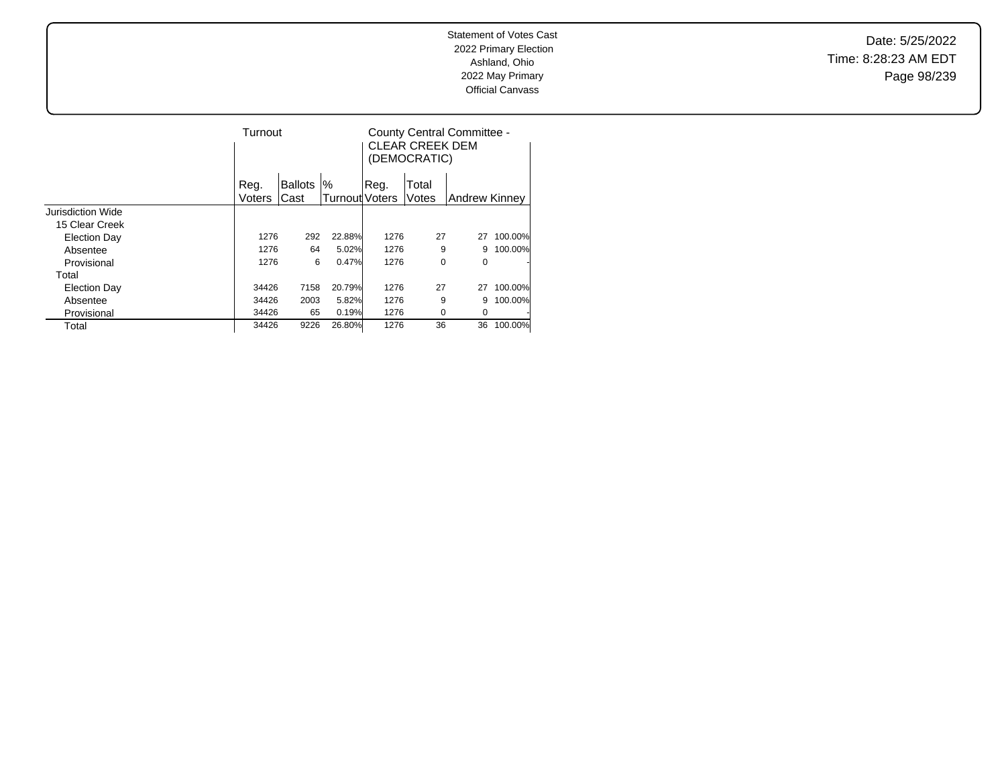Date: 5/25/2022 Time: 8:28:23 AM EDT Page 98/239

|                     | Turnout |                |                       | County Central Committee -<br><b>CLEAR CREEK DEM</b><br>(DEMOCRATIC) |       |               |         |  |
|---------------------|---------|----------------|-----------------------|----------------------------------------------------------------------|-------|---------------|---------|--|
|                     | Reg.    | <b>Ballots</b> | %                     | Reg.                                                                 | Total |               |         |  |
|                     | Voters  | Cast           | <b>Turnout</b> Voters |                                                                      | Votes | Andrew Kinney |         |  |
| Jurisdiction Wide   |         |                |                       |                                                                      |       |               |         |  |
| 15 Clear Creek      |         |                |                       |                                                                      |       |               |         |  |
| <b>Election Day</b> | 1276    | 292            | 22.88%                | 1276                                                                 | 27    | 27            | 100.00% |  |
| Absentee            |         | 1276<br>64     | 5.02%                 | 1276                                                                 | 9     | 9             | 100.00% |  |
| Provisional         |         | 1276<br>6      | 0.47%                 | 1276                                                                 | 0     | 0             |         |  |
| Total               |         |                |                       |                                                                      |       |               |         |  |
| <b>Election Day</b> | 34426   | 7158           | 20.79%                | 1276                                                                 | 27    | 27            | 100.00% |  |
| Absentee            | 34426   | 2003           | 5.82%                 | 1276                                                                 | 9     | 9             | 100.00% |  |
| Provisional         | 34426   | 65             | 0.19%                 | 1276                                                                 | 0     | 0             |         |  |
| Total               | 34426   | 9226           | 26.80%                | 1276                                                                 | 36    | 36            | 100.00% |  |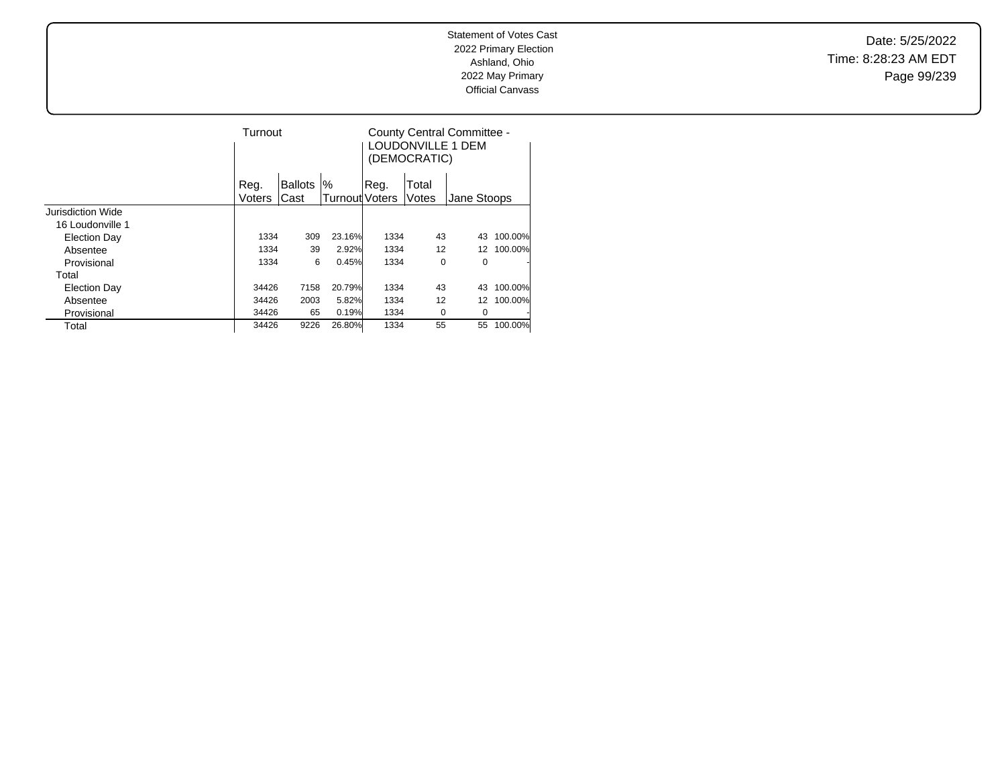Date: 5/25/2022 Time: 8:28:23 AM EDT Page 99/239

|                   | Turnout       |         |                |      | (DEMOCRATIC) | County Central Committee -<br>LOUDONVILLE 1 DEM |         |  |
|-------------------|---------------|---------|----------------|------|--------------|-------------------------------------------------|---------|--|
|                   | Reg.          | Ballots | %              | Reg. | Total        |                                                 |         |  |
|                   | <b>Voters</b> | Cast    | Turnout Voters |      | Votes        | Jane Stoops                                     |         |  |
| Jurisdiction Wide |               |         |                |      |              |                                                 |         |  |
| 16 Loudonville 1  |               |         |                |      |              |                                                 |         |  |
| Election Day      | 1334          | 309     | 23.16%         | 1334 | 43           | 43                                              | 100.00% |  |
| Absentee          | 1334          | 39      | 2.92%          | 1334 | 12           | 12                                              | 100.00% |  |
| Provisional       | 1334          | 6       | 0.45%          | 1334 | 0            | 0                                               |         |  |
| Total             |               |         |                |      |              |                                                 |         |  |
| Election Day      | 34426         | 7158    | 20.79%         | 1334 | 43           | 43                                              | 100.00% |  |
| Absentee          | 34426         | 2003    | 5.82%          | 1334 | 12           | 12                                              | 100.00% |  |
| Provisional       | 34426         | 65      | 0.19%          | 1334 | 0            | 0                                               |         |  |
| Total             | 34426         | 9226    | 26.80%         | 1334 | 55           | 55                                              | 100.00% |  |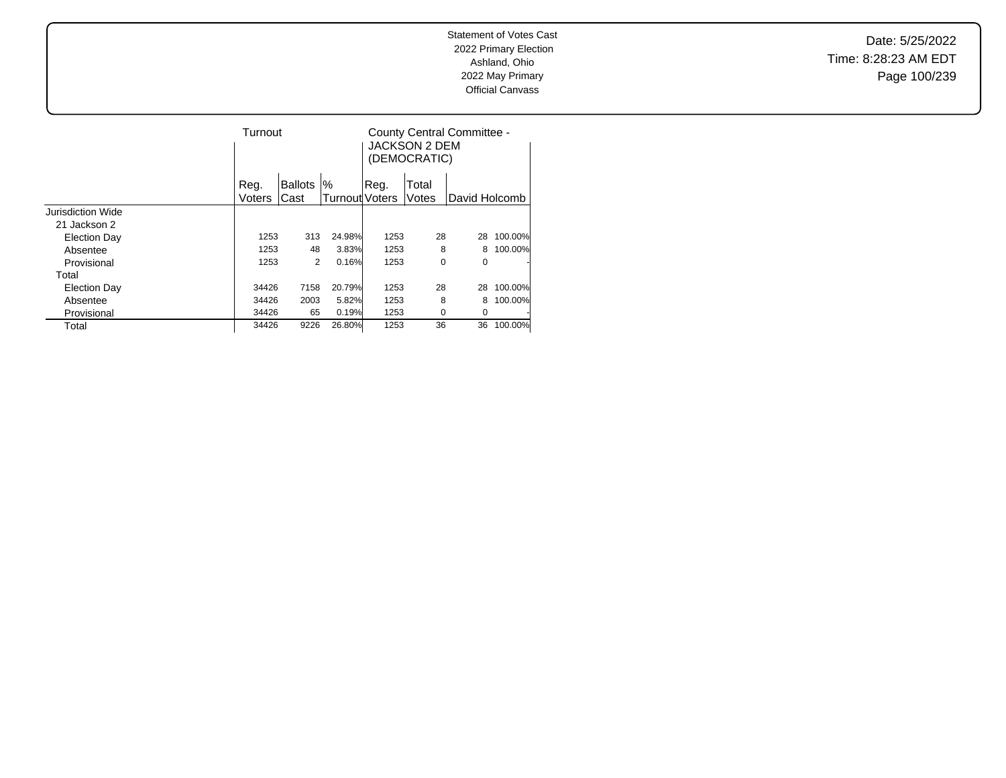Date: 5/25/2022 Time: 8:28:23 AM EDT Page 100/239

|                     | Turnout |                |        | JACKSON 2 DEM<br>(DEMOCRATIC) | County Central Committee - |               |         |  |
|---------------------|---------|----------------|--------|-------------------------------|----------------------------|---------------|---------|--|
|                     | Reg.    | <b>Ballots</b> | %      | Reg.                          | Total                      |               |         |  |
|                     | Voters  | Cast           |        | Turnout Voters                | Votes                      | David Holcomb |         |  |
| Jurisdiction Wide   |         |                |        |                               |                            |               |         |  |
| 21 Jackson 2        |         |                |        |                               |                            |               |         |  |
| Election Day        | 1253    | 313            | 24.98% | 1253                          | 28                         | 28            | 100.00% |  |
| Absentee            | 1253    | 48             | 3.83%  | 1253                          | 8                          | 8             | 100.00% |  |
| Provisional         | 1253    | 2              | 0.16%  | 1253                          | $\mathbf 0$                | 0             |         |  |
| Total               |         |                |        |                               |                            |               |         |  |
| <b>Election Day</b> | 34426   | 7158           | 20.79% | 1253                          | 28                         | 28            | 100.00% |  |
| Absentee            | 34426   | 2003           | 5.82%  | 1253                          | 8                          | 8             | 100.00% |  |
| Provisional         | 34426   | 65             | 0.19%  | 1253                          | 0                          | 0             |         |  |
| Total               | 34426   | 9226           | 26.80% | 1253                          | 36                         | 36            | 100.00% |  |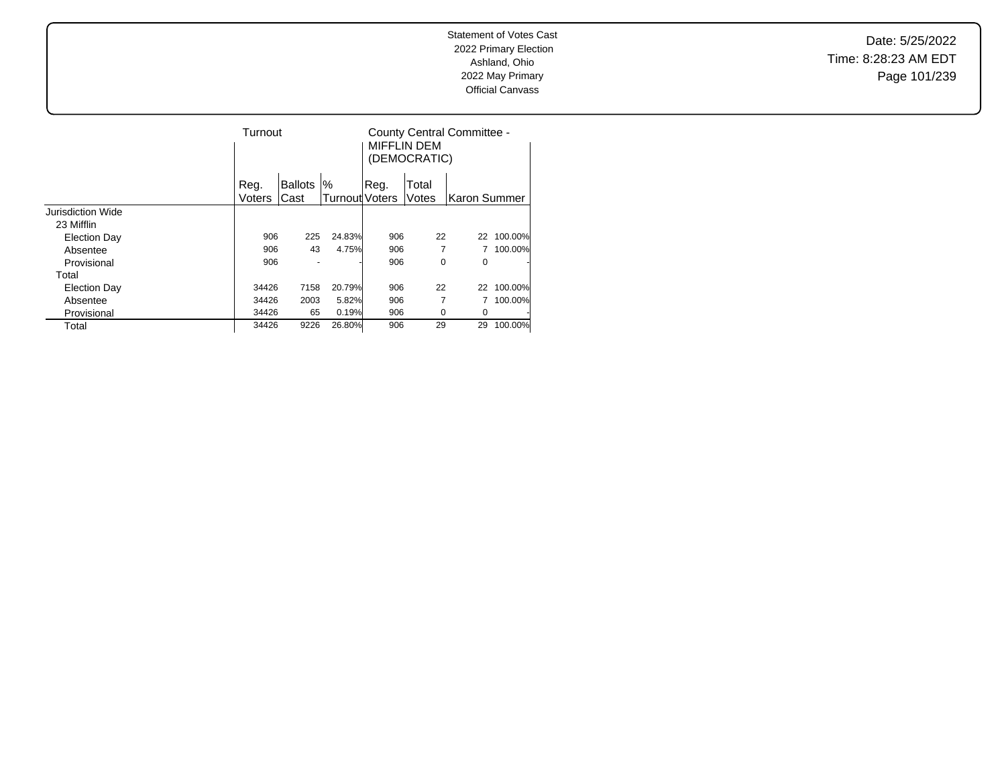Date: 5/25/2022 Time: 8:28:23 AM EDT Page 101/239

|                          | Turnout |                |                |       | County Central Committee -<br>MIFFLIN DEM<br>(DEMOCRATIC) |               |         |  |
|--------------------------|---------|----------------|----------------|-------|-----------------------------------------------------------|---------------|---------|--|
|                          | Reg.    | <b>Ballots</b> | '%             | .Reg. | Total                                                     |               |         |  |
|                          | Voters  | Cast           | Turnout Voters |       | Votes                                                     | lKaron Summer |         |  |
| <b>Jurisdiction Wide</b> |         |                |                |       |                                                           |               |         |  |
| 23 Mifflin               |         |                |                |       |                                                           |               |         |  |
| Election Day             | 906     | 225            | 24.83%         | 906   | 22                                                        | 22            | 100.00% |  |
| Absentee                 | 906     | 43             | 4.75%          | 906   | 7                                                         |               | 100.00% |  |
| Provisional              | 906     |                |                | 906   | 0                                                         | 0             |         |  |
| Total                    |         |                |                |       |                                                           |               |         |  |
| <b>Election Day</b>      | 34426   | 7158           | 20.79%         | 906   | 22                                                        | 22            | 100.00% |  |
| Absentee                 | 34426   | 2003           | 5.82%          | 906   | 7                                                         |               | 100.00% |  |
| Provisional              | 34426   | 65             | 0.19%          | 906   | 0                                                         | 0             |         |  |
| Total                    | 34426   | 9226           | 26.80%         | 906   | 29                                                        | 29            | 100.00% |  |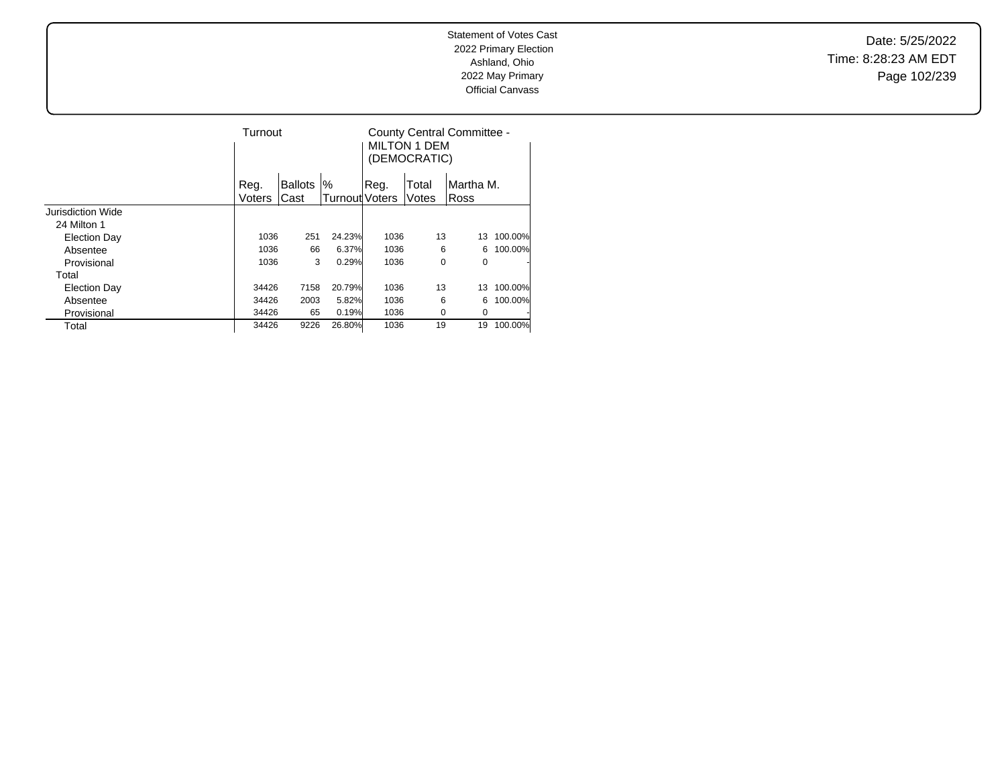Date: 5/25/2022 Time: 8:28:23 AM EDT Page 102/239

|                     | Turnout |                     |                | <b>MILTON 1 DEM</b><br>(DEMOCRATIC) | County Central Committee - |           |         |  |
|---------------------|---------|---------------------|----------------|-------------------------------------|----------------------------|-----------|---------|--|
|                     | Reg.    | %<br><b>Ballots</b> |                | Reg.                                | Total                      | Martha M. |         |  |
|                     | Voters  | Cast                | Turnout Voters |                                     | Votes                      | Ross      |         |  |
| Jurisdiction Wide   |         |                     |                |                                     |                            |           |         |  |
| 24 Milton 1         |         |                     |                |                                     |                            |           |         |  |
| <b>Election Day</b> | 1036    | 251                 | 24.23%         | 1036                                | 13                         | 13        | 100.00% |  |
| Absentee            | 1036    | 66                  | 6.37%          | 1036                                | 6                          | 6         | 100.00% |  |
| Provisional         | 1036    | 3                   | 0.29%          | 1036                                | 0                          | 0         | ٠       |  |
| Total               |         |                     |                |                                     |                            |           |         |  |
| <b>Election Day</b> | 34426   | 7158                | 20.79%         | 1036                                | 13                         | 13        | 100.00% |  |
| Absentee            | 34426   | 2003                | 5.82%          | 1036                                | 6                          | 6         | 100.00% |  |
| Provisional         | 34426   | 65                  | 0.19%          | 1036                                | 0                          | 0         | ٠       |  |
| Total               | 34426   | 9226                | 26.80%         | 1036                                | 19                         | 19        | 100.00% |  |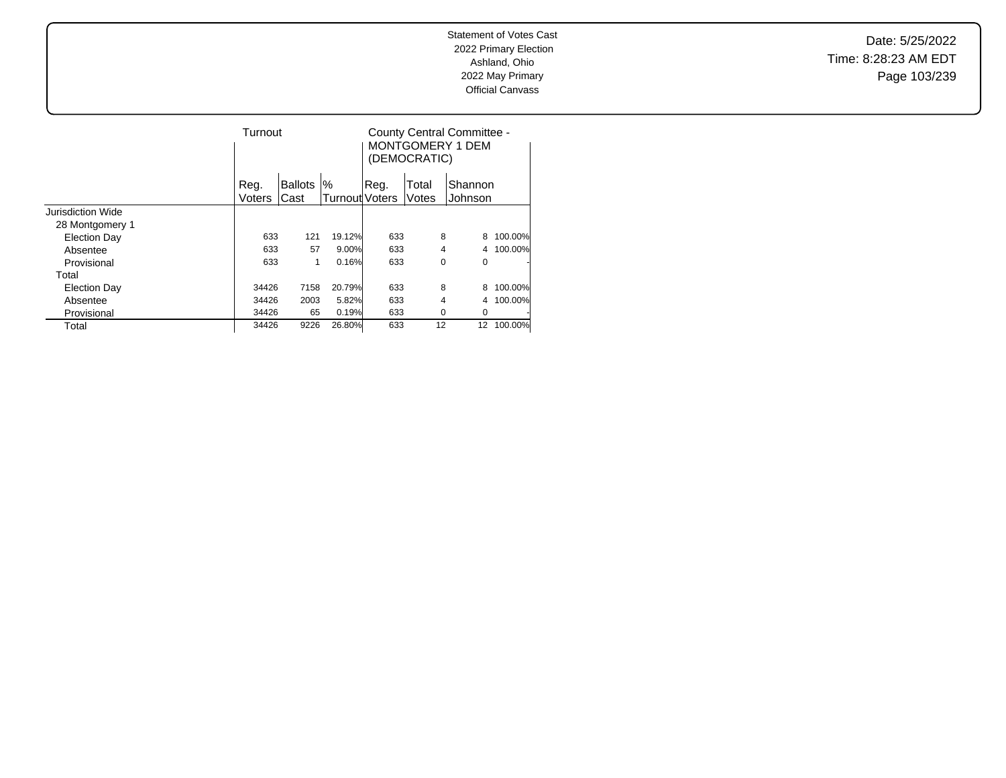Date: 5/25/2022 Time: 8:28:23 AM EDT Page 103/239

|                     | Turnout |                |        | County Central Committee -<br>MONTGOMERY 1 DEM<br>(DEMOCRATIC) |       |         |         |
|---------------------|---------|----------------|--------|----------------------------------------------------------------|-------|---------|---------|
|                     | Reg.    | <b>Ballots</b> | $\%$   | Reg.                                                           | Total | Shannon |         |
|                     |         | Cast<br>Voters |        | Turnout Voters                                                 | Votes | Johnson |         |
| Jurisdiction Wide   |         |                |        |                                                                |       |         |         |
| 28 Montgomery 1     |         |                |        |                                                                |       |         |         |
| <b>Election Day</b> | 633     | 121            | 19.12% | 633                                                            | 8     | 8       | 100.00% |
| Absentee            | 633     | 57             | 9.00%  | 633                                                            | 4     |         | 100.00% |
| Provisional         | 633     | 1              | 0.16%  | 633                                                            |       | 0<br>0  | ٠       |
| Total               |         |                |        |                                                                |       |         |         |
| <b>Election Day</b> | 34426   | 7158           | 20.79% | 633                                                            | 8     | 8       | 100.00% |
| Absentee            | 34426   | 2003           | 5.82%  | 633                                                            | 4     | 4       | 100.00% |
| Provisional         | 34426   | 65             | 0.19%  | 633                                                            | 0     | 0       |         |
| Total               | 34426   | 9226           | 26.80% | 633                                                            | 12    | 12      | 100.00% |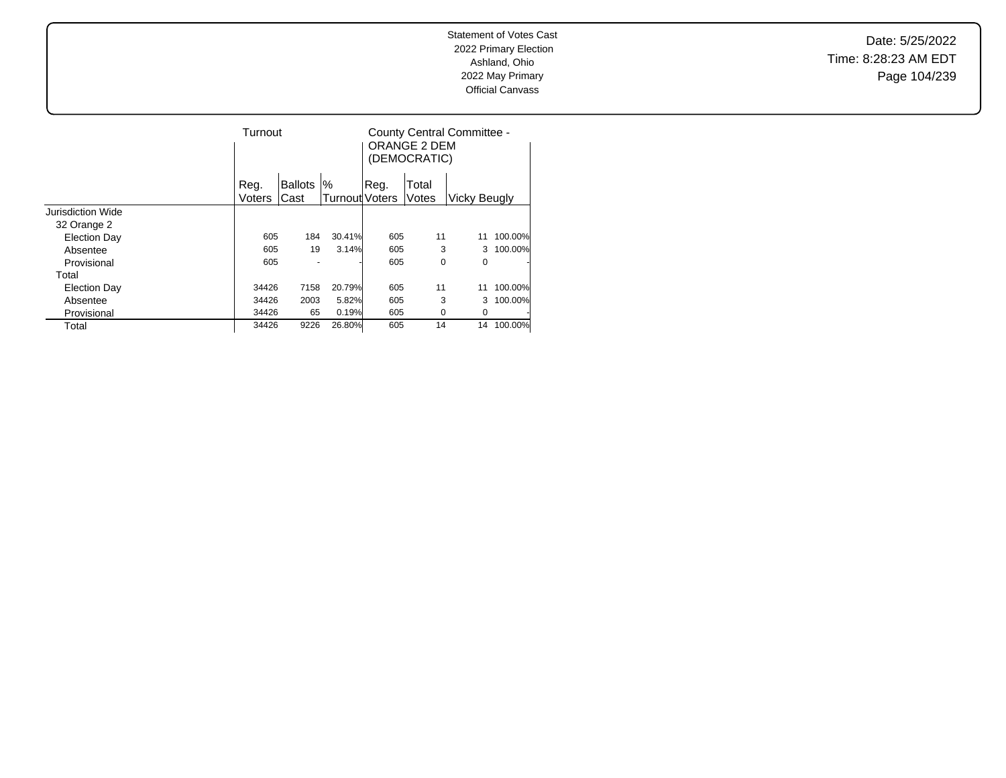Date: 5/25/2022 Time: 8:28:23 AM EDT Page 104/239

|                     | Turnout |                |                |       | ORANGE 2 DEM<br>(DEMOCRATIC) | County Central Committee - |         |  |
|---------------------|---------|----------------|----------------|-------|------------------------------|----------------------------|---------|--|
|                     | Reg.    | <b>Ballots</b> | %              | .Reg. | Total                        |                            |         |  |
|                     | Voters  | Cast           | Turnout Voters |       | Votes                        | <b>Vicky Beugly</b>        |         |  |
| Jurisdiction Wide   |         |                |                |       |                              |                            |         |  |
| 32 Orange 2         |         |                |                |       |                              |                            |         |  |
| <b>Election Day</b> | 605     | 184            | 30.41%         | 605   | 11                           | 11                         | 100.00% |  |
| Absentee            | 605     | 19             | 3.14%          | 605   | 3                            | 3                          | 100.00% |  |
| Provisional         | 605     |                |                | 605   | 0                            | 0                          |         |  |
| Total               |         |                |                |       |                              |                            |         |  |
| <b>Election Day</b> | 34426   | 7158           | 20.79%         | 605   | 11                           | 11                         | 100.00% |  |
| Absentee            | 34426   | 2003           | 5.82%          | 605   | 3                            | 3                          | 100.00% |  |
| Provisional         | 34426   | 65             | 0.19%          | 605   | 0                            | 0                          |         |  |
| Total               | 34426   | 9226           | 26.80%         | 605   | 14                           | 14                         | 100.00% |  |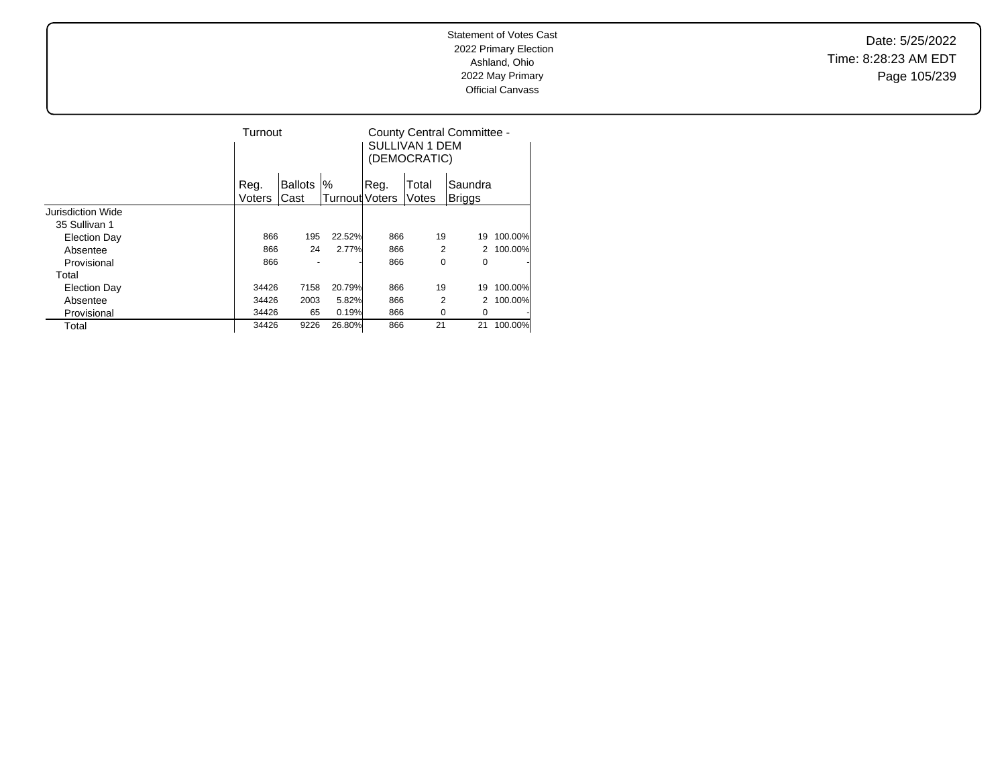Date: 5/25/2022 Time: 8:28:23 AM EDT Page 105/239

|                     | Turnout |                |                | SULLIVAN 1 DEM<br>(DEMOCRATIC) | County Central Committee - |         |         |
|---------------------|---------|----------------|----------------|--------------------------------|----------------------------|---------|---------|
|                     | Reg.    | <b>Ballots</b> | %              | Reg.                           | Total                      | Saundra |         |
|                     | Voters  | Cast           | Turnout Voters |                                | Votes                      | Briggs  |         |
| Jurisdiction Wide   |         |                |                |                                |                            |         |         |
| 35 Sullivan 1       |         |                |                |                                |                            |         |         |
| Election Day        | 866     | 195            | 22.52%         | 866                            | 19                         | 19      | 100.00% |
| Absentee            | 866     | 24             | 2.77%          | 866                            | 2                          |         | 100.00% |
| Provisional         | 866     |                |                | 866                            | 0                          | 0       | ٠       |
| Total               |         |                |                |                                |                            |         |         |
| <b>Election Day</b> | 34426   | 7158           | 20.79%         | 866                            | 19                         | 19      | 100.00% |
| Absentee            | 34426   | 2003           | 5.82%          | 866                            | 2                          |         | 100.00% |
| Provisional         | 34426   | 65             | 0.19%          | 866                            | 0                          | 0       | ٠       |
| Total               | 34426   | 9226           | 26.80%         | 866                            | 21                         | 21      | 100.00% |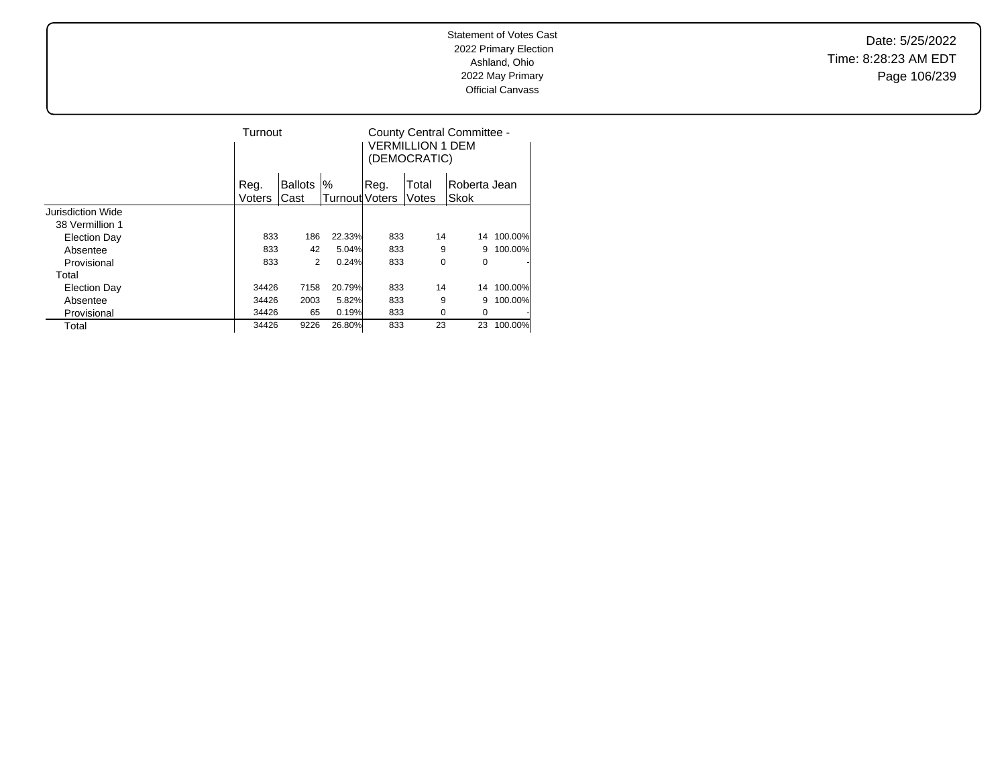Date: 5/25/2022 Time: 8:28:23 AM EDT Page 106/239

|                     | Turnout |                |                       | County Central Committee -<br>VERMILLION 1 DEM<br>(DEMOCRATIC) |          |              |         |  |
|---------------------|---------|----------------|-----------------------|----------------------------------------------------------------|----------|--------------|---------|--|
|                     | Reg.    | <b>Ballots</b> | %                     | Reg.                                                           | Total    | Roberta Jean |         |  |
|                     | Voters  | Cast           | <b>Turnout Voters</b> |                                                                | Votes    | Skok         |         |  |
| Jurisdiction Wide   |         |                |                       |                                                                |          |              |         |  |
| 38 Vermillion 1     |         |                |                       |                                                                |          |              |         |  |
| Election Day        | 833     | 186            | 22.33%                | 833                                                            | 14       | 14           | 100.00% |  |
| Absentee            | 833     | 42             | 5.04%                 | 833                                                            | 9        | 9            | 100.00% |  |
| Provisional         | 833     | 2              | 0.24%                 | 833                                                            | 0        | 0            |         |  |
| Total               |         |                |                       |                                                                |          |              |         |  |
| <b>Election Day</b> | 34426   | 7158           | 20.79%                | 833                                                            | 14       | 14           | 100.00% |  |
| Absentee            | 34426   | 2003           | 5.82%                 | 833                                                            | 9        | 9            | 100.00% |  |
| Provisional         | 34426   | 65             | 0.19%                 | 833                                                            | $\Omega$ | 0            |         |  |
| Total               | 34426   | 9226           | 26.80%                | 833                                                            | 23       | 23           | 100.00% |  |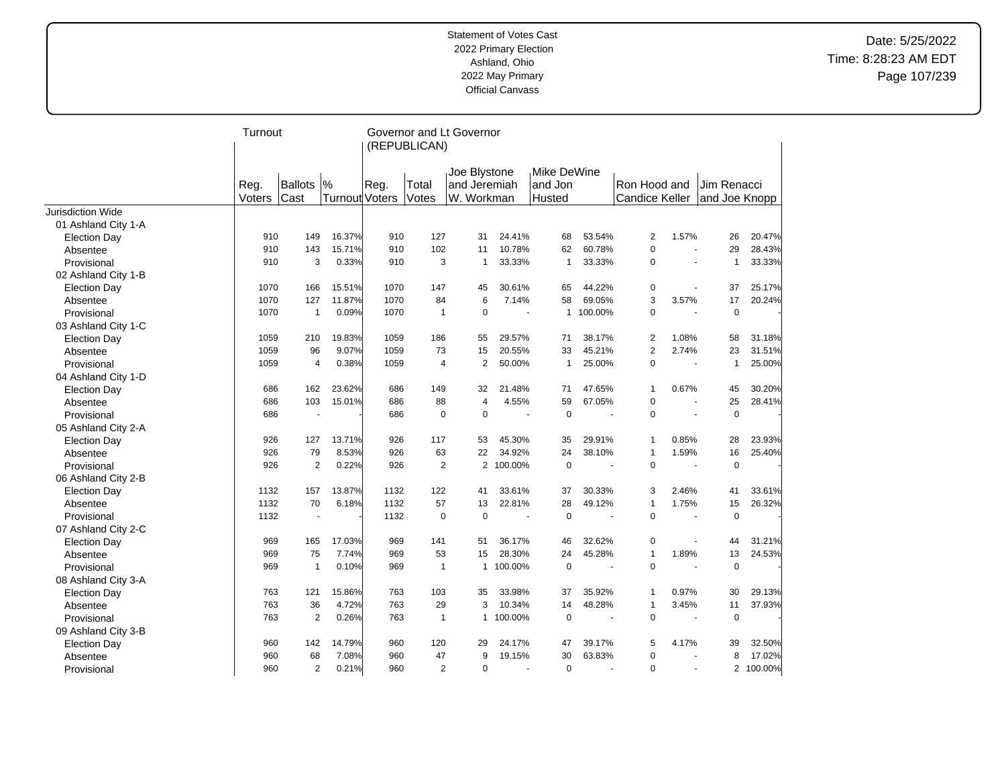|                     | Turnout        |                        |                            |      | Governor and Lt Governor<br>(REPUBLICAN) |                                            |                |                          |                                   |           |                                       |                       |                              |           |
|---------------------|----------------|------------------------|----------------------------|------|------------------------------------------|--------------------------------------------|----------------|--------------------------|-----------------------------------|-----------|---------------------------------------|-----------------------|------------------------------|-----------|
|                     | Reg.<br>Voters | <b>Ballots</b><br>Cast | %<br><b>Turnout Voters</b> | Reg. | Total<br>Votes                           | Joe Blystone<br>and Jeremiah<br>W. Workman |                |                          | Mike DeWine<br>land Jon<br>Husted |           | Ron Hood and<br><b>Candice Keller</b> |                       | Jim Renacci<br>and Joe Knopp |           |
| Jurisdiction Wide   |                |                        |                            |      |                                          |                                            |                |                          |                                   |           |                                       |                       |                              |           |
| 01 Ashland City 1-A |                |                        |                            |      |                                          |                                            |                |                          |                                   |           |                                       |                       |                              |           |
| <b>Election Day</b> | 910            | 149                    | 16.37%                     | 910  | 127                                      |                                            | 31             | 24.41%                   | 68                                | 53.54%    | $\overline{c}$                        | 1.57%                 | 26                           | 20.47%    |
| Absentee            | 910            | 143                    | 15.71%                     | 910  | 102                                      |                                            | 11             | 10.78%                   | 62                                | 60.78%    | $\mathbf 0$                           | $\tilde{\phantom{a}}$ | 29                           | 28.43%    |
| Provisional         | 910            | 3                      | 0.33%                      | 910  |                                          | 3                                          | $\mathbf{1}$   | 33.33%                   | $\mathbf{1}$                      | 33.33%    | $\mathbf 0$                           | $\blacksquare$        | $\mathbf{1}$                 | 33.33%    |
| 02 Ashland City 1-B |                |                        |                            |      |                                          |                                            |                |                          |                                   |           |                                       |                       |                              |           |
| <b>Election Day</b> | 1070           | 166                    | 15.51%                     | 1070 | 147                                      |                                            | 45             | 30.61%                   | 65                                | 44.22%    | 0                                     |                       | 37                           | 25.17%    |
| Absentee            | 1070           | 127                    | 11.87%                     | 1070 | 84                                       |                                            | 6              | 7.14%                    | 58                                | 69.05%    | 3                                     | 3.57%                 | 17                           | 20.24%    |
| Provisional         | 1070           | $\overline{1}$         | 0.09%                      | 1070 | $\overline{1}$                           |                                            | $\mathbf 0$    | $\overline{\phantom{a}}$ |                                   | 1 100.00% | $\mathbf 0$                           | $\tilde{\phantom{a}}$ | $\mathbf 0$                  |           |
| 03 Ashland City 1-C |                |                        |                            |      |                                          |                                            |                |                          |                                   |           |                                       |                       |                              |           |
| <b>Election Day</b> | 1059           | 210                    | 19.83%                     | 1059 | 186                                      |                                            | 55             | 29.57%                   | 71                                | 38.17%    | $\overline{2}$                        | 1.08%                 | 58                           | 31.18%    |
| Absentee            | 1059           | 96                     | 9.07%                      | 1059 | 73                                       |                                            | 15             | 20.55%                   | 33                                | 45.21%    | $\overline{2}$                        | 2.74%                 | 23                           | 31.51%    |
| Provisional         | 1059           | $\overline{4}$         | 0.38%                      | 1059 |                                          | $\overline{4}$                             | $\overline{2}$ | 50.00%                   | $\mathbf{1}$                      | 25.00%    | $\mathbf 0$                           |                       | $\mathbf{1}$                 | 25.00%    |
| 04 Ashland City 1-D |                |                        |                            |      |                                          |                                            |                |                          |                                   |           |                                       |                       |                              |           |
| <b>Election Day</b> | 686            | 162                    | 23.62%                     | 686  | 149                                      |                                            | 32             | 21.48%                   | 71                                | 47.65%    | $\mathbf{1}$                          | 0.67%                 | 45                           | 30.20%    |
| Absentee            | 686            | 103                    | 15.01%                     | 686  | 88                                       |                                            | $\overline{4}$ | 4.55%                    | 59                                | 67.05%    | $\mathbf 0$                           | $\tilde{\phantom{a}}$ | 25                           | 28.41%    |
| Provisional         | 686            |                        |                            | 686  |                                          | $\mathbf 0$                                | $\mathbf 0$    | ÷,                       | $\mathbf 0$                       |           | $\mathbf 0$                           |                       | $\mathbf 0$                  |           |
| 05 Ashland City 2-A |                |                        |                            |      |                                          |                                            |                |                          |                                   |           |                                       |                       |                              |           |
| <b>Election Day</b> | 926            | 127                    | 13.71%                     | 926  | 117                                      |                                            | 53             | 45.30%                   | 35                                | 29.91%    | $\mathbf{1}$                          | 0.85%                 | 28                           | 23.93%    |
| Absentee            | 926            | 79                     | 8.53%                      | 926  | 63                                       |                                            | 22             | 34.92%                   | 24                                | 38.10%    | $\mathbf{1}$                          | 1.59%                 | 16                           | 25.40%    |
| Provisional         | 926            | $\overline{2}$         | 0.22%                      | 926  |                                          | $\overline{2}$                             | $\overline{2}$ | 100.00%                  | $\mathbf 0$                       |           | $\mathbf 0$                           |                       | $\mathbf 0$                  |           |
| 06 Ashland City 2-B |                |                        |                            |      |                                          |                                            |                |                          |                                   |           |                                       |                       |                              |           |
| <b>Election Day</b> | 1132           | 157                    | 13.87%                     | 1132 | 122                                      |                                            | 41             | 33.61%                   | 37                                | 30.33%    | 3                                     | 2.46%                 | 41                           | 33.61%    |
| Absentee            | 1132           | 70                     | 6.18%                      | 1132 | 57                                       |                                            | 13             | 22.81%                   | 28                                | 49.12%    | $\mathbf{1}$                          | 1.75%                 | 15                           | 26.32%    |
| Provisional         | 1132           |                        |                            | 1132 |                                          | $\mathbf 0$                                | $\mathbf 0$    | $\overline{\phantom{a}}$ | $\mathbf 0$                       |           | $\mathbf 0$                           |                       | $\mathbf 0$                  |           |
| 07 Ashland City 2-C |                |                        |                            |      |                                          |                                            |                |                          |                                   |           |                                       |                       |                              |           |
| <b>Election Day</b> | 969            | 165                    | 17.03%                     | 969  | 141                                      |                                            | 51             | 36.17%                   | 46                                | 32.62%    | 0                                     |                       | 44                           | 31.21%    |
| Absentee            | 969            | 75                     | 7.74%                      | 969  | 53                                       |                                            | 15             | 28.30%                   | 24                                | 45.28%    | $\mathbf{1}$                          | 1.89%                 | 13                           | 24.53%    |
| Provisional         | 969            | $\mathbf{1}$           | 0.10%                      | 969  |                                          | $\mathbf{1}$                               | $\mathbf{1}$   | 100.00%                  | $\mathbf 0$                       |           | $\mathbf 0$                           |                       | $\mathbf 0$                  |           |
| 08 Ashland City 3-A |                |                        |                            |      |                                          |                                            |                |                          |                                   |           |                                       |                       |                              |           |
| <b>Election Day</b> | 763            | 121                    | 15.86%                     | 763  | 103                                      |                                            | 35             | 33.98%                   | 37                                | 35.92%    | $\mathbf{1}$                          | 0.97%                 | 30                           | 29.13%    |
| Absentee            | 763            | 36                     | 4.72%                      | 763  | 29                                       |                                            | 3              | 10.34%                   | 14                                | 48.28%    | 1                                     | 3.45%                 | 11                           | 37.93%    |
| Provisional         | 763            | $\overline{2}$         | 0.26%                      | 763  | $\overline{1}$                           |                                            | $\mathbf{1}$   | 100.00%                  | $\mathbf 0$                       |           | $\mathbf 0$                           | $\blacksquare$        | $\mathbf 0$                  |           |
| 09 Ashland City 3-B |                |                        |                            |      |                                          |                                            |                |                          |                                   |           |                                       |                       |                              |           |
| <b>Election Day</b> | 960            | 142                    | 14.79%                     | 960  | 120                                      |                                            | 29             | 24.17%                   | 47                                | 39.17%    | 5                                     | 4.17%                 | 39                           | 32.50%    |
| Absentee            | 960            | 68                     | 7.08%                      | 960  | 47                                       |                                            | 9              | 19.15%                   | 30                                | 63.83%    | $\mathbf 0$                           |                       | 8                            | 17.02%    |
| Provisional         | 960            | $\overline{2}$         | 0.21%                      | 960  |                                          | 2                                          | $\mathbf 0$    | $\sim$                   | $\mathbf 0$                       | ÷,        | $\mathbf 0$                           |                       |                              | 2 100.00% |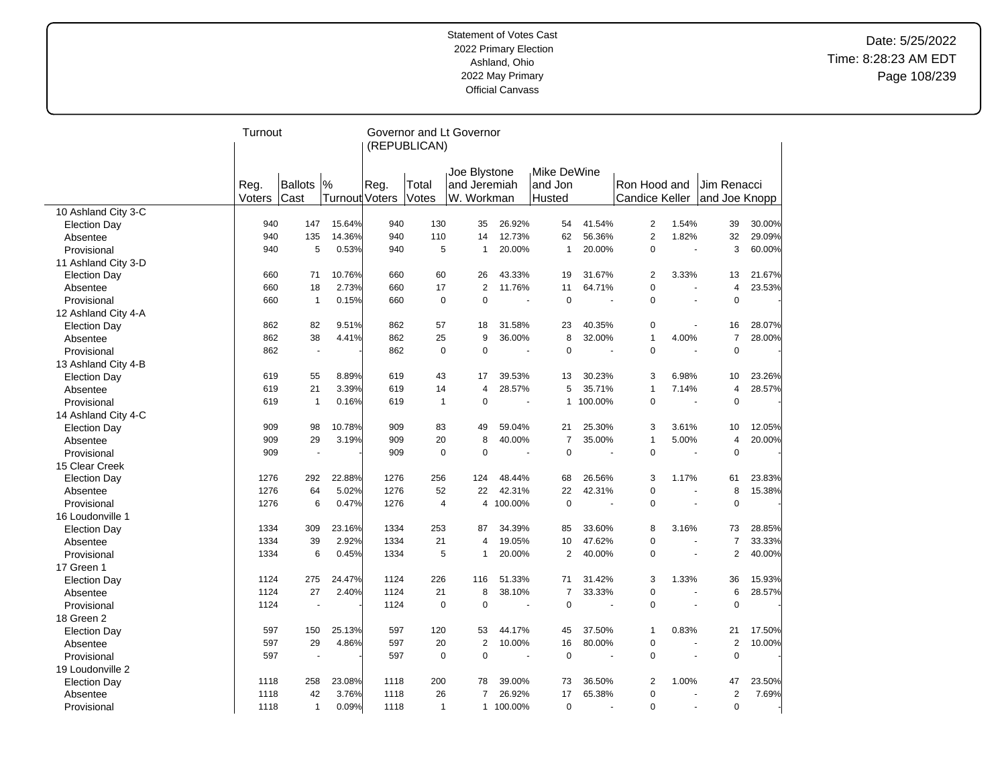|                     | Turnout |              |                |      | Governor and Lt Governor<br>(REPUBLICAN) |                              |                          |                         |         |                       |                          |                |        |
|---------------------|---------|--------------|----------------|------|------------------------------------------|------------------------------|--------------------------|-------------------------|---------|-----------------------|--------------------------|----------------|--------|
|                     | Reg.    | Ballots      | %              | Reg. | Total                                    | Joe Blystone<br>and Jeremiah |                          | Mike DeWine<br>land Jon |         | Ron Hood and          |                          | Jim Renacci    |        |
|                     | Voters  | Cast         | Turnout Voters |      | Votes                                    | W. Workman                   |                          | Husted                  |         | <b>Candice Keller</b> |                          | and Joe Knopp  |        |
| 10 Ashland City 3-C |         |              |                |      |                                          |                              |                          |                         |         |                       |                          |                |        |
| <b>Election Day</b> | 940     | 147          | 15.64%         | 940  | 130                                      | 35                           | 26.92%                   | 54                      | 41.54%  | $\overline{2}$        | 1.54%                    | 39             | 30.00% |
| Absentee            | 940     | 135          | 14.36%         | 940  | 110                                      | 14                           | 12.73%                   | 62                      | 56.36%  | $\overline{2}$        | 1.82%                    | 32             | 29.09% |
| Provisional         | 940     | 5            | 0.53%          | 940  | 5                                        | 1                            | 20.00%                   | $\mathbf{1}$            | 20.00%  | $\mathbf 0$           | $\overline{\phantom{a}}$ | 3              | 60.00% |
| 11 Ashland City 3-D |         |              |                |      |                                          |                              |                          |                         |         |                       |                          |                |        |
| <b>Election Day</b> | 660     | 71           | 10.76%         | 660  | 60                                       | 26                           | 43.33%                   | 19                      | 31.67%  | 2                     | 3.33%                    | 13             | 21.67% |
| Absentee            | 660     | 18           | 2.73%          | 660  | 17                                       | $\overline{2}$               | 11.76%                   | 11                      | 64.71%  | $\mathbf 0$           | $\overline{\phantom{a}}$ | $\overline{4}$ | 23.53% |
| Provisional         | 660     | $\mathbf{1}$ | 0.15%          | 660  | 0                                        | 0                            |                          | $\mathbf 0$             |         | $\mathbf 0$           | $\sim$                   | $\mathbf 0$    |        |
| 12 Ashland City 4-A |         |              |                |      |                                          |                              |                          |                         |         |                       |                          |                |        |
| <b>Election Day</b> | 862     | 82           | 9.51%          | 862  | 57                                       | 18                           | 31.58%                   | 23                      | 40.35%  | $\mathbf 0$           | $\blacksquare$           | 16             | 28.07% |
| Absentee            | 862     | 38           | 4.41%          | 862  | 25                                       | 9                            | 36.00%                   | 8                       | 32.00%  | $\mathbf{1}$          | 4.00%                    | $\overline{7}$ | 28.00% |
| Provisional         | 862     | $\mathbf{r}$ |                | 862  | $\mathbf 0$                              | 0                            |                          | $\mathbf 0$             |         | $\mathbf 0$           |                          | $\mathbf 0$    |        |
| 13 Ashland City 4-B |         |              |                |      |                                          |                              |                          |                         |         |                       |                          |                |        |
| <b>Election Day</b> | 619     | 55           | 8.89%          | 619  | 43                                       | 17                           | 39.53%                   | 13                      | 30.23%  | 3                     | 6.98%                    | 10             | 23.26% |
| Absentee            | 619     | 21           | 3.39%          | 619  | 14                                       | 4                            | 28.57%                   | 5                       | 35.71%  | $\mathbf{1}$          | 7.14%                    | 4              | 28.57% |
| Provisional         | 619     | $\mathbf{1}$ | 0.16%          | 619  | 1                                        | 0                            |                          | $\mathbf{1}$            | 100.00% | $\mathbf 0$           |                          | $\mathbf 0$    |        |
| 14 Ashland City 4-C |         |              |                |      |                                          |                              |                          |                         |         |                       |                          |                |        |
| <b>Election Day</b> | 909     | 98           | 10.78%         | 909  | 83                                       | 49                           | 59.04%                   | 21                      | 25.30%  | 3                     | 3.61%                    | 10             | 12.05% |
| Absentee            | 909     | 29           | 3.19%          | 909  | 20                                       | 8                            | 40.00%                   | $\overline{7}$          | 35.00%  | $\mathbf{1}$          | 5.00%                    | $\overline{4}$ | 20.00% |
| Provisional         | 909     | ÷,           |                | 909  | $\mathbf 0$                              | 0                            | $\overline{\phantom{a}}$ | $\mathbf 0$             |         | $\mathbf 0$           | $\sim$                   | $\mathbf 0$    |        |
| 15 Clear Creek      |         |              |                |      |                                          |                              |                          |                         |         |                       |                          |                |        |
| <b>Election Day</b> | 1276    | 292          | 22.88%         | 1276 | 256                                      | 124                          | 48.44%                   | 68                      | 26.56%  | 3                     | 1.17%                    | 61             | 23.83% |
| Absentee            | 1276    | 64           | 5.02%          | 1276 | 52                                       | 22                           | 42.31%                   | 22                      | 42.31%  | $\mathbf 0$           | ÷,                       | 8              | 15.38% |
| Provisional         | 1276    | 6            | 0.47%          | 1276 | $\overline{4}$                           | 4                            | 100.00%                  | $\mathbf 0$             |         | $\mathbf 0$           | $\sim$                   | $\pmb{0}$      |        |
| 16 Loudonville 1    |         |              |                |      |                                          |                              |                          |                         |         |                       |                          |                |        |
| <b>Election Day</b> | 1334    | 309          | 23.16%         | 1334 | 253                                      | 87                           | 34.39%                   | 85                      | 33.60%  | 8                     | 3.16%                    | 73             | 28.85% |
| Absentee            | 1334    | 39           | 2.92%          | 1334 | 21                                       | 4                            | 19.05%                   | 10                      | 47.62%  | $\mathbf 0$           |                          | $\overline{7}$ | 33.33% |
| Provisional         | 1334    | 6            | 0.45%          | 1334 | 5                                        | $\mathbf{1}$                 | 20.00%                   | $\overline{2}$          | 40.00%  | $\mathbf 0$           | $\sim$                   | $\overline{2}$ | 40.00% |
| 17 Green 1          |         |              |                |      |                                          |                              |                          |                         |         |                       |                          |                |        |
| <b>Election Day</b> | 1124    | 275          | 24.47%         | 1124 | 226                                      | 116                          | 51.33%                   | 71                      | 31.42%  | 3                     | 1.33%                    | 36             | 15.93% |
| Absentee            | 1124    | 27           | 2.40%          | 1124 | 21                                       | 8                            | 38.10%                   | $\overline{7}$          | 33.33%  | $\mathbf 0$           |                          | 6              | 28.57% |
| Provisional         | 1124    | ÷,           |                | 1124 | $\mathbf 0$                              | 0                            |                          | $\mathbf 0$             |         | $\mathbf 0$           |                          | $\mathbf 0$    |        |
| 18 Green 2          |         |              |                |      |                                          |                              |                          |                         |         |                       |                          |                |        |
| <b>Election Day</b> | 597     | 150          | 25.13%         | 597  | 120                                      | 53                           | 44.17%                   | 45                      | 37.50%  | 1                     | 0.83%                    | 21             | 17.50% |
| Absentee            | 597     | 29           | 4.86%          | 597  | 20                                       | $\overline{2}$               | 10.00%                   | 16                      | 80.00%  | $\mathbf 0$           |                          | $\overline{2}$ | 10.00% |
| Provisional         | 597     | ÷,           |                | 597  | 0                                        | 0                            | ÷.                       | $\mathbf 0$             |         | $\mathbf 0$           | $\overline{\phantom{a}}$ | $\mathbf 0$    |        |
| 19 Loudonville 2    |         |              |                |      |                                          |                              |                          |                         |         |                       |                          |                |        |
| <b>Election Day</b> | 1118    | 258          | 23.08%         | 1118 | 200                                      | 78                           | 39.00%                   | 73                      | 36.50%  | 2                     | 1.00%                    | 47             | 23.50% |
| Absentee            | 1118    | 42           | 3.76%          | 1118 | 26                                       | 7                            | 26.92%                   | 17                      | 65.38%  | $\mathbf 0$           |                          | $\overline{2}$ | 7.69%  |
| Provisional         | 1118    | $\mathbf{1}$ | 0.09%          | 1118 | $\mathbf{1}$                             |                              | 1 100.00%                | $\mathbf 0$             |         | $\Omega$              | $\sim$                   | $\mathbf 0$    |        |
|                     |         |              |                |      |                                          |                              |                          |                         |         |                       |                          |                |        |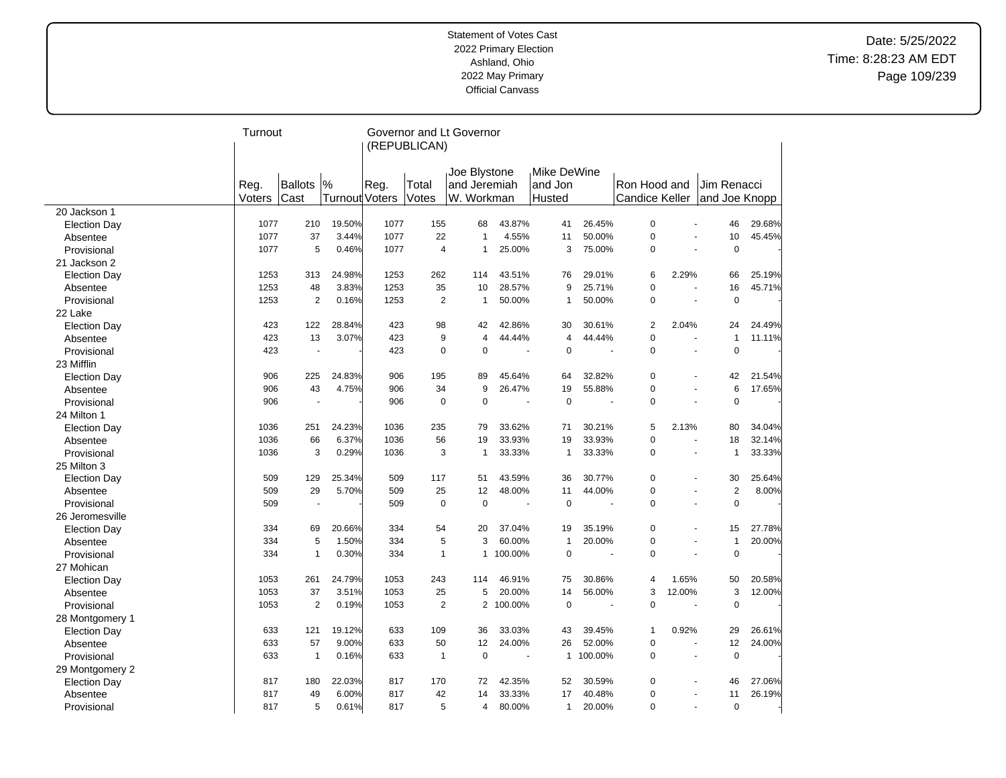|                     | Turnout |                |                | Governor and Lt Governor<br>(REPUBLICAN) |                |                              |         |                         |           |                       |                          |                |        |
|---------------------|---------|----------------|----------------|------------------------------------------|----------------|------------------------------|---------|-------------------------|-----------|-----------------------|--------------------------|----------------|--------|
|                     | Reg.    | Ballots        | %              | Reg.                                     | Total          | Joe Blystone<br>and Jeremiah |         | Mike DeWine،<br>and Jon |           | Ron Hood and          |                          | Jim Renacci    |        |
|                     | Voters  | Cast           | Turnout Voters |                                          | Votes          | W. Workman                   |         | Husted                  |           | <b>Candice Keller</b> |                          | and Joe Knopp  |        |
| 20 Jackson 1        |         |                |                |                                          |                |                              |         |                         |           |                       |                          |                |        |
| <b>Election Day</b> | 1077    | 210            | 19.50%         | 1077                                     | 155            | 68                           | 43.87%  | 41                      | 26.45%    | $\mathbf 0$           |                          | 46             | 29.68% |
| Absentee            | 1077    | 37             | 3.44%          | 1077                                     | 22             | $\overline{1}$               | 4.55%   | 11                      | 50.00%    | $\pmb{0}$             |                          | 10             | 45.45% |
| Provisional         | 1077    | 5              | 0.46%          | 1077                                     | $\overline{4}$ | $\overline{1}$               | 25.00%  | 3                       | 75.00%    | $\mathbf 0$           | ÷.                       | $\mathbf 0$    |        |
| 21 Jackson 2        |         |                |                |                                          |                |                              |         |                         |           |                       |                          |                |        |
| <b>Election Day</b> | 1253    | 313            | 24.98%         | 1253                                     | 262            | 114                          | 43.51%  | 76                      | 29.01%    | 6                     | 2.29%                    | 66             | 25.19% |
| Absentee            | 1253    | 48             | 3.83%          | 1253                                     | 35             | 10                           | 28.57%  | 9                       | 25.71%    | $\overline{0}$        | $\overline{\phantom{a}}$ | 16             | 45.71% |
| Provisional         | 1253    | $\overline{2}$ | 0.16%          | 1253                                     | $\overline{2}$ | $\mathbf{1}$                 | 50.00%  | $\mathbf{1}$            | 50.00%    | $\mathbf 0$           |                          | $\mathbf 0$    |        |
| 22 Lake             |         |                |                |                                          |                |                              |         |                         |           |                       |                          |                |        |
| <b>Election Day</b> | 423     | 122            | 28.84%         | 423                                      | 98             | 42                           | 42.86%  | 30                      | 30.61%    | $\overline{2}$        | 2.04%                    | 24             | 24.49% |
| Absentee            | 423     | 13             | 3.07%          | 423                                      | 9              | $\overline{4}$               | 44.44%  | 4                       | 44.44%    | $\mathbf 0$           |                          | $\mathbf{1}$   | 11.11% |
| Provisional         | 423     | ä,             |                | 423                                      | $\mathbf 0$    | $\Omega$                     |         | $\mathbf 0$             |           | $\Omega$              | L.                       | $\Omega$       |        |
| 23 Mifflin          |         |                |                |                                          |                |                              |         |                         |           |                       |                          |                |        |
| <b>Election Day</b> | 906     | 225            | 24.83%         | 906                                      | 195            | 89                           | 45.64%  | 64                      | 32.82%    | $\mathbf 0$           |                          | 42             | 21.54% |
| Absentee            | 906     | 43             | 4.75%          | 906                                      | 34             | 9                            | 26.47%  | 19                      | 55.88%    | $\mathbf 0$           | $\ddot{\phantom{1}}$     | 6              | 17.65% |
| Provisional         | 906     |                |                | 906                                      | $\mathbf 0$    | $\mathbf 0$                  |         | $\mathbf 0$             |           | $\mathbf 0$           |                          | $\mathbf 0$    |        |
| 24 Milton 1         |         |                |                |                                          |                |                              |         |                         |           |                       |                          |                |        |
| <b>Election Day</b> | 1036    | 251            | 24.23%         | 1036                                     | 235            | 79                           | 33.62%  | 71                      | 30.21%    | 5                     | 2.13%                    | 80             | 34.04% |
| Absentee            | 1036    | 66             | 6.37%          | 1036                                     | 56             | 19                           | 33.93%  | 19                      | 33.93%    | $\mathbf 0$           | ä,                       | 18             | 32.14% |
| Provisional         | 1036    | 3              | 0.29%          | 1036                                     | 3              | $\mathbf{1}$                 | 33.33%  | $\mathbf{1}$            | 33.33%    | 0                     | $\overline{\phantom{a}}$ | $\mathbf{1}$   | 33.33% |
| 25 Milton 3         |         |                |                |                                          |                |                              |         |                         |           |                       |                          |                |        |
| <b>Election Day</b> | 509     | 129            | 25.34%         | 509                                      | 117            | 51                           | 43.59%  | 36                      | 30.77%    | $\mathbf 0$           |                          | 30             | 25.64% |
| Absentee            | 509     | 29             | 5.70%          | 509                                      | 25             | 12                           | 48.00%  | 11                      | 44.00%    | $\mathbf 0$           | ٠                        | $\overline{2}$ | 8.00%  |
| Provisional         | 509     | ÷              |                | 509                                      | $\mathbf 0$    | $\mathbf 0$                  |         | $\mathbf 0$             |           | $\mathbf 0$           | ÷.                       | $\mathbf 0$    |        |
| 26 Jeromesville     |         |                |                |                                          |                |                              |         |                         |           |                       |                          |                |        |
| <b>Election Day</b> | 334     | 69             | 20.66%         | 334                                      | 54             | 20                           | 37.04%  | 19                      | 35.19%    | 0                     | Ĭ.                       | 15             | 27.78% |
| Absentee            | 334     | 5              | 1.50%          | 334                                      | 5              | 3                            | 60.00%  | $\mathbf{1}$            | 20.00%    | $\mathbf 0$           | ÷,                       | 1              | 20.00% |
| Provisional         | 334     | $\mathbf{1}$   | 0.30%          | 334                                      | $\mathbf{1}$   | $\mathbf{1}$                 | 100.00% | $\mathbf 0$             |           | $\mathbf 0$           | ä,                       | $\mathbf 0$    |        |
| 27 Mohican          |         |                |                |                                          |                |                              |         |                         |           |                       |                          |                |        |
| <b>Election Day</b> | 1053    | 261            | 24.79%         | 1053                                     | 243            | 114                          | 46.91%  | 75                      | 30.86%    | $\overline{4}$        | 1.65%                    | 50             | 20.58% |
| Absentee            | 1053    | 37             | 3.51%          | 1053                                     | 25             | 5                            | 20.00%  | 14                      | 56.00%    | 3                     | 12.00%                   | 3              | 12.00% |
| Provisional         | 1053    | $\overline{2}$ | 0.19%          | 1053                                     | $\overline{2}$ | $\overline{2}$               | 100.00% | $\mathbf 0$             |           | $\mathbf 0$           |                          | $\Omega$       |        |
| 28 Montgomery 1     |         |                |                |                                          |                |                              |         |                         |           |                       |                          |                |        |
| <b>Election Day</b> | 633     | 121            | 19.12%         | 633                                      | 109            | 36                           | 33.03%  | 43                      | 39.45%    | $\mathbf{1}$          | 0.92%                    | 29             | 26.61% |
| Absentee            | 633     | 57             | 9.00%          | 633                                      | 50             | 12                           | 24.00%  | 26                      | 52.00%    | $\mathbf 0$           |                          | 12             | 24.00% |
| Provisional         | 633     | $\mathbf{1}$   | 0.16%          | 633                                      | $\mathbf{1}$   | $\mathbf 0$                  |         |                         | 1 100.00% | $\mathbf 0$           | ÷,                       | $\mathbf 0$    |        |
| 29 Montgomery 2     |         |                |                |                                          |                |                              |         |                         |           |                       |                          |                |        |
| <b>Election Day</b> | 817     | 180            | 22.03%         | 817                                      | 170            | 72                           | 42.35%  | 52                      | 30.59%    | $\mathbf 0$           |                          | 46             | 27.06% |
| Absentee            | 817     | 49             | 6.00%          | 817                                      | 42             | 14                           | 33.33%  | 17                      | 40.48%    | $\mathbf 0$           |                          | 11             | 26.19% |
| Provisional         | 817     | 5              | 0.61%          | 817                                      | 5              | 4                            | 80.00%  | $\mathbf{1}$            | 20.00%    | $\Omega$              | $\overline{\phantom{a}}$ | $\mathbf 0$    |        |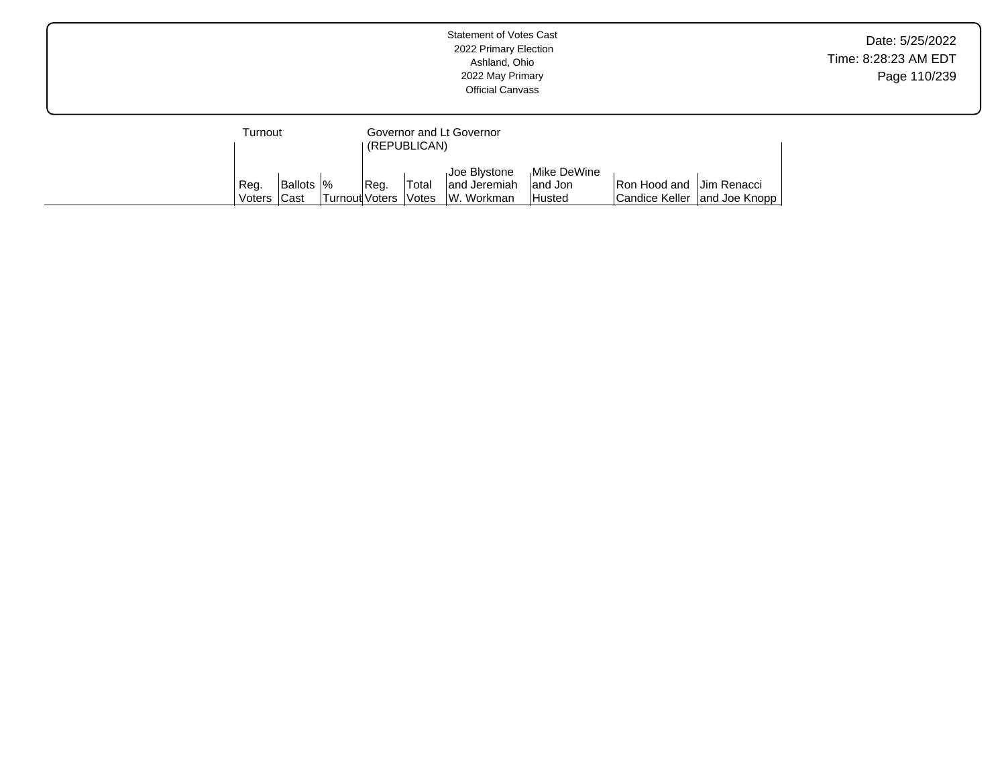|  |                     |            |                |      |                               | <b>Statement of Votes Cast</b><br>2022 Primary Election<br>Ashland, Ohio<br>2022 May Primary<br><b>Official Canvass</b> |                   |                          |                              | Date: 5/25/2022<br>Time: 8:28:23 AM EDT<br>Page 110/239 |
|--|---------------------|------------|----------------|------|-------------------------------|-------------------------------------------------------------------------------------------------------------------------|-------------------|--------------------------|------------------------------|---------------------------------------------------------|
|  | Turnout             |            |                |      | (REPUBLICAN)                  | Governor and Lt Governor<br>Joe Blystone                                                                                | Mike DeWine       |                          |                              |                                                         |
|  | Reg.<br>Voters Cast | Ballots  % | Turnout Voters | Reg. | 'Total<br><i><b>Notes</b></i> | and Jeremiah<br>W. Workman                                                                                              | and Jon<br>Husted | Ron Hood and Jim Renacci | Candice Keller and Joe Knopp |                                                         |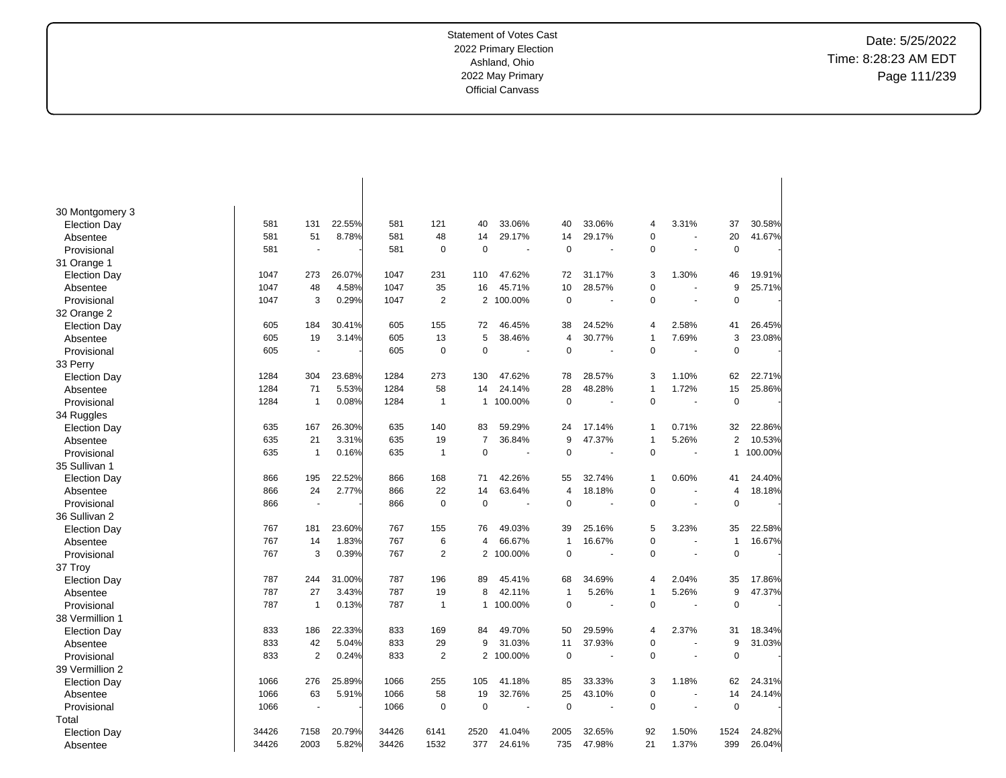Date: 5/25/2022 Time: 8:28:23 AM EDT Page 111/239

| 30 Montgomery 3     |       |                          |        |       |                |                |                      |                |        |                |                          |                |         |
|---------------------|-------|--------------------------|--------|-------|----------------|----------------|----------------------|----------------|--------|----------------|--------------------------|----------------|---------|
| <b>Election Day</b> | 581   | 131                      | 22.55% | 581   | 121            | 40             | 33.06%               | 40             | 33.06% | 4              | 3.31%                    | 37             | 30.58%  |
| Absentee            | 581   | 51                       | 8.78%  | 581   | 48             | 14             | 29.17%               | 14             | 29.17% | 0              |                          | 20             | 41.67%  |
| Provisional         | 581   |                          |        | 581   | $\mathbf 0$    | $\overline{0}$ |                      | $\mathbf 0$    |        | $\mathbf 0$    | ÷,                       | $\mathbf 0$    |         |
| 31 Orange 1         |       |                          |        |       |                |                |                      |                |        |                |                          |                |         |
| <b>Election Day</b> | 1047  | 273                      | 26.07% | 1047  | 231            | 110            | 47.62%               | 72             | 31.17% | 3              | 1.30%                    | 46             | 19.91%  |
| Absentee            | 1047  | 48                       | 4.58%  | 1047  | 35             | 16             | 45.71%               | 10             | 28.57% | 0              |                          | 9              | 25.71%  |
| Provisional         | 1047  | 3                        | 0.29%  | 1047  | $\overline{2}$ | $\overline{2}$ | 100.00%              | $\mathbf 0$    |        | 0              | ÷,                       | $\mathbf 0$    |         |
| 32 Orange 2         |       |                          |        |       |                |                |                      |                |        |                |                          |                |         |
| <b>Election Day</b> | 605   | 184                      | 30.41% | 605   | 155            | 72             | 46.45%               | 38             | 24.52% | 4              | 2.58%                    | 41             | 26.45%  |
| Absentee            | 605   | 19                       | 3.14%  | 605   | 13             | 5              | 38.46%               | $\overline{4}$ | 30.77% | $\mathbf{1}$   | 7.69%                    | 3              | 23.08%  |
| Provisional         | 605   | $\overline{\phantom{a}}$ |        | 605   | $\mathbf 0$    | $\overline{0}$ | $\ddot{\phantom{1}}$ | $\mathbf 0$    |        | 0              | $\overline{\phantom{a}}$ | $\mathbf 0$    |         |
| 33 Perry            |       |                          |        |       |                |                |                      |                |        |                |                          |                |         |
| <b>Election Day</b> | 1284  | 304                      | 23.68% | 1284  | 273            | 130            | 47.62%               | 78             | 28.57% | 3              | 1.10%                    | 62             | 22.71%  |
| Absentee            | 1284  | 71                       | 5.53%  | 1284  | 58             | 14             | 24.14%               | 28             | 48.28% | $\overline{1}$ | 1.72%                    | 15             | 25.86%  |
| Provisional         | 1284  | 1                        | 0.08%  | 1284  | $\mathbf{1}$   | $\mathbf{1}$   | 100.00%              | $\pmb{0}$      |        | $\mathbf 0$    | $\overline{a}$           | $\mathbf 0$    |         |
| 34 Ruggles          |       |                          |        |       |                |                |                      |                |        |                |                          |                |         |
| <b>Election Day</b> | 635   | 167                      | 26.30% | 635   | 140            | 83             | 59.29%               | 24             | 17.14% | 1              | 0.71%                    | 32             | 22.86%  |
| Absentee            | 635   | 21                       | 3.31%  | 635   | 19             | $\overline{7}$ | 36.84%               | 9              | 47.37% | $\overline{1}$ | 5.26%                    | $\overline{2}$ | 10.53%  |
| Provisional         | 635   | 1                        | 0.16%  | 635   | $\mathbf{1}$   | $\mathbf 0$    |                      | $\mathbf 0$    |        | 0              |                          | 1              | 100.00% |
| 35 Sullivan 1       |       |                          |        |       |                |                |                      |                |        |                |                          |                |         |
|                     | 866   | 195                      | 22.52% | 866   | 168            | 71             | 42.26%               | 55             | 32.74% | $\mathbf{1}$   | 0.60%                    | 41             | 24.40%  |
| <b>Election Day</b> | 866   | 24                       | 2.77%  | 866   | 22             | 14             | 63.64%               | $\overline{4}$ | 18.18% | $\mathbf 0$    | $\overline{a}$           | 4              | 18.18%  |
| Absentee            | 866   | $\ddot{\phantom{1}}$     |        | 866   | 0              | $\overline{0}$ | $\blacksquare$       | $\mathbf 0$    |        | 0              | ÷.                       | $\mathbf 0$    |         |
| Provisional         |       |                          |        |       |                |                |                      |                |        |                |                          |                |         |
| 36 Sullivan 2       |       |                          |        |       |                |                |                      |                |        |                |                          |                |         |
| <b>Election Day</b> | 767   | 181                      | 23.60% | 767   | 155            | 76             | 49.03%               | 39             | 25.16% | 5              | 3.23%                    | 35             | 22.58%  |
| Absentee            | 767   | 14                       | 1.83%  | 767   | 6              | $\overline{4}$ | 66.67%               | $\mathbf{1}$   | 16.67% | 0              |                          | $\overline{1}$ | 16.67%  |
| Provisional         | 767   | 3                        | 0.39%  | 767   | $\overline{2}$ | $\overline{2}$ | 100.00%              | $\mathbf 0$    |        | $\Omega$       | $\ddot{\phantom{a}}$     | $\mathbf 0$    |         |
| 37 Troy             |       |                          |        |       |                |                |                      |                |        |                |                          |                |         |
| <b>Election Day</b> | 787   | 244                      | 31.00% | 787   | 196            | 89             | 45.41%               | 68             | 34.69% | 4              | 2.04%                    | 35             | 17.86%  |
| Absentee            | 787   | 27                       | 3.43%  | 787   | 19             | 8              | 42.11%               | $\mathbf{1}$   | 5.26%  | $\mathbf{1}$   | 5.26%                    | 9              | 47.37%  |
| Provisional         | 787   | 1                        | 0.13%  | 787   | $\mathbf{1}$   | $\mathbf{1}$   | 100.00%              | $\mathbf 0$    |        | 0              |                          | $\mathbf 0$    |         |
| 38 Vermillion 1     |       |                          |        |       |                |                |                      |                |        |                |                          |                |         |
| <b>Election Day</b> | 833   | 186                      | 22.33% | 833   | 169            | 84             | 49.70%               | 50             | 29.59% | 4              | 2.37%                    | 31             | 18.34%  |
| Absentee            | 833   | 42                       | 5.04%  | 833   | 29             | 9              | 31.03%               | 11             | 37.93% | 0              |                          | 9              | 31.03%  |
| Provisional         | 833   | $\overline{2}$           | 0.24%  | 833   | $\overline{2}$ |                | 2 100.00%            | $\mathbf 0$    |        | $\Omega$       | $\overline{\phantom{a}}$ | $\Omega$       |         |
| 39 Vermillion 2     |       |                          |        |       |                |                |                      |                |        |                |                          |                |         |
| <b>Election Day</b> | 1066  | 276                      | 25.89% | 1066  | 255            | 105            | 41.18%               | 85             | 33.33% | 3              | 1.18%                    | 62             | 24.31%  |
| Absentee            | 1066  | 63                       | 5.91%  | 1066  | 58             | 19             | 32.76%               | 25             | 43.10% | 0              | ÷.                       | 14             | 24.14%  |
| Provisional         | 1066  |                          |        | 1066  | $\Omega$       | $\overline{0}$ | ä,                   | $\mathbf 0$    |        | $\Omega$       | ÷.                       | $\mathbf 0$    |         |
| Total               |       |                          |        |       |                |                |                      |                |        |                |                          |                |         |
| <b>Election Day</b> | 34426 | 7158                     | 20.79% | 34426 | 6141           | 2520           | 41.04%               | 2005           | 32.65% | 92             | 1.50%                    | 1524           | 24.82%  |
| Absentee            | 34426 | 2003                     | 5.82%  | 34426 | 1532           | 377            | 24.61%               | 735            | 47.98% | 21             | 1.37%                    | 399            | 26.04%  |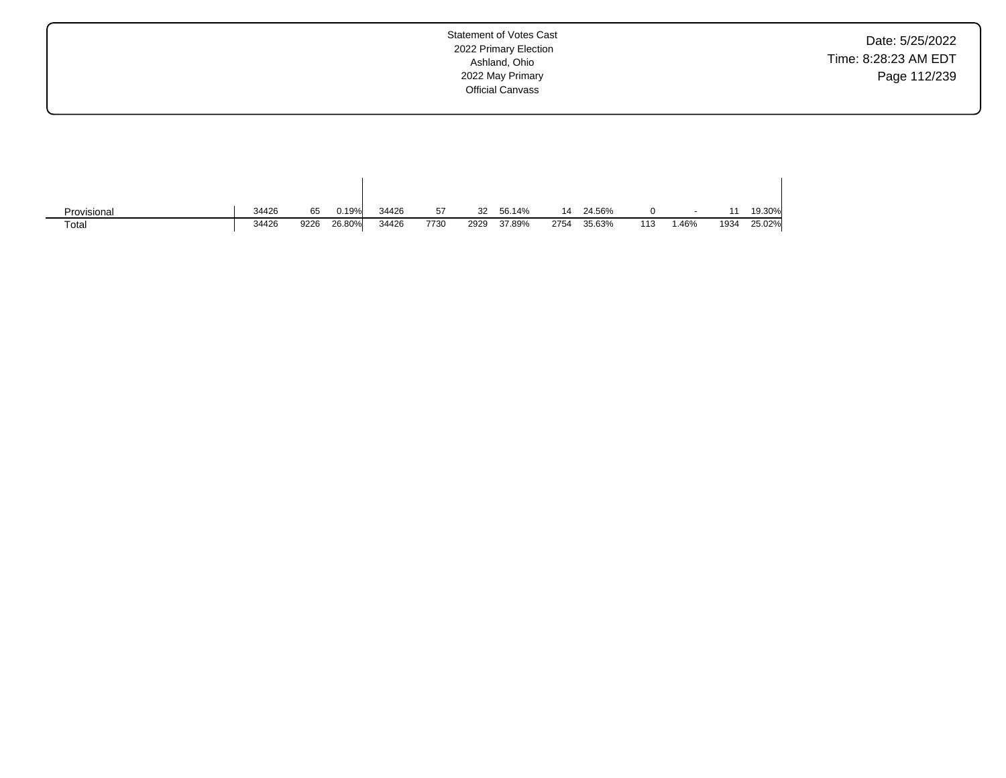Date: 5/25/2022 Time: 8:28:23 AM EDT Page 112/239

| Provisional | 34426 | 65   | 0.19%  | 34426 | 57   | 32   | 56.14% | 14   | 24.56% |     |      |      | 19.30% |
|-------------|-------|------|--------|-------|------|------|--------|------|--------|-----|------|------|--------|
| Total       | 34426 | 9226 | 26.80% | 34426 | 7730 | 2929 | 37.89% | 2754 | 35.63% | 113 | .46% | 1934 | 25.02% |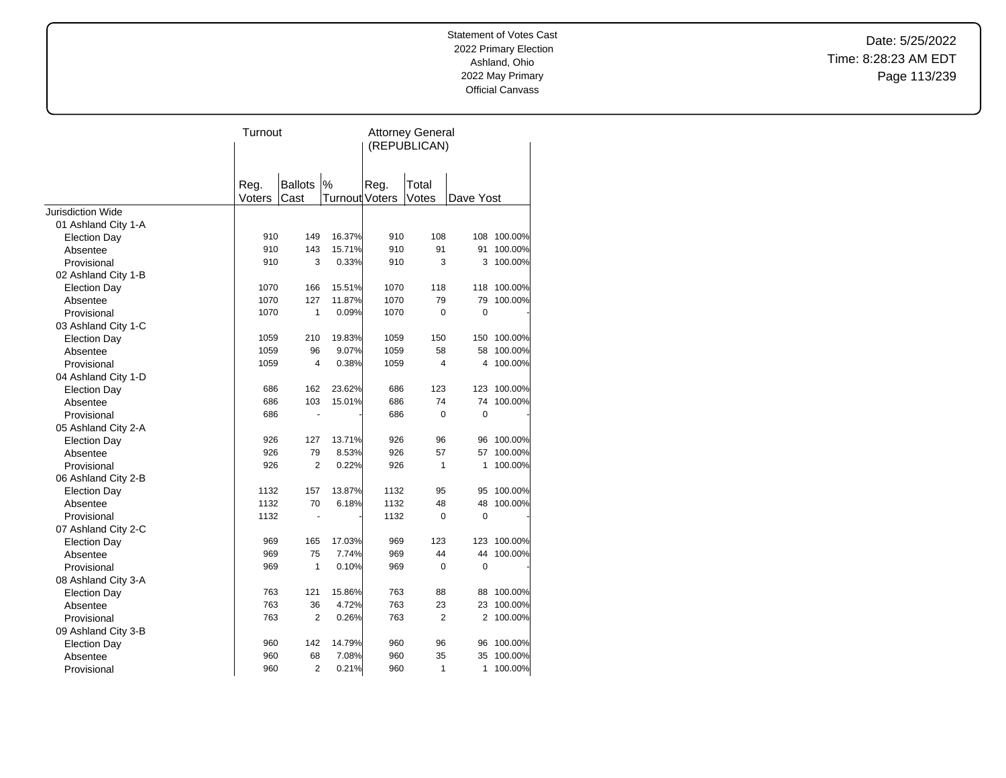Date: 5/25/2022 Time: 8:28:23 AM EDT Page 113/239

|                          | Turnout        |                          |                               | <b>Attorney General</b><br>(REPUBLICAN) |                |             |         |  |
|--------------------------|----------------|--------------------------|-------------------------------|-----------------------------------------|----------------|-------------|---------|--|
|                          | Reg.<br>Voters | <b>Ballots</b><br>Cast   | $\%$<br><b>Turnout Voters</b> | Reg.                                    | Total<br>Votes | Dave Yost   |         |  |
| <b>Jurisdiction Wide</b> |                |                          |                               |                                         |                |             |         |  |
| 01 Ashland City 1-A      |                |                          |                               |                                         |                |             |         |  |
| Election Day             | 910            | 149                      | 16.37%                        | 910                                     | 108            | 108         | 100.00% |  |
| Absentee                 | 910            | 143                      | 15.71%                        | 910                                     | 91             | 91          | 100.00% |  |
| Provisional              | 910            | 3                        | 0.33%                         | 910                                     | 3              | 3           | 100.00% |  |
| 02 Ashland City 1-B      |                |                          |                               |                                         |                |             |         |  |
| <b>Election Day</b>      | 1070           | 166                      | 15.51%                        | 1070                                    | 118            | 118         | 100.00% |  |
| Absentee                 | 1070           | 127                      | 11.87%                        | 1070                                    | 79             | 79          | 100.00% |  |
| Provisional              | 1070           | 1                        | 0.09%                         | 1070                                    | $\Omega$       | 0           |         |  |
| 03 Ashland City 1-C      |                |                          |                               |                                         |                |             |         |  |
| <b>Election Day</b>      | 1059           | 210                      | 19.83%                        | 1059                                    | 150            | 150         | 100.00% |  |
| Absentee                 | 1059           | 96                       | 9.07%                         | 1059                                    | 58             | 58          | 100.00% |  |
| Provisional              | 1059           | $\overline{4}$           | 0.38%                         | 1059                                    | 4              | 4           | 100.00% |  |
| 04 Ashland City 1-D      |                |                          |                               |                                         |                |             |         |  |
| <b>Election Day</b>      | 686            | 162                      | 23.62%                        | 686                                     | 123            | 123         | 100.00% |  |
| Absentee                 | 686            | 103                      | 15.01%                        | 686                                     | 74             | 74          | 100.00% |  |
| Provisional              | 686            |                          |                               | 686                                     | $\mathbf 0$    | 0           |         |  |
| 05 Ashland City 2-A      |                |                          |                               |                                         |                |             |         |  |
| <b>Election Day</b>      | 926            | 127                      | 13.71%                        | 926                                     | 96             | 96          | 100.00% |  |
| Absentee                 | 926            | 79                       | 8.53%                         | 926                                     | 57             | 57          | 100.00% |  |
| Provisional              | 926            | $\overline{2}$           | 0.22%                         | 926                                     | 1              | 1           | 100.00% |  |
| 06 Ashland City 2-B      |                |                          |                               |                                         |                |             |         |  |
| <b>Election Day</b>      | 1132           | 157                      | 13.87%                        | 1132                                    | 95             | 95          | 100.00% |  |
| Absentee                 | 1132           | 70                       | 6.18%                         | 1132                                    | 48             | 48          | 100.00% |  |
| Provisional              | 1132           | $\overline{\phantom{a}}$ |                               | 1132                                    | $\mathbf 0$    | $\mathbf 0$ |         |  |
| 07 Ashland City 2-C      |                |                          |                               |                                         |                |             |         |  |
| <b>Election Day</b>      | 969            | 165                      | 17.03%                        | 969                                     | 123            | 123         | 100.00% |  |
| Absentee                 | 969            | 75                       | 7.74%                         | 969                                     | 44             | 44          | 100.00% |  |
| Provisional              | 969            | 1                        | 0.10%                         | 969                                     | $\mathbf 0$    | 0           |         |  |
| 08 Ashland City 3-A      |                |                          |                               |                                         |                |             |         |  |
| <b>Election Day</b>      | 763            | 121                      | 15.86%                        | 763                                     | 88             | 88          | 100.00% |  |
| Absentee                 | 763            | 36                       | 4.72%                         | 763                                     | 23             | 23          | 100.00% |  |
| Provisional              | 763            | $\overline{2}$           | 0.26%                         | 763                                     | $\overline{2}$ | 2           | 100.00% |  |
| 09 Ashland City 3-B      |                |                          |                               |                                         |                |             |         |  |
| <b>Election Day</b>      | 960            | 142                      | 14.79%                        | 960                                     | 96             | 96          | 100.00% |  |
| Absentee                 | 960            | 68                       | 7.08%                         | 960                                     | 35             | 35          | 100.00% |  |
| Provisional              | 960            | $\overline{2}$           | 0.21%                         | 960                                     | 1              | 1           | 100.00% |  |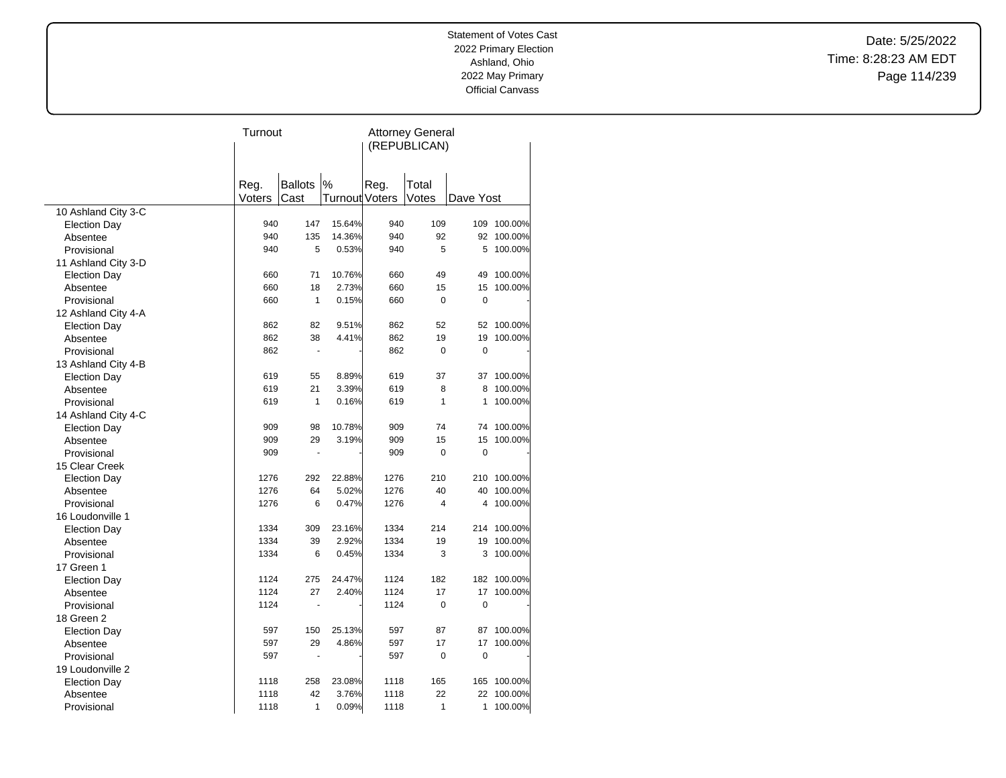Date: 5/25/2022 Time: 8:28:23 AM EDT Page 114/239

|                     | Turnout |                |                | <b>Attorney General</b><br>(REPUBLICAN) |              |             |             |  |
|---------------------|---------|----------------|----------------|-----------------------------------------|--------------|-------------|-------------|--|
|                     |         |                |                |                                         |              |             |             |  |
|                     |         |                |                |                                         |              |             |             |  |
|                     | Reg.    | <b>Ballots</b> | $\%$           | Reg.                                    | Total        |             |             |  |
|                     | Voters  | Cast           | Turnout Voters |                                         | Votes        | Dave Yost   |             |  |
| 10 Ashland City 3-C |         |                |                |                                         |              |             |             |  |
| <b>Election Day</b> | 940     | 147            | 15.64%         | 940                                     | 109          |             | 109 100.00% |  |
| Absentee            | 940     | 135            | 14.36%         | 940                                     | 92           |             | 92 100.00%  |  |
| Provisional         | 940     | 5              | 0.53%          | 940                                     | 5            | 5           | 100.00%     |  |
| 11 Ashland City 3-D |         |                |                |                                         |              |             |             |  |
| <b>Election Day</b> | 660     | 71             | 10.76%         | 660                                     | 49           | 49          | 100.00%     |  |
| Absentee            | 660     | 18             | 2.73%          | 660                                     | 15           | 15          | 100.00%     |  |
| Provisional         | 660     | $\mathbf{1}$   | 0.15%          | 660                                     | 0            | $\mathbf 0$ |             |  |
| 12 Ashland City 4-A |         |                |                |                                         |              |             |             |  |
| <b>Election Day</b> | 862     | 82             | 9.51%          | 862                                     | 52           | 52          | 100.00%     |  |
| Absentee            | 862     | 38             | 4.41%          | 862                                     | 19           | 19          | 100.00%     |  |
| Provisional         | 862     | $\blacksquare$ |                | 862                                     | 0            | $\mathbf 0$ |             |  |
| 13 Ashland City 4-B |         |                |                |                                         |              |             |             |  |
| <b>Election Day</b> | 619     | 55             | 8.89%          | 619                                     | 37           | 37          | 100.00%     |  |
| Absentee            | 619     | 21             | 3.39%          | 619                                     | 8            | 8           | 100.00%     |  |
| Provisional         | 619     | $\mathbf{1}$   | 0.16%          | 619                                     | $\mathbf{1}$ | 1           | 100.00%     |  |
| 14 Ashland City 4-C |         |                |                |                                         |              |             |             |  |
| <b>Election Day</b> | 909     | 98             | 10.78%         | 909                                     | 74           | 74          | 100.00%     |  |
| Absentee            | 909     | 29             | 3.19%          | 909                                     | 15           | 15          | 100.00%     |  |
| Provisional         | 909     | Ĭ.             |                | 909                                     | 0            | $\mathbf 0$ |             |  |
| 15 Clear Creek      |         |                |                |                                         |              |             |             |  |
| <b>Election Day</b> | 1276    | 292            | 22.88%         | 1276                                    | 210          |             | 210 100.00% |  |
| Absentee            | 1276    | 64             | 5.02%          | 1276                                    | 40           |             | 40 100.00%  |  |
| Provisional         | 1276    | 6              | 0.47%          | 1276                                    | 4            | 4           | 100.00%     |  |
| 16 Loudonville 1    |         |                |                |                                         |              |             |             |  |
| <b>Election Day</b> | 1334    | 309            | 23.16%         | 1334                                    | 214          |             | 214 100.00% |  |
| Absentee            | 1334    | 39             | 2.92%          | 1334                                    | 19           | 19          | 100.00%     |  |
| Provisional         | 1334    | 6              | 0.45%          | 1334                                    | 3            | 3           | 100.00%     |  |
| 17 Green 1          |         |                |                |                                         |              |             |             |  |
| <b>Election Day</b> | 1124    | 275            | 24.47%         | 1124                                    | 182          |             | 182 100.00% |  |
| Absentee            | 1124    | 27             | 2.40%          | 1124                                    | 17           | 17          | 100.00%     |  |
| Provisional         | 1124    | ÷,             |                | 1124                                    | 0            | $\mathbf 0$ |             |  |
| 18 Green 2          |         |                |                |                                         |              |             |             |  |
| <b>Election Day</b> | 597     | 150            | 25.13%         | 597                                     | 87           | 87          | 100.00%     |  |
| Absentee            | 597     | 29             | 4.86%          | 597                                     | 17           | 17          | 100.00%     |  |
| Provisional         | 597     | ä,             |                | 597                                     | 0            | 0           |             |  |
| 19 Loudonville 2    |         |                |                |                                         |              |             |             |  |
| <b>Election Day</b> | 1118    | 258            | 23.08%         | 1118                                    | 165          | 165         | 100.00%     |  |
| Absentee            | 1118    | 42             | 3.76%          | 1118                                    | 22           | 22          | 100.00%     |  |
| Provisional         | 1118    | 1              | 0.09%          | 1118                                    | 1            | 1           | 100.00%     |  |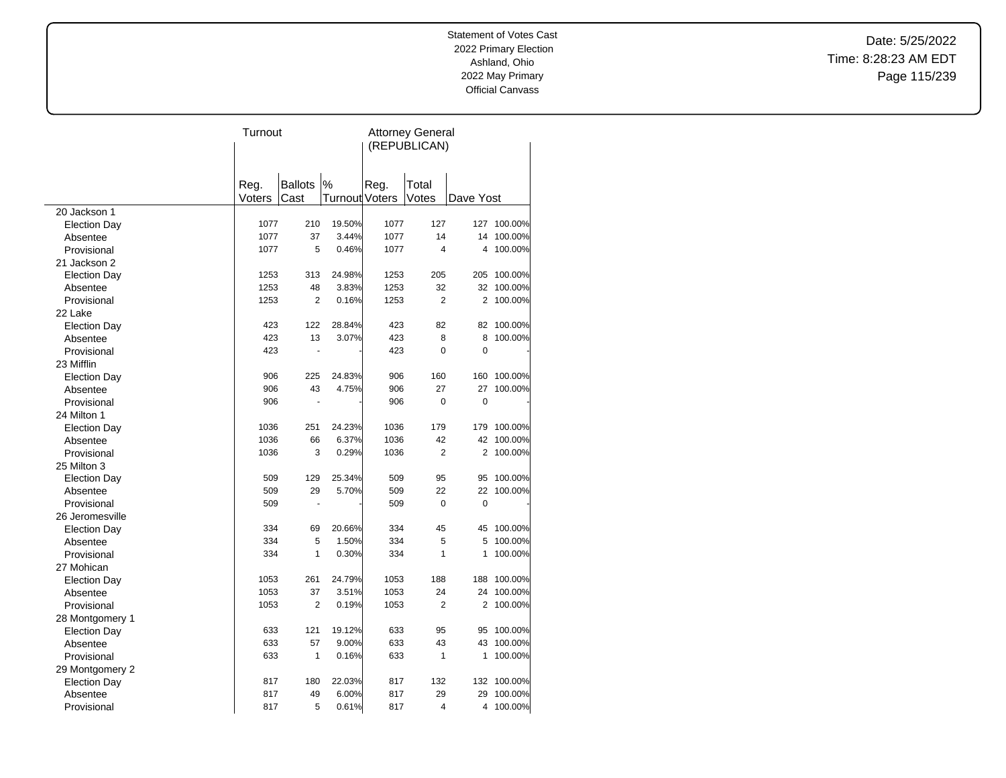Date: 5/25/2022 Time: 8:28:23 AM EDT Page 115/239

|                     |                | Turnout        |                |      | <b>Attorney General</b> |                |             |  |  |
|---------------------|----------------|----------------|----------------|------|-------------------------|----------------|-------------|--|--|
|                     |                |                |                |      | (REPUBLICAN)            |                |             |  |  |
|                     |                |                |                |      |                         |                |             |  |  |
|                     |                | <b>Ballots</b> | %              |      | Total                   |                |             |  |  |
|                     | Reg.<br>Voters | Cast           | Turnout Voters | Reg. | Votes                   | Dave Yost      |             |  |  |
| 20 Jackson 1        |                |                |                |      |                         |                |             |  |  |
| <b>Election Day</b> | 1077           | 210            | 19.50%         | 1077 | 127                     |                | 127 100.00% |  |  |
| Absentee            | 1077           | 37             | 3.44%          | 1077 | 14                      | 14             | 100.00%     |  |  |
| Provisional         | 1077           | 5              | 0.46%          | 1077 | 4                       | 4              | 100.00%     |  |  |
| 21 Jackson 2        |                |                |                |      |                         |                |             |  |  |
| <b>Election Day</b> | 1253           | 313            | 24.98%         | 1253 | 205                     |                | 205 100.00% |  |  |
| Absentee            | 1253           | 48             | 3.83%          | 1253 | 32                      |                | 32 100.00%  |  |  |
| Provisional         | 1253           | $\overline{2}$ | 0.16%          | 1253 | $\overline{2}$          | 2              | 100.00%     |  |  |
| 22 Lake             |                |                |                |      |                         |                |             |  |  |
| <b>Election Day</b> | 423            | 122            | 28.84%         | 423  | 82                      |                | 82 100.00%  |  |  |
| Absentee            | 423            | 13             | 3.07%          | 423  | 8                       | 8              | 100.00%     |  |  |
| Provisional         | 423            |                |                | 423  | 0                       | $\mathbf 0$    |             |  |  |
| 23 Mifflin          |                |                |                |      |                         |                |             |  |  |
| <b>Election Day</b> | 906            | 225            | 24.83%         | 906  | 160                     | 160            | 100.00%     |  |  |
| Absentee            | 906            | 43             | 4.75%          | 906  | 27                      | 27             | 100.00%     |  |  |
| Provisional         | 906            |                |                | 906  | 0                       | 0              |             |  |  |
| 24 Milton 1         |                |                |                |      |                         |                |             |  |  |
| <b>Election Day</b> | 1036           | 251            | 24.23%         | 1036 | 179                     |                | 179 100.00% |  |  |
| Absentee            | 1036           | 66             | 6.37%          | 1036 | 42                      |                | 42 100.00%  |  |  |
| Provisional         | 1036           | 3              | 0.29%          | 1036 | 2                       | $\overline{2}$ | 100.00%     |  |  |
| 25 Milton 3         |                |                |                |      |                         |                |             |  |  |
| <b>Election Day</b> | 509            | 129            | 25.34%         | 509  | 95                      | 95             | 100.00%     |  |  |
| Absentee            | 509            | 29             | 5.70%          | 509  | 22                      | 22             | 100.00%     |  |  |
| Provisional         | 509            |                |                | 509  | $\Omega$                | $\mathbf 0$    |             |  |  |
| 26 Jeromesville     |                |                |                |      |                         |                |             |  |  |
| <b>Election Day</b> | 334            | 69             | 20.66%         | 334  | 45                      | 45             | 100.00%     |  |  |
| Absentee            | 334            | 5              | 1.50%          | 334  | 5                       | 5              | 100.00%     |  |  |
| Provisional         | 334            | 1              | 0.30%          | 334  | 1                       | 1              | 100.00%     |  |  |
| 27 Mohican          |                |                |                |      |                         |                |             |  |  |
| <b>Election Day</b> | 1053           | 261            | 24.79%         | 1053 | 188                     |                | 188 100.00% |  |  |
| Absentee            | 1053           | 37             | 3.51%          | 1053 | 24                      | 24             | 100.00%     |  |  |
| Provisional         | 1053           | 2              | 0.19%          | 1053 | 2                       |                | 2 100.00%   |  |  |
| 28 Montgomery 1     |                |                |                |      |                         |                |             |  |  |
| <b>Election Day</b> | 633            | 121            | 19.12%         | 633  | 95                      | 95             | 100.00%     |  |  |
| Absentee            | 633            | 57             | 9.00%          | 633  | 43                      | 43             | 100.00%     |  |  |
| Provisional         | 633            | 1              | 0.16%          | 633  | 1                       | 1              | 100.00%     |  |  |
| 29 Montgomery 2     |                |                |                |      |                         |                |             |  |  |
| <b>Election Day</b> | 817            | 180            | 22.03%         | 817  | 132                     |                | 132 100.00% |  |  |
| Absentee            | 817            | 49             | 6.00%          | 817  | 29                      | 29             | 100.00%     |  |  |
| Provisional         | 817            | 5              | 0.61%          | 817  | 4                       | 4              | 100.00%     |  |  |
|                     |                |                |                |      |                         |                |             |  |  |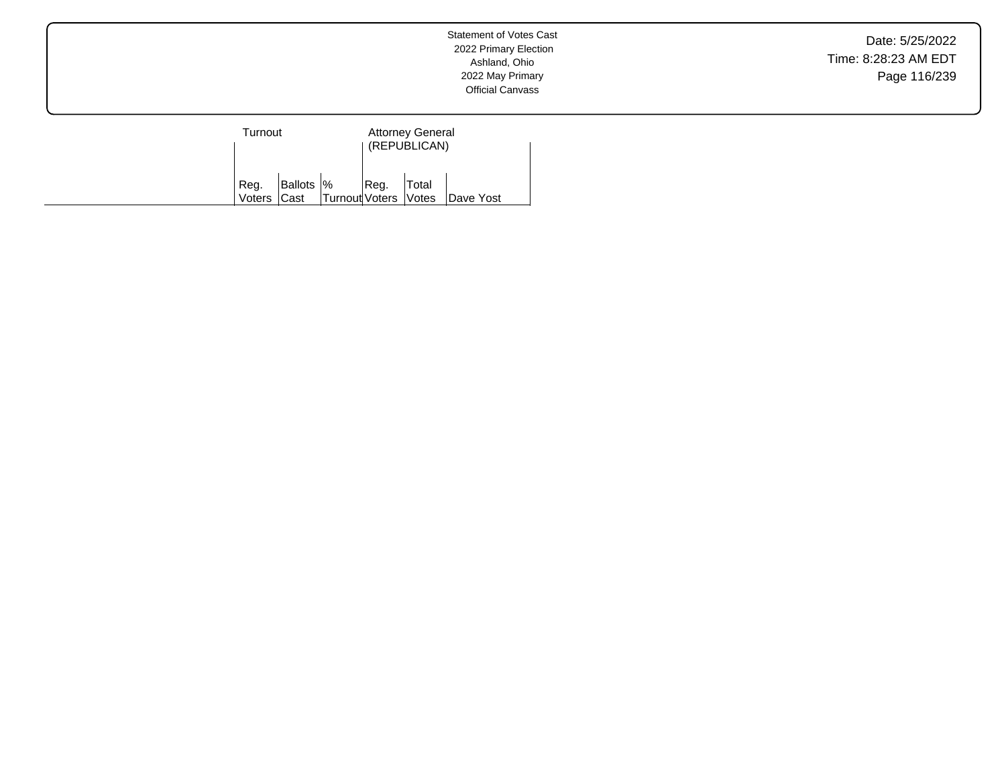Date: 5/25/2022 Time: 8:28:23 AM EDT Page 116/239

| Turnout     |            |                      |      | <b>Attorney General</b><br>(REPUBLICAN) |           |
|-------------|------------|----------------------|------|-----------------------------------------|-----------|
| Reg.        | Ballots  % |                      | Reg. | Total                                   |           |
| Voters Cast |            | Turnout Voters Votes |      |                                         | Dave Yost |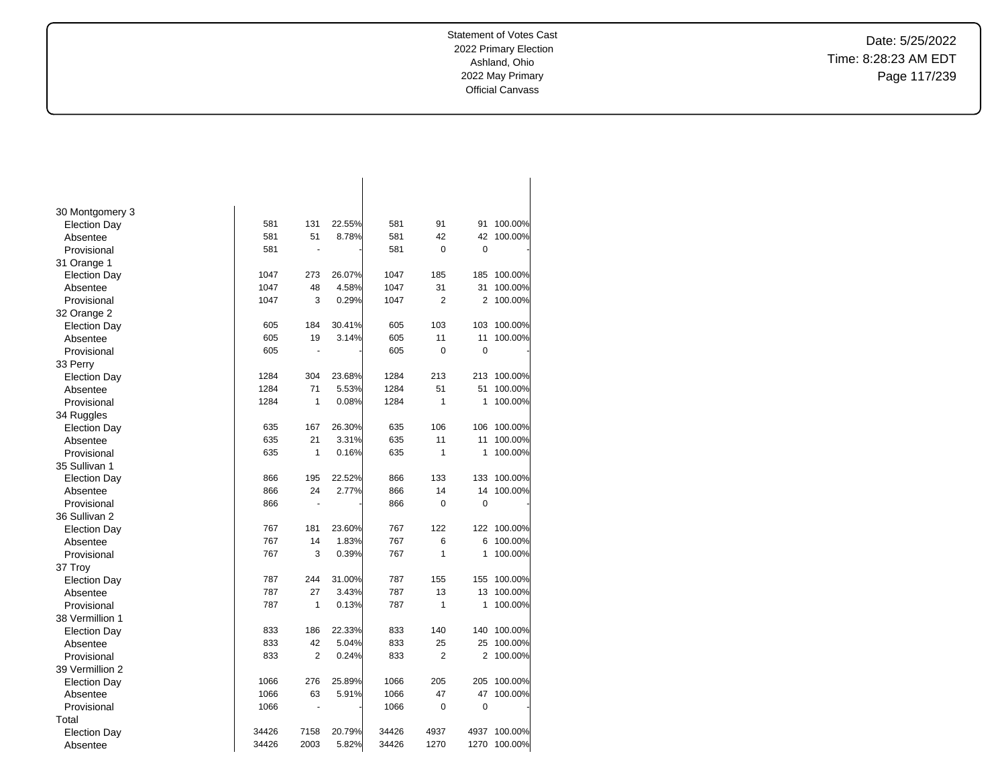Date: 5/25/2022 Time: 8:28:23 AM EDT Page 117/239

| 30 Montgomery 3     |       |                          |        |       |                |             |         |
|---------------------|-------|--------------------------|--------|-------|----------------|-------------|---------|
| <b>Election Day</b> | 581   | 131                      | 22.55% | 581   | 91             | 91          | 100.00% |
| Absentee            | 581   | 51                       | 8.78%  | 581   | 42             | 42          | 100.00% |
| Provisional         | 581   | $\blacksquare$           |        | 581   | 0              | 0           |         |
| 31 Orange 1         |       |                          |        |       |                |             |         |
| <b>Election Day</b> | 1047  | 273                      | 26.07% | 1047  | 185            | 185         | 100.00% |
| Absentee            | 1047  | 48                       | 4.58%  | 1047  | 31             | 31          | 100.00% |
| Provisional         | 1047  | 3                        | 0.29%  | 1047  | $\overline{2}$ | 2           | 100.00% |
| 32 Orange 2         |       |                          |        |       |                |             |         |
| <b>Election Day</b> | 605   | 184                      | 30.41% | 605   | 103            | 103         | 100.00% |
| Absentee            | 605   | 19                       | 3.14%  | 605   | 11             | 11          | 100.00% |
| Provisional         | 605   | $\overline{a}$           |        | 605   | $\mathbf 0$    | $\mathbf 0$ |         |
| 33 Perry            |       |                          |        |       |                |             |         |
| <b>Election Day</b> | 1284  | 304                      | 23.68% | 1284  | 213            | 213         | 100.00% |
| Absentee            | 1284  | 71                       | 5.53%  | 1284  | 51             | 51          | 100.00% |
| Provisional         | 1284  | 1                        | 0.08%  | 1284  | $\mathbf{1}$   | 1           | 100.00% |
| 34 Ruggles          |       |                          |        |       |                |             |         |
| <b>Election Day</b> | 635   | 167                      | 26.30% | 635   | 106            | 106         | 100.00% |
| Absentee            | 635   | 21                       | 3.31%  | 635   | 11             | 11          | 100.00% |
| Provisional         | 635   | 1                        | 0.16%  | 635   | 1              | 1           | 100.00% |
| 35 Sullivan 1       |       |                          |        |       |                |             |         |
| <b>Election Day</b> | 866   | 195                      | 22.52% | 866   | 133            | 133         | 100.00% |
| Absentee            | 866   | 24                       | 2.77%  | 866   | 14             | 14          | 100.00% |
| Provisional         | 866   | $\blacksquare$           |        | 866   | $\mathbf 0$    | 0           |         |
| 36 Sullivan 2       |       |                          |        |       |                |             |         |
| <b>Election Day</b> | 767   | 181                      | 23.60% | 767   | 122            | 122         | 100.00% |
| Absentee            | 767   | 14                       | 1.83%  | 767   | 6              | 6           | 100.00% |
| Provisional         | 767   | 3                        | 0.39%  | 767   | $\mathbf{1}$   | 1           | 100.00% |
| 37 Troy             |       |                          |        |       |                |             |         |
| <b>Election Day</b> | 787   | 244                      | 31.00% | 787   | 155            | 155         | 100.00% |
| Absentee            | 787   | 27                       | 3.43%  | 787   | 13             | 13          | 100.00% |
| Provisional         | 787   | 1                        | 0.13%  | 787   | $\mathbf{1}$   | 1           | 100.00% |
| 38 Vermillion 1     |       |                          |        |       |                |             |         |
| <b>Election Day</b> | 833   | 186                      | 22.33% | 833   | 140            | 140         | 100.00% |
| Absentee            | 833   | 42                       | 5.04%  | 833   | 25             | 25          | 100.00% |
| Provisional         | 833   | 2                        | 0.24%  | 833   | $\overline{2}$ | 2           | 100.00% |
| 39 Vermillion 2     |       |                          |        |       |                |             |         |
| <b>Election Day</b> | 1066  | 276                      | 25.89% | 1066  | 205            | 205         | 100.00% |
| Absentee            | 1066  | 63                       | 5.91%  | 1066  | 47             | 47          | 100.00% |
| Provisional         | 1066  | $\overline{\phantom{a}}$ |        | 1066  | 0              | 0           |         |
| Total               |       |                          |        |       |                |             |         |
| <b>Election Day</b> | 34426 | 7158                     | 20.79% | 34426 | 4937           | 4937        | 100.00% |
| Absentee            | 34426 | 2003                     | 5.82%  | 34426 | 1270           | 1270        | 100.00% |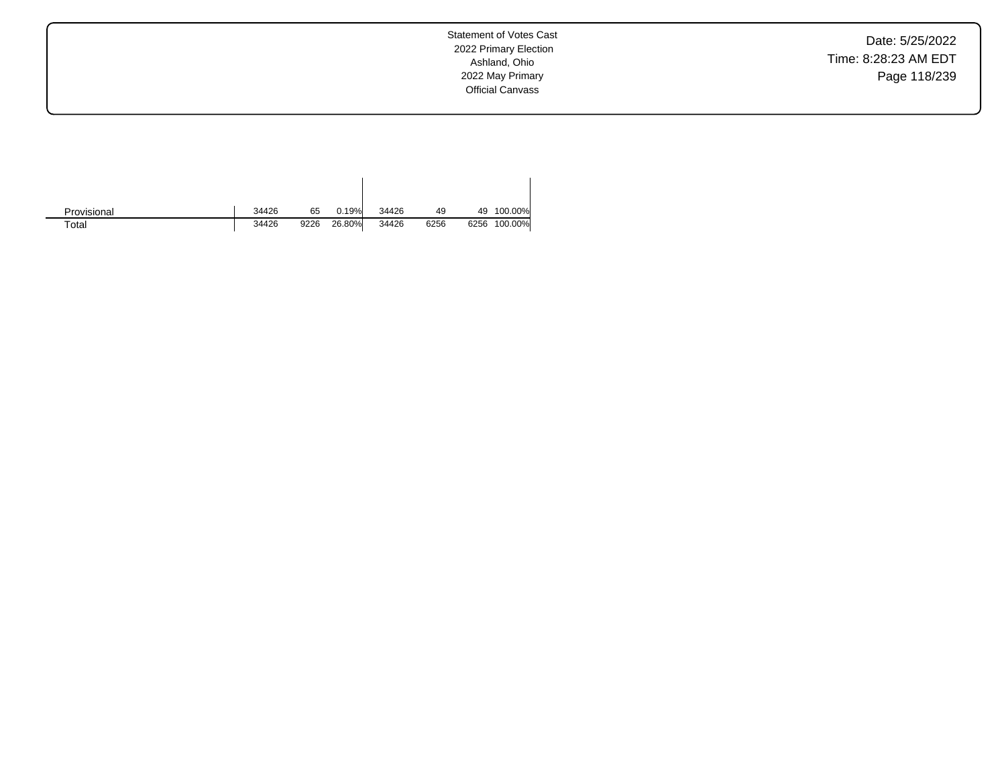Date: 5/25/2022 Time: 8:28:23 AM EDT Page 118/239

| Provisional | 34426 | 65   | 0.19%  | 34426 | 49   | 49   | 100.00% |
|-------------|-------|------|--------|-------|------|------|---------|
| $\tau$ otal | 34426 | 9226 | 26.80% | 34426 | 6256 | 6256 | 100.00% |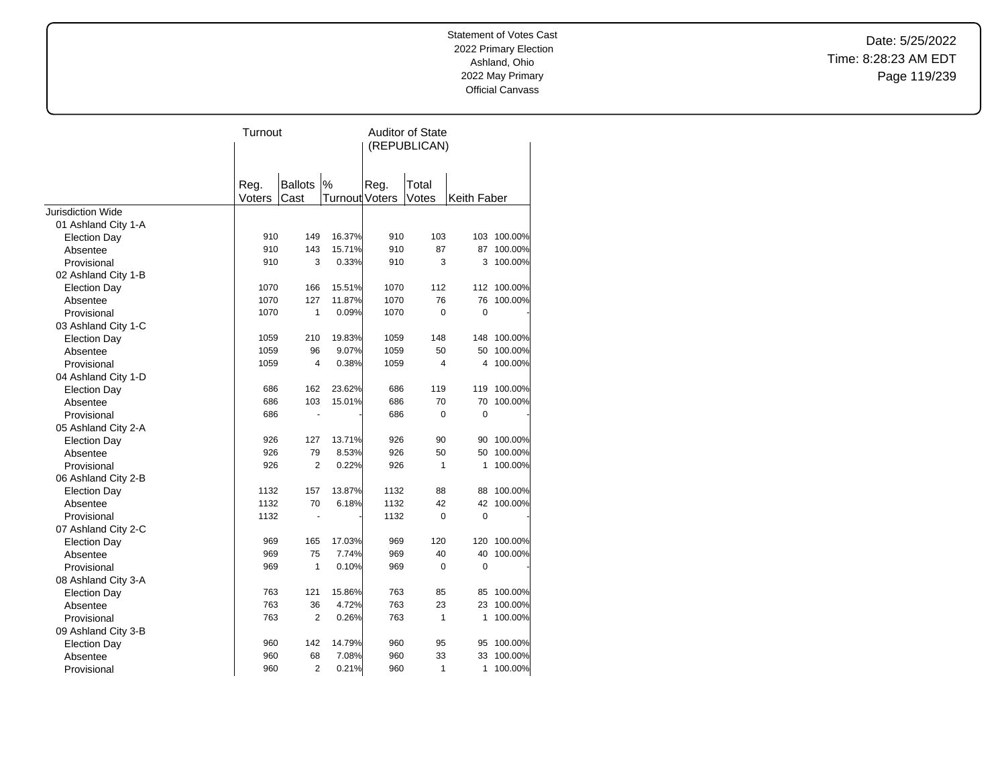Date: 5/25/2022 Time: 8:28:23 AM EDT Page 119/239

|                     | Turnout        |                        |                            | <b>Auditor of State</b><br>(REPUBLICAN) |                |             |             |  |
|---------------------|----------------|------------------------|----------------------------|-----------------------------------------|----------------|-------------|-------------|--|
|                     | Reg.<br>Voters | <b>Ballots</b><br>Cast | %<br><b>Turnout Voters</b> | Reg.                                    | Total<br>Votes | Keith Faber |             |  |
| Jurisdiction Wide   |                |                        |                            |                                         |                |             |             |  |
| 01 Ashland City 1-A |                |                        |                            |                                         |                |             |             |  |
| <b>Election Day</b> | 910            | 149                    | 16.37%                     | 910                                     | 103            |             | 103 100.00% |  |
| Absentee            | 910            | 143                    | 15.71%                     | 910                                     | 87             | 87          | 100.00%     |  |
| Provisional         | 910            | 3                      | 0.33%                      | 910                                     | 3              | 3           | 100.00%     |  |
| 02 Ashland City 1-B |                |                        |                            |                                         |                |             |             |  |
| <b>Election Day</b> | 1070           | 166                    | 15.51%                     | 1070                                    | 112            |             | 112 100.00% |  |
| Absentee            | 1070           | 127                    | 11.87%                     | 1070                                    | 76             | 76          | 100.00%     |  |
| Provisional         | 1070           | 1                      | 0.09%                      | 1070                                    | $\Omega$       | 0           |             |  |
| 03 Ashland City 1-C |                |                        |                            |                                         |                |             |             |  |
| <b>Election Day</b> | 1059           | 210                    | 19.83%                     | 1059                                    | 148            | 148         | 100.00%     |  |
| Absentee            | 1059           | 96                     | 9.07%                      | 1059                                    | 50             | 50          | 100.00%     |  |
| Provisional         | 1059           | $\overline{4}$         | 0.38%                      | 1059                                    | 4              | 4           | 100.00%     |  |
| 04 Ashland City 1-D |                |                        |                            |                                         |                |             |             |  |
| <b>Election Day</b> | 686            | 162                    | 23.62%                     | 686                                     | 119            | 119         | 100.00%     |  |
| Absentee            | 686            | 103                    | 15.01%                     | 686                                     | 70             | 70          | 100.00%     |  |
| Provisional         | 686            |                        |                            | 686                                     | $\mathbf 0$    | 0           |             |  |
| 05 Ashland City 2-A |                |                        |                            |                                         |                |             |             |  |
| <b>Election Day</b> | 926            | 127                    | 13.71%                     | 926                                     | 90             | 90          | 100.00%     |  |
| Absentee            | 926            | 79                     | 8.53%                      | 926                                     | 50             | 50          | 100.00%     |  |
| Provisional         | 926            | $\overline{2}$         | 0.22%                      | 926                                     | $\mathbf{1}$   | 1           | 100.00%     |  |
| 06 Ashland City 2-B |                |                        |                            |                                         |                |             |             |  |
| <b>Election Day</b> | 1132           | 157                    | 13.87%                     | 1132                                    | 88             | 88          | 100.00%     |  |
| Absentee            | 1132           | 70                     | 6.18%                      | 1132                                    | 42             | 42          | 100.00%     |  |
| Provisional         | 1132           | ä,                     |                            | 1132                                    | $\mathbf 0$    | $\mathbf 0$ |             |  |
| 07 Ashland City 2-C |                |                        |                            |                                         |                |             |             |  |
| <b>Election Day</b> | 969            | 165                    | 17.03%                     | 969                                     | 120            | 120         | 100.00%     |  |
| Absentee            | 969            | 75                     | 7.74%                      | 969                                     | 40             | 40          | 100.00%     |  |
| Provisional         | 969            | 1                      | 0.10%                      | 969                                     | $\mathbf 0$    | $\pmb{0}$   |             |  |
| 08 Ashland City 3-A |                |                        |                            |                                         |                |             |             |  |
| <b>Election Day</b> | 763            | 121                    | 15.86%                     | 763                                     | 85             | 85          | 100.00%     |  |
| Absentee            | 763            | 36                     | 4.72%                      | 763                                     | 23             | 23          | 100.00%     |  |
| Provisional         | 763            | $\overline{2}$         | 0.26%                      | 763                                     | 1              | 1           | 100.00%     |  |
| 09 Ashland City 3-B |                |                        |                            |                                         |                |             |             |  |
| <b>Election Day</b> | 960            | 142                    | 14.79%                     | 960                                     | 95             | 95          | 100.00%     |  |
| Absentee            | 960            | 68                     | 7.08%                      | 960                                     | 33             | 33          | 100.00%     |  |
| Provisional         | 960            | $\overline{2}$         | 0.21%                      | 960                                     | 1              | 1           | 100.00%     |  |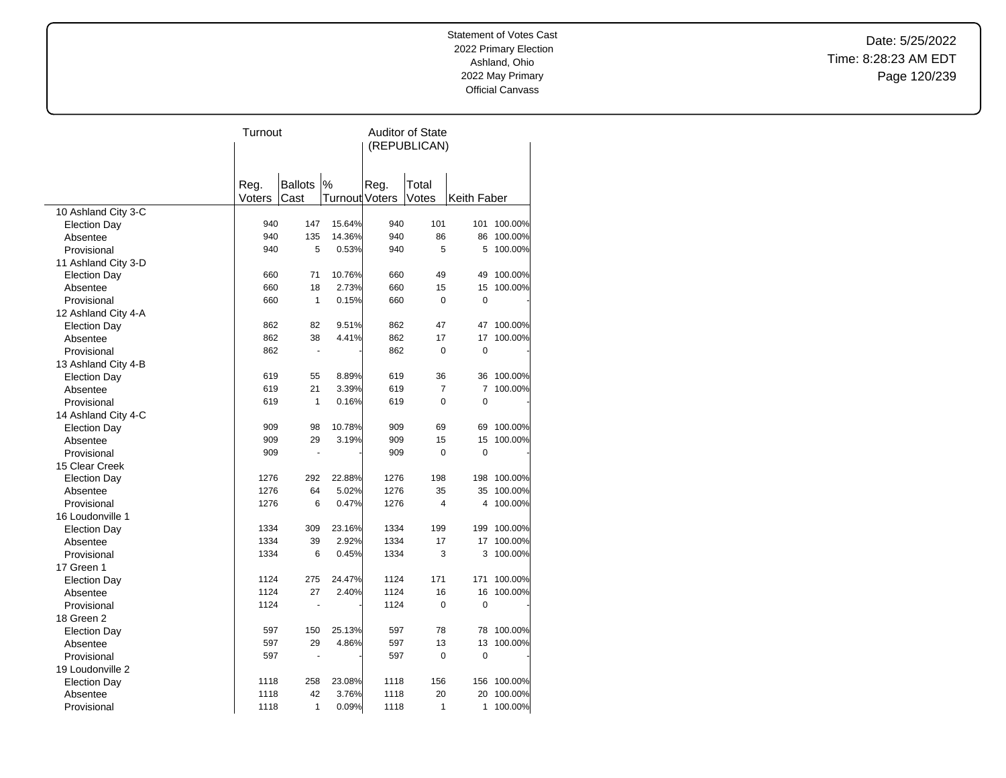Date: 5/25/2022 Time: 8:28:23 AM EDT Page 120/239

|                                 | Turnout        |                |                       | <b>Auditor of State</b> |                |                |            |
|---------------------------------|----------------|----------------|-----------------------|-------------------------|----------------|----------------|------------|
|                                 |                |                |                       |                         | (REPUBLICAN)   |                |            |
|                                 |                |                |                       |                         |                |                |            |
|                                 |                | <b>Ballots</b> | $\%$                  |                         |                |                |            |
|                                 | Reg.<br>Voters | Cast           | <b>Turnout Voters</b> | Reg.                    | Total<br>Votes | Keith Faber    |            |
| 10 Ashland City 3-C             |                |                |                       |                         |                |                |            |
| <b>Election Day</b>             | 940            | 147            | 15.64%                | 940                     | 101            | 101            | 100.00%    |
| Absentee                        | 940            | 135            | 14.36%                | 940                     | 86             |                | 86 100.00% |
| Provisional                     | 940            | 5              | 0.53%                 | 940                     | 5              | 5              | 100.00%    |
| 11 Ashland City 3-D             |                |                |                       |                         |                |                |            |
| <b>Election Day</b>             | 660            | 71             | 10.76%                | 660                     | 49             | 49             | 100.00%    |
| Absentee                        | 660            | 18             | 2.73%                 | 660                     | 15             | 15             | 100.00%    |
| Provisional                     | 660            | $\mathbf{1}$   | 0.15%                 | 660                     | 0              | 0              |            |
| 12 Ashland City 4-A             |                |                |                       |                         |                |                |            |
| <b>Election Day</b>             | 862            | 82             | 9.51%                 | 862                     | 47             | 47             | 100.00%    |
| Absentee                        | 862            | 38             | 4.41%                 | 862                     | 17             | 17             | 100.00%    |
| Provisional                     | 862            | $\overline{a}$ |                       | 862                     | 0              | $\pmb{0}$      |            |
| 13 Ashland City 4-B             |                |                |                       |                         |                |                |            |
| <b>Election Day</b>             | 619            | 55             | 8.89%                 | 619                     | 36             | 36             | 100.00%    |
| Absentee                        | 619            | 21             | 3.39%                 | 619                     | 7              | $\overline{7}$ | 100.00%    |
| Provisional                     | 619            | 1              | 0.16%                 | 619                     | 0              | 0              |            |
| 14 Ashland City 4-C             |                |                |                       |                         |                |                |            |
|                                 | 909            | 98             | 10.78%                | 909                     | 69             | 69             | 100.00%    |
| <b>Election Day</b><br>Absentee | 909            | 29             | 3.19%                 | 909                     | 15             | 15             | 100.00%    |
|                                 | 909            | $\blacksquare$ |                       | 909                     | $\Omega$       | $\mathbf 0$    |            |
| Provisional                     |                |                |                       |                         |                |                |            |
| 15 Clear Creek                  | 1276           | 292            | 22.88%                | 1276                    | 198            | 198            | 100.00%    |
| <b>Election Day</b>             | 1276           | 64             | 5.02%                 | 1276                    | 35             | 35             | 100.00%    |
| Absentee                        | 1276           | 6              | 0.47%                 | 1276                    | 4              | 4              | 100.00%    |
| Provisional                     |                |                |                       |                         |                |                |            |
| 16 Loudonville 1                | 1334           | 309            | 23.16%                | 1334                    | 199            | 199            | 100.00%    |
| <b>Election Day</b>             |                |                |                       |                         | 17             |                |            |
| Absentee                        | 1334           | 39             | 2.92%                 | 1334                    |                | 17             | 100.00%    |
| Provisional                     | 1334           | 6              | 0.45%                 | 1334                    | 3              | 3              | 100.00%    |
| 17 Green 1                      |                |                |                       |                         |                |                |            |
| <b>Election Day</b>             | 1124           | 275            | 24.47%                | 1124                    | 171            | 171            | 100.00%    |
| Absentee                        | 1124           | 27             | 2.40%                 | 1124                    | 16             | 16             | 100.00%    |
| Provisional                     | 1124           | ä,             |                       | 1124                    | 0              | $\mathbf 0$    |            |
| 18 Green 2                      |                |                |                       |                         |                |                |            |
| <b>Election Day</b>             | 597            | 150            | 25.13%                | 597                     | 78             | 78             | 100.00%    |
| Absentee                        | 597            | 29             | 4.86%                 | 597                     | 13             | 13             | 100.00%    |
| Provisional                     | 597            |                |                       | 597                     | $\mathbf 0$    | $\pmb{0}$      |            |
| 19 Loudonville 2                |                |                |                       |                         |                |                |            |
| <b>Election Day</b>             | 1118           | 258            | 23.08%                | 1118                    | 156            | 156            | 100.00%    |
| Absentee                        | 1118           | 42             | 3.76%                 | 1118                    | 20             | 20             | 100.00%    |
| Provisional                     | 1118           | 1              | 0.09%                 | 1118                    | 1              | 1              | 100.00%    |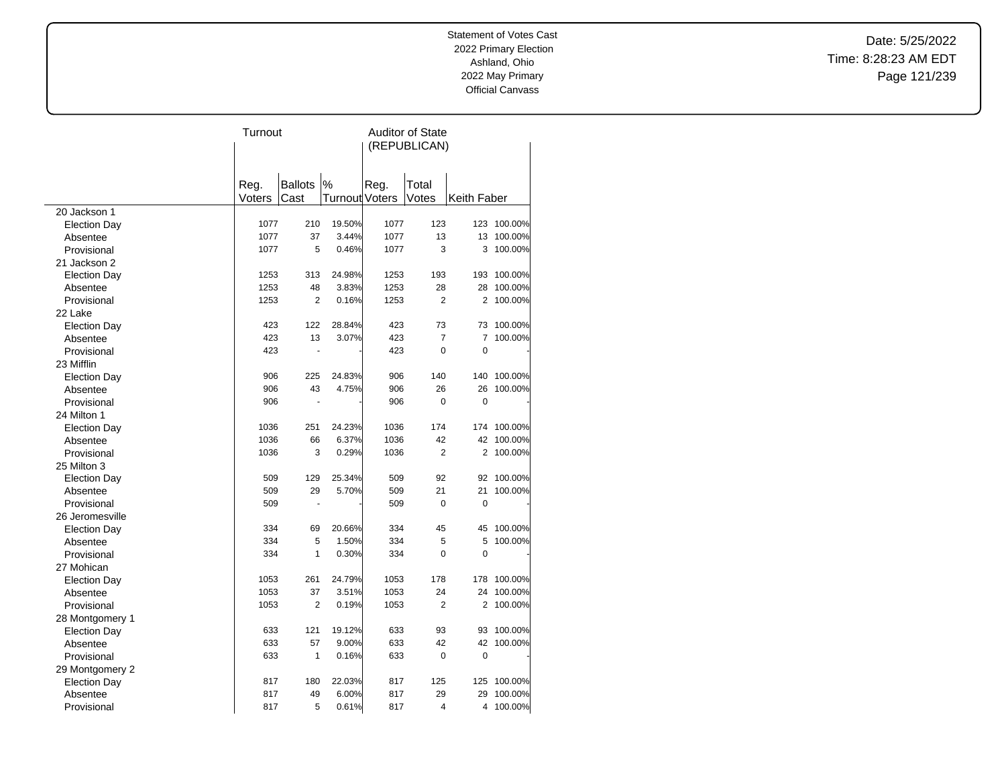Date: 5/25/2022 Time: 8:28:23 AM EDT Page 121/239

|                     | Turnout        |                        |                | <b>Auditor of State</b> |                |                |             |  |
|---------------------|----------------|------------------------|----------------|-------------------------|----------------|----------------|-------------|--|
|                     |                |                        |                | (REPUBLICAN)            |                |                |             |  |
|                     |                |                        |                |                         |                |                |             |  |
|                     |                |                        | %              |                         |                |                |             |  |
|                     | Reg.<br>Voters | <b>Ballots</b><br>Cast | Turnout Voters | Reg.                    | Total<br>Votes | Keith Faber    |             |  |
| 20 Jackson 1        |                |                        |                |                         |                |                |             |  |
| <b>Election Day</b> | 1077           | 210                    | 19.50%         | 1077                    | 123            |                | 123 100.00% |  |
| Absentee            | 1077           | 37                     | 3.44%          | 1077                    | 13             |                | 13 100.00%  |  |
| Provisional         | 1077           | 5                      | 0.46%          | 1077                    | 3              | 3              | 100.00%     |  |
| 21 Jackson 2        |                |                        |                |                         |                |                |             |  |
| <b>Election Day</b> | 1253           | 313                    | 24.98%         | 1253                    | 193            | 193            | 100.00%     |  |
| Absentee            | 1253           | 48                     | 3.83%          | 1253                    | 28             | 28             | 100.00%     |  |
| Provisional         | 1253           | $\overline{2}$         | 0.16%          | 1253                    | $\overline{2}$ | 2              | 100.00%     |  |
| 22 Lake             |                |                        |                |                         |                |                |             |  |
| <b>Election Day</b> | 423            | 122                    | 28.84%         | 423                     | 73             | 73             | 100.00%     |  |
| Absentee            | 423            | 13                     | 3.07%          | 423                     | $\overline{7}$ | 7              | 100.00%     |  |
| Provisional         | 423            | ä,                     |                | 423                     | 0              | $\mathbf 0$    |             |  |
| 23 Mifflin          |                |                        |                |                         |                |                |             |  |
| <b>Election Day</b> | 906            | 225                    | 24.83%         | 906                     | 140            | 140            | 100.00%     |  |
| Absentee            | 906            | 43                     | 4.75%          | 906                     | 26             | 26             | 100.00%     |  |
| Provisional         | 906            |                        |                | 906                     | $\Omega$       | $\mathbf 0$    |             |  |
| 24 Milton 1         |                |                        |                |                         |                |                |             |  |
| <b>Election Day</b> | 1036           | 251                    | 24.23%         | 1036                    | 174            | 174            | 100.00%     |  |
| Absentee            | 1036           | 66                     | 6.37%          | 1036                    | 42             | 42             | 100.00%     |  |
| Provisional         | 1036           | 3                      | 0.29%          | 1036                    | $\overline{2}$ | $\overline{2}$ | 100.00%     |  |
| 25 Milton 3         |                |                        |                |                         |                |                |             |  |
| <b>Election Day</b> | 509            | 129                    | 25.34%         | 509                     | 92             | 92             | 100.00%     |  |
| Absentee            | 509            | 29                     | 5.70%          | 509                     | 21             | 21             | 100.00%     |  |
| Provisional         | 509            |                        |                | 509                     | 0              | $\mathbf 0$    |             |  |
| 26 Jeromesville     |                |                        |                |                         |                |                |             |  |
| <b>Election Day</b> | 334            | 69                     | 20.66%         | 334                     | 45             | 45             | 100.00%     |  |
| Absentee            | 334            | 5                      | 1.50%          | 334                     | 5              | 5              | 100.00%     |  |
| Provisional         | 334            | 1                      | 0.30%          | 334                     | $\Omega$       | $\mathbf 0$    |             |  |
| 27 Mohican          |                |                        |                |                         |                |                |             |  |
| <b>Election Day</b> | 1053           | 261                    | 24.79%         | 1053                    | 178            | 178            | 100.00%     |  |
| Absentee            | 1053           | 37                     | 3.51%          | 1053                    | 24             | 24             | 100.00%     |  |
| Provisional         | 1053           | 2                      | 0.19%          | 1053                    | 2              |                | 2 100.00%   |  |
| 28 Montgomery 1     |                |                        |                |                         |                |                |             |  |
| <b>Election Day</b> | 633            | 121                    | 19.12%         | 633                     | 93             | 93             | 100.00%     |  |
| Absentee            | 633            | 57                     | 9.00%          | 633                     | 42             | 42             | 100.00%     |  |
| Provisional         | 633            | 1                      | 0.16%          | 633                     | 0              | 0              |             |  |
| 29 Montgomery 2     |                |                        |                |                         |                |                |             |  |
| <b>Election Day</b> | 817            | 180                    | 22.03%         | 817                     | 125            | 125            | 100.00%     |  |
| Absentee            | 817            | 49                     | 6.00%          | 817                     | 29             | 29             | 100.00%     |  |
| Provisional         | 817            | 5                      | 0.61%          | 817                     | 4              | 4              | 100.00%     |  |
|                     |                |                        |                |                         |                |                |             |  |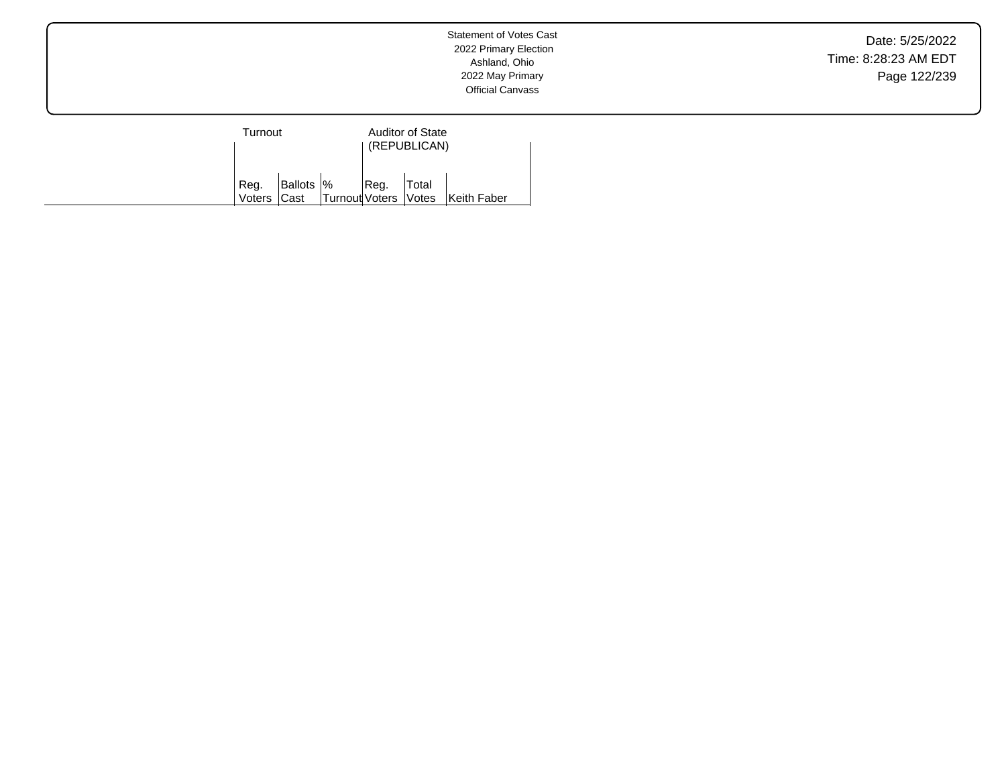Date: 5/25/2022 Time: 8:28:23 AM EDT Page 122/239

| Turnout             |            |                      |      | <b>Auditor of State</b><br>(REPUBLICAN) |             |
|---------------------|------------|----------------------|------|-----------------------------------------|-------------|
| Reg.<br>Voters Cast | Ballots \% | Turnout Voters Votes | Reg. | Total                                   | Keith Faber |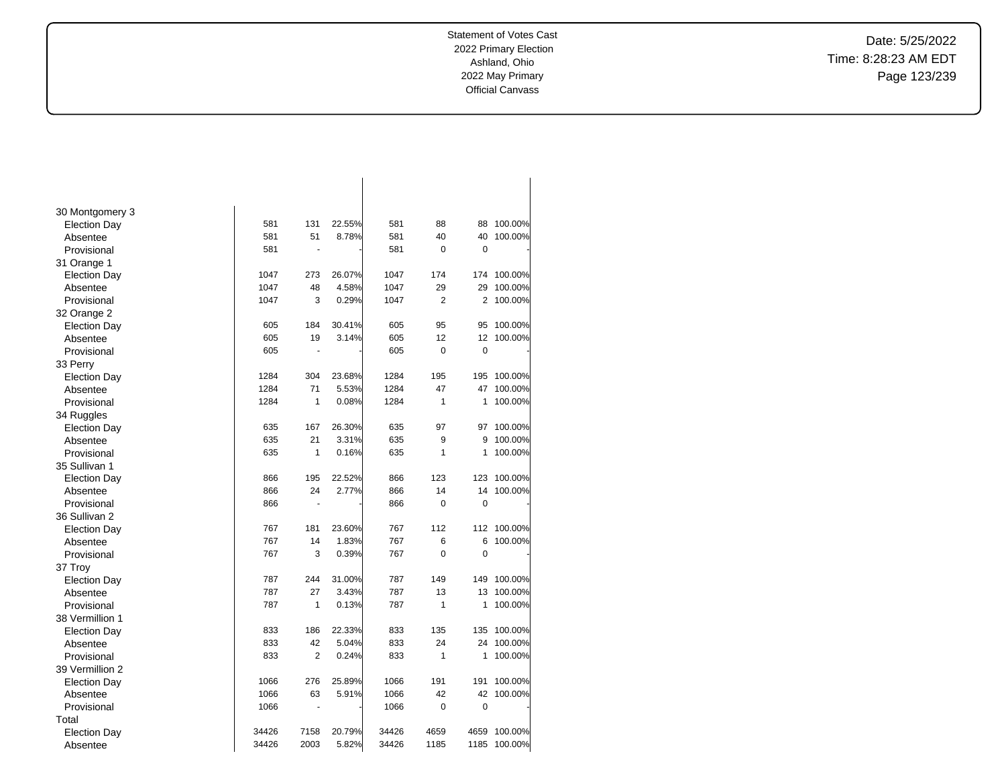Date: 5/25/2022 Time: 8:28:23 AM EDT Page 123/239

| 30 Montgomery 3     |       |                |        |       |                |                |         |
|---------------------|-------|----------------|--------|-------|----------------|----------------|---------|
| <b>Election Day</b> | 581   | 131            | 22.55% | 581   | 88             | 88             | 100.00% |
| Absentee            | 581   | 51             | 8.78%  | 581   | 40             | 40             | 100.00% |
| Provisional         | 581   | $\sim$         |        | 581   | 0              | $\mathbf 0$    |         |
| 31 Orange 1         |       |                |        |       |                |                |         |
| <b>Election Day</b> | 1047  | 273            | 26.07% | 1047  | 174            | 174            | 100.00% |
| Absentee            | 1047  | 48             | 4.58%  | 1047  | 29             | 29             | 100.00% |
| Provisional         | 1047  | 3              | 0.29%  | 1047  | $\overline{2}$ | 2              | 100.00% |
| 32 Orange 2         |       |                |        |       |                |                |         |
| <b>Election Day</b> | 605   | 184            | 30.41% | 605   | 95             | 95             | 100.00% |
| Absentee            | 605   | 19             | 3.14%  | 605   | 12             | 12             | 100.00% |
| Provisional         | 605   | $\blacksquare$ |        | 605   | $\overline{0}$ | $\overline{0}$ |         |
| 33 Perry            |       |                |        |       |                |                |         |
| <b>Election Day</b> | 1284  | 304            | 23.68% | 1284  | 195            | 195            | 100.00% |
| Absentee            | 1284  | 71             | 5.53%  | 1284  | 47             | 47             | 100.00% |
| Provisional         | 1284  | 1              | 0.08%  | 1284  | $\mathbf{1}$   | 1              | 100.00% |
| 34 Ruggles          |       |                |        |       |                |                |         |
| <b>Election Day</b> | 635   | 167            | 26.30% | 635   | 97             | 97             | 100.00% |
| Absentee            | 635   | 21             | 3.31%  | 635   | 9              | 9              | 100.00% |
| Provisional         | 635   | 1              | 0.16%  | 635   | 1              | 1              | 100.00% |
| 35 Sullivan 1       |       |                |        |       |                |                |         |
| <b>Election Day</b> | 866   | 195            | 22.52% | 866   | 123            | 123            | 100.00% |
| Absentee            | 866   | 24             | 2.77%  | 866   | 14             | 14             | 100.00% |
| Provisional         | 866   | $\blacksquare$ |        | 866   | 0              | $\mathbf 0$    |         |
| 36 Sullivan 2       |       |                |        |       |                |                |         |
| <b>Election Day</b> | 767   | 181            | 23.60% | 767   | 112            | 112            | 100.00% |
| Absentee            | 767   | 14             | 1.83%  | 767   | 6              | 6              | 100.00% |
| Provisional         | 767   | 3              | 0.39%  | 767   | 0              | 0              |         |
| 37 Troy             |       |                |        |       |                |                |         |
| <b>Election Day</b> | 787   | 244            | 31.00% | 787   | 149            | 149            | 100.00% |
| Absentee            | 787   | 27             | 3.43%  | 787   | 13             | 13             | 100.00% |
| Provisional         | 787   | 1              | 0.13%  | 787   | $\mathbf{1}$   | 1              | 100.00% |
| 38 Vermillion 1     |       |                |        |       |                |                |         |
| <b>Election Day</b> | 833   | 186            | 22.33% | 833   | 135            | 135            | 100.00% |
| Absentee            | 833   | 42             | 5.04%  | 833   | 24             | 24             | 100.00% |
| Provisional         | 833   | $\overline{2}$ | 0.24%  | 833   | $\mathbf{1}$   | 1              | 100.00% |
| 39 Vermillion 2     |       |                |        |       |                |                |         |
| <b>Election Day</b> | 1066  | 276            | 25.89% | 1066  | 191            | 191            | 100.00% |
| Absentee            | 1066  | 63             | 5.91%  | 1066  | 42             | 42             | 100.00% |
| Provisional         | 1066  | ÷,             |        | 1066  | 0              | 0              |         |
| Total               |       |                |        |       |                |                |         |
| <b>Election Day</b> | 34426 | 7158           | 20.79% | 34426 | 4659           | 4659           | 100.00% |
| Absentee            | 34426 | 2003           | 5.82%  | 34426 | 1185           | 1185           | 100.00% |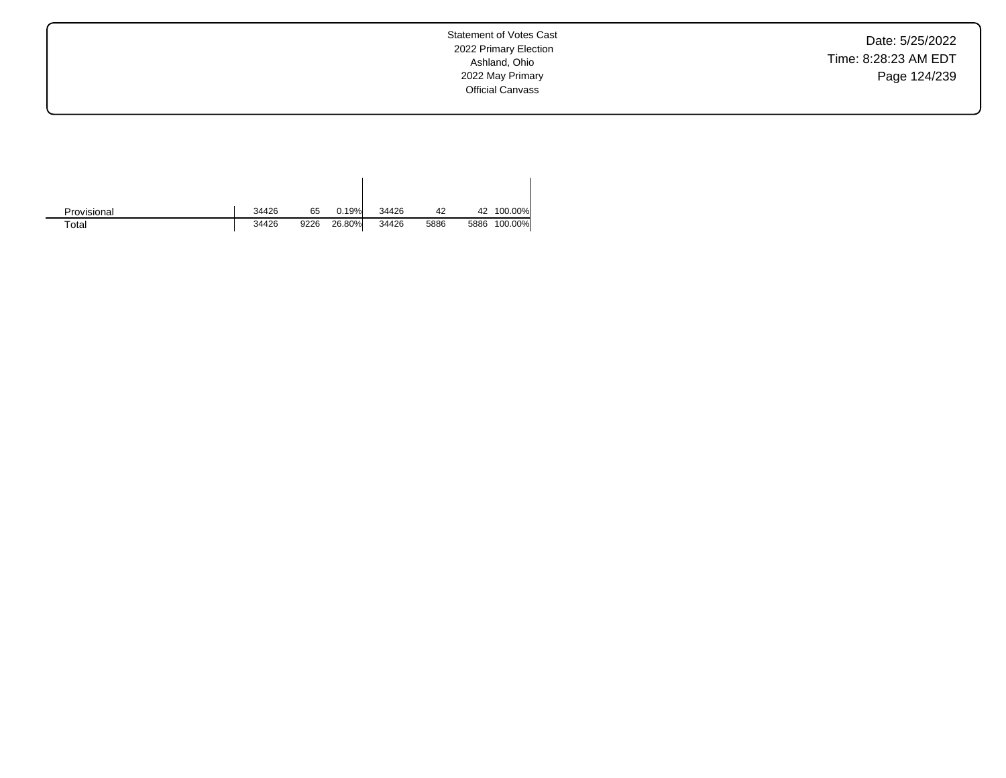Date: 5/25/2022 Time: 8:28:23 AM EDT Page 124/239

| Provisional | 34426 | 65   | 0.19%  | 34426 | 42   | 42   | 100.00% |
|-------------|-------|------|--------|-------|------|------|---------|
| $\tau$ otal | 34426 | 9226 | 26.80% | 34426 | 5886 | 5886 | 100.00% |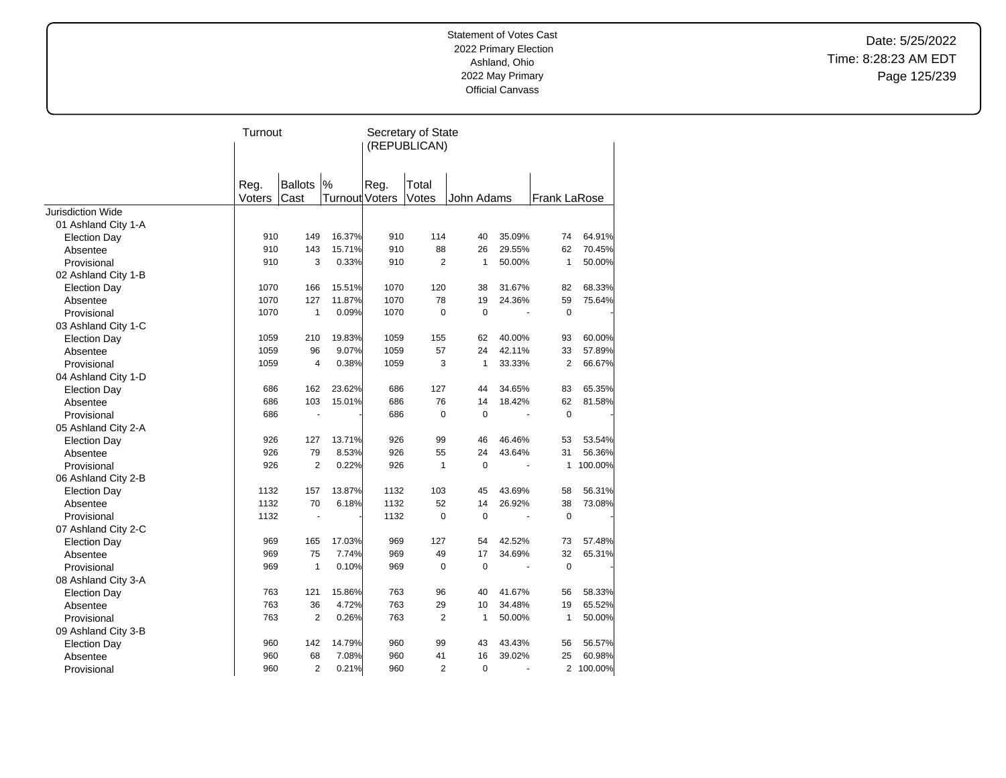Date: 5/25/2022 Time: 8:28:23 AM EDT Page 125/239

|                          | Turnout |                      |                       |      | Secretary of State |                |        |                     |           |
|--------------------------|---------|----------------------|-----------------------|------|--------------------|----------------|--------|---------------------|-----------|
|                          |         |                      |                       |      | (REPUBLICAN)       |                |        |                     |           |
|                          |         |                      |                       |      |                    |                |        |                     |           |
|                          |         |                      |                       |      |                    |                |        |                     |           |
|                          | Reg.    | <b>Ballots</b>       | %                     | Reg. | Total              |                |        |                     |           |
|                          | Voters  | Cast                 | <b>Turnout Voters</b> |      | Votes              | John Adams     |        | <b>Frank LaRose</b> |           |
| <b>Jurisdiction Wide</b> |         |                      |                       |      |                    |                |        |                     |           |
| 01 Ashland City 1-A      |         |                      |                       |      |                    |                |        |                     |           |
| <b>Election Day</b>      | 910     | 149                  | 16.37%                | 910  | 114                | 40             | 35.09% | 74                  | 64.91%    |
| Absentee                 | 910     | 143                  | 15.71%                | 910  | 88                 | 26             | 29.55% | 62                  | 70.45%    |
| Provisional              | 910     | 3                    | 0.33%                 | 910  | 2                  | 1              | 50.00% | $\mathbf{1}$        | 50.00%    |
| 02 Ashland City 1-B      |         |                      |                       |      |                    |                |        |                     |           |
| <b>Election Day</b>      | 1070    | 166                  | 15.51%                | 1070 | 120                | 38             | 31.67% | 82                  | 68.33%    |
| Absentee                 | 1070    | 127                  | 11.87%                | 1070 | 78                 | 19             | 24.36% | 59                  | 75.64%    |
| Provisional              | 1070    | $\mathbf{1}$         | 0.09%                 | 1070 | $\mathbf 0$        | $\mathbf 0$    |        | 0                   |           |
| 03 Ashland City 1-C      |         |                      |                       |      |                    |                |        |                     |           |
| <b>Election Day</b>      | 1059    | 210                  | 19.83%                | 1059 | 155                | 62             | 40.00% | 93                  | 60.00%    |
| Absentee                 | 1059    | 96                   | 9.07%                 | 1059 | 57                 | 24             | 42.11% | 33                  | 57.89%    |
| Provisional              | 1059    | 4                    | 0.38%                 | 1059 | 3                  | $\mathbf{1}$   | 33.33% | $\overline{2}$      | 66.67%    |
| 04 Ashland City 1-D      |         |                      |                       |      |                    |                |        |                     |           |
| <b>Election Day</b>      | 686     | 162                  | 23.62%                | 686  | 127                | 44             | 34.65% | 83                  | 65.35%    |
| Absentee                 | 686     | 103                  | 15.01%                | 686  | 76                 | 14             | 18.42% | 62                  | 81.58%    |
| Provisional              | 686     |                      |                       | 686  | $\mathbf 0$        | $\mathbf 0$    |        | $\mathbf 0$         |           |
| 05 Ashland City 2-A      |         |                      |                       |      |                    |                |        |                     |           |
| <b>Election Day</b>      | 926     | 127                  | 13.71%                | 926  | 99                 | 46             | 46.46% | 53                  | 53.54%    |
| Absentee                 | 926     | 79                   | 8.53%                 | 926  | 55                 | 24             | 43.64% | 31                  | 56.36%    |
| Provisional              | 926     | $\overline{2}$       | 0.22%                 | 926  | $\mathbf{1}$       | $\mathbf 0$    |        | 1                   | 100.00%   |
| 06 Ashland City 2-B      |         |                      |                       |      |                    |                |        |                     |           |
| <b>Election Day</b>      | 1132    | 157                  | 13.87%                | 1132 | 103                | 45             | 43.69% | 58                  | 56.31%    |
| Absentee                 | 1132    | 70                   | 6.18%                 | 1132 | 52                 | 14             | 26.92% | 38                  | 73.08%    |
| Provisional              | 1132    | $\ddot{\phantom{1}}$ |                       | 1132 | $\mathbf 0$        | $\mathbf 0$    |        | $\mathbf 0$         |           |
| 07 Ashland City 2-C      |         |                      |                       |      |                    |                |        |                     |           |
| <b>Election Day</b>      | 969     | 165                  | 17.03%                | 969  | 127                | 54             | 42.52% | 73                  | 57.48%    |
| Absentee                 | 969     | 75                   | 7.74%                 | 969  | 49                 | 17             | 34.69% | 32                  | 65.31%    |
| Provisional              | 969     | $\mathbf{1}$         | 0.10%                 | 969  | $\mathbf 0$        | $\mathbf 0$    |        | $\mathbf 0$         |           |
| 08 Ashland City 3-A      |         |                      |                       |      |                    |                |        |                     |           |
| <b>Election Day</b>      | 763     | 121                  | 15.86%                | 763  | 96                 | 40             | 41.67% | 56                  | 58.33%    |
| Absentee                 | 763     | 36                   | 4.72%                 | 763  | 29                 | 10             | 34.48% | 19                  | 65.52%    |
| Provisional              | 763     | $\overline{2}$       | 0.26%                 | 763  | 2                  | $\mathbf{1}$   | 50.00% | 1                   | 50.00%    |
| 09 Ashland City 3-B      |         |                      |                       |      |                    |                |        |                     |           |
| <b>Election Day</b>      | 960     | 142                  | 14.79%                | 960  | 99                 | 43             | 43.43% | 56                  | 56.57%    |
| Absentee                 | 960     | 68                   | 7.08%                 | 960  | 41                 | 16             | 39.02% | 25                  | 60.98%    |
| Provisional              | 960     | $\overline{2}$       | 0.21%                 | 960  | $\overline{2}$     | $\overline{0}$ | ä,     |                     | 2 100.00% |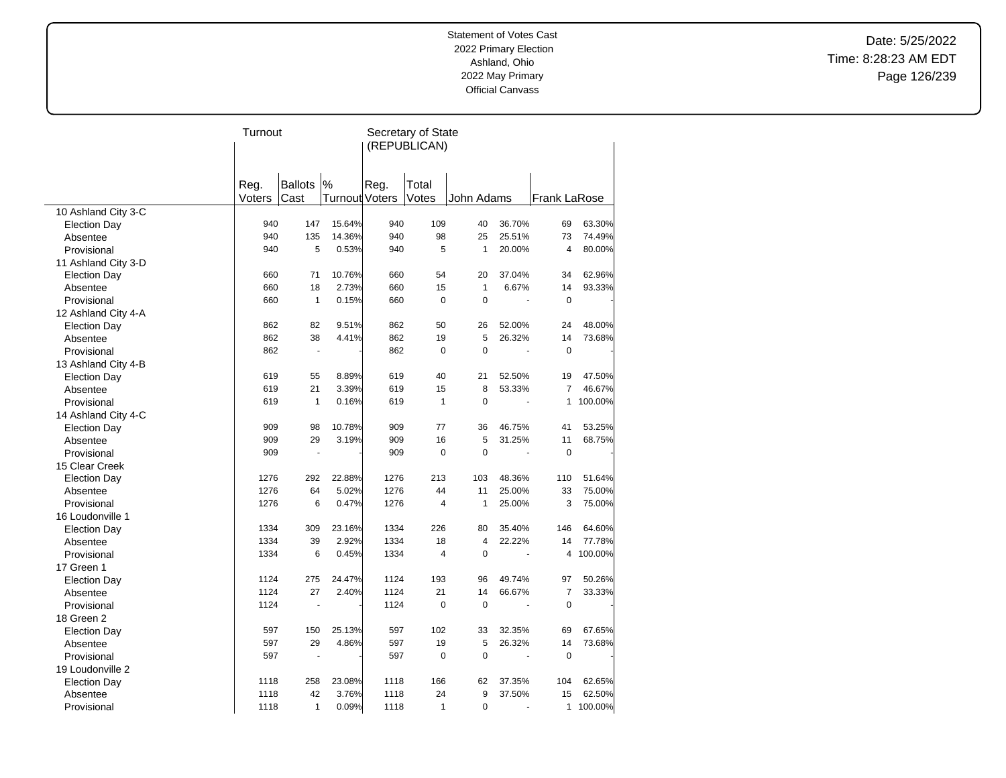Date: 5/25/2022 Time: 8:28:23 AM EDT Page 126/239

|                     | Turnout |                |                | Secretary of State |                |                |        |                     |         |  |  |
|---------------------|---------|----------------|----------------|--------------------|----------------|----------------|--------|---------------------|---------|--|--|
|                     |         |                |                | (REPUBLICAN)       |                |                |        |                     |         |  |  |
|                     |         |                |                |                    |                |                |        |                     |         |  |  |
|                     |         |                |                |                    |                |                |        |                     |         |  |  |
|                     | Reg.    | <b>Ballots</b> | $\%$           | Reg.               | Total          |                |        |                     |         |  |  |
|                     | Voters  | Cast           | Turnout Voters |                    | Votes          | John Adams     |        | <b>Frank LaRose</b> |         |  |  |
| 10 Ashland City 3-C |         |                |                |                    |                |                |        |                     |         |  |  |
| <b>Election Day</b> | 940     | 147            | 15.64%         | 940                | 109            | 40             | 36.70% | 69                  | 63.30%  |  |  |
| Absentee            | 940     | 135            | 14.36%         | 940                | 98             | 25             | 25.51% | 73                  | 74.49%  |  |  |
| Provisional         | 940     | 5              | 0.53%          | 940                | 5              | $\mathbf{1}$   | 20.00% | 4                   | 80.00%  |  |  |
| 11 Ashland City 3-D |         |                |                |                    |                |                |        |                     |         |  |  |
| <b>Election Day</b> | 660     | 71             | 10.76%         | 660                | 54             | 20             | 37.04% | 34                  | 62.96%  |  |  |
| Absentee            | 660     | 18             | 2.73%          | 660                | 15             | $\mathbf{1}$   | 6.67%  | 14                  | 93.33%  |  |  |
| Provisional         | 660     | $\mathbf{1}$   | 0.15%          | 660                | $\pmb{0}$      | $\mathbf 0$    |        | $\mathbf 0$         |         |  |  |
| 12 Ashland City 4-A |         |                |                |                    |                |                |        |                     |         |  |  |
| <b>Election Day</b> | 862     | 82             | 9.51%          | 862                | 50             | 26             | 52.00% | 24                  | 48.00%  |  |  |
| Absentee            | 862     | 38             | 4.41%          | 862                | 19             | 5              | 26.32% | 14                  | 73.68%  |  |  |
| Provisional         | 862     | $\blacksquare$ |                | 862                | 0              | $\mathbf 0$    | ÷,     | $\mathbf 0$         |         |  |  |
| 13 Ashland City 4-B |         |                |                |                    |                |                |        |                     |         |  |  |
| <b>Election Day</b> | 619     | 55             | 8.89%          | 619                | 40             | 21             | 52.50% | 19                  | 47.50%  |  |  |
| Absentee            | 619     | 21             | 3.39%          | 619                | 15             | 8              | 53.33% | $\overline{7}$      | 46.67%  |  |  |
| Provisional         | 619     | $\mathbf{1}$   | 0.16%          | 619                | $\mathbf{1}$   | $\mathbf 0$    |        | 1                   | 100.00% |  |  |
| 14 Ashland City 4-C |         |                |                |                    |                |                |        |                     |         |  |  |
| <b>Election Day</b> | 909     | 98             | 10.78%         | 909                | 77             | 36             | 46.75% | 41                  | 53.25%  |  |  |
| Absentee            | 909     | 29             | 3.19%          | 909                | 16             | 5              | 31.25% | 11                  | 68.75%  |  |  |
| Provisional         | 909     | ÷,             |                | 909                | 0              | $\mathbf 0$    |        | $\mathbf 0$         |         |  |  |
| 15 Clear Creek      |         |                |                |                    |                |                |        |                     |         |  |  |
| <b>Election Day</b> | 1276    | 292            | 22.88%         | 1276               | 213            | 103            | 48.36% | 110                 | 51.64%  |  |  |
| Absentee            | 1276    | 64             | 5.02%          | 1276               | 44             | 11             | 25.00% | 33                  | 75.00%  |  |  |
| Provisional         | 1276    | 6              | 0.47%          | 1276               | $\overline{4}$ | $\mathbf{1}$   | 25.00% | 3                   | 75.00%  |  |  |
| 16 Loudonville 1    |         |                |                |                    |                |                |        |                     |         |  |  |
| <b>Election Day</b> | 1334    | 309            | 23.16%         | 1334               | 226            | 80             | 35.40% | 146                 | 64.60%  |  |  |
| Absentee            | 1334    | 39             | 2.92%          | 1334               | 18             | $\overline{4}$ | 22.22% | 14                  | 77.78%  |  |  |
| Provisional         | 1334    | 6              | 0.45%          | 1334               | 4              | $\Omega$       |        | 4                   | 100.00% |  |  |
| 17 Green 1          |         |                |                |                    |                |                |        |                     |         |  |  |
| <b>Election Day</b> | 1124    | 275            | 24.47%         | 1124               | 193            | 96             | 49.74% | 97                  | 50.26%  |  |  |
| Absentee            | 1124    | 27             | 2.40%          | 1124               | 21             | 14             | 66.67% | $\overline{7}$      | 33.33%  |  |  |
| Provisional         | 1124    |                |                | 1124               | 0              | $\Omega$       |        | $\Omega$            |         |  |  |
| 18 Green 2          |         |                |                |                    |                |                |        |                     |         |  |  |
| <b>Election Day</b> | 597     | 150            | 25.13%         | 597                | 102            | 33             | 32.35% | 69                  | 67.65%  |  |  |
| Absentee            | 597     | 29             | 4.86%          | 597                | 19             | 5              | 26.32% | 14                  | 73.68%  |  |  |
| Provisional         | 597     | $\blacksquare$ |                | 597                | 0              | $\Omega$       |        | $\mathbf 0$         |         |  |  |
| 19 Loudonville 2    |         |                |                |                    |                |                |        |                     |         |  |  |
| <b>Election Day</b> | 1118    | 258            | 23.08%         | 1118               | 166            | 62             | 37.35% | 104                 | 62.65%  |  |  |
| Absentee            | 1118    | 42             | 3.76%          | 1118               | 24             | 9              | 37.50% | 15                  | 62.50%  |  |  |
| Provisional         | 1118    | $\mathbf{1}$   | 0.09%          | 1118               | 1              | $\Omega$       |        | 1                   | 100.00% |  |  |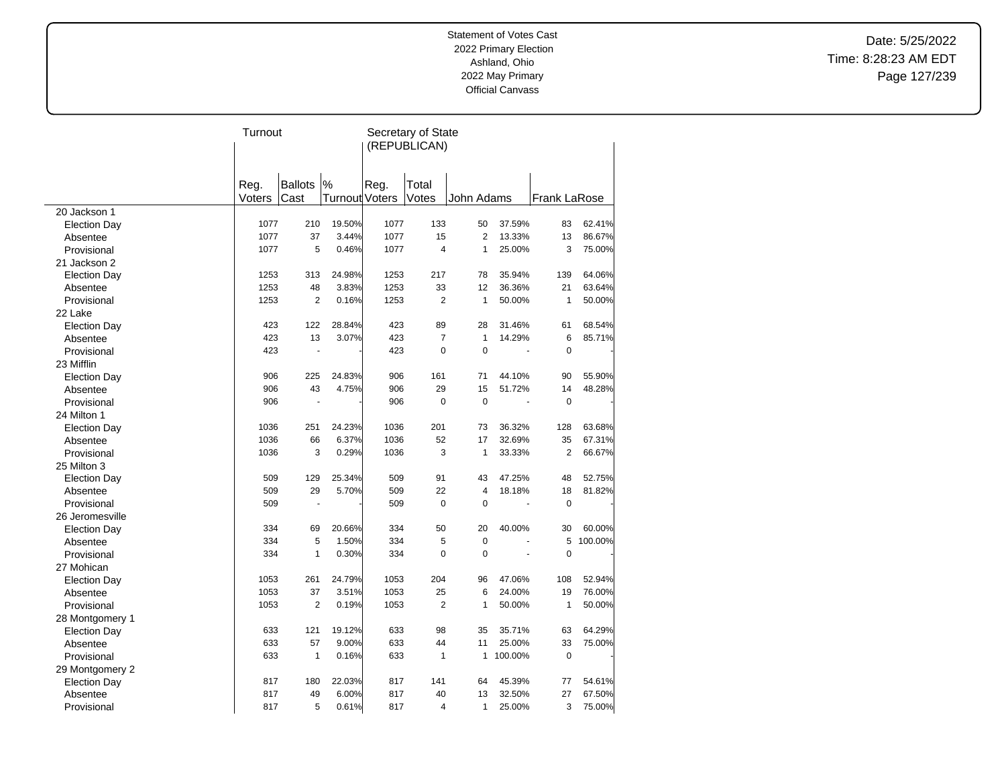Date: 5/25/2022 Time: 8:28:23 AM EDT Page 127/239

|                     | Turnout |                |                       | Secretary of State |                |                |         |                     |         |  |  |
|---------------------|---------|----------------|-----------------------|--------------------|----------------|----------------|---------|---------------------|---------|--|--|
|                     |         |                |                       |                    | (REPUBLICAN)   |                |         |                     |         |  |  |
|                     |         |                |                       |                    |                |                |         |                     |         |  |  |
|                     |         |                |                       |                    |                |                |         |                     |         |  |  |
|                     | Reg.    | <b>Ballots</b> | $\%$                  | Reg.               | Total          |                |         |                     |         |  |  |
|                     | Voters  | Cast           | <b>Turnout Voters</b> |                    | Votes          | John Adams     |         | <b>Frank LaRose</b> |         |  |  |
| 20 Jackson 1        |         |                |                       |                    |                |                |         |                     |         |  |  |
| <b>Election Day</b> | 1077    | 210            | 19.50%                | 1077               | 133            | 50             | 37.59%  | 83                  | 62.41%  |  |  |
| Absentee            | 1077    | 37             | 3.44%                 | 1077               | 15             | $\overline{2}$ | 13.33%  | 13                  | 86.67%  |  |  |
| Provisional         | 1077    | 5              | 0.46%                 | 1077               | 4              | 1              | 25.00%  | 3                   | 75.00%  |  |  |
| 21 Jackson 2        |         |                |                       |                    |                |                |         |                     |         |  |  |
| <b>Election Day</b> | 1253    | 313            | 24.98%                | 1253               | 217            | 78             | 35.94%  | 139                 | 64.06%  |  |  |
| Absentee            | 1253    | 48             | 3.83%                 | 1253               | 33             | 12             | 36.36%  | 21                  | 63.64%  |  |  |
| Provisional         | 1253    | 2              | 0.16%                 | 1253               | $\overline{2}$ | $\mathbf{1}$   | 50.00%  | 1                   | 50.00%  |  |  |
| 22 Lake             |         |                |                       |                    |                |                |         |                     |         |  |  |
| <b>Election Day</b> | 423     | 122            | 28.84%                | 423                | 89             | 28             | 31.46%  | 61                  | 68.54%  |  |  |
| Absentee            | 423     | 13             | 3.07%                 | 423                | $\overline{7}$ | $\mathbf{1}$   | 14.29%  | 6                   | 85.71%  |  |  |
| Provisional         | 423     | ÷,             |                       | 423                | $\Omega$       | $\Omega$       | ÷,      | $\Omega$            |         |  |  |
| 23 Mifflin          |         |                |                       |                    |                |                |         |                     |         |  |  |
| <b>Election Day</b> | 906     | 225            | 24.83%                | 906                | 161            | 71             | 44.10%  | 90                  | 55.90%  |  |  |
| Absentee            | 906     | 43             | 4.75%                 | 906                | 29             | 15             | 51.72%  | 14                  | 48.28%  |  |  |
| Provisional         | 906     |                |                       | 906                | $\Omega$       | $\Omega$       |         | $\Omega$            |         |  |  |
| 24 Milton 1         |         |                |                       |                    |                |                |         |                     |         |  |  |
| <b>Election Day</b> | 1036    | 251            | 24.23%                | 1036               | 201            | 73             | 36.32%  | 128                 | 63.68%  |  |  |
| Absentee            | 1036    | 66             | 6.37%                 | 1036               | 52             | 17             | 32.69%  | 35                  | 67.31%  |  |  |
| Provisional         | 1036    | 3              | 0.29%                 | 1036               | 3              | $\mathbf{1}$   | 33.33%  | $\overline{2}$      | 66.67%  |  |  |
| 25 Milton 3         |         |                |                       |                    |                |                |         |                     |         |  |  |
| <b>Election Day</b> | 509     | 129            | 25.34%                | 509                | 91             | 43             | 47.25%  | 48                  | 52.75%  |  |  |
| Absentee            | 509     | 29             | 5.70%                 | 509                | 22             | 4              | 18.18%  | 18                  | 81.82%  |  |  |
| Provisional         | 509     |                |                       | 509                | $\mathbf 0$    | $\mathbf 0$    |         | $\mathbf 0$         |         |  |  |
| 26 Jeromesville     |         |                |                       |                    |                |                |         |                     |         |  |  |
| <b>Election Day</b> | 334     | 69             | 20.66%                | 334                | 50             | 20             | 40.00%  | 30                  | 60.00%  |  |  |
| Absentee            | 334     | 5              | 1.50%                 | 334                | 5              | $\mathbf 0$    |         | 5                   | 100.00% |  |  |
| Provisional         | 334     | $\mathbf{1}$   | 0.30%                 | 334                | $\overline{0}$ | $\mathbf 0$    |         | 0                   |         |  |  |
| 27 Mohican          |         |                |                       |                    |                |                |         |                     |         |  |  |
| <b>Election Day</b> | 1053    | 261            | 24.79%                | 1053               | 204            | 96             | 47.06%  | 108                 | 52.94%  |  |  |
| Absentee            | 1053    | 37             | 3.51%                 | 1053               | 25             | 6              | 24.00%  | 19                  | 76.00%  |  |  |
| Provisional         | 1053    | $\overline{2}$ | 0.19%                 | 1053               | $\overline{2}$ | $\mathbf{1}$   | 50.00%  | $\mathbf{1}$        | 50.00%  |  |  |
| 28 Montgomery 1     |         |                |                       |                    |                |                |         |                     |         |  |  |
| <b>Election Day</b> | 633     | 121            | 19.12%                | 633                | 98             | 35             | 35.71%  | 63                  | 64.29%  |  |  |
| Absentee            | 633     | 57             | 9.00%                 | 633                | 44             | 11             | 25.00%  | 33                  | 75.00%  |  |  |
| Provisional         | 633     | $\mathbf{1}$   | 0.16%                 | 633                | $\mathbf{1}$   | 1              | 100.00% | 0                   |         |  |  |
| 29 Montgomery 2     |         |                |                       |                    |                |                |         |                     |         |  |  |
| <b>Election Day</b> | 817     | 180            | 22.03%                | 817                | 141            | 64             | 45.39%  | 77                  | 54.61%  |  |  |
| Absentee            | 817     | 49             | 6.00%                 | 817                | 40             | 13             | 32.50%  | 27                  | 67.50%  |  |  |
| Provisional         | 817     | 5              | 0.61%                 | 817                | 4              | 1              | 25.00%  | 3                   | 75.00%  |  |  |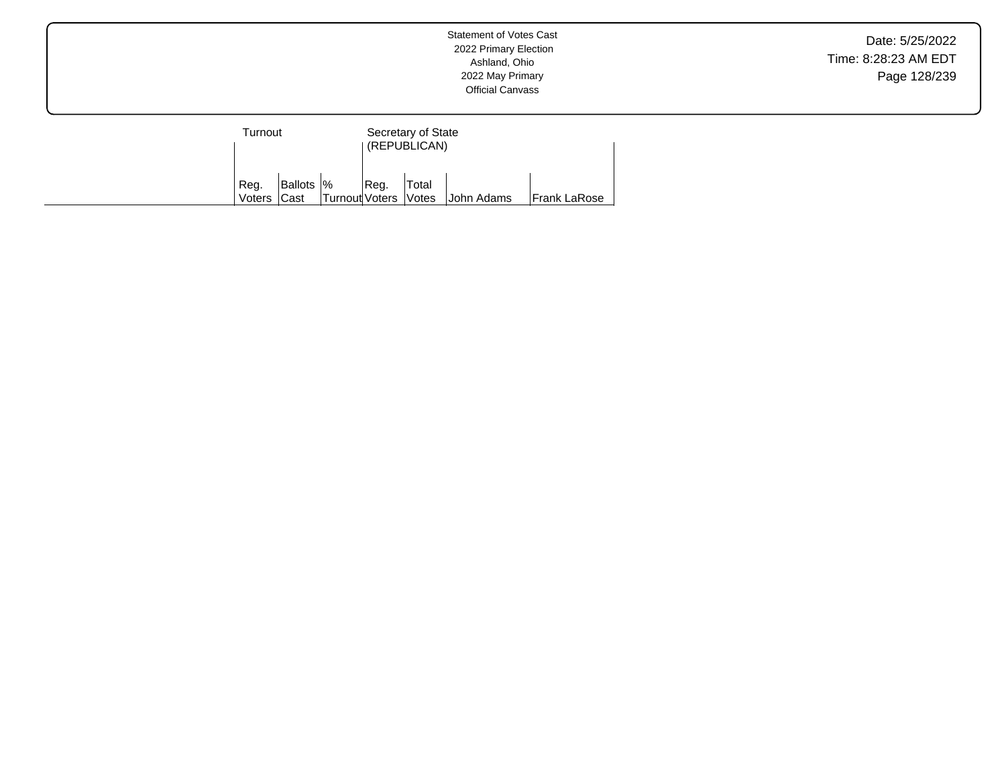| Turnout        |                           |                |      | Secretary of State<br>(REPUBLICAN) |            |                     |
|----------------|---------------------------|----------------|------|------------------------------------|------------|---------------------|
| Reg.<br>Voters | Ballots  %<br><b>Cast</b> | Turnout Voters | Reg. | Total<br><i><b>Votes</b></i>       | John Adams | <b>Frank LaRose</b> |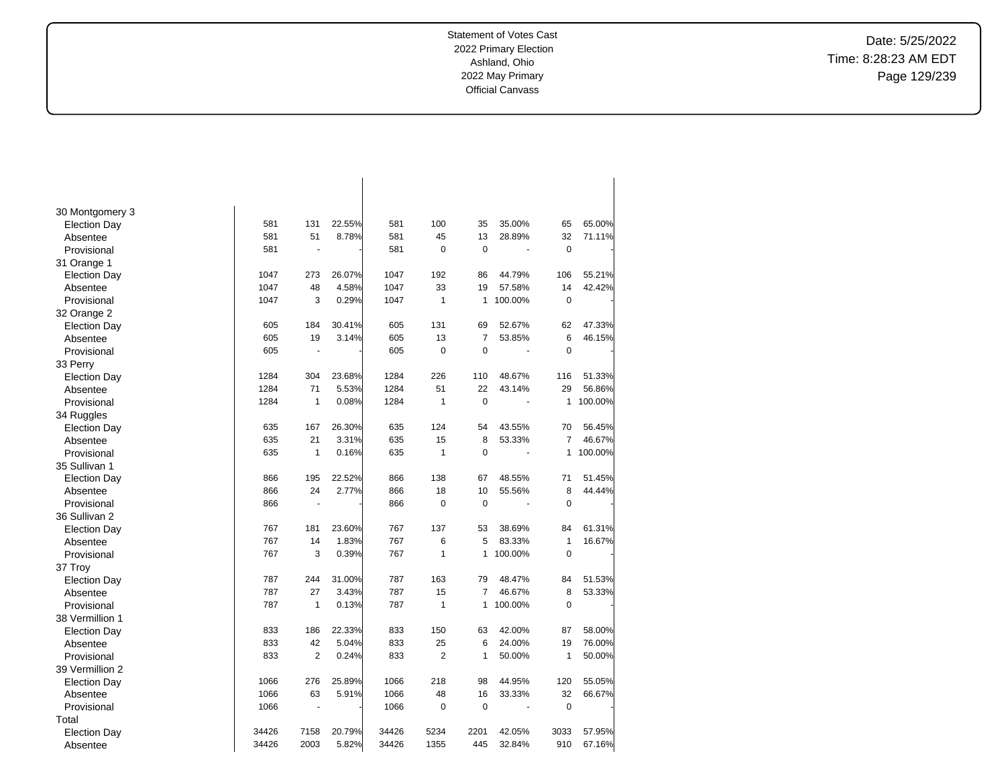$\overline{\phantom{a}}$ 

Date: 5/25/2022 Time: 8:28:23 AM EDT Page 129/239

| 30 Montgomery 3     |       |                |        |       |                |                |         |                |         |
|---------------------|-------|----------------|--------|-------|----------------|----------------|---------|----------------|---------|
| <b>Election Day</b> | 581   | 131            | 22.55% | 581   | 100            | 35             | 35.00%  | 65             | 65.00%  |
| Absentee            | 581   | 51             | 8.78%  | 581   | 45             | 13             | 28.89%  | 32             | 71.11%  |
| Provisional         | 581   | ÷              |        | 581   | 0              | $\mathbf 0$    |         | $\mathbf 0$    |         |
| 31 Orange 1         |       |                |        |       |                |                |         |                |         |
| <b>Election Day</b> | 1047  | 273            | 26.07% | 1047  | 192            | 86             | 44.79%  | 106            | 55.21%  |
| Absentee            | 1047  | 48             | 4.58%  | 1047  | 33             | 19             | 57.58%  | 14             | 42.42%  |
| Provisional         | 1047  | 3              | 0.29%  | 1047  | 1              | 1              | 100.00% | $\mathbf 0$    |         |
| 32 Orange 2         |       |                |        |       |                |                |         |                |         |
| <b>Election Day</b> | 605   | 184            | 30.41% | 605   | 131            | 69             | 52.67%  | 62             | 47.33%  |
| Absentee            | 605   | 19             | 3.14%  | 605   | 13             | $\overline{7}$ | 53.85%  | 6              | 46.15%  |
| Provisional         | 605   | ä,             |        | 605   | 0              | $\mathbf 0$    | ÷,      | $\mathbf 0$    |         |
| 33 Perry            |       |                |        |       |                |                |         |                |         |
| <b>Election Day</b> | 1284  | 304            | 23.68% | 1284  | 226            | 110            | 48.67%  | 116            | 51.33%  |
| Absentee            | 1284  | 71             | 5.53%  | 1284  | 51             | 22             | 43.14%  | 29             | 56.86%  |
| Provisional         | 1284  | 1              | 0.08%  | 1284  | 1              | $\mathbf 0$    | ÷,      | 1              | 100.00% |
| 34 Ruggles          |       |                |        |       |                |                |         |                |         |
| <b>Election Day</b> | 635   | 167            | 26.30% | 635   | 124            | 54             | 43.55%  | 70             | 56.45%  |
| Absentee            | 635   | 21             | 3.31%  | 635   | 15             | 8              | 53.33%  | $\overline{7}$ | 46.67%  |
| Provisional         | 635   | $\mathbf{1}$   | 0.16%  | 635   | $\mathbf{1}$   | $\mathbf 0$    | ÷,      | 1              | 100.00% |
| 35 Sullivan 1       |       |                |        |       |                |                |         |                |         |
| <b>Election Day</b> | 866   | 195            | 22.52% | 866   | 138            | 67             | 48.55%  | 71             | 51.45%  |
| Absentee            | 866   | 24             | 2.77%  | 866   | 18             | 10             | 55.56%  | 8              | 44.44%  |
| Provisional         | 866   |                |        | 866   | 0              | $\mathbf 0$    |         | $\mathbf 0$    |         |
| 36 Sullivan 2       |       |                |        |       |                |                |         |                |         |
| <b>Election Day</b> | 767   | 181            | 23.60% | 767   | 137            | 53             | 38.69%  | 84             | 61.31%  |
| Absentee            | 767   | 14             | 1.83%  | 767   | 6              | 5              | 83.33%  | $\mathbf{1}$   | 16.67%  |
| Provisional         | 767   | 3              | 0.39%  | 767   | 1              | 1              | 100.00% | $\mathbf 0$    |         |
| 37 Troy             |       |                |        |       |                |                |         |                |         |
| <b>Election Day</b> | 787   | 244            | 31.00% | 787   | 163            | 79             | 48.47%  | 84             | 51.53%  |
| Absentee            | 787   | 27             | 3.43%  | 787   | 15             | 7              | 46.67%  | 8              | 53.33%  |
| Provisional         | 787   | 1              | 0.13%  | 787   | 1              | 1              | 100.00% | $\mathbf 0$    |         |
| 38 Vermillion 1     |       |                |        |       |                |                |         |                |         |
| <b>Election Day</b> | 833   | 186            | 22.33% | 833   | 150            | 63             | 42.00%  | 87             | 58.00%  |
| Absentee            | 833   | 42             | 5.04%  | 833   | 25             | 6              | 24.00%  | 19             | 76.00%  |
| Provisional         | 833   | $\overline{2}$ | 0.24%  | 833   | $\overline{2}$ | 1              | 50.00%  | $\mathbf{1}$   | 50.00%  |
| 39 Vermillion 2     |       |                |        |       |                |                |         |                |         |
| <b>Election Day</b> | 1066  | 276            | 25.89% | 1066  | 218            | 98             | 44.95%  | 120            | 55.05%  |
| Absentee            | 1066  | 63             | 5.91%  | 1066  | 48             | 16             | 33.33%  | 32             | 66.67%  |
| Provisional         | 1066  |                |        | 1066  | $\pmb{0}$      | $\mathbf 0$    |         | $\mathbf 0$    |         |
| Total               |       |                |        |       |                |                |         |                |         |
| <b>Election Day</b> | 34426 | 7158           | 20.79% | 34426 | 5234           | 2201           | 42.05%  | 3033           | 57.95%  |
| Absentee            | 34426 | 2003           | 5.82%  | 34426 | 1355           | 445            | 32.84%  | 910            | 67.16%  |

 $\overline{\phantom{a}}$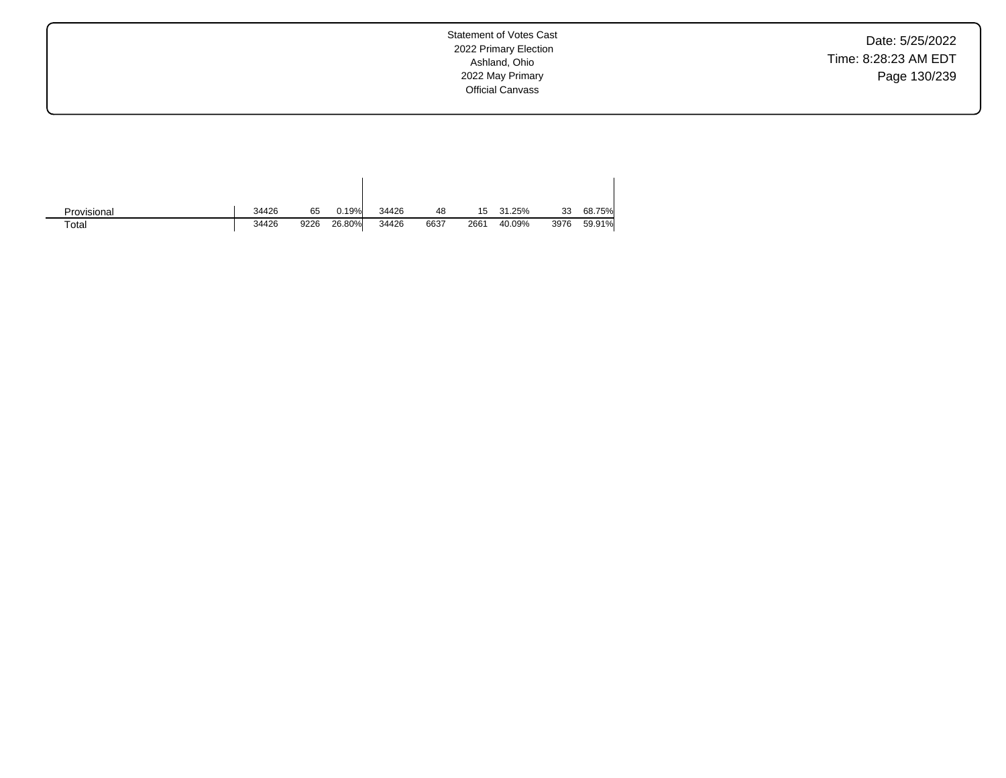Date: 5/25/2022 Time: 8:28:23 AM EDT Page 130/239

| Provisional | 34426 | 65   | 0.19%  | 34426 | 48   | 15   | 31.25% | 33   | 68.75% |
|-------------|-------|------|--------|-------|------|------|--------|------|--------|
| Total       | 34426 | 9226 | 26.80% | 34426 | 6637 | 2661 | 40.09% | 3976 | 59.91% |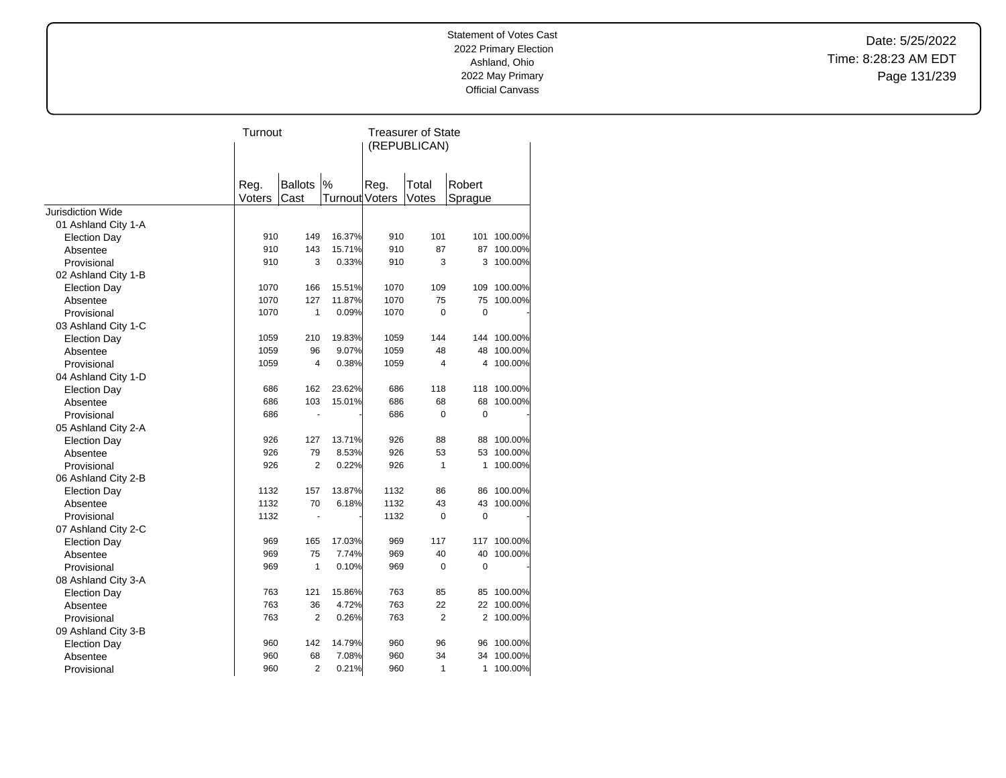Date: 5/25/2022 Time: 8:28:23 AM EDT Page 131/239

| (REPUBLICAN)                                                              |            |
|---------------------------------------------------------------------------|------------|
|                                                                           |            |
|                                                                           |            |
|                                                                           |            |
| %<br>Reg.<br><b>Ballots</b><br>Reg.<br>Robert<br>Total                    |            |
| Votes<br>Voters<br>Cast<br><b>Turnout Voters</b><br>Sprague               |            |
| Jurisdiction Wide                                                         |            |
| 01 Ashland City 1-A                                                       |            |
| 910<br>16.37%<br>101<br>149<br>910<br>101<br><b>Election Day</b>          | 100.00%    |
| 15.71%<br>910<br>143<br>910<br>87<br>Absentee                             | 87 100.00% |
| 910<br>3<br>0.33%<br>3<br>3<br>910<br>Provisional                         | 100.00%    |
| 02 Ashland City 1-B                                                       |            |
| 15.51%<br>109<br><b>Election Day</b><br>1070<br>166<br>1070<br>109        | 100.00%    |
| 1070<br>127<br>11.87%<br>1070<br>75<br>75<br>Absentee                     | 100.00%    |
| 1070<br>1<br>0.09%<br>1070<br>$\Omega$<br>$\mathbf 0$<br>Provisional      |            |
| 03 Ashland City 1-C                                                       |            |
| 210<br>19.83%<br>1059<br>1059<br>144<br>144<br><b>Election Day</b>        | 100.00%    |
| 9.07%<br>1059<br>96<br>1059<br>48<br>48<br>Absentee                       | 100.00%    |
| 1059<br>0.38%<br>1059<br>$\overline{4}$<br>Provisional<br>4<br>4          | 100.00%    |
| 04 Ashland City 1-D                                                       |            |
| 23.62%<br>686<br>162<br>686<br>118<br>118<br><b>Election Day</b>          | 100.00%    |
| 686<br>103<br>15.01%<br>68<br>686<br>68<br>Absentee                       | 100.00%    |
| $\mathbf 0$<br>686<br>686<br>0<br>Provisional                             |            |
| 05 Ashland City 2-A                                                       |            |
| 926<br>127<br>13.71%<br>926<br>88<br><b>Election Day</b><br>88            | 100.00%    |
| 926<br>79<br>8.53%<br>926<br>53<br>53<br>Absentee                         | 100.00%    |
| 926<br>$\overline{2}$<br>0.22%<br>926<br>$\mathbf{1}$<br>1<br>Provisional | 100.00%    |
| 06 Ashland City 2-B                                                       |            |
| 13.87%<br>1132<br>1132<br>157<br>86<br>86<br><b>Election Day</b>          | 100.00%    |
| 1132<br>70<br>6.18%<br>1132<br>43<br>43<br>Absentee                       | 100.00%    |
| 1132<br>1132<br>Provisional<br>0<br>0<br>ä,                               |            |
| 07 Ashland City 2-C                                                       |            |
| 17.03%<br>969<br>165<br>969<br>117<br>117<br><b>Election Day</b>          | 100.00%    |
| 75<br>7.74%<br>969<br>969<br>40<br>40<br>Absentee                         | 100.00%    |
| 1<br>969<br>0.10%<br>969<br>0<br>0<br>Provisional                         |            |
| 08 Ashland City 3-A                                                       |            |
| 763<br>121<br>15.86%<br>763<br>85<br><b>Election Day</b><br>85            | 100.00%    |
| 4.72%<br>22<br>763<br>36<br>763<br>22<br>Absentee                         | 100.00%    |
| $\overline{2}$<br>$\overline{2}$<br>763<br>0.26%<br>763<br>Provisional    | 2 100.00%  |
| 09 Ashland City 3-B                                                       |            |
| 960<br>142<br>14.79%<br>960<br>96<br>96<br><b>Election Day</b>            | 100.00%    |
| 68<br>7.08%<br>34<br>960<br>960<br>34<br>Absentee                         | 100.00%    |
| $\overline{2}$<br>0.21%<br>1<br>960<br>960<br>1<br>Provisional            | 100.00%    |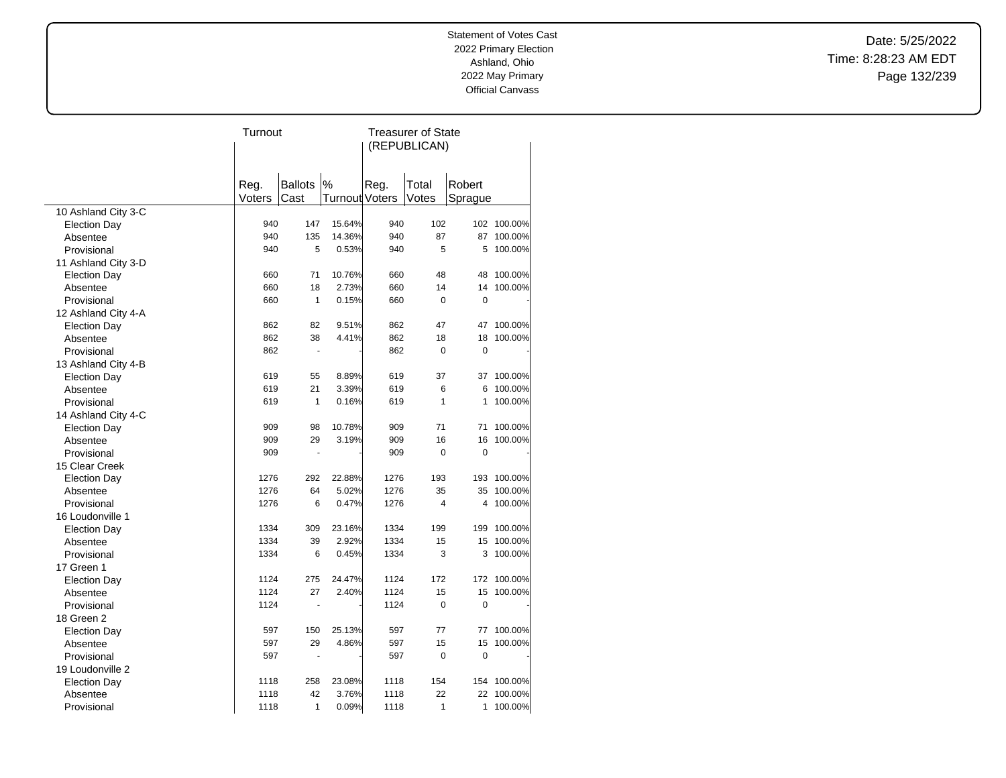Date: 5/25/2022 Time: 8:28:23 AM EDT Page 132/239

|                     | Turnout |                |                | <b>Treasurer of State</b> |             |             |             |  |
|---------------------|---------|----------------|----------------|---------------------------|-------------|-------------|-------------|--|
|                     |         |                |                | (REPUBLICAN)              |             |             |             |  |
|                     |         |                |                |                           |             |             |             |  |
|                     |         | <b>Ballots</b> | $\%$           |                           |             |             |             |  |
|                     | Reg.    |                |                | Reg.                      | Total       | Robert      |             |  |
|                     | Voters  | Cast           | Turnout Voters |                           | Votes       | Sprague     |             |  |
| 10 Ashland City 3-C |         |                |                |                           |             |             |             |  |
| <b>Election Day</b> | 940     | 147            | 15.64%         | 940                       | 102         |             | 102 100.00% |  |
| Absentee            | 940     | 135            | 14.36%         | 940                       | 87          | 87          | 100.00%     |  |
| Provisional         | 940     | 5              | 0.53%          | 940                       | 5           | 5           | 100.00%     |  |
| 11 Ashland City 3-D |         |                |                |                           |             |             |             |  |
| <b>Election Day</b> | 660     | 71             | 10.76%         | 660                       | 48          | 48          | 100.00%     |  |
| Absentee            | 660     | 18             | 2.73%          | 660                       | 14          | 14          | 100.00%     |  |
| Provisional         | 660     | $\mathbf{1}$   | 0.15%          | 660                       | 0           | $\pmb{0}$   |             |  |
| 12 Ashland City 4-A |         |                |                |                           |             |             |             |  |
| <b>Election Day</b> | 862     | 82             | 9.51%          | 862                       | 47          | 47          | 100.00%     |  |
| Absentee            | 862     | 38             | 4.41%          | 862                       | 18          | 18          | 100.00%     |  |
| Provisional         | 862     | Ĭ.             |                | 862                       | 0           | $\mathbf 0$ |             |  |
| 13 Ashland City 4-B |         |                |                |                           |             |             |             |  |
| <b>Election Day</b> | 619     | 55             | 8.89%          | 619                       | 37          | 37          | 100.00%     |  |
| Absentee            | 619     | 21             | 3.39%          | 619                       | 6           | 6           | 100.00%     |  |
| Provisional         | 619     | $\mathbf{1}$   | 0.16%          | 619                       | 1           | 1           | 100.00%     |  |
| 14 Ashland City 4-C |         |                |                |                           |             |             |             |  |
| <b>Election Day</b> | 909     | 98             | 10.78%         | 909                       | 71          | 71          | 100.00%     |  |
| Absentee            | 909     | 29             | 3.19%          | 909                       | 16          | 16          | 100.00%     |  |
| Provisional         | 909     |                |                | 909                       | 0           | $\mathbf 0$ |             |  |
| 15 Clear Creek      |         |                |                |                           |             |             |             |  |
| <b>Election Day</b> | 1276    | 292            | 22.88%         | 1276                      | 193         | 193         | 100.00%     |  |
| Absentee            | 1276    | 64             | 5.02%          | 1276                      | 35          | 35          | 100.00%     |  |
| Provisional         | 1276    | 6              | 0.47%          | 1276                      | 4           | 4           | 100.00%     |  |
| 16 Loudonville 1    |         |                |                |                           |             |             |             |  |
| <b>Election Day</b> | 1334    | 309            | 23.16%         | 1334                      | 199         |             | 199 100.00% |  |
| Absentee            | 1334    | 39             | 2.92%          | 1334                      | 15          | 15          | 100.00%     |  |
| Provisional         | 1334    | 6              | 0.45%          | 1334                      | 3           | 3           | 100.00%     |  |
| 17 Green 1          |         |                |                |                           |             |             |             |  |
| <b>Election Day</b> | 1124    | 275            | 24.47%         | 1124                      | 172         |             | 172 100.00% |  |
| Absentee            | 1124    | 27             | 2.40%          | 1124                      | 15          | 15          | 100.00%     |  |
| Provisional         | 1124    | ä,             |                | 1124                      | 0           | $\pmb{0}$   |             |  |
| 18 Green 2          |         |                |                |                           |             |             |             |  |
| <b>Election Day</b> | 597     | 150            | 25.13%         | 597                       | 77          | 77          | 100.00%     |  |
| Absentee            | 597     | 29             | 4.86%          | 597                       | 15          | 15          | 100.00%     |  |
| Provisional         | 597     |                |                | 597                       | $\mathbf 0$ | 0           |             |  |
| 19 Loudonville 2    |         |                |                |                           |             |             |             |  |
| <b>Election Day</b> | 1118    | 258            | 23.08%         | 1118                      | 154         | 154         | 100.00%     |  |
| Absentee            | 1118    | 42             | 3.76%          | 1118                      | 22          | 22          | 100.00%     |  |
| Provisional         | 1118    | 1              | 0.09%          | 1118                      | 1           | 1           | 100.00%     |  |
|                     |         |                |                |                           |             |             |             |  |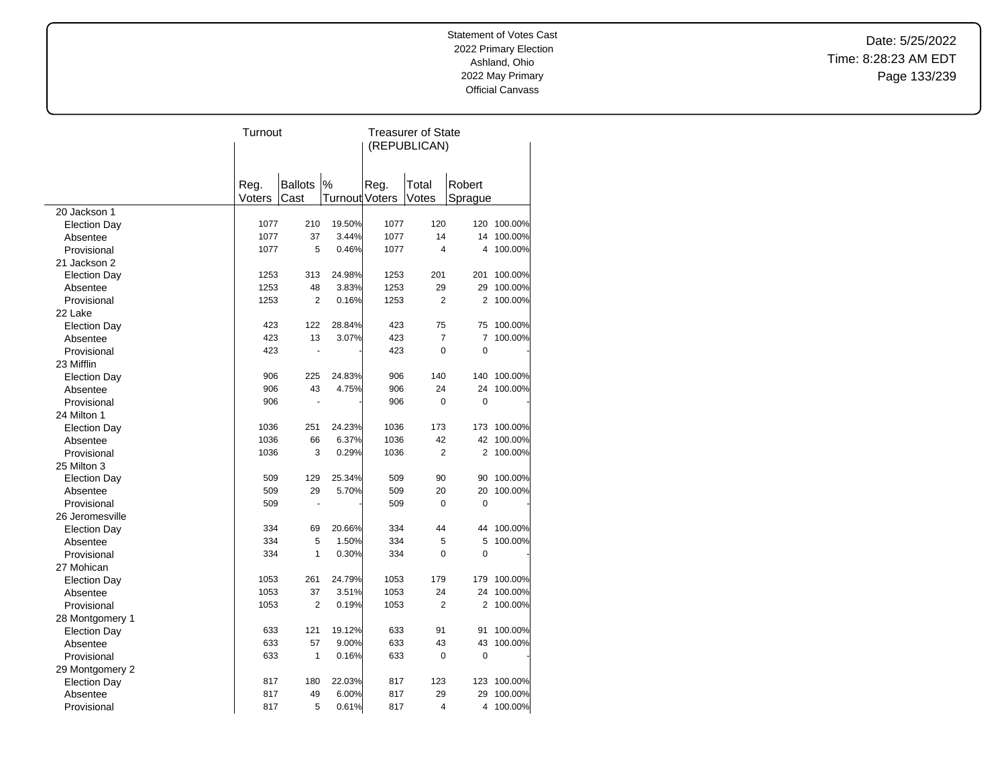Date: 5/25/2022 Time: 8:28:23 AM EDT Page 133/239

|                                 | Turnout        |                |                |      | <b>Treasurer of State</b> |                |             |
|---------------------------------|----------------|----------------|----------------|------|---------------------------|----------------|-------------|
|                                 |                |                |                |      | (REPUBLICAN)              |                |             |
|                                 |                |                |                |      |                           |                |             |
|                                 |                | <b>Ballots</b> | %              | Reg. | Total                     | Robert         |             |
|                                 | Reg.<br>Voters | Cast           | Turnout Voters |      | Votes                     | Sprague        |             |
| 20 Jackson 1                    |                |                |                |      |                           |                |             |
| <b>Election Day</b>             | 1077           | 210            | 19.50%         | 1077 | 120                       |                | 120 100.00% |
| Absentee                        | 1077           | 37             | 3.44%          | 1077 | 14                        | 14             | 100.00%     |
| Provisional                     | 1077           | 5              | 0.46%          | 1077 | $\overline{4}$            | 4              | 100.00%     |
| 21 Jackson 2                    |                |                |                |      |                           |                |             |
| <b>Election Day</b>             | 1253           | 313            | 24.98%         | 1253 | 201                       | 201            | 100.00%     |
| Absentee                        | 1253           | 48             | 3.83%          | 1253 | 29                        | 29             | 100.00%     |
| Provisional                     | 1253           | $\overline{2}$ | 0.16%          | 1253 | $\overline{2}$            | 2              | 100.00%     |
| 22 Lake                         |                |                |                |      |                           |                |             |
| <b>Election Day</b>             | 423            | 122            | 28.84%         | 423  | 75                        | 75             | 100.00%     |
| Absentee                        | 423            | 13             | 3.07%          | 423  | 7                         | 7              | 100.00%     |
| Provisional                     | 423            |                |                | 423  | 0                         | $\mathbf 0$    |             |
| 23 Mifflin                      |                |                |                |      |                           |                |             |
|                                 | 906            | 225            | 24.83%         | 906  | 140                       | 140            | 100.00%     |
| <b>Election Day</b><br>Absentee | 906            | 43             | 4.75%          | 906  | 24                        | 24             | 100.00%     |
| Provisional                     | 906            |                |                | 906  | 0                         | $\mathbf 0$    |             |
|                                 |                |                |                |      |                           |                |             |
| 24 Milton 1                     |                |                |                |      |                           |                |             |
| <b>Election Day</b>             | 1036           | 251            | 24.23%         | 1036 | 173                       | 173            | 100.00%     |
| Absentee                        | 1036           | 66             | 6.37%          | 1036 | 42                        | 42             | 100.00%     |
| Provisional                     | 1036           | 3              | 0.29%          | 1036 | $\overline{2}$            | 2              | 100.00%     |
| 25 Milton 3                     |                |                |                |      |                           |                |             |
| <b>Election Day</b>             | 509            | 129            | 25.34%         | 509  | 90                        | 90             | 100.00%     |
| Absentee                        | 509            | 29             | 5.70%          | 509  | 20                        | 20             | 100.00%     |
| Provisional                     | 509            |                |                | 509  | $\Omega$                  | $\mathbf 0$    |             |
| 26 Jeromesville                 |                |                |                |      |                           |                |             |
| <b>Election Day</b>             | 334            | 69             | 20.66%         | 334  | 44                        | 44             | 100.00%     |
| Absentee                        | 334            | 5              | 1.50%          | 334  | 5                         | 5              | 100.00%     |
| Provisional                     | 334            | 1              | 0.30%          | 334  | 0                         | $\mathbf 0$    |             |
| 27 Mohican                      |                |                |                |      |                           |                |             |
| <b>Election Day</b>             | 1053           | 261            | 24.79%         | 1053 | 179                       | 179            | 100.00%     |
| Absentee                        | 1053           | 37             | 3.51%          | 1053 | 24                        | 24             | 100.00%     |
| Provisional                     | 1053           | $\overline{2}$ | 0.19%          | 1053 | 2                         | $\overline{2}$ | 100.00%     |
| 28 Montgomery 1                 |                |                |                |      |                           |                |             |
| <b>Election Day</b>             | 633            | 121            | 19.12%         | 633  | 91                        | 91             | 100.00%     |
| Absentee                        | 633            | 57             | 9.00%          | 633  | 43                        | 43             | 100.00%     |
| Provisional                     | 633            | 1              | 0.16%          | 633  | 0                         | $\mathbf 0$    |             |
| 29 Montgomery 2                 |                |                |                |      |                           |                |             |
| <b>Election Day</b>             | 817            | 180            | 22.03%         | 817  | 123                       | 123            | 100.00%     |
| Absentee                        | 817            | 49             | 6.00%          | 817  | 29                        | 29             | 100.00%     |
| Provisional                     | 817            | 5              | 0.61%          | 817  | $\overline{4}$            | 4              | 100.00%     |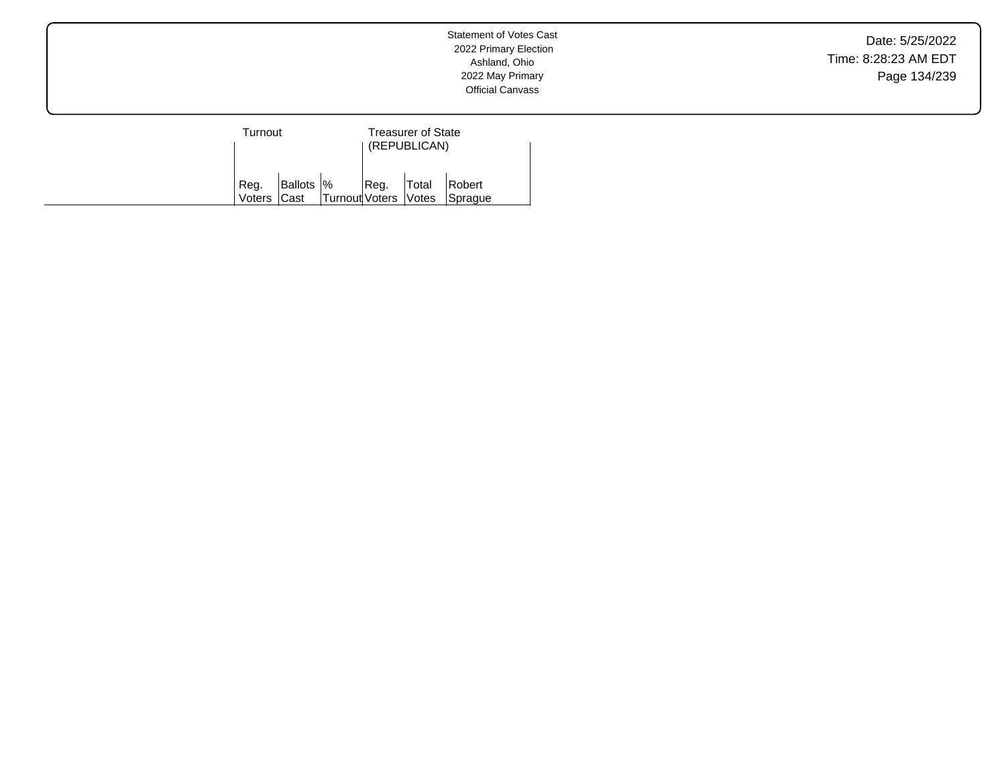Date: 5/25/2022 Time: 8:28:23 AM EDT Page 134/239

| Turnout        |                           |                      |      | <b>Treasurer of State</b><br>(REPUBLICAN) |                   |
|----------------|---------------------------|----------------------|------|-------------------------------------------|-------------------|
| Reg.<br>Voters | Ballots  %<br><b>Cast</b> | Turnout Voters Votes | Reg. | Total                                     | Robert<br>Sprague |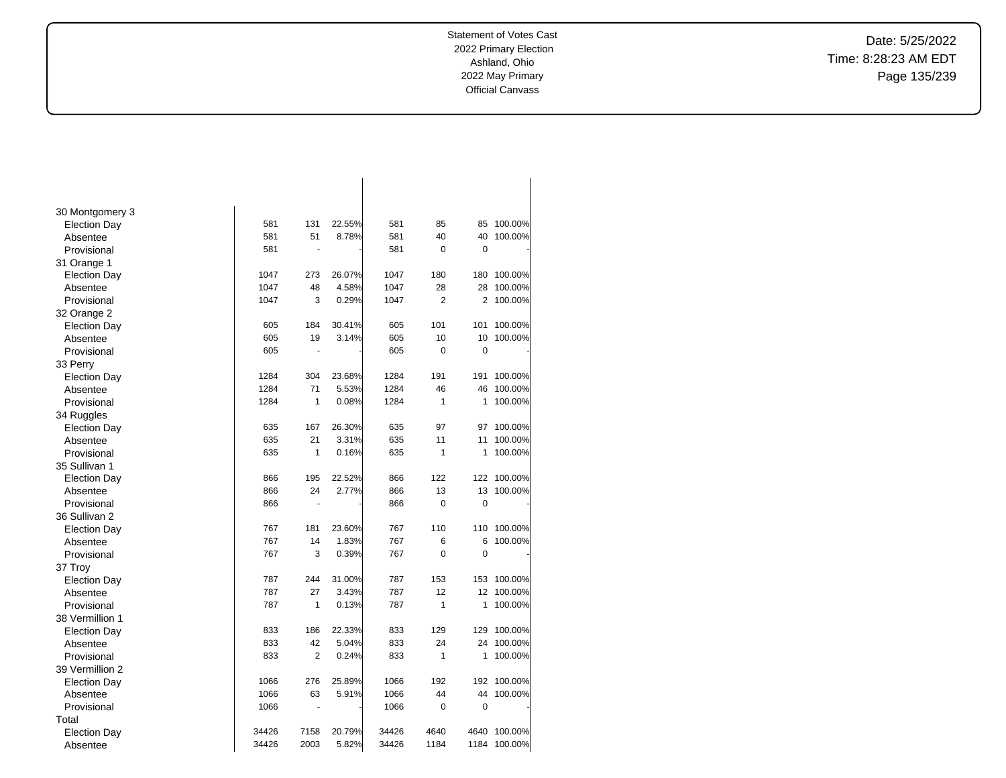Date: 5/25/2022 Time: 8:28:23 AM EDT Page 135/239

| 30 Montgomery 3     |       |                      |        |       |                |                |         |
|---------------------|-------|----------------------|--------|-------|----------------|----------------|---------|
| <b>Election Day</b> | 581   | 131                  | 22.55% | 581   | 85             | 85             | 100.00% |
| Absentee            | 581   | 51                   | 8.78%  | 581   | 40             | 40             | 100.00% |
| Provisional         | 581   | ÷.                   |        | 581   | 0              | 0              |         |
| 31 Orange 1         |       |                      |        |       |                |                |         |
| <b>Election Day</b> | 1047  | 273                  | 26.07% | 1047  | 180            | 180            | 100.00% |
| Absentee            | 1047  | 48                   | 4.58%  | 1047  | 28             | 28             | 100.00% |
| Provisional         | 1047  | 3                    | 0.29%  | 1047  | $\overline{2}$ | 2              | 100.00% |
| 32 Orange 2         |       |                      |        |       |                |                |         |
| <b>Election Day</b> | 605   | 184                  | 30.41% | 605   | 101            | 101            | 100.00% |
| Absentee            | 605   | 19                   | 3.14%  | 605   | 10             | 10             | 100.00% |
| Provisional         | 605   | ä,                   |        | 605   | 0              | 0              |         |
| 33 Perry            |       |                      |        |       |                |                |         |
| <b>Election Day</b> | 1284  | 304                  | 23.68% | 1284  | 191            | 191            | 100.00% |
| Absentee            | 1284  | 71                   | 5.53%  | 1284  | 46             | 46             | 100.00% |
| Provisional         | 1284  | 1                    | 0.08%  | 1284  | $\mathbf{1}$   | 1              | 100.00% |
| 34 Ruggles          |       |                      |        |       |                |                |         |
| <b>Election Day</b> | 635   | 167                  | 26.30% | 635   | 97             | 97             | 100.00% |
| Absentee            | 635   | 21                   | 3.31%  | 635   | 11             | 11             | 100.00% |
| Provisional         | 635   | 1                    | 0.16%  | 635   | $\mathbf{1}$   | 1              | 100.00% |
| 35 Sullivan 1       |       |                      |        |       |                |                |         |
| <b>Election Day</b> | 866   | 195                  | 22.52% | 866   | 122            | 122            | 100.00% |
| Absentee            | 866   | 24                   | 2.77%  | 866   | 13             | 13             | 100.00% |
| Provisional         | 866   | $\ddot{\phantom{1}}$ |        | 866   | $\mathbf 0$    | $\mathbf 0$    |         |
| 36 Sullivan 2       |       |                      |        |       |                |                |         |
| <b>Election Day</b> | 767   | 181                  | 23.60% | 767   | 110            | 110            | 100.00% |
| Absentee            | 767   | 14                   | 1.83%  | 767   | 6              | 6              | 100.00% |
| Provisional         | 767   | 3                    | 0.39%  | 767   | $\Omega$       | 0              |         |
| 37 Troy             |       |                      |        |       |                |                |         |
| <b>Election Day</b> | 787   | 244                  | 31.00% | 787   | 153            | 153            | 100.00% |
| Absentee            | 787   | 27                   | 3.43%  | 787   | 12             | 12             | 100.00% |
| Provisional         | 787   | 1                    | 0.13%  | 787   | 1              | 1              | 100.00% |
| 38 Vermillion 1     |       |                      |        |       |                |                |         |
| <b>Election Day</b> | 833   | 186                  | 22.33% | 833   | 129            | 129            | 100.00% |
| Absentee            | 833   | 42                   | 5.04%  | 833   | 24             | 24             | 100.00% |
| Provisional         | 833   | $\overline{2}$       | 0.24%  | 833   | $\mathbf{1}$   | 1              | 100.00% |
| 39 Vermillion 2     |       |                      |        |       |                |                |         |
| <b>Election Day</b> | 1066  | 276                  | 25.89% | 1066  | 192            | 192            | 100.00% |
| Absentee            | 1066  | 63                   | 5.91%  | 1066  | 44             | 44             | 100.00% |
| Provisional         | 1066  | ÷,                   |        | 1066  | 0              | $\overline{0}$ |         |
| Total               |       |                      |        |       |                |                |         |
| <b>Election Day</b> | 34426 | 7158                 | 20.79% | 34426 | 4640           | 4640           | 100.00% |
| Absentee            | 34426 | 2003                 | 5.82%  | 34426 | 1184           | 1184           | 100.00% |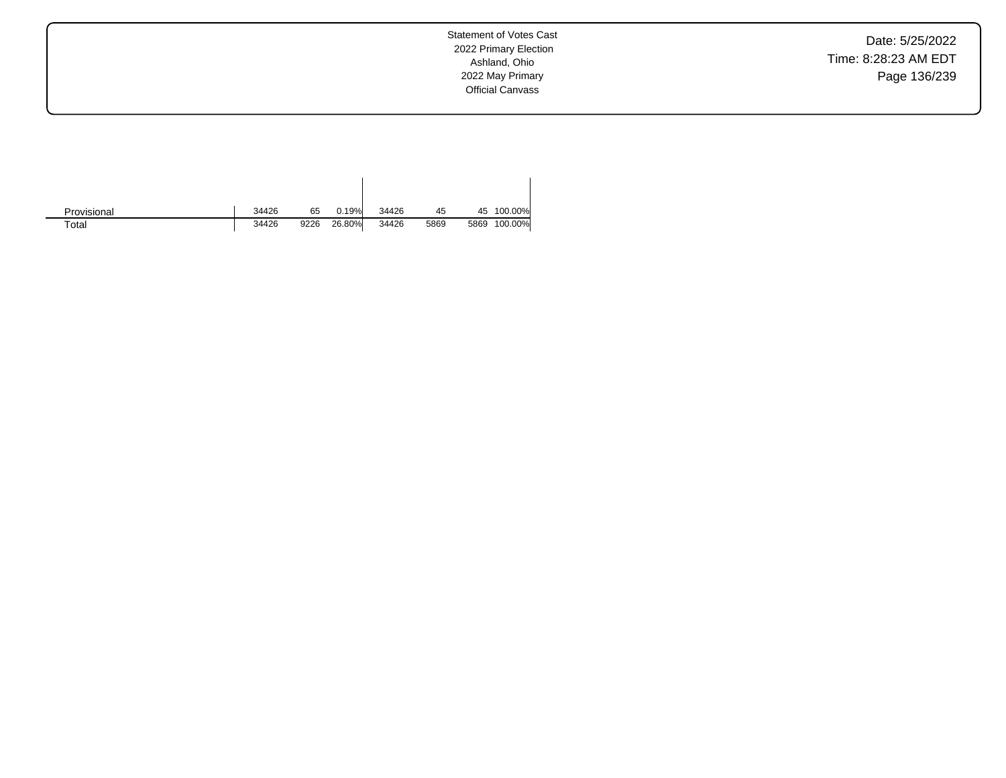Date: 5/25/2022 Time: 8:28:23 AM EDT Page 136/239

| Provisional | 34426 | 65   | 0.19%  | 34426 | 45   | 45   | 100.00% |
|-------------|-------|------|--------|-------|------|------|---------|
| $\tau$ otal | 34426 | 9226 | 26.80% | 34426 | 5869 | 5869 | 100.00% |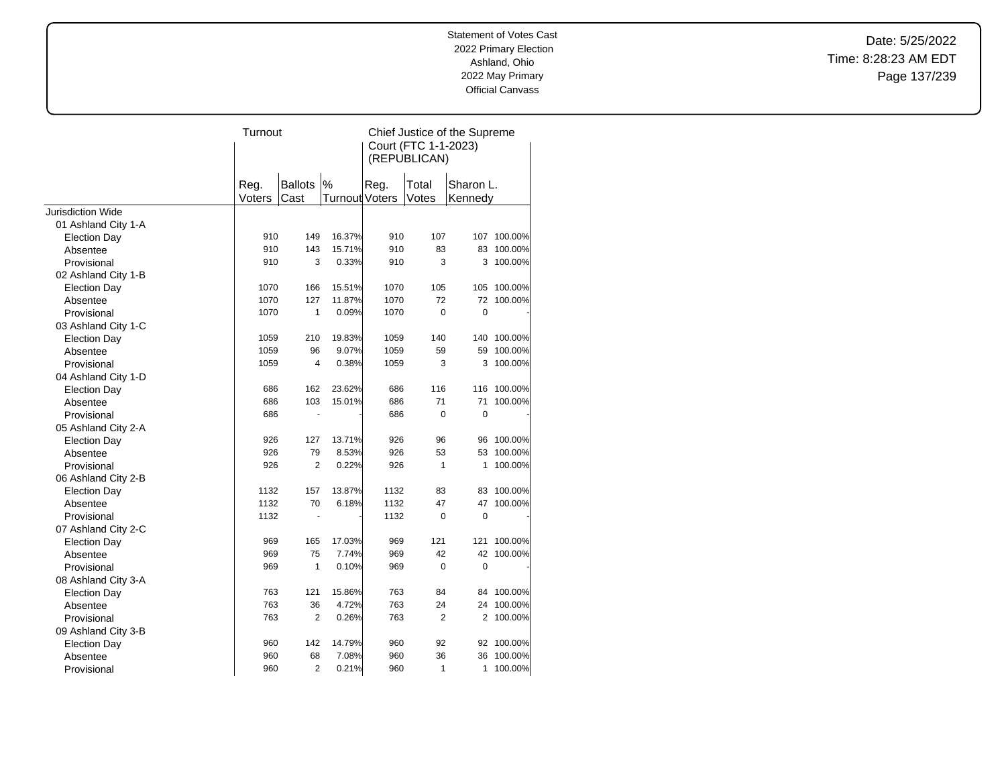Date: 5/25/2022 Time: 8:28:23 AM EDT Page 137/239

|                          | Turnout        |                        |                               | Chief Justice of the Supreme<br>Court (FTC 1-1-2023)<br>(REPUBLICAN) |                |                      |         |
|--------------------------|----------------|------------------------|-------------------------------|----------------------------------------------------------------------|----------------|----------------------|---------|
|                          | Reg.<br>Voters | <b>Ballots</b><br>Cast | $\%$<br><b>Turnout Voters</b> | Reg.                                                                 | Total<br>Votes | Sharon L.<br>Kennedy |         |
| <b>Jurisdiction Wide</b> |                |                        |                               |                                                                      |                |                      |         |
| 01 Ashland City 1-A      |                |                        |                               |                                                                      |                |                      |         |
| <b>Election Day</b>      | 910            | 149                    | 16.37%                        | 910                                                                  | 107            | 107                  | 100.00% |
| Absentee                 | 910            | 143                    | 15.71%                        | 910                                                                  | 83             | 83                   | 100.00% |
| Provisional              | 910            | 3                      | 0.33%                         | 910                                                                  | 3              | 3                    | 100.00% |
| 02 Ashland City 1-B      |                |                        |                               |                                                                      |                |                      |         |
| <b>Election Day</b>      | 1070           | 166                    | 15.51%                        | 1070                                                                 | 105            | 105                  | 100.00% |
| Absentee                 | 1070           | 127                    | 11.87%                        | 1070                                                                 | 72             | 72                   | 100.00% |
| Provisional              | 1070           | $\mathbf{1}$           | 0.09%                         | 1070                                                                 | $\Omega$       | $\mathbf 0$          |         |
| 03 Ashland City 1-C      |                |                        |                               |                                                                      |                |                      |         |
| <b>Election Day</b>      | 1059           | 210                    | 19.83%                        | 1059                                                                 | 140            | 140                  | 100.00% |
| Absentee                 | 1059           | 96                     | 9.07%                         | 1059                                                                 | 59             | 59                   | 100.00% |
| Provisional              | 1059           | $\overline{4}$         | 0.38%                         | 1059                                                                 | 3              | 3                    | 100.00% |
| 04 Ashland City 1-D      |                |                        |                               |                                                                      |                |                      |         |
| <b>Election Day</b>      | 686            | 162                    | 23.62%                        | 686                                                                  | 116            | 116                  | 100.00% |
| Absentee                 | 686            | 103                    | 15.01%                        | 686                                                                  | 71             | 71                   | 100.00% |
| Provisional              | 686            | ÷,                     |                               | 686                                                                  | $\mathbf 0$    | $\mathbf 0$          |         |
| 05 Ashland City 2-A      |                |                        |                               |                                                                      |                |                      |         |
| <b>Election Day</b>      | 926            | 127                    | 13.71%                        | 926                                                                  | 96             | 96                   | 100.00% |
| Absentee                 | 926            | 79                     | 8.53%                         | 926                                                                  | 53             | 53                   | 100.00% |
| Provisional              | 926            | 2                      | 0.22%                         | 926                                                                  | $\mathbf{1}$   | 1                    | 100.00% |
| 06 Ashland City 2-B      |                |                        |                               |                                                                      |                |                      |         |
| <b>Election Day</b>      | 1132           | 157                    | 13.87%                        | 1132                                                                 | 83             | 83                   | 100.00% |
| Absentee                 | 1132           | 70                     | 6.18%                         | 1132                                                                 | 47             | 47                   | 100.00% |
| Provisional              | 1132           | $\blacksquare$         |                               | 1132                                                                 | $\Omega$       | $\mathbf 0$          |         |
| 07 Ashland City 2-C      |                |                        |                               |                                                                      |                |                      |         |
| <b>Election Day</b>      | 969            | 165                    | 17.03%                        | 969                                                                  | 121            | 121                  | 100.00% |
| Absentee                 | 969            | 75                     | 7.74%                         | 969                                                                  | 42             | 42                   | 100.00% |
| Provisional              | 969            | $\mathbf{1}$           | 0.10%                         | 969                                                                  | $\mathbf 0$    | $\mathbf 0$          |         |
| 08 Ashland City 3-A      |                |                        |                               |                                                                      |                |                      |         |
| <b>Election Day</b>      | 763            | 121                    | 15.86%                        | 763                                                                  | 84             | 84                   | 100.00% |
| Absentee                 | 763            | 36                     | 4.72%                         | 763                                                                  | 24             | 24                   | 100.00% |
| Provisional              | 763            | 2                      | 0.26%                         | 763                                                                  | $\overline{2}$ | 2                    | 100.00% |
| 09 Ashland City 3-B      |                |                        |                               |                                                                      |                |                      |         |
| <b>Election Day</b>      | 960            | 142                    | 14.79%                        | 960                                                                  | 92             | 92                   | 100.00% |
| Absentee                 | 960            | 68                     | 7.08%                         | 960                                                                  | 36             | 36                   | 100.00% |
| Provisional              | 960            | $\overline{2}$         | 0.21%                         | 960                                                                  | $\mathbf{1}$   | 1                    | 100.00% |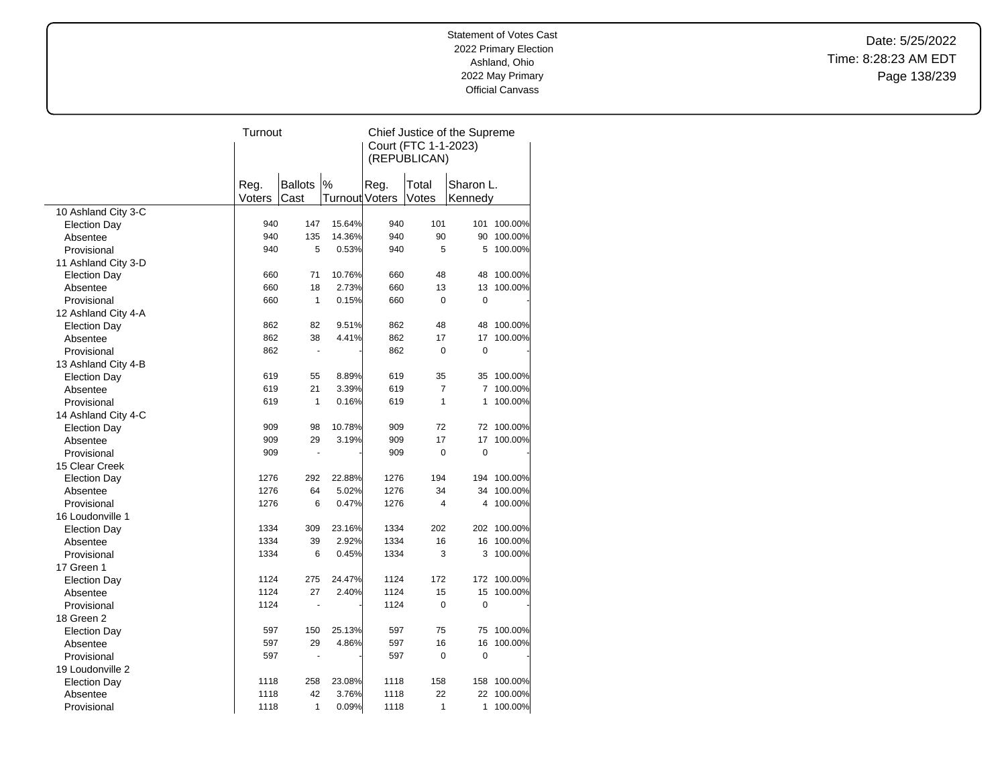Date: 5/25/2022 Time: 8:28:23 AM EDT Page 138/239

|                     | Turnout |                |                       |      |                      | Chief Justice of the Supreme |             |
|---------------------|---------|----------------|-----------------------|------|----------------------|------------------------------|-------------|
|                     |         |                |                       |      | Court (FTC 1-1-2023) |                              |             |
|                     |         |                |                       |      | (REPUBLICAN)         |                              |             |
|                     |         |                |                       |      |                      |                              |             |
|                     | Reg.    | <b>Ballots</b> | $\%$                  | Reg. | Total                | Sharon L.                    |             |
|                     | Voters  | Cast           | <b>Turnout Voters</b> |      | Votes                | Kennedy                      |             |
| 10 Ashland City 3-C |         |                |                       |      |                      |                              |             |
| <b>Election Day</b> | 940     | 147            | 15.64%                | 940  | 101                  | 101                          | 100.00%     |
| Absentee            | 940     | 135            | 14.36%                | 940  | 90                   | 90                           | 100.00%     |
| Provisional         | 940     | 5              | 0.53%                 | 940  | 5                    | 5                            | 100.00%     |
| 11 Ashland City 3-D |         |                |                       |      |                      |                              |             |
| <b>Election Day</b> | 660     | 71             | 10.76%                | 660  | 48                   | 48                           | 100.00%     |
| Absentee            | 660     | 18             | 2.73%                 | 660  | 13                   | 13                           | 100.00%     |
| Provisional         | 660     | $\mathbf{1}$   | 0.15%                 | 660  | $\mathbf 0$          | 0                            |             |
| 12 Ashland City 4-A |         |                |                       |      |                      |                              |             |
| <b>Election Day</b> | 862     | 82             | 9.51%                 | 862  | 48                   | 48                           | 100.00%     |
| Absentee            | 862     | 38             | 4.41%                 | 862  | 17                   | 17                           | 100.00%     |
| Provisional         | 862     | ÷,             |                       | 862  | $\mathbf 0$          | $\mathbf 0$                  |             |
| 13 Ashland City 4-B |         |                |                       |      |                      |                              |             |
| <b>Election Day</b> | 619     | 55             | 8.89%                 | 619  | 35                   | 35                           | 100.00%     |
| Absentee            | 619     | 21             | 3.39%                 | 619  | $\overline{7}$       | $\overline{7}$               | 100.00%     |
| Provisional         | 619     | $\mathbf{1}$   | 0.16%                 | 619  | $\mathbf{1}$         | 1                            | 100.00%     |
| 14 Ashland City 4-C |         |                |                       |      |                      |                              |             |
| <b>Election Day</b> | 909     | 98             | 10.78%                | 909  | 72                   | 72                           | 100.00%     |
| Absentee            | 909     | 29             | 3.19%                 | 909  | 17                   | 17                           | 100.00%     |
| Provisional         | 909     | $\overline{a}$ |                       | 909  | $\mathbf 0$          | $\mathbf 0$                  |             |
| 15 Clear Creek      |         |                |                       |      |                      |                              |             |
| <b>Election Day</b> | 1276    | 292            | 22.88%                | 1276 | 194                  | 194                          | 100.00%     |
| Absentee            | 1276    | 64             | 5.02%                 | 1276 | 34                   | 34                           | 100.00%     |
| Provisional         | 1276    | 6              | 0.47%                 | 1276 | 4                    | 4                            | 100.00%     |
| 16 Loudonville 1    |         |                |                       |      |                      |                              |             |
| <b>Election Day</b> | 1334    | 309            | 23.16%                | 1334 | 202                  |                              | 202 100.00% |
| Absentee            | 1334    | 39             | 2.92%                 | 1334 | 16                   | 16                           | 100.00%     |
| Provisional         | 1334    | 6              | 0.45%                 | 1334 | 3                    | 3                            | 100.00%     |
| 17 Green 1          |         |                |                       |      |                      |                              |             |
| <b>Election Day</b> | 1124    | 275            | 24.47%                | 1124 | 172                  | 172                          | 100.00%     |
| Absentee            | 1124    | 27             | 2.40%                 | 1124 | 15                   | 15                           | 100.00%     |
| Provisional         | 1124    |                |                       | 1124 | $\pmb{0}$            | $\mathbf 0$                  |             |
| 18 Green 2          |         |                |                       |      |                      |                              |             |
| <b>Election Day</b> | 597     | 150            | 25.13%                | 597  | 75                   | 75                           | 100.00%     |
| Absentee            | 597     | 29             | 4.86%                 | 597  | 16                   | 16                           | 100.00%     |
| Provisional         | 597     | ÷              |                       | 597  | $\mathbf 0$          | 0                            |             |
| 19 Loudonville 2    |         |                |                       |      |                      |                              |             |
| <b>Election Day</b> | 1118    | 258            | 23.08%                | 1118 | 158                  | 158                          | 100.00%     |
| Absentee            | 1118    | 42             | 3.76%                 | 1118 | 22                   | 22                           | 100.00%     |
| Provisional         | 1118    | $\mathbf{1}$   | 0.09%                 | 1118 | 1                    | 1                            | 100.00%     |
|                     |         |                |                       |      |                      |                              |             |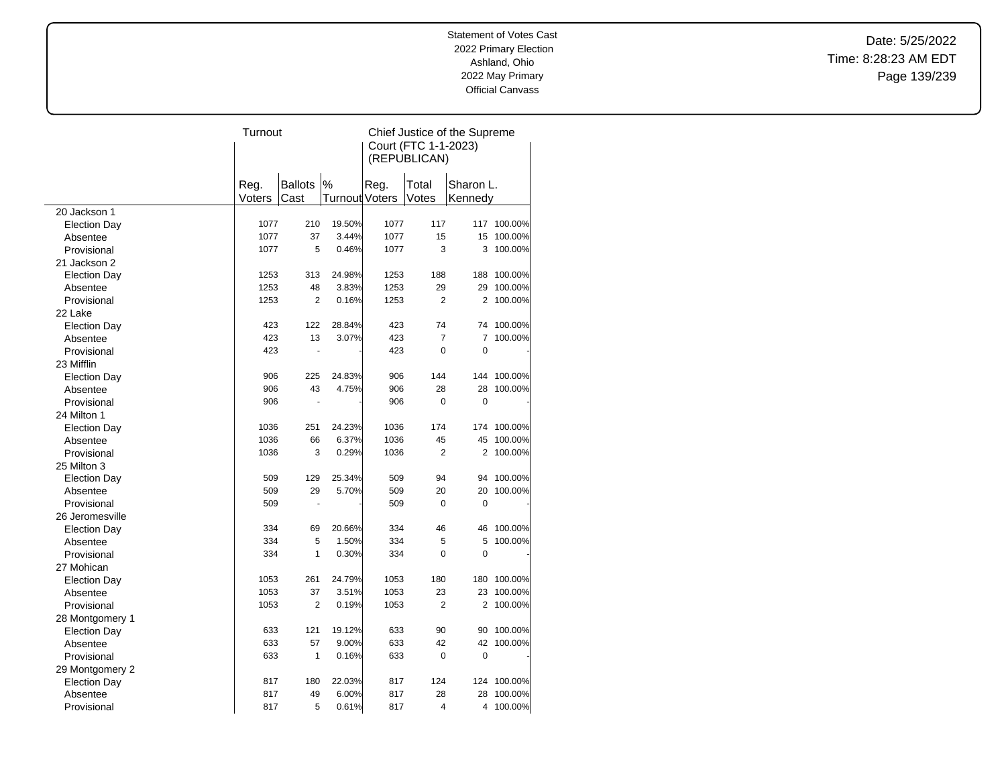Date: 5/25/2022 Time: 8:28:23 AM EDT Page 139/239

|                         | Turnout |                      |                |      |                      | Chief Justice of the Supreme |         |
|-------------------------|---------|----------------------|----------------|------|----------------------|------------------------------|---------|
|                         |         |                      |                |      | Court (FTC 1-1-2023) |                              |         |
|                         |         |                      |                |      | (REPUBLICAN)         |                              |         |
|                         |         |                      |                |      |                      |                              |         |
|                         | Reg.    | Ballots              | $\%$           | Reg. | Total                | Sharon L.                    |         |
|                         | Voters  | Cast                 | Turnout Voters |      | Votes                | Kennedy                      |         |
| 20 Jackson 1            |         |                      |                |      |                      |                              |         |
| <b>Election Day</b>     | 1077    | 210                  | 19.50%         | 1077 | 117                  | 117                          | 100.00% |
| Absentee                | 1077    | 37                   | 3.44%          | 1077 | 15                   | 15                           | 100.00% |
| Provisional             | 1077    | 5                    | 0.46%          | 1077 | 3                    | 3                            | 100.00% |
| 21 Jackson 2            |         |                      |                |      |                      |                              |         |
| <b>Election Day</b>     | 1253    | 313                  | 24.98%         | 1253 | 188                  | 188                          | 100.00% |
| Absentee                | 1253    | 48                   | 3.83%          | 1253 | 29                   | 29                           | 100.00% |
| Provisional             | 1253    | $\overline{2}$       | 0.16%          | 1253 | 2                    | 2                            | 100.00% |
| 22 Lake                 |         |                      |                |      |                      |                              |         |
| <b>Election Day</b>     | 423     | 122                  | 28.84%         | 423  | 74                   | 74                           | 100.00% |
| Absentee                | 423     | 13                   | 3.07%          | 423  | $\overline{7}$       | $\overline{7}$               | 100.00% |
| Provisional             | 423     | ä,                   |                | 423  | 0                    | $\mathbf 0$                  |         |
| 23 Mifflin              |         |                      |                |      |                      |                              |         |
|                         | 906     | 225                  | 24.83%         | 906  | 144                  | 144                          | 100.00% |
| <b>Election Day</b>     | 906     | 43                   | 4.75%          | 906  | 28                   | 28                           | 100.00% |
| Absentee<br>Provisional | 906     | $\ddot{\phantom{1}}$ |                | 906  | $\mathbf 0$          | $\mathbf 0$                  |         |
|                         |         |                      |                |      |                      |                              |         |
| 24 Milton 1             |         |                      |                |      |                      |                              |         |
| <b>Election Day</b>     | 1036    | 251                  | 24.23%         | 1036 | 174                  | 174                          | 100.00% |
| Absentee                | 1036    | 66                   | 6.37%          | 1036 | 45                   | 45                           | 100.00% |
| Provisional             | 1036    | 3                    | 0.29%          | 1036 | $\overline{2}$       | $\overline{2}$               | 100.00% |
| 25 Milton 3             |         |                      |                |      |                      |                              |         |
| <b>Election Day</b>     | 509     | 129                  | 25.34%         | 509  | 94                   | 94                           | 100.00% |
| Absentee                | 509     | 29                   | 5.70%          | 509  | 20                   | 20                           | 100.00% |
| Provisional             | 509     |                      |                | 509  | $\mathbf 0$          | 0                            |         |
| 26 Jeromesville         |         |                      |                |      |                      |                              |         |
| <b>Election Day</b>     | 334     | 69                   | 20.66%         | 334  | 46                   | 46                           | 100.00% |
| Absentee                | 334     | 5                    | 1.50%          | 334  | 5                    | 5                            | 100.00% |
| Provisional             | 334     | 1                    | 0.30%          | 334  | $\Omega$             | $\mathbf 0$                  |         |
| 27 Mohican              |         |                      |                |      |                      |                              |         |
| <b>Election Day</b>     | 1053    | 261                  | 24.79%         | 1053 | 180                  | 180                          | 100.00% |
| Absentee                | 1053    | 37                   | 3.51%          | 1053 | 23                   | 23                           | 100.00% |
| Provisional             | 1053    | $\overline{2}$       | 0.19%          | 1053 | $\overline{2}$       | $\overline{2}$               | 100.00% |
| 28 Montgomery 1         |         |                      |                |      |                      |                              |         |
| <b>Election Day</b>     | 633     | 121                  | 19.12%         | 633  | 90                   | 90                           | 100.00% |
| Absentee                | 633     | 57                   | 9.00%          | 633  | 42                   | 42                           | 100.00% |
| Provisional             | 633     | $\mathbf{1}$         | 0.16%          | 633  | $\mathbf 0$          | $\mathbf 0$                  |         |
| 29 Montgomery 2         |         |                      |                |      |                      |                              |         |
| <b>Election Day</b>     | 817     | 180                  | 22.03%         | 817  | 124                  | 124                          | 100.00% |
| Absentee                | 817     | 49                   | 6.00%          | 817  | 28                   | 28                           | 100.00% |
| Provisional             | 817     | 5                    | 0.61%          | 817  | 4                    | 4                            | 100.00% |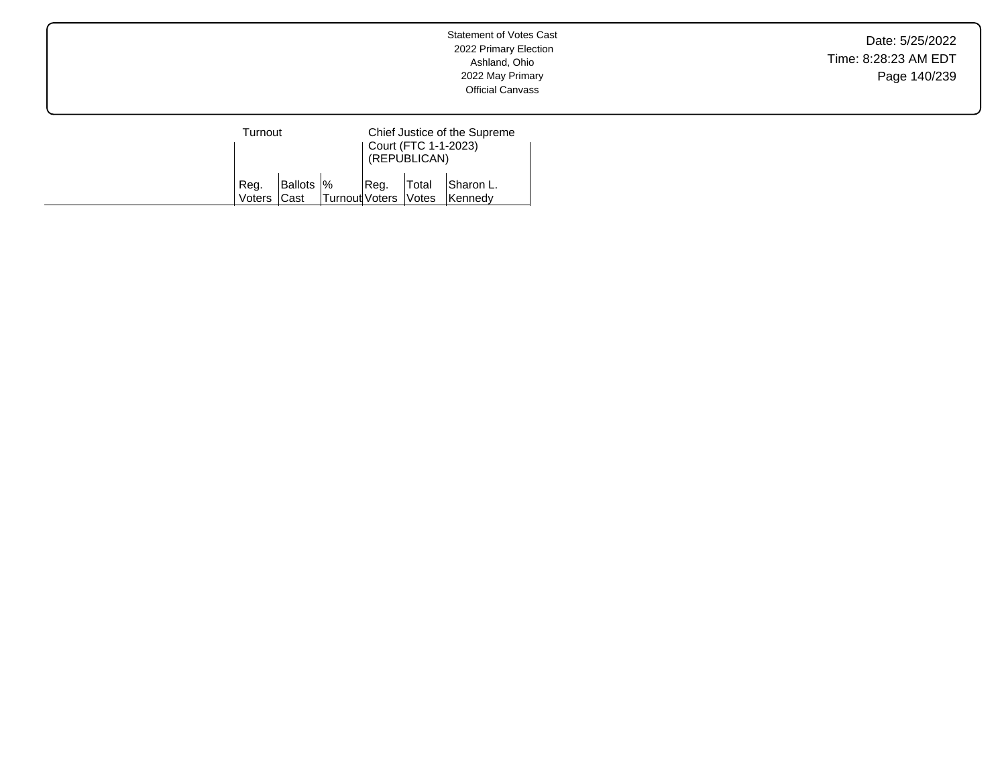Date: 5/25/2022 Time: 8:28:23 AM EDT Page 140/239

| Turnout             |            |                        |       | Court (FTC 1-1-2023)<br>(REPUBLICAN) | Chief Justice of the Supreme |
|---------------------|------------|------------------------|-------|--------------------------------------|------------------------------|
| Reg.<br>Voters Cast | Ballots  % | Turnout Voters   Votes | IReg. | Total                                | Sharon L.<br><b>Kennedv</b>  |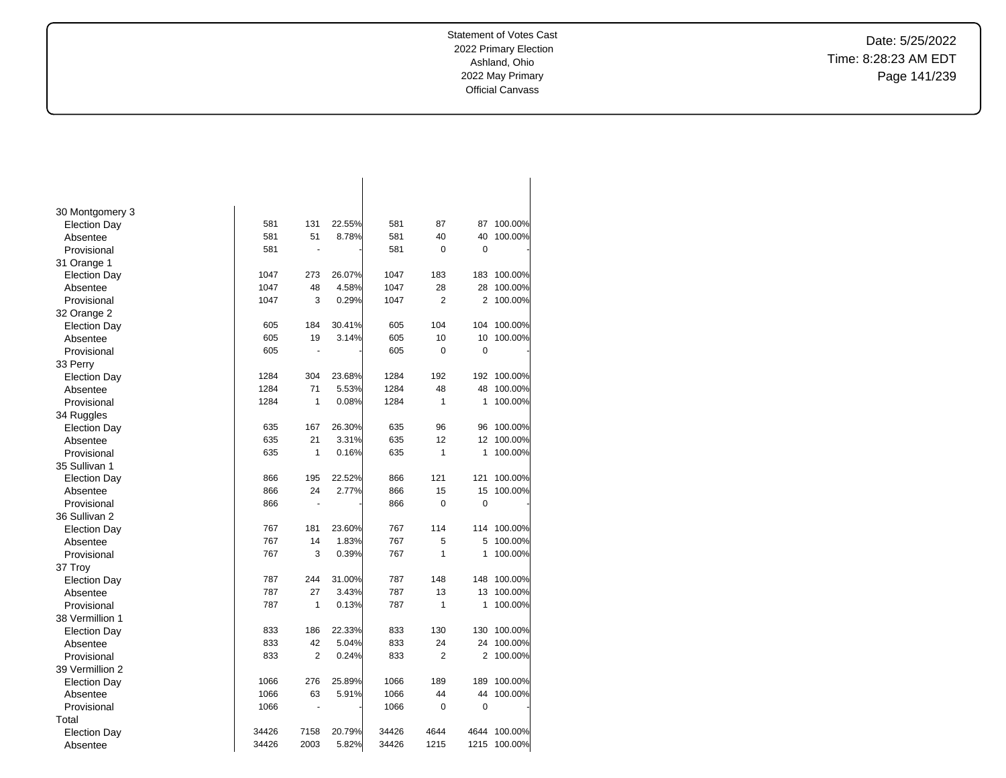Date: 5/25/2022 Time: 8:28:23 AM EDT Page 141/239

| 30 Montgomery 3     |       |                |        |       |                |             |         |
|---------------------|-------|----------------|--------|-------|----------------|-------------|---------|
| <b>Election Day</b> | 581   | 131            | 22.55% | 581   | 87             | 87          | 100.00% |
| Absentee            | 581   | 51             | 8.78%  | 581   | 40             | 40          | 100.00% |
| Provisional         | 581   | $\sim$         |        | 581   | 0              | $\mathbf 0$ |         |
| 31 Orange 1         |       |                |        |       |                |             |         |
| <b>Election Day</b> | 1047  | 273            | 26.07% | 1047  | 183            | 183         | 100.00% |
| Absentee            | 1047  | 48             | 4.58%  | 1047  | 28             | 28          | 100.00% |
| Provisional         | 1047  | 3              | 0.29%  | 1047  | $\overline{2}$ | 2           | 100.00% |
| 32 Orange 2         |       |                |        |       |                |             |         |
| <b>Election Day</b> | 605   | 184            | 30.41% | 605   | 104            | 104         | 100.00% |
| Absentee            | 605   | 19             | 3.14%  | 605   | 10             | 10          | 100.00% |
| Provisional         | 605   | $\blacksquare$ |        | 605   | $\overline{0}$ | 0           |         |
| 33 Perry            |       |                |        |       |                |             |         |
| <b>Election Day</b> | 1284  | 304            | 23.68% | 1284  | 192            | 192         | 100.00% |
| Absentee            | 1284  | 71             | 5.53%  | 1284  | 48             | 48          | 100.00% |
| Provisional         | 1284  | 1              | 0.08%  | 1284  | $\mathbf{1}$   | 1           | 100.00% |
| 34 Ruggles          |       |                |        |       |                |             |         |
| <b>Election Day</b> | 635   | 167            | 26.30% | 635   | 96             | 96          | 100.00% |
| Absentee            | 635   | 21             | 3.31%  | 635   | 12             | 12          | 100.00% |
| Provisional         | 635   | 1              | 0.16%  | 635   | 1              | 1           | 100.00% |
| 35 Sullivan 1       |       |                |        |       |                |             |         |
| <b>Election Day</b> | 866   | 195            | 22.52% | 866   | 121            | 121         | 100.00% |
| Absentee            | 866   | 24             | 2.77%  | 866   | 15             | 15          | 100.00% |
| Provisional         | 866   | $\blacksquare$ |        | 866   | 0              | $\mathbf 0$ |         |
| 36 Sullivan 2       |       |                |        |       |                |             |         |
| <b>Election Day</b> | 767   | 181            | 23.60% | 767   | 114            | 114         | 100.00% |
| Absentee            | 767   | 14             | 1.83%  | 767   | 5              | 5           | 100.00% |
| Provisional         | 767   | 3              | 0.39%  | 767   | $\mathbf{1}$   | 1           | 100.00% |
| 37 Troy             |       |                |        |       |                |             |         |
| <b>Election Day</b> | 787   | 244            | 31.00% | 787   | 148            | 148         | 100.00% |
| Absentee            | 787   | 27             | 3.43%  | 787   | 13             | 13          | 100.00% |
| Provisional         | 787   | 1              | 0.13%  | 787   | $\mathbf{1}$   | 1           | 100.00% |
| 38 Vermillion 1     |       |                |        |       |                |             |         |
| <b>Election Day</b> | 833   | 186            | 22.33% | 833   | 130            | 130         | 100.00% |
| Absentee            | 833   | 42             | 5.04%  | 833   | 24             | 24          | 100.00% |
| Provisional         | 833   | $\overline{2}$ | 0.24%  | 833   | $\overline{2}$ | 2           | 100.00% |
| 39 Vermillion 2     |       |                |        |       |                |             |         |
| <b>Election Day</b> | 1066  | 276            | 25.89% | 1066  | 189            | 189         | 100.00% |
| Absentee            | 1066  | 63             | 5.91%  | 1066  | 44             | 44          | 100.00% |
| Provisional         | 1066  | ÷,             |        | 1066  | 0              | 0           |         |
| Total               |       |                |        |       |                |             |         |
| <b>Election Day</b> | 34426 | 7158           | 20.79% | 34426 | 4644           | 4644        | 100.00% |
| Absentee            | 34426 | 2003           | 5.82%  | 34426 | 1215           | 1215        | 100.00% |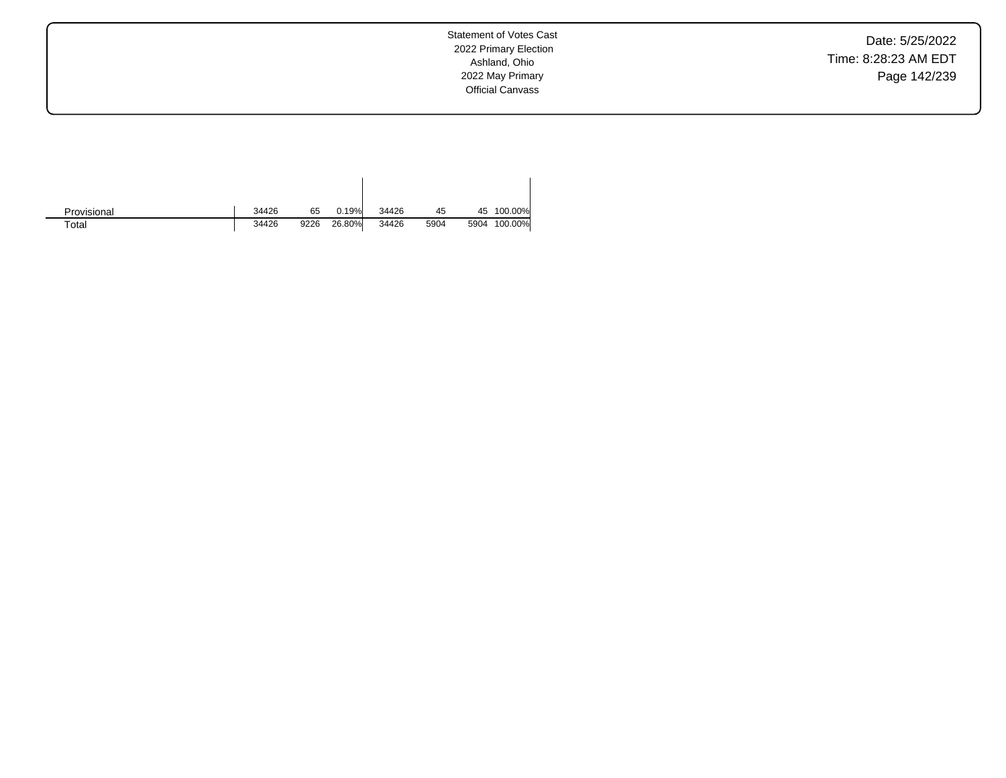Date: 5/25/2022 Time: 8:28:23 AM EDT Page 142/239

| Provisional | 34426 | 65   | 0.19%  | 34426 | 45   |      | 45 100.00% |
|-------------|-------|------|--------|-------|------|------|------------|
| $\tau$ otal | 34426 | 9226 | 26.80% | 34426 | 5904 | 5904 | 100.00%    |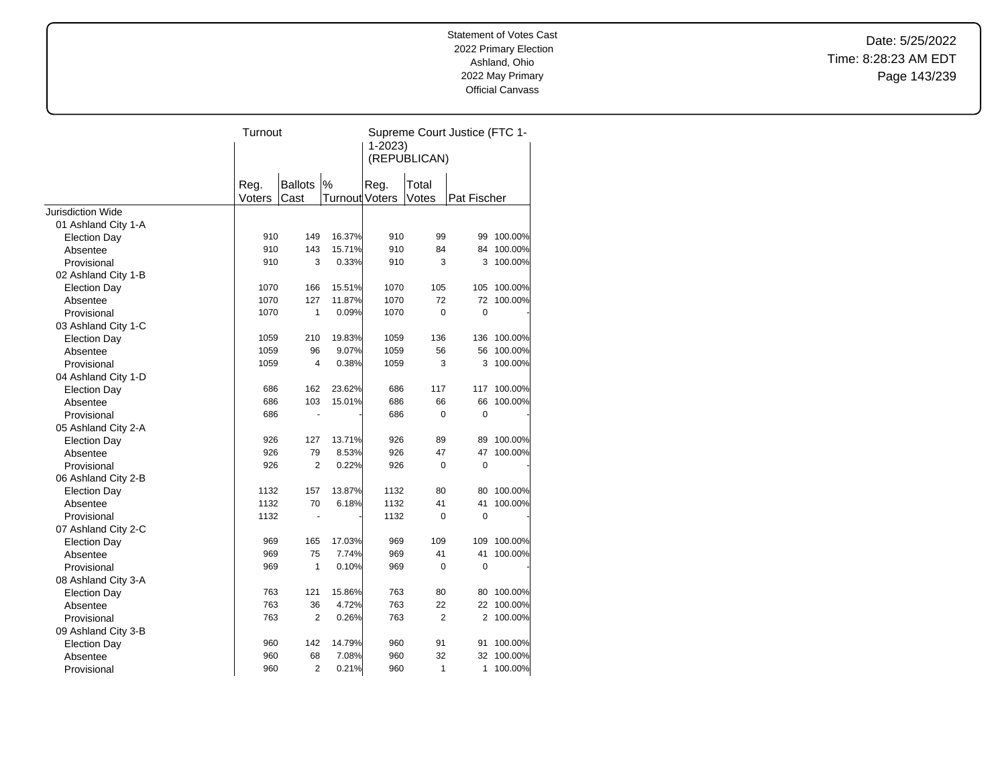Date: 5/25/2022 Time: 8:28:23 AM EDT Page 143/239

| $1 - 2023$<br>(REPUBLICAN)<br>$\%$<br>Reg.<br><b>Ballots</b><br>Reg.<br>Total<br>Voters<br>Cast<br>Turnout Voters<br>Votes<br>Pat Fischer<br><b>Jurisdiction Wide</b><br>01 Ashland City 1-A<br>910<br>149<br>16.37%<br>910<br>99<br>100.00%<br>99<br><b>Election Day</b><br>100.00%<br>910<br>143<br>15.71%<br>910<br>84<br>84<br>Absentee<br>100.00%<br>910<br>3<br>0.33%<br>910<br>3<br>3<br>Provisional<br>02 Ashland City 1-B<br>1070<br>166<br>15.51%<br>1070<br>105<br>105<br>100.00%<br><b>Election Day</b><br>72<br>1070<br>127<br>11.87%<br>1070<br>72<br>100.00%<br>Absentee<br>$\mathbf 0$<br>$\overline{0}$<br>1<br>0.09%<br>1070<br>1070<br>Provisional<br>03 Ashland City 1-C<br>19.83%<br>136<br>100.00%<br>1059<br>210<br>1059<br>136<br><b>Election Day</b><br>9.07%<br>100.00%<br>1059<br>96<br>1059<br>56<br>56<br>Absentee<br>3<br>1059<br>4<br>0.38%<br>1059<br>3<br>100.00%<br>Provisional<br>04 Ashland City 1-D<br>686<br>162<br>23.62%<br>686<br>117<br>117<br>100.00%<br><b>Election Day</b><br>103<br>15.01%<br>686<br>66<br>100.00%<br>686<br>66<br>Absentee<br>0<br>$\mathbf 0$<br>686<br>686<br>Provisional<br>÷,<br>05 Ashland City 2-A<br>926<br>13.71%<br>926<br>100.00%<br>127<br>89<br>89<br><b>Election Day</b><br>926<br>926<br>79<br>8.53%<br>47<br>47<br>100.00%<br>Absentee<br>926<br>$\overline{2}$<br>0.22%<br>926<br>0<br>$\mathbf 0$<br>Provisional<br>06 Ashland City 2-B<br>1132<br>157<br>13.87%<br>1132<br>80<br>80<br>100.00%<br><b>Election Day</b><br>1132<br>6.18%<br>1132<br>41<br>41<br>100.00%<br>70<br>Absentee<br>1132<br>1132<br>0<br>$\mathbf 0$<br>Provisional<br>$\blacksquare$<br>07 Ashland City 2-C<br>969<br>17.03%<br>969<br>100.00%<br>165<br>109<br>109<br><b>Election Day</b><br>969<br>75<br>7.74%<br>969<br>41<br>41<br>100.00%<br>Absentee<br>1<br>969<br>0.10%<br>969<br>0<br>$\mathbf 0$<br>Provisional<br>08 Ashland City 3-A<br>763<br>121<br>15.86%<br>763<br>80<br>100.00%<br><b>Election Day</b><br>80<br>763<br>4.72%<br>763<br>22<br>100.00%<br>36<br>22<br>Absentee |             | Turnout |                |       |     |                | Supreme Court Justice (FTC 1- |         |
|--------------------------------------------------------------------------------------------------------------------------------------------------------------------------------------------------------------------------------------------------------------------------------------------------------------------------------------------------------------------------------------------------------------------------------------------------------------------------------------------------------------------------------------------------------------------------------------------------------------------------------------------------------------------------------------------------------------------------------------------------------------------------------------------------------------------------------------------------------------------------------------------------------------------------------------------------------------------------------------------------------------------------------------------------------------------------------------------------------------------------------------------------------------------------------------------------------------------------------------------------------------------------------------------------------------------------------------------------------------------------------------------------------------------------------------------------------------------------------------------------------------------------------------------------------------------------------------------------------------------------------------------------------------------------------------------------------------------------------------------------------------------------------------------------------------------------------------------------------------------------------------------------------------------------------------------------------------------------------------------------------------------------------------------------------|-------------|---------|----------------|-------|-----|----------------|-------------------------------|---------|
|                                                                                                                                                                                                                                                                                                                                                                                                                                                                                                                                                                                                                                                                                                                                                                                                                                                                                                                                                                                                                                                                                                                                                                                                                                                                                                                                                                                                                                                                                                                                                                                                                                                                                                                                                                                                                                                                                                                                                                                                                                                        |             |         |                |       |     |                |                               |         |
|                                                                                                                                                                                                                                                                                                                                                                                                                                                                                                                                                                                                                                                                                                                                                                                                                                                                                                                                                                                                                                                                                                                                                                                                                                                                                                                                                                                                                                                                                                                                                                                                                                                                                                                                                                                                                                                                                                                                                                                                                                                        |             |         |                |       |     |                |                               |         |
|                                                                                                                                                                                                                                                                                                                                                                                                                                                                                                                                                                                                                                                                                                                                                                                                                                                                                                                                                                                                                                                                                                                                                                                                                                                                                                                                                                                                                                                                                                                                                                                                                                                                                                                                                                                                                                                                                                                                                                                                                                                        |             |         |                |       |     |                |                               |         |
|                                                                                                                                                                                                                                                                                                                                                                                                                                                                                                                                                                                                                                                                                                                                                                                                                                                                                                                                                                                                                                                                                                                                                                                                                                                                                                                                                                                                                                                                                                                                                                                                                                                                                                                                                                                                                                                                                                                                                                                                                                                        |             |         |                |       |     |                |                               |         |
|                                                                                                                                                                                                                                                                                                                                                                                                                                                                                                                                                                                                                                                                                                                                                                                                                                                                                                                                                                                                                                                                                                                                                                                                                                                                                                                                                                                                                                                                                                                                                                                                                                                                                                                                                                                                                                                                                                                                                                                                                                                        |             |         |                |       |     |                |                               |         |
|                                                                                                                                                                                                                                                                                                                                                                                                                                                                                                                                                                                                                                                                                                                                                                                                                                                                                                                                                                                                                                                                                                                                                                                                                                                                                                                                                                                                                                                                                                                                                                                                                                                                                                                                                                                                                                                                                                                                                                                                                                                        |             |         |                |       |     |                |                               |         |
|                                                                                                                                                                                                                                                                                                                                                                                                                                                                                                                                                                                                                                                                                                                                                                                                                                                                                                                                                                                                                                                                                                                                                                                                                                                                                                                                                                                                                                                                                                                                                                                                                                                                                                                                                                                                                                                                                                                                                                                                                                                        |             |         |                |       |     |                |                               |         |
|                                                                                                                                                                                                                                                                                                                                                                                                                                                                                                                                                                                                                                                                                                                                                                                                                                                                                                                                                                                                                                                                                                                                                                                                                                                                                                                                                                                                                                                                                                                                                                                                                                                                                                                                                                                                                                                                                                                                                                                                                                                        |             |         |                |       |     |                |                               |         |
|                                                                                                                                                                                                                                                                                                                                                                                                                                                                                                                                                                                                                                                                                                                                                                                                                                                                                                                                                                                                                                                                                                                                                                                                                                                                                                                                                                                                                                                                                                                                                                                                                                                                                                                                                                                                                                                                                                                                                                                                                                                        |             |         |                |       |     |                |                               |         |
|                                                                                                                                                                                                                                                                                                                                                                                                                                                                                                                                                                                                                                                                                                                                                                                                                                                                                                                                                                                                                                                                                                                                                                                                                                                                                                                                                                                                                                                                                                                                                                                                                                                                                                                                                                                                                                                                                                                                                                                                                                                        |             |         |                |       |     |                |                               |         |
|                                                                                                                                                                                                                                                                                                                                                                                                                                                                                                                                                                                                                                                                                                                                                                                                                                                                                                                                                                                                                                                                                                                                                                                                                                                                                                                                                                                                                                                                                                                                                                                                                                                                                                                                                                                                                                                                                                                                                                                                                                                        |             |         |                |       |     |                |                               |         |
|                                                                                                                                                                                                                                                                                                                                                                                                                                                                                                                                                                                                                                                                                                                                                                                                                                                                                                                                                                                                                                                                                                                                                                                                                                                                                                                                                                                                                                                                                                                                                                                                                                                                                                                                                                                                                                                                                                                                                                                                                                                        |             |         |                |       |     |                |                               |         |
|                                                                                                                                                                                                                                                                                                                                                                                                                                                                                                                                                                                                                                                                                                                                                                                                                                                                                                                                                                                                                                                                                                                                                                                                                                                                                                                                                                                                                                                                                                                                                                                                                                                                                                                                                                                                                                                                                                                                                                                                                                                        |             |         |                |       |     |                |                               |         |
|                                                                                                                                                                                                                                                                                                                                                                                                                                                                                                                                                                                                                                                                                                                                                                                                                                                                                                                                                                                                                                                                                                                                                                                                                                                                                                                                                                                                                                                                                                                                                                                                                                                                                                                                                                                                                                                                                                                                                                                                                                                        |             |         |                |       |     |                |                               |         |
|                                                                                                                                                                                                                                                                                                                                                                                                                                                                                                                                                                                                                                                                                                                                                                                                                                                                                                                                                                                                                                                                                                                                                                                                                                                                                                                                                                                                                                                                                                                                                                                                                                                                                                                                                                                                                                                                                                                                                                                                                                                        |             |         |                |       |     |                |                               |         |
|                                                                                                                                                                                                                                                                                                                                                                                                                                                                                                                                                                                                                                                                                                                                                                                                                                                                                                                                                                                                                                                                                                                                                                                                                                                                                                                                                                                                                                                                                                                                                                                                                                                                                                                                                                                                                                                                                                                                                                                                                                                        |             |         |                |       |     |                |                               |         |
|                                                                                                                                                                                                                                                                                                                                                                                                                                                                                                                                                                                                                                                                                                                                                                                                                                                                                                                                                                                                                                                                                                                                                                                                                                                                                                                                                                                                                                                                                                                                                                                                                                                                                                                                                                                                                                                                                                                                                                                                                                                        |             |         |                |       |     |                |                               |         |
|                                                                                                                                                                                                                                                                                                                                                                                                                                                                                                                                                                                                                                                                                                                                                                                                                                                                                                                                                                                                                                                                                                                                                                                                                                                                                                                                                                                                                                                                                                                                                                                                                                                                                                                                                                                                                                                                                                                                                                                                                                                        |             |         |                |       |     |                |                               |         |
|                                                                                                                                                                                                                                                                                                                                                                                                                                                                                                                                                                                                                                                                                                                                                                                                                                                                                                                                                                                                                                                                                                                                                                                                                                                                                                                                                                                                                                                                                                                                                                                                                                                                                                                                                                                                                                                                                                                                                                                                                                                        |             |         |                |       |     |                |                               |         |
|                                                                                                                                                                                                                                                                                                                                                                                                                                                                                                                                                                                                                                                                                                                                                                                                                                                                                                                                                                                                                                                                                                                                                                                                                                                                                                                                                                                                                                                                                                                                                                                                                                                                                                                                                                                                                                                                                                                                                                                                                                                        |             |         |                |       |     |                |                               |         |
|                                                                                                                                                                                                                                                                                                                                                                                                                                                                                                                                                                                                                                                                                                                                                                                                                                                                                                                                                                                                                                                                                                                                                                                                                                                                                                                                                                                                                                                                                                                                                                                                                                                                                                                                                                                                                                                                                                                                                                                                                                                        |             |         |                |       |     |                |                               |         |
|                                                                                                                                                                                                                                                                                                                                                                                                                                                                                                                                                                                                                                                                                                                                                                                                                                                                                                                                                                                                                                                                                                                                                                                                                                                                                                                                                                                                                                                                                                                                                                                                                                                                                                                                                                                                                                                                                                                                                                                                                                                        |             |         |                |       |     |                |                               |         |
|                                                                                                                                                                                                                                                                                                                                                                                                                                                                                                                                                                                                                                                                                                                                                                                                                                                                                                                                                                                                                                                                                                                                                                                                                                                                                                                                                                                                                                                                                                                                                                                                                                                                                                                                                                                                                                                                                                                                                                                                                                                        |             |         |                |       |     |                |                               |         |
|                                                                                                                                                                                                                                                                                                                                                                                                                                                                                                                                                                                                                                                                                                                                                                                                                                                                                                                                                                                                                                                                                                                                                                                                                                                                                                                                                                                                                                                                                                                                                                                                                                                                                                                                                                                                                                                                                                                                                                                                                                                        |             |         |                |       |     |                |                               |         |
|                                                                                                                                                                                                                                                                                                                                                                                                                                                                                                                                                                                                                                                                                                                                                                                                                                                                                                                                                                                                                                                                                                                                                                                                                                                                                                                                                                                                                                                                                                                                                                                                                                                                                                                                                                                                                                                                                                                                                                                                                                                        |             |         |                |       |     |                |                               |         |
|                                                                                                                                                                                                                                                                                                                                                                                                                                                                                                                                                                                                                                                                                                                                                                                                                                                                                                                                                                                                                                                                                                                                                                                                                                                                                                                                                                                                                                                                                                                                                                                                                                                                                                                                                                                                                                                                                                                                                                                                                                                        |             |         |                |       |     |                |                               |         |
|                                                                                                                                                                                                                                                                                                                                                                                                                                                                                                                                                                                                                                                                                                                                                                                                                                                                                                                                                                                                                                                                                                                                                                                                                                                                                                                                                                                                                                                                                                                                                                                                                                                                                                                                                                                                                                                                                                                                                                                                                                                        |             |         |                |       |     |                |                               |         |
|                                                                                                                                                                                                                                                                                                                                                                                                                                                                                                                                                                                                                                                                                                                                                                                                                                                                                                                                                                                                                                                                                                                                                                                                                                                                                                                                                                                                                                                                                                                                                                                                                                                                                                                                                                                                                                                                                                                                                                                                                                                        |             |         |                |       |     |                |                               |         |
|                                                                                                                                                                                                                                                                                                                                                                                                                                                                                                                                                                                                                                                                                                                                                                                                                                                                                                                                                                                                                                                                                                                                                                                                                                                                                                                                                                                                                                                                                                                                                                                                                                                                                                                                                                                                                                                                                                                                                                                                                                                        |             |         |                |       |     |                |                               |         |
|                                                                                                                                                                                                                                                                                                                                                                                                                                                                                                                                                                                                                                                                                                                                                                                                                                                                                                                                                                                                                                                                                                                                                                                                                                                                                                                                                                                                                                                                                                                                                                                                                                                                                                                                                                                                                                                                                                                                                                                                                                                        |             |         |                |       |     |                |                               |         |
|                                                                                                                                                                                                                                                                                                                                                                                                                                                                                                                                                                                                                                                                                                                                                                                                                                                                                                                                                                                                                                                                                                                                                                                                                                                                                                                                                                                                                                                                                                                                                                                                                                                                                                                                                                                                                                                                                                                                                                                                                                                        |             |         |                |       |     |                |                               |         |
|                                                                                                                                                                                                                                                                                                                                                                                                                                                                                                                                                                                                                                                                                                                                                                                                                                                                                                                                                                                                                                                                                                                                                                                                                                                                                                                                                                                                                                                                                                                                                                                                                                                                                                                                                                                                                                                                                                                                                                                                                                                        |             |         |                |       |     |                |                               |         |
|                                                                                                                                                                                                                                                                                                                                                                                                                                                                                                                                                                                                                                                                                                                                                                                                                                                                                                                                                                                                                                                                                                                                                                                                                                                                                                                                                                                                                                                                                                                                                                                                                                                                                                                                                                                                                                                                                                                                                                                                                                                        |             |         |                |       |     |                |                               |         |
|                                                                                                                                                                                                                                                                                                                                                                                                                                                                                                                                                                                                                                                                                                                                                                                                                                                                                                                                                                                                                                                                                                                                                                                                                                                                                                                                                                                                                                                                                                                                                                                                                                                                                                                                                                                                                                                                                                                                                                                                                                                        |             |         |                |       |     |                |                               |         |
|                                                                                                                                                                                                                                                                                                                                                                                                                                                                                                                                                                                                                                                                                                                                                                                                                                                                                                                                                                                                                                                                                                                                                                                                                                                                                                                                                                                                                                                                                                                                                                                                                                                                                                                                                                                                                                                                                                                                                                                                                                                        |             |         |                |       |     |                |                               |         |
|                                                                                                                                                                                                                                                                                                                                                                                                                                                                                                                                                                                                                                                                                                                                                                                                                                                                                                                                                                                                                                                                                                                                                                                                                                                                                                                                                                                                                                                                                                                                                                                                                                                                                                                                                                                                                                                                                                                                                                                                                                                        |             |         |                |       |     |                |                               |         |
|                                                                                                                                                                                                                                                                                                                                                                                                                                                                                                                                                                                                                                                                                                                                                                                                                                                                                                                                                                                                                                                                                                                                                                                                                                                                                                                                                                                                                                                                                                                                                                                                                                                                                                                                                                                                                                                                                                                                                                                                                                                        |             |         |                |       |     |                |                               |         |
|                                                                                                                                                                                                                                                                                                                                                                                                                                                                                                                                                                                                                                                                                                                                                                                                                                                                                                                                                                                                                                                                                                                                                                                                                                                                                                                                                                                                                                                                                                                                                                                                                                                                                                                                                                                                                                                                                                                                                                                                                                                        | Provisional | 763     | $\overline{2}$ | 0.26% | 763 | $\overline{2}$ | $\overline{2}$                | 100.00% |
| 09 Ashland City 3-B                                                                                                                                                                                                                                                                                                                                                                                                                                                                                                                                                                                                                                                                                                                                                                                                                                                                                                                                                                                                                                                                                                                                                                                                                                                                                                                                                                                                                                                                                                                                                                                                                                                                                                                                                                                                                                                                                                                                                                                                                                    |             |         |                |       |     |                |                               |         |
| 14.79%<br>960<br>142<br>960<br>91<br>91<br>100.00%<br><b>Election Day</b>                                                                                                                                                                                                                                                                                                                                                                                                                                                                                                                                                                                                                                                                                                                                                                                                                                                                                                                                                                                                                                                                                                                                                                                                                                                                                                                                                                                                                                                                                                                                                                                                                                                                                                                                                                                                                                                                                                                                                                              |             |         |                |       |     |                |                               |         |
| 32<br>100.00%<br>68<br>7.08%<br>960<br>32<br>Absentee<br>960                                                                                                                                                                                                                                                                                                                                                                                                                                                                                                                                                                                                                                                                                                                                                                                                                                                                                                                                                                                                                                                                                                                                                                                                                                                                                                                                                                                                                                                                                                                                                                                                                                                                                                                                                                                                                                                                                                                                                                                           |             |         |                |       |     |                |                               |         |
| $\overline{2}$<br>960<br>0.21%<br>960<br>1<br>100.00%<br>Provisional<br>1                                                                                                                                                                                                                                                                                                                                                                                                                                                                                                                                                                                                                                                                                                                                                                                                                                                                                                                                                                                                                                                                                                                                                                                                                                                                                                                                                                                                                                                                                                                                                                                                                                                                                                                                                                                                                                                                                                                                                                              |             |         |                |       |     |                |                               |         |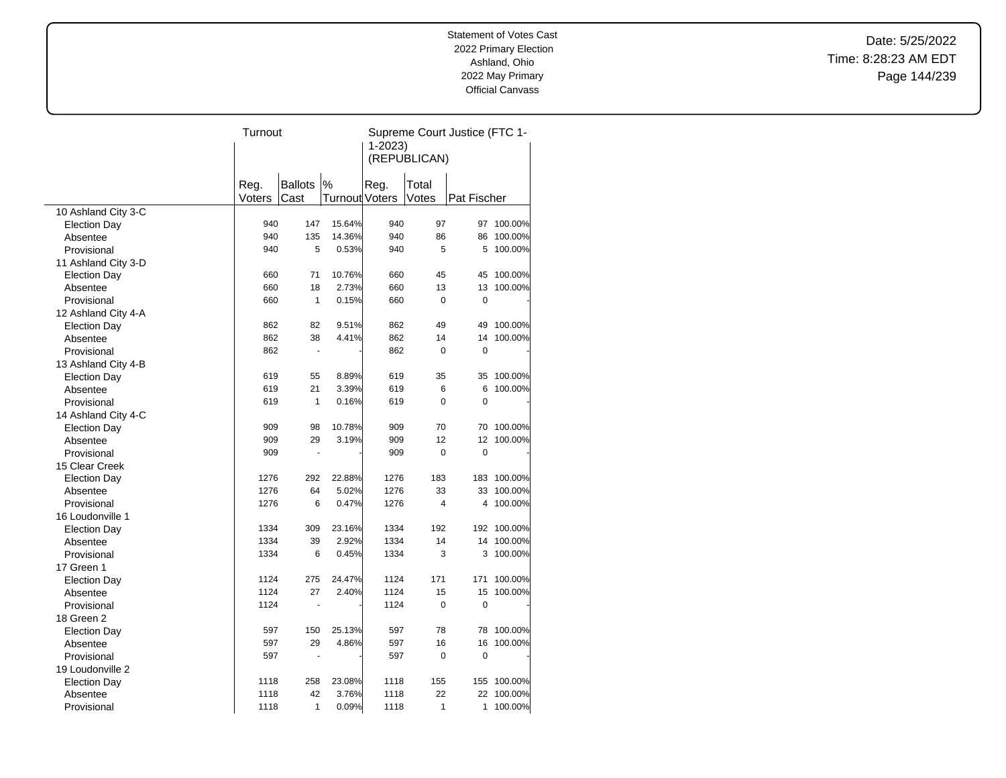Date: 5/25/2022 Time: 8:28:23 AM EDT Page 144/239

|        |                                                                                                                                                                         |                                                      | Supreme Court Justice (FTC 1-                                                                                                                                                                                                     |                                 |                                                                                                                                             |                                                                                                                                                              |  |
|--------|-------------------------------------------------------------------------------------------------------------------------------------------------------------------------|------------------------------------------------------|-----------------------------------------------------------------------------------------------------------------------------------------------------------------------------------------------------------------------------------|---------------------------------|---------------------------------------------------------------------------------------------------------------------------------------------|--------------------------------------------------------------------------------------------------------------------------------------------------------------|--|
|        |                                                                                                                                                                         |                                                      |                                                                                                                                                                                                                                   |                                 |                                                                                                                                             |                                                                                                                                                              |  |
|        |                                                                                                                                                                         |                                                      |                                                                                                                                                                                                                                   |                                 |                                                                                                                                             |                                                                                                                                                              |  |
|        |                                                                                                                                                                         |                                                      |                                                                                                                                                                                                                                   |                                 |                                                                                                                                             |                                                                                                                                                              |  |
|        | <b>Ballots</b>                                                                                                                                                          |                                                      |                                                                                                                                                                                                                                   |                                 |                                                                                                                                             |                                                                                                                                                              |  |
| Voters | Cast                                                                                                                                                                    |                                                      |                                                                                                                                                                                                                                   | Votes                           | Pat Fischer                                                                                                                                 |                                                                                                                                                              |  |
|        |                                                                                                                                                                         |                                                      |                                                                                                                                                                                                                                   |                                 |                                                                                                                                             |                                                                                                                                                              |  |
|        |                                                                                                                                                                         | 15.64%                                               | 940                                                                                                                                                                                                                               |                                 | 97                                                                                                                                          | 100.00%                                                                                                                                                      |  |
|        |                                                                                                                                                                         | 14.36%                                               |                                                                                                                                                                                                                                   |                                 | 86                                                                                                                                          | 100.00%                                                                                                                                                      |  |
|        |                                                                                                                                                                         | 0.53%                                                |                                                                                                                                                                                                                                   |                                 | 5                                                                                                                                           | 100.00%                                                                                                                                                      |  |
|        |                                                                                                                                                                         |                                                      |                                                                                                                                                                                                                                   |                                 |                                                                                                                                             |                                                                                                                                                              |  |
|        |                                                                                                                                                                         | 10.76%                                               |                                                                                                                                                                                                                                   |                                 | 45                                                                                                                                          | 100.00%                                                                                                                                                      |  |
|        |                                                                                                                                                                         | 2.73%                                                | 660                                                                                                                                                                                                                               |                                 | 13                                                                                                                                          | 100.00%                                                                                                                                                      |  |
|        |                                                                                                                                                                         | 0.15%                                                | 660                                                                                                                                                                                                                               |                                 | 0                                                                                                                                           |                                                                                                                                                              |  |
|        |                                                                                                                                                                         |                                                      |                                                                                                                                                                                                                                   |                                 |                                                                                                                                             |                                                                                                                                                              |  |
|        |                                                                                                                                                                         | 9.51%                                                |                                                                                                                                                                                                                                   |                                 | 49                                                                                                                                          | 100.00%                                                                                                                                                      |  |
|        |                                                                                                                                                                         | 4.41%                                                |                                                                                                                                                                                                                                   |                                 | 14                                                                                                                                          | 100.00%                                                                                                                                                      |  |
|        |                                                                                                                                                                         |                                                      |                                                                                                                                                                                                                                   | $\mathbf 0$                     | 0                                                                                                                                           |                                                                                                                                                              |  |
|        |                                                                                                                                                                         |                                                      |                                                                                                                                                                                                                                   |                                 |                                                                                                                                             |                                                                                                                                                              |  |
|        |                                                                                                                                                                         | 8.89%                                                |                                                                                                                                                                                                                                   |                                 | 35                                                                                                                                          | 100.00%                                                                                                                                                      |  |
|        |                                                                                                                                                                         | 3.39%                                                | 619                                                                                                                                                                                                                               | 6                               | 6                                                                                                                                           | 100.00%                                                                                                                                                      |  |
| 619    |                                                                                                                                                                         | 0.16%                                                | 619                                                                                                                                                                                                                               |                                 | $\mathbf 0$                                                                                                                                 |                                                                                                                                                              |  |
|        |                                                                                                                                                                         |                                                      |                                                                                                                                                                                                                                   |                                 |                                                                                                                                             |                                                                                                                                                              |  |
|        |                                                                                                                                                                         | 10.78%                                               | 909                                                                                                                                                                                                                               |                                 | 70                                                                                                                                          | 100.00%                                                                                                                                                      |  |
|        |                                                                                                                                                                         | 3.19%                                                | 909                                                                                                                                                                                                                               |                                 | 12                                                                                                                                          | 100.00%                                                                                                                                                      |  |
| 909    |                                                                                                                                                                         |                                                      | 909                                                                                                                                                                                                                               | $\mathbf 0$                     | $\mathbf 0$                                                                                                                                 |                                                                                                                                                              |  |
|        |                                                                                                                                                                         |                                                      |                                                                                                                                                                                                                                   |                                 |                                                                                                                                             |                                                                                                                                                              |  |
|        |                                                                                                                                                                         | 22.88%                                               | 1276                                                                                                                                                                                                                              |                                 | 183                                                                                                                                         | 100.00%                                                                                                                                                      |  |
|        |                                                                                                                                                                         | 5.02%                                                |                                                                                                                                                                                                                                   |                                 | 33                                                                                                                                          | 100.00%                                                                                                                                                      |  |
|        |                                                                                                                                                                         | 0.47%                                                |                                                                                                                                                                                                                                   |                                 | 4                                                                                                                                           | 100.00%                                                                                                                                                      |  |
|        |                                                                                                                                                                         |                                                      |                                                                                                                                                                                                                                   |                                 |                                                                                                                                             |                                                                                                                                                              |  |
|        |                                                                                                                                                                         | 23.16%                                               |                                                                                                                                                                                                                                   |                                 |                                                                                                                                             | 192 100.00%                                                                                                                                                  |  |
|        |                                                                                                                                                                         | 2.92%                                                |                                                                                                                                                                                                                                   |                                 | 14                                                                                                                                          | 100.00%                                                                                                                                                      |  |
|        |                                                                                                                                                                         | 0.45%                                                |                                                                                                                                                                                                                                   |                                 | 3                                                                                                                                           | 100.00%                                                                                                                                                      |  |
|        |                                                                                                                                                                         |                                                      |                                                                                                                                                                                                                                   |                                 |                                                                                                                                             |                                                                                                                                                              |  |
|        |                                                                                                                                                                         | 24.47%                                               |                                                                                                                                                                                                                                   | 171                             | 171                                                                                                                                         | 100.00%                                                                                                                                                      |  |
|        |                                                                                                                                                                         | 2.40%                                                |                                                                                                                                                                                                                                   | 15                              | 15                                                                                                                                          | 100.00%                                                                                                                                                      |  |
|        |                                                                                                                                                                         |                                                      |                                                                                                                                                                                                                                   |                                 | 0                                                                                                                                           |                                                                                                                                                              |  |
|        |                                                                                                                                                                         |                                                      |                                                                                                                                                                                                                                   |                                 |                                                                                                                                             |                                                                                                                                                              |  |
|        |                                                                                                                                                                         | 25.13%                                               |                                                                                                                                                                                                                                   |                                 | 78                                                                                                                                          | 100.00%                                                                                                                                                      |  |
|        |                                                                                                                                                                         | 4.86%                                                | 597                                                                                                                                                                                                                               |                                 | 16                                                                                                                                          | 100.00%                                                                                                                                                      |  |
|        |                                                                                                                                                                         |                                                      | 597                                                                                                                                                                                                                               | $\mathbf 0$                     | 0                                                                                                                                           |                                                                                                                                                              |  |
|        |                                                                                                                                                                         |                                                      |                                                                                                                                                                                                                                   |                                 |                                                                                                                                             |                                                                                                                                                              |  |
|        |                                                                                                                                                                         | 23.08%                                               | 1118                                                                                                                                                                                                                              | 155                             | 155                                                                                                                                         | 100.00%                                                                                                                                                      |  |
|        |                                                                                                                                                                         | 3.76%                                                | 1118                                                                                                                                                                                                                              |                                 | 22                                                                                                                                          | 100.00%                                                                                                                                                      |  |
|        |                                                                                                                                                                         |                                                      | 1118                                                                                                                                                                                                                              | 1                               | 1                                                                                                                                           | 100.00%                                                                                                                                                      |  |
|        | Reg.<br>940<br>940<br>940<br>660<br>660<br>660<br>619<br>619<br>909<br>909<br>1276<br>1276<br>1276<br>1334<br>1334<br>1124<br>597<br>597<br>597<br>1118<br>1118<br>1118 | Turnout<br>862<br>862<br>862<br>1334<br>1124<br>1124 | $\%$<br>147<br>135<br>5<br>71<br>18<br>$\mathbf{1}$<br>82<br>38<br>$\blacksquare$<br>55<br>21<br>$\mathbf{1}$<br>98<br>29<br>$\ddot{\phantom{1}}$<br>292<br>64<br>6<br>309<br>39<br>6<br>275<br>27<br>150<br>29<br>258<br>42<br>1 | Reg.<br>Turnout Voters<br>0.09% | $1 - 2023$<br>Total<br>940<br>940<br>660<br>862<br>862<br>862<br>619<br>1276<br>1276<br>1334<br>1334<br>1334<br>1124<br>1124<br>1124<br>597 | (REPUBLICAN)<br>97<br>86<br>5<br>45<br>13<br>$\pmb{0}$<br>49<br>14<br>35<br>0<br>70<br>12<br>183<br>33<br>4<br>192<br>14<br>3<br>$\pmb{0}$<br>78<br>16<br>22 |  |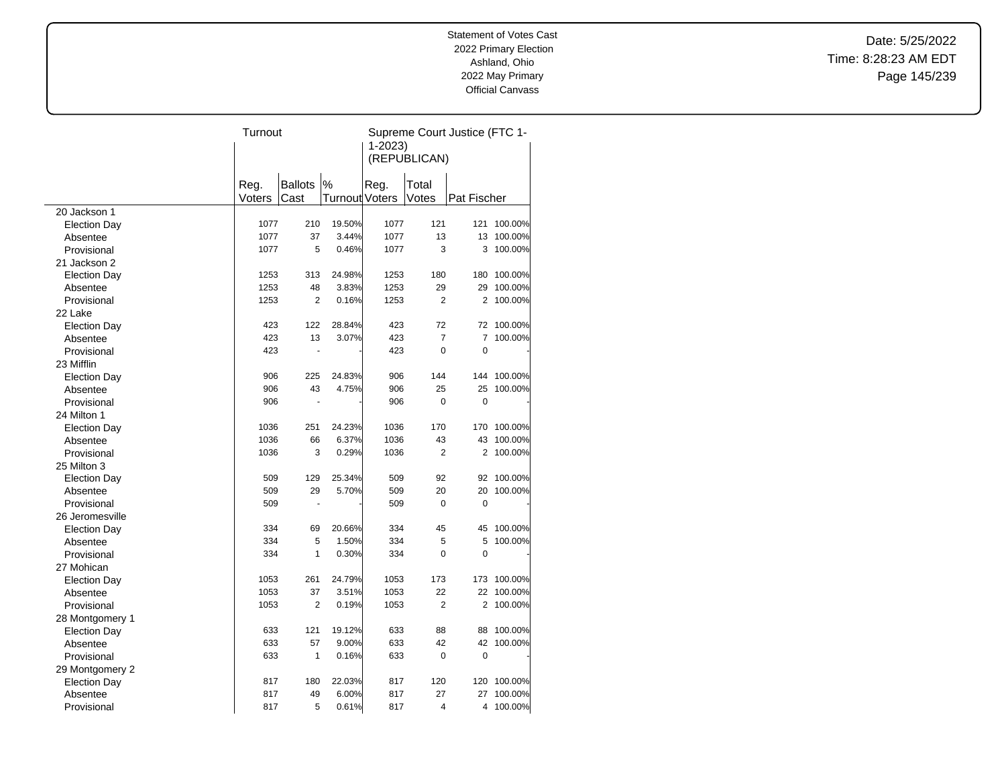Date: 5/25/2022 Time: 8:28:23 AM EDT Page 145/239

|                     | Turnout |                          |                | Supreme Court Justice (FTC 1- |                |                |             |  |
|---------------------|---------|--------------------------|----------------|-------------------------------|----------------|----------------|-------------|--|
|                     |         |                          |                |                               | $1 - 2023$     |                |             |  |
|                     |         |                          |                |                               | (REPUBLICAN)   |                |             |  |
|                     |         |                          |                |                               |                |                |             |  |
|                     | Reg.    | <b>Ballots</b>           | %              | Reg.                          | Total          |                |             |  |
|                     | Voters  | Cast                     | Turnout Voters |                               | Votes          | Pat Fischer    |             |  |
| 20 Jackson 1        |         |                          |                |                               |                |                |             |  |
| <b>Election Day</b> | 1077    | 210                      | 19.50%         | 1077                          | 121            | 121            | 100.00%     |  |
| Absentee            | 1077    | 37                       | 3.44%          | 1077                          | 13             | 13             | 100.00%     |  |
| Provisional         | 1077    | 5                        | 0.46%          | 1077                          | 3              | 3              | 100.00%     |  |
| 21 Jackson 2        |         |                          |                |                               |                |                |             |  |
| <b>Election Day</b> | 1253    | 313                      | 24.98%         | 1253                          | 180            | 180            | 100.00%     |  |
| Absentee            | 1253    | 48                       | 3.83%          | 1253                          | 29             | 29             | 100.00%     |  |
| Provisional         | 1253    | $\overline{2}$           | 0.16%          | 1253                          | $\overline{2}$ | 2              | 100.00%     |  |
| 22 Lake             |         |                          |                |                               |                |                |             |  |
| <b>Election Day</b> | 423     | 122                      | 28.84%         | 423                           | 72             |                | 72 100.00%  |  |
| Absentee            | 423     | 13                       | 3.07%          | 423                           | $\overline{7}$ | $\overline{7}$ | 100.00%     |  |
| Provisional         | 423     |                          |                | 423                           | $\mathbf 0$    | $\mathbf 0$    |             |  |
| 23 Mifflin          |         |                          |                |                               |                |                |             |  |
| <b>Election Day</b> | 906     | 225                      | 24.83%         | 906                           | 144            |                | 144 100.00% |  |
| Absentee            | 906     | 43                       | 4.75%          | 906                           | 25             | 25             | 100.00%     |  |
| Provisional         | 906     | $\overline{\phantom{a}}$ |                | 906                           | $\mathbf 0$    | $\mathbf 0$    |             |  |
| 24 Milton 1         |         |                          |                |                               |                |                |             |  |
| <b>Election Day</b> | 1036    | 251                      | 24.23%         | 1036                          | 170            | 170            | 100.00%     |  |
| Absentee            | 1036    | 66                       | 6.37%          | 1036                          | 43             | 43             | 100.00%     |  |
| Provisional         | 1036    | 3                        | 0.29%          | 1036                          | $\overline{2}$ | 2              | 100.00%     |  |
| 25 Milton 3         |         |                          |                |                               |                |                |             |  |
| <b>Election Day</b> | 509     | 129                      | 25.34%         | 509                           | 92             | 92             | 100.00%     |  |
| Absentee            | 509     | 29                       | 5.70%          | 509                           | 20             | 20             | 100.00%     |  |
| Provisional         | 509     |                          |                | 509                           | 0              | 0              |             |  |
| 26 Jeromesville     |         |                          |                |                               |                |                |             |  |
| <b>Election Day</b> | 334     | 69                       | 20.66%         | 334                           | 45             | 45             | 100.00%     |  |
| Absentee            | 334     | 5                        | 1.50%          | 334                           | 5              | 5              | 100.00%     |  |
| Provisional         | 334     | $\mathbf{1}$             | 0.30%          | 334                           | $\mathbf 0$    | 0              |             |  |
| 27 Mohican          |         |                          |                |                               |                |                |             |  |
| <b>Election Day</b> | 1053    | 261                      | 24.79%         | 1053                          | 173            | 173            | 100.00%     |  |
| Absentee            | 1053    | 37                       | 3.51%          | 1053                          | 22             | 22             | 100.00%     |  |
| Provisional         | 1053    | $\overline{2}$           | 0.19%          | 1053                          | $\overline{2}$ |                | 2 100.00%   |  |
| 28 Montgomery 1     |         |                          |                |                               |                |                |             |  |
| <b>Election Day</b> | 633     | 121                      | 19.12%         | 633                           | 88             | 88             | 100.00%     |  |
| Absentee            | 633     | 57                       | 9.00%          | 633                           | 42             | 42             | 100.00%     |  |
| Provisional         | 633     | 1                        | 0.16%          | 633                           | $\mathbf 0$    | 0              |             |  |
| 29 Montgomery 2     |         |                          |                |                               |                |                |             |  |
| <b>Election Day</b> | 817     | 180                      | 22.03%         | 817                           | 120            | 120            | 100.00%     |  |
| Absentee            | 817     | 49                       | 6.00%          | 817                           | 27             | 27             | 100.00%     |  |
| Provisional         | 817     | 5                        | 0.61%          | 817                           | 4              | 4              | 100.00%     |  |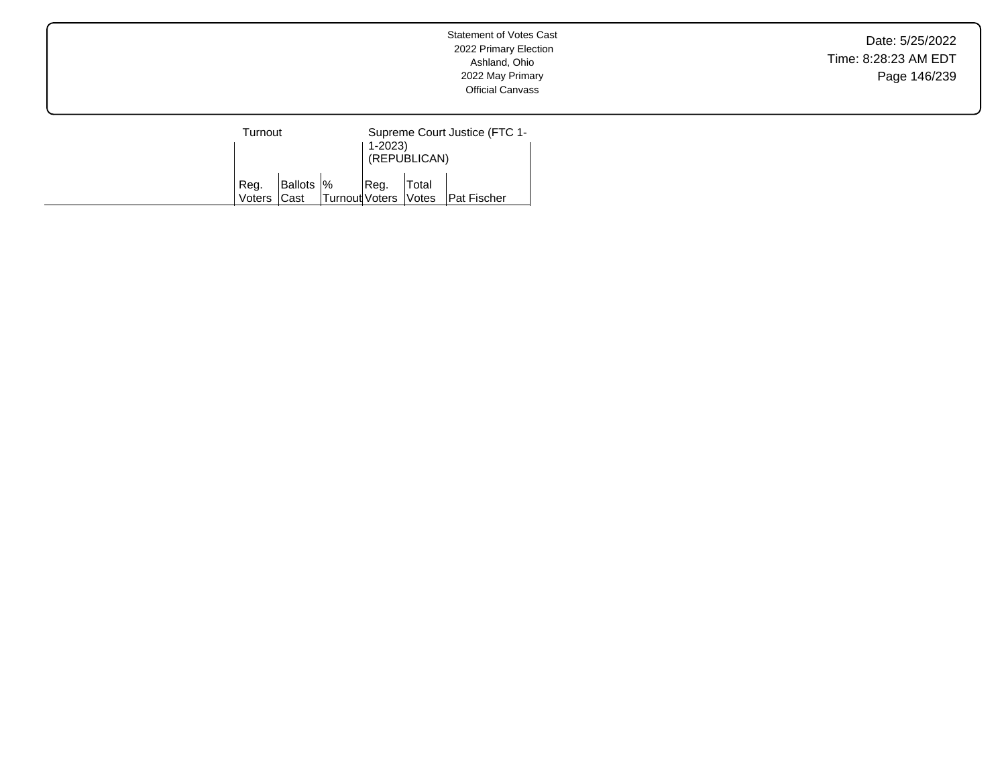Date: 5/25/2022 Time: 8:28:23 AM EDT Page 146/239

| Turnout             |            |                        | Supreme Court Justice (FTC 1-<br>$1-2023$<br>(REPUBLICAN) |       |                    |
|---------------------|------------|------------------------|-----------------------------------------------------------|-------|--------------------|
| Reg.<br>Voters Cast | Ballots  % | Turnout Voters   Votes | Reg.                                                      | Total | <b>Pat Fischer</b> |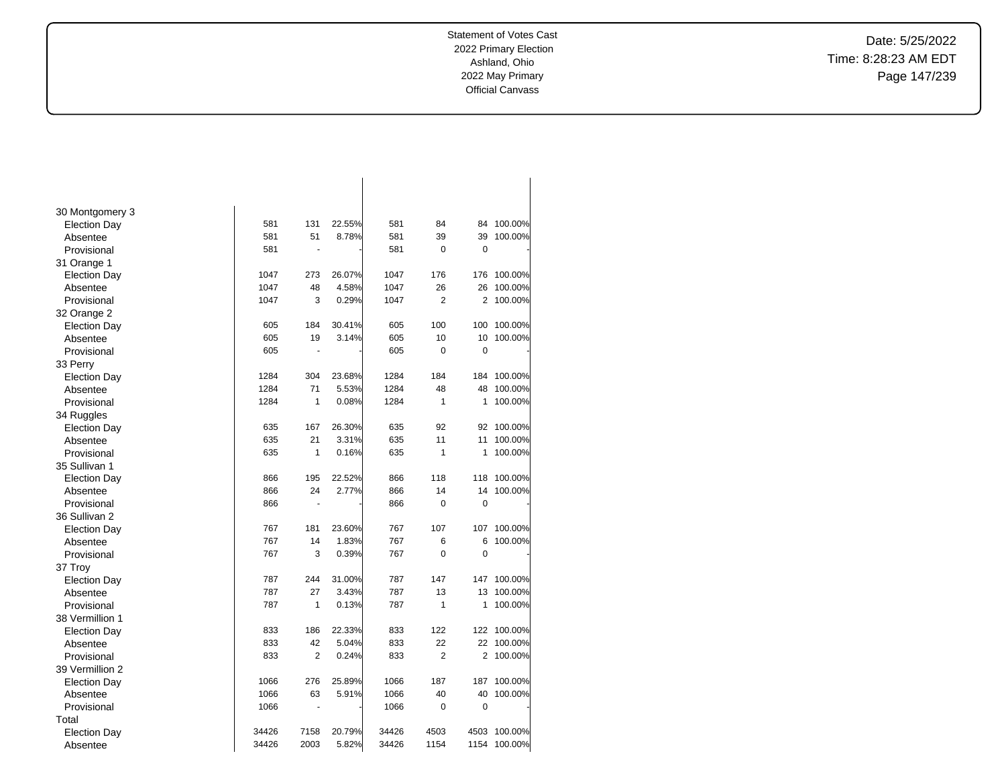Date: 5/25/2022 Time: 8:28:23 AM EDT Page 147/239

| 30 Montgomery 3     |       |                          |        |       |                |             |         |
|---------------------|-------|--------------------------|--------|-------|----------------|-------------|---------|
| <b>Election Day</b> | 581   | 131                      | 22.55% | 581   | 84             | 84          | 100.00% |
| Absentee            | 581   | 51                       | 8.78%  | 581   | 39             | 39          | 100.00% |
| Provisional         | 581   | $\overline{\phantom{a}}$ |        | 581   | 0              | $\mathbf 0$ |         |
| 31 Orange 1         |       |                          |        |       |                |             |         |
| <b>Election Day</b> | 1047  | 273                      | 26.07% | 1047  | 176            | 176         | 100.00% |
| Absentee            | 1047  | 48                       | 4.58%  | 1047  | 26             | 26          | 100.00% |
| Provisional         | 1047  | 3                        | 0.29%  | 1047  | $\overline{2}$ | 2           | 100.00% |
| 32 Orange 2         |       |                          |        |       |                |             |         |
| <b>Election Day</b> | 605   | 184                      | 30.41% | 605   | 100            | 100         | 100.00% |
| Absentee            | 605   | 19                       | 3.14%  | 605   | 10             | 10          | 100.00% |
| Provisional         | 605   | $\overline{\phantom{a}}$ |        | 605   | $\mathbf 0$    | 0           |         |
| 33 Perry            |       |                          |        |       |                |             |         |
| <b>Election Day</b> | 1284  | 304                      | 23.68% | 1284  | 184            | 184         | 100.00% |
| Absentee            | 1284  | 71                       | 5.53%  | 1284  | 48             | 48          | 100.00% |
| Provisional         | 1284  | 1                        | 0.08%  | 1284  | $\mathbf{1}$   | 1           | 100.00% |
| 34 Ruggles          |       |                          |        |       |                |             |         |
| <b>Election Day</b> | 635   | 167                      | 26.30% | 635   | 92             | 92          | 100.00% |
| Absentee            | 635   | 21                       | 3.31%  | 635   | 11             | 11          | 100.00% |
| Provisional         | 635   | 1                        | 0.16%  | 635   | $\mathbf{1}$   | 1           | 100.00% |
| 35 Sullivan 1       |       |                          |        |       |                |             |         |
| <b>Election Day</b> | 866   | 195                      | 22.52% | 866   | 118            | 118         | 100.00% |
| Absentee            | 866   | 24                       | 2.77%  | 866   | 14             | 14          | 100.00% |
| Provisional         | 866   | $\blacksquare$           |        | 866   | 0              | $\mathbf 0$ |         |
| 36 Sullivan 2       |       |                          |        |       |                |             |         |
| <b>Election Day</b> | 767   | 181                      | 23.60% | 767   | 107            | 107         | 100.00% |
| Absentee            | 767   | 14                       | 1.83%  | 767   | 6              | 6           | 100.00% |
| Provisional         | 767   | 3                        | 0.39%  | 767   | $\mathbf 0$    | 0           |         |
| 37 Troy             |       |                          |        |       |                |             |         |
| <b>Election Day</b> | 787   | 244                      | 31.00% | 787   | 147            | 147         | 100.00% |
| Absentee            | 787   | 27                       | 3.43%  | 787   | 13             | 13          | 100.00% |
| Provisional         | 787   | 1                        | 0.13%  | 787   | $\mathbf{1}$   | 1           | 100.00% |
| 38 Vermillion 1     |       |                          |        |       |                |             |         |
| <b>Election Day</b> | 833   | 186                      | 22.33% | 833   | 122            | 122         | 100.00% |
| Absentee            | 833   | 42                       | 5.04%  | 833   | 22             | 22          | 100.00% |
| Provisional         | 833   | $\overline{2}$           | 0.24%  | 833   | $\overline{2}$ | 2           | 100.00% |
| 39 Vermillion 2     |       |                          |        |       |                |             |         |
| <b>Election Day</b> | 1066  | 276                      | 25.89% | 1066  | 187            | 187         | 100.00% |
| Absentee            | 1066  | 63                       | 5.91%  | 1066  | 40             | 40          | 100.00% |
| Provisional         | 1066  | ÷,                       |        | 1066  | 0              | 0           |         |
| Total               |       |                          |        |       |                |             |         |
| <b>Election Day</b> | 34426 | 7158                     | 20.79% | 34426 | 4503           | 4503        | 100.00% |
| Absentee            | 34426 | 2003                     | 5.82%  | 34426 | 1154           | 1154        | 100.00% |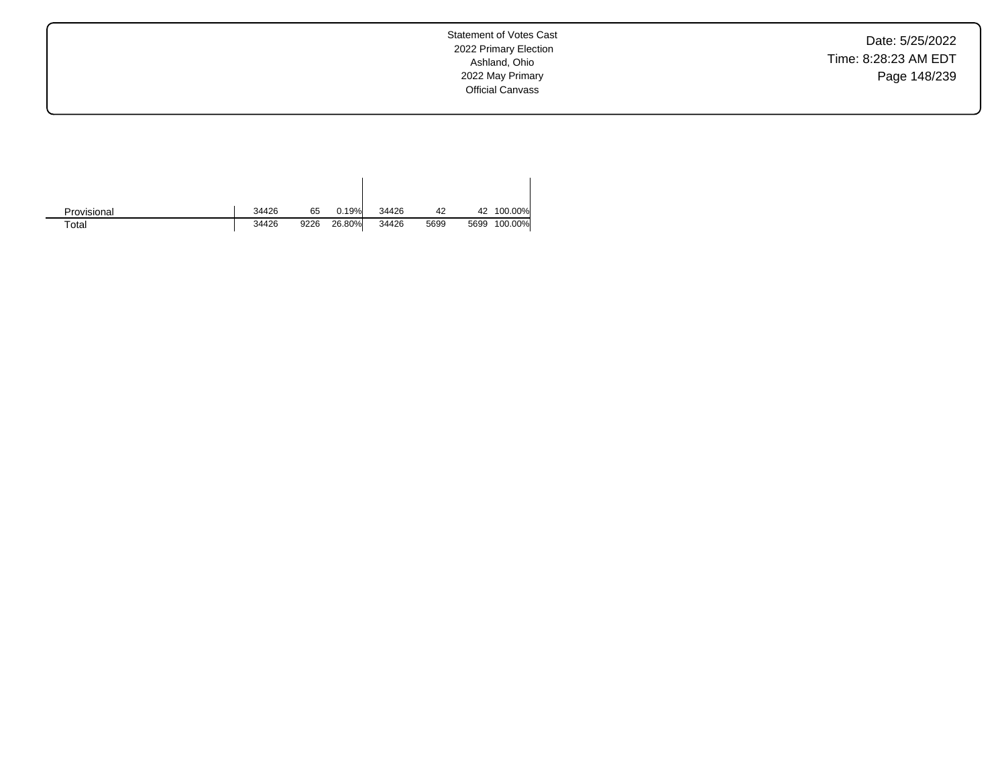Date: 5/25/2022 Time: 8:28:23 AM EDT Page 148/239

| Provisional | 34426 | 65   | 0.19%  | 34426 | 42   |      | 42 100.00% |
|-------------|-------|------|--------|-------|------|------|------------|
| $\tau$ otal | 34426 | 9226 | 26.80% | 34426 | 5699 | 5699 | 100.00%    |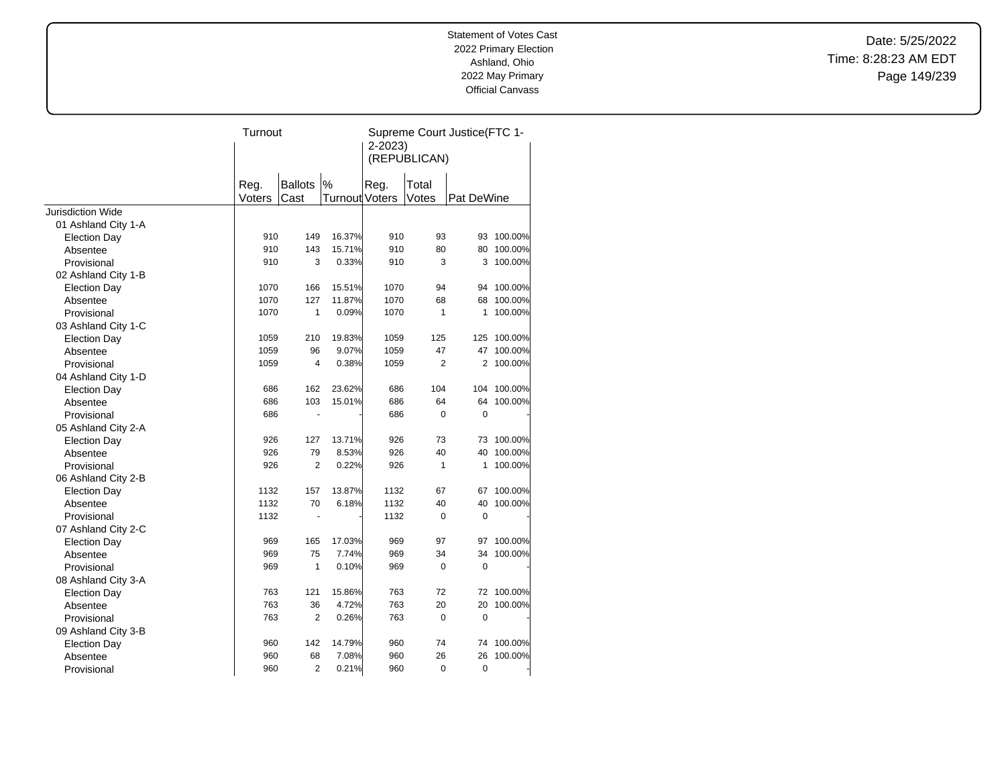Date: 5/25/2022 Time: 8:28:23 AM EDT Page 149/239

|                     | Turnout |                          |                | Supreme Court Justice(FTC 1- |                |             |             |
|---------------------|---------|--------------------------|----------------|------------------------------|----------------|-------------|-------------|
|                     |         |                          |                | $2 - 2023$                   | (REPUBLICAN)   |             |             |
|                     |         |                          |                |                              |                |             |             |
|                     | Reg.    | <b>Ballots</b>           | $\%$           | Reg.                         | Total          |             |             |
|                     | Voters  | Cast                     | Turnout Voters |                              | Votes          | Pat DeWine  |             |
| Jurisdiction Wide   |         |                          |                |                              |                |             |             |
| 01 Ashland City 1-A |         |                          |                |                              |                |             |             |
| <b>Election Day</b> | 910     | 149                      | 16.37%         | 910                          | 93             | 93          | 100.00%     |
| Absentee            | 910     | 143                      | 15.71%         | 910                          | 80             | 80          | 100.00%     |
| Provisional         | 910     | 3                        | 0.33%          | 910                          | 3              | 3           | 100.00%     |
| 02 Ashland City 1-B |         |                          |                |                              |                |             |             |
| <b>Election Day</b> | 1070    | 166                      | 15.51%         | 1070                         | 94             | 94          | 100.00%     |
| Absentee            | 1070    | 127                      | 11.87%         | 1070                         | 68             | 68          | 100.00%     |
| Provisional         | 1070    | $\mathbf{1}$             | 0.09%          | 1070                         | $\mathbf{1}$   | 1           | 100.00%     |
| 03 Ashland City 1-C |         |                          |                |                              |                |             |             |
| <b>Election Day</b> | 1059    | 210                      | 19.83%         | 1059                         | 125            | 125         | 100.00%     |
| Absentee            | 1059    | 96                       | 9.07%          | 1059                         | 47             | 47          | 100.00%     |
| Provisional         | 1059    | $\overline{4}$           | 0.38%          | 1059                         | $\overline{2}$ | 2           | 100.00%     |
| 04 Ashland City 1-D |         |                          |                |                              |                |             |             |
| <b>Election Day</b> | 686     | 162                      | 23.62%         | 686                          | 104            |             | 104 100.00% |
| Absentee            | 686     | 103                      | 15.01%         | 686                          | 64             | 64          | 100.00%     |
| Provisional         | 686     | ٠                        |                | 686                          | 0              | $\mathbf 0$ |             |
| 05 Ashland City 2-A |         |                          |                |                              |                |             |             |
| <b>Election Day</b> | 926     | 127                      | 13.71%         | 926                          | 73             | 73          | 100.00%     |
| Absentee            | 926     | 79                       | 8.53%          | 926                          | 40             | 40          | 100.00%     |
| Provisional         | 926     | $\overline{2}$           | 0.22%          | 926                          | $\mathbf{1}$   | 1           | 100.00%     |
| 06 Ashland City 2-B |         |                          |                |                              |                |             |             |
| <b>Election Day</b> | 1132    | 157                      | 13.87%         | 1132                         | 67             | 67          | 100.00%     |
| Absentee            | 1132    | 70                       | 6.18%          | 1132                         | 40             | 40          | 100.00%     |
| Provisional         | 1132    | $\overline{\phantom{a}}$ |                | 1132                         | 0              | $\mathbf 0$ |             |
| 07 Ashland City 2-C |         |                          |                |                              |                |             |             |
| <b>Election Day</b> | 969     | 165                      | 17.03%         | 969                          | 97             | 97          | 100.00%     |
| Absentee            | 969     | 75                       | 7.74%          | 969                          | 34             | 34          | 100.00%     |
| Provisional         | 969     | $\mathbf{1}$             | 0.10%          | 969                          | 0              | 0           |             |
| 08 Ashland City 3-A |         |                          |                |                              |                |             |             |
| <b>Election Day</b> | 763     | 121                      | 15.86%         | 763                          | 72             |             | 72 100.00%  |
| Absentee            | 763     | 36                       | 4.72%          | 763                          | 20             | 20          | 100.00%     |
| Provisional         | 763     | 2                        | 0.26%          | 763                          | 0              | $\mathbf 0$ |             |
| 09 Ashland City 3-B |         |                          |                |                              |                |             |             |
| <b>Election Day</b> | 960     | 142                      | 14.79%         | 960                          | 74             | 74          | 100.00%     |
| Absentee            | 960     | 68                       | 7.08%          | 960                          | 26             | 26          | 100.00%     |
| Provisional         | 960     | $\overline{2}$           | 0.21%          | 960                          | 0              | 0           |             |
|                     |         |                          |                |                              |                |             |             |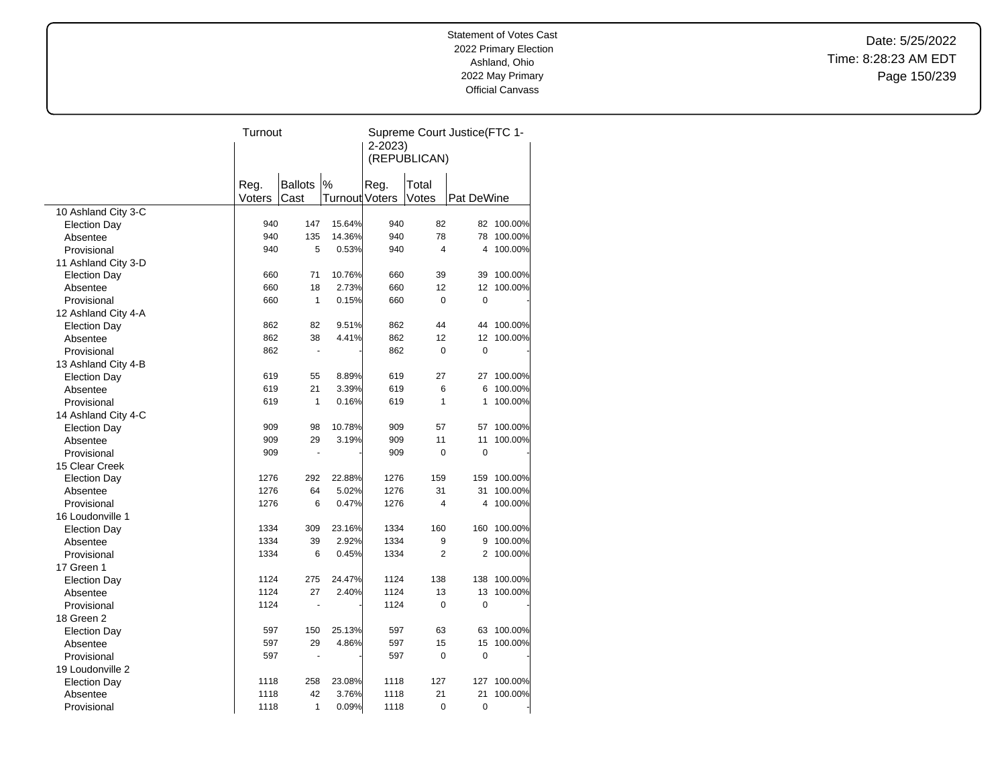Date: 5/25/2022 Time: 8:28:23 AM EDT Page 150/239

|                     | Turnout |                |                | Supreme Court Justice(FTC 1- |                |                |         |
|---------------------|---------|----------------|----------------|------------------------------|----------------|----------------|---------|
|                     |         |                |                | 2-2023)                      |                |                |         |
|                     |         |                |                |                              | (REPUBLICAN)   |                |         |
|                     |         |                |                |                              |                |                |         |
|                     | Reg.    | <b>Ballots</b> | %              | Reg.                         | Total          |                |         |
|                     | Voters  | Cast           | Turnout Voters |                              | Votes          | Pat DeWine     |         |
| 10 Ashland City 3-C |         |                |                |                              |                |                |         |
| <b>Election Day</b> | 940     | 147            | 15.64%         | 940                          | 82             | 82             | 100.00% |
| Absentee            | 940     | 135            | 14.36%         | 940                          | 78             | 78             | 100.00% |
| Provisional         | 940     | 5              | 0.53%          | 940                          | 4              | 4              | 100.00% |
| 11 Ashland City 3-D |         |                |                |                              |                |                |         |
| <b>Election Day</b> | 660     | 71             | 10.76%         | 660                          | 39             | 39             | 100.00% |
| Absentee            | 660     | 18             | 2.73%          | 660                          | 12             | 12             | 100.00% |
| Provisional         | 660     | $\mathbf{1}$   | 0.15%          | 660                          | 0              | 0              |         |
| 12 Ashland City 4-A |         |                |                |                              |                |                |         |
| <b>Election Day</b> | 862     | 82             | 9.51%          | 862                          | 44             | 44             | 100.00% |
| Absentee            | 862     | 38             | 4.41%          | 862                          | 12             | 12             | 100.00% |
| Provisional         | 862     | $\blacksquare$ |                | 862                          | $\mathbf 0$    | $\mathbf 0$    |         |
| 13 Ashland City 4-B |         |                |                |                              |                |                |         |
| <b>Election Day</b> | 619     | 55             | 8.89%          | 619                          | 27             | 27             | 100.00% |
| Absentee            | 619     | 21             | 3.39%          | 619                          | 6              | 6              | 100.00% |
| Provisional         | 619     | $\mathbf{1}$   | 0.16%          | 619                          | 1              | 1              | 100.00% |
| 14 Ashland City 4-C |         |                |                |                              |                |                |         |
| <b>Election Day</b> | 909     | 98             | 10.78%         | 909                          | 57             | 57             | 100.00% |
| Absentee            | 909     | 29             | 3.19%          | 909                          | 11             | 11             | 100.00% |
| Provisional         | 909     | $\overline{a}$ |                | 909                          | $\overline{0}$ | $\overline{0}$ |         |
| 15 Clear Creek      |         |                |                |                              |                |                |         |
| <b>Election Day</b> | 1276    | 292            | 22.88%         | 1276                         | 159            | 159            | 100.00% |
| Absentee            | 1276    | 64             | 5.02%          | 1276                         | 31             | 31             | 100.00% |
| Provisional         | 1276    | 6              | 0.47%          | 1276                         | 4              | 4              | 100.00% |
| 16 Loudonville 1    |         |                |                |                              |                |                |         |
| <b>Election Day</b> | 1334    | 309            | 23.16%         | 1334                         | 160            | 160            | 100.00% |
| Absentee            | 1334    | 39             | 2.92%          | 1334                         | 9              | 9              | 100.00% |
| Provisional         | 1334    | 6              | 0.45%          | 1334                         | $\overline{2}$ | 2              | 100.00% |
| 17 Green 1          |         |                |                |                              |                |                |         |
| <b>Election Day</b> | 1124    | 275            | 24.47%         | 1124                         | 138            | 138            | 100.00% |
| Absentee            | 1124    | 27             | 2.40%          | 1124                         | 13             | 13             | 100.00% |
| Provisional         | 1124    |                |                | 1124                         | 0              | $\mathbf 0$    |         |
| 18 Green 2          |         |                |                |                              |                |                |         |
| <b>Election Day</b> | 597     | 150            | 25.13%         | 597                          | 63             | 63             | 100.00% |
| Absentee            | 597     | 29             | 4.86%          | 597                          | 15             | 15             | 100.00% |
| Provisional         | 597     | ä,             |                | 597                          | $\mathbf 0$    | $\mathbf 0$    |         |
| 19 Loudonville 2    |         |                |                |                              |                |                |         |
| <b>Election Day</b> | 1118    | 258            | 23.08%         | 1118                         | 127            | 127            | 100.00% |
| Absentee            | 1118    | 42             | 3.76%          | 1118                         | 21             | 21             | 100.00% |
| Provisional         | 1118    | 1              | 0.09%          | 1118                         | $\mathbf 0$    | $\mathbf 0$    |         |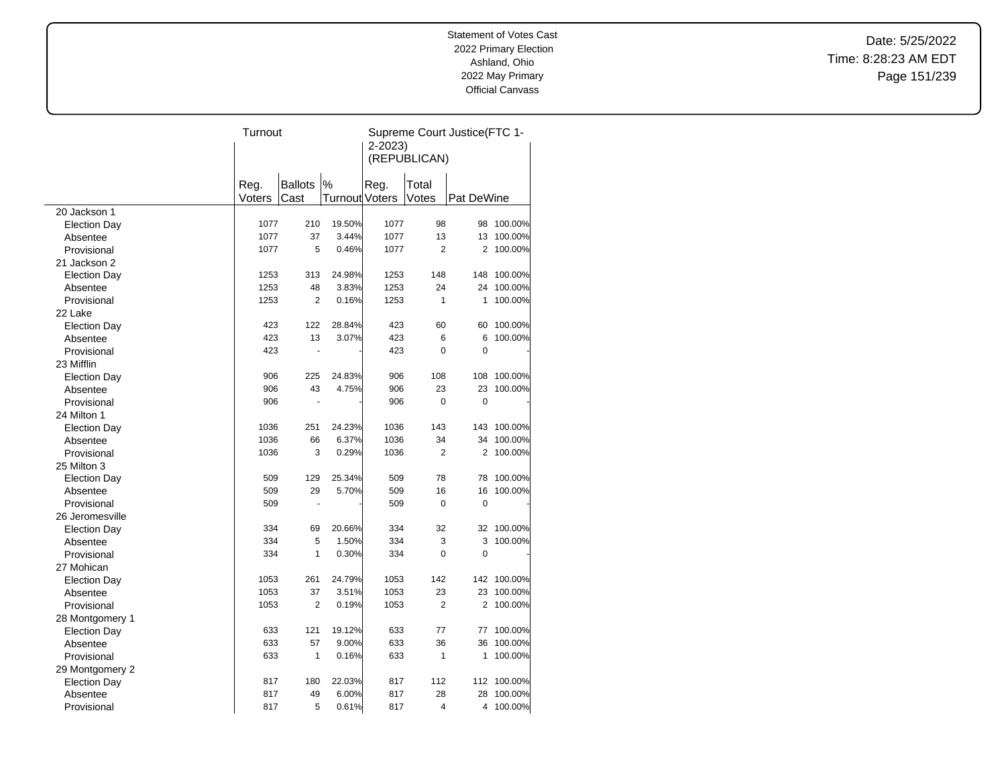Date: 5/25/2022 Time: 8:28:23 AM EDT Page 151/239

|                                        |        | Turnout        |                       |      | Supreme Court Justice(FTC 1- |             |             |  |
|----------------------------------------|--------|----------------|-----------------------|------|------------------------------|-------------|-------------|--|
|                                        |        |                |                       |      | $2 - 2023$                   |             |             |  |
|                                        |        |                |                       |      | (REPUBLICAN)                 |             |             |  |
|                                        |        |                |                       |      |                              |             |             |  |
|                                        | Reg.   | <b>Ballots</b> | $\%$                  | Reg. | Total                        |             |             |  |
|                                        | Voters | Cast           | <b>Turnout Voters</b> |      | Votes                        | Pat DeWine  |             |  |
| 20 Jackson 1                           |        |                |                       |      |                              |             |             |  |
| <b>Election Day</b>                    | 1077   | 210            | 19.50%                | 1077 | 98                           | 98          | 100.00%     |  |
| Absentee                               | 1077   | 37             | 3.44%                 | 1077 | 13                           | 13          | 100.00%     |  |
| Provisional                            | 1077   | 5              | 0.46%                 | 1077 | $\overline{2}$               | 2           | 100.00%     |  |
| 21 Jackson 2                           |        |                |                       |      |                              |             |             |  |
| <b>Election Day</b>                    | 1253   | 313            | 24.98%                | 1253 | 148                          | 148         | 100.00%     |  |
| Absentee                               | 1253   | 48             | 3.83%                 | 1253 | 24                           | 24          | 100.00%     |  |
| Provisional                            | 1253   | $\overline{2}$ | 0.16%                 | 1253 | $\mathbf{1}$                 | 1           | 100.00%     |  |
| 22 Lake                                |        |                |                       |      |                              |             |             |  |
| <b>Election Day</b>                    | 423    | 122            | 28.84%                | 423  | 60                           | 60          | 100.00%     |  |
| Absentee                               | 423    | 13             | 3.07%                 | 423  | 6                            | 6           | 100.00%     |  |
| Provisional                            | 423    |                |                       | 423  | $\Omega$                     | $\mathbf 0$ |             |  |
| 23 Mifflin                             |        |                |                       |      |                              |             |             |  |
| <b>Election Day</b>                    | 906    | 225            | 24.83%                | 906  | 108                          | 108         | 100.00%     |  |
| Absentee                               | 906    | 43             | 4.75%                 | 906  | 23                           | 23          | 100.00%     |  |
| Provisional                            | 906    | ÷.             |                       | 906  | $\mathbf 0$                  | $\mathbf 0$ |             |  |
| 24 Milton 1                            |        |                |                       |      |                              |             |             |  |
| <b>Election Day</b>                    | 1036   | 251            | 24.23%                | 1036 | 143                          | 143         | 100.00%     |  |
| Absentee                               | 1036   | 66             | 6.37%                 | 1036 | 34                           | 34          | 100.00%     |  |
| Provisional                            | 1036   | 3              | 0.29%                 | 1036 | $\overline{2}$               | 2           | 100.00%     |  |
| 25 Milton 3                            |        |                |                       |      |                              |             |             |  |
| <b>Election Day</b>                    | 509    | 129            | 25.34%                | 509  | 78                           | 78          | 100.00%     |  |
| Absentee                               | 509    | 29             | 5.70%                 | 509  | 16                           | 16          | 100.00%     |  |
| Provisional                            | 509    |                |                       | 509  | 0                            | $\mathbf 0$ |             |  |
| 26 Jeromesville                        |        |                |                       |      |                              |             |             |  |
| <b>Election Day</b>                    | 334    | 69             | 20.66%                | 334  | 32                           | 32          | 100.00%     |  |
| Absentee                               | 334    | 5              | 1.50%                 | 334  | 3                            | 3           | 100.00%     |  |
| Provisional                            | 334    | 1              | 0.30%                 | 334  | $\Omega$                     | 0           |             |  |
| 27 Mohican                             |        |                |                       |      |                              |             |             |  |
| <b>Election Day</b>                    | 1053   | 261            | 24.79%                | 1053 | 142                          |             | 142 100.00% |  |
| Absentee                               | 1053   | 37             | 3.51%                 | 1053 | 23                           | 23          | 100.00%     |  |
| Provisional                            | 1053   | 2              | 0.19%                 | 1053 | $\overline{2}$               |             | 2 100.00%   |  |
| 28 Montgomery 1                        |        |                |                       |      |                              |             |             |  |
| <b>Election Day</b>                    | 633    | 121            | 19.12%                | 633  | 77                           | 77          | 100.00%     |  |
| Absentee                               | 633    | 57             | 9.00%                 | 633  | 36                           | 36          | 100.00%     |  |
| Provisional                            | 633    | 1              | 0.16%                 | 633  | $\mathbf{1}$                 | 1           | 100.00%     |  |
|                                        |        |                |                       |      |                              |             |             |  |
| 29 Montgomery 2<br><b>Election Day</b> | 817    | 180            | 22.03%                | 817  | 112                          | 112         | 100.00%     |  |
| Absentee                               | 817    | 49             | 6.00%                 | 817  | 28                           | 28          | 100.00%     |  |
|                                        |        | 5              |                       | 817  | 4                            |             | 100.00%     |  |
| Provisional                            | 817    |                | 0.61%                 |      |                              | 4           |             |  |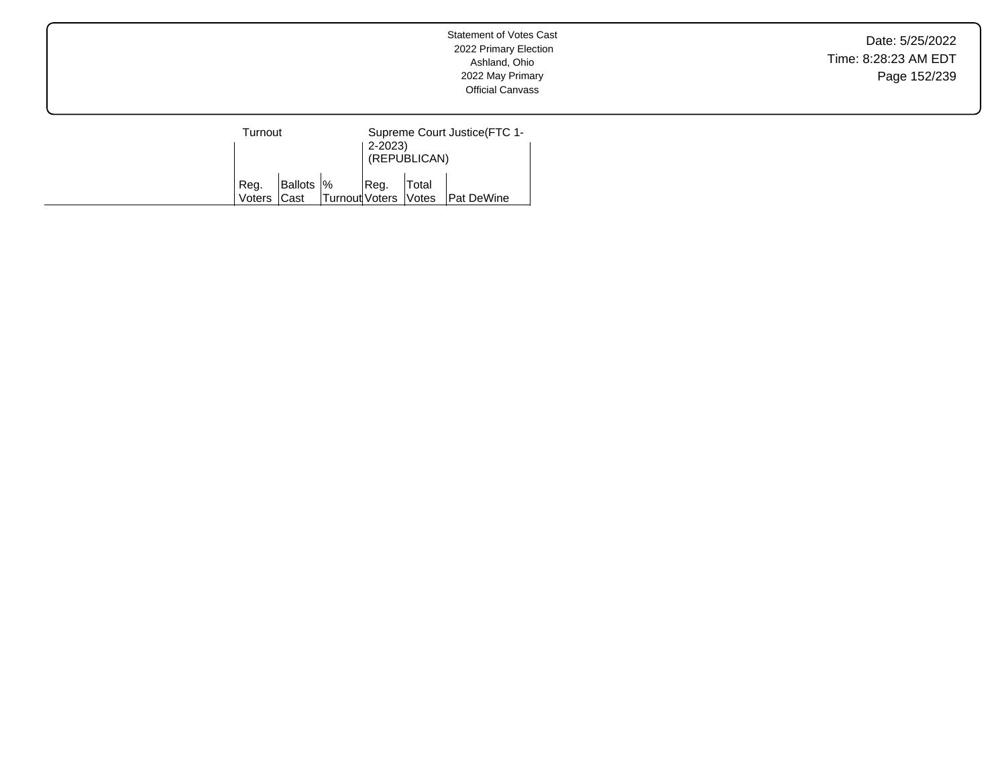Date: 5/25/2022 Time: 8:28:23 AM EDT Page 152/239

| Turnout             |            |                      | Supreme Court Justice (FTC 1-<br>$2 - 2023$<br>(REPUBLICAN) |       |                   |
|---------------------|------------|----------------------|-------------------------------------------------------------|-------|-------------------|
| Reg.<br>Voters Cast | Ballots  % | Turnout Voters Votes | Reg.                                                        | Total | <b>Pat DeWine</b> |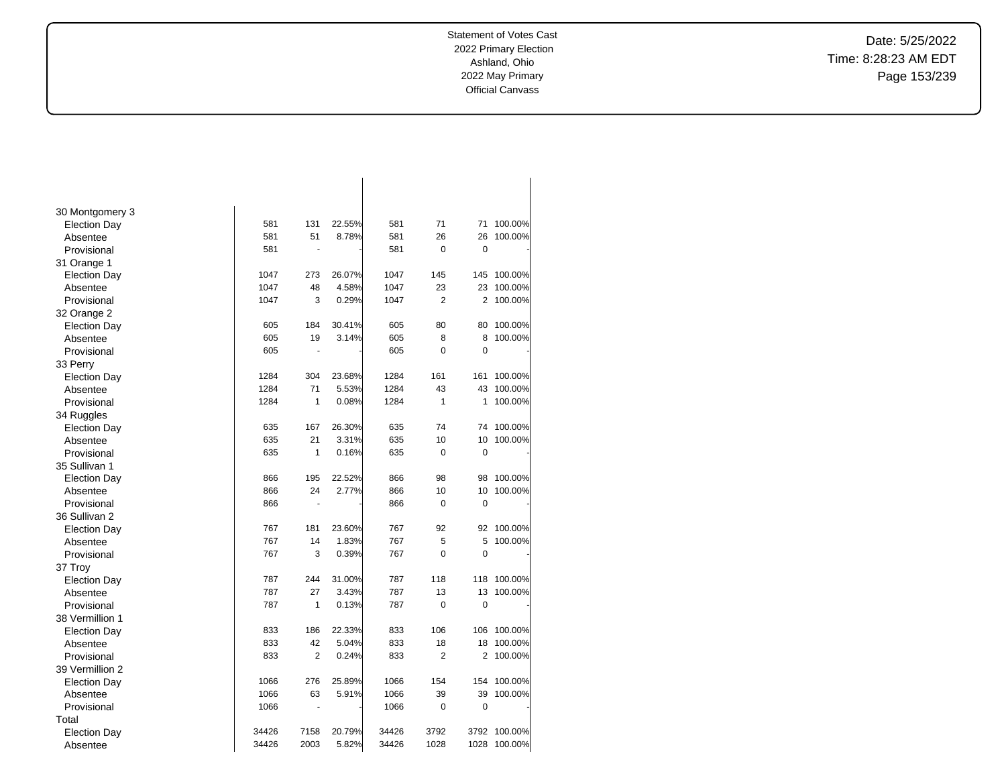Date: 5/25/2022 Time: 8:28:23 AM EDT Page 153/239

| 30 Montgomery 3     |       |                          |        |       |                |             |         |
|---------------------|-------|--------------------------|--------|-------|----------------|-------------|---------|
| <b>Election Day</b> | 581   | 131                      | 22.55% | 581   | 71             | 71          | 100.00% |
| Absentee            | 581   | 51                       | 8.78%  | 581   | 26             | 26          | 100.00% |
| Provisional         | 581   | ä,                       |        | 581   | 0              | 0           |         |
| 31 Orange 1         |       |                          |        |       |                |             |         |
| <b>Election Day</b> | 1047  | 273                      | 26.07% | 1047  | 145            | 145         | 100.00% |
| Absentee            | 1047  | 48                       | 4.58%  | 1047  | 23             | 23          | 100.00% |
| Provisional         | 1047  | 3                        | 0.29%  | 1047  | $\overline{2}$ | 2           | 100.00% |
| 32 Orange 2         |       |                          |        |       |                |             |         |
| <b>Election Day</b> | 605   | 184                      | 30.41% | 605   | 80             | 80          | 100.00% |
| Absentee            | 605   | 19                       | 3.14%  | 605   | 8              | 8           | 100.00% |
| Provisional         | 605   | $\overline{\phantom{a}}$ |        | 605   | 0              | 0           |         |
| 33 Perry            |       |                          |        |       |                |             |         |
| <b>Election Day</b> | 1284  | 304                      | 23.68% | 1284  | 161            | 161         | 100.00% |
| Absentee            | 1284  | 71                       | 5.53%  | 1284  | 43             | 43          | 100.00% |
| Provisional         | 1284  | 1                        | 0.08%  | 1284  | 1              | 1           | 100.00% |
| 34 Ruggles          |       |                          |        |       |                |             |         |
| <b>Election Day</b> | 635   | 167                      | 26.30% | 635   | 74             | 74          | 100.00% |
| Absentee            | 635   | 21                       | 3.31%  | 635   | 10             | 10          | 100.00% |
| Provisional         | 635   | 1                        | 0.16%  | 635   | 0              | $\mathbf 0$ |         |
| 35 Sullivan 1       |       |                          |        |       |                |             |         |
| <b>Election Day</b> | 866   | 195                      | 22.52% | 866   | 98             | 98          | 100.00% |
| Absentee            | 866   | 24                       | 2.77%  | 866   | 10             | 10          | 100.00% |
| Provisional         | 866   | $\blacksquare$           |        | 866   | 0              | $\mathbf 0$ |         |
| 36 Sullivan 2       |       |                          |        |       |                |             |         |
| <b>Election Day</b> | 767   | 181                      | 23.60% | 767   | 92             | 92          | 100.00% |
| Absentee            | 767   | 14                       | 1.83%  | 767   | 5              | 5           | 100.00% |
| Provisional         | 767   | 3                        | 0.39%  | 767   | $\Omega$       | $\Omega$    |         |
| 37 Troy             |       |                          |        |       |                |             |         |
| <b>Election Day</b> | 787   | 244                      | 31.00% | 787   | 118            | 118         | 100.00% |
| Absentee            | 787   | 27                       | 3.43%  | 787   | 13             | 13          | 100.00% |
| Provisional         | 787   | 1                        | 0.13%  | 787   | $\mathbf 0$    | $\mathbf 0$ |         |
| 38 Vermillion 1     |       |                          |        |       |                |             |         |
| <b>Election Day</b> | 833   | 186                      | 22.33% | 833   | 106            | 106         | 100.00% |
| Absentee            | 833   | 42                       | 5.04%  | 833   | 18             | 18          | 100.00% |
| Provisional         | 833   | $\overline{2}$           | 0.24%  | 833   | $\overline{2}$ | 2           | 100.00% |
| 39 Vermillion 2     |       |                          |        |       |                |             |         |
| <b>Election Day</b> | 1066  | 276                      | 25.89% | 1066  | 154            | 154         | 100.00% |
| Absentee            | 1066  | 63                       | 5.91%  | 1066  | 39             | 39          | 100.00% |
| Provisional         | 1066  | Ĭ.                       |        | 1066  | 0              | 0           |         |
| Total               |       |                          |        |       |                |             |         |
| <b>Election Day</b> | 34426 | 7158                     | 20.79% | 34426 | 3792           | 3792        | 100.00% |
| Absentee            | 34426 | 2003                     | 5.82%  | 34426 | 1028           | 1028        | 100.00% |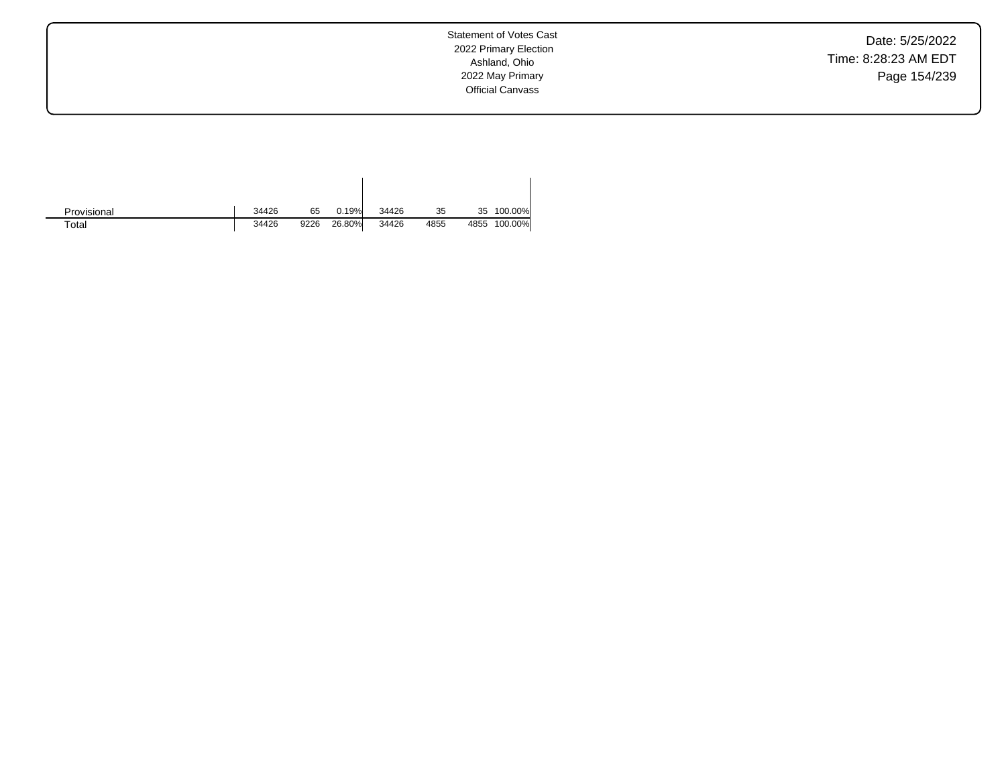Date: 5/25/2022 Time: 8:28:23 AM EDT Page 154/239

| Provisional | 34426 | 65   | 0.19%  | 34426 | 35   | 35   | 100.00% |
|-------------|-------|------|--------|-------|------|------|---------|
| Total       | 34426 | 9226 | 26.80% | 34426 | 4855 | 4855 | 100.00% |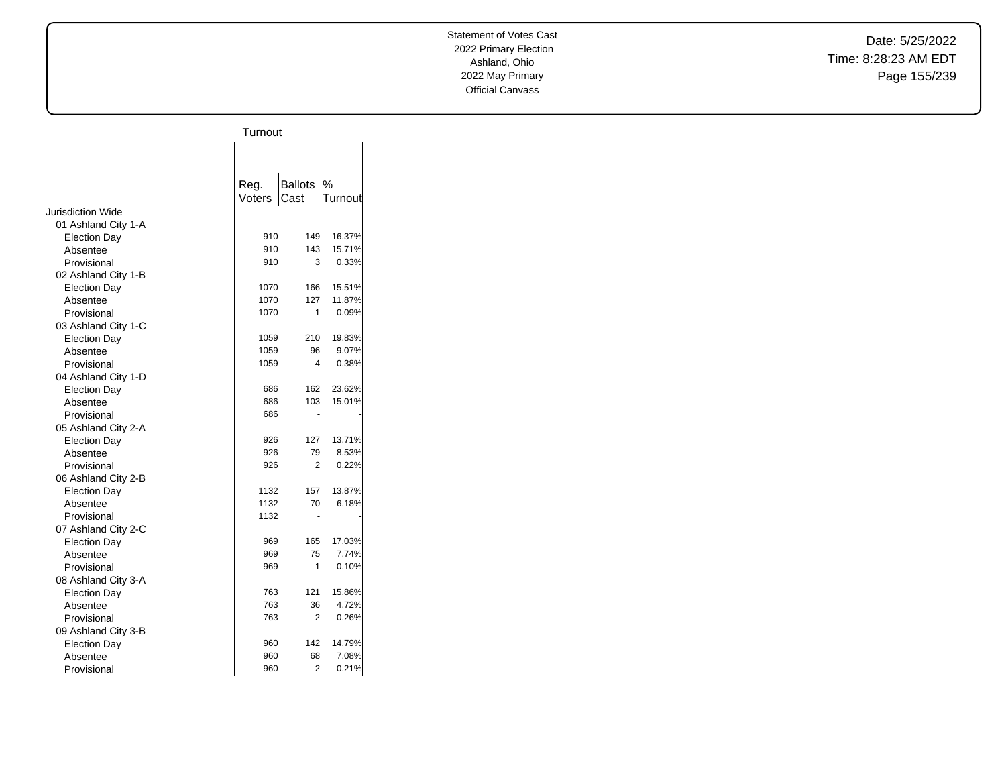Date: 5/25/2022 Time: 8:28:23 AM EDT Page 155/239

|                          | Turnout |                |         |
|--------------------------|---------|----------------|---------|
|                          |         |                |         |
|                          |         |                |         |
|                          | Reg.    | <b>Ballots</b> | $\%$    |
|                          | Voters  | Cast           | Turnout |
| <b>Jurisdiction Wide</b> |         |                |         |
| 01 Ashland City 1-A      |         |                |         |
| <b>Election Day</b>      | 910     | 149            | 16.37%  |
| Absentee                 | 910     | 143            | 15.71%  |
| Provisional              | 910     | 3              | 0.33%   |
| 02 Ashland City 1-B      |         |                |         |
| <b>Election Day</b>      | 1070    | 166            | 15.51%  |
| Absentee                 | 1070    | 127            | 11.87%  |
| Provisional              | 1070    | 1              | 0.09%   |
| 03 Ashland City 1-C      |         |                |         |
| <b>Election Day</b>      | 1059    | 210            | 19.83%  |
| Absentee                 | 1059    | 96             | 9.07%   |
| Provisional              | 1059    | 4              | 0.38%   |
| 04 Ashland City 1-D      |         |                |         |
| <b>Election Day</b>      | 686     | 162            | 23.62%  |
| Absentee                 | 686     | 103            | 15.01%  |
| Provisional              | 686     |                |         |
| 05 Ashland City 2-A      |         |                |         |
| <b>Election Day</b>      | 926     | 127            | 13.71%  |
| Absentee                 | 926     | 79             | 8.53%   |
| Provisional              | 926     | 2              | 0.22%   |
| 06 Ashland City 2-B      |         |                |         |
| <b>Election Day</b>      | 1132    | 157            | 13.87%  |
| Absentee                 | 1132    | 70             | 6.18%   |
| Provisional              | 1132    |                |         |
| 07 Ashland City 2-C      |         |                |         |
| <b>Election Day</b>      | 969     | 165            | 17.03%  |
| Absentee                 | 969     | 75             | 7.74%   |
| Provisional              | 969     | 1              | 0.10%   |
| 08 Ashland City 3-A      |         |                |         |
| <b>Election Day</b>      | 763     | 121            | 15.86%  |
| Absentee                 | 763     | 36             | 4.72%   |
| Provisional              | 763     | 2              | 0.26%   |
| 09 Ashland City 3-B      |         |                |         |
| <b>Election Day</b>      | 960     | 142            | 14.79%  |
| Absentee                 | 960     | 68             | 7.08%   |
| Provisional              | 960     | $\overline{2}$ | 0.21%   |
|                          |         |                |         |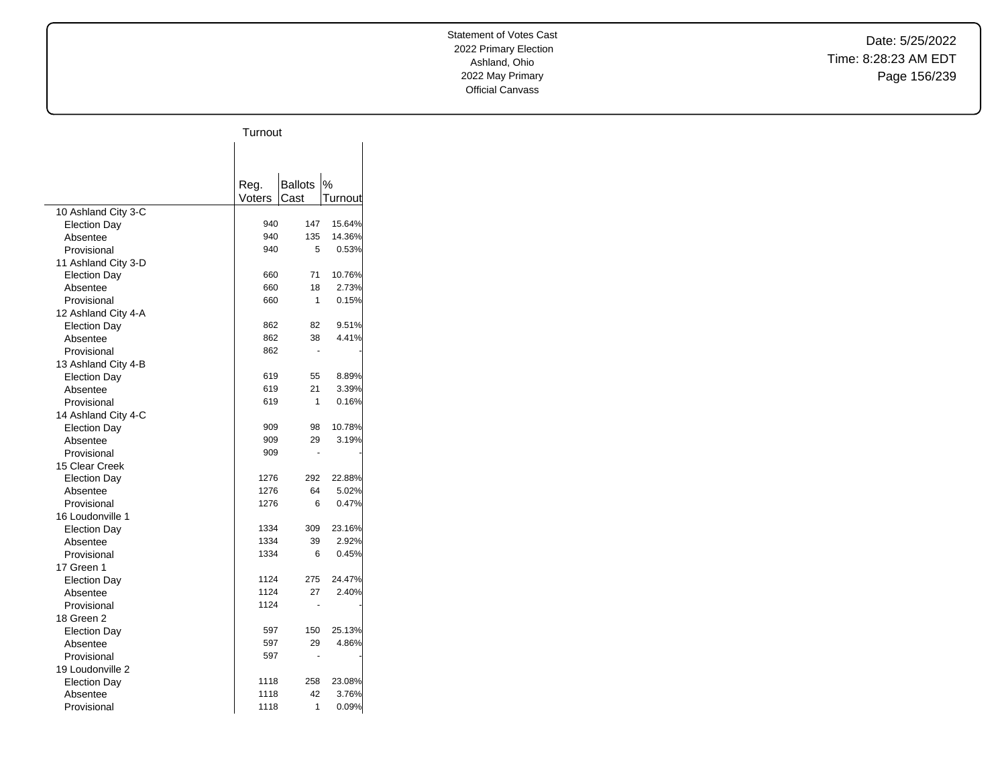Date: 5/25/2022 Time: 8:28:23 AM EDT Page 156/239

|                                 | Turnout |                |         |
|---------------------------------|---------|----------------|---------|
|                                 |         |                |         |
|                                 |         |                |         |
|                                 |         |                |         |
|                                 | Reg.    | <b>Ballots</b> | %       |
|                                 | Voters  | Cast           | Turnout |
| 10 Ashland City 3-C             | 940     | 147            | 15.64%  |
| <b>Election Day</b><br>Absentee | 940     | 135            | 14.36%  |
| Provisional                     | 940     | 5              | 0.53%   |
|                                 |         |                |         |
| 11 Ashland City 3-D             |         | 71             |         |
| <b>Election Day</b>             | 660     |                | 10.76%  |
| Absentee                        | 660     | 18             | 2.73%   |
| Provisional                     | 660     | 1              | 0.15%   |
| 12 Ashland City 4-A             |         |                |         |
| <b>Election Day</b>             | 862     | 82             | 9.51%   |
| Absentee                        | 862     | 38             | 4.41%   |
| Provisional                     | 862     |                |         |
| 13 Ashland City 4-B             |         |                |         |
| <b>Election Day</b>             | 619     | 55             | 8.89%   |
| Absentee                        | 619     | 21             | 3.39%   |
| Provisional                     | 619     | 1              | 0.16%   |
| 14 Ashland City 4-C             |         |                |         |
| <b>Election Day</b>             | 909     | 98             | 10.78%  |
| Absentee                        | 909     | 29             | 3.19%   |
| Provisional                     | 909     | ä,             |         |
| 15 Clear Creek                  |         |                |         |
| <b>Election Day</b>             | 1276    | 292            | 22.88%  |
| Absentee                        | 1276    | 64             | 5.02%   |
| Provisional                     | 1276    | 6              | 0.47%   |
| 16 Loudonville 1                |         |                |         |
| <b>Election Day</b>             | 1334    | 309            | 23.16%  |
| Absentee                        | 1334    | 39             | 2.92%   |
| Provisional                     | 1334    | 6              | 0.45%   |
| 17 Green 1                      |         |                |         |
| <b>Election Day</b>             | 1124    | 275            | 24.47%  |
| Absentee                        | 1124    | 27             | 2.40%   |
| Provisional                     | 1124    |                |         |
| 18 Green 2                      |         |                |         |
| <b>Election Day</b>             | 597     | 150            | 25.13%  |
| Absentee                        | 597     | 29             | 4.86%   |
| Provisional                     | 597     |                |         |
| 19 Loudonville 2                |         |                |         |
| <b>Election Day</b>             | 1118    | 258            | 23.08%  |
| Absentee                        | 1118    | 42             | 3.76%   |
| Provisional                     | 1118    | 1              | 0.09%   |
|                                 |         |                |         |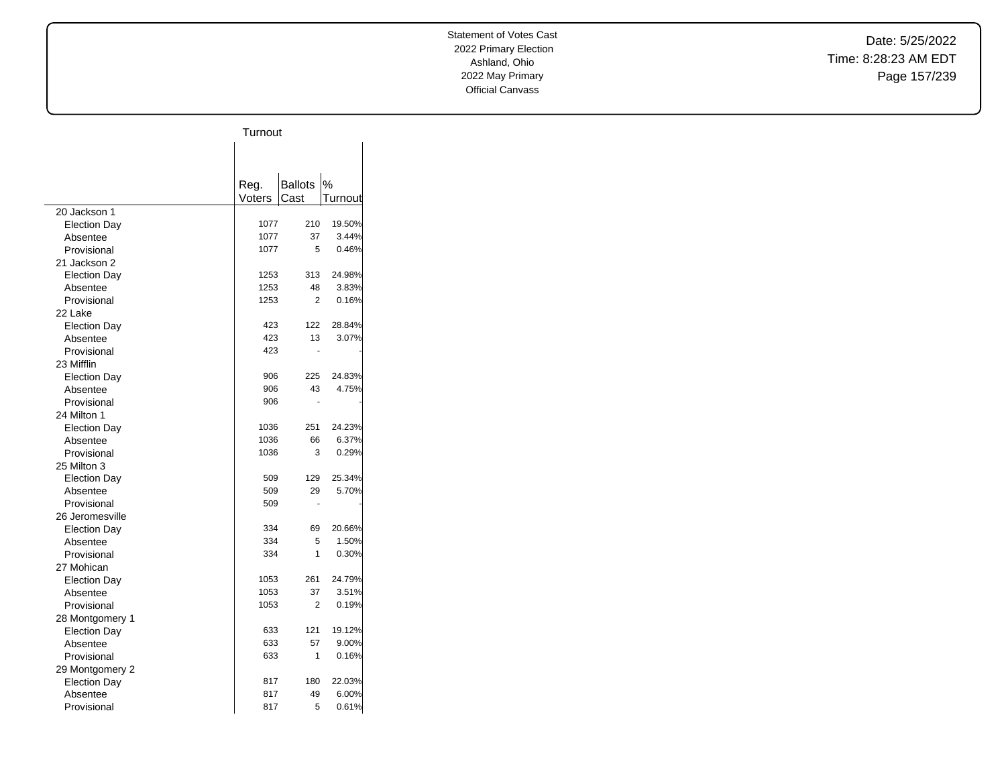Date: 5/25/2022 Time: 8:28:23 AM EDT Page 157/239

|                     | Turnout        |                |         |
|---------------------|----------------|----------------|---------|
|                     |                |                |         |
|                     |                |                |         |
|                     |                | <b>Ballots</b> | %       |
|                     | Reg.<br>Voters | Cast           | Turnout |
| 20 Jackson 1        |                |                |         |
| <b>Election Day</b> | 1077           | 210            | 19.50%  |
| Absentee            | 1077           | 37             | 3.44%   |
| Provisional         | 1077           | 5              | 0.46%   |
| 21 Jackson 2        |                |                |         |
| <b>Election Day</b> | 1253           | 313            | 24.98%  |
| Absentee            | 1253           | 48             | 3.83%   |
| Provisional         | 1253           | 2              | 0.16%   |
| 22 Lake             |                |                |         |
| <b>Election Day</b> | 423            | 122            | 28.84%  |
| Absentee            | 423            | 13             | 3.07%   |
| Provisional         | 423            |                |         |
| 23 Mifflin          |                |                |         |
| <b>Election Day</b> | 906            | 225            | 24.83%  |
| Absentee            | 906            | 43             | 4.75%   |
| Provisional         | 906            |                |         |
| 24 Milton 1         |                |                |         |
| <b>Election Day</b> | 1036           | 251            | 24.23%  |
| Absentee            | 1036           | 66             | 6.37%   |
| Provisional         | 1036           | 3              | 0.29%   |
| 25 Milton 3         |                |                |         |
| <b>Election Day</b> | 509            | 129            | 25.34%  |
| Absentee            | 509            | 29             | 5.70%   |
| Provisional         | 509            |                |         |
| 26 Jeromesville     |                |                |         |
| <b>Election Day</b> | 334            | 69             | 20.66%  |
| Absentee            | 334            | 5              | 1.50%   |
| Provisional         | 334            | 1              | 0.30%   |
| 27 Mohican          |                |                |         |
| <b>Election Day</b> | 1053           | 261            | 24.79%  |
| Absentee            | 1053           | 37             | 3.51%   |
| Provisional         | 1053           | 2              | 0.19%   |
| 28 Montgomery 1     |                |                |         |
| <b>Election Day</b> | 633            | 121            | 19.12%  |
| Absentee            | 633            | 57             | 9.00%   |
| Provisional         | 633            | 1              | 0.16%   |
| 29 Montgomery 2     |                |                |         |
| <b>Election Day</b> | 817            | 180            | 22.03%  |
| Absentee            | 817            | 49             | 6.00%   |
| Provisional         | 817            | 5              | 0.61%   |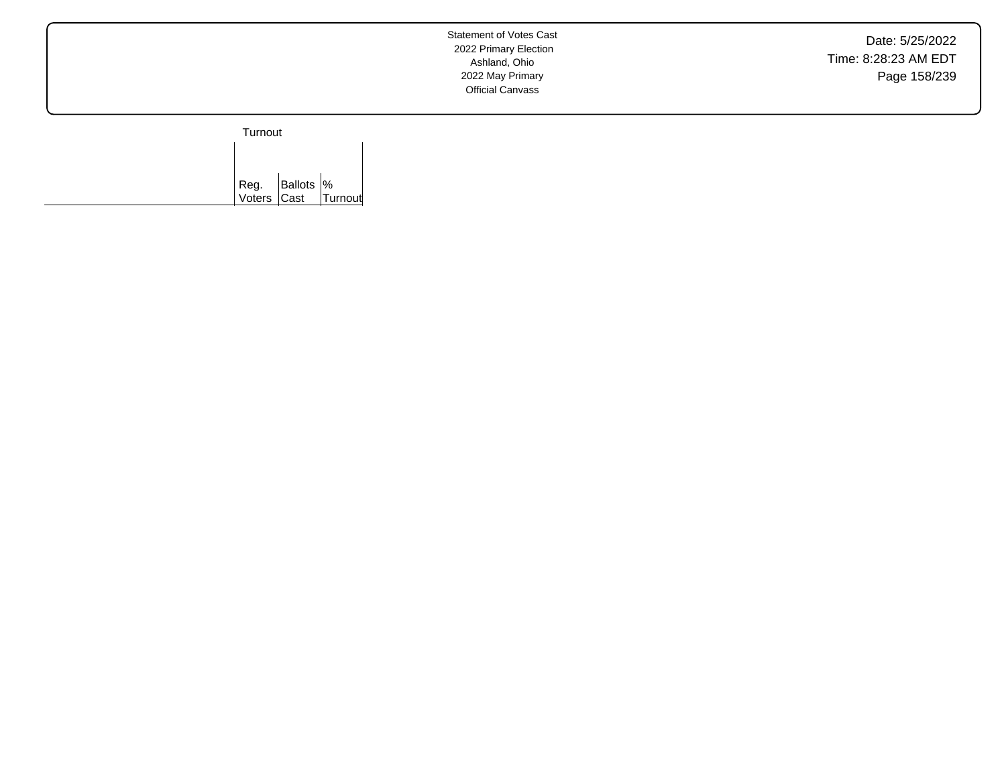Date: 5/25/2022 Time: 8:28:23 AM EDT Page 158/239

Turnout

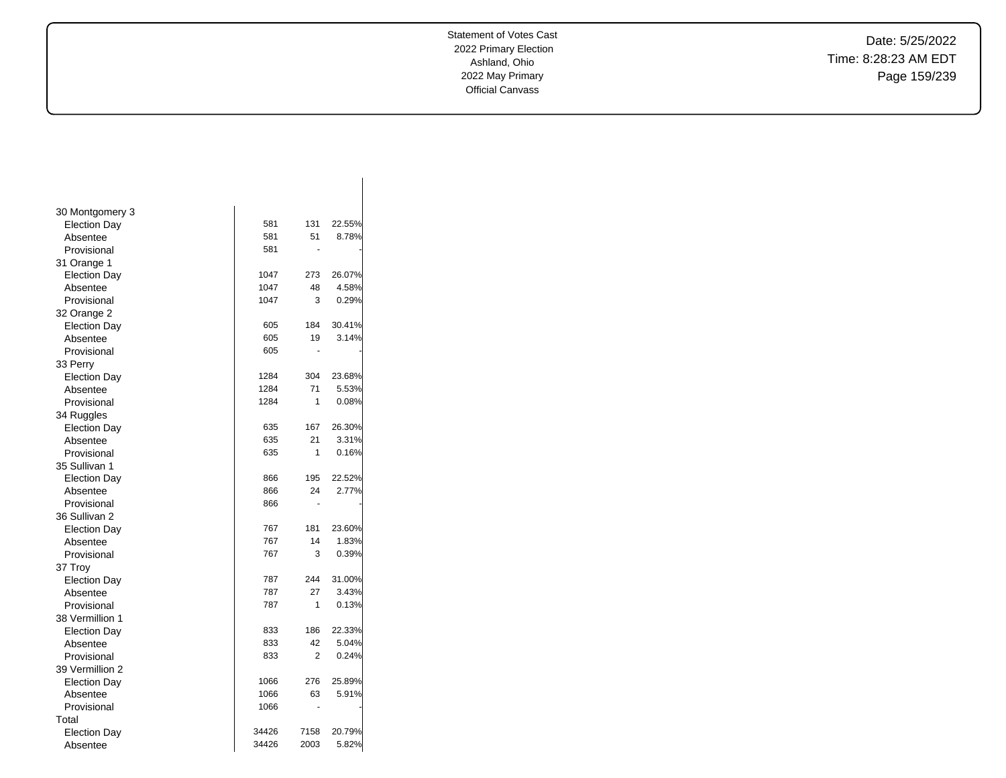Date: 5/25/2022 Time: 8:28:23 AM EDT Page 159/239

| 30 Montgomery 3     |       |      |        |
|---------------------|-------|------|--------|
| <b>Election Day</b> | 581   | 131  | 22.55% |
| Absentee            | 581   | 51   | 8.78%  |
| Provisional         | 581   |      |        |
| 31 Orange 1         |       |      |        |
| <b>Election Day</b> | 1047  | 273  | 26.07% |
| Absentee            | 1047  | 48   | 4.58%  |
| Provisional         | 1047  | 3    | 0.29%  |
| 32 Orange 2         |       |      |        |
| <b>Election Day</b> | 605   | 184  | 30.41% |
| Absentee            | 605   | 19   | 3.14%  |
| Provisional         | 605   |      |        |
| 33 Perry            |       |      |        |
| <b>Election Day</b> | 1284  | 304  | 23.68% |
| Absentee            | 1284  | 71   | 5.53%  |
| Provisional         | 1284  | 1    | 0.08%  |
| 34 Ruggles          |       |      |        |
| <b>Election Day</b> | 635   | 167  | 26.30% |
| Absentee            | 635   | 21   | 3.31%  |
| Provisional         | 635   | 1    | 0.16%  |
| 35 Sullivan 1       |       |      |        |
| <b>Election Day</b> | 866   | 195  | 22.52% |
| Absentee            | 866   | 24   | 2.77%  |
| Provisional         | 866   |      |        |
| 36 Sullivan 2       |       |      |        |
| <b>Election Day</b> | 767   | 181  | 23.60% |
| Absentee            | 767   | 14   | 1.83%  |
| Provisional         | 767   | 3    | 0.39%  |
| 37 Troy             |       |      |        |
| <b>Election Day</b> | 787   | 244  | 31.00% |
| Absentee            | 787   | 27   | 3.43%  |
| Provisional         | 787   | 1    | 0.13%  |
| 38 Vermillion 1     |       |      |        |
| <b>Election Day</b> | 833   | 186  | 22.33% |
| Absentee            | 833   | 42   | 5.04%  |
| Provisional         | 833   | 2    | 0.24%  |
| 39 Vermillion 2     |       |      |        |
| <b>Election Day</b> | 1066  | 276  | 25.89% |
| Absentee            | 1066  | 63   | 5.91%  |
| Provisional         | 1066  |      |        |
| Total               |       |      |        |
| <b>Election Day</b> | 34426 | 7158 | 20.79% |
| Absentee            | 34426 | 2003 | 5.82%  |
|                     |       |      |        |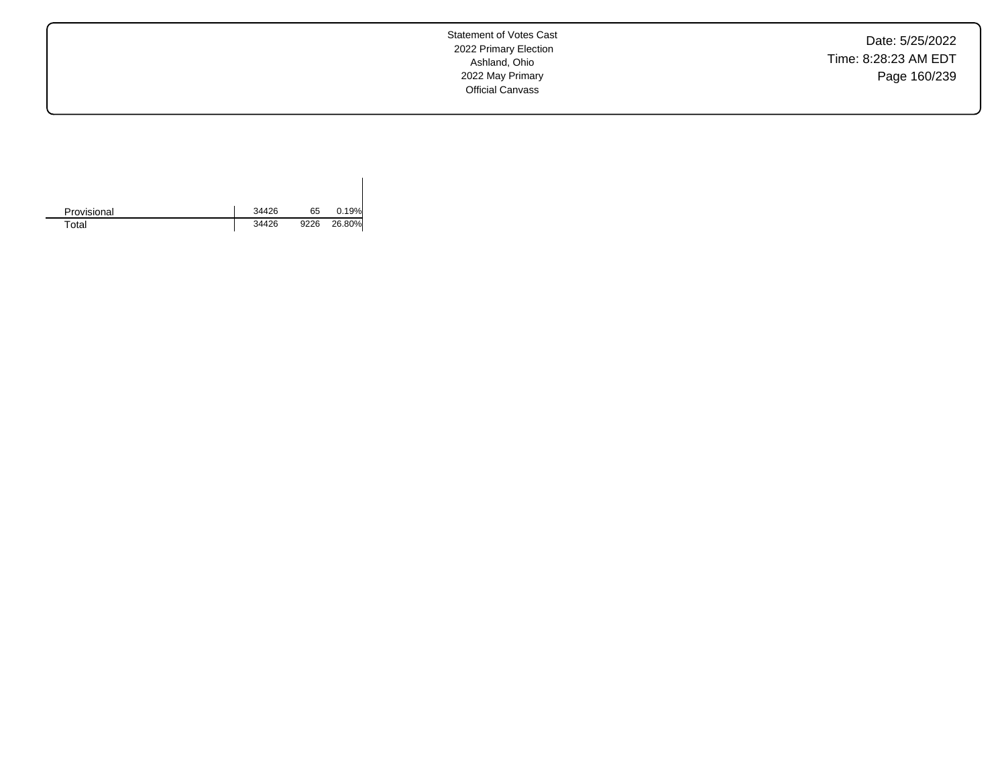Date: 5/25/2022 Time: 8:28:23 AM EDT Page 160/239

Statement of Votes Cast 2022 Primary Election Ashland, Ohio 2022 May Primary Official Canvass

| Provisional | 34426 | 65   | 0.19%  |
|-------------|-------|------|--------|
| Total       | 34426 | 9226 | 26.80% |

 $\overline{\phantom{a}}$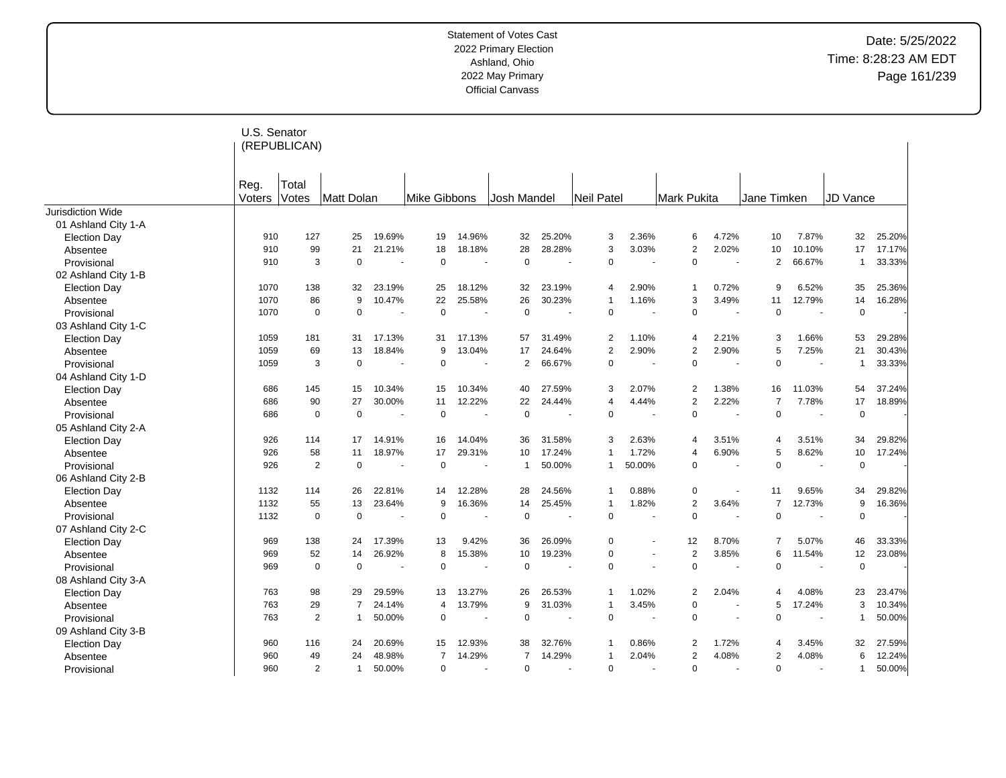|                     | U.S. Senator | (REPUBLICAN)   |                |                |                |                          |                |                |                   |                      |                    |                          |                |                          |              |        |
|---------------------|--------------|----------------|----------------|----------------|----------------|--------------------------|----------------|----------------|-------------------|----------------------|--------------------|--------------------------|----------------|--------------------------|--------------|--------|
|                     | Reg.         | Total          |                |                |                |                          |                |                |                   |                      |                    |                          |                |                          |              |        |
|                     | Voters       | <b>Votes</b>   | Matt Dolan     |                | Mike Gibbons   |                          | Josh Mandel    |                | <b>Neil Patel</b> |                      | <b>Mark Pukita</b> |                          | Jane Timken    |                          | JD Vance     |        |
| Jurisdiction Wide   |              |                |                |                |                |                          |                |                |                   |                      |                    |                          |                |                          |              |        |
| 01 Ashland City 1-A |              |                |                |                |                |                          |                |                |                   |                      |                    |                          |                |                          |              |        |
| <b>Election Day</b> | 910          | 127            | 25             | 19.69%         | 19             | 14.96%                   | 32             | 25.20%         | 3                 | 2.36%                | 6                  | 4.72%                    | 10             | 7.87%                    | 32           | 25.20% |
| Absentee            | 910          | 99             | 21             | 21.21%         | 18             | 18.18%                   | 28             | 28.28%         | 3                 | 3.03%                | $\overline{2}$     | 2.02%                    | 10             | 10.10%                   | 17           | 17.17% |
| Provisional         | 910          | 3              | $\mathbf 0$    |                | $\Omega$       |                          | $\mathbf 0$    |                | $\overline{0}$    |                      | 0                  | $\overline{\phantom{a}}$ | 2              | 66.67%                   | -1           | 33.33% |
| 02 Ashland City 1-B |              |                |                |                |                |                          |                |                |                   |                      |                    |                          |                |                          |              |        |
| <b>Election Day</b> | 1070         | 138            | 32             | 23.19%         | 25             | 18.12%                   | 32             | 23.19%         | $\overline{4}$    | 2.90%                |                    | 0.72%                    | 9              | 6.52%                    | 35           | 25.36% |
| Absentee            | 1070         | 86             | 9              | 10.47%         | 22             | 25.58%                   | 26             | 30.23%         | $\overline{1}$    | 1.16%                | 3                  | 3.49%                    | 11             | 12.79%                   | 14           | 16.28% |
| Provisional         | 1070         | $\mathbf 0$    | $\mathbf 0$    | $\blacksquare$ | $\mathbf 0$    |                          | $\mathbf 0$    |                | $\overline{0}$    |                      | 0                  | $\blacksquare$           | $\mathbf 0$    |                          | $\mathbf 0$  |        |
| 03 Ashland City 1-C |              |                |                |                |                |                          |                |                |                   |                      |                    |                          |                |                          |              |        |
| <b>Election Day</b> | 1059         | 181            | 31             | 17.13%         | 31             | 17.13%                   | 57             | 31.49%         | $\overline{2}$    | 1.10%                | 4                  | 2.21%                    | 3              | 1.66%                    | 53           | 29.28% |
| Absentee            | 1059         | 69             | 13             | 18.84%         | 9              | 13.04%                   | 17             | 24.64%         | $\overline{2}$    | 2.90%                | $\overline{2}$     | 2.90%                    | 5              | 7.25%                    | 21           | 30.43% |
| Provisional         | 1059         | 3              | $\mathbf 0$    | $\overline{a}$ | $\Omega$       | $\overline{\phantom{a}}$ | $\overline{2}$ | 66.67%         | $\mathbf 0$       |                      | 0                  |                          | $\Omega$       | $\overline{\phantom{a}}$ | $\mathbf{1}$ | 33.33% |
| 04 Ashland City 1-D |              |                |                |                |                |                          |                |                |                   |                      |                    |                          |                |                          |              |        |
| <b>Election Day</b> | 686          | 145            | 15             | 10.34%         | 15             | 10.34%                   | 40             | 27.59%         | 3                 | 2.07%                | 2                  | 1.38%                    | 16             | 11.03%                   | 54           | 37.24% |
| Absentee            | 686          | 90             | 27             | 30.00%         | 11             | 12.22%                   | 22             | 24.44%         | $\overline{4}$    | 4.44%                | 2                  | 2.22%                    | $\overline{7}$ | 7.78%                    | 17           | 18.89% |
| Provisional         | 686          | $\mathbf 0$    | $\mathbf 0$    | ٠.             | $\overline{0}$ | ÷.                       | $\mathbf 0$    | $\blacksquare$ | $\mathbf 0$       |                      | $\pmb{0}$          | ٠.                       | $\mathbf 0$    | $\overline{\phantom{a}}$ | $\mathsf 0$  |        |
| 05 Ashland City 2-A |              |                |                |                |                |                          |                |                |                   |                      |                    |                          |                |                          |              |        |
| <b>Election Day</b> | 926          | 114            | 17             | 14.91%         | 16             | 14.04%                   | 36             | 31.58%         | 3                 | 2.63%                | 4                  | 3.51%                    | $\overline{4}$ | 3.51%                    | 34           | 29.82% |
| Absentee            | 926          | 58             | 11             | 18.97%         | 17             | 29.31%                   | 10             | 17.24%         | $\overline{1}$    | 1.72%                | 4                  | 6.90%                    | 5              | 8.62%                    | 10           | 17.24% |
| Provisional         | 926          | $\overline{2}$ | $\mathbf 0$    | $\blacksquare$ | $\overline{0}$ |                          | $\mathbf 1$    | 50.00%         | $\mathbf 1$       | 50.00%               | $\mathbf 0$        |                          | $\overline{0}$ |                          | $\mathsf 0$  |        |
| 06 Ashland City 2-B |              |                |                |                |                |                          |                |                |                   |                      |                    |                          |                |                          |              |        |
| <b>Election Day</b> | 1132         | 114            | 26             | 22.81%         | 14             | 12.28%                   | 28             | 24.56%         | $\overline{1}$    | 0.88%                | 0                  | $\blacksquare$           | 11             | 9.65%                    | 34           | 29.82% |
| Absentee            | 1132         | 55             | 13             | 23.64%         | 9              | 16.36%                   | 14             | 25.45%         | $\mathbf{1}$      | 1.82%                | $\overline{2}$     | 3.64%                    | $\overline{7}$ | 12.73%                   | 9            | 16.36% |
| Provisional         | 1132         | $\mathbf 0$    | $\mathbf 0$    |                | $\mathbf 0$    |                          | $\mathbf 0$    |                | $\mathbf 0$       |                      | $\Omega$           |                          | $\Omega$       |                          | $\mathsf 0$  |        |
| 07 Ashland City 2-C |              |                |                |                |                |                          |                |                |                   |                      |                    |                          |                |                          |              |        |
| <b>Election Day</b> | 969          | 138            | 24             | 17.39%         | 13             | 9.42%                    | 36             | 26.09%         | $\overline{0}$    | $\ddot{\phantom{1}}$ | 12                 | 8.70%                    | $\overline{7}$ | 5.07%                    | 46           | 33.33% |
| Absentee            | 969          | 52             | 14             | 26.92%         | 8              | 15.38%                   | 10             | 19.23%         | $\overline{0}$    | $\ddot{\phantom{1}}$ | $\overline{2}$     | 3.85%                    | 6              | 11.54%                   | 12           | 23.08% |
| Provisional         | 969          | $\mathbf 0$    | $\mathbf 0$    |                | $\overline{0}$ |                          | 0              |                | $\mathbf 0$       |                      | $\Omega$           |                          | $\Omega$       |                          | $\mathbf 0$  |        |
| 08 Ashland City 3-A |              |                |                |                |                |                          |                |                |                   |                      |                    |                          |                |                          |              |        |
| <b>Election Day</b> | 763          | 98             | 29             | 29.59%         | 13             | 13.27%                   | 26             | 26.53%         | $\mathbf{1}$      | 1.02%                | 2                  | 2.04%                    | 4              | 4.08%                    | 23           | 23.47% |
| Absentee            | 763          | 29             | $\overline{7}$ | 24.14%         | $\overline{4}$ | 13.79%                   | 9              | 31.03%         | $\mathbf{1}$      | 3.45%                | $\mathbf 0$        |                          | 5              | 17.24%                   | 3            | 10.34% |
| Provisional         | 763          | 2              | $\mathbf 1$    | 50.00%         | $\mathbf 0$    |                          | $\mathbf 0$    |                | $\mathbf 0$       |                      | 0                  | $\overline{\phantom{a}}$ | $\Omega$       |                          | $\mathbf{1}$ | 50.00% |
| 09 Ashland City 3-B |              |                |                |                |                |                          |                |                |                   |                      |                    |                          |                |                          |              |        |
| <b>Election Day</b> | 960          | 116            | 24             | 20.69%         | 15             | 12.93%                   | 38             | 32.76%         | -1                | 0.86%                | 2                  | 1.72%                    | $\overline{4}$ | 3.45%                    | 32           | 27.59% |
| Absentee            | 960          | 49             | 24             | 48.98%         | 7              | 14.29%                   | $\overline{7}$ | 14.29%         | $\overline{1}$    | 2.04%                | $\overline{2}$     | 4.08%                    | $\overline{2}$ | 4.08%                    | 6            | 12.24% |
| Provisional         | 960          | $\overline{2}$ | $\mathbf{1}$   | 50.00%         | $\Omega$       |                          | 0              |                | $\Omega$          |                      | 0                  | $\overline{a}$           | $\Omega$       |                          | $\mathbf{1}$ | 50.00% |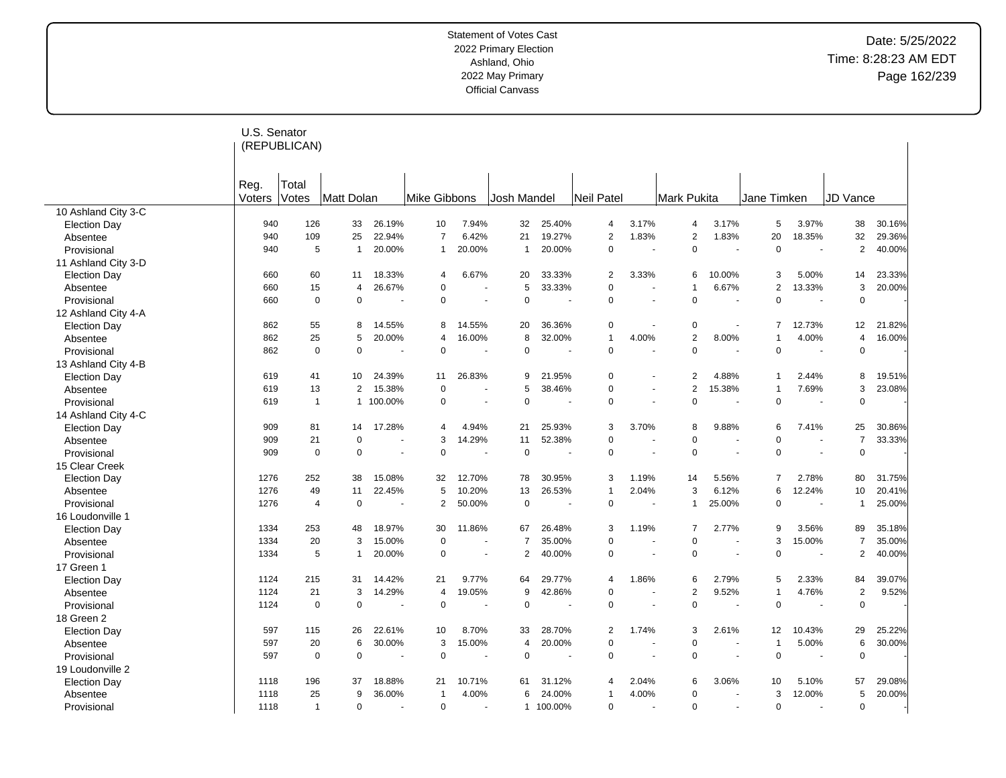|                         | U.S. Senator   | (REPUBLICAN)   |                |           |                |        |                |         |                |                |                |                          |                |                |                |        |
|-------------------------|----------------|----------------|----------------|-----------|----------------|--------|----------------|---------|----------------|----------------|----------------|--------------------------|----------------|----------------|----------------|--------|
|                         | Reg.<br>Voters | Total<br>Votes | Matt Dolan     |           | Mike Gibbons   |        | Josh Mandel    |         | Neil Patel     |                | Mark Pukita    |                          | Jane Timken    |                | JD Vance       |        |
| 10 Ashland City 3-C     |                |                |                |           |                |        |                |         |                |                |                |                          |                |                |                |        |
| <b>Election Day</b>     | 940            | 126            | 33             | 26.19%    | 10             | 7.94%  | 32             | 25.40%  | 4              | 3.17%          | 4              | 3.17%                    | 5              | 3.97%          | 38             | 30.16% |
| Absentee                | 940            | 109            | 25             | 22.94%    | $\overline{7}$ | 6.42%  | 21             | 19.27%  | 2              | 1.83%          | 2              | 1.83%                    | 20             | 18.35%         | 32             | 29.36% |
| Provisional             | 940            | 5              | $\mathbf{1}$   | 20.00%    | $\mathbf 1$    | 20.00% | 1              | 20.00%  | 0              |                | 0              |                          | $\mathbf 0$    |                | $\overline{2}$ | 40.00% |
| 11 Ashland City 3-D     |                |                |                |           |                |        |                |         |                |                |                |                          |                |                |                |        |
| <b>Election Day</b>     | 660            | 60             | 11             | 18.33%    | 4              | 6.67%  | 20             | 33.33%  | 2              | 3.33%          | 6              | 10.00%                   | 3              | 5.00%          | 14             | 23.33% |
| Absentee                | 660            | 15             | $\overline{4}$ | 26.67%    | $\Omega$       |        | 5              | 33.33%  | 0              | ä,             |                | 6.67%                    | $\overline{2}$ | 13.33%         | 3              | 20.00% |
| Provisional             | 660            | $\mathbf 0$    | $\mathbf 0$    |           | $\mathbf 0$    | $\sim$ | $\mathbf 0$    |         | 0              | $\blacksquare$ | $\Omega$       | $\overline{\phantom{a}}$ | $\mathbf 0$    |                | $\mathbf 0$    |        |
| 12 Ashland City 4-A     |                |                |                |           |                |        |                |         |                |                |                |                          |                |                |                |        |
| <b>Election Day</b>     | 862            | 55             | 8              | 14.55%    | 8              | 14.55% | 20             | 36.36%  | 0              | $\sim$         | 0              | $\blacksquare$           | $\overline{7}$ | 12.73%         | 12             | 21.82% |
| Absentee                | 862            | 25             | 5              | 20.00%    | $\overline{4}$ | 16.00% | 8              | 32.00%  | $\overline{1}$ | 4.00%          | $\overline{2}$ | 8.00%                    | $\overline{1}$ | 4.00%          | $\overline{4}$ | 16.00% |
| Provisional             | 862            | $\mathbf 0$    | $\mathbf 0$    |           | $\Omega$       |        | $\Omega$       |         | $\Omega$       |                | $\Omega$       |                          | $\Omega$       |                | $\mathbf 0$    |        |
| 13 Ashland City 4-B     |                |                |                |           |                |        |                |         |                |                |                |                          |                |                |                |        |
| <b>Election Day</b>     | 619            | 41             | 10             | 24.39%    | 11             | 26.83% | 9              | 21.95%  | $\Omega$       |                | 2              | 4.88%                    | $\mathbf{1}$   | 2.44%          | 8              | 19.51% |
| Absentee                | 619            | 13             | 2              | 15.38%    | $\Omega$       |        | 5              | 38.46%  | 0              | $\sim$         | $\overline{2}$ | 15.38%                   | $\overline{1}$ | 7.69%          | 3              | 23.08% |
| Provisional             | 619            | $\overline{1}$ |                | 1 100.00% | 0              | ÷,     | $\Omega$       |         | $\Omega$       | ä,             | $\Omega$       | $\overline{\phantom{a}}$ | $\mathbf 0$    |                | $\mathbf 0$    |        |
| 14 Ashland City 4-C     |                |                |                |           |                |        |                |         |                |                |                |                          |                |                |                |        |
| <b>Election Day</b>     | 909            | 81             | 14             | 17.28%    | 4              | 4.94%  | 21             | 25.93%  | 3              | 3.70%          | 8              | 9.88%                    | 6              | 7.41%          | 25             | 30.86% |
| Absentee                | 909            | 21             | $\mathbf 0$    |           | 3              | 14.29% | 11             | 52.38%  | 0              |                | 0              |                          | $\mathbf 0$    |                | $\overline{7}$ | 33.33% |
| Provisional             | 909            | 0              | $\mathbf 0$    |           | 0              |        | $\pmb{0}$      |         | 0              | ÷.             | 0              | $\overline{\phantom{a}}$ | $\mathbf 0$    | $\overline{a}$ | $\mathbf 0$    |        |
| 15 Clear Creek          |                |                |                |           |                |        |                |         |                |                |                |                          |                |                |                |        |
| <b>Election Day</b>     | 1276           | 252            | 38             | 15.08%    | 32             | 12.70% | 78             | 30.95%  | 3              | 1.19%          | 14             | 5.56%                    | $\overline{7}$ | 2.78%          | 80             | 31.75% |
|                         | 1276           | 49             | 11             | 22.45%    | 5              | 10.20% | 13             | 26.53%  | $\overline{1}$ | 2.04%          | 3              | 6.12%                    | 6              | 12.24%         | 10             | 20.41% |
| Absentee<br>Provisional | 1276           | $\overline{4}$ | $\mathbf 0$    |           | $\overline{2}$ | 50.00% | $\pmb{0}$      |         | $\mathbf 0$    |                | 1              | 25.00%                   | $\mathbf 0$    |                | $\mathbf{1}$   | 25.00% |
|                         |                |                |                |           |                |        |                |         |                |                |                |                          |                |                |                |        |
| 16 Loudonville 1        |                | 253            | 48             | 18.97%    | 30             | 11.86% | 67             | 26.48%  | 3              | 1.19%          | $\overline{7}$ | 2.77%                    | 9              | 3.56%          | 89             | 35.18% |
| <b>Election Day</b>     | 1334           | 20             |                |           | $\mathbf 0$    |        | $\overline{7}$ |         | 0              | ä,             | $\Omega$       | $\overline{\phantom{a}}$ | 3              |                |                |        |
| Absentee                | 1334           |                | 3              | 15.00%    |                |        |                | 35.00%  |                |                |                |                          |                | 15.00%         | $\overline{7}$ | 35.00% |
| Provisional             | 1334           | 5              | $\mathbf{1}$   | 20.00%    | $\Omega$       | ÷,     | $\overline{2}$ | 40.00%  | 0              | Ĭ.             | $\mathbf 0$    | $\sim$                   | $\mathbf 0$    |                | 2              | 40.00% |
| 17 Green 1              |                |                |                |           |                |        |                |         |                |                |                |                          |                |                |                |        |
| <b>Election Day</b>     | 1124           | 215            | 31             | 14.42%    | 21             | 9.77%  | 64             | 29.77%  | 4              | 1.86%          | 6              | 2.79%                    | 5              | 2.33%          | 84             | 39.07% |
| Absentee                | 1124           | 21             | 3              | 14.29%    | $\overline{4}$ | 19.05% | 9              | 42.86%  | 0              | $\sim$         | $\overline{2}$ | 9.52%                    | $\mathbf{1}$   | 4.76%          | $\sqrt{2}$     | 9.52%  |
| Provisional             | 1124           | $\mathbf 0$    | $\mathbf 0$    |           | $\mathbf 0$    |        | $\mathbf 0$    |         | 0              |                | $\mathbf 0$    | $\overline{\phantom{a}}$ | $\mathbf 0$    |                | $\pmb{0}$      |        |
| 18 Green 2              |                |                |                |           |                |        |                |         |                |                |                |                          |                |                |                |        |
| <b>Election Day</b>     | 597            | 115            | 26             | 22.61%    | 10             | 8.70%  | 33             | 28.70%  | 2              | 1.74%          | 3              | 2.61%                    | 12             | 10.43%         | 29             | 25.22% |
| Absentee                | 597            | 20             | 6              | 30.00%    | 3              | 15.00% | $\overline{4}$ | 20.00%  | 0              |                | $\Omega$       |                          | $\overline{1}$ | 5.00%          | 6              | 30.00% |
| Provisional             | 597            | $\mathbf 0$    | $\mathbf 0$    |           | $\mathbf 0$    |        | $\mathbf 0$    |         | 0              | $\sim$         | $\mathbf 0$    | $\sim$                   | $\mathbf 0$    |                | $\mathbf 0$    |        |
| 19 Loudonville 2        |                |                |                |           |                |        |                |         |                |                |                |                          |                |                |                |        |
| <b>Election Day</b>     | 1118           | 196            | 37             | 18.88%    | 21             | 10.71% | 61             | 31.12%  | 4              | 2.04%          | 6              | 3.06%                    | 10             | 5.10%          | 57             | 29.08% |
| Absentee                | 1118           | 25             | 9              | 36.00%    | -1             | 4.00%  | 6              | 24.00%  | $\overline{1}$ | 4.00%          | 0              |                          | 3              | 12.00%         | 5              | 20.00% |
| Provisional             | 1118           | $\overline{1}$ | $\mathbf 0$    |           | $\mathbf 0$    |        | $\mathbf{1}$   | 100.00% | 0              |                | $\Omega$       | ÷,                       | $\mathbf 0$    |                | $\mathbf 0$    |        |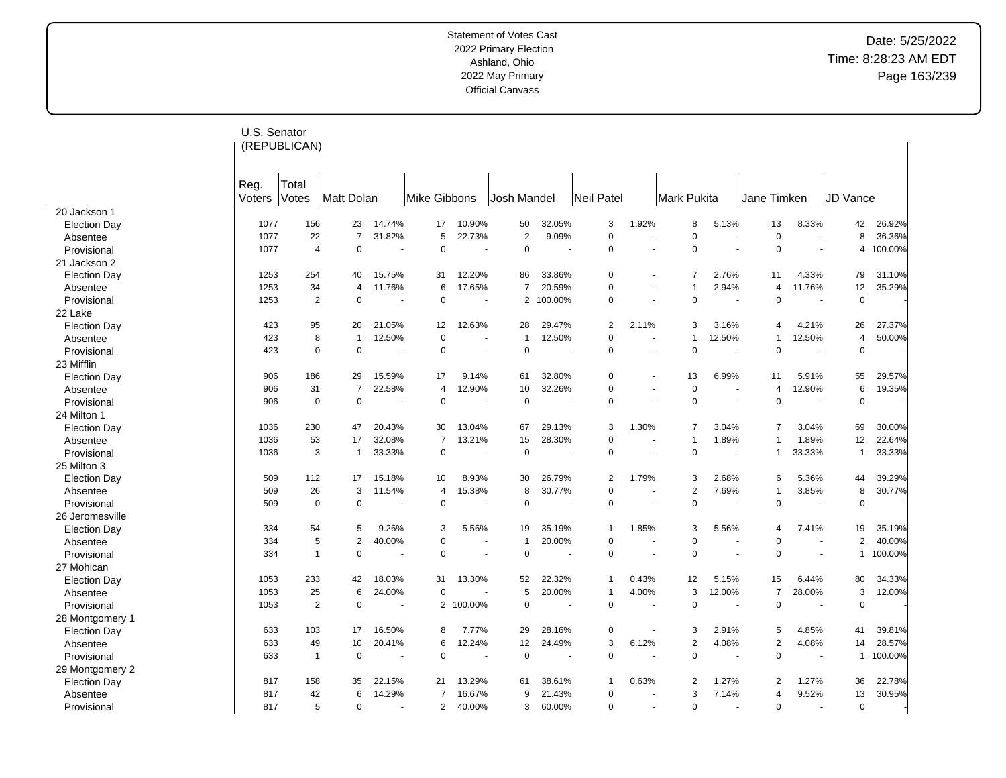|                     | U.S. Senator   | (REPUBLICAN)   |                |        |                |         |                |         |                |                      |                |        |                |                |                |         |
|---------------------|----------------|----------------|----------------|--------|----------------|---------|----------------|---------|----------------|----------------------|----------------|--------|----------------|----------------|----------------|---------|
|                     | Reg.<br>Voters | Total<br>Votes | Matt Dolan     |        | Mike Gibbons   |         | Josh Mandel    |         | Neil Patel     |                      | Mark Pukita    |        | Jane Timken    |                | JD Vance       |         |
| 20 Jackson 1        |                |                |                |        |                |         |                |         |                |                      |                |        |                |                |                |         |
| <b>Election Day</b> | 1077           | 156            | 23             | 14.74% | 17             | 10.90%  | 50             | 32.05%  | 3              | 1.92%                | 8              | 5.13%  | 13             | 8.33%          | 42             | 26.92%  |
| Absentee            | 1077           | 22             | $\overline{7}$ | 31.82% | 5              | 22.73%  | $\overline{c}$ | 9.09%   | $\mathsf 0$    | ä,                   | $\mathbf 0$    |        | $\mathbf 0$    |                | 8              | 36.36%  |
| Provisional         | 1077           | $\overline{4}$ | $\mathbf 0$    |        | $\mathbf 0$    |         | $\pmb{0}$      |         | $\mathsf 0$    |                      | $\mathbf 0$    |        | $\mathbf 0$    |                | 4              | 100.00% |
| 21 Jackson 2        |                |                |                |        |                |         |                |         |                |                      |                |        |                |                |                |         |
| <b>Election Day</b> | 1253           | 254            | 40             | 15.75% | 31             | 12.20%  | 86             | 33.86%  | $\mathbf 0$    | ÷.                   | 7              | 2.76%  | 11             | 4.33%          | 79             | 31.10%  |
| Absentee            | 1253           | 34             | $\overline{4}$ | 11.76% | 6              | 17.65%  | $\overline{7}$ | 20.59%  | $\pmb{0}$      |                      |                | 2.94%  | $\overline{4}$ | 11.76%         | 12             | 35.29%  |
| Provisional         | 1253           | $\sqrt{2}$     | $\mathbf 0$    |        | $\mathbf 0$    | ÷.      | 2              | 100.00% | $\mathbf 0$    | ÷.                   | $\mathbf 0$    | ÷.     | $\mathbf 0$    | $\overline{a}$ | $\mathbf 0$    |         |
| 22 Lake             |                |                |                |        |                |         |                |         |                |                      |                |        |                |                |                |         |
| <b>Election Day</b> | 423            | 95             | 20             | 21.05% | 12             | 12.63%  | 28             | 29.47%  | $\overline{2}$ | 2.11%                | 3              | 3.16%  | $\overline{4}$ | 4.21%          | 26             | 27.37%  |
| Absentee            | 423            | 8              | $\mathbf{1}$   | 12.50% | $\mathbf 0$    | ÷.      | $\overline{1}$ | 12.50%  | $\mathbf 0$    | ÷.                   |                | 12.50% | $\mathbf{1}$   | 12.50%         | $\overline{4}$ | 50.00%  |
| Provisional         | 423            | $\mathbf 0$    | $\Omega$       |        | 0              |         | $\mathbf 0$    |         | $\mathbf 0$    |                      | $\mathbf 0$    | $\sim$ | $\mathbf 0$    |                | $\mathsf 0$    |         |
| 23 Mifflin          |                |                |                |        |                |         |                |         |                |                      |                |        |                |                |                |         |
| <b>Election Day</b> | 906            | 186            | 29             | 15.59% | 17             | 9.14%   | 61             | 32.80%  | $\mathbf 0$    | ä,                   | 13             | 6.99%  | 11             | 5.91%          | 55             | 29.57%  |
| Absentee            | 906            | 31             | $\overline{7}$ | 22.58% | $\overline{4}$ | 12.90%  | 10             | 32.26%  | $\mathbf 0$    | $\blacksquare$       | $\pmb{0}$      |        | $\overline{4}$ | 12.90%         | 6              | 19.35%  |
| Provisional         | 906            | $\mathbf 0$    | $\mathbf 0$    |        | $\mathbf 0$    | ÷.      | $\pmb{0}$      |         | $\Omega$       | ÷                    | $\mathbf 0$    | ÷.     | $\mathbf 0$    |                | $\mathbf 0$    |         |
| 24 Milton 1         |                |                |                |        |                |         |                |         |                |                      |                |        |                |                |                |         |
| <b>Election Day</b> | 1036           | 230            | 47             | 20.43% | 30             | 13.04%  | 67             | 29.13%  | 3              | 1.30%                | 7              | 3.04%  | $\overline{7}$ | 3.04%          | 69             | 30.00%  |
| Absentee            | 1036           | 53             | 17             | 32.08% | $\overline{7}$ | 13.21%  | 15             | 28.30%  | $\mathbf 0$    |                      | -1             | 1.89%  | $\mathbf{1}$   | 1.89%          | 12             | 22.64%  |
| Provisional         | 1036           | 3              | $\mathbf{1}$   | 33.33% | $\Omega$       |         | $\mathbf 0$    |         | $\mathbf 0$    | $\blacksquare$       | $\mathbf 0$    |        | $\mathbf{1}$   | 33.33%         | $\mathbf{1}$   | 33.33%  |
| 25 Milton 3         |                |                |                |        |                |         |                |         |                |                      |                |        |                |                |                |         |
| <b>Election Day</b> | 509            | 112            | 17             | 15.18% | 10             | 8.93%   | 30             | 26.79%  | $\overline{2}$ | 1.79%                | 3              | 2.68%  | 6              | 5.36%          | 44             | 39.29%  |
| Absentee            | 509            | 26             | 3              | 11.54% | 4              | 15.38%  | 8              | 30.77%  | $\mathbf 0$    | $\ddot{\phantom{1}}$ | $\overline{2}$ | 7.69%  | $\mathbf{1}$   | 3.85%          | 8              | 30.77%  |
| Provisional         | 509            | $\mathbf 0$    | $\Omega$       |        | $\Omega$       |         | $\mathbf 0$    |         | $\mathbf 0$    |                      | $\mathbf 0$    |        | $\mathbf 0$    |                | $\mathbf 0$    |         |
| 26 Jeromesville     |                |                |                |        |                |         |                |         |                |                      |                |        |                |                |                |         |
| <b>Election Day</b> | 334            | 54             | 5              | 9.26%  | 3              | 5.56%   | 19             | 35.19%  | $\overline{1}$ | 1.85%                | 3              | 5.56%  | $\overline{4}$ | 7.41%          | 19             | 35.19%  |
| Absentee            | 334            | 5              | $\overline{2}$ | 40.00% | $\Omega$       |         | $\overline{1}$ | 20.00%  | $\mathbf 0$    | ÷.                   | $\Omega$       |        | $\Omega$       |                | 2              | 40.00%  |
| Provisional         | 334            | $\overline{1}$ | $\mathbf 0$    |        | $\mathbf 0$    | $\sim$  | $\mathbf 0$    | ٠       | $\mathbf 0$    | $\blacksquare$       | $\mathbf 0$    | $\sim$ | $\mathbf 0$    |                | $\mathbf{1}$   | 100.00% |
| 27 Mohican          |                |                |                |        |                |         |                |         |                |                      |                |        |                |                |                |         |
| <b>Election Day</b> | 1053           | 233            | 42             | 18.03% | 31             | 13.30%  | 52             | 22.32%  | $\overline{1}$ | 0.43%                | 12             | 5.15%  | 15             | 6.44%          | 80             | 34.33%  |
| Absentee            | 1053           | 25             | 6              | 24.00% | $\mathbf 0$    |         | 5              | 20.00%  | $\overline{1}$ | 4.00%                | 3              | 12.00% | $\overline{7}$ | 28.00%         | 3              | 12.00%  |
| Provisional         | 1053           | 2              | $\mathbf 0$    |        | 2              | 100.00% | $\Omega$       |         | $\mathbf 0$    |                      | $\mathbf 0$    |        | $\mathbf 0$    |                | $\mathbf 0$    |         |
| 28 Montgomery 1     |                |                |                |        |                |         |                |         |                |                      |                |        |                |                |                |         |
| <b>Election Day</b> | 633            | 103            | 17             | 16.50% | 8              | 7.77%   | 29             | 28.16%  | 0              |                      | 3              | 2.91%  | 5              | 4.85%          | 41             | 39.81%  |
| Absentee            | 633            | 49             | 10             | 20.41% | 6              | 12.24%  | 12             | 24.49%  | 3              | 6.12%                | $\overline{2}$ | 4.08%  | $\overline{2}$ | 4.08%          | 14             | 28.57%  |
| Provisional         | 633            | $\overline{1}$ | $\mathbf 0$    |        | $\mathbf 0$    |         | $\mathbf 0$    |         | $\mathbf 0$    |                      | $\mathbf 0$    |        | $\mathbf 0$    | $\sim$         | $\mathbf{1}$   | 100.00% |
| 29 Montgomery 2     |                |                |                |        |                |         |                |         |                |                      |                |        |                |                |                |         |
| <b>Election Day</b> | 817            | 158            | 35             | 22.15% | 21             | 13.29%  | 61             | 38.61%  | $\overline{1}$ | 0.63%                | 2              | 1.27%  | $\overline{2}$ | 1.27%          | 36             | 22.78%  |
| Absentee            | 817            | 42             | 6              | 14.29% | 7              | 16.67%  | 9              | 21.43%  | $\mathbf 0$    |                      | 3              | 7.14%  | $\overline{4}$ | 9.52%          | 13             | 30.95%  |
| Provisional         | 817            | 5              | $\Omega$       |        | 2              | 40.00%  | 3              | 60.00%  | $\mathbf 0$    | $\blacksquare$       | 0              |        | $\mathbf 0$    |                | $\mathbf 0$    |         |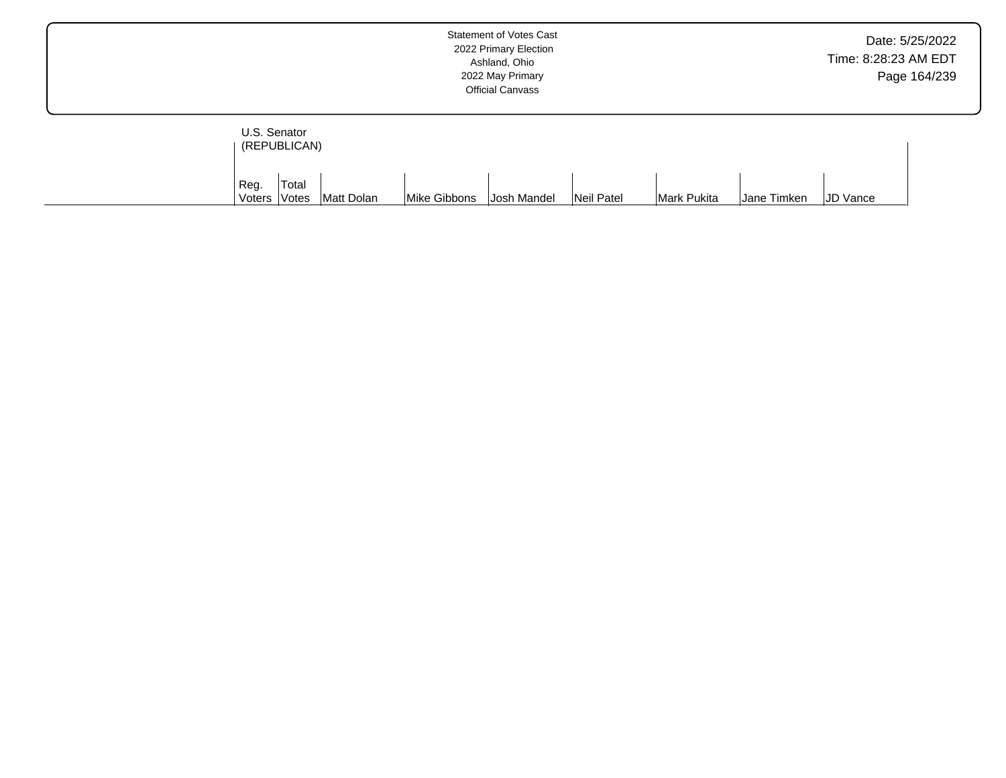|                              | <b>Statement of Votes Cast</b><br>2022 Primary Election<br>Ashland, Ohio<br>2022 May Primary<br><b>Official Canvass</b> | Date: 5/25/2022<br>Time: 8:28:23 AM EDT<br>Page 164/239 |
|------------------------------|-------------------------------------------------------------------------------------------------------------------------|---------------------------------------------------------|
| U.S. Senator<br>(REPUBLICAN) |                                                                                                                         |                                                         |

| ' Reg. | 'Total       |            |              |                    |            |             |             |                 |
|--------|--------------|------------|--------------|--------------------|------------|-------------|-------------|-----------------|
| Voters | <b>Votes</b> | Matt Dolan | Mike Gibbons | <b>Josh Mandel</b> | Neil Patel | Mark Pukita | Jane Timken | <b>JD Vance</b> |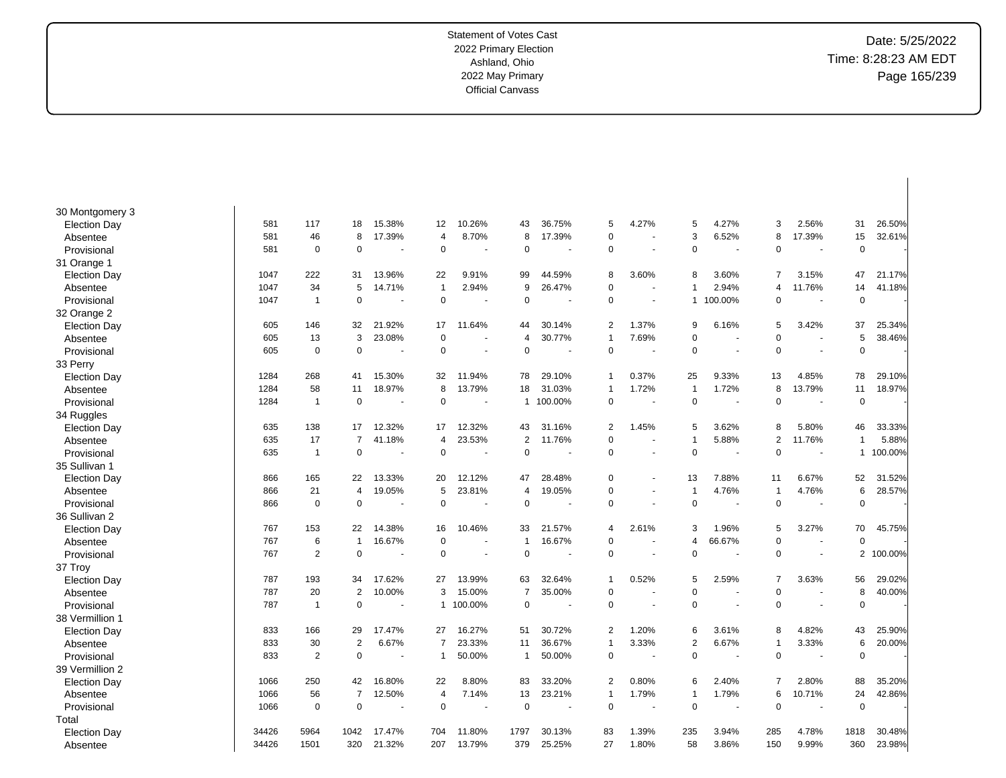| 30 Montgomery 3     |       |                |                |                      |                |                |                |         |                |                          |                |                          |                |                |                |         |
|---------------------|-------|----------------|----------------|----------------------|----------------|----------------|----------------|---------|----------------|--------------------------|----------------|--------------------------|----------------|----------------|----------------|---------|
| <b>Election Day</b> | 581   | 117            | 18             | 15.38%               | 12             | 10.26%         | 43             | 36.75%  | 5              | 4.27%                    | 5              | 4.27%                    | 3              | 2.56%          | 31             | 26.50%  |
| Absentee            | 581   | 46             | 8              | 17.39%               | 4              | 8.70%          | 8              | 17.39%  | $\mathbf 0$    |                          | 3              | 6.52%                    | 8              | 17.39%         | 15             | 32.61%  |
| Provisional         | 581   | 0              | $\mathbf 0$    |                      | 0              | ÷,             | $\mathbf 0$    |         | $\mathbf 0$    |                          | $\Omega$       |                          | $\mathbf 0$    | $\sim$         | $\pmb{0}$      |         |
| 31 Orange 1         |       |                |                |                      |                |                |                |         |                |                          |                |                          |                |                |                |         |
| <b>Election Day</b> | 1047  | 222            | 31             | 13.96%               | 22             | 9.91%          | 99             | 44.59%  | 8              | 3.60%                    | 8              | 3.60%                    | $\overline{7}$ | 3.15%          | 47             | 21.17%  |
| Absentee            | 1047  | 34             | 5              | 14.71%               | $\overline{1}$ | 2.94%          | 9              | 26.47%  | $\mathbf 0$    |                          | -1             | 2.94%                    | $\overline{4}$ | 11.76%         | 14             | 41.18%  |
| Provisional         | 1047  | $\overline{1}$ | $\mathbf 0$    | $\blacksquare$       | $\mathbf 0$    | $\sim$         | $\mathbf 0$    |         | $\mathbf 0$    | $\overline{\phantom{a}}$ |                | 1 100.00%                | $\mathbf 0$    | $\sim$         | $\pmb{0}$      |         |
| 32 Orange 2         |       |                |                |                      |                |                |                |         |                |                          |                |                          |                |                |                |         |
| <b>Election Day</b> | 605   | 146            | 32             | 21.92%               | 17             | 11.64%         | 44             | 30.14%  | $\overline{2}$ | 1.37%                    | 9              | 6.16%                    | 5              | 3.42%          | 37             | 25.34%  |
| Absentee            | 605   | 13             | 3              | 23.08%               | $\mathbf 0$    |                | 4              | 30.77%  | 1              | 7.69%                    | $\Omega$       |                          | $\mathbf 0$    |                | 5              | 38.46%  |
| Provisional         | 605   | $\mathbf 0$    | $\mathbf 0$    | ÷,                   | 0              | $\sim$         | 0              |         | $\mathbf 0$    |                          | $\Omega$       |                          | $\mathbf 0$    | $\sim$         | $\mathbf 0$    |         |
| 33 Perry            |       |                |                |                      |                |                |                |         |                |                          |                |                          |                |                |                |         |
| <b>Election Day</b> | 1284  | 268            | 41             | 15.30%               | 32             | 11.94%         | 78             | 29.10%  | 1              | 0.37%                    | 25             | 9.33%                    | 13             | 4.85%          | 78             | 29.10%  |
| Absentee            | 1284  | 58             | 11             | 18.97%               | 8              | 13.79%         | 18             | 31.03%  | $\mathbf{1}$   | 1.72%                    | -1             | 1.72%                    | 8              | 13.79%         | 11             | 18.97%  |
| Provisional         | 1284  | $\mathbf{1}$   | $\mathbf 0$    | $\blacksquare$       | 0              | $\sim$         | $\mathbf{1}$   | 100.00% | $\mathbf 0$    |                          | $\Omega$       |                          | $\mathbf 0$    | $\sim$         | $\mathbf 0$    |         |
| 34 Ruggles          |       |                |                |                      |                |                |                |         |                |                          |                |                          |                |                |                |         |
| <b>Election Day</b> | 635   | 138            | 17             | 12.32%               | 17             | 12.32%         | 43             | 31.16%  | $\overline{2}$ | 1.45%                    | 5              | 3.62%                    | 8              | 5.80%          | 46             | 33.33%  |
| Absentee            | 635   | 17             | $\overline{7}$ | 41.18%               | 4              | 23.53%         | 2              | 11.76%  | $\mathbf 0$    | $\overline{\phantom{a}}$ | -1             | 5.88%                    | $\overline{2}$ | 11.76%         | -1             | 5.88%   |
| Provisional         | 635   | $\mathbf{1}$   | $\mathbf 0$    |                      | 0              |                | 0              |         | $\mathbf 0$    |                          | 0              |                          | $\mathbf 0$    |                | 1              | 100.00% |
| 35 Sullivan 1       |       |                |                |                      |                |                |                |         |                |                          |                |                          |                |                |                |         |
| <b>Election Day</b> | 866   | 165            | 22             | 13.33%               | 20             | 12.12%         | 47             | 28.48%  | $\mathbf 0$    | $\sim$                   | 13             | 7.88%                    | 11             | 6.67%          | 52             | 31.52%  |
| Absentee            | 866   | 21             | $\overline{4}$ | 19.05%               | 5              | 23.81%         | 4              | 19.05%  | $\mathbf 0$    | $\blacksquare$           | $\overline{1}$ | 4.76%                    | $\overline{1}$ | 4.76%          | 6              | 28.57%  |
| Provisional         | 866   | 0              | $\mathbf 0$    | $\ddot{\phantom{1}}$ | 0              | . —            | $\mathbf 0$    |         | $\mathbf 0$    |                          | $\Omega$       | $\blacksquare$           | $\mathbf 0$    |                | $\mathbf 0$    |         |
| 36 Sullivan 2       |       |                |                |                      |                |                |                |         |                |                          |                |                          |                |                |                |         |
| <b>Election Day</b> | 767   | 153            | 22             | 14.38%               | 16             | 10.46%         | 33             | 21.57%  | $\overline{4}$ | 2.61%                    | 3              | 1.96%                    | 5              | 3.27%          | 70             | 45.75%  |
| Absentee            | 767   | 6              | $\mathbf{1}$   | 16.67%               | $\mathbf 0$    |                | $\overline{1}$ | 16.67%  | $\mathbf 0$    |                          | 4              | 66.67%                   | $\mathbf 0$    | $\overline{a}$ | $\mathbf 0$    |         |
| Provisional         | 767   | $\overline{2}$ | $\mathbf 0$    |                      | $\Omega$       | $\overline{a}$ | $\mathbf 0$    |         | $\mathbf 0$    |                          | $\Omega$       |                          | $\mathbf 0$    | $\overline{a}$ | $\overline{2}$ | 100.00% |
| 37 Troy             |       |                |                |                      |                |                |                |         |                |                          |                |                          |                |                |                |         |
| <b>Election Day</b> | 787   | 193            | 34             | 17.62%               | 27             | 13.99%         | 63             | 32.64%  | 1              | 0.52%                    | 5              | 2.59%                    | $\overline{7}$ | 3.63%          | 56             | 29.02%  |
| Absentee            | 787   | 20             | $\overline{2}$ | 10.00%               | 3              | 15.00%         | $\overline{7}$ | 35.00%  | $\mathbf 0$    |                          | $\Omega$       |                          | $\mathbf 0$    |                | 8              | 40.00%  |
| Provisional         | 787   | $\overline{1}$ | $\mathbf 0$    |                      | 1              | 100.00%        | $\mathbf 0$    |         | $\mathbf 0$    |                          | $\Omega$       | $\overline{\phantom{a}}$ | $\mathbf 0$    | $\sim$         | $\mathbf 0$    |         |
| 38 Vermillion 1     |       |                |                |                      |                |                |                |         |                |                          |                |                          |                |                |                |         |
| <b>Election Day</b> | 833   | 166            | 29             | 17.47%               | 27             | 16.27%         | 51             | 30.72%  | $\overline{2}$ | 1.20%                    | 6              | 3.61%                    | 8              | 4.82%          | 43             | 25.90%  |
| Absentee            | 833   | 30             | $\overline{2}$ | 6.67%                | 7              | 23.33%         | 11             | 36.67%  | $\mathbf{1}$   | 3.33%                    | $\overline{2}$ | 6.67%                    | $\mathbf{1}$   | 3.33%          | 6              | 20.00%  |
| Provisional         | 833   | $\overline{2}$ | $\mathbf 0$    |                      | 1              | 50.00%         | -1             | 50.00%  | $\mathbf 0$    |                          | $\Omega$       |                          | $\mathbf 0$    |                | $\mathbf 0$    |         |
| 39 Vermillion 2     |       |                |                |                      |                |                |                |         |                |                          |                |                          |                |                |                |         |
| <b>Election Day</b> | 1066  | 250            | 42             | 16.80%               | 22             | 8.80%          | 83             | 33.20%  | $\overline{2}$ | $0.80\%$                 | 6              | 2.40%                    | $\overline{7}$ | 2.80%          | 88             | 35.20%  |
| Absentee            | 1066  | 56             | $\overline{7}$ | 12.50%               | 4              | 7.14%          | 13             | 23.21%  | $\mathbf{1}$   | 1.79%                    | -1             | 1.79%                    | 6              | 10.71%         | 24             | 42.86%  |
| Provisional         | 1066  | 0              | $\mathbf 0$    | $\blacksquare$       | 0              | ÷,             | 0              | ٠       | $\mathbf 0$    |                          | $\Omega$       |                          | $\mathbf 0$    | $\sim$         | $\pmb{0}$      |         |
| Total               |       |                |                |                      |                |                |                |         |                |                          |                |                          |                |                |                |         |
| <b>Election Day</b> | 34426 | 5964           | 1042           | 17.47%               | 704            | 11.80%         | 1797           | 30.13%  | 83             | 1.39%                    | 235            | 3.94%                    | 285            | 4.78%          | 1818           | 30.48%  |
| Absentee            | 34426 | 1501           | 320            | 21.32%               | 207            | 13.79%         | 379            | 25.25%  | 27             | 1.80%                    | 58             | 3.86%                    | 150            | 9.99%          | 360            | 23.98%  |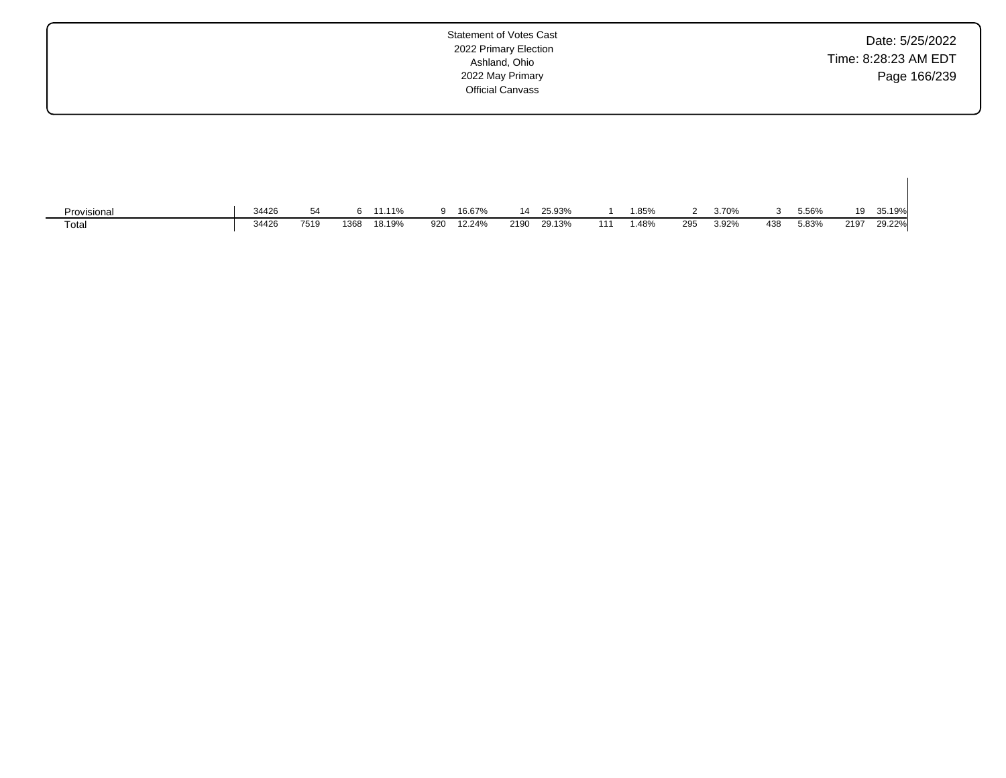| <b>Statement of Votes Cast</b><br>2022 Primary Election<br>Ashland, Ohio<br>2022 May Primary<br><b>Official Canvass</b> | Date: 5/25/2022<br>Time: 8:28:23 AM EDT<br>Page 166/239 |
|-------------------------------------------------------------------------------------------------------------------------|---------------------------------------------------------|
|                                                                                                                         |                                                         |

 $\mathbf{I}$ 

| Provisional | 34426 |      |      | 11.11% |     | 16.67% | 14   | 25.93% |     | 1.85% |     | 3.70% |     | 5.56% | 19   | 35.19% |
|-------------|-------|------|------|--------|-----|--------|------|--------|-----|-------|-----|-------|-----|-------|------|--------|
| Total       | 34426 | 7519 | 1368 | 18.19% | 920 | 12.24% | 2190 | 29.13% | 111 | . 48% | 295 | 3.92% | 438 | 5.83% | 2197 | 29.22% |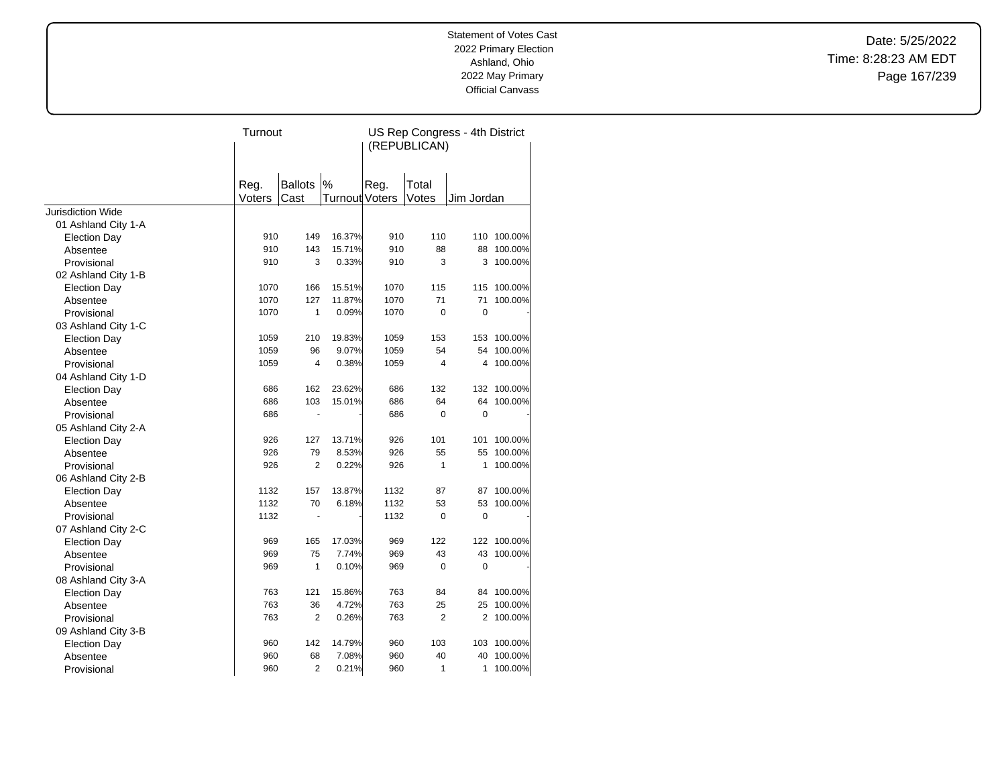Date: 5/25/2022 Time: 8:28:23 AM EDT Page 167/239

|                          | Turnout |                |                       | US Rep Congress - 4th District<br>(REPUBLICAN) |                |                |         |  |  |
|--------------------------|---------|----------------|-----------------------|------------------------------------------------|----------------|----------------|---------|--|--|
|                          | Reg.    | <b>Ballots</b> | %                     | Reg.                                           | Total          |                |         |  |  |
|                          | Voters  | Cast           | <b>Turnout Voters</b> |                                                | Votes          | Jim Jordan     |         |  |  |
| <b>Jurisdiction Wide</b> |         |                |                       |                                                |                |                |         |  |  |
| 01 Ashland City 1-A      |         |                |                       |                                                |                |                |         |  |  |
| <b>Election Day</b>      | 910     | 149            | 16.37%                | 910                                            | 110            | 110            | 100.00% |  |  |
| Absentee                 | 910     | 143            | 15.71%                | 910                                            | 88             | 88             | 100.00% |  |  |
| Provisional              | 910     | 3              | 0.33%                 | 910                                            | 3              | 3              | 100.00% |  |  |
| 02 Ashland City 1-B      |         |                |                       |                                                |                |                |         |  |  |
| <b>Election Day</b>      | 1070    | 166            | 15.51%                | 1070                                           | 115            | 115            | 100.00% |  |  |
| Absentee                 | 1070    | 127            | 11.87%                | 1070                                           | 71             | 71             | 100.00% |  |  |
| Provisional              | 1070    | 1              | 0.09%                 | 1070                                           | $\Omega$       | 0              |         |  |  |
| 03 Ashland City 1-C      |         |                |                       |                                                |                |                |         |  |  |
| <b>Election Day</b>      | 1059    | 210            | 19.83%                | 1059                                           | 153            | 153            | 100.00% |  |  |
| Absentee                 | 1059    | 96             | 9.07%                 | 1059                                           | 54             | 54             | 100.00% |  |  |
| Provisional              | 1059    | $\overline{4}$ | 0.38%                 | 1059                                           | 4              | 4              | 100.00% |  |  |
| 04 Ashland City 1-D      |         |                |                       |                                                |                |                |         |  |  |
| <b>Election Day</b>      | 686     | 162            | 23.62%                | 686                                            | 132            | 132            | 100.00% |  |  |
| Absentee                 | 686     | 103            | 15.01%                | 686                                            | 64             | 64             | 100.00% |  |  |
| Provisional              | 686     |                |                       | 686                                            | 0              | $\mathbf 0$    |         |  |  |
| 05 Ashland City 2-A      |         |                |                       |                                                |                |                |         |  |  |
| <b>Election Day</b>      | 926     | 127            | 13.71%                | 926                                            | 101            | 101            | 100.00% |  |  |
| Absentee                 | 926     | 79             | 8.53%                 | 926                                            | 55             | 55             | 100.00% |  |  |
| Provisional              | 926     | $\overline{2}$ | 0.22%                 | 926                                            | 1              | 1              | 100.00% |  |  |
| 06 Ashland City 2-B      |         |                |                       |                                                |                |                |         |  |  |
| <b>Election Day</b>      | 1132    | 157            | 13.87%                | 1132                                           | 87             | 87             | 100.00% |  |  |
| Absentee                 | 1132    | 70             | 6.18%                 | 1132                                           | 53             | 53             | 100.00% |  |  |
| Provisional              | 1132    | $\blacksquare$ |                       | 1132                                           | 0              | $\mathbf 0$    |         |  |  |
| 07 Ashland City 2-C      |         |                |                       |                                                |                |                |         |  |  |
| <b>Election Day</b>      | 969     | 165            | 17.03%                | 969                                            | 122            | 122            | 100.00% |  |  |
| Absentee                 | 969     | 75             | 7.74%                 | 969                                            | 43             | 43             | 100.00% |  |  |
| Provisional              | 969     | 1              | 0.10%                 | 969                                            | 0              | 0              |         |  |  |
| 08 Ashland City 3-A      |         |                |                       |                                                |                |                |         |  |  |
| <b>Election Day</b>      | 763     | 121            | 15.86%                | 763                                            | 84             | 84             | 100.00% |  |  |
| Absentee                 | 763     | 36             | 4.72%                 | 763                                            | 25             | 25             | 100.00% |  |  |
| Provisional              | 763     | 2              | 0.26%                 | 763                                            | $\overline{2}$ | $\overline{2}$ | 100.00% |  |  |
| 09 Ashland City 3-B      |         |                |                       |                                                |                |                |         |  |  |
| <b>Election Day</b>      | 960     | 142            | 14.79%                | 960                                            | 103            | 103            | 100.00% |  |  |
| Absentee                 | 960     | 68             | 7.08%                 | 960                                            | 40             | 40             | 100.00% |  |  |
| Provisional              | 960     | $\overline{2}$ | 0.21%                 | 960                                            | 1              | 1              | 100.00% |  |  |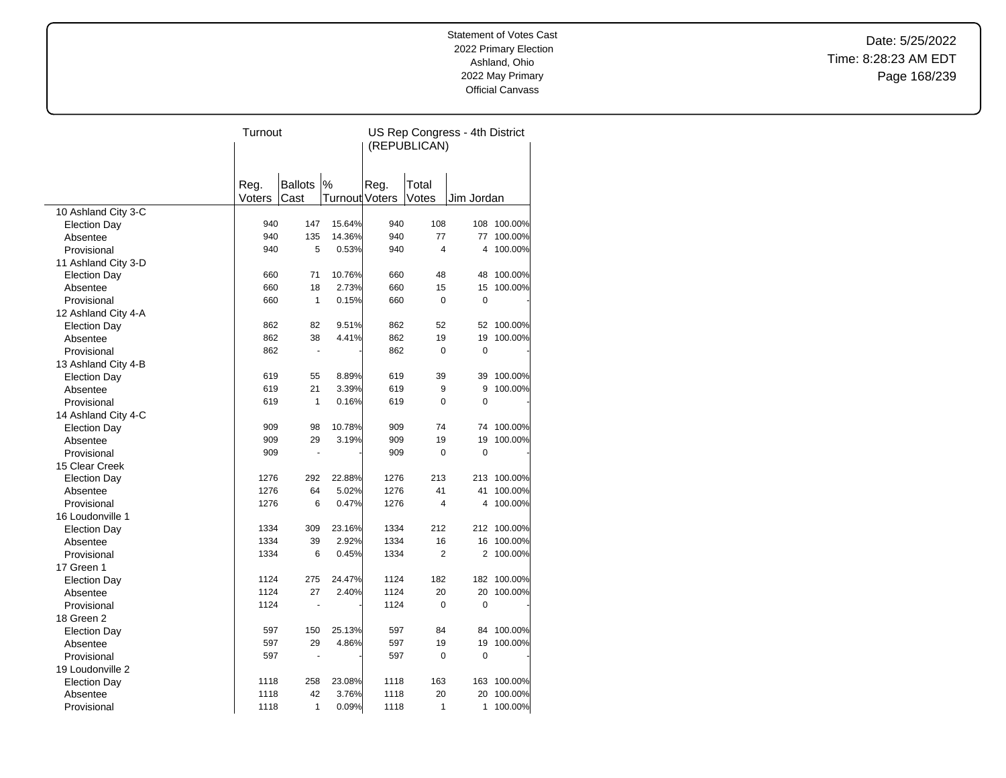Date: 5/25/2022 Time: 8:28:23 AM EDT Page 168/239

|                     | Turnout |                       |                | US Rep Congress - 4th District<br>(REPUBLICAN) |                         |                |             |  |
|---------------------|---------|-----------------------|----------------|------------------------------------------------|-------------------------|----------------|-------------|--|
|                     |         |                       |                |                                                |                         |                |             |  |
|                     |         |                       |                |                                                |                         |                |             |  |
|                     | Reg.    | <b>Ballots</b>        | $\%$           | Reg.                                           | Total                   |                |             |  |
|                     | Voters  | Cast                  | Turnout Voters |                                                | Votes                   | Jim Jordan     |             |  |
| 10 Ashland City 3-C |         |                       |                |                                                |                         |                |             |  |
| <b>Election Day</b> | 940     | 147                   | 15.64%         | 940                                            | 108                     | 108            | 100.00%     |  |
| Absentee            | 940     | 135                   | 14.36%         | 940                                            | 77                      | 77             | 100.00%     |  |
| Provisional         | 940     | 5                     | 0.53%          | 940                                            | $\overline{\mathbf{4}}$ | 4              | 100.00%     |  |
| 11 Ashland City 3-D |         |                       |                |                                                |                         |                |             |  |
| <b>Election Day</b> | 660     | 71                    | 10.76%         | 660                                            | 48                      | 48             | 100.00%     |  |
| Absentee            | 660     | 18                    | 2.73%          | 660                                            | 15                      | 15             | 100.00%     |  |
| Provisional         | 660     | $\mathbf{1}$          | 0.15%          | 660                                            | $\mathbf 0$             | $\mathbf 0$    |             |  |
| 12 Ashland City 4-A |         |                       |                |                                                |                         |                |             |  |
| <b>Election Day</b> | 862     | 82                    | 9.51%          | 862                                            | 52                      | 52             | 100.00%     |  |
| Absentee            | 862     | 38                    | 4.41%          | 862                                            | 19                      | 19             | 100.00%     |  |
| Provisional         | 862     | $\tilde{\phantom{a}}$ |                | 862                                            | $\mathbf 0$             | $\mathbf 0$    |             |  |
| 13 Ashland City 4-B |         |                       |                |                                                |                         |                |             |  |
| <b>Election Day</b> | 619     | 55                    | 8.89%          | 619                                            | 39                      | 39             | 100.00%     |  |
| Absentee            | 619     | 21                    | 3.39%          | 619                                            | 9                       | 9              | 100.00%     |  |
| Provisional         | 619     | $\mathbf{1}$          | 0.16%          | 619                                            | $\Omega$                | $\Omega$       |             |  |
| 14 Ashland City 4-C |         |                       |                |                                                |                         |                |             |  |
| <b>Election Day</b> | 909     | 98                    | 10.78%         | 909                                            | 74                      | 74             | 100.00%     |  |
| Absentee            | 909     | 29                    | 3.19%          | 909                                            | 19                      | 19             | 100.00%     |  |
| Provisional         | 909     | $\ddot{\phantom{1}}$  |                | 909                                            | $\mathbf 0$             | $\mathbf 0$    |             |  |
| 15 Clear Creek      |         |                       |                |                                                |                         |                |             |  |
| <b>Election Day</b> | 1276    | 292                   | 22.88%         | 1276                                           | 213                     | 213            | 100.00%     |  |
| Absentee            | 1276    | 64                    | 5.02%          | 1276                                           | 41                      | 41             | 100.00%     |  |
| Provisional         | 1276    | 6                     | 0.47%          | 1276                                           | 4                       | 4              | 100.00%     |  |
| 16 Loudonville 1    |         |                       |                |                                                |                         |                |             |  |
| <b>Election Day</b> | 1334    | 309                   | 23.16%         | 1334                                           | 212                     |                | 212 100.00% |  |
| Absentee            | 1334    | 39                    | 2.92%          | 1334                                           | 16                      | 16             | 100.00%     |  |
| Provisional         | 1334    | 6                     | 0.45%          | 1334                                           | $\overline{2}$          | $\overline{2}$ | 100.00%     |  |
| 17 Green 1          |         |                       |                |                                                |                         |                |             |  |
| <b>Election Day</b> | 1124    | 275                   | 24.47%         | 1124                                           | 182                     |                | 182 100.00% |  |
| Absentee            | 1124    | 27                    | 2.40%          | 1124                                           | 20                      | 20             | 100.00%     |  |
| Provisional         | 1124    |                       |                | 1124                                           | $\pmb{0}$               | $\pmb{0}$      |             |  |
| 18 Green 2          |         |                       |                |                                                |                         |                |             |  |
| <b>Election Day</b> | 597     | 150                   | 25.13%         | 597                                            | 84                      | 84             | 100.00%     |  |
| Absentee            | 597     | 29                    | 4.86%          | 597                                            | 19                      | 19             | 100.00%     |  |
| Provisional         | 597     | ÷,                    |                | 597                                            | $\mathbf 0$             | 0              |             |  |
| 19 Loudonville 2    |         |                       |                |                                                |                         |                |             |  |
| <b>Election Day</b> | 1118    | 258                   | 23.08%         | 1118                                           | 163                     | 163            | 100.00%     |  |
| Absentee            | 1118    | 42                    | 3.76%          | 1118                                           | 20                      | 20             | 100.00%     |  |
| Provisional         | 1118    | 1                     | 0.09%          | 1118                                           | 1                       | 1              | 100.00%     |  |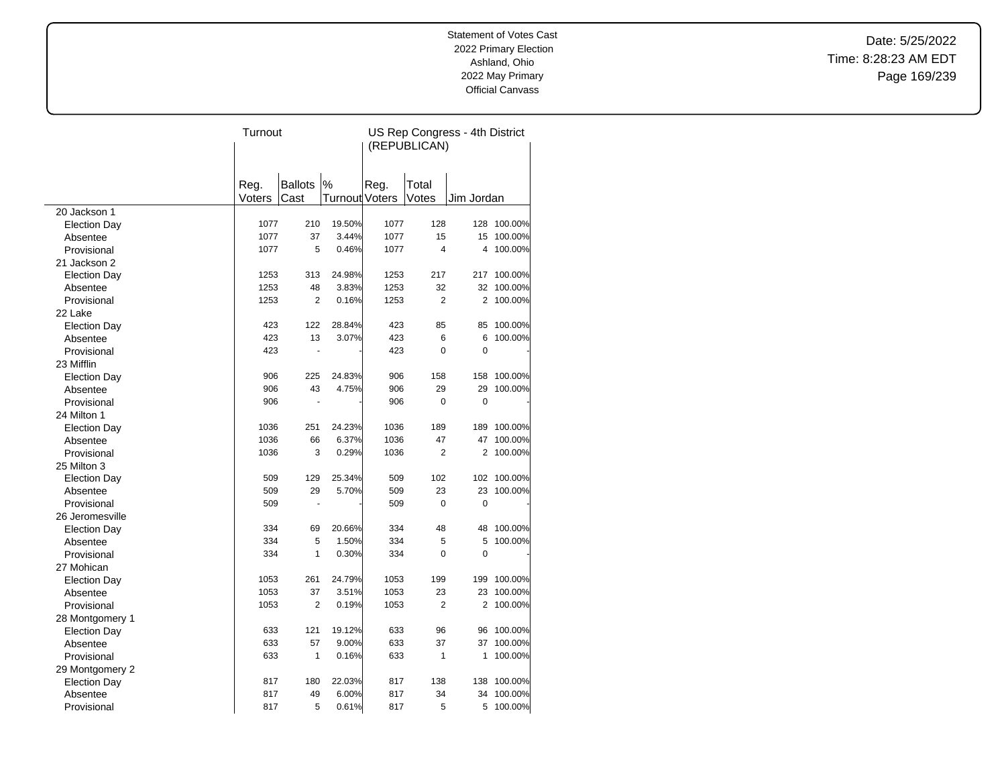Date: 5/25/2022 Time: 8:28:23 AM EDT Page 169/239

|                     | Turnout |                |                | US Rep Congress - 4th District<br>(REPUBLICAN) |                |                |         |  |
|---------------------|---------|----------------|----------------|------------------------------------------------|----------------|----------------|---------|--|
|                     |         |                |                |                                                |                |                |         |  |
|                     |         |                |                |                                                |                |                |         |  |
|                     | Reg.    | <b>Ballots</b> | %              | Reg.                                           | Total          |                |         |  |
|                     | Voters  | Cast           | Turnout Voters |                                                | Votes          | Jim Jordan     |         |  |
| 20 Jackson 1        |         |                |                |                                                |                |                |         |  |
| <b>Election Day</b> | 1077    | 210            | 19.50%         | 1077                                           | 128            | 128            | 100.00% |  |
| Absentee            | 1077    | 37             | 3.44%          | 1077                                           | 15             | 15             | 100.00% |  |
| Provisional         | 1077    | 5              | 0.46%          | 1077                                           | 4              | 4              | 100.00% |  |
| 21 Jackson 2        |         |                |                |                                                |                |                |         |  |
| <b>Election Day</b> | 1253    | 313            | 24.98%         | 1253                                           | 217            | 217            | 100.00% |  |
| Absentee            | 1253    | 48             | 3.83%          | 1253                                           | 32             | 32             | 100.00% |  |
| Provisional         | 1253    | 2              | 0.16%          | 1253                                           | 2              | $\overline{2}$ | 100.00% |  |
| 22 Lake             |         |                |                |                                                |                |                |         |  |
| <b>Election Day</b> | 423     | 122            | 28.84%         | 423                                            | 85             | 85             | 100.00% |  |
| Absentee            | 423     | 13             | 3.07%          | 423                                            | 6              | 6              | 100.00% |  |
| Provisional         | 423     |                |                | 423                                            | 0              | $\mathbf 0$    |         |  |
| 23 Mifflin          |         |                |                |                                                |                |                |         |  |
| <b>Election Day</b> | 906     | 225            | 24.83%         | 906                                            | 158            | 158            | 100.00% |  |
| Absentee            | 906     | 43             | 4.75%          | 906                                            | 29             | 29             | 100.00% |  |
| Provisional         | 906     |                |                | 906                                            | $\mathbf 0$    | $\mathbf 0$    |         |  |
| 24 Milton 1         |         |                |                |                                                |                |                |         |  |
| <b>Election Day</b> | 1036    | 251            | 24.23%         | 1036                                           | 189            | 189            | 100.00% |  |
| Absentee            | 1036    | 66             | 6.37%          | 1036                                           | 47             | 47             | 100.00% |  |
| Provisional         | 1036    | 3              | 0.29%          | 1036                                           | $\overline{2}$ | $\overline{2}$ | 100.00% |  |
| 25 Milton 3         |         |                |                |                                                |                |                |         |  |
| <b>Election Day</b> | 509     | 129            | 25.34%         | 509                                            | 102            | 102            | 100.00% |  |
| Absentee            | 509     | 29             | 5.70%          | 509                                            | 23             | 23             | 100.00% |  |
| Provisional         | 509     |                |                | 509                                            | $\Omega$       | $\mathbf 0$    |         |  |
| 26 Jeromesville     |         |                |                |                                                |                |                |         |  |
| <b>Election Day</b> | 334     | 69             | 20.66%         | 334                                            | 48             | 48             | 100.00% |  |
| Absentee            | 334     | 5              | 1.50%          | 334                                            | 5              | 5              | 100.00% |  |
| Provisional         | 334     | 1              | 0.30%          | 334                                            | 0              | 0              |         |  |
| 27 Mohican          |         |                |                |                                                |                |                |         |  |
| <b>Election Day</b> | 1053    | 261            | 24.79%         | 1053                                           | 199            | 199            | 100.00% |  |
| Absentee            | 1053    | 37             | 3.51%          | 1053                                           | 23             | 23             | 100.00% |  |
| Provisional         | 1053    | 2              | 0.19%          | 1053                                           | 2              | $\overline{2}$ | 100.00% |  |
| 28 Montgomery 1     |         |                |                |                                                |                |                |         |  |
| <b>Election Day</b> | 633     | 121            | 19.12%         | 633                                            | 96             | 96             | 100.00% |  |
| Absentee            | 633     | 57             | 9.00%          | 633                                            | 37             | 37             | 100.00% |  |
| Provisional         | 633     | $\mathbf{1}$   | 0.16%          | 633                                            | 1              | 1              | 100.00% |  |
| 29 Montgomery 2     |         |                |                |                                                |                |                |         |  |
| <b>Election Day</b> | 817     | 180            | 22.03%         | 817                                            | 138            | 138            | 100.00% |  |
| Absentee            | 817     | 49             | 6.00%          | 817                                            | 34             | 34             | 100.00% |  |
| Provisional         | 817     | 5              | 0.61%          | 817                                            | 5              | 5              | 100.00% |  |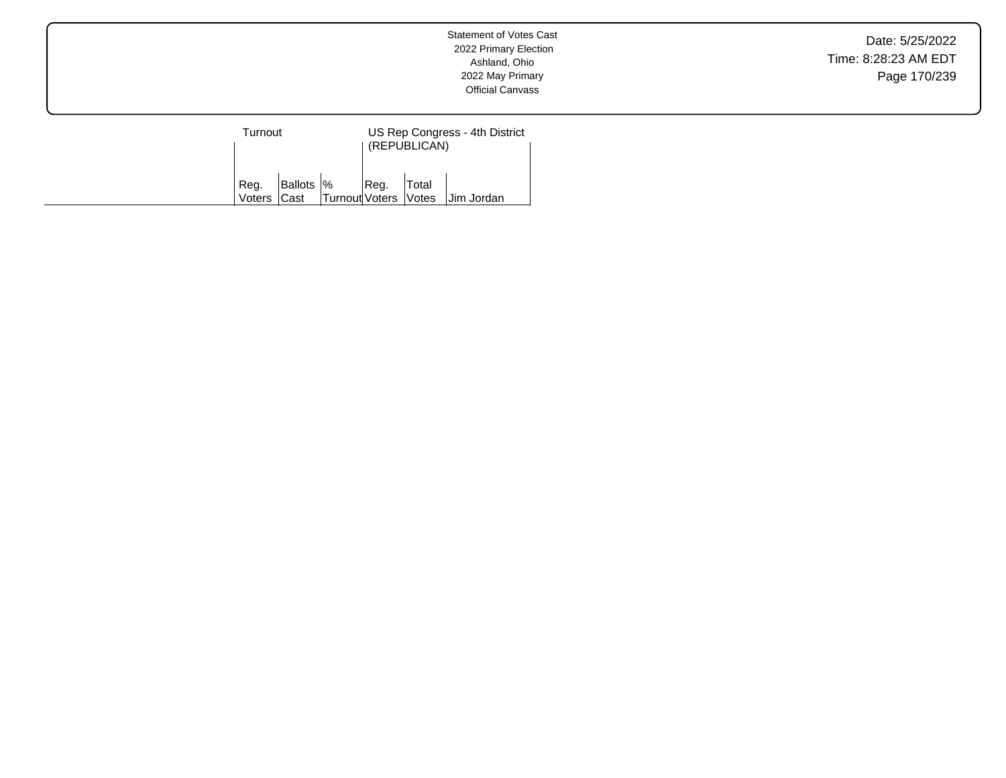Date: 5/25/2022 Time: 8:28:23 AM EDT Page 170/239

| Turnout             |  |                                                        | US Rep Congress - 4th District<br>(REPUBLICAN) |       |            |  |  |
|---------------------|--|--------------------------------------------------------|------------------------------------------------|-------|------------|--|--|
| Reg.<br>Voters Cast |  | $\vert$ Ballots $\vert\%$ Reg.<br>Turnout Voters Votes |                                                | Total | Jim Jordan |  |  |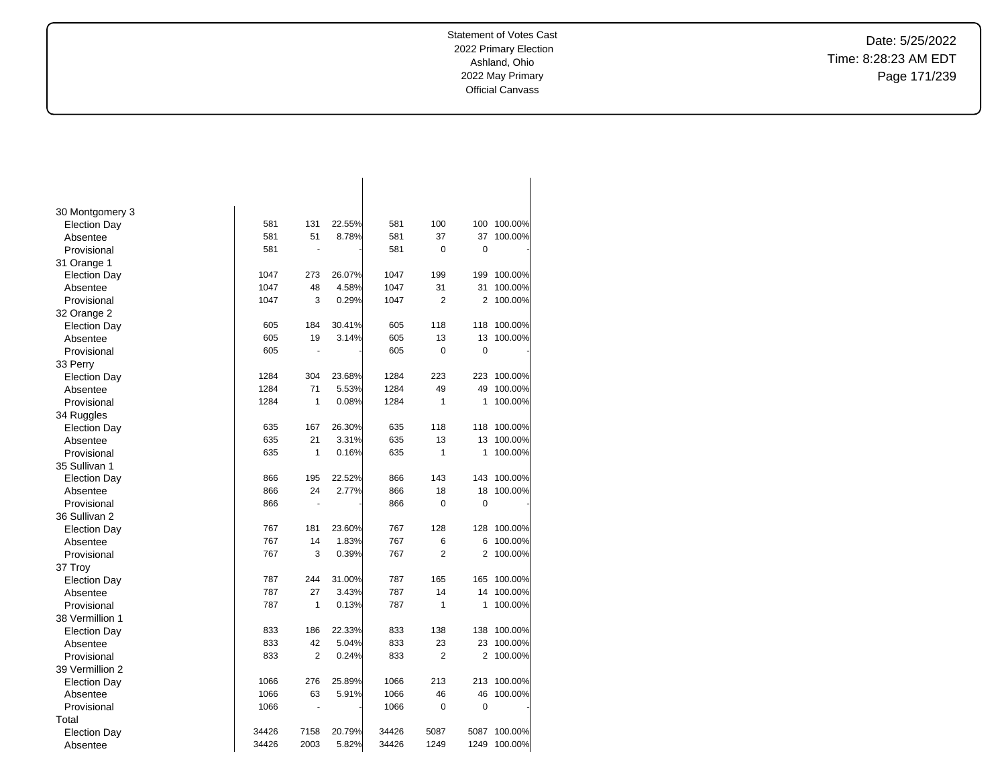Date: 5/25/2022 Time: 8:28:23 AM EDT Page 171/239

| 30 Montgomery 3     |       |                      |        |       |                |      |         |
|---------------------|-------|----------------------|--------|-------|----------------|------|---------|
| <b>Election Day</b> | 581   | 131                  | 22.55% | 581   | 100            | 100  | 100.00% |
| Absentee            | 581   | 51                   | 8.78%  | 581   | 37             | 37   | 100.00% |
| Provisional         | 581   | ÷.                   |        | 581   | 0              | 0    |         |
| 31 Orange 1         |       |                      |        |       |                |      |         |
| <b>Election Day</b> | 1047  | 273                  | 26.07% | 1047  | 199            | 199  | 100.00% |
| Absentee            | 1047  | 48                   | 4.58%  | 1047  | 31             | 31   | 100.00% |
| Provisional         | 1047  | 3                    | 0.29%  | 1047  | $\overline{2}$ | 2    | 100.00% |
| 32 Orange 2         |       |                      |        |       |                |      |         |
| <b>Election Day</b> | 605   | 184                  | 30.41% | 605   | 118            | 118  | 100.00% |
| Absentee            | 605   | 19                   | 3.14%  | 605   | 13             | 13   | 100.00% |
| Provisional         | 605   | ä,                   |        | 605   | 0              | 0    |         |
| 33 Perry            |       |                      |        |       |                |      |         |
| <b>Election Day</b> | 1284  | 304                  | 23.68% | 1284  | 223            | 223  | 100.00% |
| Absentee            | 1284  | 71                   | 5.53%  | 1284  | 49             | 49   | 100.00% |
| Provisional         | 1284  | 1                    | 0.08%  | 1284  | $\mathbf{1}$   | 1    | 100.00% |
| 34 Ruggles          |       |                      |        |       |                |      |         |
| <b>Election Day</b> | 635   | 167                  | 26.30% | 635   | 118            | 118  | 100.00% |
| Absentee            | 635   | 21                   | 3.31%  | 635   | 13             | 13   | 100.00% |
| Provisional         | 635   | 1                    | 0.16%  | 635   | $\mathbf{1}$   | 1    | 100.00% |
| 35 Sullivan 1       |       |                      |        |       |                |      |         |
| <b>Election Day</b> | 866   | 195                  | 22.52% | 866   | 143            | 143  | 100.00% |
| Absentee            | 866   | 24                   | 2.77%  | 866   | 18             | 18   | 100.00% |
| Provisional         | 866   | $\ddot{\phantom{1}}$ |        | 866   | 0              | 0    |         |
| 36 Sullivan 2       |       |                      |        |       |                |      |         |
| <b>Election Day</b> | 767   | 181                  | 23.60% | 767   | 128            | 128  | 100.00% |
| Absentee            | 767   | 14                   | 1.83%  | 767   | 6              | 6    | 100.00% |
| Provisional         | 767   | 3                    | 0.39%  | 767   | $\overline{2}$ | 2    | 100.00% |
| 37 Troy             |       |                      |        |       |                |      |         |
| <b>Election Day</b> | 787   | 244                  | 31.00% | 787   | 165            | 165  | 100.00% |
| Absentee            | 787   | 27                   | 3.43%  | 787   | 14             | 14   | 100.00% |
| Provisional         | 787   | 1                    | 0.13%  | 787   | 1              | 1    | 100.00% |
| 38 Vermillion 1     |       |                      |        |       |                |      |         |
| <b>Election Day</b> | 833   | 186                  | 22.33% | 833   | 138            | 138  | 100.00% |
| Absentee            | 833   | 42                   | 5.04%  | 833   | 23             | 23   | 100.00% |
| Provisional         | 833   | $\overline{2}$       | 0.24%  | 833   | $\overline{2}$ | 2    | 100.00% |
| 39 Vermillion 2     |       |                      |        |       |                |      |         |
| <b>Election Day</b> | 1066  | 276                  | 25.89% | 1066  | 213            | 213  | 100.00% |
| Absentee            | 1066  | 63                   | 5.91%  | 1066  | 46             | 46   | 100.00% |
| Provisional         | 1066  | ÷,                   |        | 1066  | 0              | 0    |         |
| Total               |       |                      |        |       |                |      |         |
| <b>Election Day</b> | 34426 | 7158                 | 20.79% | 34426 | 5087           | 5087 | 100.00% |
| Absentee            | 34426 | 2003                 | 5.82%  | 34426 | 1249           | 1249 | 100.00% |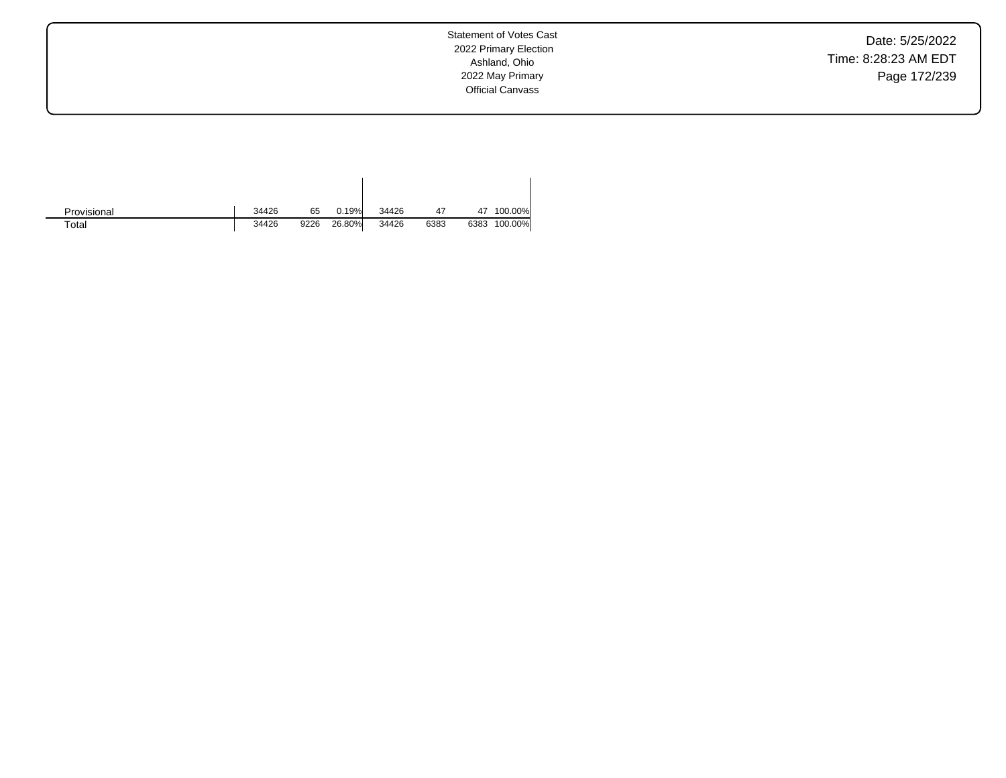Date: 5/25/2022 Time: 8:28:23 AM EDT Page 172/239

| Provisional | 34426 | 65   | 0.19%  | 34426 | 47   | 47   | 100.00% |
|-------------|-------|------|--------|-------|------|------|---------|
| $\tau$ otal | 34426 | 9226 | 26.80% | 34426 | 6383 | 6383 | 100.00% |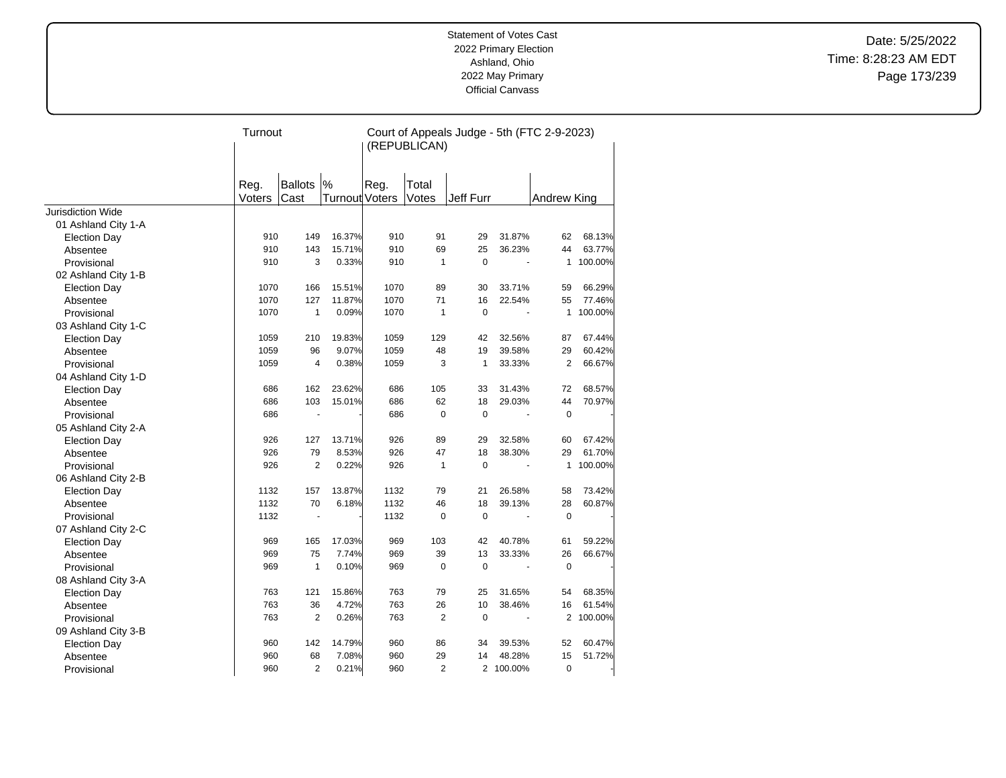Date: 5/25/2022 Time: 8:28:23 AM EDT Page 173/239

|                          | Turnout |                |                       | Court of Appeals Judge - 5th (FTC 2-9-2023)<br>(REPUBLICAN) |                |              |           |              |           |
|--------------------------|---------|----------------|-----------------------|-------------------------------------------------------------|----------------|--------------|-----------|--------------|-----------|
|                          |         |                |                       |                                                             |                |              |           |              |           |
|                          |         |                |                       |                                                             |                |              |           |              |           |
|                          | Reg.    | Ballots        | $\frac{9}{6}$         | Reg.                                                        | Total          |              |           |              |           |
|                          | Voters  | Cast           | <b>Turnout Voters</b> |                                                             | Votes          | Jeff Furr    |           | Andrew King  |           |
| <b>Jurisdiction Wide</b> |         |                |                       |                                                             |                |              |           |              |           |
| 01 Ashland City 1-A      |         |                |                       |                                                             |                |              |           |              |           |
| <b>Election Day</b>      | 910     | 149            | 16.37%                | 910                                                         | 91             | 29           | 31.87%    | 62           | 68.13%    |
| Absentee                 | 910     | 143            | 15.71%                | 910                                                         | 69             | 25           | 36.23%    | 44           | 63.77%    |
| Provisional              | 910     | 3              | 0.33%                 | 910                                                         | $\mathbf{1}$   | $\mathbf 0$  |           | 1            | 100.00%   |
| 02 Ashland City 1-B      |         |                |                       |                                                             |                |              |           |              |           |
| <b>Election Day</b>      | 1070    | 166            | 15.51%                | 1070                                                        | 89             | 30           | 33.71%    | 59           | 66.29%    |
| Absentee                 | 1070    | 127            | 11.87%                | 1070                                                        | 71             | 16           | 22.54%    | 55           | 77.46%    |
| Provisional              | 1070    | $\mathbf{1}$   | 0.09%                 | 1070                                                        | $\mathbf{1}$   | $\Omega$     |           | $\mathbf{1}$ | 100.00%   |
| 03 Ashland City 1-C      |         |                |                       |                                                             |                |              |           |              |           |
| <b>Election Day</b>      | 1059    | 210            | 19.83%                | 1059                                                        | 129            | 42           | 32.56%    | 87           | 67.44%    |
| Absentee                 | 1059    | 96             | 9.07%                 | 1059                                                        | 48             | 19           | 39.58%    | 29           | 60.42%    |
| Provisional              | 1059    | $\overline{4}$ | 0.38%                 | 1059                                                        | 3              | $\mathbf{1}$ | 33.33%    | 2            | 66.67%    |
| 04 Ashland City 1-D      |         |                |                       |                                                             |                |              |           |              |           |
| <b>Election Day</b>      | 686     | 162            | 23.62%                | 686                                                         | 105            | 33           | 31.43%    | 72           | 68.57%    |
| Absentee                 | 686     | 103            | 15.01%                | 686                                                         | 62             | 18           | 29.03%    | 44           | 70.97%    |
| Provisional              | 686     |                |                       | 686                                                         | $\mathbf 0$    | $\mathbf 0$  |           | $\mathbf 0$  |           |
| 05 Ashland City 2-A      |         |                |                       |                                                             |                |              |           |              |           |
| Election Day             | 926     | 127            | 13.71%                | 926                                                         | 89             | 29           | 32.58%    | 60           | 67.42%    |
| Absentee                 | 926     | 79             | 8.53%                 | 926                                                         | 47             | 18           | 38.30%    | 29           | 61.70%    |
| Provisional              | 926     | $\overline{2}$ | 0.22%                 | 926                                                         | $\mathbf{1}$   | $\mathbf 0$  |           | 1            | 100.00%   |
| 06 Ashland City 2-B      |         |                |                       |                                                             |                |              |           |              |           |
| <b>Election Day</b>      | 1132    | 157            | 13.87%                | 1132                                                        | 79             | 21           | 26.58%    | 58           | 73.42%    |
| Absentee                 | 1132    | 70             | 6.18%                 | 1132                                                        | 46             | 18           | 39.13%    | 28           | 60.87%    |
| Provisional              | 1132    |                |                       | 1132                                                        | $\mathbf 0$    | $\mathbf 0$  |           | $\mathbf 0$  |           |
| 07 Ashland City 2-C      |         |                |                       |                                                             |                |              |           |              |           |
| <b>Election Day</b>      | 969     | 165            | 17.03%                | 969                                                         | 103            | 42           | 40.78%    | 61           | 59.22%    |
| Absentee                 | 969     | 75             | 7.74%                 | 969                                                         | 39             | 13           | 33.33%    | 26           | 66.67%    |
| Provisional              | 969     | $\mathbf{1}$   | 0.10%                 | 969                                                         | $\pmb{0}$      | $\pmb{0}$    |           | $\mathbf 0$  |           |
| 08 Ashland City 3-A      |         |                |                       |                                                             |                |              |           |              |           |
| <b>Election Day</b>      | 763     | 121            | 15.86%                | 763                                                         | 79             | 25           | 31.65%    | 54           | 68.35%    |
| Absentee                 | 763     | 36             | 4.72%                 | 763                                                         | 26             | 10           | 38.46%    | 16           | 61.54%    |
| Provisional              | 763     | 2              | 0.26%                 | 763                                                         | 2              | $\mathbf 0$  | ä,        |              | 2 100.00% |
| 09 Ashland City 3-B      |         |                |                       |                                                             |                |              |           |              |           |
| <b>Election Day</b>      | 960     | 142            | 14.79%                | 960                                                         | 86             | 34           | 39.53%    | 52           | 60.47%    |
| Absentee                 | 960     | 68             | 7.08%                 | 960                                                         | 29             | 14           | 48.28%    | 15           | 51.72%    |
| Provisional              | 960     | $\overline{2}$ | 0.21%                 | 960                                                         | $\overline{2}$ |              | 2 100.00% | $\mathbf 0$  |           |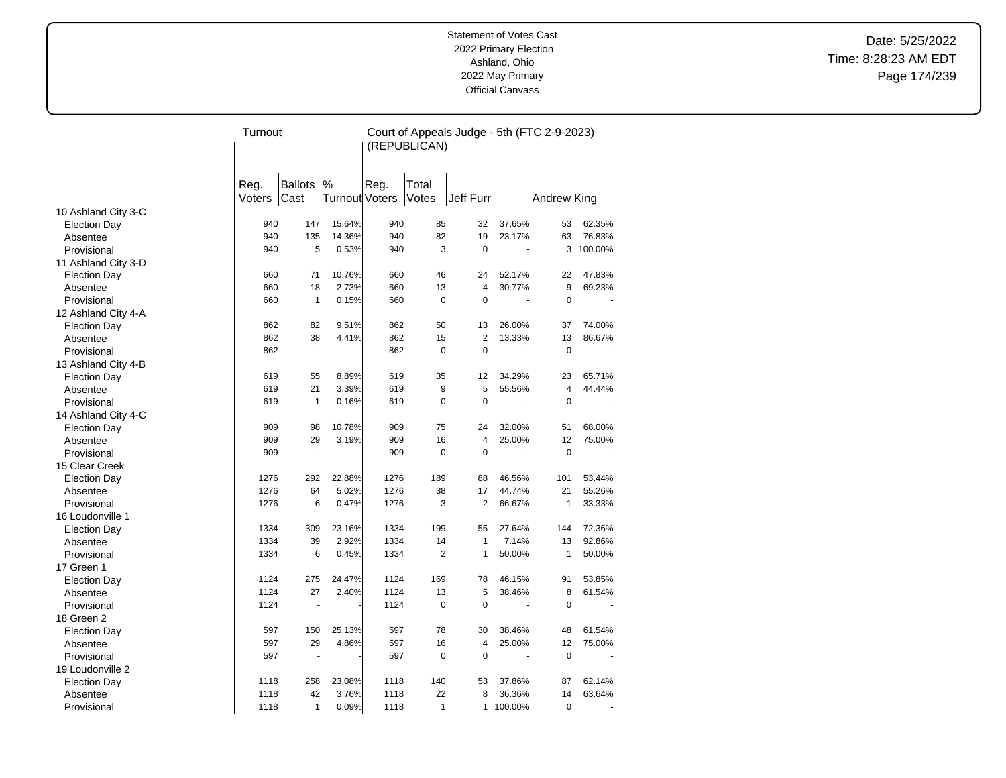Date: 5/25/2022 Time: 8:28:23 AM EDT Page 174/239

|                     | Turnout |                      |                | Court of Appeals Judge - 5th (FTC 2-9-2023)<br>(REPUBLICAN) |                |                |         |                    |           |
|---------------------|---------|----------------------|----------------|-------------------------------------------------------------|----------------|----------------|---------|--------------------|-----------|
|                     |         |                      |                |                                                             |                |                |         |                    |           |
|                     | Reg.    | <b>Ballots</b>       | $\frac{9}{6}$  | Reg.                                                        | Total          |                |         |                    |           |
|                     | Voters  | Cast                 | Turnout Voters |                                                             | Votes          | Jeff Furr      |         | <b>Andrew King</b> |           |
| 10 Ashland City 3-C |         |                      |                |                                                             |                |                |         |                    |           |
| <b>Election Day</b> | 940     | 147                  | 15.64%         | 940                                                         | 85             | 32             | 37.65%  | 53                 | 62.35%    |
| Absentee            | 940     | 135                  | 14.36%         | 940                                                         | 82             | 19             | 23.17%  | 63                 | 76.83%    |
| Provisional         | 940     | 5                    | 0.53%          | 940                                                         | 3              | $\mathbf 0$    |         |                    | 3 100.00% |
| 11 Ashland City 3-D |         |                      |                |                                                             |                |                |         |                    |           |
| <b>Election Day</b> | 660     | 71                   | 10.76%         | 660                                                         | 46             | 24             | 52.17%  | 22                 | 47.83%    |
| Absentee            | 660     | 18                   | 2.73%          | 660                                                         | 13             | 4              | 30.77%  | 9                  | 69.23%    |
| Provisional         | 660     | $\mathbf{1}$         | 0.15%          | 660                                                         | $\mathbf 0$    | $\mathbf 0$    |         | $\mathbf 0$        |           |
| 12 Ashland City 4-A |         |                      |                |                                                             |                |                |         |                    |           |
| <b>Election Day</b> | 862     | 82                   | 9.51%          | 862                                                         | 50             | 13             | 26.00%  | 37                 | 74.00%    |
| Absentee            | 862     | 38                   | 4.41%          | 862                                                         | 15             | $\overline{2}$ | 13.33%  | 13                 | 86.67%    |
| Provisional         | 862     | $\blacksquare$       |                | 862                                                         | $\mathbf 0$    | $\mathbf 0$    |         | $\mathbf 0$        |           |
| 13 Ashland City 4-B |         |                      |                |                                                             |                |                |         |                    |           |
| <b>Election Day</b> | 619     | 55                   | 8.89%          | 619                                                         | 35             | 12             | 34.29%  | 23                 | 65.71%    |
| Absentee            | 619     | 21                   | 3.39%          | 619                                                         | 9              | 5              | 55.56%  | $\overline{4}$     | 44.44%    |
| Provisional         | 619     | $\mathbf{1}$         | 0.16%          | 619                                                         | 0              | $\mathbf 0$    |         | $\mathbf 0$        |           |
| 14 Ashland City 4-C |         |                      |                |                                                             |                |                |         |                    |           |
| <b>Election Day</b> | 909     | 98                   | 10.78%         | 909                                                         | 75             | 24             | 32.00%  | 51                 | 68.00%    |
| Absentee            | 909     | 29                   | 3.19%          | 909                                                         | 16             | $\overline{4}$ | 25.00%  | 12                 | 75.00%    |
| Provisional         | 909     | ÷,                   |                | 909                                                         | $\Omega$       | $\Omega$       |         | $\Omega$           |           |
| 15 Clear Creek      |         |                      |                |                                                             |                |                |         |                    |           |
| <b>Election Day</b> | 1276    | 292                  | 22.88%         | 1276                                                        | 189            | 88             | 46.56%  | 101                | 53.44%    |
| Absentee            | 1276    | 64                   | 5.02%          | 1276                                                        | 38             | 17             | 44.74%  | 21                 | 55.26%    |
| Provisional         | 1276    | 6                    | 0.47%          | 1276                                                        | 3              | $\overline{2}$ | 66.67%  | $\mathbf{1}$       | 33.33%    |
| 16 Loudonville 1    |         |                      |                |                                                             |                |                |         |                    |           |
| <b>Election Day</b> | 1334    | 309                  | 23.16%         | 1334                                                        | 199            | 55             | 27.64%  | 144                | 72.36%    |
| Absentee            | 1334    | 39                   | 2.92%          | 1334                                                        | 14             | $\mathbf{1}$   | 7.14%   | 13                 | 92.86%    |
| Provisional         | 1334    | 6                    | 0.45%          | 1334                                                        | $\overline{2}$ | 1              | 50.00%  | $\mathbf{1}$       | 50.00%    |
| 17 Green 1          |         |                      |                |                                                             |                |                |         |                    |           |
| <b>Election Day</b> | 1124    | 275                  | 24.47%         | 1124                                                        | 169            | 78             | 46.15%  | 91                 | 53.85%    |
| Absentee            | 1124    | 27                   | 2.40%          | 1124                                                        | 13             | 5              | 38.46%  | 8                  | 61.54%    |
| Provisional         | 1124    | ä,                   |                | 1124                                                        | $\mathbf 0$    | $\mathbf 0$    |         | $\mathbf 0$        |           |
| 18 Green 2          |         |                      |                |                                                             |                |                |         |                    |           |
| <b>Election Day</b> | 597     | 150                  | 25.13%         | 597                                                         | 78             | 30             | 38.46%  | 48                 | 61.54%    |
| Absentee            | 597     | 29                   | 4.86%          | 597                                                         | 16             | 4              | 25.00%  | 12                 | 75.00%    |
| Provisional         | 597     | $\ddot{\phantom{1}}$ |                | 597                                                         | $\mathbf 0$    | $\mathbf 0$    |         | $\mathbf 0$        |           |
| 19 Loudonville 2    |         |                      |                |                                                             |                |                |         |                    |           |
| <b>Election Day</b> | 1118    | 258                  | 23.08%         | 1118                                                        | 140            | 53             | 37.86%  | 87                 | 62.14%    |
| Absentee            | 1118    | 42                   | 3.76%          | 1118                                                        | 22             | 8              | 36.36%  | 14                 | 63.64%    |
| Provisional         | 1118    | $\mathbf{1}$         | 0.09%          | 1118                                                        | $\mathbf{1}$   | $\mathbf{1}$   | 100.00% | $\mathbf 0$        |           |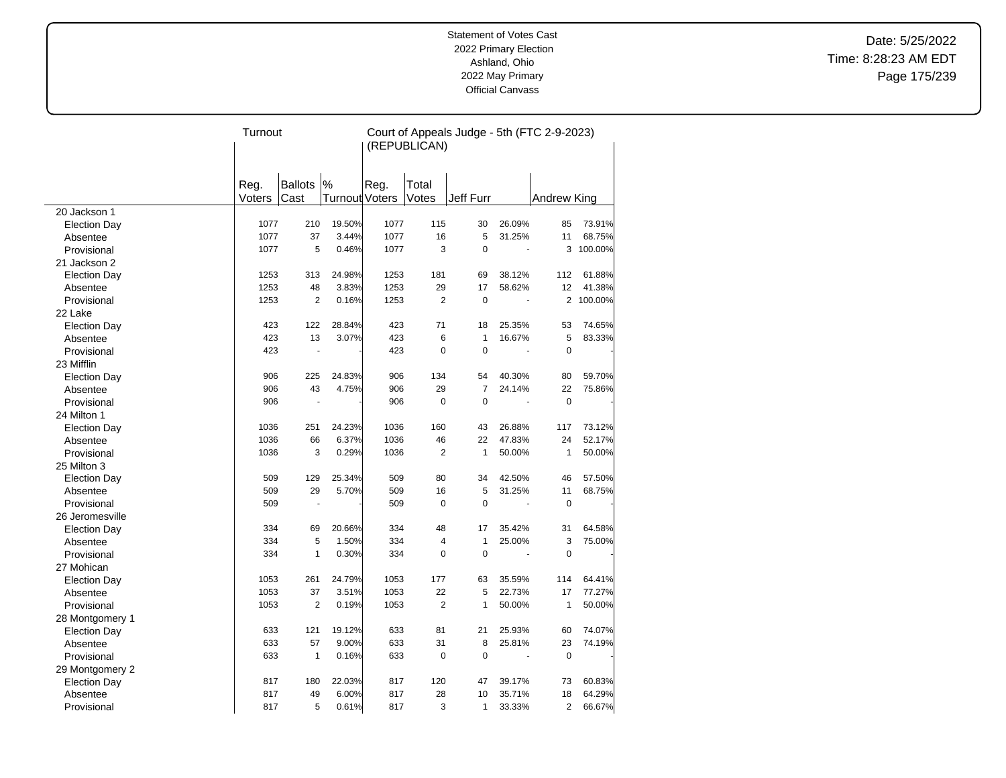Date: 5/25/2022 Time: 8:28:23 AM EDT Page 175/239

|                     | Turnout |                |                | Court of Appeals Judge - 5th (FTC 2-9-2023)<br>(REPUBLICAN) |                |                |                |              |           |
|---------------------|---------|----------------|----------------|-------------------------------------------------------------|----------------|----------------|----------------|--------------|-----------|
|                     |         |                |                |                                                             |                |                |                |              |           |
|                     | Reg.    | <b>Ballots</b> | $\%$           | Reg.                                                        | Total          |                |                |              |           |
|                     | Voters  | Cast           | Turnout Voters |                                                             | Votes          | Jeff Furr      |                | Andrew King  |           |
| 20 Jackson 1        |         |                |                |                                                             |                |                |                |              |           |
| <b>Election Day</b> | 1077    | 210            | 19.50%         | 1077                                                        | 115            | 30             | 26.09%         | 85           | 73.91%    |
| Absentee            | 1077    | 37             | 3.44%          | 1077                                                        | 16             | 5              | 31.25%         | 11           | 68.75%    |
| Provisional         | 1077    | 5              | 0.46%          | 1077                                                        | 3              | $\mathbf 0$    | $\overline{a}$ | 3            | 100.00%   |
| 21 Jackson 2        |         |                |                |                                                             |                |                |                |              |           |
| <b>Election Day</b> | 1253    | 313            | 24.98%         | 1253                                                        | 181            | 69             | 38.12%         | 112          | 61.88%    |
| Absentee            | 1253    | 48             | 3.83%          | 1253                                                        | 29             | 17             | 58.62%         | 12           | 41.38%    |
| Provisional         | 1253    | 2              | 0.16%          | 1253                                                        | $\overline{2}$ | $\Omega$       |                |              | 2 100.00% |
| 22 Lake             |         |                |                |                                                             |                |                |                |              |           |
| <b>Election Day</b> | 423     | 122            | 28.84%         | 423                                                         | 71             | 18             | 25.35%         | 53           | 74.65%    |
| Absentee            | 423     | 13             | 3.07%          | 423                                                         | 6              | $\mathbf{1}$   | 16.67%         | 5            | 83.33%    |
| Provisional         | 423     | $\blacksquare$ |                | 423                                                         | $\Omega$       | $\Omega$       |                | $\Omega$     |           |
| 23 Mifflin          |         |                |                |                                                             |                |                |                |              |           |
| <b>Election Day</b> | 906     | 225            | 24.83%         | 906                                                         | 134            | 54             | 40.30%         | 80           | 59.70%    |
| Absentee            | 906     | 43             | 4.75%          | 906                                                         | 29             | $\overline{7}$ | 24.14%         | 22           | 75.86%    |
| Provisional         | 906     |                |                | 906                                                         | $\mathbf 0$    | $\Omega$       |                | $\mathbf 0$  |           |
| 24 Milton 1         |         |                |                |                                                             |                |                |                |              |           |
| <b>Election Day</b> | 1036    | 251            | 24.23%         | 1036                                                        | 160            | 43             | 26.88%         | 117          | 73.12%    |
| Absentee            | 1036    | 66             | 6.37%          | 1036                                                        | 46             | 22             | 47.83%         | 24           | 52.17%    |
| Provisional         | 1036    | 3              | 0.29%          | 1036                                                        | 2              | $\mathbf{1}$   | 50.00%         | $\mathbf{1}$ | 50.00%    |
| 25 Milton 3         |         |                |                |                                                             |                |                |                |              |           |
| <b>Election Day</b> | 509     | 129            | 25.34%         | 509                                                         | 80             | 34             | 42.50%         | 46           | 57.50%    |
| Absentee            | 509     | 29             | 5.70%          | 509                                                         | 16             | 5              | 31.25%         | 11           | 68.75%    |
| Provisional         | 509     |                |                | 509                                                         | $\mathbf 0$    | $\mathbf 0$    |                | $\mathbf 0$  |           |
| 26 Jeromesville     |         |                |                |                                                             |                |                |                |              |           |
| <b>Election Day</b> | 334     | 69             | 20.66%         | 334                                                         | 48             | 17             | 35.42%         | 31           | 64.58%    |
| Absentee            | 334     | 5              | 1.50%          | 334                                                         | 4              | $\mathbf{1}$   | 25.00%         | 3            | 75.00%    |
| Provisional         | 334     | $\mathbf{1}$   | 0.30%          | 334                                                         | $\mathbf 0$    | $\mathbf 0$    |                | $\mathbf 0$  |           |
| 27 Mohican          |         |                |                |                                                             |                |                |                |              |           |
| <b>Election Day</b> | 1053    | 261            | 24.79%         | 1053                                                        | 177            | 63             | 35.59%         | 114          | 64.41%    |
| Absentee            | 1053    | 37             | 3.51%          | 1053                                                        | 22             | 5              | 22.73%         | 17           | 77.27%    |
| Provisional         | 1053    | $\overline{2}$ | 0.19%          | 1053                                                        | $\overline{2}$ | $\mathbf{1}$   | 50.00%         | $\mathbf{1}$ | 50.00%    |
| 28 Montgomery 1     |         |                |                |                                                             |                |                |                |              |           |
| <b>Election Day</b> | 633     | 121            | 19.12%         | 633                                                         | 81             | 21             | 25.93%         | 60           | 74.07%    |
| Absentee            | 633     | 57             | 9.00%          | 633                                                         | 31             | 8              | 25.81%         | 23           | 74.19%    |
| Provisional         | 633     | $\mathbf{1}$   | 0.16%          | 633                                                         | $\mathbf 0$    | $\mathbf 0$    |                | $\mathbf 0$  |           |
| 29 Montgomery 2     |         |                |                |                                                             |                |                |                |              |           |
| <b>Election Day</b> | 817     | 180            | 22.03%         | 817                                                         | 120            | 47             | 39.17%         | 73           | 60.83%    |
| Absentee            | 817     | 49             | 6.00%          | 817                                                         | 28             | 10             | 35.71%         | 18           | 64.29%    |
| Provisional         | 817     | 5              | 0.61%          | 817                                                         | 3              | $\mathbf{1}$   | 33.33%         | 2            | 66.67%    |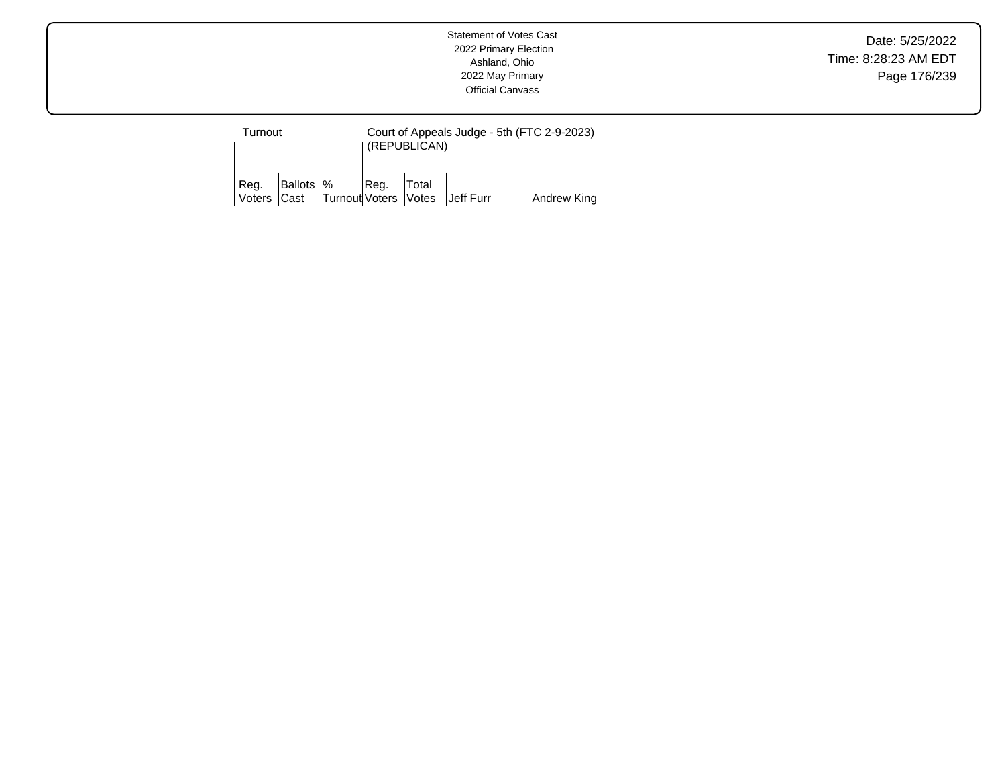| Turnout        |                                  |                        |      | Court of Appeals Judge - 5th (FTC 2-9-2023)<br>(REPUBLICAN) |                  |             |  |  |  |
|----------------|----------------------------------|------------------------|------|-------------------------------------------------------------|------------------|-------------|--|--|--|
| Reg.<br>Voters | <b>Ballots</b>  %<br><b>Cast</b> | Turnout Voters   Votes | Reg. | Total                                                       | <b>Jeff Furr</b> | Andrew King |  |  |  |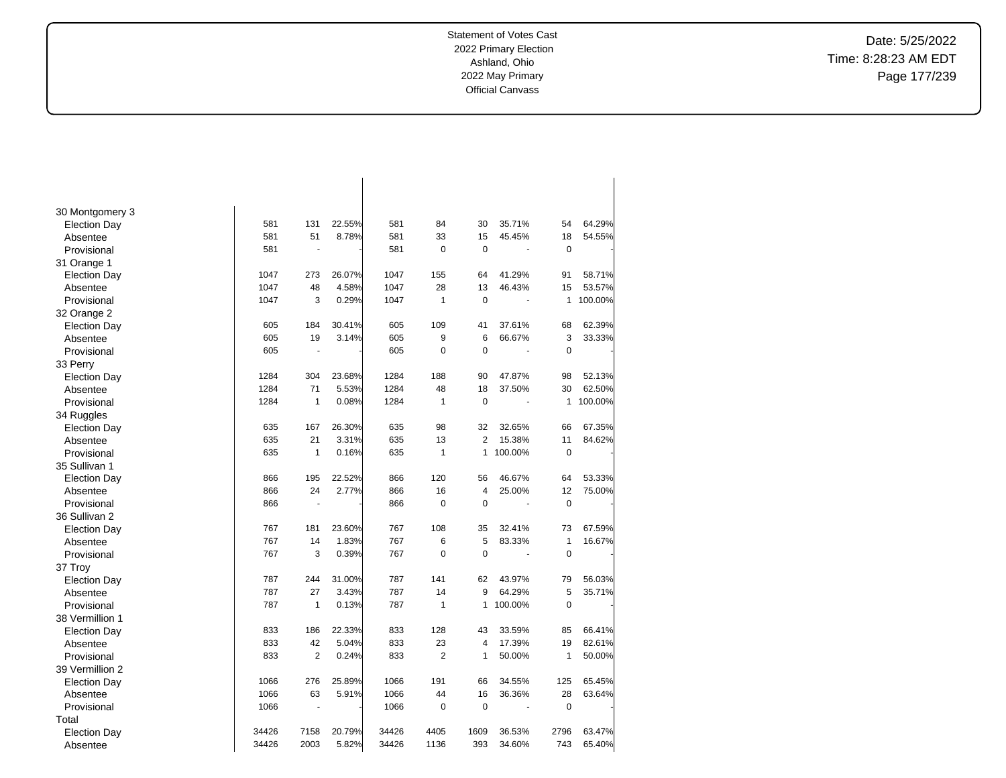$\overline{\phantom{a}}$ 

Date: 5/25/2022 Time: 8:28:23 AM EDT Page 177/239

| 30 Montgomery 3     |       |                |        |       |                |                |         |              |         |
|---------------------|-------|----------------|--------|-------|----------------|----------------|---------|--------------|---------|
| <b>Election Day</b> | 581   | 131            | 22.55% | 581   | 84             | 30             | 35.71%  | 54           | 64.29%  |
| Absentee            | 581   | 51             | 8.78%  | 581   | 33             | 15             | 45.45%  | 18           | 54.55%  |
| Provisional         | 581   | ÷,             |        | 581   | 0              | 0              |         | $\pmb{0}$    |         |
| 31 Orange 1         |       |                |        |       |                |                |         |              |         |
| <b>Election Day</b> | 1047  | 273            | 26.07% | 1047  | 155            | 64             | 41.29%  | 91           | 58.71%  |
| Absentee            | 1047  | 48             | 4.58%  | 1047  | 28             | 13             | 46.43%  | 15           | 53.57%  |
| Provisional         | 1047  | 3              | 0.29%  | 1047  | 1              | 0              |         | 1            | 100.00% |
| 32 Orange 2         |       |                |        |       |                |                |         |              |         |
| <b>Election Day</b> | 605   | 184            | 30.41% | 605   | 109            | 41             | 37.61%  | 68           | 62.39%  |
| Absentee            | 605   | 19             | 3.14%  | 605   | 9              | 6              | 66.67%  | 3            | 33.33%  |
| Provisional         | 605   | L.             |        | 605   | 0              | $\mathbf 0$    |         | 0            |         |
| 33 Perry            |       |                |        |       |                |                |         |              |         |
| Election Day        | 1284  | 304            | 23.68% | 1284  | 188            | 90             | 47.87%  | 98           | 52.13%  |
| Absentee            | 1284  | 71             | 5.53%  | 1284  | 48             | 18             | 37.50%  | 30           | 62.50%  |
| Provisional         | 1284  | $\mathbf{1}$   | 0.08%  | 1284  | 1              | $\mathbf 0$    |         | 1            | 100.00% |
| 34 Ruggles          |       |                |        |       |                |                |         |              |         |
| <b>Election Day</b> | 635   | 167            | 26.30% | 635   | 98             | 32             | 32.65%  | 66           | 67.35%  |
| Absentee            | 635   | 21             | 3.31%  | 635   | 13             | $\overline{2}$ | 15.38%  | 11           | 84.62%  |
| Provisional         | 635   | $\mathbf{1}$   | 0.16%  | 635   | $\mathbf{1}$   | $\mathbf{1}$   | 100.00% | $\mathbf 0$  |         |
| 35 Sullivan 1       |       |                |        |       |                |                |         |              |         |
| Election Day        | 866   | 195            | 22.52% | 866   | 120            | 56             | 46.67%  | 64           | 53.33%  |
| Absentee            | 866   | 24             | 2.77%  | 866   | 16             | 4              | 25.00%  | 12           | 75.00%  |
| Provisional         | 866   |                |        | 866   | 0              | 0              |         | 0            |         |
| 36 Sullivan 2       |       |                |        |       |                |                |         |              |         |
| <b>Election Day</b> | 767   | 181            | 23.60% | 767   | 108            | 35             | 32.41%  | 73           | 67.59%  |
| Absentee            | 767   | 14             | 1.83%  | 767   | 6              | 5              | 83.33%  | $\mathbf{1}$ | 16.67%  |
| Provisional         | 767   | 3              | 0.39%  | 767   | $\overline{0}$ | $\mathbf 0$    |         | 0            |         |
| 37 Troy             |       |                |        |       |                |                |         |              |         |
| <b>Election Day</b> | 787   | 244            | 31.00% | 787   | 141            | 62             | 43.97%  | 79           | 56.03%  |
| Absentee            | 787   | 27             | 3.43%  | 787   | 14             | 9              | 64.29%  | 5            | 35.71%  |
| Provisional         | 787   | $\mathbf{1}$   | 0.13%  | 787   | 1              | $\mathbf{1}$   | 100.00% | 0            |         |
| 38 Vermillion 1     |       |                |        |       |                |                |         |              |         |
| <b>Election Day</b> | 833   | 186            | 22.33% | 833   | 128            | 43             | 33.59%  | 85           | 66.41%  |
| Absentee            | 833   | 42             | 5.04%  | 833   | 23             | 4              | 17.39%  | 19           | 82.61%  |
| Provisional         | 833   | $\overline{2}$ | 0.24%  | 833   | $\overline{2}$ | 1              | 50.00%  | 1            | 50.00%  |
| 39 Vermillion 2     |       |                |        |       |                |                |         |              |         |
| <b>Election Day</b> | 1066  | 276            | 25.89% | 1066  | 191            | 66             | 34.55%  | 125          | 65.45%  |
| Absentee            | 1066  | 63             | 5.91%  | 1066  | 44             | 16             | 36.36%  | 28           | 63.64%  |
| Provisional         | 1066  |                |        | 1066  | 0              | 0              |         | 0            |         |
| Total               |       |                |        |       |                |                |         |              |         |
| <b>Election Day</b> | 34426 | 7158           | 20.79% | 34426 | 4405           | 1609           | 36.53%  | 2796         | 63.47%  |
| Absentee            | 34426 | 2003           | 5.82%  | 34426 | 1136           | 393            | 34.60%  | 743          | 65.40%  |

 $\overline{\phantom{a}}$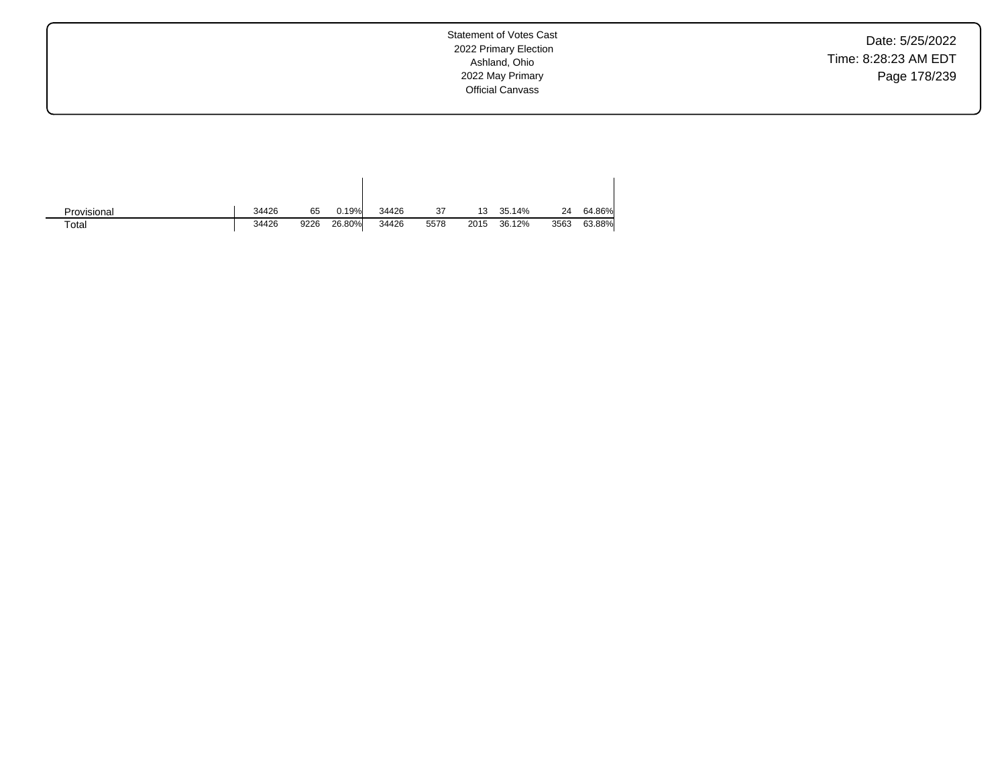Date: 5/25/2022 Time: 8:28:23 AM EDT Page 178/239

| Provisional | 34426 | 65   | 0.19%  | 34426 | 37   | 13   | 35.14% | 24   | 64.86% |
|-------------|-------|------|--------|-------|------|------|--------|------|--------|
| Total       | 34426 | 9226 | 26.80% | 34426 | 5578 | 2015 | 36.12% | 3563 | 63.88% |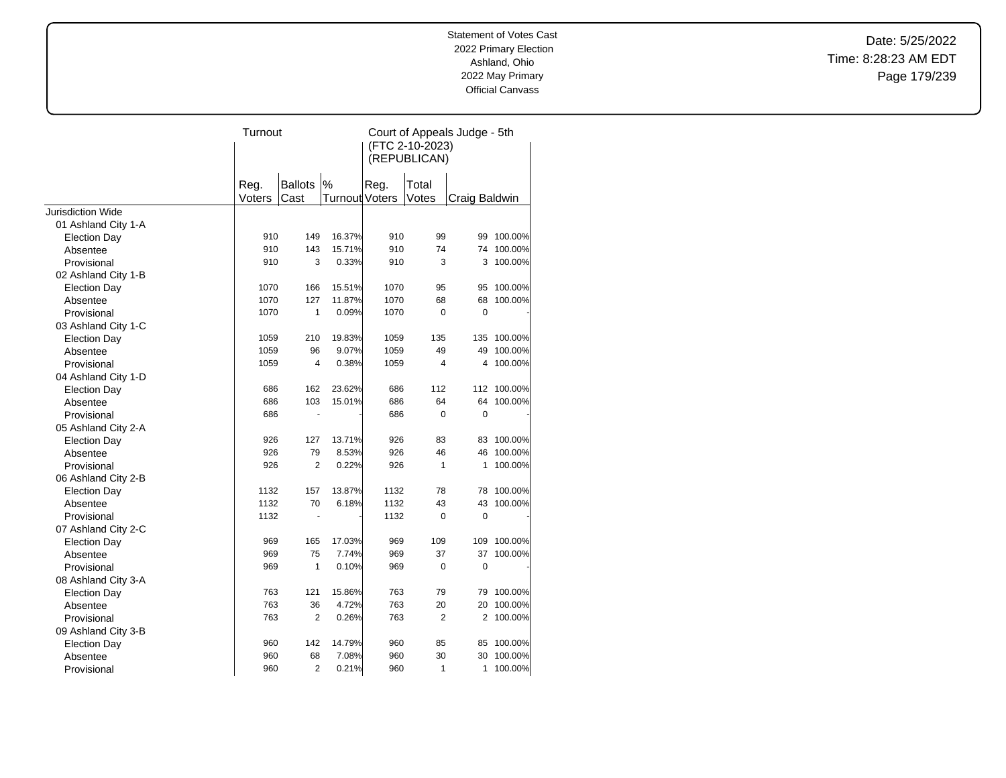Date: 5/25/2022 Time: 8:28:23 AM EDT Page 179/239

|                          | Turnout |                |                       | Court of Appeals Judge - 5th<br>(FTC 2-10-2023)<br>(REPUBLICAN) |                |               |             |  |
|--------------------------|---------|----------------|-----------------------|-----------------------------------------------------------------|----------------|---------------|-------------|--|
|                          | Reg.    | <b>Ballots</b> | %                     | Reg.                                                            | Total          |               |             |  |
|                          | Voters  | Cast           | <b>Turnout Voters</b> |                                                                 | Votes          | Craig Baldwin |             |  |
| <b>Jurisdiction Wide</b> |         |                |                       |                                                                 |                |               |             |  |
| 01 Ashland City 1-A      |         |                |                       |                                                                 |                |               |             |  |
| <b>Election Day</b>      | 910     | 149            | 16.37%                | 910                                                             | 99             | 99            | 100.00%     |  |
| Absentee                 | 910     | 143            | 15.71%                | 910                                                             | 74             | 74            | 100.00%     |  |
| Provisional              | 910     | 3              | 0.33%                 | 910                                                             | 3              | 3             | 100.00%     |  |
| 02 Ashland City 1-B      |         |                |                       |                                                                 |                |               |             |  |
| <b>Election Day</b>      | 1070    | 166            | 15.51%                | 1070                                                            | 95             | 95            | 100.00%     |  |
| Absentee                 | 1070    | 127            | 11.87%                | 1070                                                            | 68             | 68            | 100.00%     |  |
| Provisional              | 1070    | $\mathbf{1}$   | 0.09%                 | 1070                                                            | 0              | 0             |             |  |
| 03 Ashland City 1-C      |         |                |                       |                                                                 |                |               |             |  |
| <b>Election Day</b>      | 1059    | 210            | 19.83%                | 1059                                                            | 135            | 135           | 100.00%     |  |
| Absentee                 | 1059    | 96             | 9.07%                 | 1059                                                            | 49             | 49            | 100.00%     |  |
| Provisional              | 1059    | $\overline{4}$ | 0.38%                 | 1059                                                            | 4              | 4             | 100.00%     |  |
| 04 Ashland City 1-D      |         |                |                       |                                                                 |                |               |             |  |
| <b>Election Day</b>      | 686     | 162            | 23.62%                | 686                                                             | 112            |               | 112 100.00% |  |
| Absentee                 | 686     | 103            | 15.01%                | 686                                                             | 64             | 64            | 100.00%     |  |
| Provisional              | 686     | $\overline{a}$ |                       | 686                                                             | 0              | $\mathbf 0$   |             |  |
| 05 Ashland City 2-A      |         |                |                       |                                                                 |                |               |             |  |
| <b>Election Day</b>      | 926     | 127            | 13.71%                | 926                                                             | 83             | 83            | 100.00%     |  |
| Absentee                 | 926     | 79             | 8.53%                 | 926                                                             | 46             | 46            | 100.00%     |  |
| Provisional              | 926     | $\overline{2}$ | 0.22%                 | 926                                                             | $\mathbf{1}$   | 1             | 100.00%     |  |
| 06 Ashland City 2-B      |         |                |                       |                                                                 |                |               |             |  |
| <b>Election Day</b>      | 1132    | 157            | 13.87%                | 1132                                                            | 78             | 78            | 100.00%     |  |
| Absentee                 | 1132    | 70             | 6.18%                 | 1132                                                            | 43             | 43            | 100.00%     |  |
| Provisional              | 1132    | ä,             |                       | 1132                                                            | $\mathbf 0$    | $\mathbf 0$   |             |  |
| 07 Ashland City 2-C      |         |                |                       |                                                                 |                |               |             |  |
| <b>Election Day</b>      | 969     | 165            | 17.03%                | 969                                                             | 109            | 109           | 100.00%     |  |
| Absentee                 | 969     | 75             | 7.74%                 | 969                                                             | 37             |               | 37 100.00%  |  |
| Provisional              | 969     | 1              | 0.10%                 | 969                                                             | 0              | 0             |             |  |
| 08 Ashland City 3-A      |         |                |                       |                                                                 |                |               |             |  |
| <b>Election Day</b>      | 763     | 121            | 15.86%                | 763                                                             | 79             | 79            | 100.00%     |  |
| Absentee                 | 763     | 36             | 4.72%                 | 763                                                             | 20             | 20            | 100.00%     |  |
| Provisional              | 763     | $\overline{2}$ | 0.26%                 | 763                                                             | $\overline{2}$ | 2             | 100.00%     |  |
| 09 Ashland City 3-B      |         |                |                       |                                                                 |                |               |             |  |
| <b>Election Day</b>      | 960     | 142            | 14.79%                | 960                                                             | 85             | 85            | 100.00%     |  |
| Absentee                 | 960     | 68             | 7.08%                 | 960                                                             | 30             | 30            | 100.00%     |  |
| Provisional              | 960     | $\overline{2}$ | 0.21%                 | 960                                                             | $\mathbf{1}$   | 1             | 100.00%     |  |
|                          |         |                |                       |                                                                 |                |               |             |  |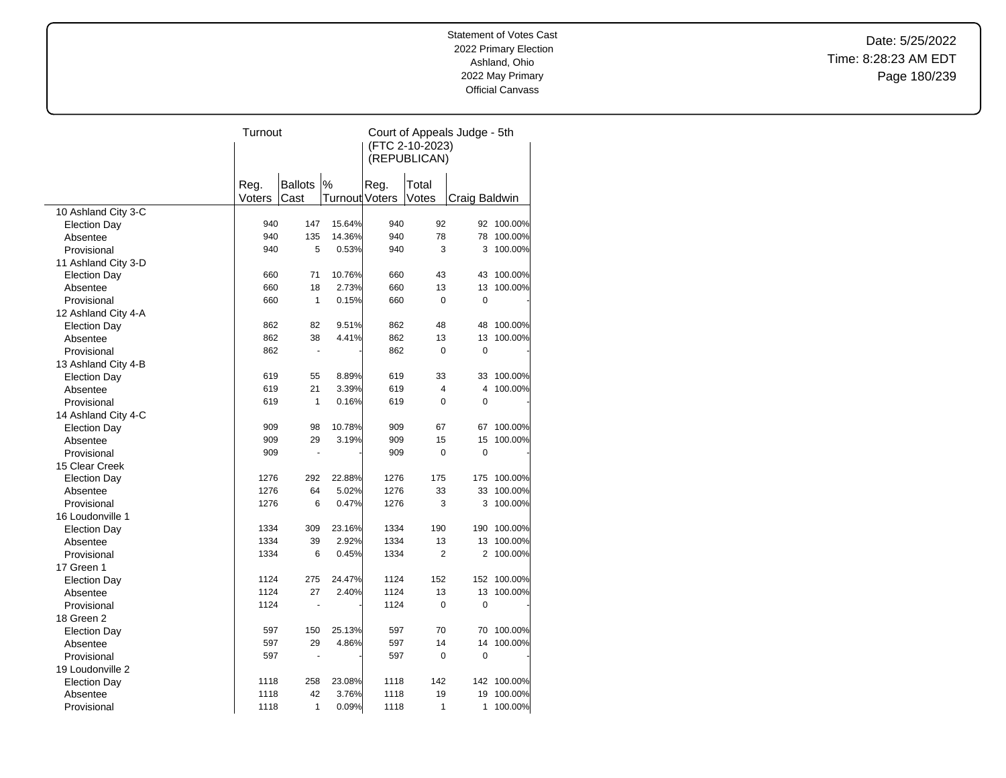Date: 5/25/2022 Time: 8:28:23 AM EDT Page 180/239

|                                 |        | Turnout              |                       |              | Court of Appeals Judge - 5th |                |            |  |
|---------------------------------|--------|----------------------|-----------------------|--------------|------------------------------|----------------|------------|--|
|                                 |        |                      |                       |              | (FTC 2-10-2023)              |                |            |  |
|                                 |        |                      |                       | (REPUBLICAN) |                              |                |            |  |
|                                 |        |                      |                       |              |                              |                |            |  |
|                                 | Reg.   | <b>Ballots</b>       | $\%$                  | Reg.         | Total                        |                |            |  |
|                                 | Voters | Cast                 | <b>Turnout Voters</b> |              | Votes                        | Craig Baldwin  |            |  |
| 10 Ashland City 3-C             |        |                      |                       |              |                              |                |            |  |
| <b>Election Day</b>             | 940    | 147                  | 15.64%                | 940          | 92                           |                | 92 100.00% |  |
| Absentee                        | 940    | 135                  | 14.36%                | 940          | 78                           | 78             | 100.00%    |  |
| Provisional                     | 940    | 5                    | 0.53%                 | 940          | 3                            | 3              | 100.00%    |  |
| 11 Ashland City 3-D             |        |                      |                       |              |                              |                |            |  |
| <b>Election Day</b>             | 660    | 71                   | 10.76%                | 660          | 43                           | 43             | 100.00%    |  |
| Absentee                        | 660    | 18                   | 2.73%                 | 660          | 13                           | 13             | 100.00%    |  |
| Provisional                     | 660    | $\mathbf{1}$         | 0.15%                 | 660          | 0                            | $\mathbf 0$    |            |  |
| 12 Ashland City 4-A             |        |                      |                       |              |                              |                |            |  |
| <b>Election Day</b>             | 862    | 82                   | 9.51%                 | 862          | 48                           | 48             | 100.00%    |  |
| Absentee                        | 862    | 38                   | 4.41%                 | 862          | 13                           | 13             | 100.00%    |  |
| Provisional                     | 862    | $\ddot{\phantom{1}}$ |                       | 862          | 0                            | $\mathbf 0$    |            |  |
| 13 Ashland City 4-B             |        |                      |                       |              |                              |                |            |  |
| <b>Election Day</b>             | 619    | 55                   | 8.89%                 | 619          | 33                           | 33             | 100.00%    |  |
| Absentee                        | 619    | 21                   | 3.39%                 | 619          | 4                            | 4              | 100.00%    |  |
| Provisional                     | 619    | $\mathbf{1}$         | 0.16%                 | 619          | $\Omega$                     | $\mathbf 0$    |            |  |
| 14 Ashland City 4-C             |        |                      |                       |              |                              |                |            |  |
|                                 | 909    | 98                   | 10.78%                | 909          | 67                           | 67             | 100.00%    |  |
| <b>Election Day</b><br>Absentee | 909    | 29                   | 3.19%                 | 909          | 15                           | 15             | 100.00%    |  |
| Provisional                     | 909    | $\ddot{\phantom{1}}$ |                       | 909          | $\overline{0}$               | $\mathbf 0$    |            |  |
|                                 |        |                      |                       |              |                              |                |            |  |
| 15 Clear Creek                  | 1276   | 292                  | 22.88%                | 1276         | 175                          | 175            | 100.00%    |  |
| <b>Election Day</b>             | 1276   | 64                   | 5.02%                 | 1276         | 33                           | 33             | 100.00%    |  |
| Absentee                        | 1276   | 6                    | 0.47%                 | 1276         | 3                            | 3              | 100.00%    |  |
| Provisional                     |        |                      |                       |              |                              |                |            |  |
| 16 Loudonville 1                | 1334   | 309                  | 23.16%                | 1334         | 190                          | 190            | 100.00%    |  |
| <b>Election Day</b>             | 1334   | 39                   | 2.92%                 | 1334         | 13                           | 13             | 100.00%    |  |
| Absentee                        | 1334   | 6                    | 0.45%                 | 1334         | $\overline{2}$               | $\overline{2}$ | 100.00%    |  |
| Provisional                     |        |                      |                       |              |                              |                |            |  |
| 17 Green 1                      | 1124   |                      |                       | 1124         | 152                          |                |            |  |
| <b>Election Day</b>             |        | 275                  | 24.47%                |              |                              | 152            | 100.00%    |  |
| Absentee                        | 1124   | 27                   | 2.40%                 | 1124         | 13                           | 13             | 100.00%    |  |
| Provisional                     | 1124   |                      |                       | 1124         | $\mathbf 0$                  | 0              |            |  |
| 18 Green 2                      |        |                      |                       |              |                              |                |            |  |
| <b>Election Day</b>             | 597    | 150                  | 25.13%                | 597          | 70                           | 70             | 100.00%    |  |
| Absentee                        | 597    | 29                   | 4.86%                 | 597          | 14                           | 14             | 100.00%    |  |
| Provisional                     | 597    | ÷.                   |                       | 597          | $\mathbf 0$                  | $\mathbf 0$    |            |  |
| 19 Loudonville 2                |        |                      |                       |              |                              |                |            |  |
| <b>Election Day</b>             | 1118   | 258                  | 23.08%                | 1118         | 142                          | 142            | 100.00%    |  |
| Absentee                        | 1118   | 42                   | 3.76%                 | 1118         | 19                           | 19             | 100.00%    |  |
| Provisional                     | 1118   | 1                    | 0.09%                 | 1118         | 1                            | 1              | 100.00%    |  |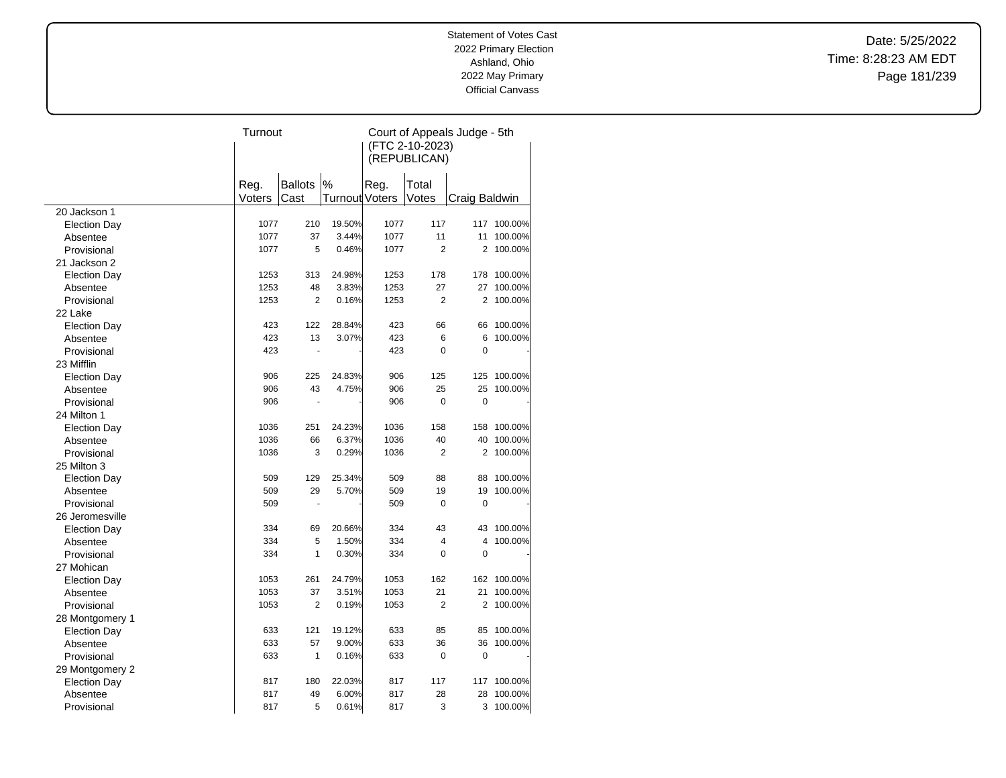Date: 5/25/2022 Time: 8:28:23 AM EDT Page 181/239

|                     | Turnout |                |                       | Court of Appeals Judge - 5th |                |                |         |  |  |
|---------------------|---------|----------------|-----------------------|------------------------------|----------------|----------------|---------|--|--|
|                     |         |                |                       | (FTC 2-10-2023)              |                |                |         |  |  |
|                     |         |                |                       | (REPUBLICAN)                 |                |                |         |  |  |
|                     |         |                |                       |                              |                |                |         |  |  |
|                     | Reg.    | <b>Ballots</b> | %                     | Reg.                         | Total          |                |         |  |  |
|                     | Voters  | Cast           | <b>Turnout Voters</b> |                              | Votes          | Craig Baldwin  |         |  |  |
| 20 Jackson 1        |         |                |                       |                              |                |                |         |  |  |
| <b>Election Day</b> | 1077    | 210            | 19.50%                | 1077                         | 117            | 117            | 100.00% |  |  |
| Absentee            | 1077    | 37             | 3.44%                 | 1077                         | 11             | 11             | 100.00% |  |  |
| Provisional         | 1077    | 5              | 0.46%                 | 1077                         | $\overline{2}$ | $\overline{2}$ | 100.00% |  |  |
| 21 Jackson 2        |         |                |                       |                              |                |                |         |  |  |
| <b>Election Day</b> | 1253    | 313            | 24.98%                | 1253                         | 178            | 178            | 100.00% |  |  |
| Absentee            | 1253    | 48             | 3.83%                 | 1253                         | 27             | 27             | 100.00% |  |  |
| Provisional         | 1253    | $\overline{2}$ | 0.16%                 | 1253                         | $\overline{2}$ | $\overline{2}$ | 100.00% |  |  |
| 22 Lake             |         |                |                       |                              |                |                |         |  |  |
|                     | 423     | 122            | 28.84%                | 423                          | 66             | 66             | 100.00% |  |  |
| <b>Election Day</b> | 423     | 13             | 3.07%                 | 423                          | 6              | 6              | 100.00% |  |  |
| Absentee            | 423     |                |                       | 423                          | $\overline{0}$ | $\mathbf 0$    |         |  |  |
| Provisional         |         |                |                       |                              |                |                |         |  |  |
| 23 Mifflin          |         |                |                       |                              |                |                |         |  |  |
| <b>Election Day</b> | 906     | 225            | 24.83%                | 906                          | 125            | 125            | 100.00% |  |  |
| Absentee            | 906     | 43             | 4.75%                 | 906                          | 25             | 25             | 100.00% |  |  |
| Provisional         | 906     |                |                       | 906                          | $\Omega$       | $\mathbf 0$    |         |  |  |
| 24 Milton 1         |         |                |                       |                              |                |                |         |  |  |
| <b>Election Day</b> | 1036    | 251            | 24.23%                | 1036                         | 158            | 158            | 100.00% |  |  |
| Absentee            | 1036    | 66             | 6.37%                 | 1036                         | 40             | 40             | 100.00% |  |  |
| Provisional         | 1036    | 3              | 0.29%                 | 1036                         | $\overline{2}$ | 2              | 100.00% |  |  |
| 25 Milton 3         |         |                |                       |                              |                |                |         |  |  |
| <b>Election Day</b> | 509     | 129            | 25.34%                | 509                          | 88             | 88             | 100.00% |  |  |
| Absentee            | 509     | 29             | 5.70%                 | 509                          | 19             | 19             | 100.00% |  |  |
| Provisional         | 509     |                |                       | 509                          | 0              | 0              |         |  |  |
| 26 Jeromesville     |         |                |                       |                              |                |                |         |  |  |
| <b>Election Day</b> | 334     | 69             | 20.66%                | 334                          | 43             | 43             | 100.00% |  |  |
| Absentee            | 334     | 5              | 1.50%                 | 334                          | 4              | $\overline{4}$ | 100.00% |  |  |
| Provisional         | 334     | 1              | 0.30%                 | 334                          | 0              | $\mathbf 0$    |         |  |  |
| 27 Mohican          |         |                |                       |                              |                |                |         |  |  |
| <b>Election Day</b> | 1053    | 261            | 24.79%                | 1053                         | 162            | 162            | 100.00% |  |  |
| Absentee            | 1053    | 37             | 3.51%                 | 1053                         | 21             | 21             | 100.00% |  |  |
| Provisional         | 1053    | $\overline{2}$ | 0.19%                 | 1053                         | $\overline{2}$ | $\overline{2}$ | 100.00% |  |  |
| 28 Montgomery 1     |         |                |                       |                              |                |                |         |  |  |
| <b>Election Day</b> | 633     | 121            | 19.12%                | 633                          | 85             | 85             | 100.00% |  |  |
| Absentee            | 633     | 57             | 9.00%                 | 633                          | 36             | 36             | 100.00% |  |  |
| Provisional         | 633     | $\mathbf{1}$   | 0.16%                 | 633                          | 0              | $\mathbf 0$    |         |  |  |
| 29 Montgomery 2     |         |                |                       |                              |                |                |         |  |  |
| <b>Election Day</b> | 817     | 180            | 22.03%                | 817                          | 117            | 117            | 100.00% |  |  |
| Absentee            | 817     | 49             | 6.00%                 | 817                          | 28             | 28             | 100.00% |  |  |
| Provisional         | 817     | 5              | 0.61%                 | 817                          | 3              | 3              | 100.00% |  |  |
|                     |         |                |                       |                              |                |                |         |  |  |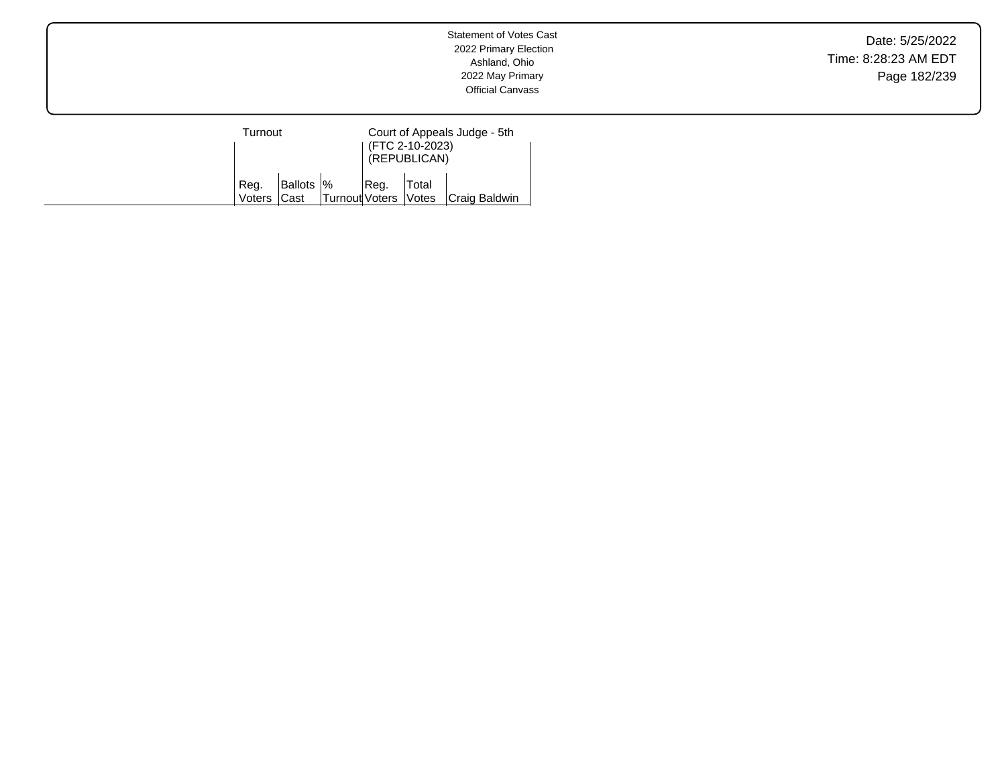Date: 5/25/2022 Time: 8:28:23 AM EDT Page 182/239

| Turnout        |                     |                      |      | (FTC 2-10-2023)<br>(REPUBLICAN) | Court of Appeals Judge - 5th |
|----------------|---------------------|----------------------|------|---------------------------------|------------------------------|
| Reg.<br>Voters | Ballots  %<br>lCast | Turnout Voters Votes | Req. | Total                           | Craig Baldwin                |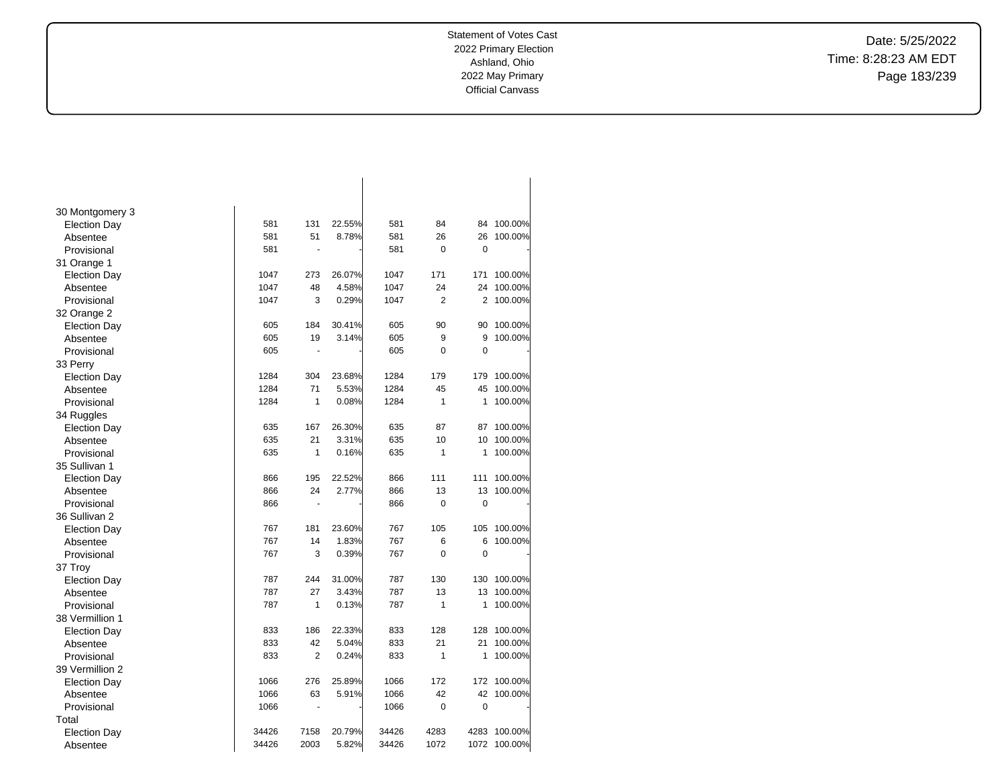Date: 5/25/2022 Time: 8:28:23 AM EDT Page 183/239

| 30 Montgomery 3     |       |                |        |       |                |             |         |
|---------------------|-------|----------------|--------|-------|----------------|-------------|---------|
| <b>Election Day</b> | 581   | 131            | 22.55% | 581   | 84             | 84          | 100.00% |
| Absentee            | 581   | 51             | 8.78%  | 581   | 26             | 26          | 100.00% |
| Provisional         | 581   | $\blacksquare$ |        | 581   | $\mathbf 0$    | 0           |         |
| 31 Orange 1         |       |                |        |       |                |             |         |
| <b>Election Day</b> | 1047  | 273            | 26.07% | 1047  | 171            | 171         | 100.00% |
| Absentee            | 1047  | 48             | 4.58%  | 1047  | 24             | 24          | 100.00% |
| Provisional         | 1047  | 3              | 0.29%  | 1047  | $\overline{2}$ | 2           | 100.00% |
| 32 Orange 2         |       |                |        |       |                |             |         |
| <b>Election Day</b> | 605   | 184            | 30.41% | 605   | 90             | 90          | 100.00% |
| Absentee            | 605   | 19             | 3.14%  | 605   | 9              | 9           | 100.00% |
| Provisional         | 605   | ä,             |        | 605   | 0              | $\mathbf 0$ |         |
| 33 Perry            |       |                |        |       |                |             |         |
| <b>Election Day</b> | 1284  | 304            | 23.68% | 1284  | 179            | 179         | 100.00% |
| Absentee            | 1284  | 71             | 5.53%  | 1284  | 45             | 45          | 100.00% |
| Provisional         | 1284  | 1              | 0.08%  | 1284  | $\mathbf{1}$   | 1           | 100.00% |
| 34 Ruggles          |       |                |        |       |                |             |         |
| <b>Election Day</b> | 635   | 167            | 26.30% | 635   | 87             | 87          | 100.00% |
| Absentee            | 635   | 21             | 3.31%  | 635   | 10             | 10          | 100.00% |
| Provisional         | 635   | 1              | 0.16%  | 635   | $\mathbf{1}$   | 1           | 100.00% |
| 35 Sullivan 1       |       |                |        |       |                |             |         |
| <b>Election Day</b> | 866   | 195            | 22.52% | 866   | 111            | 111         | 100.00% |
| Absentee            | 866   | 24             | 2.77%  | 866   | 13             | 13          | 100.00% |
| Provisional         | 866   | $\blacksquare$ |        | 866   | 0              | $\mathbf 0$ |         |
| 36 Sullivan 2       |       |                |        |       |                |             |         |
| <b>Election Day</b> | 767   | 181            | 23.60% | 767   | 105            | 105         | 100.00% |
| Absentee            | 767   | 14             | 1.83%  | 767   | 6              | 6           | 100.00% |
| Provisional         | 767   | 3              | 0.39%  | 767   | $\overline{0}$ | 0           |         |
| 37 Troy             |       |                |        |       |                |             |         |
| <b>Election Day</b> | 787   | 244            | 31.00% | 787   | 130            | 130         | 100.00% |
| Absentee            | 787   | 27             | 3.43%  | 787   | 13             | 13          | 100.00% |
| Provisional         | 787   | 1              | 0.13%  | 787   | $\mathbf{1}$   | 1           | 100.00% |
| 38 Vermillion 1     |       |                |        |       |                |             |         |
| <b>Election Day</b> | 833   | 186            | 22.33% | 833   | 128            | 128         | 100.00% |
| Absentee            | 833   | 42             | 5.04%  | 833   | 21             | 21          | 100.00% |
| Provisional         | 833   | $\overline{2}$ | 0.24%  | 833   | 1              | 1           | 100.00% |
| 39 Vermillion 2     |       |                |        |       |                |             |         |
| <b>Election Day</b> | 1066  | 276            | 25.89% | 1066  | 172            | 172         | 100.00% |
| Absentee            | 1066  | 63             | 5.91%  | 1066  | 42             | 42          | 100.00% |
| Provisional         | 1066  | ÷,             |        | 1066  | $\pmb{0}$      | 0           |         |
| Total               |       |                |        |       |                |             |         |
| <b>Election Day</b> | 34426 | 7158           | 20.79% | 34426 | 4283           | 4283        | 100.00% |
| Absentee            | 34426 | 2003           | 5.82%  | 34426 | 1072           | 1072        | 100.00% |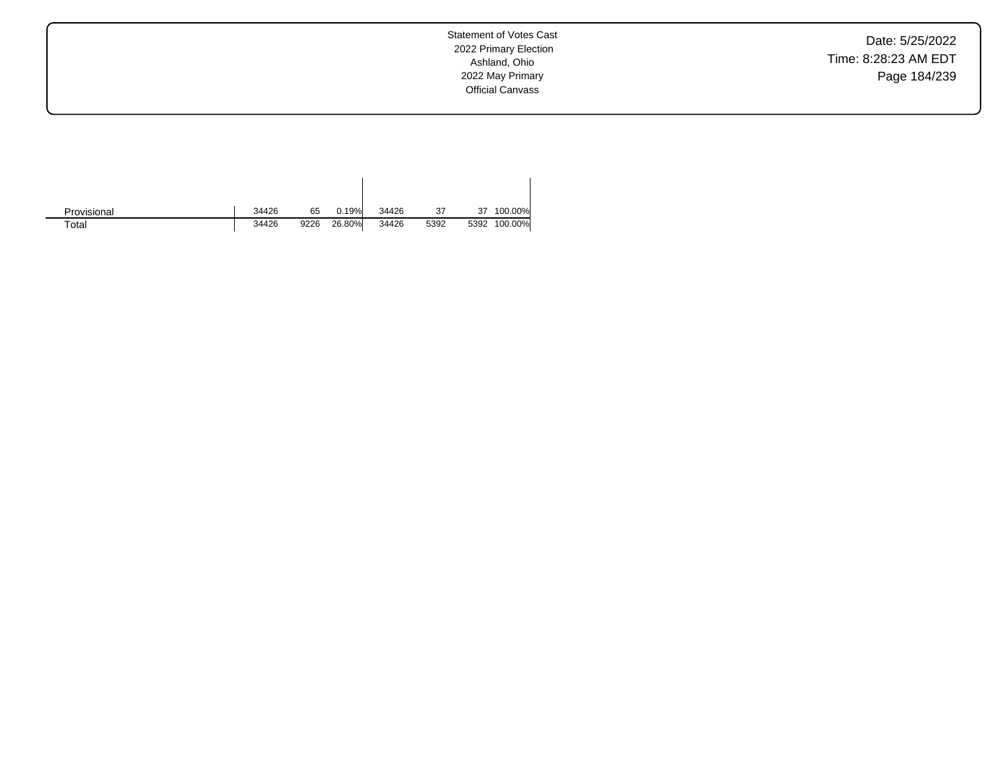Date: 5/25/2022 Time: 8:28:23 AM EDT Page 184/239

Statement of Votes Cast 2022 Primary Election Ashland, Ohio 2022 May Primary Official Canvass

| Provisional | 34426 | 65   | 0.19%  | 34426 | 37   | 37   | 100.00% |
|-------------|-------|------|--------|-------|------|------|---------|
| $\tau$ otal | 34426 | 9226 | 26.80% | 34426 | 5392 | 5392 | 100.00% |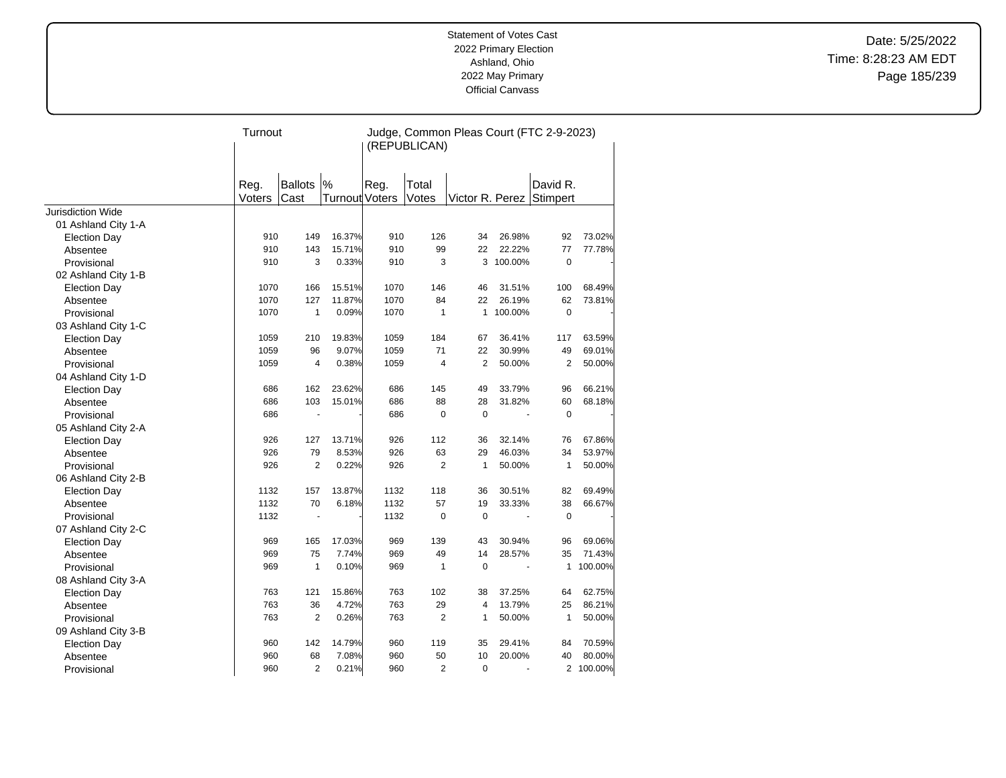Date: 5/25/2022 Time: 8:28:23 AM EDT Page 185/239

|                          | Turnout |                |                | Judge, Common Pleas Court (FTC 2-9-2023)<br>(REPUBLICAN) |                |              |         |                          |           |  |
|--------------------------|---------|----------------|----------------|----------------------------------------------------------|----------------|--------------|---------|--------------------------|-----------|--|
|                          |         |                |                |                                                          |                |              |         |                          |           |  |
|                          | Reg.    | <b>Ballots</b> | $\frac{9}{6}$  | Reg.                                                     | Total          |              |         | David R.                 |           |  |
|                          | Voters  | Cast           | Turnout Voters |                                                          | Votes          |              |         | Victor R. Perez Stimpert |           |  |
| <b>Jurisdiction Wide</b> |         |                |                |                                                          |                |              |         |                          |           |  |
| 01 Ashland City 1-A      |         |                |                |                                                          |                |              |         |                          |           |  |
| <b>Election Day</b>      | 910     | 149            | 16.37%         | 910                                                      | 126            | 34           | 26.98%  | 92                       | 73.02%    |  |
| Absentee                 | 910     | 143            | 15.71%         | 910                                                      | 99             | 22           | 22.22%  | 77                       | 77.78%    |  |
| Provisional              | 910     | 3              | 0.33%          | 910                                                      | 3              | 3            | 100.00% | $\mathbf 0$              |           |  |
| 02 Ashland City 1-B      |         |                |                |                                                          |                |              |         |                          |           |  |
| <b>Election Day</b>      | 1070    | 166            | 15.51%         | 1070                                                     | 146            | 46           | 31.51%  | 100                      | 68.49%    |  |
| Absentee                 | 1070    | 127            | 11.87%         | 1070                                                     | 84             | 22           | 26.19%  | 62                       | 73.81%    |  |
| Provisional              | 1070    | $\mathbf{1}$   | 0.09%          | 1070                                                     | $\mathbf{1}$   | $\mathbf{1}$ | 100.00% | 0                        |           |  |
| 03 Ashland City 1-C      |         |                |                |                                                          |                |              |         |                          |           |  |
| <b>Election Day</b>      | 1059    | 210            | 19.83%         | 1059                                                     | 184            | 67           | 36.41%  | 117                      | 63.59%    |  |
| Absentee                 | 1059    | 96             | 9.07%          | 1059                                                     | 71             | 22           | 30.99%  | 49                       | 69.01%    |  |
| Provisional              | 1059    | $\overline{4}$ | 0.38%          | 1059                                                     | 4              | 2            | 50.00%  | $\overline{2}$           | 50.00%    |  |
| 04 Ashland City 1-D      |         |                |                |                                                          |                |              |         |                          |           |  |
| <b>Election Day</b>      | 686     | 162            | 23.62%         | 686                                                      | 145            | 49           | 33.79%  | 96                       | 66.21%    |  |
| Absentee                 | 686     | 103            | 15.01%         | 686                                                      | 88             | 28           | 31.82%  | 60                       | 68.18%    |  |
| Provisional              | 686     |                |                | 686                                                      | $\mathbf 0$    | $\mathbf 0$  |         | $\mathbf 0$              |           |  |
| 05 Ashland City 2-A      |         |                |                |                                                          |                |              |         |                          |           |  |
| <b>Election Day</b>      | 926     | 127            | 13.71%         | 926                                                      | 112            | 36           | 32.14%  | 76                       | 67.86%    |  |
| Absentee                 | 926     | 79             | 8.53%          | 926                                                      | 63             | 29           | 46.03%  | 34                       | 53.97%    |  |
| Provisional              | 926     | 2              | 0.22%          | 926                                                      | $\overline{2}$ | 1            | 50.00%  | 1                        | 50.00%    |  |
| 06 Ashland City 2-B      |         |                |                |                                                          |                |              |         |                          |           |  |
| <b>Election Day</b>      | 1132    | 157            | 13.87%         | 1132                                                     | 118            | 36           | 30.51%  | 82                       | 69.49%    |  |
| Absentee                 | 1132    | 70             | 6.18%          | 1132                                                     | 57             | 19           | 33.33%  | 38                       | 66.67%    |  |
| Provisional              | 1132    |                |                | 1132                                                     | $\mathbf 0$    | $\mathbf 0$  |         | $\mathbf 0$              |           |  |
| 07 Ashland City 2-C      |         |                |                |                                                          |                |              |         |                          |           |  |
| <b>Election Day</b>      | 969     | 165            | 17.03%         | 969                                                      | 139            | 43           | 30.94%  | 96                       | 69.06%    |  |
| Absentee                 | 969     | 75             | 7.74%          | 969                                                      | 49             | 14           | 28.57%  | 35                       | 71.43%    |  |
| Provisional              | 969     | 1              | 0.10%          | 969                                                      | $\mathbf{1}$   | $\mathbf 0$  |         | 1                        | 100.00%   |  |
| 08 Ashland City 3-A      |         |                |                |                                                          |                |              |         |                          |           |  |
| <b>Election Day</b>      | 763     | 121            | 15.86%         | 763                                                      | 102            | 38           | 37.25%  | 64                       | 62.75%    |  |
| Absentee                 | 763     | 36             | 4.72%          | 763                                                      | 29             | 4            | 13.79%  | 25                       | 86.21%    |  |
| Provisional              | 763     | 2              | 0.26%          | 763                                                      | 2              | 1            | 50.00%  | $\mathbf{1}$             | 50.00%    |  |
| 09 Ashland City 3-B      |         |                |                |                                                          |                |              |         |                          |           |  |
| <b>Election Day</b>      | 960     | 142            | 14.79%         | 960                                                      | 119            | 35           | 29.41%  | 84                       | 70.59%    |  |
| Absentee                 | 960     | 68             | 7.08%          | 960                                                      | 50             | 10           | 20.00%  | 40                       | 80.00%    |  |
| Provisional              | 960     | $\overline{2}$ | 0.21%          | 960                                                      | $\overline{2}$ | $\mathbf 0$  |         |                          | 2 100.00% |  |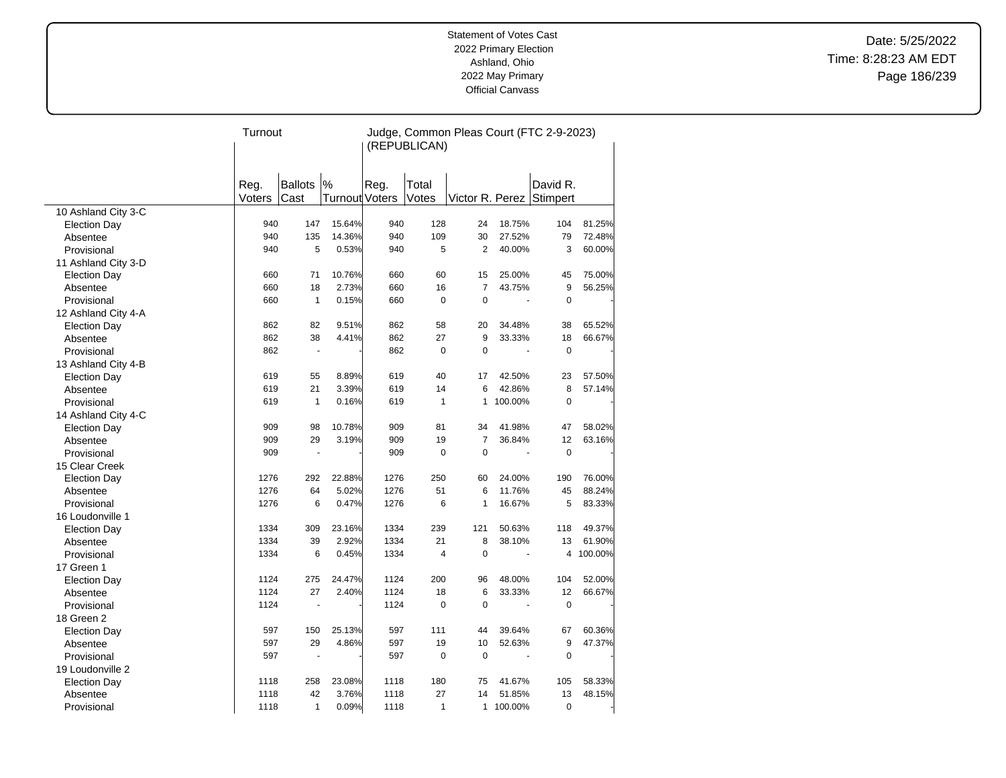Date: 5/25/2022 Time: 8:28:23 AM EDT Page 186/239

|                     | Turnout |                          |                | Judge, Common Pleas Court (FTC 2-9-2023) |                         |                |                          |                          |         |  |
|---------------------|---------|--------------------------|----------------|------------------------------------------|-------------------------|----------------|--------------------------|--------------------------|---------|--|
|                     |         |                          |                | (REPUBLICAN)                             |                         |                |                          |                          |         |  |
|                     |         |                          |                |                                          |                         |                |                          |                          |         |  |
|                     |         |                          |                |                                          |                         |                |                          |                          |         |  |
|                     | Reg.    | <b>Ballots</b>           | %              | Reg.                                     | Total                   |                |                          | David R.                 |         |  |
|                     | Voters  | Cast                     | Turnout Voters |                                          | Votes                   |                |                          | Victor R. Perez Stimpert |         |  |
| 10 Ashland City 3-C |         |                          |                |                                          |                         |                |                          |                          |         |  |
| <b>Election Day</b> | 940     | 147                      | 15.64%         | 940                                      | 128                     | 24             | 18.75%                   | 104                      | 81.25%  |  |
| Absentee            | 940     | 135                      | 14.36%         | 940                                      | 109                     | 30             | 27.52%                   | 79                       | 72.48%  |  |
| Provisional         | 940     | 5                        | 0.53%          | 940                                      | 5                       | 2              | 40.00%                   | 3                        | 60.00%  |  |
| 11 Ashland City 3-D |         |                          |                |                                          |                         |                |                          |                          |         |  |
| <b>Election Day</b> | 660     | 71                       | 10.76%         | 660                                      | 60                      | 15             | 25.00%                   | 45                       | 75.00%  |  |
| Absentee            | 660     | 18                       | 2.73%          | 660                                      | 16                      | $\overline{7}$ | 43.75%                   | 9                        | 56.25%  |  |
| Provisional         | 660     | $\mathbf{1}$             | 0.15%          | 660                                      | $\mathbf 0$             | $\pmb{0}$      |                          | 0                        |         |  |
| 12 Ashland City 4-A |         |                          |                |                                          |                         |                |                          |                          |         |  |
| <b>Election Day</b> | 862     | 82                       | 9.51%          | 862                                      | 58                      | 20             | 34.48%                   | 38                       | 65.52%  |  |
| Absentee            | 862     | 38                       | 4.41%          | 862                                      | 27                      | 9              | 33.33%                   | 18                       | 66.67%  |  |
| Provisional         | 862     | $\overline{\phantom{a}}$ |                | 862                                      | $\mathbf 0$             | $\mathbf 0$    | $\overline{\phantom{a}}$ | $\mathbf 0$              |         |  |
| 13 Ashland City 4-B |         |                          |                |                                          |                         |                |                          |                          |         |  |
| <b>Election Day</b> | 619     | 55                       | 8.89%          | 619                                      | 40                      | 17             | 42.50%                   | 23                       | 57.50%  |  |
| Absentee            | 619     | 21                       | 3.39%          | 619                                      | 14                      | 6              | 42.86%                   | 8                        | 57.14%  |  |
| Provisional         | 619     | $\mathbf{1}$             | 0.16%          | 619                                      | $\mathbf{1}$            | $\mathbf{1}$   | 100.00%                  | 0                        |         |  |
| 14 Ashland City 4-C |         |                          |                |                                          |                         |                |                          |                          |         |  |
| <b>Election Day</b> | 909     | 98                       | 10.78%         | 909                                      | 81                      | 34             | 41.98%                   | 47                       | 58.02%  |  |
| Absentee            | 909     | 29                       | 3.19%          | 909                                      | 19                      | $\overline{7}$ | 36.84%                   | 12                       | 63.16%  |  |
| Provisional         | 909     | $\sim$                   |                | 909                                      | $\mathbf 0$             | $\mathbf 0$    | ÷.                       | $\overline{0}$           |         |  |
| 15 Clear Creek      |         |                          |                |                                          |                         |                |                          |                          |         |  |
| <b>Election Day</b> | 1276    | 292                      | 22.88%         | 1276                                     | 250                     | 60             | 24.00%                   | 190                      | 76.00%  |  |
| Absentee            | 1276    | 64                       | 5.02%          | 1276                                     | 51                      | 6              | 11.76%                   | 45                       | 88.24%  |  |
| Provisional         | 1276    | 6                        | 0.47%          | 1276                                     | 6                       | 1              | 16.67%                   | 5                        | 83.33%  |  |
| 16 Loudonville 1    |         |                          |                |                                          |                         |                |                          |                          |         |  |
| <b>Election Day</b> | 1334    | 309                      | 23.16%         | 1334                                     | 239                     | 121            | 50.63%                   | 118                      | 49.37%  |  |
| Absentee            | 1334    | 39                       | 2.92%          | 1334                                     | 21                      | 8              | 38.10%                   | 13                       | 61.90%  |  |
| Provisional         | 1334    | 6                        | 0.45%          | 1334                                     | $\overline{\mathbf{4}}$ | $\mathbf 0$    | ÷,                       | 4                        | 100.00% |  |
| 17 Green 1          |         |                          |                |                                          |                         |                |                          |                          |         |  |
| <b>Election Day</b> | 1124    | 275                      | 24.47%         | 1124                                     | 200                     | 96             | 48.00%                   | 104                      | 52.00%  |  |
| Absentee            | 1124    | 27                       | 2.40%          | 1124                                     | 18                      | 6              | 33.33%                   | 12                       | 66.67%  |  |
| Provisional         | 1124    |                          |                | 1124                                     | $\Omega$                | $\Omega$       |                          | $\overline{0}$           |         |  |
| 18 Green 2          |         |                          |                |                                          |                         |                |                          |                          |         |  |
| <b>Election Day</b> | 597     | 150                      | 25.13%         | 597                                      | 111                     | 44             | 39.64%                   | 67                       | 60.36%  |  |
| Absentee            | 597     | 29                       | 4.86%          | 597                                      | 19                      | 10             | 52.63%                   | 9                        | 47.37%  |  |
| Provisional         | 597     | $\overline{\phantom{a}}$ |                | 597                                      | $\Omega$                | $\mathbf 0$    |                          | $\Omega$                 |         |  |
| 19 Loudonville 2    |         |                          |                |                                          |                         |                |                          |                          |         |  |
| <b>Election Day</b> | 1118    | 258                      | 23.08%         | 1118                                     | 180                     | 75             | 41.67%                   | 105                      | 58.33%  |  |
| Absentee            | 1118    | 42                       | 3.76%          | 1118                                     | 27                      | 14             | 51.85%                   | 13                       | 48.15%  |  |
| Provisional         | 1118    | $\mathbf{1}$             | 0.09%          | 1118                                     | $\mathbf{1}$            | $\mathbf{1}$   | 100.00%                  | $\overline{0}$           |         |  |
|                     |         |                          |                |                                          |                         |                |                          |                          |         |  |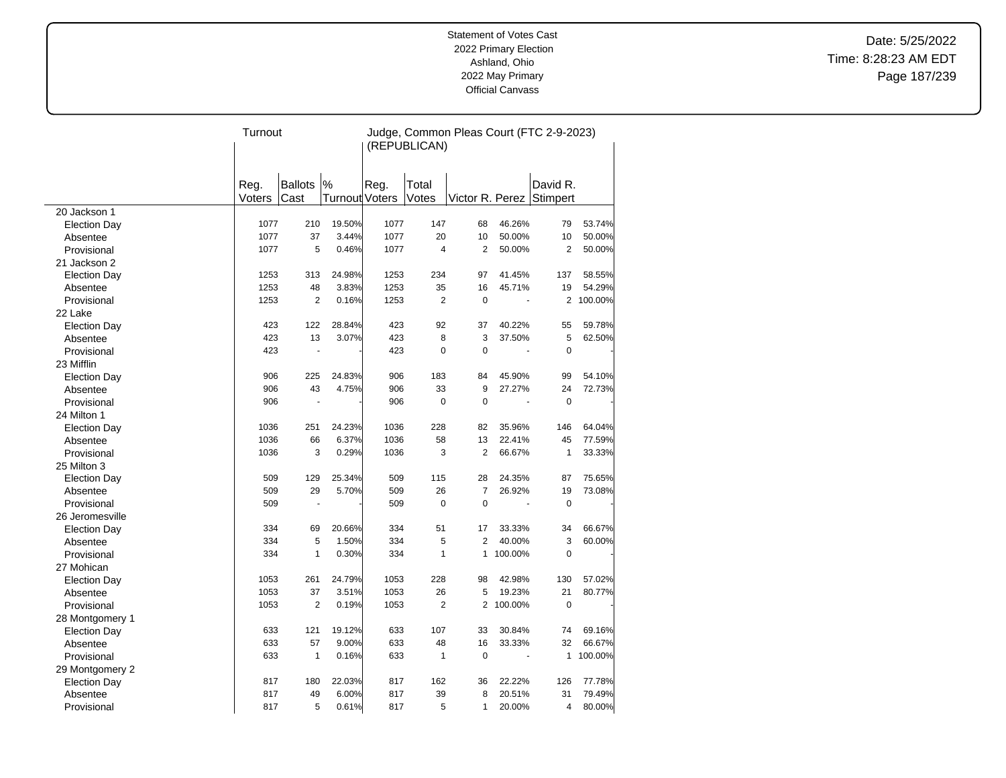Date: 5/25/2022 Time: 8:28:23 AM EDT Page 187/239

| (REPUBLICAN)<br>$\frac{9}{6}$<br><b>Ballots</b><br>Total<br>David R.<br>Reg.<br>Reg.<br>Voters<br>Cast<br><b>Turnout Voters</b><br>Votes<br>Victor R. Perez Stimpert<br>20 Jackson 1<br>1077<br>19.50%<br>1077<br>147<br>46.26%<br>210<br>68<br>79<br>53.74%<br><b>Election Day</b><br>1077<br>37<br>3.44%<br>1077<br>20<br>50.00%<br>10<br>50.00%<br>10<br>Absentee<br>5<br>1077<br>$\overline{4}$<br>50.00%<br>$\overline{2}$<br>Provisional<br>1077<br>0.46%<br>2<br>50.00%<br>21 Jackson 2<br>1253<br>24.98%<br>1253<br>234<br>41.45%<br>313<br>97<br>137<br>58.55%<br><b>Election Day</b><br>1253<br>48<br>3.83%<br>1253<br>35<br>45.71%<br>19<br>54.29%<br>16<br>Absentee<br>1253<br>$\overline{2}$<br>1253<br>$\overline{2}$<br>$\overline{0}$<br>$\overline{2}$<br>100.00%<br>0.16%<br>Provisional<br>22 Lake<br>92<br>423<br>122<br>28.84%<br>423<br>37<br>40.22%<br>55<br>59.78%<br><b>Election Day</b><br>423<br>13<br>3.07%<br>423<br>8<br>5<br>62.50%<br>3<br>37.50%<br>Absentee<br>423<br>$\overline{0}$<br>$\mathbf 0$<br>$\mathbf 0$<br>423<br>Provisional<br>$\blacksquare$<br>÷,<br>23 Mifflin<br>183<br>906<br>225<br>24.83%<br>906<br>84<br>45.90%<br>99<br>54.10%<br><b>Election Day</b><br>906<br>43<br>33<br>9<br>4.75%<br>906<br>27.27%<br>24<br>72.73%<br>Absentee<br>0<br>$\mathbf 0$<br>Provisional<br>906<br>906<br>0<br>24 Milton 1<br>228<br>1036<br>251<br>24.23%<br>1036<br>82<br>35.96%<br>146<br>64.04%<br><b>Election Day</b><br>1036<br>6.37%<br>1036<br>58<br>22.41%<br>45<br>77.59%<br>66<br>13<br>Absentee<br>3<br>$\overline{2}$<br>1036<br>3<br>0.29%<br>1036<br>66.67%<br>$\mathbf{1}$<br>33.33%<br>Provisional<br>25 Milton 3<br>509<br>129<br>25.34%<br>509<br>115<br>28<br>24.35%<br>87<br>75.65%<br><b>Election Day</b><br>26<br>$\overline{7}$<br>509<br>29<br>5.70%<br>509<br>26.92%<br>19<br>73.08%<br>Absentee<br>$\Omega$<br>509<br>509<br>$\mathbf 0$<br>$\mathbf 0$<br>Provisional<br>26 Jeromesville<br>51<br>334<br>69<br>20.66%<br>334<br>17<br>33.33%<br>34<br>66.67%<br><b>Election Day</b><br>5<br>334<br>5<br>334<br>1.50%<br>2<br>40.00%<br>3<br>60.00%<br>Absentee<br>$\mathbf{1}$<br>$\mathbf{1}$<br>Provisional<br>334<br>0.30%<br>334<br>$\mathbf{1}$<br>100.00%<br>$\Omega$<br>27 Mohican<br>1053<br>228<br>130<br>261<br>24.79%<br>1053<br>98<br>42.98%<br>57.02%<br><b>Election Day</b><br>1053<br>1053<br>26<br>5<br>21<br>37<br>3.51%<br>19.23%<br>80.77%<br>Absentee<br>1053<br>$\overline{2}$<br>0.19%<br>1053<br>$\overline{2}$<br>$\overline{2}$<br>100.00%<br>$\mathbf 0$<br>Provisional<br>28 Montgomery 1<br>107<br>633<br>121<br>19.12%<br>633<br>33<br>30.84%<br>74<br>69.16%<br><b>Election Day</b><br>48<br>32<br>633<br>57<br>9.00%<br>633<br>16<br>33.33%<br>66.67%<br>Absentee<br>633<br>$\mathbf{1}$<br>0.16%<br>633<br>$\mathbf{1}$<br>$\mathbf 0$<br>$\mathbf{1}$<br>100.00%<br>Provisional<br>29 Montgomery 2<br>817 |                     | Turnout |     |        | Judge, Common Pleas Court (FTC 2-9-2023) |     |    |        |     |        |
|--------------------------------------------------------------------------------------------------------------------------------------------------------------------------------------------------------------------------------------------------------------------------------------------------------------------------------------------------------------------------------------------------------------------------------------------------------------------------------------------------------------------------------------------------------------------------------------------------------------------------------------------------------------------------------------------------------------------------------------------------------------------------------------------------------------------------------------------------------------------------------------------------------------------------------------------------------------------------------------------------------------------------------------------------------------------------------------------------------------------------------------------------------------------------------------------------------------------------------------------------------------------------------------------------------------------------------------------------------------------------------------------------------------------------------------------------------------------------------------------------------------------------------------------------------------------------------------------------------------------------------------------------------------------------------------------------------------------------------------------------------------------------------------------------------------------------------------------------------------------------------------------------------------------------------------------------------------------------------------------------------------------------------------------------------------------------------------------------------------------------------------------------------------------------------------------------------------------------------------------------------------------------------------------------------------------------------------------------------------------------------------------------------------------------------------------------------------------------------------------------------------------------------------------------------------------------------------------------------------------------------------------------------------------------------------------------------------------------------------------------------------------------------------------------------------------------------------------------------------------------------------------------------------|---------------------|---------|-----|--------|------------------------------------------|-----|----|--------|-----|--------|
|                                                                                                                                                                                                                                                                                                                                                                                                                                                                                                                                                                                                                                                                                                                                                                                                                                                                                                                                                                                                                                                                                                                                                                                                                                                                                                                                                                                                                                                                                                                                                                                                                                                                                                                                                                                                                                                                                                                                                                                                                                                                                                                                                                                                                                                                                                                                                                                                                                                                                                                                                                                                                                                                                                                                                                                                                                                                                                              |                     |         |     |        |                                          |     |    |        |     |        |
|                                                                                                                                                                                                                                                                                                                                                                                                                                                                                                                                                                                                                                                                                                                                                                                                                                                                                                                                                                                                                                                                                                                                                                                                                                                                                                                                                                                                                                                                                                                                                                                                                                                                                                                                                                                                                                                                                                                                                                                                                                                                                                                                                                                                                                                                                                                                                                                                                                                                                                                                                                                                                                                                                                                                                                                                                                                                                                              |                     |         |     |        |                                          |     |    |        |     |        |
|                                                                                                                                                                                                                                                                                                                                                                                                                                                                                                                                                                                                                                                                                                                                                                                                                                                                                                                                                                                                                                                                                                                                                                                                                                                                                                                                                                                                                                                                                                                                                                                                                                                                                                                                                                                                                                                                                                                                                                                                                                                                                                                                                                                                                                                                                                                                                                                                                                                                                                                                                                                                                                                                                                                                                                                                                                                                                                              |                     |         |     |        |                                          |     |    |        |     |        |
|                                                                                                                                                                                                                                                                                                                                                                                                                                                                                                                                                                                                                                                                                                                                                                                                                                                                                                                                                                                                                                                                                                                                                                                                                                                                                                                                                                                                                                                                                                                                                                                                                                                                                                                                                                                                                                                                                                                                                                                                                                                                                                                                                                                                                                                                                                                                                                                                                                                                                                                                                                                                                                                                                                                                                                                                                                                                                                              |                     |         |     |        |                                          |     |    |        |     |        |
|                                                                                                                                                                                                                                                                                                                                                                                                                                                                                                                                                                                                                                                                                                                                                                                                                                                                                                                                                                                                                                                                                                                                                                                                                                                                                                                                                                                                                                                                                                                                                                                                                                                                                                                                                                                                                                                                                                                                                                                                                                                                                                                                                                                                                                                                                                                                                                                                                                                                                                                                                                                                                                                                                                                                                                                                                                                                                                              |                     |         |     |        |                                          |     |    |        |     |        |
|                                                                                                                                                                                                                                                                                                                                                                                                                                                                                                                                                                                                                                                                                                                                                                                                                                                                                                                                                                                                                                                                                                                                                                                                                                                                                                                                                                                                                                                                                                                                                                                                                                                                                                                                                                                                                                                                                                                                                                                                                                                                                                                                                                                                                                                                                                                                                                                                                                                                                                                                                                                                                                                                                                                                                                                                                                                                                                              |                     |         |     |        |                                          |     |    |        |     |        |
|                                                                                                                                                                                                                                                                                                                                                                                                                                                                                                                                                                                                                                                                                                                                                                                                                                                                                                                                                                                                                                                                                                                                                                                                                                                                                                                                                                                                                                                                                                                                                                                                                                                                                                                                                                                                                                                                                                                                                                                                                                                                                                                                                                                                                                                                                                                                                                                                                                                                                                                                                                                                                                                                                                                                                                                                                                                                                                              |                     |         |     |        |                                          |     |    |        |     |        |
|                                                                                                                                                                                                                                                                                                                                                                                                                                                                                                                                                                                                                                                                                                                                                                                                                                                                                                                                                                                                                                                                                                                                                                                                                                                                                                                                                                                                                                                                                                                                                                                                                                                                                                                                                                                                                                                                                                                                                                                                                                                                                                                                                                                                                                                                                                                                                                                                                                                                                                                                                                                                                                                                                                                                                                                                                                                                                                              |                     |         |     |        |                                          |     |    |        |     |        |
|                                                                                                                                                                                                                                                                                                                                                                                                                                                                                                                                                                                                                                                                                                                                                                                                                                                                                                                                                                                                                                                                                                                                                                                                                                                                                                                                                                                                                                                                                                                                                                                                                                                                                                                                                                                                                                                                                                                                                                                                                                                                                                                                                                                                                                                                                                                                                                                                                                                                                                                                                                                                                                                                                                                                                                                                                                                                                                              |                     |         |     |        |                                          |     |    |        |     |        |
|                                                                                                                                                                                                                                                                                                                                                                                                                                                                                                                                                                                                                                                                                                                                                                                                                                                                                                                                                                                                                                                                                                                                                                                                                                                                                                                                                                                                                                                                                                                                                                                                                                                                                                                                                                                                                                                                                                                                                                                                                                                                                                                                                                                                                                                                                                                                                                                                                                                                                                                                                                                                                                                                                                                                                                                                                                                                                                              |                     |         |     |        |                                          |     |    |        |     |        |
|                                                                                                                                                                                                                                                                                                                                                                                                                                                                                                                                                                                                                                                                                                                                                                                                                                                                                                                                                                                                                                                                                                                                                                                                                                                                                                                                                                                                                                                                                                                                                                                                                                                                                                                                                                                                                                                                                                                                                                                                                                                                                                                                                                                                                                                                                                                                                                                                                                                                                                                                                                                                                                                                                                                                                                                                                                                                                                              |                     |         |     |        |                                          |     |    |        |     |        |
|                                                                                                                                                                                                                                                                                                                                                                                                                                                                                                                                                                                                                                                                                                                                                                                                                                                                                                                                                                                                                                                                                                                                                                                                                                                                                                                                                                                                                                                                                                                                                                                                                                                                                                                                                                                                                                                                                                                                                                                                                                                                                                                                                                                                                                                                                                                                                                                                                                                                                                                                                                                                                                                                                                                                                                                                                                                                                                              |                     |         |     |        |                                          |     |    |        |     |        |
|                                                                                                                                                                                                                                                                                                                                                                                                                                                                                                                                                                                                                                                                                                                                                                                                                                                                                                                                                                                                                                                                                                                                                                                                                                                                                                                                                                                                                                                                                                                                                                                                                                                                                                                                                                                                                                                                                                                                                                                                                                                                                                                                                                                                                                                                                                                                                                                                                                                                                                                                                                                                                                                                                                                                                                                                                                                                                                              |                     |         |     |        |                                          |     |    |        |     |        |
|                                                                                                                                                                                                                                                                                                                                                                                                                                                                                                                                                                                                                                                                                                                                                                                                                                                                                                                                                                                                                                                                                                                                                                                                                                                                                                                                                                                                                                                                                                                                                                                                                                                                                                                                                                                                                                                                                                                                                                                                                                                                                                                                                                                                                                                                                                                                                                                                                                                                                                                                                                                                                                                                                                                                                                                                                                                                                                              |                     |         |     |        |                                          |     |    |        |     |        |
|                                                                                                                                                                                                                                                                                                                                                                                                                                                                                                                                                                                                                                                                                                                                                                                                                                                                                                                                                                                                                                                                                                                                                                                                                                                                                                                                                                                                                                                                                                                                                                                                                                                                                                                                                                                                                                                                                                                                                                                                                                                                                                                                                                                                                                                                                                                                                                                                                                                                                                                                                                                                                                                                                                                                                                                                                                                                                                              |                     |         |     |        |                                          |     |    |        |     |        |
|                                                                                                                                                                                                                                                                                                                                                                                                                                                                                                                                                                                                                                                                                                                                                                                                                                                                                                                                                                                                                                                                                                                                                                                                                                                                                                                                                                                                                                                                                                                                                                                                                                                                                                                                                                                                                                                                                                                                                                                                                                                                                                                                                                                                                                                                                                                                                                                                                                                                                                                                                                                                                                                                                                                                                                                                                                                                                                              |                     |         |     |        |                                          |     |    |        |     |        |
|                                                                                                                                                                                                                                                                                                                                                                                                                                                                                                                                                                                                                                                                                                                                                                                                                                                                                                                                                                                                                                                                                                                                                                                                                                                                                                                                                                                                                                                                                                                                                                                                                                                                                                                                                                                                                                                                                                                                                                                                                                                                                                                                                                                                                                                                                                                                                                                                                                                                                                                                                                                                                                                                                                                                                                                                                                                                                                              |                     |         |     |        |                                          |     |    |        |     |        |
|                                                                                                                                                                                                                                                                                                                                                                                                                                                                                                                                                                                                                                                                                                                                                                                                                                                                                                                                                                                                                                                                                                                                                                                                                                                                                                                                                                                                                                                                                                                                                                                                                                                                                                                                                                                                                                                                                                                                                                                                                                                                                                                                                                                                                                                                                                                                                                                                                                                                                                                                                                                                                                                                                                                                                                                                                                                                                                              |                     |         |     |        |                                          |     |    |        |     |        |
|                                                                                                                                                                                                                                                                                                                                                                                                                                                                                                                                                                                                                                                                                                                                                                                                                                                                                                                                                                                                                                                                                                                                                                                                                                                                                                                                                                                                                                                                                                                                                                                                                                                                                                                                                                                                                                                                                                                                                                                                                                                                                                                                                                                                                                                                                                                                                                                                                                                                                                                                                                                                                                                                                                                                                                                                                                                                                                              |                     |         |     |        |                                          |     |    |        |     |        |
|                                                                                                                                                                                                                                                                                                                                                                                                                                                                                                                                                                                                                                                                                                                                                                                                                                                                                                                                                                                                                                                                                                                                                                                                                                                                                                                                                                                                                                                                                                                                                                                                                                                                                                                                                                                                                                                                                                                                                                                                                                                                                                                                                                                                                                                                                                                                                                                                                                                                                                                                                                                                                                                                                                                                                                                                                                                                                                              |                     |         |     |        |                                          |     |    |        |     |        |
|                                                                                                                                                                                                                                                                                                                                                                                                                                                                                                                                                                                                                                                                                                                                                                                                                                                                                                                                                                                                                                                                                                                                                                                                                                                                                                                                                                                                                                                                                                                                                                                                                                                                                                                                                                                                                                                                                                                                                                                                                                                                                                                                                                                                                                                                                                                                                                                                                                                                                                                                                                                                                                                                                                                                                                                                                                                                                                              |                     |         |     |        |                                          |     |    |        |     |        |
|                                                                                                                                                                                                                                                                                                                                                                                                                                                                                                                                                                                                                                                                                                                                                                                                                                                                                                                                                                                                                                                                                                                                                                                                                                                                                                                                                                                                                                                                                                                                                                                                                                                                                                                                                                                                                                                                                                                                                                                                                                                                                                                                                                                                                                                                                                                                                                                                                                                                                                                                                                                                                                                                                                                                                                                                                                                                                                              |                     |         |     |        |                                          |     |    |        |     |        |
|                                                                                                                                                                                                                                                                                                                                                                                                                                                                                                                                                                                                                                                                                                                                                                                                                                                                                                                                                                                                                                                                                                                                                                                                                                                                                                                                                                                                                                                                                                                                                                                                                                                                                                                                                                                                                                                                                                                                                                                                                                                                                                                                                                                                                                                                                                                                                                                                                                                                                                                                                                                                                                                                                                                                                                                                                                                                                                              |                     |         |     |        |                                          |     |    |        |     |        |
|                                                                                                                                                                                                                                                                                                                                                                                                                                                                                                                                                                                                                                                                                                                                                                                                                                                                                                                                                                                                                                                                                                                                                                                                                                                                                                                                                                                                                                                                                                                                                                                                                                                                                                                                                                                                                                                                                                                                                                                                                                                                                                                                                                                                                                                                                                                                                                                                                                                                                                                                                                                                                                                                                                                                                                                                                                                                                                              |                     |         |     |        |                                          |     |    |        |     |        |
|                                                                                                                                                                                                                                                                                                                                                                                                                                                                                                                                                                                                                                                                                                                                                                                                                                                                                                                                                                                                                                                                                                                                                                                                                                                                                                                                                                                                                                                                                                                                                                                                                                                                                                                                                                                                                                                                                                                                                                                                                                                                                                                                                                                                                                                                                                                                                                                                                                                                                                                                                                                                                                                                                                                                                                                                                                                                                                              |                     |         |     |        |                                          |     |    |        |     |        |
|                                                                                                                                                                                                                                                                                                                                                                                                                                                                                                                                                                                                                                                                                                                                                                                                                                                                                                                                                                                                                                                                                                                                                                                                                                                                                                                                                                                                                                                                                                                                                                                                                                                                                                                                                                                                                                                                                                                                                                                                                                                                                                                                                                                                                                                                                                                                                                                                                                                                                                                                                                                                                                                                                                                                                                                                                                                                                                              |                     |         |     |        |                                          |     |    |        |     |        |
|                                                                                                                                                                                                                                                                                                                                                                                                                                                                                                                                                                                                                                                                                                                                                                                                                                                                                                                                                                                                                                                                                                                                                                                                                                                                                                                                                                                                                                                                                                                                                                                                                                                                                                                                                                                                                                                                                                                                                                                                                                                                                                                                                                                                                                                                                                                                                                                                                                                                                                                                                                                                                                                                                                                                                                                                                                                                                                              |                     |         |     |        |                                          |     |    |        |     |        |
|                                                                                                                                                                                                                                                                                                                                                                                                                                                                                                                                                                                                                                                                                                                                                                                                                                                                                                                                                                                                                                                                                                                                                                                                                                                                                                                                                                                                                                                                                                                                                                                                                                                                                                                                                                                                                                                                                                                                                                                                                                                                                                                                                                                                                                                                                                                                                                                                                                                                                                                                                                                                                                                                                                                                                                                                                                                                                                              |                     |         |     |        |                                          |     |    |        |     |        |
|                                                                                                                                                                                                                                                                                                                                                                                                                                                                                                                                                                                                                                                                                                                                                                                                                                                                                                                                                                                                                                                                                                                                                                                                                                                                                                                                                                                                                                                                                                                                                                                                                                                                                                                                                                                                                                                                                                                                                                                                                                                                                                                                                                                                                                                                                                                                                                                                                                                                                                                                                                                                                                                                                                                                                                                                                                                                                                              |                     |         |     |        |                                          |     |    |        |     |        |
|                                                                                                                                                                                                                                                                                                                                                                                                                                                                                                                                                                                                                                                                                                                                                                                                                                                                                                                                                                                                                                                                                                                                                                                                                                                                                                                                                                                                                                                                                                                                                                                                                                                                                                                                                                                                                                                                                                                                                                                                                                                                                                                                                                                                                                                                                                                                                                                                                                                                                                                                                                                                                                                                                                                                                                                                                                                                                                              |                     |         |     |        |                                          |     |    |        |     |        |
|                                                                                                                                                                                                                                                                                                                                                                                                                                                                                                                                                                                                                                                                                                                                                                                                                                                                                                                                                                                                                                                                                                                                                                                                                                                                                                                                                                                                                                                                                                                                                                                                                                                                                                                                                                                                                                                                                                                                                                                                                                                                                                                                                                                                                                                                                                                                                                                                                                                                                                                                                                                                                                                                                                                                                                                                                                                                                                              |                     |         |     |        |                                          |     |    |        |     |        |
|                                                                                                                                                                                                                                                                                                                                                                                                                                                                                                                                                                                                                                                                                                                                                                                                                                                                                                                                                                                                                                                                                                                                                                                                                                                                                                                                                                                                                                                                                                                                                                                                                                                                                                                                                                                                                                                                                                                                                                                                                                                                                                                                                                                                                                                                                                                                                                                                                                                                                                                                                                                                                                                                                                                                                                                                                                                                                                              |                     |         |     |        |                                          |     |    |        |     |        |
|                                                                                                                                                                                                                                                                                                                                                                                                                                                                                                                                                                                                                                                                                                                                                                                                                                                                                                                                                                                                                                                                                                                                                                                                                                                                                                                                                                                                                                                                                                                                                                                                                                                                                                                                                                                                                                                                                                                                                                                                                                                                                                                                                                                                                                                                                                                                                                                                                                                                                                                                                                                                                                                                                                                                                                                                                                                                                                              |                     |         |     |        |                                          |     |    |        |     |        |
|                                                                                                                                                                                                                                                                                                                                                                                                                                                                                                                                                                                                                                                                                                                                                                                                                                                                                                                                                                                                                                                                                                                                                                                                                                                                                                                                                                                                                                                                                                                                                                                                                                                                                                                                                                                                                                                                                                                                                                                                                                                                                                                                                                                                                                                                                                                                                                                                                                                                                                                                                                                                                                                                                                                                                                                                                                                                                                              |                     |         |     |        |                                          |     |    |        |     |        |
|                                                                                                                                                                                                                                                                                                                                                                                                                                                                                                                                                                                                                                                                                                                                                                                                                                                                                                                                                                                                                                                                                                                                                                                                                                                                                                                                                                                                                                                                                                                                                                                                                                                                                                                                                                                                                                                                                                                                                                                                                                                                                                                                                                                                                                                                                                                                                                                                                                                                                                                                                                                                                                                                                                                                                                                                                                                                                                              |                     |         |     |        |                                          |     |    |        |     |        |
|                                                                                                                                                                                                                                                                                                                                                                                                                                                                                                                                                                                                                                                                                                                                                                                                                                                                                                                                                                                                                                                                                                                                                                                                                                                                                                                                                                                                                                                                                                                                                                                                                                                                                                                                                                                                                                                                                                                                                                                                                                                                                                                                                                                                                                                                                                                                                                                                                                                                                                                                                                                                                                                                                                                                                                                                                                                                                                              |                     |         |     |        |                                          |     |    |        |     |        |
|                                                                                                                                                                                                                                                                                                                                                                                                                                                                                                                                                                                                                                                                                                                                                                                                                                                                                                                                                                                                                                                                                                                                                                                                                                                                                                                                                                                                                                                                                                                                                                                                                                                                                                                                                                                                                                                                                                                                                                                                                                                                                                                                                                                                                                                                                                                                                                                                                                                                                                                                                                                                                                                                                                                                                                                                                                                                                                              |                     |         |     |        |                                          |     |    |        |     |        |
|                                                                                                                                                                                                                                                                                                                                                                                                                                                                                                                                                                                                                                                                                                                                                                                                                                                                                                                                                                                                                                                                                                                                                                                                                                                                                                                                                                                                                                                                                                                                                                                                                                                                                                                                                                                                                                                                                                                                                                                                                                                                                                                                                                                                                                                                                                                                                                                                                                                                                                                                                                                                                                                                                                                                                                                                                                                                                                              |                     |         |     |        |                                          |     |    |        |     |        |
|                                                                                                                                                                                                                                                                                                                                                                                                                                                                                                                                                                                                                                                                                                                                                                                                                                                                                                                                                                                                                                                                                                                                                                                                                                                                                                                                                                                                                                                                                                                                                                                                                                                                                                                                                                                                                                                                                                                                                                                                                                                                                                                                                                                                                                                                                                                                                                                                                                                                                                                                                                                                                                                                                                                                                                                                                                                                                                              |                     |         |     |        |                                          |     |    |        |     |        |
|                                                                                                                                                                                                                                                                                                                                                                                                                                                                                                                                                                                                                                                                                                                                                                                                                                                                                                                                                                                                                                                                                                                                                                                                                                                                                                                                                                                                                                                                                                                                                                                                                                                                                                                                                                                                                                                                                                                                                                                                                                                                                                                                                                                                                                                                                                                                                                                                                                                                                                                                                                                                                                                                                                                                                                                                                                                                                                              |                     |         |     |        |                                          |     |    |        |     |        |
|                                                                                                                                                                                                                                                                                                                                                                                                                                                                                                                                                                                                                                                                                                                                                                                                                                                                                                                                                                                                                                                                                                                                                                                                                                                                                                                                                                                                                                                                                                                                                                                                                                                                                                                                                                                                                                                                                                                                                                                                                                                                                                                                                                                                                                                                                                                                                                                                                                                                                                                                                                                                                                                                                                                                                                                                                                                                                                              |                     |         |     |        |                                          |     |    |        |     |        |
|                                                                                                                                                                                                                                                                                                                                                                                                                                                                                                                                                                                                                                                                                                                                                                                                                                                                                                                                                                                                                                                                                                                                                                                                                                                                                                                                                                                                                                                                                                                                                                                                                                                                                                                                                                                                                                                                                                                                                                                                                                                                                                                                                                                                                                                                                                                                                                                                                                                                                                                                                                                                                                                                                                                                                                                                                                                                                                              | <b>Election Day</b> | 817     | 180 | 22.03% |                                          | 162 | 36 | 22.22% | 126 | 77.78% |
| 817<br>49<br>6.00%<br>817<br>39<br>8<br>20.51%<br>31<br>79.49%<br>Absentee                                                                                                                                                                                                                                                                                                                                                                                                                                                                                                                                                                                                                                                                                                                                                                                                                                                                                                                                                                                                                                                                                                                                                                                                                                                                                                                                                                                                                                                                                                                                                                                                                                                                                                                                                                                                                                                                                                                                                                                                                                                                                                                                                                                                                                                                                                                                                                                                                                                                                                                                                                                                                                                                                                                                                                                                                                   |                     |         |     |        |                                          |     |    |        |     |        |
| 817<br>5<br>0.61%<br>817<br>5<br>1<br>20.00%<br>4<br>80.00%<br>Provisional                                                                                                                                                                                                                                                                                                                                                                                                                                                                                                                                                                                                                                                                                                                                                                                                                                                                                                                                                                                                                                                                                                                                                                                                                                                                                                                                                                                                                                                                                                                                                                                                                                                                                                                                                                                                                                                                                                                                                                                                                                                                                                                                                                                                                                                                                                                                                                                                                                                                                                                                                                                                                                                                                                                                                                                                                                   |                     |         |     |        |                                          |     |    |        |     |        |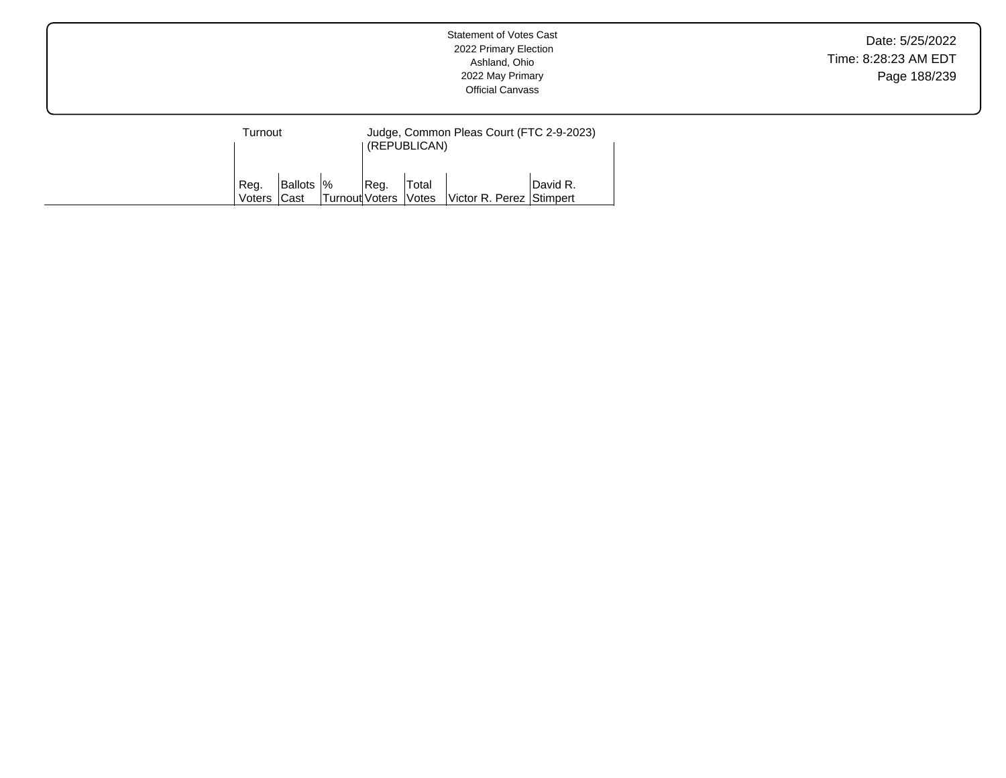| Turnout                                            |  |                             | Judge, Common Pleas Court (FTC 2-9-2023)<br>(REPUBLICAN) |              |                          |          |  |  |
|----------------------------------------------------|--|-----------------------------|----------------------------------------------------------|--------------|--------------------------|----------|--|--|
| <b>Ballots</b>  %<br>Reg.<br><b>Cast</b><br>Voters |  | <b>Turnout Voters Votes</b> | Reg.                                                     | <b>Total</b> | Victor R. Perez Stimpert | David R. |  |  |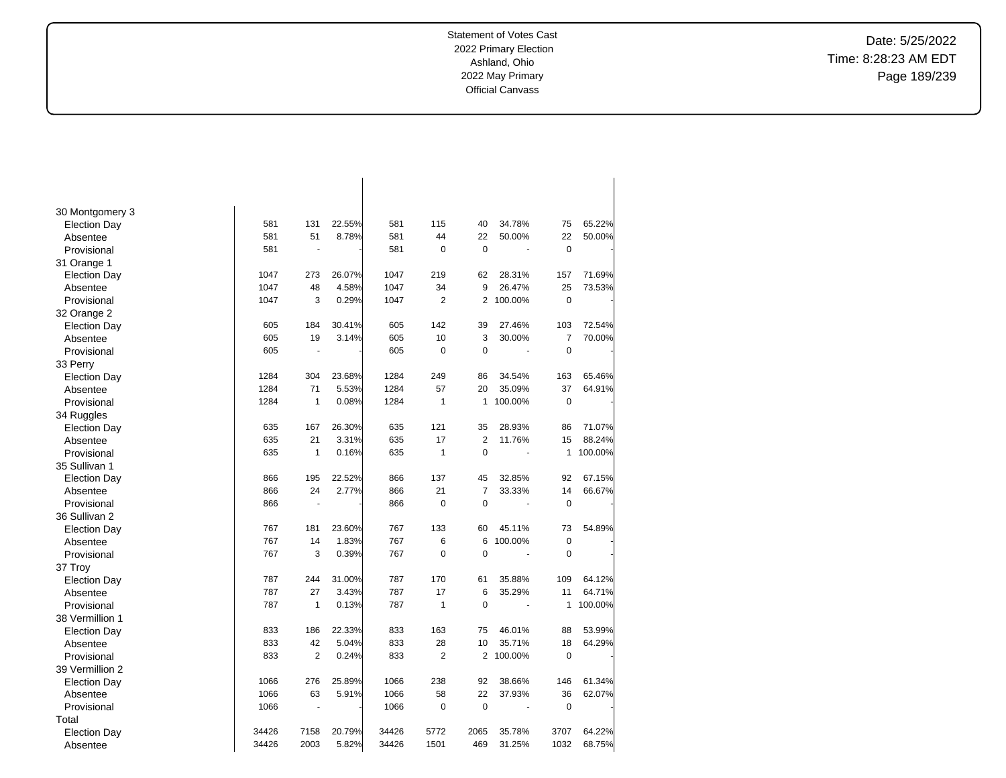Date: 5/25/2022 Time: 8:28:23 AM EDT Page 189/239

| 30 Montgomery 3     |       |                |        |       |                |                |         |                |         |
|---------------------|-------|----------------|--------|-------|----------------|----------------|---------|----------------|---------|
| <b>Election Day</b> | 581   | 131            | 22.55% | 581   | 115            | 40             | 34.78%  | 75             | 65.22%  |
| Absentee            | 581   | 51             | 8.78%  | 581   | 44             | 22             | 50.00%  | 22             | 50.00%  |
| Provisional         | 581   |                |        | 581   | $\mathbf 0$    | 0              |         | $\mathbf 0$    |         |
| 31 Orange 1         |       |                |        |       |                |                |         |                |         |
| <b>Election Day</b> | 1047  | 273            | 26.07% | 1047  | 219            | 62             | 28.31%  | 157            | 71.69%  |
| Absentee            | 1047  | 48             | 4.58%  | 1047  | 34             | 9              | 26.47%  | 25             | 73.53%  |
| Provisional         | 1047  | 3              | 0.29%  | 1047  | $\overline{2}$ | $\overline{2}$ | 100.00% | 0              |         |
| 32 Orange 2         |       |                |        |       |                |                |         |                |         |
| <b>Election Day</b> | 605   | 184            | 30.41% | 605   | 142            | 39             | 27.46%  | 103            | 72.54%  |
| Absentee            | 605   | 19             | 3.14%  | 605   | 10             | 3              | 30.00%  | $\overline{7}$ | 70.00%  |
| Provisional         | 605   | ÷.             |        | 605   | 0              | $\mathbf 0$    |         | $\mathbf 0$    |         |
| 33 Perry            |       |                |        |       |                |                |         |                |         |
| <b>Election Day</b> | 1284  | 304            | 23.68% | 1284  | 249            | 86             | 34.54%  | 163            | 65.46%  |
| Absentee            | 1284  | 71             | 5.53%  | 1284  | 57             | 20             | 35.09%  | 37             | 64.91%  |
| Provisional         | 1284  | $\mathbf{1}$   | 0.08%  | 1284  | $\mathbf{1}$   | $\mathbf{1}$   | 100.00% | 0              |         |
| 34 Ruggles          |       |                |        |       |                |                |         |                |         |
| <b>Election Day</b> | 635   | 167            | 26.30% | 635   | 121            | 35             | 28.93%  | 86             | 71.07%  |
| Absentee            | 635   | 21             | 3.31%  | 635   | 17             | $\overline{2}$ | 11.76%  | 15             | 88.24%  |
| Provisional         | 635   | $\mathbf{1}$   | 0.16%  | 635   | $\mathbf{1}$   | $\Omega$       |         | $\mathbf{1}$   | 100.00% |
| 35 Sullivan 1       |       |                |        |       |                |                |         |                |         |
| <b>Election Day</b> | 866   | 195            | 22.52% | 866   | 137            | 45             | 32.85%  | 92             | 67.15%  |
| Absentee            | 866   | 24             | 2.77%  | 866   | 21             | $\overline{7}$ | 33.33%  | 14             | 66.67%  |
| Provisional         | 866   |                |        | 866   | 0              | $\mathbf 0$    |         | 0              |         |
| 36 Sullivan 2       |       |                |        |       |                |                |         |                |         |
| <b>Election Day</b> | 767   | 181            | 23.60% | 767   | 133            | 60             | 45.11%  | 73             | 54.89%  |
| Absentee            | 767   | 14             | 1.83%  | 767   | 6              | 6              | 100.00% | 0              |         |
| Provisional         | 767   | 3              | 0.39%  | 767   | $\mathbf 0$    | $\mathbf 0$    | ä,      | $\mathbf 0$    |         |
| 37 Troy             |       |                |        |       |                |                |         |                |         |
| <b>Election Day</b> | 787   | 244            | 31.00% | 787   | 170            | 61             | 35.88%  | 109            | 64.12%  |
| Absentee            | 787   | 27             | 3.43%  | 787   | 17             | 6              | 35.29%  | 11             | 64.71%  |
| Provisional         | 787   | $\mathbf{1}$   | 0.13%  | 787   | $\mathbf{1}$   | $\Omega$       |         | 1              | 100.00% |
| 38 Vermillion 1     |       |                |        |       |                |                |         |                |         |
| <b>Election Day</b> | 833   | 186            | 22.33% | 833   | 163            | 75             | 46.01%  | 88             | 53.99%  |
| Absentee            | 833   | 42             | 5.04%  | 833   | 28             | 10             | 35.71%  | 18             | 64.29%  |
| Provisional         | 833   | $\overline{2}$ | 0.24%  | 833   | $\overline{2}$ | $\overline{2}$ | 100.00% | 0              |         |
| 39 Vermillion 2     |       |                |        |       |                |                |         |                |         |
| <b>Election Day</b> | 1066  | 276            | 25.89% | 1066  | 238            | 92             | 38.66%  | 146            | 61.34%  |
| Absentee            | 1066  | 63             | 5.91%  | 1066  | 58             | 22             | 37.93%  | 36             | 62.07%  |
| Provisional         | 1066  |                |        | 1066  | $\mathbf 0$    | $\mathbf 0$    |         | $\mathbf 0$    |         |
| Total               |       |                |        |       |                |                |         |                |         |
| <b>Election Day</b> | 34426 | 7158           | 20.79% | 34426 | 5772           | 2065           | 35.78%  | 3707           | 64.22%  |
| Absentee            | 34426 | 2003           | 5.82%  | 34426 | 1501           | 469            | 31.25%  | 1032           | 68.75%  |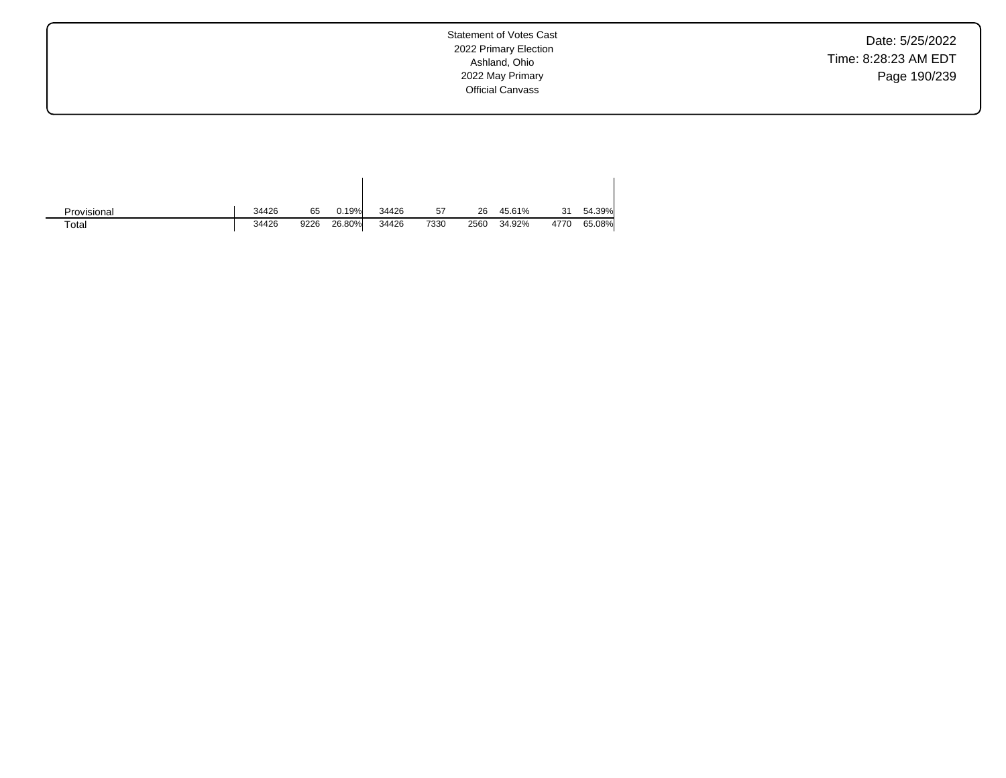Date: 5/25/2022 Time: 8:28:23 AM EDT Page 190/239

| Provisional | 34426<br>65   | 0.19%  | 34426 | 57   | 26   | 45.61% | 31   | 54.39% |
|-------------|---------------|--------|-------|------|------|--------|------|--------|
| Total       | 34426<br>9226 | 26.80% | 34426 | 7330 | 2560 | 34.92% | 4770 | 65.08% |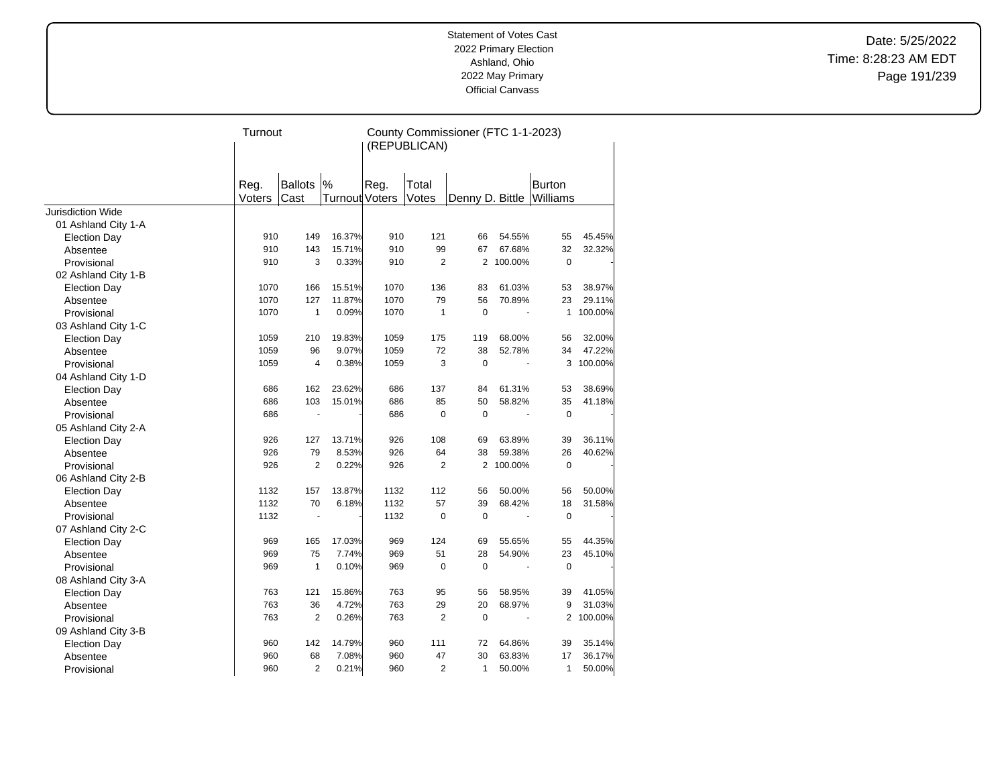Date: 5/25/2022 Time: 8:28:23 AM EDT Page 191/239

|                                            | Turnout    |                |                       | County Commissioner (FTC 1-1-2023)<br>(REPUBLICAN) |                |                 |                  |               |                  |
|--------------------------------------------|------------|----------------|-----------------------|----------------------------------------------------|----------------|-----------------|------------------|---------------|------------------|
|                                            | Reg.       | <b>Ballots</b> | %                     | Reg.                                               | Total          |                 |                  | <b>Burton</b> |                  |
|                                            | Voters     | Cast           | <b>Turnout Voters</b> |                                                    | Votes          | Denny D. Bittle |                  | Williams      |                  |
| <b>Jurisdiction Wide</b>                   |            |                |                       |                                                    |                |                 |                  |               |                  |
| 01 Ashland City 1-A                        |            |                |                       |                                                    |                |                 |                  |               |                  |
| Election Day                               | 910<br>910 | 149<br>143     | 16.37%<br>15.71%      | 910<br>910                                         | 121<br>99      | 66<br>67        | 54.55%<br>67.68% | 55<br>32      | 45.45%<br>32.32% |
| Absentee<br>Provisional                    | 910        | 3              | 0.33%                 | 910                                                | 2              |                 | 2 100.00%        | 0             |                  |
|                                            |            |                |                       |                                                    |                |                 |                  |               |                  |
| 02 Ashland City 1-B<br><b>Election Day</b> | 1070       | 166            | 15.51%                | 1070                                               | 136            | 83              | 61.03%           | 53            | 38.97%           |
| Absentee                                   | 1070       | 127            | 11.87%                | 1070                                               | 79             | 56              | 70.89%           | 23            | 29.11%           |
| Provisional                                | 1070       | $\mathbf{1}$   | 0.09%                 | 1070                                               | $\mathbf{1}$   | $\mathbf 0$     |                  | $\mathbf{1}$  | 100.00%          |
| 03 Ashland City 1-C                        |            |                |                       |                                                    |                |                 |                  |               |                  |
| <b>Election Day</b>                        | 1059       | 210            | 19.83%                | 1059                                               | 175            | 119             | 68.00%           | 56            | 32.00%           |
| Absentee                                   | 1059       | 96             | 9.07%                 | 1059                                               | 72             | 38              | 52.78%           | 34            | 47.22%           |
| Provisional                                | 1059       | 4              | 0.38%                 | 1059                                               | 3              | $\mathbf 0$     |                  | 3             | 100.00%          |
| 04 Ashland City 1-D                        |            |                |                       |                                                    |                |                 |                  |               |                  |
| <b>Election Day</b>                        | 686        | 162            | 23.62%                | 686                                                | 137            | 84              | 61.31%           | 53            | 38.69%           |
| Absentee                                   | 686        | 103            | 15.01%                | 686                                                | 85             | 50              | 58.82%           | 35            | 41.18%           |
| Provisional                                | 686        | ä,             |                       | 686                                                | $\mathbf 0$    | $\mathbf 0$     |                  | $\pmb{0}$     |                  |
| 05 Ashland City 2-A                        |            |                |                       |                                                    |                |                 |                  |               |                  |
| <b>Election Day</b>                        | 926        | 127            | 13.71%                | 926                                                | 108            | 69              | 63.89%           | 39            | 36.11%           |
| Absentee                                   | 926        | 79             | 8.53%                 | 926                                                | 64             | 38              | 59.38%           | 26            | 40.62%           |
| Provisional                                | 926        | $\overline{2}$ | 0.22%                 | 926                                                | $\overline{2}$ | $\overline{2}$  | 100.00%          | $\pmb{0}$     |                  |
| 06 Ashland City 2-B                        |            |                |                       |                                                    |                |                 |                  |               |                  |
| <b>Election Day</b>                        | 1132       | 157            | 13.87%                | 1132                                               | 112            | 56              | 50.00%           | 56            | 50.00%           |
| Absentee                                   | 1132       | 70             | 6.18%                 | 1132                                               | 57             | 39              | 68.42%           | 18            | 31.58%           |
| Provisional                                | 1132       | ٠              |                       | 1132                                               | $\mathbf 0$    | $\mathbf 0$     |                  | $\pmb{0}$     |                  |
| 07 Ashland City 2-C                        |            |                |                       |                                                    |                |                 |                  |               |                  |
| <b>Election Day</b>                        | 969        | 165            | 17.03%                | 969                                                | 124            | 69              | 55.65%           | 55            | 44.35%           |
| Absentee                                   | 969        | 75             | 7.74%                 | 969                                                | 51             | 28              | 54.90%           | 23            | 45.10%           |
| Provisional                                | 969        | $\mathbf{1}$   | 0.10%                 | 969                                                | $\mathbf 0$    | $\mathbf 0$     |                  | $\pmb{0}$     |                  |
| 08 Ashland City 3-A                        |            |                |                       |                                                    |                |                 |                  |               |                  |
| <b>Election Day</b>                        | 763        | 121            | 15.86%                | 763                                                | 95             | 56              | 58.95%           | 39            | 41.05%           |
| Absentee                                   | 763        | 36             | 4.72%                 | 763                                                | 29             | 20              | 68.97%           | 9             | 31.03%           |
| Provisional                                | 763        | $\overline{2}$ | 0.26%                 | 763                                                | $\overline{2}$ | $\mathbf 0$     |                  |               | 2 100.00%        |
| 09 Ashland City 3-B                        |            |                |                       |                                                    |                |                 |                  |               |                  |
| <b>Election Day</b>                        | 960        | 142            | 14.79%                | 960                                                | 111            | 72              | 64.86%           | 39            | 35.14%           |
| Absentee                                   | 960        | 68             | 7.08%                 | 960                                                | 47             | 30              | 63.83%           | 17            | 36.17%           |
| Provisional                                | 960        | $\overline{2}$ | 0.21%                 | 960                                                | $\overline{2}$ | $\mathbf{1}$    | 50.00%           | $\mathbf{1}$  | 50.00%           |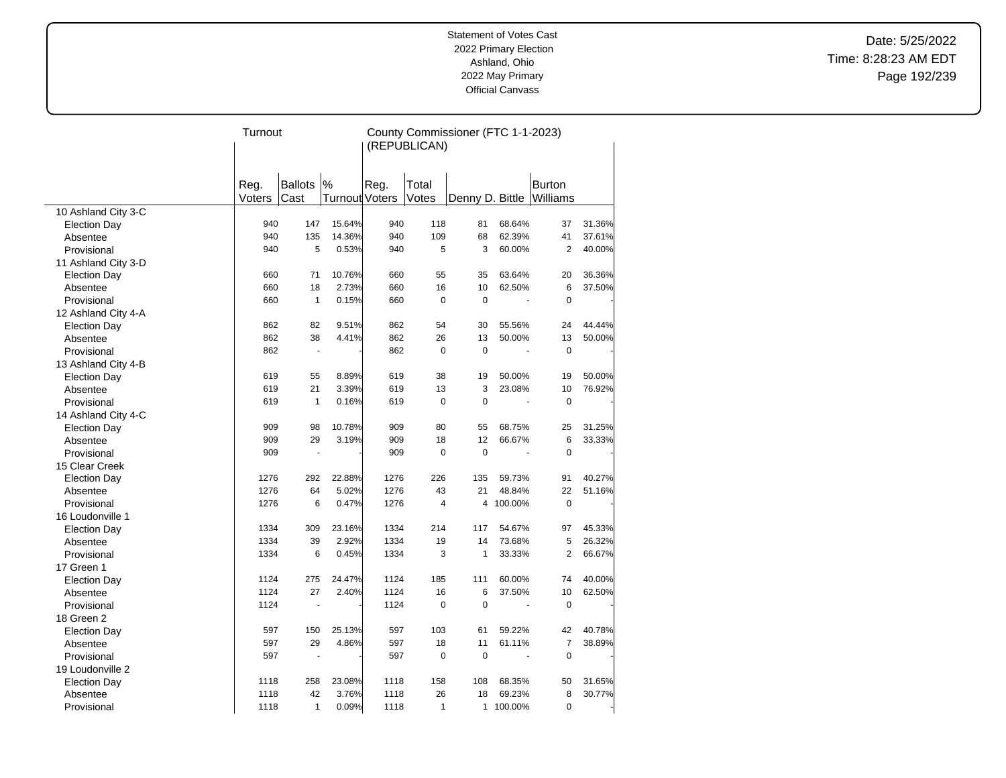Date: 5/25/2022 Time: 8:28:23 AM EDT Page 192/239

|                     | Turnout |                      |                       | County Commissioner (FTC 1-1-2023) |                |                 |         |                |        |  |
|---------------------|---------|----------------------|-----------------------|------------------------------------|----------------|-----------------|---------|----------------|--------|--|
|                     |         |                      |                       |                                    | (REPUBLICAN)   |                 |         |                |        |  |
|                     |         |                      |                       |                                    |                |                 |         |                |        |  |
|                     |         |                      |                       |                                    |                |                 |         |                |        |  |
|                     | Reg.    | <b>Ballots</b>       | $\frac{9}{6}$         | Reg.                               | Total          |                 |         | <b>Burton</b>  |        |  |
|                     | Voters  | Cast                 | <b>Turnout Voters</b> |                                    | Votes          | Denny D. Bittle |         | Williams       |        |  |
| 10 Ashland City 3-C |         |                      |                       |                                    |                |                 |         |                |        |  |
| <b>Election Day</b> | 940     | 147                  | 15.64%                | 940                                | 118            | 81              | 68.64%  | 37             | 31.36% |  |
| Absentee            | 940     | 135                  | 14.36%                | 940                                | 109            | 68              | 62.39%  | 41             | 37.61% |  |
| Provisional         | 940     | 5                    | 0.53%                 | 940                                | 5              | 3               | 60.00%  | $\overline{2}$ | 40.00% |  |
| 11 Ashland City 3-D |         |                      |                       |                                    |                |                 |         |                |        |  |
| <b>Election Day</b> | 660     | 71                   | 10.76%                | 660                                | 55             | 35              | 63.64%  | 20             | 36.36% |  |
| Absentee            | 660     | 18                   | 2.73%                 | 660                                | 16             | 10              | 62.50%  | 6              | 37.50% |  |
| Provisional         | 660     | $\mathbf{1}$         | 0.15%                 | 660                                | $\mathbf 0$    | $\pmb{0}$       |         | $\mathbf 0$    |        |  |
| 12 Ashland City 4-A |         |                      |                       |                                    |                |                 |         |                |        |  |
| <b>Election Day</b> | 862     | 82                   | 9.51%                 | 862                                | 54             | 30              | 55.56%  | 24             | 44.44% |  |
| Absentee            | 862     | 38                   | 4.41%                 | 862                                | 26             | 13              | 50.00%  | 13             | 50.00% |  |
| Provisional         | 862     | $\blacksquare$       |                       | 862                                | $\mathbf 0$    | $\mathbf 0$     |         | $\mathbf 0$    |        |  |
| 13 Ashland City 4-B |         |                      |                       |                                    |                |                 |         |                |        |  |
| <b>Election Day</b> | 619     | 55                   | 8.89%                 | 619                                | 38             | 19              | 50.00%  | 19             | 50.00% |  |
| Absentee            | 619     | 21                   | 3.39%                 | 619                                | 13             | 3               | 23.08%  | 10             | 76.92% |  |
| Provisional         | 619     | $\mathbf{1}$         | 0.16%                 | 619                                | $\mathbf 0$    | 0               |         | $\mathbf 0$    |        |  |
| 14 Ashland City 4-C |         |                      |                       |                                    |                |                 |         |                |        |  |
| <b>Election Day</b> | 909     | 98                   | 10.78%                | 909                                | 80             | 55              | 68.75%  | 25             | 31.25% |  |
| Absentee            | 909     | 29                   | 3.19%                 | 909                                | 18             | 12              | 66.67%  | 6              | 33.33% |  |
| Provisional         | 909     | $\ddot{\phantom{1}}$ |                       | 909                                | $\Omega$       | $\mathbf 0$     |         | $\mathbf 0$    |        |  |
| 15 Clear Creek      |         |                      |                       |                                    |                |                 |         |                |        |  |
| <b>Election Day</b> | 1276    | 292                  | 22.88%                | 1276                               | 226            | 135             | 59.73%  | 91             | 40.27% |  |
| Absentee            | 1276    | 64                   | 5.02%                 | 1276                               | 43             | 21              | 48.84%  | 22             | 51.16% |  |
| Provisional         | 1276    | 6                    | 0.47%                 | 1276                               | $\overline{4}$ | 4               | 100.00% | $\mathbf 0$    |        |  |
| 16 Loudonville 1    |         |                      |                       |                                    |                |                 |         |                |        |  |
| <b>Election Day</b> | 1334    | 309                  | 23.16%                | 1334                               | 214            | 117             | 54.67%  | 97             | 45.33% |  |
| Absentee            | 1334    | 39                   | 2.92%                 | 1334                               | 19             | 14              | 73.68%  | 5              | 26.32% |  |
| Provisional         | 1334    | 6                    | 0.45%                 | 1334                               | 3              | $\mathbf{1}$    | 33.33%  | $\overline{2}$ | 66.67% |  |
| 17 Green 1          |         |                      |                       |                                    |                |                 |         |                |        |  |
| <b>Election Day</b> | 1124    | 275                  | 24.47%                | 1124                               | 185            | 111             | 60.00%  | 74             | 40.00% |  |
| Absentee            | 1124    | 27                   | 2.40%                 | 1124                               | 16             | 6               | 37.50%  | 10             | 62.50% |  |
| Provisional         | 1124    |                      |                       | 1124                               | $\mathbf 0$    | 0               |         | $\mathbf 0$    |        |  |
| 18 Green 2          |         |                      |                       |                                    |                |                 |         |                |        |  |
| <b>Election Day</b> | 597     | 150                  | 25.13%                | 597                                | 103            | 61              | 59.22%  | 42             | 40.78% |  |
| Absentee            | 597     | 29                   | 4.86%                 | 597                                | 18             | 11              | 61.11%  | $\overline{7}$ | 38.89% |  |
| Provisional         | 597     | $\overline{a}$       |                       | 597                                | $\mathbf 0$    | $\mathbf 0$     |         | 0              |        |  |
| 19 Loudonville 2    |         |                      |                       |                                    |                |                 |         |                |        |  |
| <b>Election Day</b> | 1118    | 258                  | 23.08%                | 1118                               | 158            | 108             | 68.35%  | 50             | 31.65% |  |
| Absentee            | 1118    | 42                   | 3.76%                 | 1118                               | 26             | 18              | 69.23%  | 8              | 30.77% |  |
| Provisional         | 1118    | $\mathbf{1}$         | 0.09%                 | 1118                               | $\mathbf{1}$   | $\mathbf{1}$    | 100.00% | $\mathbf 0$    |        |  |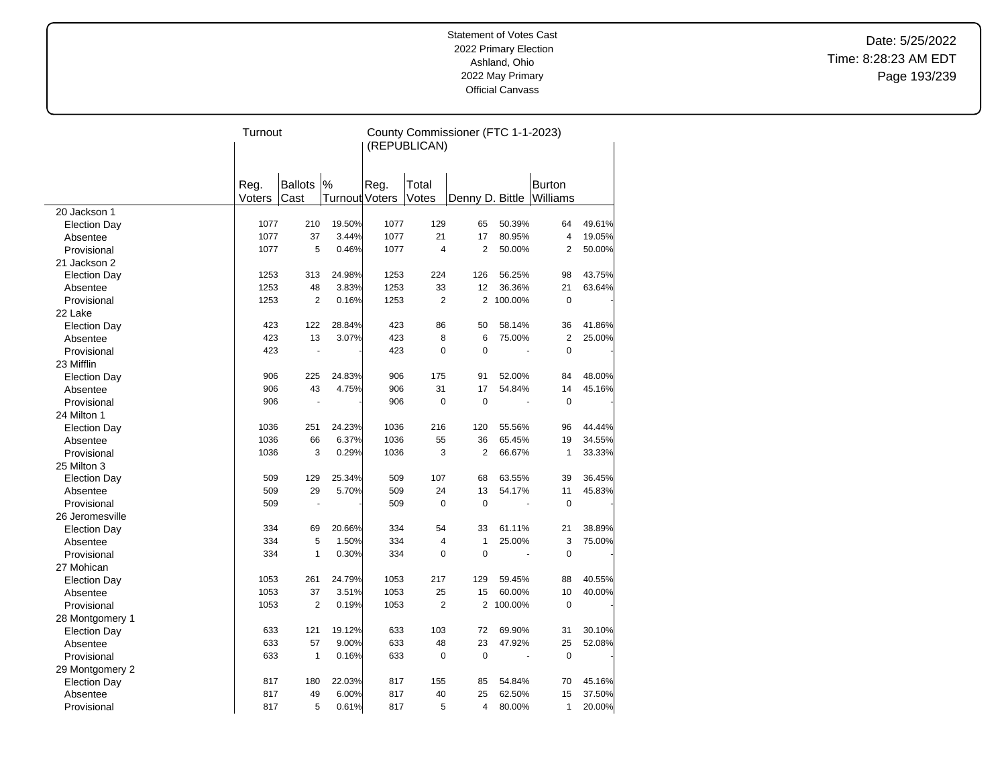Date: 5/25/2022 Time: 8:28:23 AM EDT Page 193/239

|                     | Turnout |                |                       | County Commissioner (FTC 1-1-2023)<br>(REPUBLICAN) |                |                          |         |                |        |
|---------------------|---------|----------------|-----------------------|----------------------------------------------------|----------------|--------------------------|---------|----------------|--------|
|                     |         |                |                       |                                                    |                |                          |         |                |        |
|                     |         |                |                       |                                                    |                |                          |         |                |        |
|                     |         |                |                       |                                                    |                |                          |         |                |        |
|                     | Reg.    | <b>Ballots</b> | $\frac{9}{6}$         | Reg.                                               | Total          |                          |         | <b>Burton</b>  |        |
|                     | Voters  | Cast           | <b>Turnout Voters</b> |                                                    | Votes          | Denny D. Bittle Williams |         |                |        |
| 20 Jackson 1        |         |                |                       |                                                    |                |                          |         |                |        |
| <b>Election Day</b> | 1077    | 210            | 19.50%                | 1077                                               | 129            | 65                       | 50.39%  | 64             | 49.61% |
| Absentee            | 1077    | 37             | 3.44%                 | 1077                                               | 21             | 17                       | 80.95%  | $\overline{4}$ | 19.05% |
| Provisional         | 1077    | 5              | 0.46%                 | 1077                                               | $\overline{4}$ | 2                        | 50.00%  | 2              | 50.00% |
| 21 Jackson 2        |         |                |                       |                                                    |                |                          |         |                |        |
| <b>Election Day</b> | 1253    | 313            | 24.98%                | 1253                                               | 224            | 126                      | 56.25%  | 98             | 43.75% |
| Absentee            | 1253    | 48             | 3.83%                 | 1253                                               | 33             | 12                       | 36.36%  | 21             | 63.64% |
| Provisional         | 1253    | $\overline{2}$ | 0.16%                 | 1253                                               | $\overline{2}$ | $\overline{2}$           | 100.00% | $\mathbf 0$    |        |
| 22 Lake             |         |                |                       |                                                    |                |                          |         |                |        |
| <b>Election Day</b> | 423     | 122            | 28.84%                | 423                                                | 86             | 50                       | 58.14%  | 36             | 41.86% |
| Absentee            | 423     | 13             | 3.07%                 | 423                                                | 8              | 6                        | 75.00%  | $\overline{2}$ | 25.00% |
| Provisional         | 423     | ÷,             |                       | 423                                                | $\mathbf 0$    | 0                        |         | $\mathbf 0$    |        |
| 23 Mifflin          |         |                |                       |                                                    |                |                          |         |                |        |
| <b>Election Day</b> | 906     | 225            | 24.83%                | 906                                                | 175            | 91                       | 52.00%  | 84             | 48.00% |
| Absentee            | 906     | 43             | 4.75%                 | 906                                                | 31             | 17                       | 54.84%  | 14             | 45.16% |
| Provisional         | 906     |                |                       | 906                                                | $\mathbf 0$    | $\mathbf 0$              |         | $\mathbf 0$    |        |
| 24 Milton 1         |         |                |                       |                                                    |                |                          |         |                |        |
| <b>Election Day</b> | 1036    | 251            | 24.23%                | 1036                                               | 216            | 120                      | 55.56%  | 96             | 44.44% |
| Absentee            | 1036    | 66             | 6.37%                 | 1036                                               | 55             | 36                       | 65.45%  | 19             | 34.55% |
| Provisional         | 1036    | 3              | 0.29%                 | 1036                                               | 3              | $\overline{2}$           | 66.67%  | $\mathbf{1}$   | 33.33% |
| 25 Milton 3         |         |                |                       |                                                    |                |                          |         |                |        |
| <b>Election Day</b> | 509     | 129            | 25.34%                | 509                                                | 107            | 68                       | 63.55%  | 39             | 36.45% |
| Absentee            | 509     | 29             | 5.70%                 | 509                                                | 24             | 13                       | 54.17%  | 11             | 45.83% |
| Provisional         | 509     |                |                       | 509                                                | $\mathbf 0$    | $\Omega$                 |         | $\mathbf 0$    |        |
| 26 Jeromesville     |         |                |                       |                                                    |                |                          |         |                |        |
| <b>Election Day</b> | 334     | 69             | 20.66%                | 334                                                | 54             | 33                       | 61.11%  | 21             | 38.89% |
| Absentee            | 334     | 5              | 1.50%                 | 334                                                | $\overline{4}$ | 1                        | 25.00%  | 3              | 75.00% |
| Provisional         | 334     | $\mathbf{1}$   | 0.30%                 | 334                                                | $\Omega$       | $\overline{0}$           |         | $\mathbf 0$    |        |
| 27 Mohican          |         |                |                       |                                                    |                |                          |         |                |        |
| <b>Election Day</b> | 1053    | 261            | 24.79%                | 1053                                               | 217            | 129                      | 59.45%  | 88             | 40.55% |
| Absentee            | 1053    | 37             | 3.51%                 | 1053                                               | 25             | 15                       | 60.00%  | 10             | 40.00% |
| Provisional         | 1053    | 2              | 0.19%                 | 1053                                               | 2              | $\overline{2}$           | 100.00% | $\mathbf 0$    |        |
| 28 Montgomery 1     |         |                |                       |                                                    |                |                          |         |                |        |
| <b>Election Day</b> | 633     | 121            | 19.12%                | 633                                                | 103            | 72                       | 69.90%  | 31             | 30.10% |
| Absentee            | 633     | 57             | 9.00%                 | 633                                                | 48             | 23                       | 47.92%  | 25             | 52.08% |
| Provisional         | 633     | $\mathbf{1}$   | 0.16%                 | 633                                                | $\mathbf 0$    | $\mathbf 0$              |         | $\mathbf 0$    |        |
| 29 Montgomery 2     |         |                |                       |                                                    |                |                          |         |                |        |
| <b>Election Day</b> | 817     | 180            | 22.03%                | 817                                                | 155            | 85                       | 54.84%  | 70             | 45.16% |
| Absentee            | 817     | 49             | 6.00%                 | 817                                                | 40             | 25                       | 62.50%  | 15             | 37.50% |
| Provisional         | 817     | 5              | 0.61%                 | 817                                                | 5              | 4                        | 80.00%  | 1              | 20.00% |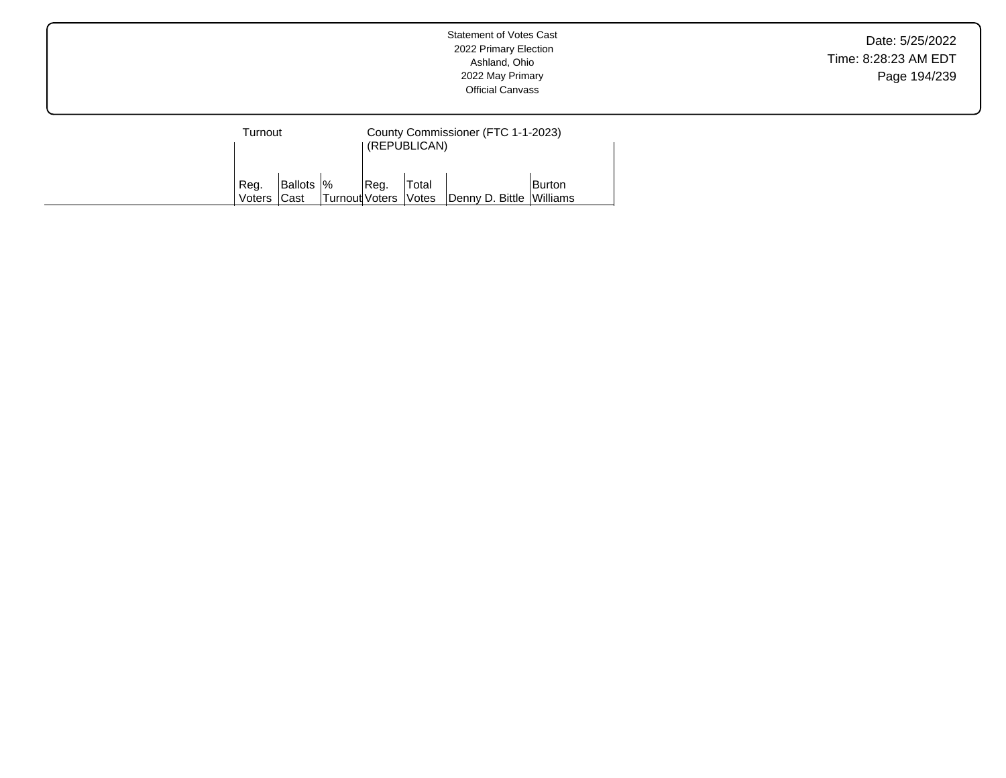| Furnout        |                            |                       | County Commissioner (FTC 1-1-2023)<br>(REPUBLICAN) |                       |                          |        |  |
|----------------|----------------------------|-----------------------|----------------------------------------------------|-----------------------|--------------------------|--------|--|
| Reg.<br>Voters | <b>Ballots  %</b><br> Cast | <b>Turnout Voters</b> | Reg.                                               | Total<br><b>Votes</b> | Denny D. Bittle Williams | Burton |  |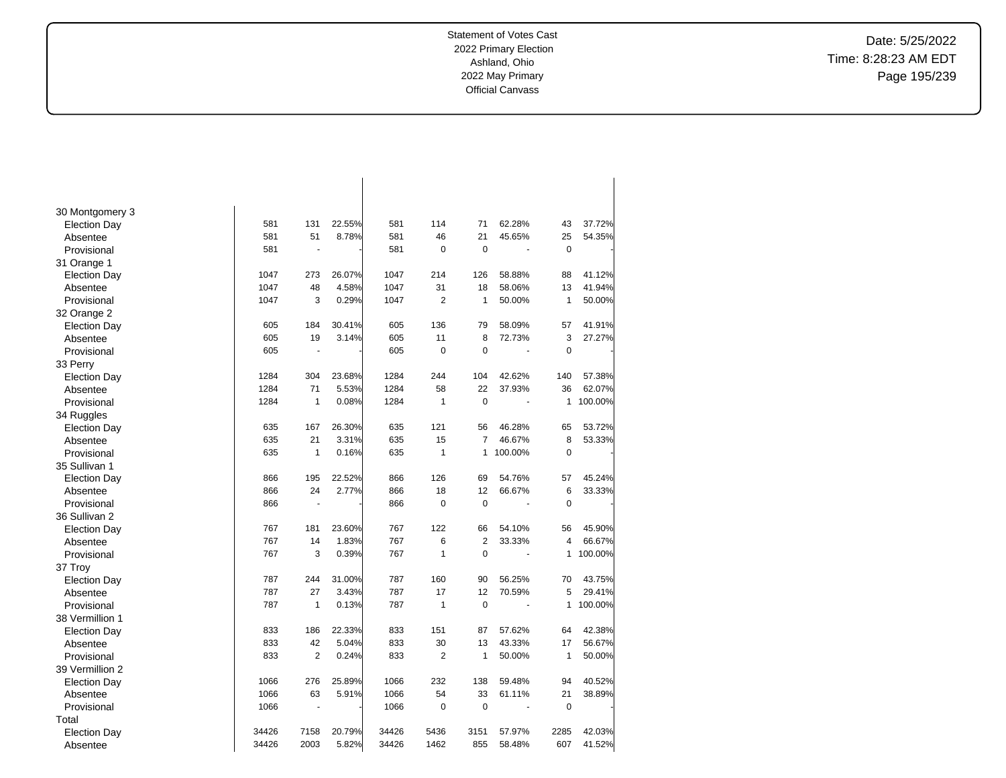Date: 5/25/2022 Time: 8:28:23 AM EDT Page 195/239

| 30 Montgomery 3     |       |              |        |       |                |                |         |                |         |
|---------------------|-------|--------------|--------|-------|----------------|----------------|---------|----------------|---------|
| <b>Election Day</b> | 581   | 131          | 22.55% | 581   | 114            | 71             | 62.28%  | 43             | 37.72%  |
| Absentee            | 581   | 51           | 8.78%  | 581   | 46             | 21             | 45.65%  | 25             | 54.35%  |
| Provisional         | 581   |              |        | 581   | 0              | $\mathbf 0$    |         | $\mathbf 0$    |         |
| 31 Orange 1         |       |              |        |       |                |                |         |                |         |
| <b>Election Day</b> | 1047  | 273          | 26.07% | 1047  | 214            | 126            | 58.88%  | 88             | 41.12%  |
| Absentee            | 1047  | 48           | 4.58%  | 1047  | 31             | 18             | 58.06%  | 13             | 41.94%  |
| Provisional         | 1047  | 3            | 0.29%  | 1047  | 2              | 1              | 50.00%  | $\mathbf{1}$   | 50.00%  |
| 32 Orange 2         |       |              |        |       |                |                |         |                |         |
| <b>Election Day</b> | 605   | 184          | 30.41% | 605   | 136            | 79             | 58.09%  | 57             | 41.91%  |
| Absentee            | 605   | 19           | 3.14%  | 605   | 11             | 8              | 72.73%  | 3              | 27.27%  |
| Provisional         | 605   | ä,           |        | 605   | 0              | $\mathbf 0$    | ä,      | $\mathbf 0$    |         |
| 33 Perry            |       |              |        |       |                |                |         |                |         |
| <b>Election Day</b> | 1284  | 304          | 23.68% | 1284  | 244            | 104            | 42.62%  | 140            | 57.38%  |
| Absentee            | 1284  | 71           | 5.53%  | 1284  | 58             | 22             | 37.93%  | 36             | 62.07%  |
| Provisional         | 1284  | $\mathbf{1}$ | 0.08%  | 1284  | $\mathbf{1}$   | $\mathbf 0$    |         | 1              | 100.00% |
| 34 Ruggles          |       |              |        |       |                |                |         |                |         |
| <b>Election Day</b> | 635   | 167          | 26.30% | 635   | 121            | 56             | 46.28%  | 65             | 53.72%  |
| Absentee            | 635   | 21           | 3.31%  | 635   | 15             | $\overline{7}$ | 46.67%  | 8              | 53.33%  |
| Provisional         | 635   | 1            | 0.16%  | 635   | 1              | $\mathbf{1}$   | 100.00% | $\mathbf 0$    |         |
| 35 Sullivan 1       |       |              |        |       |                |                |         |                |         |
| <b>Election Day</b> | 866   | 195          | 22.52% | 866   | 126            | 69             | 54.76%  | 57             | 45.24%  |
| Absentee            | 866   | 24           | 2.77%  | 866   | 18             | 12             | 66.67%  | 6              | 33.33%  |
| Provisional         | 866   |              |        | 866   | 0              | $\pmb{0}$      |         | $\mathbf 0$    |         |
| 36 Sullivan 2       |       |              |        |       |                |                |         |                |         |
| <b>Election Day</b> | 767   | 181          | 23.60% | 767   | 122            | 66             | 54.10%  | 56             | 45.90%  |
| Absentee            | 767   | 14           | 1.83%  | 767   | 6              | $\overline{2}$ | 33.33%  | $\overline{4}$ | 66.67%  |
| Provisional         | 767   | 3            | 0.39%  | 767   | $\mathbf{1}$   | $\mathbf 0$    | ä,      | 1              | 100.00% |
| 37 Troy             |       |              |        |       |                |                |         |                |         |
| <b>Election Day</b> | 787   | 244          | 31.00% | 787   | 160            | 90             | 56.25%  | 70             | 43.75%  |
| Absentee            | 787   | 27           | 3.43%  | 787   | 17             | 12             | 70.59%  | 5              | 29.41%  |
| Provisional         | 787   | 1            | 0.13%  | 787   | $\mathbf{1}$   | $\Omega$       |         | 1              | 100.00% |
| 38 Vermillion 1     |       |              |        |       |                |                |         |                |         |
| <b>Election Day</b> | 833   | 186          | 22.33% | 833   | 151            | 87             | 57.62%  | 64             | 42.38%  |
| Absentee            | 833   | 42           | 5.04%  | 833   | 30             | 13             | 43.33%  | 17             | 56.67%  |
| Provisional         | 833   | 2            | 0.24%  | 833   | $\overline{2}$ | 1              | 50.00%  | $\mathbf{1}$   | 50.00%  |
| 39 Vermillion 2     |       |              |        |       |                |                |         |                |         |
| <b>Election Day</b> | 1066  | 276          | 25.89% | 1066  | 232            | 138            | 59.48%  | 94             | 40.52%  |
| Absentee            | 1066  | 63           | 5.91%  | 1066  | 54             | 33             | 61.11%  | 21             | 38.89%  |
| Provisional         | 1066  | ÷,           |        | 1066  | $\pmb{0}$      | $\mathbf 0$    |         | $\mathbf 0$    |         |
| Total               |       |              |        |       |                |                |         |                |         |
| <b>Election Day</b> | 34426 | 7158         | 20.79% | 34426 | 5436           | 3151           | 57.97%  | 2285           | 42.03%  |
| Absentee            | 34426 | 2003         | 5.82%  | 34426 | 1462           | 855            | 58.48%  | 607            | 41.52%  |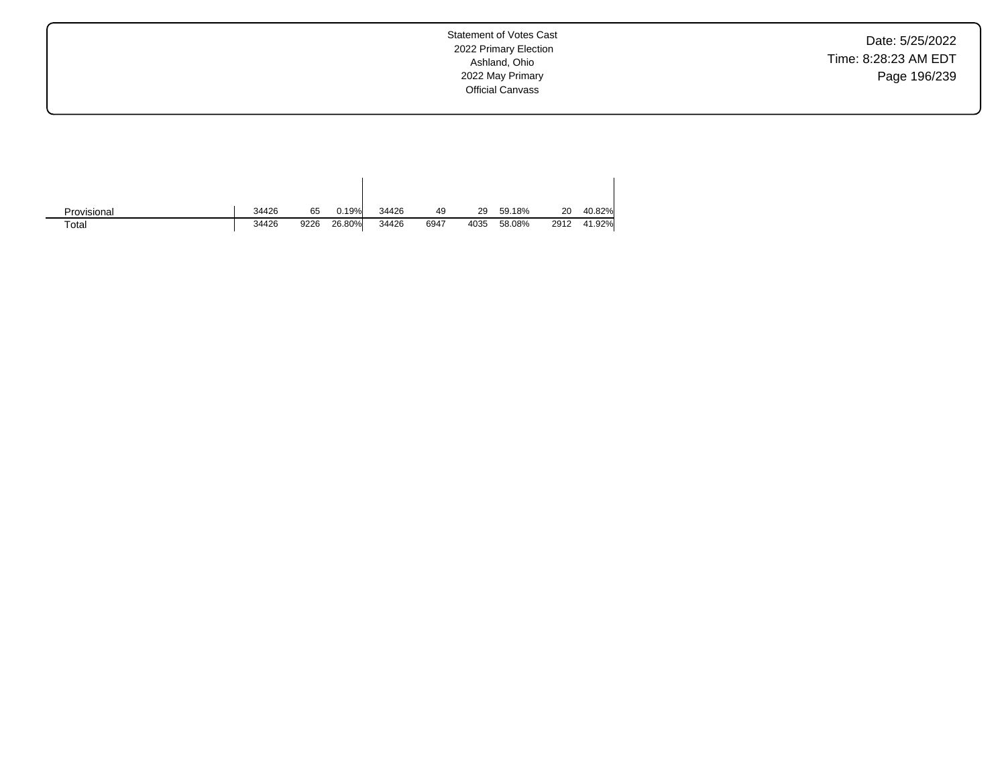Date: 5/25/2022 Time: 8:28:23 AM EDT Page 196/239

| Provisional | 34426 | 65   | 0.19%  | 34426 | 49   | 29   | 59.18% | 20   | 40.82% |
|-------------|-------|------|--------|-------|------|------|--------|------|--------|
| Total       | 34426 | 9226 | 26.80% | 34426 | 6947 | 4035 | 58.08% | 2912 | 41.92% |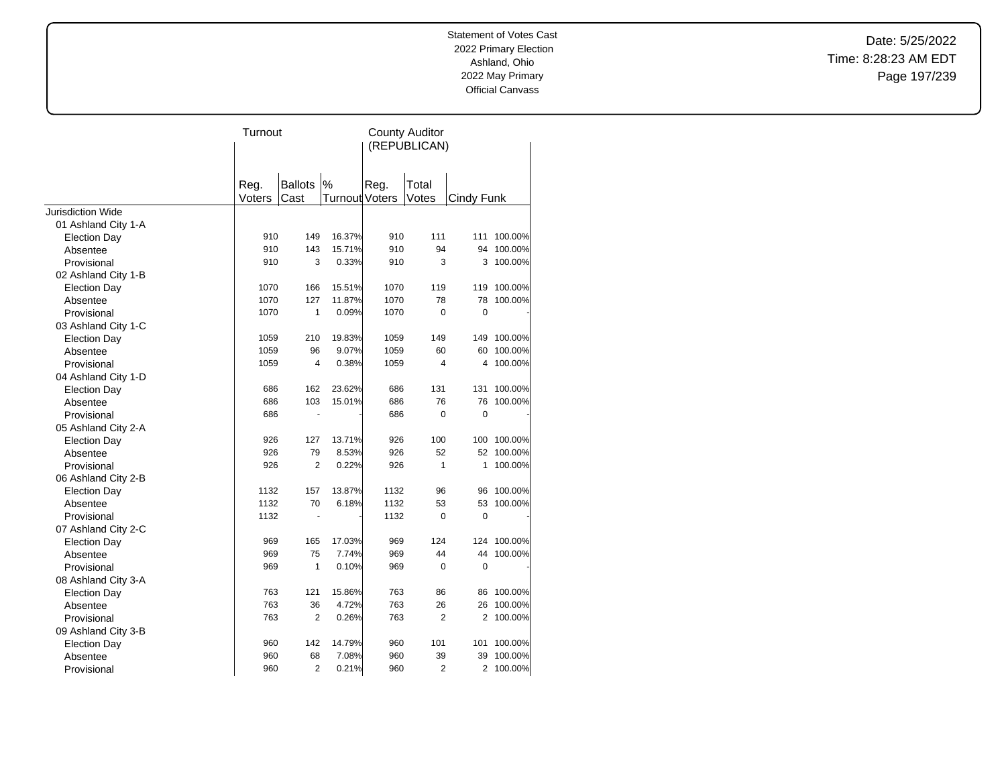Date: 5/25/2022 Time: 8:28:23 AM EDT Page 197/239

|                                 | Turnout |                |                       | <b>County Auditor</b><br>(REPUBLICAN) |                |             |         |
|---------------------------------|---------|----------------|-----------------------|---------------------------------------|----------------|-------------|---------|
|                                 | Reg.    | <b>Ballots</b> | $\%$                  | Reg.                                  | Total          |             |         |
| <b>Jurisdiction Wide</b>        | Voters  | Cast           | <b>Turnout Voters</b> |                                       | Votes          | Cindy Funk  |         |
|                                 |         |                |                       |                                       |                |             |         |
| 01 Ashland City 1-A             | 910     | 149            | 16.37%                | 910                                   | 111            | 111         | 100.00% |
| <b>Election Day</b><br>Absentee | 910     | 143            | 15.71%                | 910                                   | 94             | 94          | 100.00% |
| Provisional                     | 910     | 3              | 0.33%                 | 910                                   | 3              | 3           | 100.00% |
| 02 Ashland City 1-B             |         |                |                       |                                       |                |             |         |
| <b>Election Day</b>             | 1070    | 166            | 15.51%                | 1070                                  | 119            | 119         | 100.00% |
| Absentee                        | 1070    | 127            | 11.87%                | 1070                                  | 78             | 78          | 100.00% |
| Provisional                     | 1070    | 1              | 0.09%                 | 1070                                  | $\Omega$       | $\mathbf 0$ |         |
| 03 Ashland City 1-C             |         |                |                       |                                       |                |             |         |
| <b>Election Day</b>             | 1059    | 210            | 19.83%                | 1059                                  | 149            | 149         | 100.00% |
| Absentee                        | 1059    | 96             | 9.07%                 | 1059                                  | 60             | 60          | 100.00% |
| Provisional                     | 1059    | $\overline{4}$ | 0.38%                 | 1059                                  | $\overline{4}$ | 4           | 100.00% |
| 04 Ashland City 1-D             |         |                |                       |                                       |                |             |         |
| <b>Election Day</b>             | 686     | 162            | 23.62%                | 686                                   | 131            | 131         | 100.00% |
| Absentee                        | 686     | 103            | 15.01%                | 686                                   | 76             | 76          | 100.00% |
| Provisional                     | 686     | ä,             |                       | 686                                   | $\mathbf 0$    | 0           |         |
| 05 Ashland City 2-A             |         |                |                       |                                       |                |             |         |
| <b>Election Day</b>             | 926     | 127            | 13.71%                | 926                                   | 100            | 100         | 100.00% |
| Absentee                        | 926     | 79             | 8.53%                 | 926                                   | 52             | 52          | 100.00% |
| Provisional                     | 926     | $\overline{2}$ | 0.22%                 | 926                                   | 1              | 1           | 100.00% |
| 06 Ashland City 2-B             |         |                |                       |                                       |                |             |         |
| <b>Election Day</b>             | 1132    | 157            | 13.87%                | 1132                                  | 96             | 96          | 100.00% |
| Absentee                        | 1132    | 70             | 6.18%                 | 1132                                  | 53             | 53          | 100.00% |
| Provisional                     | 1132    | $\blacksquare$ |                       | 1132                                  | $\mathbf 0$    | $\mathbf 0$ |         |
| 07 Ashland City 2-C             |         |                |                       |                                       |                |             |         |
| <b>Election Day</b>             | 969     | 165            | 17.03%                | 969                                   | 124            | 124         | 100.00% |
| Absentee                        | 969     | 75             | 7.74%                 | 969                                   | 44             | 44          | 100.00% |
| Provisional                     | 969     | 1              | 0.10%                 | 969                                   | $\mathbf 0$    | $\mathbf 0$ |         |
| 08 Ashland City 3-A             |         |                |                       |                                       |                |             |         |
| <b>Election Day</b>             | 763     | 121            | 15.86%                | 763                                   | 86             | 86          | 100.00% |
| Absentee                        | 763     | 36             | 4.72%                 | 763                                   | 26             | 26          | 100.00% |
| Provisional                     | 763     | $\overline{2}$ | 0.26%                 | 763                                   | $\overline{2}$ | 2           | 100.00% |
| 09 Ashland City 3-B             |         |                |                       |                                       |                |             |         |
| <b>Election Day</b>             | 960     | 142            | 14.79%                | 960                                   | 101            | 101         | 100.00% |
| Absentee                        | 960     | 68             | 7.08%                 | 960                                   | 39             | 39          | 100.00% |
| Provisional                     | 960     | $\overline{2}$ | 0.21%                 | 960                                   | 2              | 2           | 100.00% |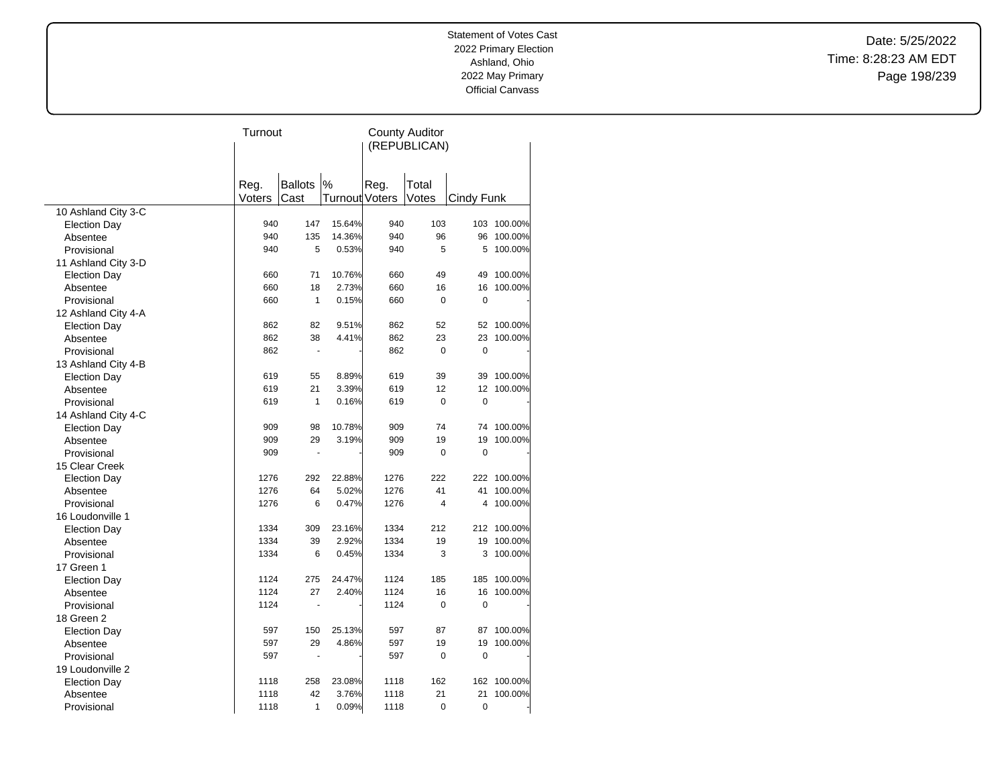Date: 5/25/2022 Time: 8:28:23 AM EDT Page 198/239

| (REPUBLICAN)<br>$\%$<br><b>Ballots</b><br>Reg.<br>Total<br>Reg.<br>Voters<br>Turnout Voters<br>Votes<br>Cast<br>Cindy Funk<br>10 Ashland City 3-C<br>940<br>147<br>15.64%<br>940<br>103<br><b>Election Day</b> | 103 100.00%<br>100.00%<br>100.00%<br>100.00% |
|----------------------------------------------------------------------------------------------------------------------------------------------------------------------------------------------------------------|----------------------------------------------|
|                                                                                                                                                                                                                |                                              |
|                                                                                                                                                                                                                |                                              |
|                                                                                                                                                                                                                |                                              |
|                                                                                                                                                                                                                |                                              |
|                                                                                                                                                                                                                |                                              |
|                                                                                                                                                                                                                |                                              |
| 135<br>14.36%<br>96<br>940<br>940<br>96<br>Absentee                                                                                                                                                            |                                              |
| 940<br>5<br>0.53%<br>940<br>5<br>5<br>Provisional                                                                                                                                                              |                                              |
| 11 Ashland City 3-D                                                                                                                                                                                            |                                              |
| 10.76%<br>660<br>71<br>660<br>49<br>49<br><b>Election Day</b>                                                                                                                                                  |                                              |
| 18<br>2.73%<br>660<br>660<br>16<br>Absentee<br>16                                                                                                                                                              | 100.00%                                      |
| 660<br>$\mathbf{1}$<br>0.15%<br>660<br>0<br>0<br>Provisional                                                                                                                                                   |                                              |
| 12 Ashland City 4-A                                                                                                                                                                                            |                                              |
| 9.51%<br>52<br>Election Day<br>862<br>82<br>862<br>52                                                                                                                                                          | 100.00%                                      |
| 38<br>4.41%<br>862<br>23<br>862<br>23<br>Absentee                                                                                                                                                              | 100.00%                                      |
| 862<br>862<br>0<br>0<br>Provisional<br>ä,                                                                                                                                                                      |                                              |
| 13 Ashland City 4-B                                                                                                                                                                                            |                                              |
| 55<br>8.89%<br>619<br>619<br>39<br>39<br><b>Election Day</b>                                                                                                                                                   | 100.00%                                      |
| 619<br>21<br>3.39%<br>619<br>12<br>12<br>Absentee                                                                                                                                                              | 100.00%                                      |
| 1<br>0.16%<br>$\Omega$<br>$\Omega$<br>Provisional<br>619<br>619                                                                                                                                                |                                              |
| 14 Ashland City 4-C                                                                                                                                                                                            |                                              |
| 10.78%<br>909<br>98<br>909<br>74<br><b>Election Day</b><br>74                                                                                                                                                  | 100.00%                                      |
| 29<br>3.19%<br>19<br>909<br>909<br>19<br>Absentee                                                                                                                                                              | 100.00%                                      |
| 909<br>909<br>0<br>0<br>Provisional                                                                                                                                                                            |                                              |
| 15 Clear Creek                                                                                                                                                                                                 |                                              |
| 22.88%<br>222<br>1276<br>292<br>1276<br><b>Election Day</b>                                                                                                                                                    | 222 100.00%                                  |
| 64<br>5.02%<br>1276<br>41<br>1276<br>41<br>Absentee                                                                                                                                                            | 100.00%                                      |
| 1276<br>6<br>0.47%<br>1276<br>4<br>4<br>Provisional                                                                                                                                                            | 100.00%                                      |
| 16 Loudonville 1                                                                                                                                                                                               |                                              |
| 1334<br>309<br>23.16%<br>1334<br>212<br><b>Election Day</b>                                                                                                                                                    | 212 100.00%                                  |
| 2.92%<br>1334<br>1334<br>39<br>19<br>19<br>Absentee                                                                                                                                                            | 100.00%                                      |
| 1334<br>6<br>0.45%<br>1334<br>3<br>3<br>Provisional                                                                                                                                                            | 100.00%                                      |
| 17 Green 1                                                                                                                                                                                                     |                                              |
| 1124<br>275<br>24.47%<br>1124<br>185<br>185<br><b>Election Day</b>                                                                                                                                             | 100.00%                                      |
| 27<br>2.40%<br>1124<br>16<br>16<br>Absentee<br>1124                                                                                                                                                            | 100.00%                                      |
| 0<br>$\mathbf 0$<br>1124<br>1124<br>Provisional<br>ä,                                                                                                                                                          |                                              |
| 18 Green 2                                                                                                                                                                                                     |                                              |
| 597<br>150<br>25.13%<br>597<br>87<br><b>Election Day</b><br>87                                                                                                                                                 | 100.00%                                      |
| 29<br>597<br>4.86%<br>597<br>19<br>19<br>Absentee                                                                                                                                                              | 100.00%                                      |
| 597<br>597<br>0<br>0<br>Provisional                                                                                                                                                                            |                                              |
| 19 Loudonville 2                                                                                                                                                                                               |                                              |
| 23.08%<br>162<br>1118<br>258<br>1118<br>162<br><b>Election Day</b>                                                                                                                                             | 100.00%                                      |
| 42<br>3.76%<br>21<br>1118<br>1118<br>21<br>Absentee                                                                                                                                                            | 100.00%                                      |
| 1<br>0.09%<br>0<br>0<br>1118<br>1118<br>Provisional                                                                                                                                                            |                                              |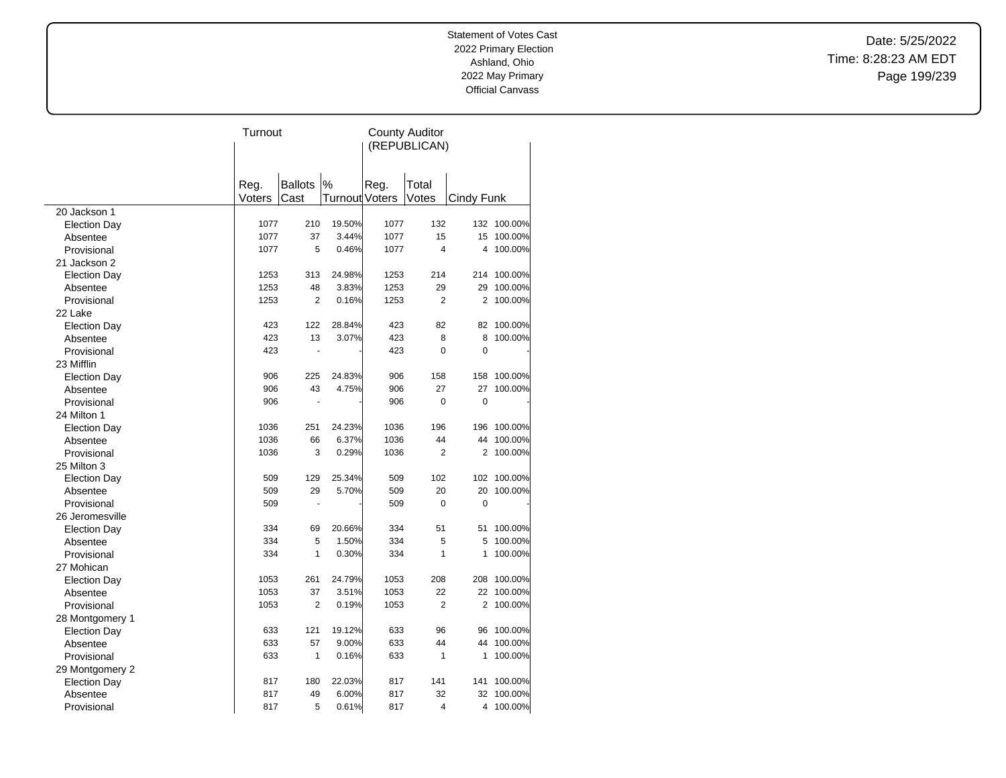Date: 5/25/2022 Time: 8:28:23 AM EDT Page 199/239

|                     | Turnout |                |                | <b>County Auditor</b> |                |                |             |  |
|---------------------|---------|----------------|----------------|-----------------------|----------------|----------------|-------------|--|
|                     |         |                |                |                       | (REPUBLICAN)   |                |             |  |
|                     |         |                |                |                       |                |                |             |  |
|                     |         |                |                |                       |                |                |             |  |
|                     | Reg.    | <b>Ballots</b> | %              | Reg.                  | Total          |                |             |  |
|                     | Voters  | Cast           | Turnout Voters |                       | Votes          | Cindy Funk     |             |  |
| 20 Jackson 1        |         |                |                |                       | 132            |                |             |  |
| <b>Election Day</b> | 1077    | 210            | 19.50%         | 1077                  |                |                | 132 100.00% |  |
| Absentee            | 1077    | 37             | 3.44%          | 1077                  | 15             | 15             | 100.00%     |  |
| Provisional         | 1077    | 5              | 0.46%          | 1077                  | $\overline{4}$ |                | 4 100.00%   |  |
| 21 Jackson 2        |         |                |                |                       |                |                |             |  |
| <b>Election Day</b> | 1253    | 313            | 24.98%         | 1253                  | 214            |                | 214 100.00% |  |
| Absentee            | 1253    | 48             | 3.83%          | 1253                  | 29             | 29             | 100.00%     |  |
| Provisional         | 1253    | 2              | 0.16%          | 1253                  | $\overline{2}$ | 2              | 100.00%     |  |
| 22 Lake             |         |                |                |                       |                |                |             |  |
| <b>Election Day</b> | 423     | 122            | 28.84%         | 423                   | 82             | 82             | 100.00%     |  |
| Absentee            | 423     | 13             | 3.07%          | 423                   | 8              | 8              | 100.00%     |  |
| Provisional         | 423     |                |                | 423                   | 0              | 0              |             |  |
| 23 Mifflin          |         |                |                |                       |                |                |             |  |
| <b>Election Day</b> | 906     | 225            | 24.83%         | 906                   | 158            | 158            | 100.00%     |  |
| Absentee            | 906     | 43             | 4.75%          | 906                   | 27             | 27             | 100.00%     |  |
| Provisional         | 906     |                |                | 906                   | 0              | $\mathbf 0$    |             |  |
| 24 Milton 1         |         |                |                |                       |                |                |             |  |
| <b>Election Day</b> | 1036    | 251            | 24.23%         | 1036                  | 196            | 196            | 100.00%     |  |
| Absentee            | 1036    | 66             | 6.37%          | 1036                  | 44             | 44             | 100.00%     |  |
| Provisional         | 1036    | 3              | 0.29%          | 1036                  | $\overline{2}$ | 2              | 100.00%     |  |
| 25 Milton 3         |         |                |                |                       |                |                |             |  |
| <b>Election Day</b> | 509     | 129            | 25.34%         | 509                   | 102            |                | 102 100.00% |  |
| Absentee            | 509     | 29             | 5.70%          | 509                   | 20             | 20             | 100.00%     |  |
| Provisional         | 509     |                |                | 509                   | 0              | $\mathbf 0$    |             |  |
| 26 Jeromesville     |         |                |                |                       |                |                |             |  |
| <b>Election Day</b> | 334     | 69             | 20.66%         | 334                   | 51             | 51             | 100.00%     |  |
| Absentee            | 334     | 5              | 1.50%          | 334                   | 5              | 5              | 100.00%     |  |
| Provisional         | 334     | 1              | 0.30%          | 334                   | $\mathbf{1}$   | 1              | 100.00%     |  |
| 27 Mohican          |         |                |                |                       |                |                |             |  |
| <b>Election Day</b> | 1053    | 261            | 24.79%         | 1053                  | 208            | 208            | 100.00%     |  |
| Absentee            | 1053    | 37             | 3.51%          | 1053                  | 22             | 22             | 100.00%     |  |
| Provisional         | 1053    | 2              | 0.19%          | 1053                  | 2              | $\overline{2}$ | 100.00%     |  |
| 28 Montgomery 1     |         |                |                |                       |                |                |             |  |
| <b>Election Day</b> | 633     | 121            | 19.12%         | 633                   | 96             | 96             | 100.00%     |  |
| Absentee            | 633     | 57             | 9.00%          | 633                   | 44             | 44             | 100.00%     |  |
| Provisional         | 633     | $\mathbf{1}$   | 0.16%          | 633                   | 1              | 1              | 100.00%     |  |
| 29 Montgomery 2     |         |                |                |                       |                |                |             |  |
| <b>Election Day</b> | 817     | 180            | 22.03%         | 817                   | 141            | 141            | 100.00%     |  |
| Absentee            | 817     | 49             | 6.00%          | 817                   | 32             | 32             | 100.00%     |  |
| Provisional         | 817     | 5              | 0.61%          | 817                   | $\overline{4}$ | 4              | 100.00%     |  |
|                     |         |                |                |                       |                |                |             |  |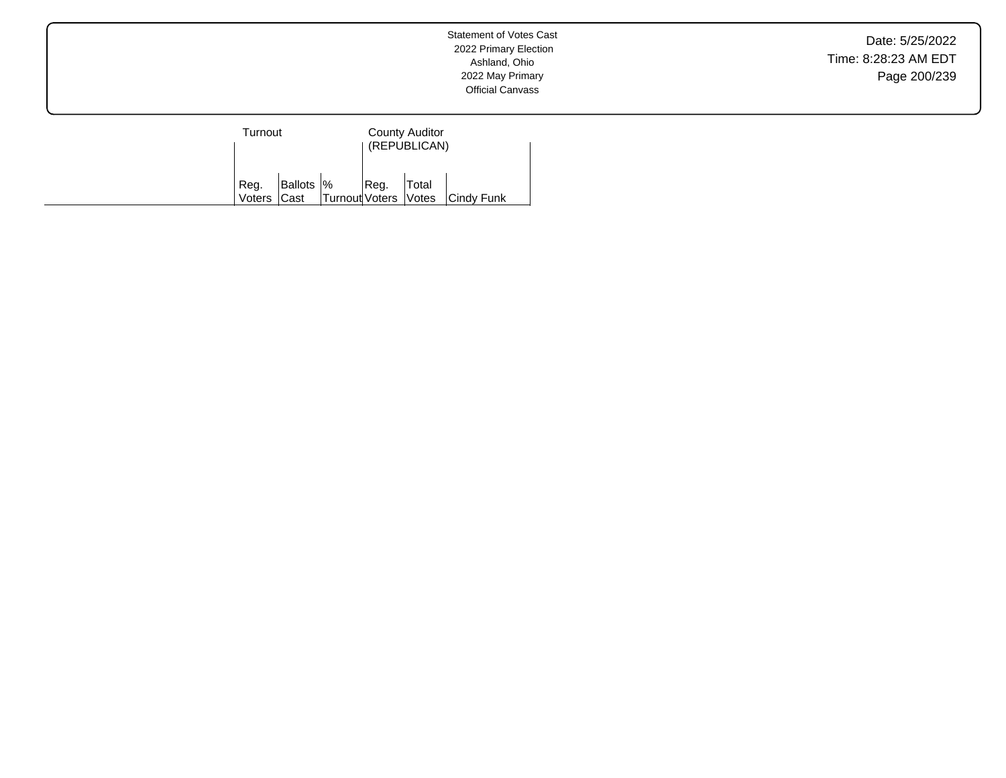Date: 5/25/2022 Time: 8:28:23 AM EDT Page 200/239

| Turnout             |            |                      | <b>County Auditor</b><br>(REPUBLICAN) |       |            |  |
|---------------------|------------|----------------------|---------------------------------------|-------|------------|--|
| Reg.<br>Voters Cast | Ballots  % | Turnout Voters Votes | Reg.                                  | Total | Cindy Funk |  |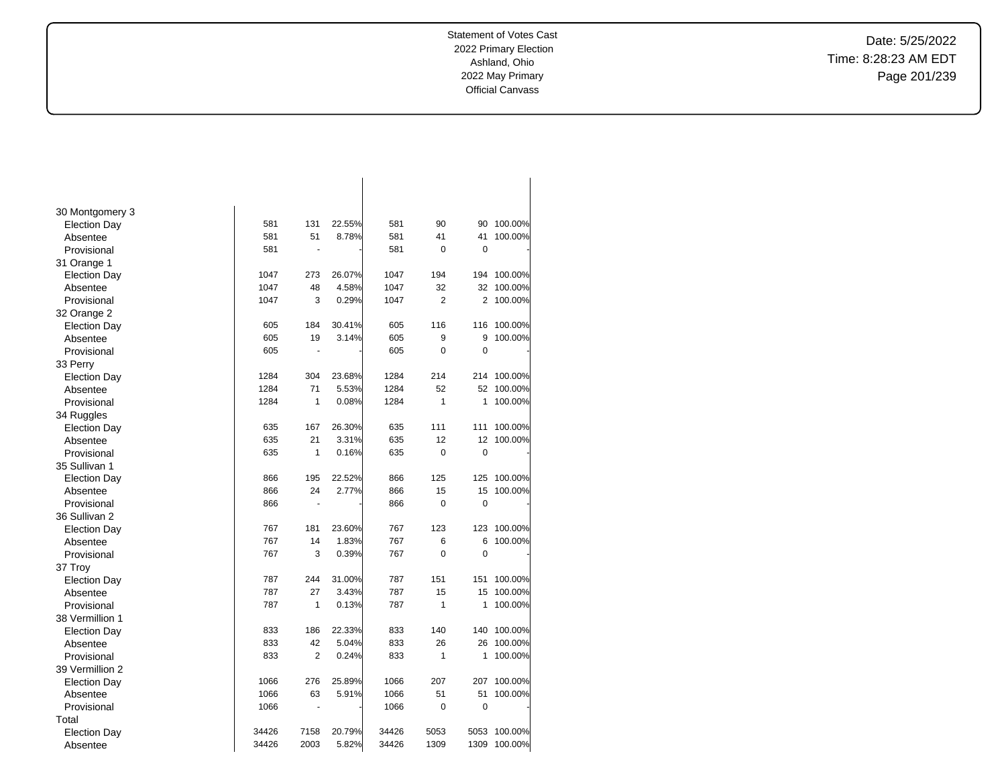Date: 5/25/2022 Time: 8:28:23 AM EDT Page 201/239

| 30 Montgomery 3     |       |                |        |       |                |             |         |
|---------------------|-------|----------------|--------|-------|----------------|-------------|---------|
| <b>Election Day</b> | 581   | 131            | 22.55% | 581   | 90             | 90          | 100.00% |
| Absentee            | 581   | 51             | 8.78%  | 581   | 41             | 41          | 100.00% |
| Provisional         | 581   | ÷.             |        | 581   | $\mathbf 0$    | 0           |         |
| 31 Orange 1         |       |                |        |       |                |             |         |
| <b>Election Day</b> | 1047  | 273            | 26.07% | 1047  | 194            | 194         | 100.00% |
| Absentee            | 1047  | 48             | 4.58%  | 1047  | 32             | 32          | 100.00% |
| Provisional         | 1047  | 3              | 0.29%  | 1047  | $\overline{2}$ | 2           | 100.00% |
| 32 Orange 2         |       |                |        |       |                |             |         |
| <b>Election Day</b> | 605   | 184            | 30.41% | 605   | 116            | 116         | 100.00% |
| Absentee            | 605   | 19             | 3.14%  | 605   | 9              | 9           | 100.00% |
| Provisional         | 605   | ÷.             |        | 605   | 0              | $\mathbf 0$ |         |
| 33 Perry            |       |                |        |       |                |             |         |
| <b>Election Day</b> | 1284  | 304            | 23.68% | 1284  | 214            | 214         | 100.00% |
| Absentee            | 1284  | 71             | 5.53%  | 1284  | 52             | 52          | 100.00% |
| Provisional         | 1284  | 1              | 0.08%  | 1284  | $\mathbf{1}$   | 1           | 100.00% |
| 34 Ruggles          |       |                |        |       |                |             |         |
| <b>Election Day</b> | 635   | 167            | 26.30% | 635   | 111            | 111         | 100.00% |
| Absentee            | 635   | 21             | 3.31%  | 635   | 12             | 12          | 100.00% |
| Provisional         | 635   | $\mathbf{1}$   | 0.16%  | 635   | 0              | 0           |         |
| 35 Sullivan 1       |       |                |        |       |                |             |         |
| <b>Election Day</b> | 866   | 195            | 22.52% | 866   | 125            | 125         | 100.00% |
| Absentee            | 866   | 24             | 2.77%  | 866   | 15             | 15          | 100.00% |
| Provisional         | 866   | ÷,             |        | 866   | $\mathbf 0$    | 0           |         |
| 36 Sullivan 2       |       |                |        |       |                |             |         |
| <b>Election Day</b> | 767   | 181            | 23.60% | 767   | 123            | 123         | 100.00% |
| Absentee            | 767   | 14             | 1.83%  | 767   | 6              | 6           | 100.00% |
| Provisional         | 767   | 3              | 0.39%  | 767   | $\overline{0}$ | 0           |         |
| 37 Troy             |       |                |        |       |                |             |         |
| <b>Election Day</b> | 787   | 244            | 31.00% | 787   | 151            | 151         | 100.00% |
| Absentee            | 787   | 27             | 3.43%  | 787   | 15             | 15          | 100.00% |
| Provisional         | 787   | 1              | 0.13%  | 787   | $\mathbf{1}$   | 1           | 100.00% |
| 38 Vermillion 1     |       |                |        |       |                |             |         |
| <b>Election Day</b> | 833   | 186            | 22.33% | 833   | 140            | 140         | 100.00% |
| Absentee            | 833   | 42             | 5.04%  | 833   | 26             | 26          | 100.00% |
| Provisional         | 833   | $\overline{2}$ | 0.24%  | 833   | 1              | 1           | 100.00% |
| 39 Vermillion 2     |       |                |        |       |                |             |         |
| <b>Election Day</b> | 1066  | 276            | 25.89% | 1066  | 207            | 207         | 100.00% |
| Absentee            | 1066  | 63             | 5.91%  | 1066  | 51             | 51          | 100.00% |
| Provisional         | 1066  | ÷,             |        | 1066  | 0              | 0           |         |
| Total               |       |                |        |       |                |             |         |
| <b>Election Day</b> | 34426 | 7158           | 20.79% | 34426 | 5053           | 5053        | 100.00% |
| Absentee            | 34426 | 2003           | 5.82%  | 34426 | 1309           | 1309        | 100.00% |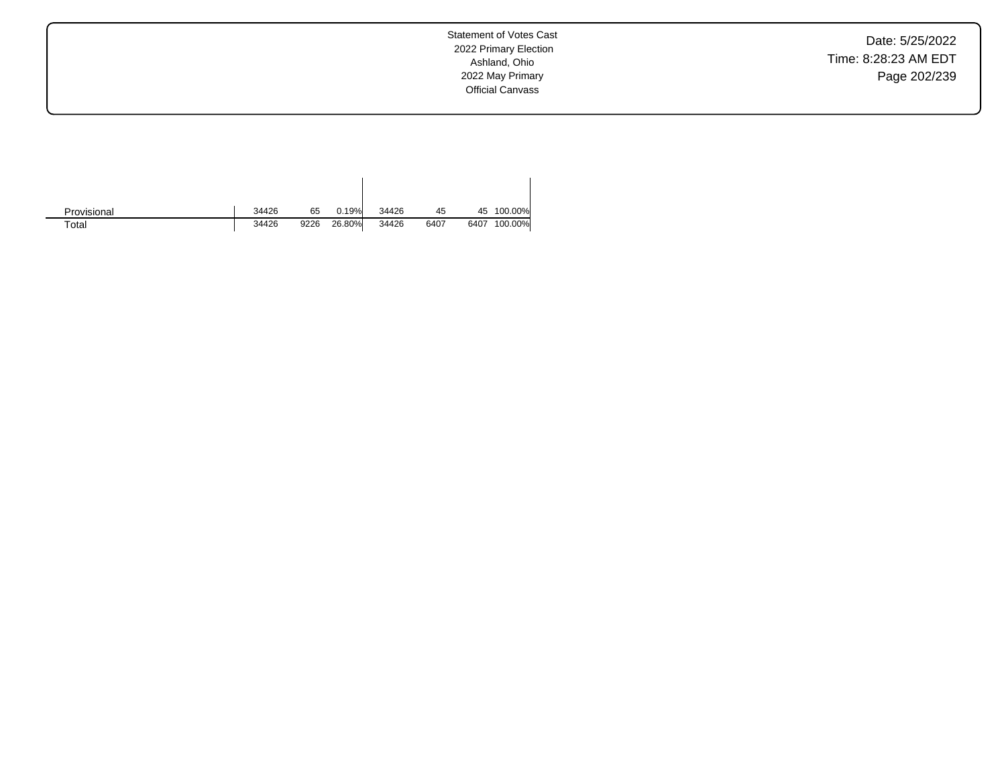Date: 5/25/2022 Time: 8:28:23 AM EDT Page 202/239

Statement of Votes Cast 2022 Primary Election Ashland, Ohio 2022 May Primary Official Canvass

| Provisional | 34426 | 65   | 0.19%  | 34426 | 45   |      | 45 100.00% |
|-------------|-------|------|--------|-------|------|------|------------|
| $\tau$ otal | 34426 | 9226 | 26.80% | 34426 | 6407 | 6407 | 100.00%    |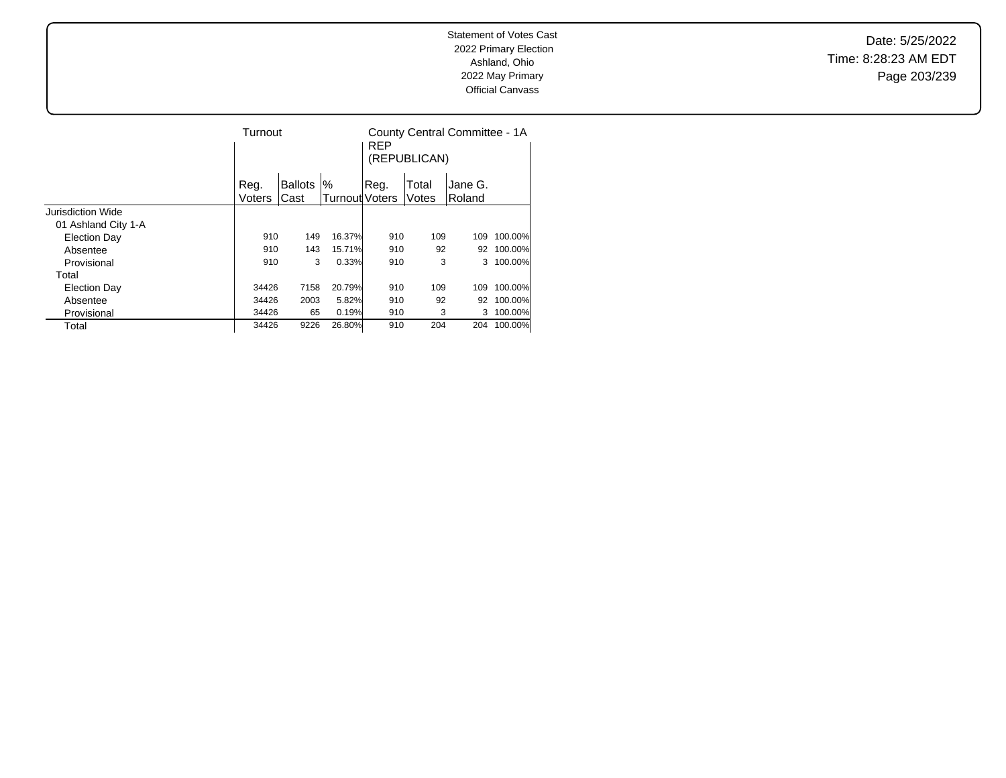Date: 5/25/2022 Time: 8:28:23 AM EDT Page 203/239

|                     | Turnout |                |                | <b>REP</b> | (REPUBLICAN) | County Central Committee - 1A |         |
|---------------------|---------|----------------|----------------|------------|--------------|-------------------------------|---------|
|                     | Reg.    | <b>Ballots</b> | %              | Reg.       | Total        | Jane G.                       |         |
|                     | Voters  | Cast           | Turnout Voters |            | Votes        | Roland                        |         |
| Jurisdiction Wide   |         |                |                |            |              |                               |         |
| 01 Ashland City 1-A |         |                |                |            |              |                               |         |
| <b>Election Day</b> | 910     | 149            | 16.37%         | 910        | 109          | 109                           | 100.00% |
| Absentee            | 910     | 143            | 15.71%         | 910        | 92           | 92                            | 100.00% |
| Provisional         | 910     | 3              | 0.33%          | 910        | 3            | 3                             | 100.00% |
| Total               |         |                |                |            |              |                               |         |
| <b>Election Day</b> | 34426   | 7158           | 20.79%         | 910        | 109          | 109                           | 100.00% |
| Absentee            | 34426   | 2003           | 5.82%          | 910        | 92           | 92                            | 100.00% |
| Provisional         | 34426   | 65             | 0.19%          | 910        | 3            | 3                             | 100.00% |
| Total               | 34426   | 9226           | 26.80%         | 910        | 204          | 204                           | 100.00% |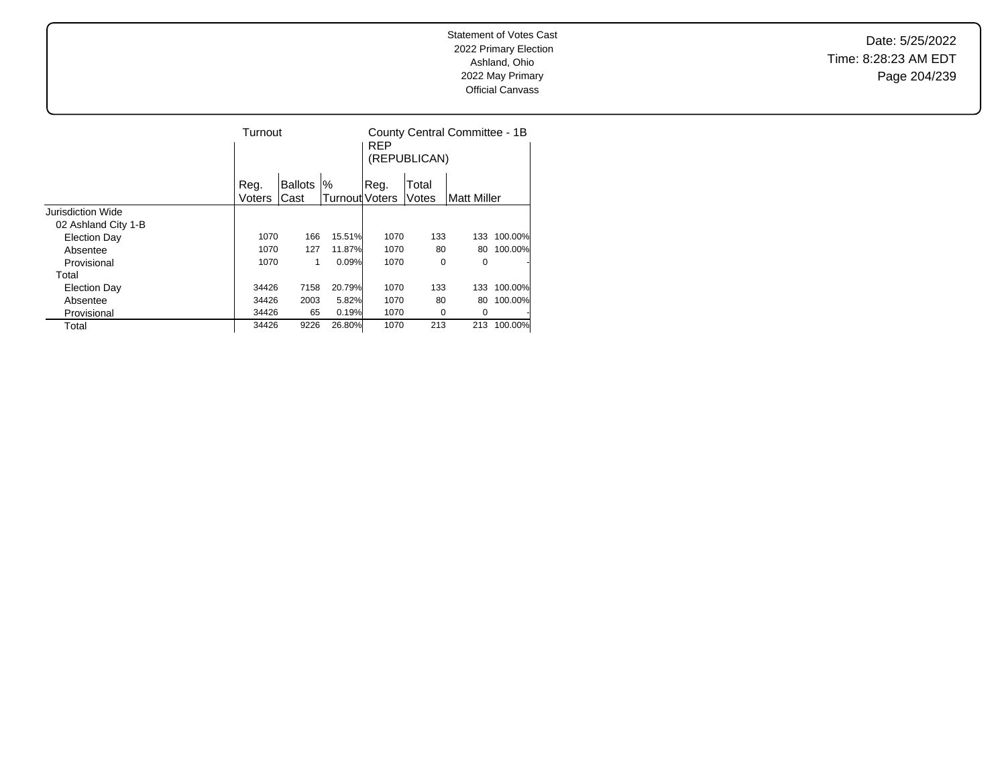Date: 5/25/2022 Time: 8:28:23 AM EDT Page 204/239

|                     | Turnout |                |                | <b>REP</b><br>(REPUBLICAN) | County Central Committee - 1B |              |         |
|---------------------|---------|----------------|----------------|----------------------------|-------------------------------|--------------|---------|
|                     | Reg.    | <b>Ballots</b> | $\%$           | Reg.                       | Total                         |              |         |
|                     | Voters  | Cast           | Turnout Voters |                            | Votes                         | lMatt Miller |         |
| Jurisdiction Wide   |         |                |                |                            |                               |              |         |
| 02 Ashland City 1-B |         |                |                |                            |                               |              |         |
| <b>Election Day</b> | 1070    | 166            | 15.51%         | 1070                       | 133                           | 133          | 100.00% |
| Absentee            | 1070    | 127            | 11.87%         | 1070                       | 80                            | 80           | 100.00% |
| Provisional         | 1070    | 1              | 0.09%          | 1070                       | 0                             | 0            |         |
| Total               |         |                |                |                            |                               |              |         |
| <b>Election Day</b> | 34426   | 7158           | 20.79%         | 1070                       | 133                           | 133          | 100.00% |
| Absentee            | 34426   | 2003           | 5.82%          | 1070                       | 80                            | 80           | 100.00% |
| Provisional         | 34426   | 65             | 0.19%          | 1070                       | 0                             | 0            |         |
| Total               | 34426   | 9226           | 26.80%         | 1070                       | 213                           | 213          | 100.00% |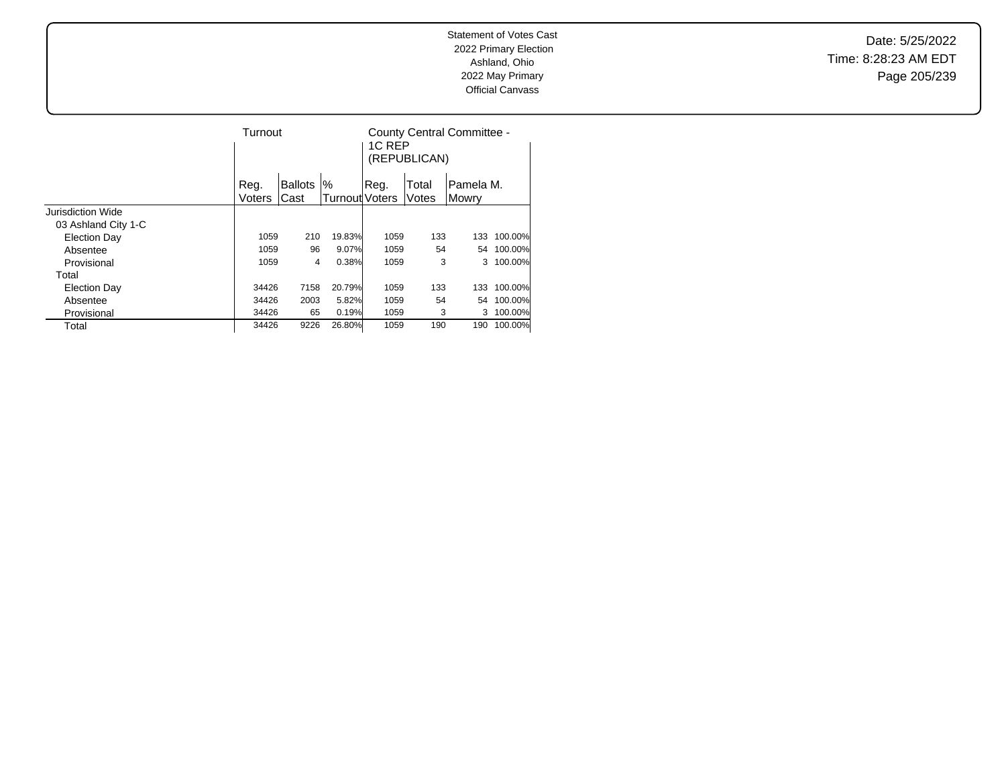Date: 5/25/2022 Time: 8:28:23 AM EDT Page 205/239

|                     |        | Turnout        |                               |      | 1C RFP<br>(REPUBLICAN) | County Central Committee - |         |
|---------------------|--------|----------------|-------------------------------|------|------------------------|----------------------------|---------|
|                     | Reg.   | <b>Ballots</b> | $\%$<br><b>Turnout</b> Voters | Reg. | Total                  | Pamela M.                  |         |
| Jurisdiction Wide   | Voters | Cast           |                               |      | Votes                  | Mowrv                      |         |
|                     |        |                |                               |      |                        |                            |         |
| 03 Ashland City 1-C |        |                |                               |      |                        |                            |         |
| <b>Election Day</b> | 1059   | 210            | 19.83%                        | 1059 | 133                    | 133                        | 100.00% |
| Absentee            | 1059   | 96             | 9.07%                         | 1059 | 54                     | 54                         | 100.00% |
| Provisional         | 1059   | 4              | 0.38%                         | 1059 | 3                      | 3                          | 100.00% |
| Total               |        |                |                               |      |                        |                            |         |
| <b>Election Day</b> | 34426  | 7158           | 20.79%                        | 1059 | 133                    | 133                        | 100.00% |
| Absentee            | 34426  | 2003           | 5.82%                         | 1059 | 54                     | 54                         | 100.00% |
| Provisional         | 34426  | 65             | 0.19%                         | 1059 | 3                      | 3                          | 100.00% |
| Total               | 34426  | 9226           | 26.80%                        | 1059 | 190                    | 190                        | 100.00% |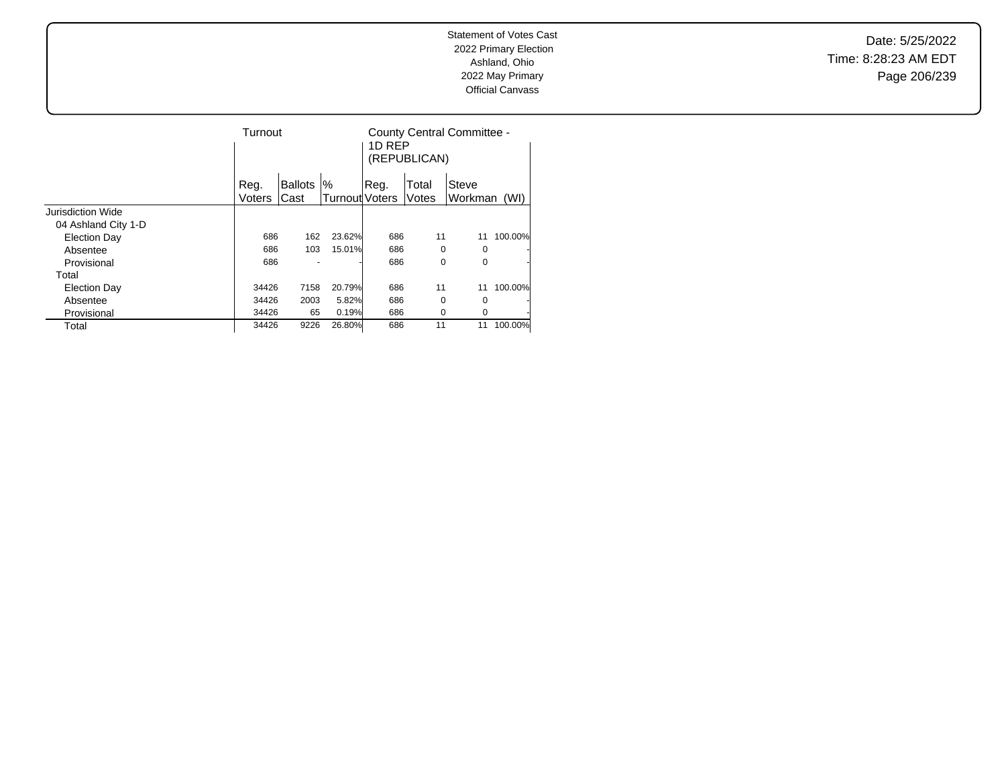Date: 5/25/2022 Time: 8:28:23 AM EDT Page 206/239

|                     | Turnout |         |                       | 1D REP | (REPUBLICAN) | County Central Committee - |         |
|---------------------|---------|---------|-----------------------|--------|--------------|----------------------------|---------|
|                     | Reg.    | Ballots | %                     | Reg.   | Total        | Steve                      |         |
|                     | Voters  | Cast    | <b>Turnout Voters</b> |        | Votes        | Workman                    | (WI)    |
| Jurisdiction Wide   |         |         |                       |        |              |                            |         |
| 04 Ashland City 1-D |         |         |                       |        |              |                            |         |
| <b>Election Day</b> | 686     | 162     | 23.62%                | 686    | 11           | 11                         | 100.00% |
| Absentee            | 686     | 103     | 15.01%                | 686    | $\Omega$     | 0                          |         |
| Provisional         | 686     |         |                       | 686    | 0            | 0                          | ÷       |
| Total               |         |         |                       |        |              |                            |         |
| <b>Election Day</b> | 34426   | 7158    | 20.79%                | 686    | 11           | 11                         | 100.00% |
| Absentee            | 34426   | 2003    | 5.82%                 | 686    | $\Omega$     | 0                          |         |
| Provisional         | 34426   | 65      | 0.19%                 | 686    | 0            | 0                          |         |
| Total               | 34426   | 9226    | 26.80%                | 686    | 11           | 11                         | 100.00% |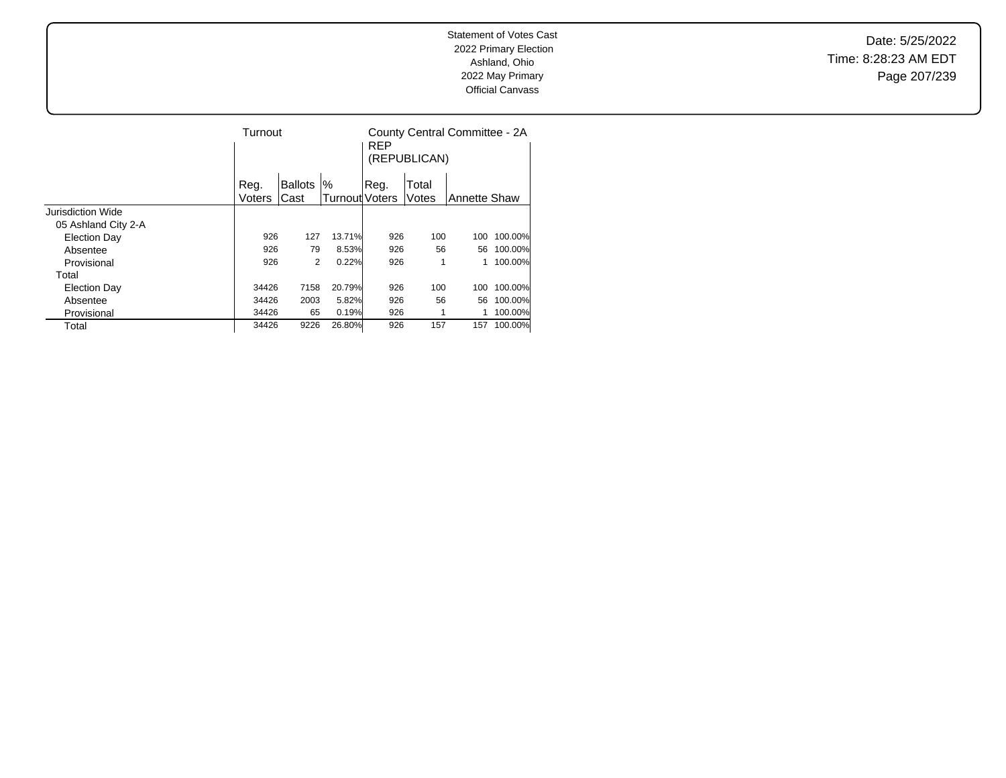Date: 5/25/2022 Time: 8:28:23 AM EDT Page 207/239

|                     |               | Turnout        |                |      | (REPUBLICAN) | County Central Committee - 2A |         |
|---------------------|---------------|----------------|----------------|------|--------------|-------------------------------|---------|
|                     | Reg.          | <b>Ballots</b> | %              | Reg. | Total        |                               |         |
|                     | <b>Voters</b> | Cast           | Turnout Voters |      | Votes        | <b>Annette Shaw</b>           |         |
| Jurisdiction Wide   |               |                |                |      |              |                               |         |
| 05 Ashland City 2-A |               |                |                |      |              |                               |         |
| <b>Election Day</b> | 926           | 127            | 13.71%         | 926  | 100          | 100                           | 100.00% |
| Absentee            | 926           | 79             | 8.53%          | 926  | 56           | 56                            | 100.00% |
| Provisional         | 926           | 2              | 0.22%          | 926  |              |                               | 100.00% |
| Total               |               |                |                |      |              |                               |         |
| <b>Election Day</b> | 34426         | 7158           | 20.79%         | 926  | 100          | 100                           | 100.00% |
| Absentee            | 34426         | 2003           | 5.82%          | 926  | 56           | 56                            | 100.00% |
| Provisional         | 34426         | 65             | 0.19%          | 926  |              |                               | 100.00% |
| Total               | 34426         | 9226           | 26.80%         | 926  | 157          | 157                           | 100.00% |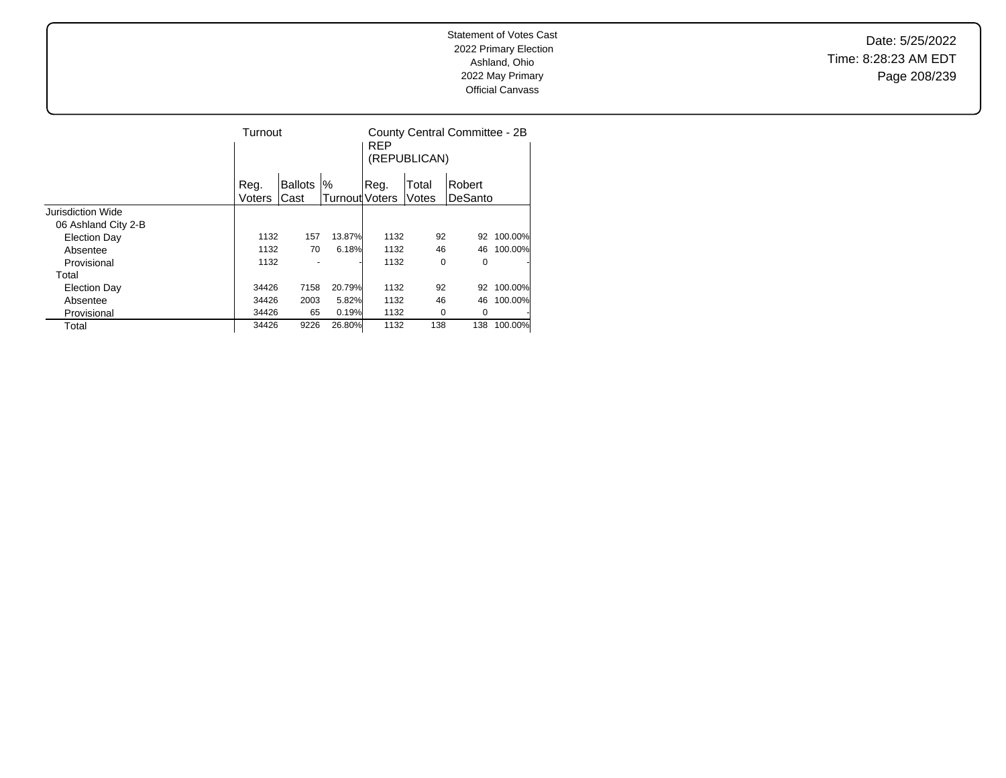Date: 5/25/2022 Time: 8:28:23 AM EDT Page 208/239

|                     |                | Turnout                |                        |      | (REPUBLICAN)   | County Central Committee - 2B |         |
|---------------------|----------------|------------------------|------------------------|------|----------------|-------------------------------|---------|
|                     | Reg.<br>Voters | <b>Ballots</b><br>Cast | $\%$<br>Turnout Voters | Reg. | Total<br>Votes | Robert<br>DeSanto             |         |
| Jurisdiction Wide   |                |                        |                        |      |                |                               |         |
| 06 Ashland City 2-B |                |                        |                        |      |                |                               |         |
| <b>Election Day</b> | 1132           | 157                    | 13.87%                 | 1132 | 92             | 92                            | 100.00% |
| Absentee            | 1132           | 70                     | 6.18%                  | 1132 | 46             | 46                            | 100.00% |
| Provisional         | 1132           |                        |                        | 1132 | 0              | 0                             | ٠       |
| Total               |                |                        |                        |      |                |                               |         |
| <b>Election Day</b> | 34426          | 7158                   | 20.79%                 | 1132 | 92             | 92                            | 100.00% |
| Absentee            | 34426          | 2003                   | 5.82%                  | 1132 | 46             | 46                            | 100.00% |
| Provisional         | 34426          | 65                     | 0.19%                  | 1132 | 0              | 0                             | ٠       |
| Total               | 34426          | 9226                   | 26.80%                 | 1132 | 138            | 138                           | 100.00% |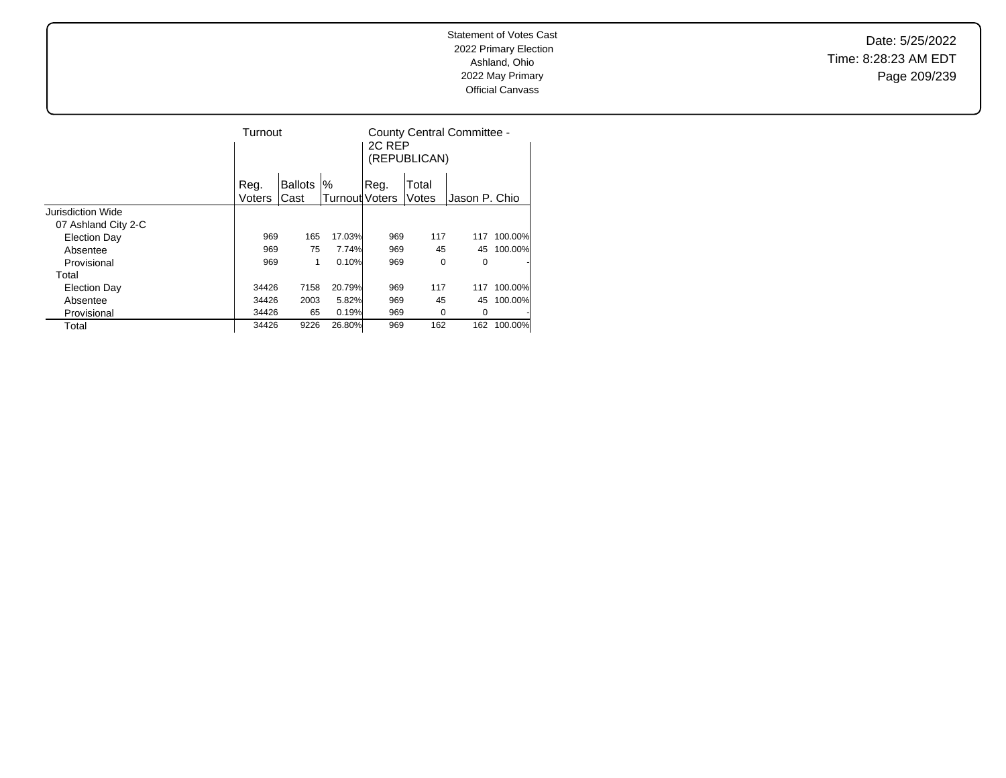Date: 5/25/2022 Time: 8:28:23 AM EDT Page 209/239

|                     | Turnout |                |                       | 2C REP | (REPUBLICAN) | County Central Committee - |         |
|---------------------|---------|----------------|-----------------------|--------|--------------|----------------------------|---------|
|                     | Reg.    | <b>Ballots</b> | %                     | Reg.   | Total        |                            |         |
|                     | Voters  | Cast           | <b>Turnout Voters</b> |        | Votes        | Jason P. Chio              |         |
| Jurisdiction Wide   |         |                |                       |        |              |                            |         |
| 07 Ashland City 2-C |         |                |                       |        |              |                            |         |
| <b>Election Day</b> | 969     | 165            | 17.03%                | 969    | 117          | 117                        | 100.00% |
| Absentee            | 969     | 75             | 7.74%                 | 969    | 45           | 45                         | 100.00% |
| Provisional         | 969     | 1              | 0.10%                 | 969    | 0            | 0                          |         |
| Total               |         |                |                       |        |              |                            |         |
| <b>Election Day</b> | 34426   | 7158           | 20.79%                | 969    | 117          | 117                        | 100.00% |
| Absentee            | 34426   | 2003           | 5.82%                 | 969    | 45           | 45                         | 100.00% |
| Provisional         | 34426   | 65             | 0.19%                 | 969    | 0            | 0                          |         |
| Total               | 34426   | 9226           | 26.80%                | 969    | 162          | 162                        | 100.00% |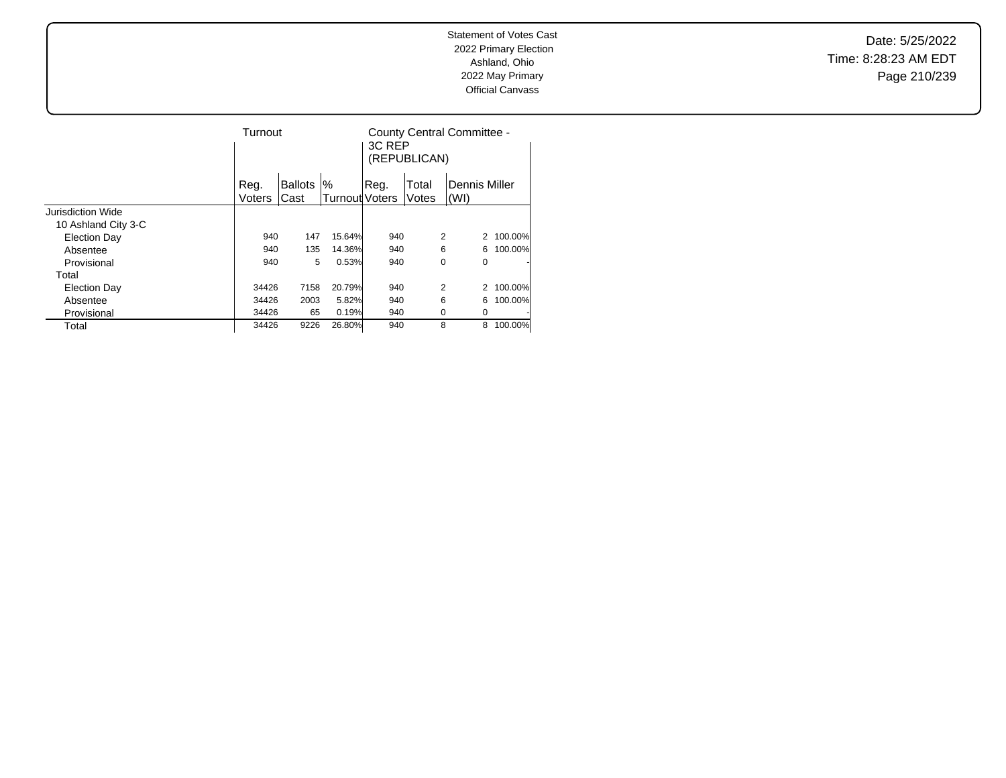Date: 5/25/2022 Time: 8:28:23 AM EDT Page 210/239

|                     | Turnout        |                        |                            | 3C RFP | (REPUBLICAN)   | County Central Committee - |         |
|---------------------|----------------|------------------------|----------------------------|--------|----------------|----------------------------|---------|
|                     | Reg.<br>Voters | <b>Ballots</b><br>Cast | %<br><b>Turnout Voters</b> | Reg.   | Total<br>Votes | Dennis Miller<br>(WI)      |         |
| Jurisdiction Wide   |                |                        |                            |        |                |                            |         |
| 10 Ashland City 3-C |                |                        |                            |        |                |                            |         |
| <b>Election Day</b> | 940            | 147                    | 15.64%                     | 940    |                | 2<br>2                     | 100.00% |
| Absentee            | 940            | 135                    | 14.36%                     | 940    |                | 6<br>6                     | 100.00% |
| Provisional         | 940            | 5                      | 0.53%                      | 940    |                | 0<br>0                     | ٠       |
| Total               |                |                        |                            |        |                |                            |         |
| <b>Election Day</b> | 34426          | 7158                   | 20.79%                     | 940    |                | 2                          | 100.00% |
| Absentee            | 34426          | 2003                   | 5.82%                      | 940    |                | 6<br>6                     | 100.00% |
| Provisional         | 34426          | 65                     | 0.19%                      | 940    |                | 0<br>0                     | ٠       |
| Total               | 34426          | 9226                   | 26.80%                     | 940    |                | 8<br>8                     | 100.00% |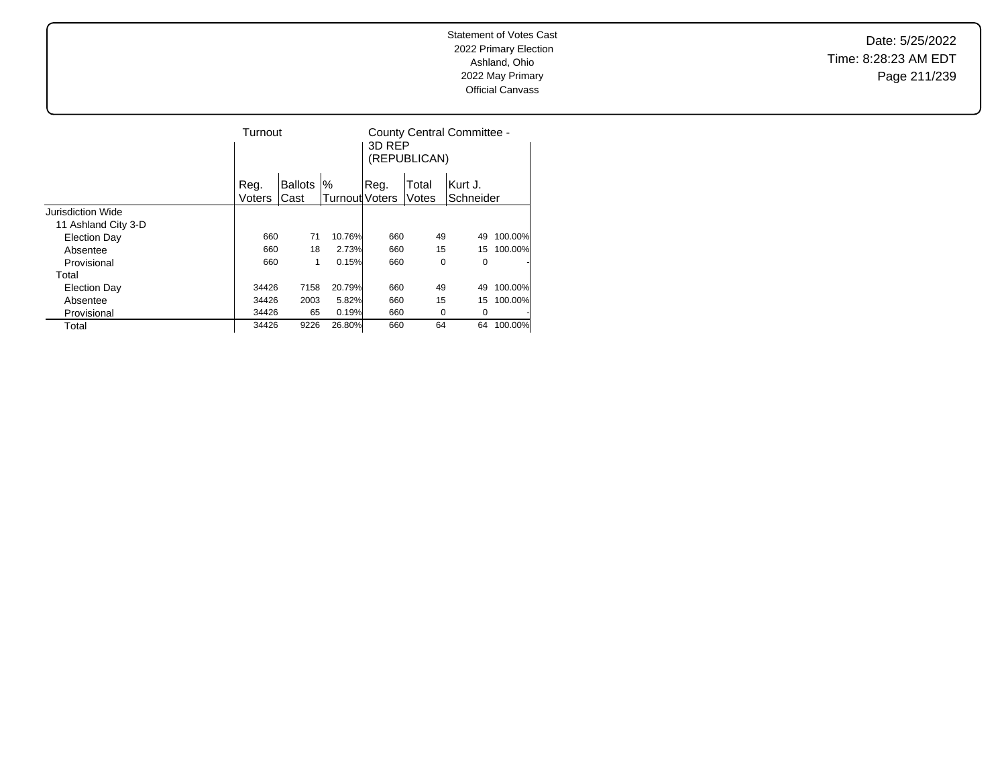Date: 5/25/2022 Time: 8:28:23 AM EDT Page 211/239

|                     | Turnout |                |                       | 3D RFP | (REPUBLICAN) | County Central Committee - |         |
|---------------------|---------|----------------|-----------------------|--------|--------------|----------------------------|---------|
|                     | Reg.    | <b>Ballots</b> | %                     | Reg.   | Total        | lKurt J.                   |         |
|                     | Voters  | Cast           | <b>Turnout Voters</b> |        | Votes        | Schneider                  |         |
| Jurisdiction Wide   |         |                |                       |        |              |                            |         |
| 11 Ashland City 3-D |         |                |                       |        |              |                            |         |
| <b>Election Day</b> | 660     | 71             | 10.76%                | 660    | 49           | 49                         | 100.00% |
| Absentee            | 660     | 18             | 2.73%                 | 660    | 15           | 15                         | 100.00% |
| Provisional         | 660     | 1              | 0.15%                 | 660    | 0            | 0                          | ٠       |
| Total               |         |                |                       |        |              |                            |         |
| <b>Election Day</b> | 34426   | 7158           | 20.79%                | 660    | 49           | 49                         | 100.00% |
| Absentee            | 34426   | 2003           | 5.82%                 | 660    | 15           | 15                         | 100.00% |
| Provisional         | 34426   | 65             | 0.19%                 | 660    | 0            | 0                          | ٠       |
| Total               | 34426   | 9226           | 26.80%                | 660    | 64           | 64                         | 100.00% |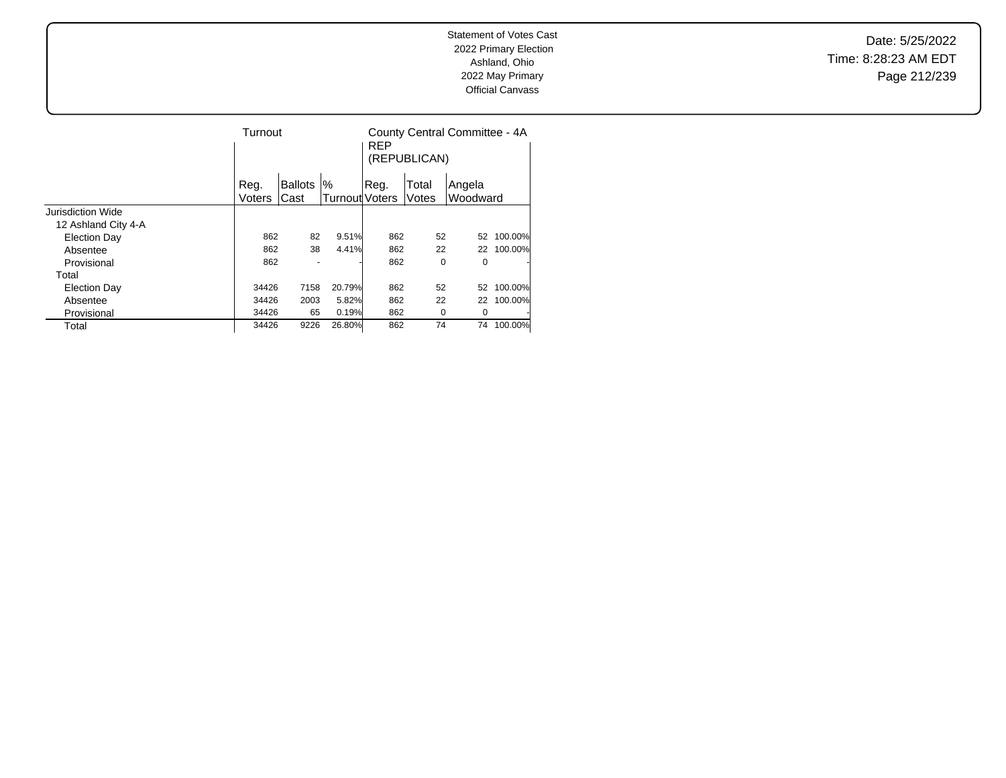Date: 5/25/2022 Time: 8:28:23 AM EDT Page 212/239

|                     | Turnout |                |                       | <b>REP</b> | (REPUBLICAN) | County Central Committee - 4A |         |
|---------------------|---------|----------------|-----------------------|------------|--------------|-------------------------------|---------|
|                     | Reg.    | <b>Ballots</b> | %                     | Reg.       | Total        | Angela                        |         |
|                     | Voters  | Cast           | <b>Turnout Voters</b> |            | Votes        | Woodward                      |         |
| Jurisdiction Wide   |         |                |                       |            |              |                               |         |
| 12 Ashland City 4-A |         |                |                       |            |              |                               |         |
| <b>Election Day</b> | 862     | 82             | 9.51%                 | 862        | 52           | 52                            | 100.00% |
| Absentee            | 862     | 38             | 4.41%                 | 862        | 22           | 22                            | 100.00% |
| Provisional         | 862     |                |                       | 862        | 0            | 0                             |         |
| Total               |         |                |                       |            |              |                               |         |
| <b>Election Day</b> | 34426   | 7158           | 20.79%                | 862        | 52           | 52                            | 100.00% |
| Absentee            | 34426   | 2003           | 5.82%                 | 862        | 22           | 22                            | 100.00% |
| Provisional         | 34426   | 65             | 0.19%                 | 862        | 0            | 0                             |         |
| Total               | 34426   | 9226           | 26.80%                | 862        | 74           | 74                            | 100.00% |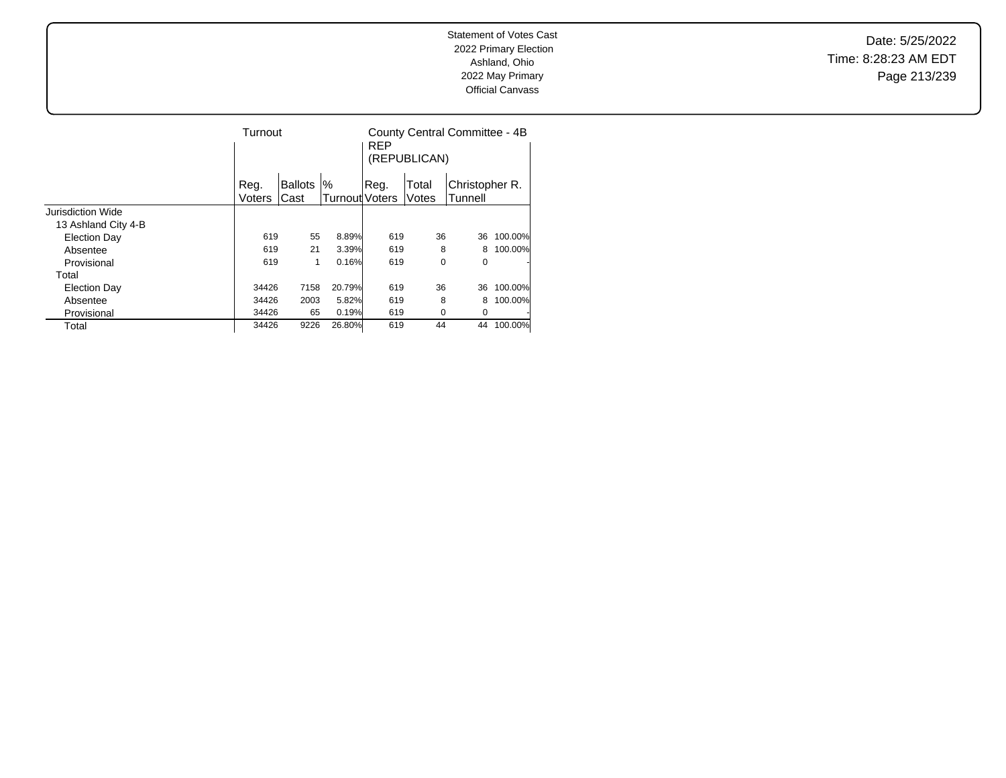Date: 5/25/2022 Time: 8:28:23 AM EDT Page 213/239

|                     | Turnout       |                |                | <b>REP</b> | (REPUBLICAN) | County Central Committee - 4B |         |
|---------------------|---------------|----------------|----------------|------------|--------------|-------------------------------|---------|
|                     | Reg.          | <b>Ballots</b> | %              | Reg.       | Total        | Christopher R.                |         |
|                     | <b>Voters</b> | Cast           | Turnout Voters |            | Votes        | Tunnell                       |         |
| Jurisdiction Wide   |               |                |                |            |              |                               |         |
| 13 Ashland City 4-B |               |                |                |            |              |                               |         |
| <b>Election Day</b> | 619           | 55             | 8.89%          | 619        | 36           | 36                            | 100.00% |
| Absentee            | 619           | 21             | 3.39%          | 619        | 8            | 8                             | 100.00% |
| Provisional         | 619           | 1              | 0.16%          | 619        | 0            | 0                             |         |
| Total               |               |                |                |            |              |                               |         |
| <b>Election Day</b> | 34426         | 7158           | 20.79%         | 619        | 36           | 36                            | 100.00% |
| Absentee            | 34426         | 2003           | 5.82%          | 619        | 8            | 8                             | 100.00% |
| Provisional         | 34426         | 65             | 0.19%          | 619        | 0            | 0                             |         |
| Total               | 34426         | 9226           | 26.80%         | 619        | 44           | 44                            | 100.00% |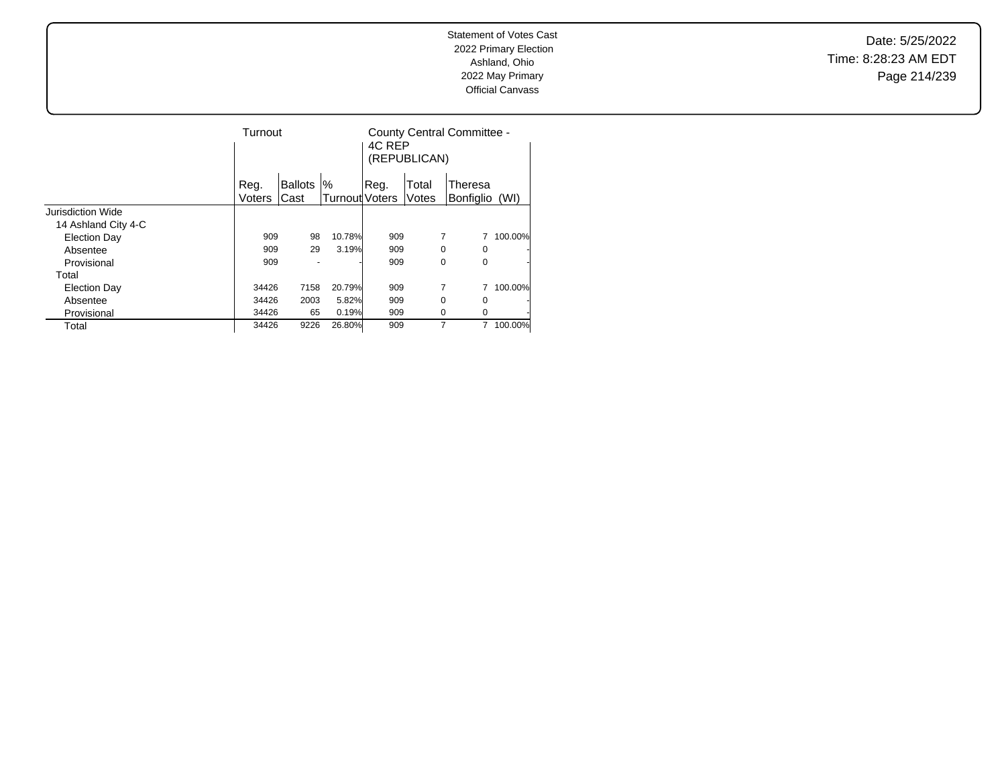Date: 5/25/2022 Time: 8:28:23 AM EDT Page 214/239

|                     | Turnout |                |                       | 4C REP<br>(REPUBLICAN) | County Central Committee - |                |         |
|---------------------|---------|----------------|-----------------------|------------------------|----------------------------|----------------|---------|
|                     | Reg.    | <b>Ballots</b> | '%                    | Reg.                   | Total                      | Theresa        |         |
|                     | Voters  | Cast           | <b>Turnout Voters</b> |                        | Votes                      | Bonfiglio (WI) |         |
| Jurisdiction Wide   |         |                |                       |                        |                            |                |         |
| 14 Ashland City 4-C |         |                |                       |                        |                            |                |         |
| <b>Election Day</b> | 909     | 98             | 10.78%                | 909                    |                            |                | 100.00% |
| Absentee            | 909     | 29             | 3.19%                 | 909                    |                            | 0<br>0         | ۰       |
| Provisional         | 909     |                |                       | 909                    |                            | 0<br>0         | ۰       |
| Total               |         |                |                       |                        |                            |                |         |
| <b>Election Day</b> | 34426   | 7158           | 20.79%                | 909                    |                            | 7              | 100.00% |
| Absentee            | 34426   | 2003           | 5.82%                 | 909                    |                            | 0<br>0         |         |
| Provisional         | 34426   | 65             | 0.19%                 | 909                    |                            | 0<br>0         | ٠       |
| Total               | 34426   | 9226           | 26.80%                | 909                    |                            | 7<br>7         | 100.00% |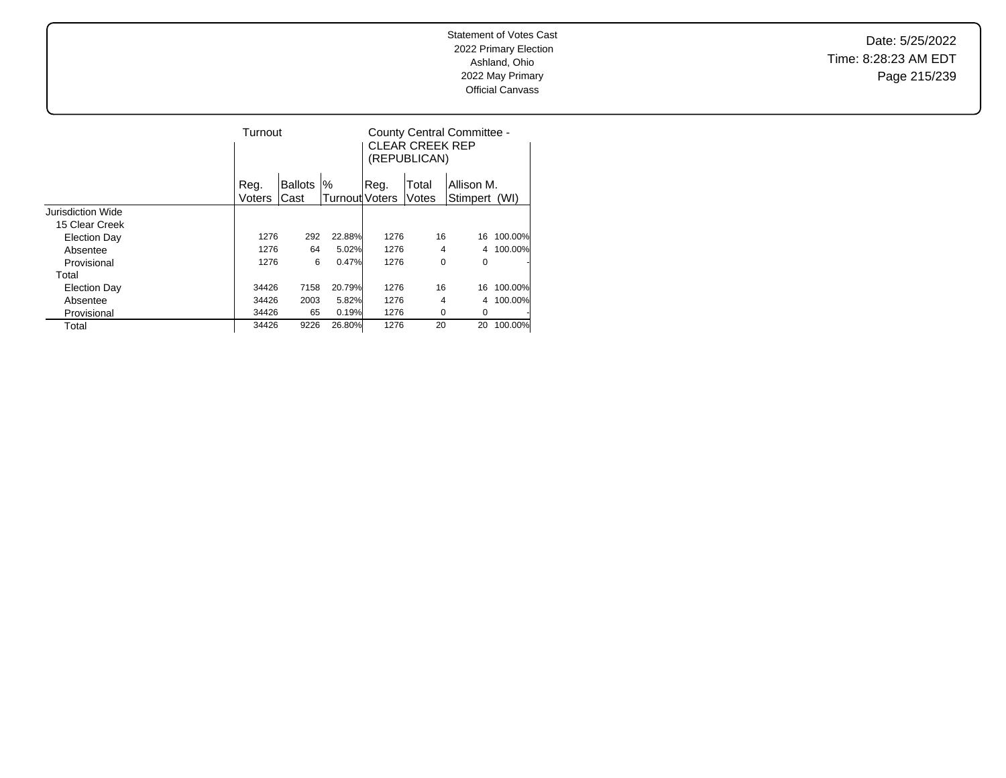Date: 5/25/2022 Time: 8:28:23 AM EDT Page 215/239

|                          |        | Turnout        |                       |       | County Central Committee -<br><b>CLEAR CREEK REP</b><br>(REPUBLICAN) |            |         |
|--------------------------|--------|----------------|-----------------------|-------|----------------------------------------------------------------------|------------|---------|
|                          | Reg.   | <b>Ballots</b> | '%                    | .Reg. | Total                                                                | Allison M. |         |
|                          | Voters | Cast           | <b>Turnout Voters</b> |       | Votes                                                                | Stimpert   | (WI)    |
| <b>Jurisdiction Wide</b> |        |                |                       |       |                                                                      |            |         |
| 15 Clear Creek           |        |                |                       |       |                                                                      |            |         |
| Election Day             | 1276   | 292            | 22.88%                | 1276  | 16                                                                   | 16         | 100.00% |
| Absentee                 | 1276   | 64             | 5.02%                 | 1276  | 4                                                                    | 4          | 100.00% |
| Provisional              | 1276   | 6              | 0.47%                 | 1276  | 0                                                                    | 0          |         |
| Total                    |        |                |                       |       |                                                                      |            |         |
| <b>Election Day</b>      | 34426  | 7158           | 20.79%                | 1276  | 16                                                                   | 16         | 100.00% |
| Absentee                 | 34426  | 2003           | 5.82%                 | 1276  | 4                                                                    | 4          | 100.00% |
| Provisional              | 34426  | 65             | 0.19%                 | 1276  | $\Omega$                                                             | 0          |         |
| Total                    | 34426  | 9226           | 26.80%                | 1276  | 20                                                                   | 20         | 100.00% |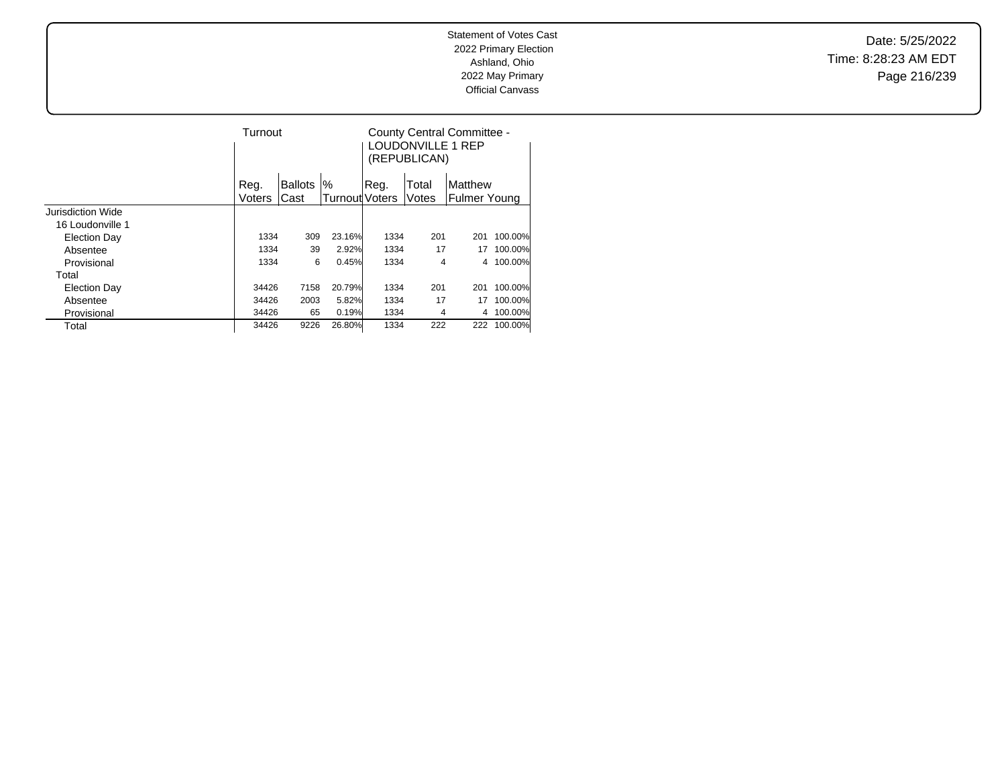Date: 5/25/2022 Time: 8:28:23 AM EDT Page 216/239

|                   |        | Turnout        |                |       | LOUDONVILLE 1 REP<br>(REPUBLICAN) | County Central Committee - |         |
|-------------------|--------|----------------|----------------|-------|-----------------------------------|----------------------------|---------|
|                   | Reg.   | <b>Ballots</b> | $\%$           | .Reg. | Total                             | Matthew                    |         |
|                   | Voters | Cast           | Turnout Voters |       | Votes                             | <b>Fulmer Young</b>        |         |
| Jurisdiction Wide |        |                |                |       |                                   |                            |         |
| 16 Loudonville 1  |        |                |                |       |                                   |                            |         |
| Election Day      | 1334   | 309            | 23.16%         | 1334  | 201                               | 201                        | 100.00% |
| Absentee          | 1334   | 39             | 2.92%          | 1334  | 17                                | 17                         | 100.00% |
| Provisional       | 1334   | 6              | 0.45%          | 1334  | 4                                 | 4                          | 100.00% |
| Total             |        |                |                |       |                                   |                            |         |
| Election Day      | 34426  | 7158           | 20.79%         | 1334  | 201                               | 201                        | 100.00% |
| Absentee          | 34426  | 2003           | 5.82%          | 1334  | 17                                | 17                         | 100.00% |
| Provisional       | 34426  | 65             | 0.19%          | 1334  | 4                                 | 4                          | 100.00% |
| Total             | 34426  | 9226           | 26.80%         | 1334  | 222                               | 222                        | 100.00% |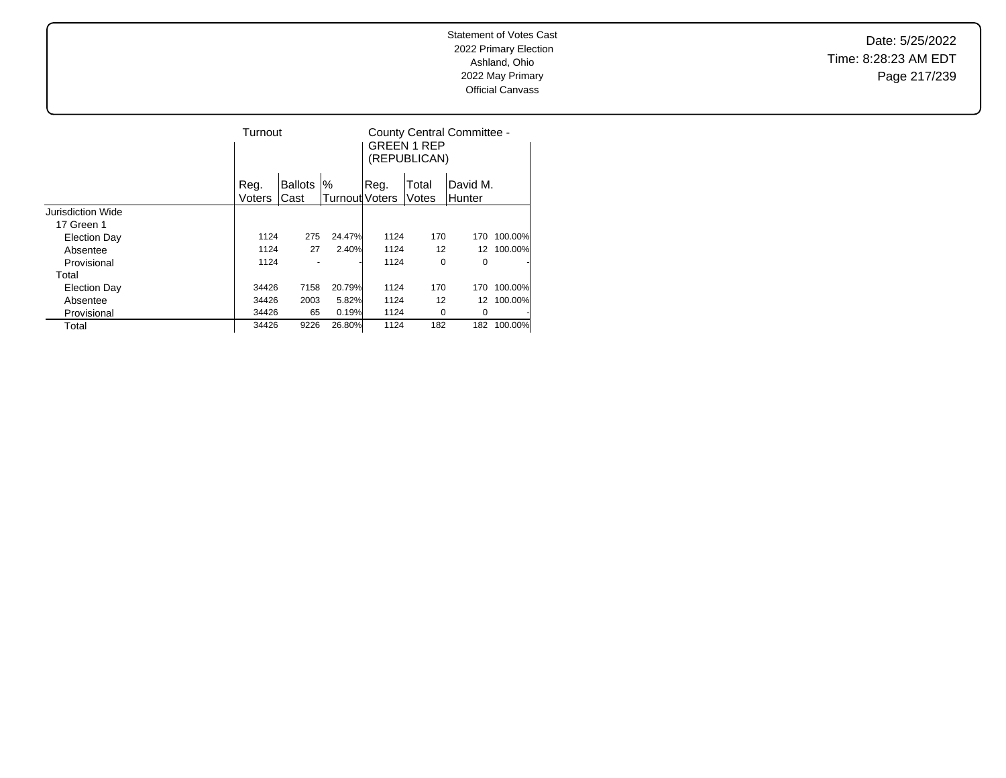Date: 5/25/2022 Time: 8:28:23 AM EDT Page 217/239

|                     |        | Turnout        |                |      | <b>GREEN 1 REP</b><br>(REPUBLICAN) | County Central Committee - |         |
|---------------------|--------|----------------|----------------|------|------------------------------------|----------------------------|---------|
|                     | Reg.   | <b>Ballots</b> | %              | Reg. | Total                              | David M.                   |         |
|                     | Voters | Cast           | Turnout Voters |      | Votes                              | Hunter                     |         |
| Jurisdiction Wide   |        |                |                |      |                                    |                            |         |
| 17 Green 1          |        |                |                |      |                                    |                            |         |
| <b>Election Day</b> | 1124   | 275            | 24.47%         | 1124 | 170                                | 170                        | 100.00% |
| Absentee            |        | 1124<br>27     | 2.40%          | 1124 | 12                                 | 12                         | 100.00% |
| Provisional         |        | 1124           |                | 1124 | 0                                  | 0                          |         |
| Total               |        |                |                |      |                                    |                            |         |
| Election Day        | 34426  | 7158           | 20.79%         | 1124 | 170                                | 170                        | 100.00% |
| Absentee            | 34426  | 2003           | 5.82%          | 1124 | 12                                 | 12                         | 100.00% |
| Provisional         | 34426  | 65             | 0.19%          | 1124 | 0                                  | 0                          |         |
| Total               | 34426  | 9226           | 26.80%         | 1124 | 182                                | 182                        | 100.00% |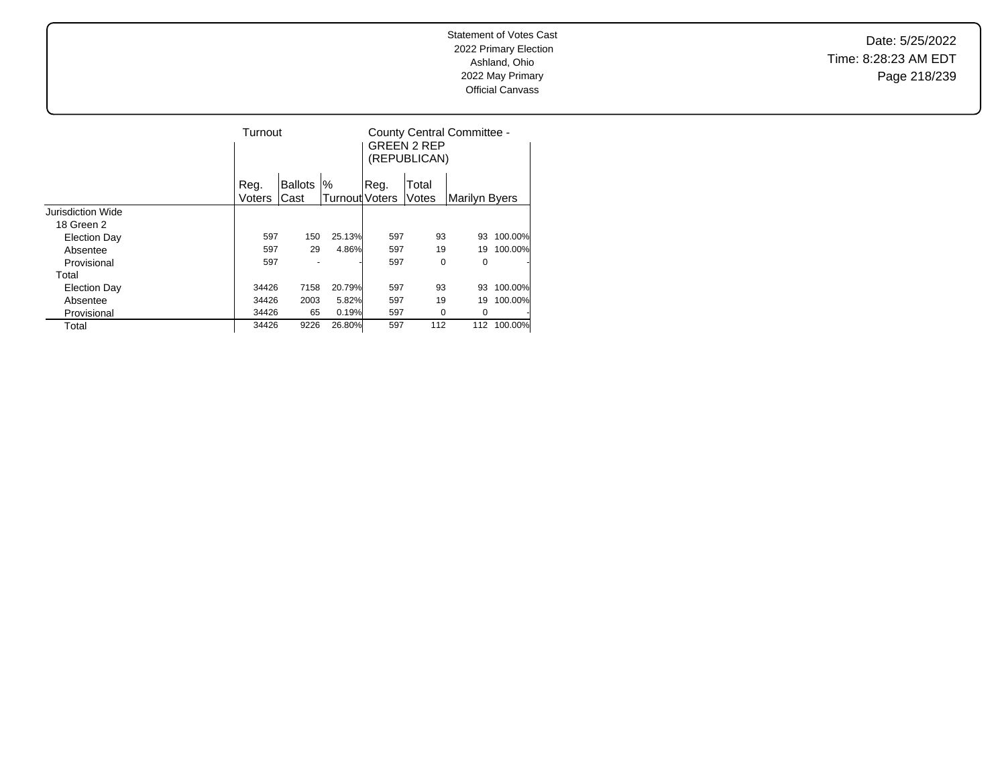Date: 5/25/2022 Time: 8:28:23 AM EDT Page 218/239

|                          |        | Turnout        |                |      | <b>GREEN 2 REP</b><br>(REPUBLICAN) | County Central Committee - |         |
|--------------------------|--------|----------------|----------------|------|------------------------------------|----------------------------|---------|
|                          | Reg.   | <b>Ballots</b> | '%             | Reg. | Total                              |                            |         |
|                          | Voters | Cast           | Turnout Voters |      | Votes                              | Marilyn Byers              |         |
| <b>Jurisdiction Wide</b> |        |                |                |      |                                    |                            |         |
| 18 Green 2               |        |                |                |      |                                    |                            |         |
| Election Day             | 597    | 150            | 25.13%         | 597  | 93                                 | 93                         | 100.00% |
| Absentee                 | 597    | 29             | 4.86%          | 597  | 19                                 | 19                         | 100.00% |
| Provisional              | 597    |                |                | 597  | 0                                  | 0                          |         |
| Total                    |        |                |                |      |                                    |                            |         |
| <b>Election Day</b>      | 34426  | 7158           | 20.79%         | 597  | 93                                 | 93                         | 100.00% |
| Absentee                 | 34426  | 2003           | 5.82%          | 597  | 19                                 | 19                         | 100.00% |
| Provisional              | 34426  | 65             | 0.19%          | 597  | 0                                  | 0                          |         |
| Total                    | 34426  | 9226           | 26.80%         | 597  | 112                                | 112                        | 100.00% |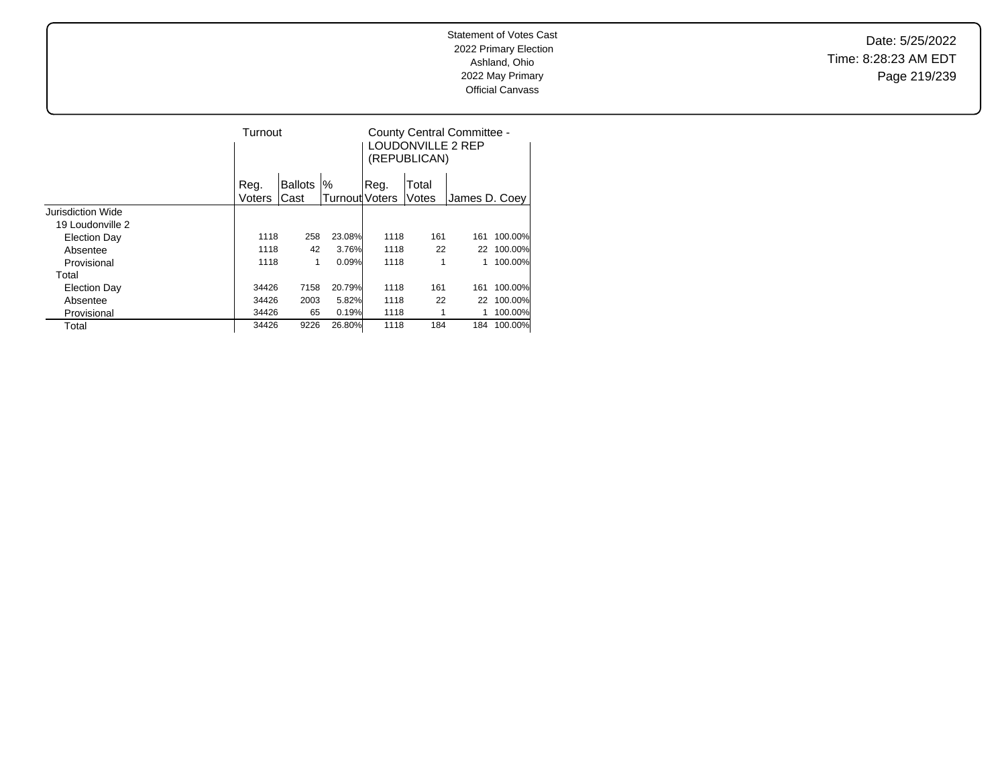Date: 5/25/2022 Time: 8:28:23 AM EDT Page 219/239

|                     |        | Turnout |                |                       | County Central Committee -<br>LOUDONVILLE 2 REP<br>(REPUBLICAN) |       |               |         |
|---------------------|--------|---------|----------------|-----------------------|-----------------------------------------------------------------|-------|---------------|---------|
|                     | Reg.   |         | <b>Ballots</b> | $\%$                  | Reg.                                                            | Total |               |         |
|                     | Voters |         | lCast          | <b>Turnout Voters</b> |                                                                 | Votes | James D. Coey |         |
| Jurisdiction Wide   |        |         |                |                       |                                                                 |       |               |         |
| 19 Loudonville 2    |        |         |                |                       |                                                                 |       |               |         |
| Election Day        |        | 1118    | 258            | 23.08%                | 1118                                                            | 161   | 161           | 100.00% |
| Absentee            |        | 1118    | 42             | 3.76%                 | 1118                                                            | 22    | 22            | 100.00% |
| Provisional         |        | 1118    | 1              | 0.09%                 | 1118                                                            | 1     |               | 100.00% |
| Total               |        |         |                |                       |                                                                 |       |               |         |
| <b>Election Day</b> |        | 34426   | 7158           | 20.79%                | 1118                                                            | 161   | 161           | 100.00% |
| Absentee            |        | 34426   | 2003           | 5.82%                 | 1118                                                            | 22    | 22            | 100.00% |
| Provisional         |        | 34426   | 65             | 0.19%                 | 1118                                                            |       |               | 100.00% |
| Total               |        | 34426   | 9226           | 26.80%                | 1118                                                            | 184   | 184           | 100.00% |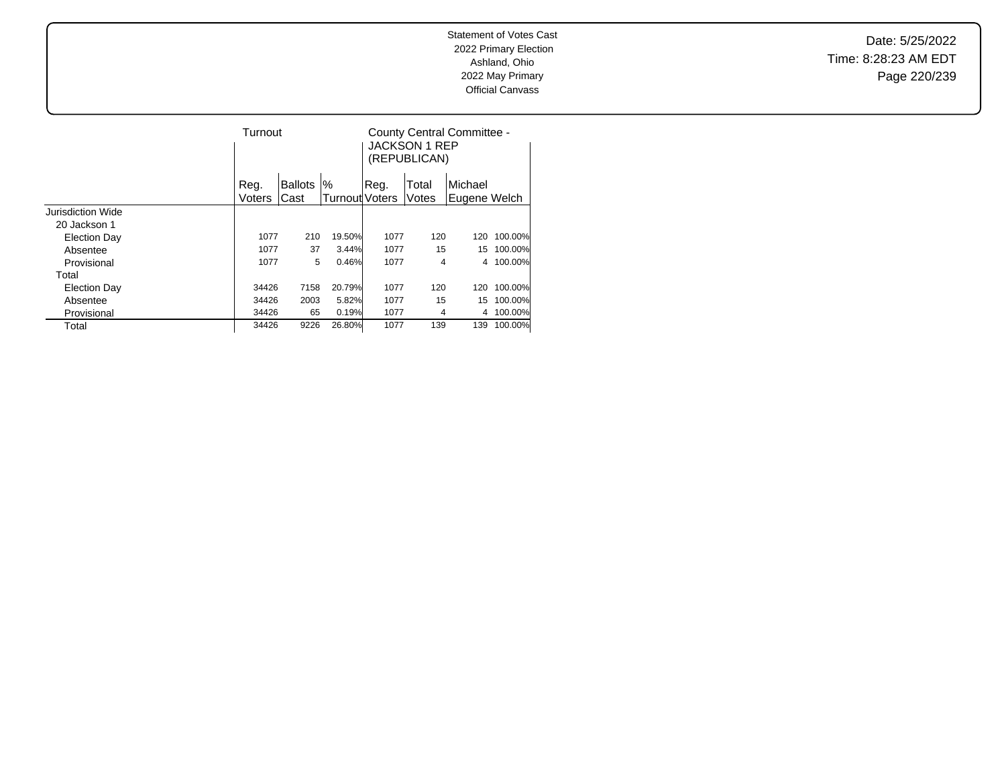Date: 5/25/2022 Time: 8:28:23 AM EDT Page 220/239

|                     |        | Turnout        |                |       | <b>JACKSON 1 REP</b><br>(REPUBLICAN) | County Central Committee - |         |
|---------------------|--------|----------------|----------------|-------|--------------------------------------|----------------------------|---------|
|                     | Reg.   | <b>Ballots</b> | %              | .Reg. | Total                                | Michael                    |         |
|                     | Voters | Cast           | Turnout Voters |       | Votes                                | Eugene Welch               |         |
| Jurisdiction Wide   |        |                |                |       |                                      |                            |         |
| 20 Jackson 1        |        |                |                |       |                                      |                            |         |
| Election Day        | 1077   | 210            | 19.50%         | 1077  | 120                                  | 120                        | 100.00% |
| Absentee            | 1077   | 37             | 3.44%          | 1077  | 15                                   | 15                         | 100.00% |
| Provisional         | 1077   | 5              | 0.46%          | 1077  | 4                                    | 4                          | 100.00% |
| Total               |        |                |                |       |                                      |                            |         |
| <b>Election Day</b> | 34426  | 7158           | 20.79%         | 1077  | 120                                  | 120                        | 100.00% |
| Absentee            | 34426  | 2003           | 5.82%          | 1077  | 15                                   | 15                         | 100.00% |
| Provisional         | 34426  | 65             | 0.19%          | 1077  | 4                                    | 4                          | 100.00% |
| Total               | 34426  | 9226           | 26.80%         | 1077  | 139                                  | 139                        | 100.00% |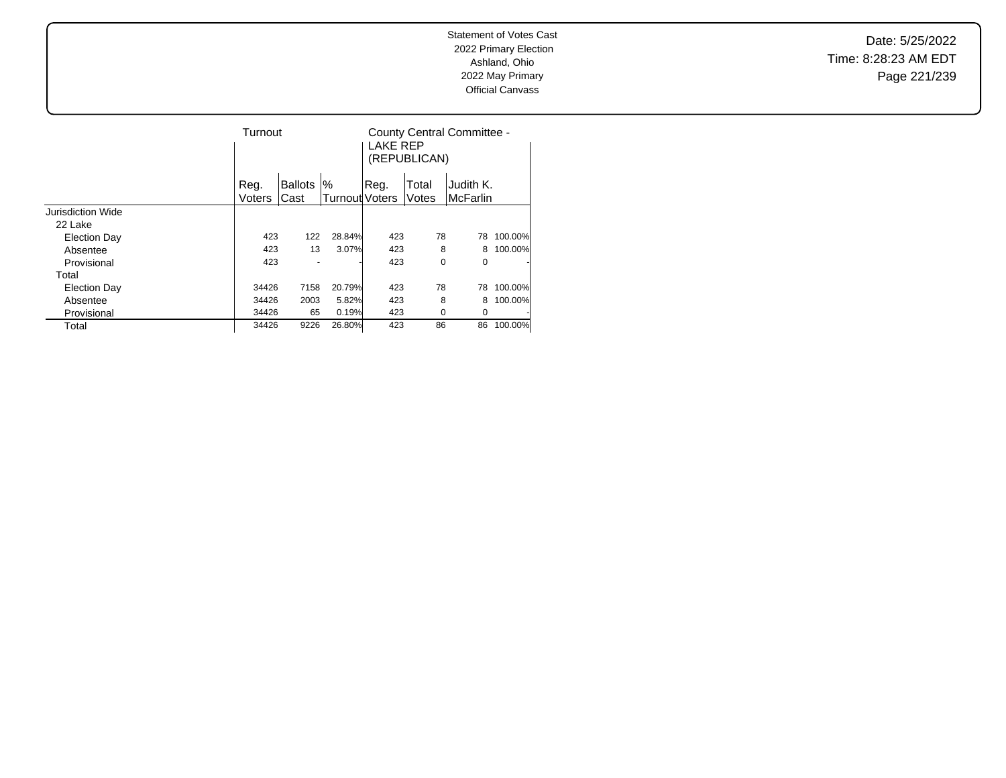Date: 5/25/2022 Time: 8:28:23 AM EDT Page 221/239

|                     |                | Turnout                |                               |      | <b>LAKE REP</b><br>(REPUBLICAN) | County Central Committee -   |         |
|---------------------|----------------|------------------------|-------------------------------|------|---------------------------------|------------------------------|---------|
|                     | Reg.<br>Voters | <b>Ballots</b><br>Cast | $\%$<br><b>Turnout</b> Voters | Reg. | Total<br>Votes                  | Judith K.<br><b>McFarlin</b> |         |
| Jurisdiction Wide   |                |                        |                               |      |                                 |                              |         |
| 22 Lake             |                |                        |                               |      |                                 |                              |         |
| <b>Election Day</b> | 423            | 122                    | 28.84%                        | 423  | 78                              | 78                           | 100.00% |
| Absentee            | 423            | 13                     | 3.07%                         | 423  | 8                               | 8                            | 100.00% |
| Provisional         | 423            |                        |                               | 423  | 0                               | 0                            | ٠       |
| Total               |                |                        |                               |      |                                 |                              |         |
| <b>Election Day</b> | 34426          | 7158                   | 20.79%                        | 423  | 78                              | 78                           | 100.00% |
| Absentee            | 34426          | 2003                   | 5.82%                         | 423  | 8                               | 8                            | 100.00% |
| Provisional         | 34426          | 65                     | 0.19%                         | 423  | 0                               | 0                            | ٠       |
| Total               | 34426          | 9226                   | 26.80%                        | 423  | 86                              | 86                           | 100.00% |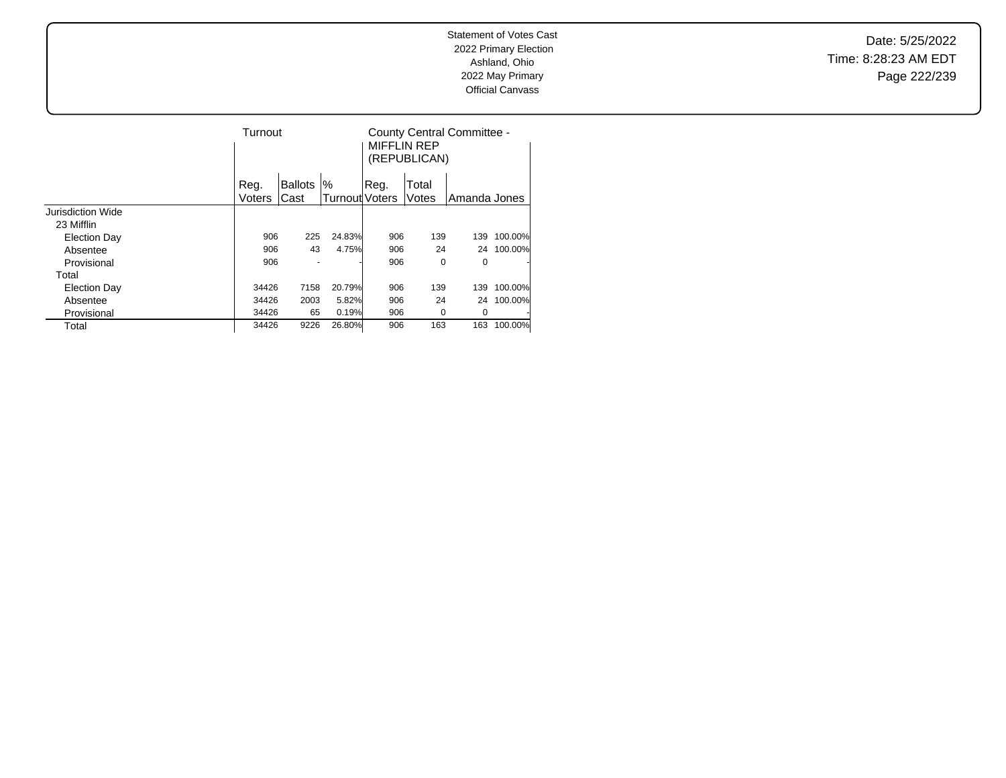Date: 5/25/2022 Time: 8:28:23 AM EDT Page 222/239

|                     |        | Turnout        |                |      | <b>MIFFLIN REP</b><br>(REPUBLICAN) | County Central Committee - |         |
|---------------------|--------|----------------|----------------|------|------------------------------------|----------------------------|---------|
|                     | Reg.   | <b>Ballots</b> | %              | Reg. | Total                              |                            |         |
|                     | Voters | Cast           | Turnout Voters |      | Votes                              | Amanda Jones               |         |
| Jurisdiction Wide   |        |                |                |      |                                    |                            |         |
| 23 Mifflin          |        |                |                |      |                                    |                            |         |
| <b>Election Day</b> | 906    | 225            | 24.83%         | 906  | 139                                | 139                        | 100.00% |
| Absentee            | 906    | 43             | 4.75%          | 906  | 24                                 | 24                         | 100.00% |
| Provisional         | 906    |                |                | 906  | 0                                  | 0                          |         |
| Total               |        |                |                |      |                                    |                            |         |
| <b>Election Day</b> | 34426  | 7158           | 20.79%         | 906  | 139                                | 139                        | 100.00% |
| Absentee            | 34426  | 2003           | 5.82%          | 906  | 24                                 | 24                         | 100.00% |
| Provisional         | 34426  | 65             | 0.19%          | 906  | 0                                  | 0                          |         |
| Total               | 34426  | 9226           | 26.80%         | 906  | 163                                | 163                        | 100.00% |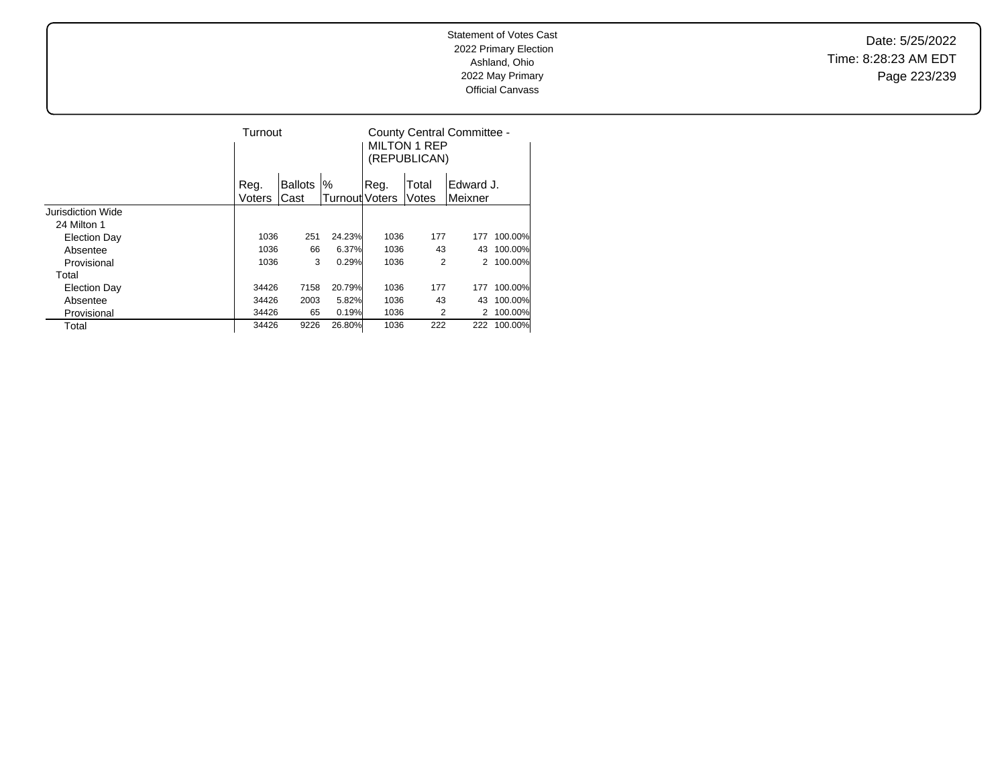Date: 5/25/2022 Time: 8:28:23 AM EDT Page 223/239

|                     |        | Turnout        |                |      | <b>MILTON 1 REP</b><br>(REPUBLICAN) | County Central Committee - |         |
|---------------------|--------|----------------|----------------|------|-------------------------------------|----------------------------|---------|
|                     | Reg.   | <b>Ballots</b> | $\%$           | Reg. | Total                               | Edward J.                  |         |
|                     | Voters | Cast           | Turnout Voters |      | Votes                               | Meixner                    |         |
| Jurisdiction Wide   |        |                |                |      |                                     |                            |         |
| 24 Milton 1         |        |                |                |      |                                     |                            |         |
| <b>Election Day</b> | 1036   | 251            | 24.23%         | 1036 | 177                                 | 177                        | 100.00% |
| Absentee            | 1036   | 66             | 6.37%          | 1036 | 43                                  | 43                         | 100.00% |
| Provisional         | 1036   | 3              | 0.29%          | 1036 | 2                                   | 2                          | 100.00% |
| Total               |        |                |                |      |                                     |                            |         |
| <b>Election Day</b> | 34426  | 7158           | 20.79%         | 1036 | 177                                 | 177                        | 100.00% |
| Absentee            | 34426  | 2003           | 5.82%          | 1036 | 43                                  | 43                         | 100.00% |
| Provisional         | 34426  | 65             | 0.19%          | 1036 | 2                                   |                            | 100.00% |
| Total               | 34426  | 9226           | 26.80%         | 1036 | 222                                 | 222                        | 100.00% |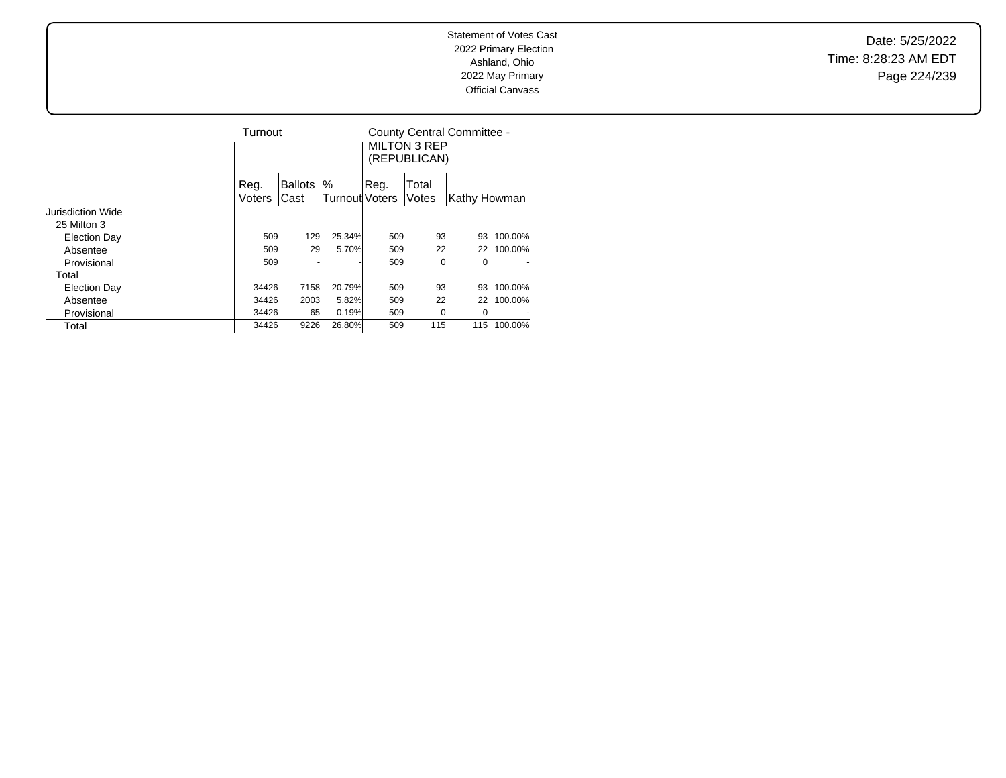Date: 5/25/2022 Time: 8:28:23 AM EDT Page 224/239

|                   | Turnout |                |                       |      | <b>MILTON 3 REP</b><br>(REPUBLICAN) | County Central Committee - |         |
|-------------------|---------|----------------|-----------------------|------|-------------------------------------|----------------------------|---------|
|                   | Reg.    | <b>Ballots</b> | '%                    | Reg. | Total                               |                            |         |
|                   | Voters  | Cast           | <b>Turnout</b> Voters |      | Votes                               | Kathy Howman               |         |
| Jurisdiction Wide |         |                |                       |      |                                     |                            |         |
| 25 Milton 3       |         |                |                       |      |                                     |                            |         |
| Election Day      | 509     | 129            | 25.34%                | 509  | 93                                  | 93                         | 100.00% |
| Absentee          | 509     | 29             | 5.70%                 | 509  | 22                                  | 22                         | 100.00% |
| Provisional       | 509     |                |                       | 509  | 0                                   | 0                          |         |
| Total             |         |                |                       |      |                                     |                            |         |
| Election Day      | 34426   | 7158           | 20.79%                | 509  | 93                                  | 93                         | 100.00% |
| Absentee          | 34426   | 2003           | 5.82%                 | 509  | 22                                  | 22                         | 100.00% |
| Provisional       | 34426   | 65             | 0.19%                 | 509  | 0                                   | 0                          |         |
| Total             | 34426   | 9226           | 26.80%                | 509  | 115                                 | 115                        | 100.00% |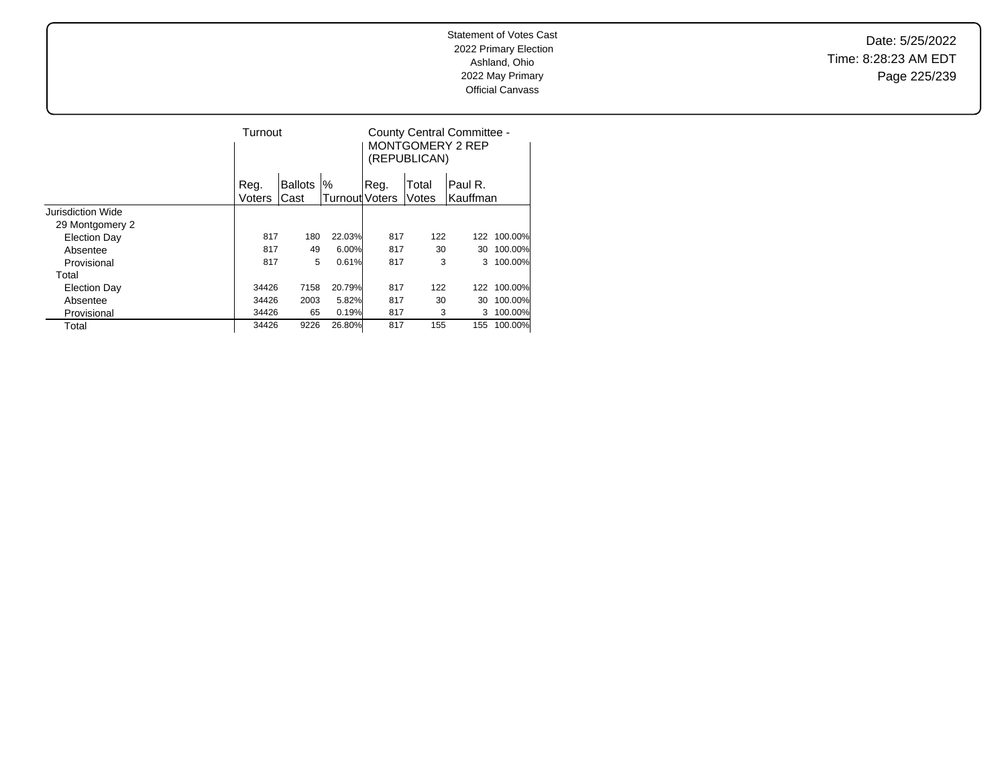Date: 5/25/2022 Time: 8:28:23 AM EDT Page 225/239

|                     | Turnout |                |                |      | (REPUBLICAN) | County Central Committee -<br><b>MONTGOMERY 2 REP</b> |         |
|---------------------|---------|----------------|----------------|------|--------------|-------------------------------------------------------|---------|
|                     | Reg.    | <b>Ballots</b> | $\%$           | Reg. | Total        | Paul R.                                               |         |
|                     | Voters  | Cast           | Turnout Voters |      | Votes        | lKauffman                                             |         |
| Jurisdiction Wide   |         |                |                |      |              |                                                       |         |
| 29 Montgomery 2     |         |                |                |      |              |                                                       |         |
| <b>Election Day</b> | 817     | 180            | 22.03%         | 817  | 122          | 122                                                   | 100.00% |
| Absentee            | 817     | 49             | 6.00%          | 817  | 30           | 30                                                    | 100.00% |
| Provisional         | 817     | 5              | 0.61%          | 817  | 3            | 3                                                     | 100.00% |
| Total               |         |                |                |      |              |                                                       |         |
| <b>Election Day</b> | 34426   | 7158           | 20.79%         | 817  | 122          | 122                                                   | 100.00% |
| Absentee            | 34426   | 2003           | 5.82%          | 817  | 30           | 30                                                    | 100.00% |
| Provisional         | 34426   | 65             | 0.19%          | 817  | 3            | 3                                                     | 100.00% |
| Total               | 34426   | 9226           | 26.80%         | 817  | 155          | 155                                                   | 100.00% |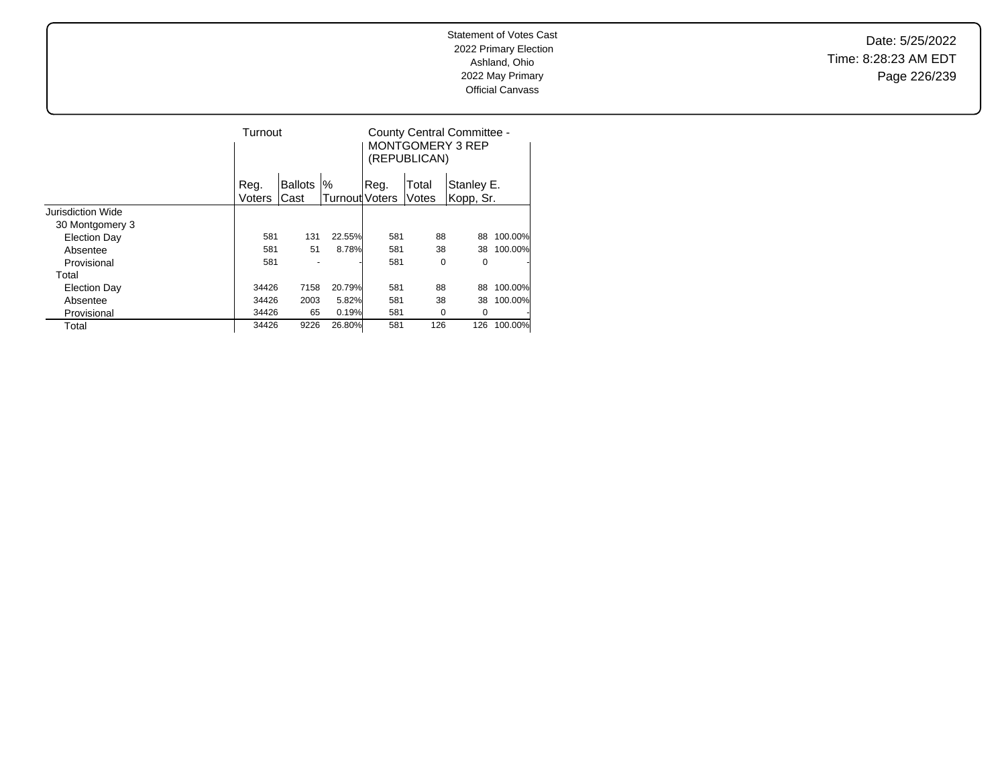Date: 5/25/2022 Time: 8:28:23 AM EDT Page 226/239

|                     |                | Turnout                |                         |      | (REPUBLICAN)   | County Central Committee -<br>MONTGOMERY 3 REP |         |
|---------------------|----------------|------------------------|-------------------------|------|----------------|------------------------------------------------|---------|
|                     | Reg.<br>Voters | <b>Ballots</b><br>Cast | $\%$<br> Turnout Voters | Reg. | Total<br>Votes | Stanley E.<br>Kopp, Sr.                        |         |
| Jurisdiction Wide   |                |                        |                         |      |                |                                                |         |
| 30 Montgomery 3     |                |                        |                         |      |                |                                                |         |
| <b>Election Day</b> | 581            | 131                    | 22.55%                  | 581  | 88             | 88                                             | 100.00% |
| Absentee            | 581            | 51                     | 8.78%                   | 581  | 38             | 38                                             | 100.00% |
| Provisional         | 581            |                        |                         | 581  | 0              | 0                                              | ٠       |
| Total               |                |                        |                         |      |                |                                                |         |
| <b>Election Day</b> | 34426          | 7158                   | 20.79%                  | 581  | 88             | 88                                             | 100.00% |
| Absentee            | 34426          | 2003                   | 5.82%                   | 581  | 38             | 38                                             | 100.00% |
| Provisional         | 34426          | 65                     | 0.19%                   | 581  | 0              | 0                                              |         |
| Total               | 34426          | 9226                   | 26.80%                  | 581  | 126            | 126                                            | 100.00% |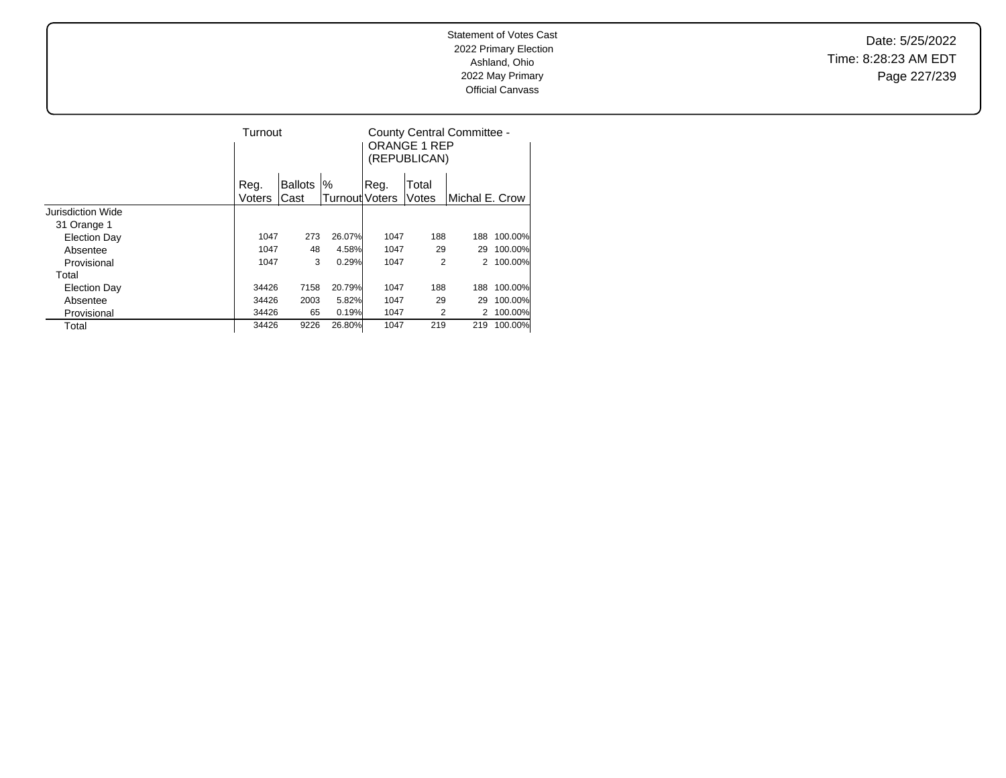Date: 5/25/2022 Time: 8:28:23 AM EDT Page 227/239

|                     | Turnout |                |                       |       | <b>ORANGE 1 REP</b><br>(REPUBLICAN) | County Central Committee - |         |
|---------------------|---------|----------------|-----------------------|-------|-------------------------------------|----------------------------|---------|
|                     | Reg.    | <b>Ballots</b> | $\%$                  | .Reg. | Total                               |                            |         |
|                     | Voters  | Cast           | <b>Turnout Voters</b> |       | Votes                               | Michal E. Crow             |         |
| Jurisdiction Wide   |         |                |                       |       |                                     |                            |         |
| 31 Orange 1         |         |                |                       |       |                                     |                            |         |
| <b>Election Day</b> | 1047    | 273            | 26.07%                | 1047  | 188                                 | 188                        | 100.00% |
| Absentee            | 1047    | 48             | 4.58%                 | 1047  | 29                                  | 29                         | 100.00% |
| Provisional         | 1047    | 3              | 0.29%                 | 1047  | 2                                   | 2                          | 100.00% |
| Total               |         |                |                       |       |                                     |                            |         |
| Election Day        | 34426   | 7158           | 20.79%                | 1047  | 188                                 | 188                        | 100.00% |
| Absentee            | 34426   | 2003           | 5.82%                 | 1047  | 29                                  | 29                         | 100.00% |
| Provisional         | 34426   | 65             | 0.19%                 | 1047  | 2                                   |                            | 100.00% |
| Total               | 34426   | 9226           | 26.80%                | 1047  | 219                                 | 219                        | 100.00% |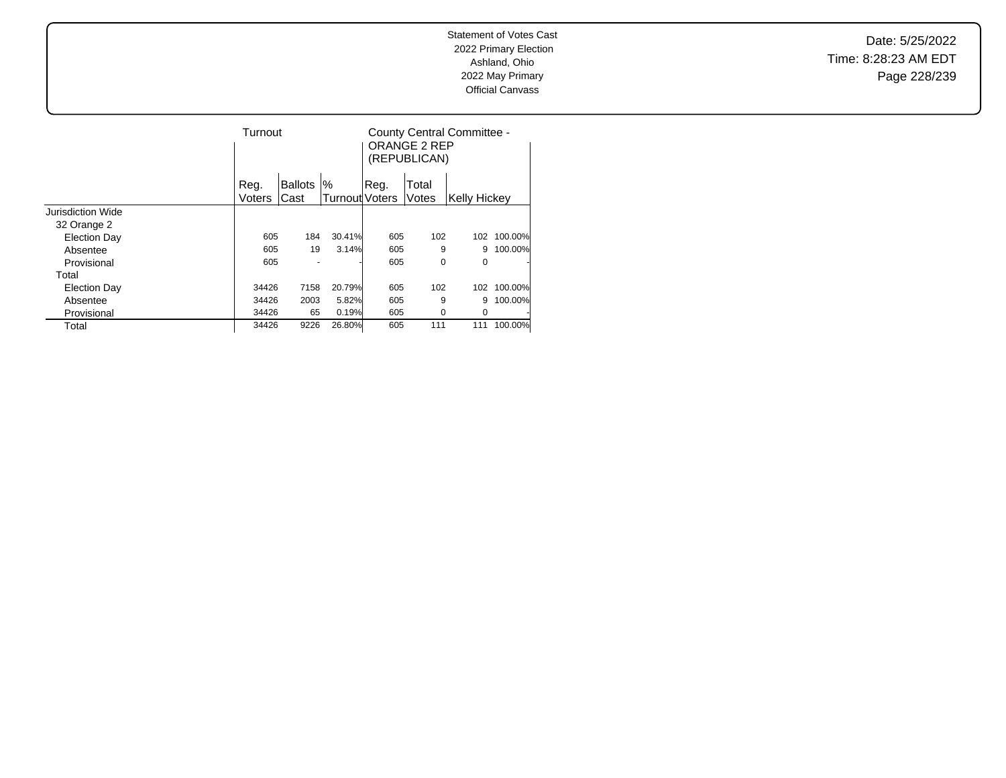Date: 5/25/2022 Time: 8:28:23 AM EDT Page 228/239

|                     |        | Turnout        |                       |      | County Central Committee -<br><b>ORANGE 2 REP</b><br>(REPUBLICAN) |               |         |
|---------------------|--------|----------------|-----------------------|------|-------------------------------------------------------------------|---------------|---------|
|                     | Reg.   | <b>Ballots</b> | %                     | Reg. | Total                                                             |               |         |
|                     | Voters | Cast           | <b>Turnout Voters</b> |      | Votes                                                             | lKellv Hickev |         |
| Jurisdiction Wide   |        |                |                       |      |                                                                   |               |         |
| 32 Orange 2         |        |                |                       |      |                                                                   |               |         |
| <b>Election Day</b> | 605    | 184            | 30.41%                | 605  | 102                                                               | 102           | 100.00% |
| Absentee            | 605    | 19             | 3.14%                 | 605  | 9                                                                 | 9             | 100.00% |
| Provisional         | 605    |                |                       | 605  | 0                                                                 | 0             | ٠       |
| Total               |        |                |                       |      |                                                                   |               |         |
| <b>Election Day</b> | 34426  | 7158           | 20.79%                | 605  | 102                                                               | 102           | 100.00% |
| Absentee            | 34426  | 2003           | 5.82%                 | 605  | 9                                                                 | 9             | 100.00% |
| Provisional         | 34426  | 65             | 0.19%                 | 605  | 0                                                                 | 0             |         |
| Total               | 34426  | 9226           | 26.80%                | 605  | 111                                                               | 111           | 100.00% |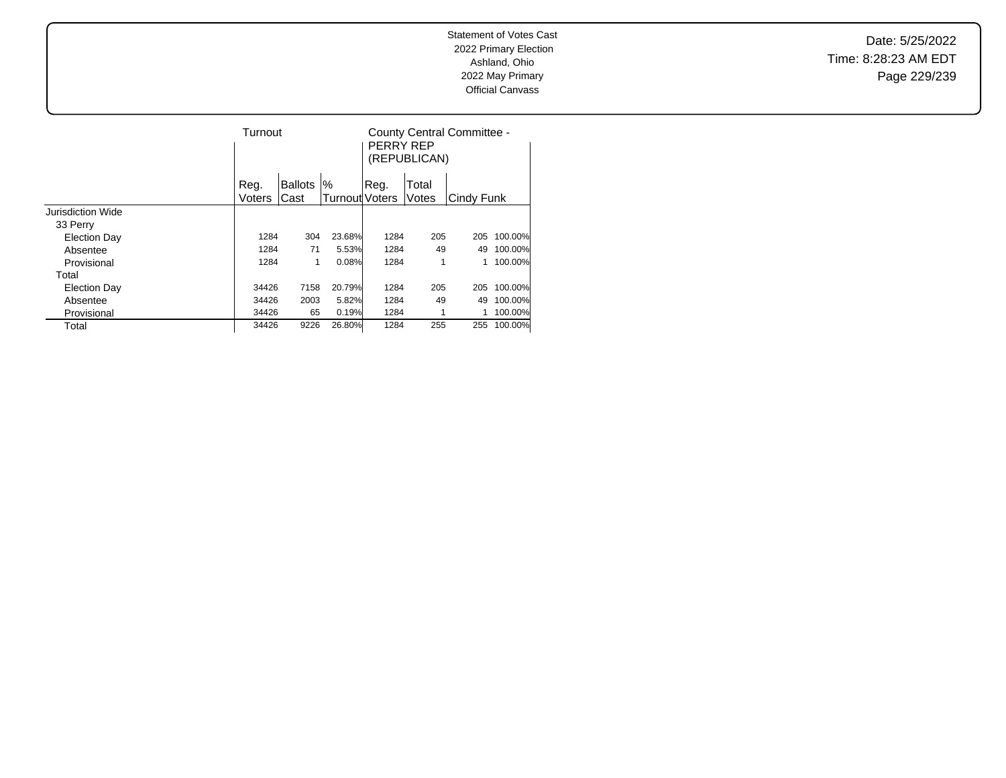Date: 5/25/2022 Time: 8:28:23 AM EDT Page 229/239

|                   | Turnout |                |                | PERRY REP | (REPUBLICAN) | County Central Committee - |         |
|-------------------|---------|----------------|----------------|-----------|--------------|----------------------------|---------|
|                   | Reg.    | <b>Ballots</b> | %              | Reg.      | Total        |                            |         |
|                   | Voters  | Cast           | Turnout Voters |           | Votes        | Cindy Funk                 |         |
| Jurisdiction Wide |         |                |                |           |              |                            |         |
| 33 Perry          |         |                |                |           |              |                            |         |
| Election Day      | 1284    | 304            | 23.68%         | 1284      | 205          | 205                        | 100.00% |
| Absentee          | 1284    | 71             | 5.53%          | 1284      | 49           | 49                         | 100.00% |
| Provisional       | 1284    | 1              | 0.08%          | 1284      | 1            |                            | 100.00% |
| Total             |         |                |                |           |              |                            |         |
| Election Day      | 34426   | 7158           | 20.79%         | 1284      | 205          | 205                        | 100.00% |
| Absentee          | 34426   | 2003           | 5.82%          | 1284      | 49           | 49                         | 100.00% |
| Provisional       | 34426   | 65             | 0.19%          | 1284      |              |                            | 100.00% |
| Total             | 34426   | 9226           | 26.80%         | 1284      | 255          | 255                        | 100.00% |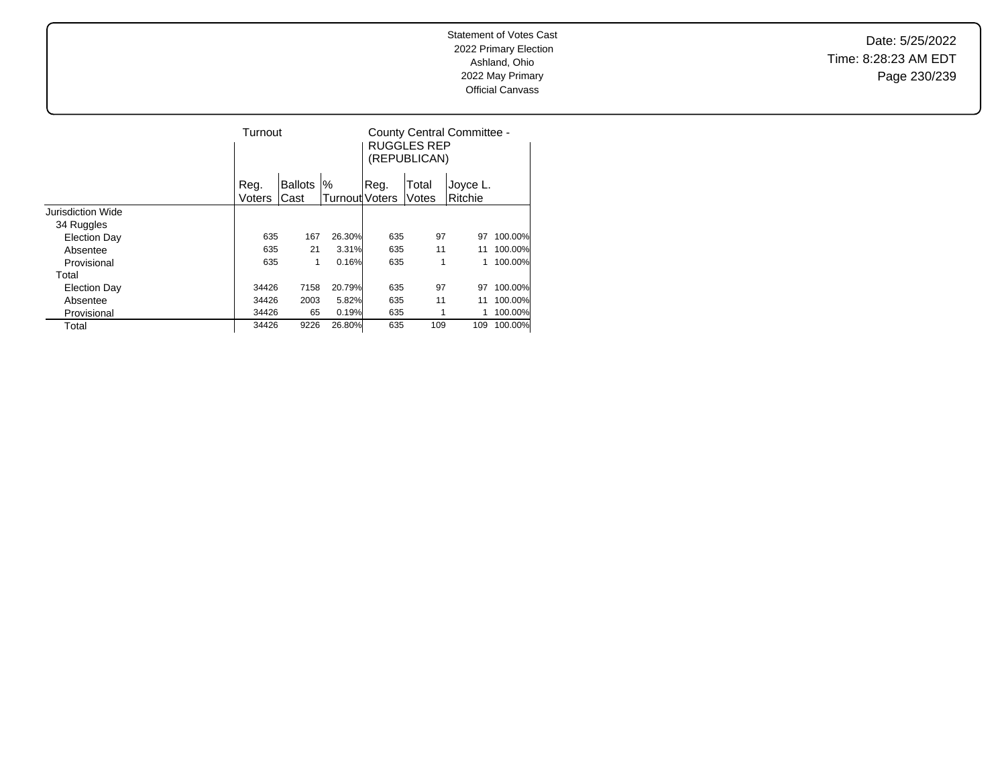Date: 5/25/2022 Time: 8:28:23 AM EDT Page 230/239

|                     | Turnout |                |                       |      | <b>RUGGLES REP</b><br>(REPUBLICAN) | County Central Committee - |         |
|---------------------|---------|----------------|-----------------------|------|------------------------------------|----------------------------|---------|
|                     | Reg.    | <b>Ballots</b> | %                     | Reg. | Total                              | Joyce L.                   |         |
|                     | Voters  | Cast           | <b>Turnout</b> Voters |      | Votes                              | Ritchie                    |         |
| Jurisdiction Wide   |         |                |                       |      |                                    |                            |         |
| 34 Ruggles          |         |                |                       |      |                                    |                            |         |
| <b>Election Day</b> | 635     | 167            | 26.30%                | 635  | 97                                 | 97                         | 100.00% |
| Absentee            | 635     | 21             | 3.31%                 | 635  | 11                                 | 11                         | 100.00% |
| Provisional         | 635     | 1              | 0.16%                 | 635  | 1                                  |                            | 100.00% |
| Total               |         |                |                       |      |                                    |                            |         |
| <b>Election Day</b> | 34426   | 7158           | 20.79%                | 635  | 97                                 | 97                         | 100.00% |
| Absentee            | 34426   | 2003           | 5.82%                 | 635  | 11                                 | 11                         | 100.00% |
| Provisional         | 34426   | 65             | 0.19%                 | 635  | 1                                  |                            | 100.00% |
| Total               | 34426   | 9226           | 26.80%                | 635  | 109                                | 109                        | 100.00% |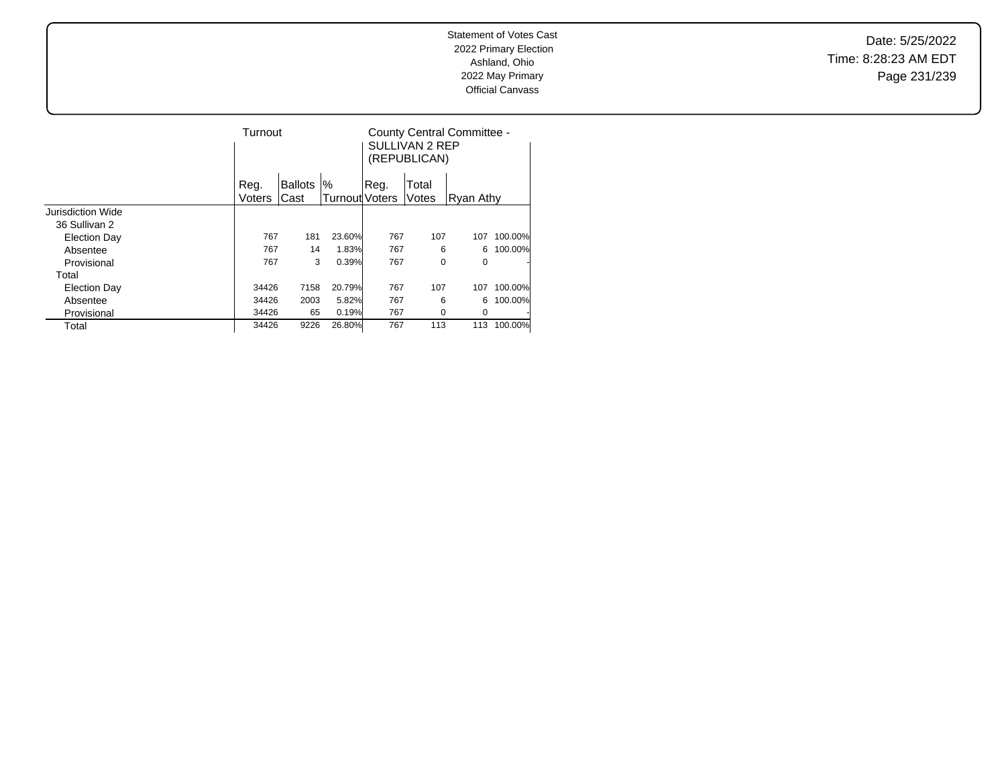Date: 5/25/2022 Time: 8:28:23 AM EDT Page 231/239

|                     | Turnout |                |                |      | SULLIVAN 2 REP<br>(REPUBLICAN) | County Central Committee - |         |
|---------------------|---------|----------------|----------------|------|--------------------------------|----------------------------|---------|
|                     | Reg.    | <b>Ballots</b> | %              | Reg. | Total                          |                            |         |
|                     | Voters  | Cast           | Turnout Voters |      | Votes                          | Ryan Athy                  |         |
| Jurisdiction Wide   |         |                |                |      |                                |                            |         |
| 36 Sullivan 2       |         |                |                |      |                                |                            |         |
| <b>Election Day</b> | 767     | 181            | 23.60%         | 767  | 107                            | 107                        | 100.00% |
| Absentee            | 767     | 14             | 1.83%          | 767  | 6                              | 6                          | 100.00% |
| Provisional         | 767     | 3              | 0.39%          | 767  | 0                              | 0                          | ٠       |
| Total               |         |                |                |      |                                |                            |         |
| <b>Election Day</b> | 34426   | 7158           | 20.79%         | 767  | 107                            | 107                        | 100.00% |
| Absentee            | 34426   | 2003           | 5.82%          | 767  | 6                              | 6                          | 100.00% |
| Provisional         | 34426   | 65             | 0.19%          | 767  | 0                              | 0                          |         |
| Total               | 34426   | 9226           | 26.80%         | 767  | 113                            | 113                        | 100.00% |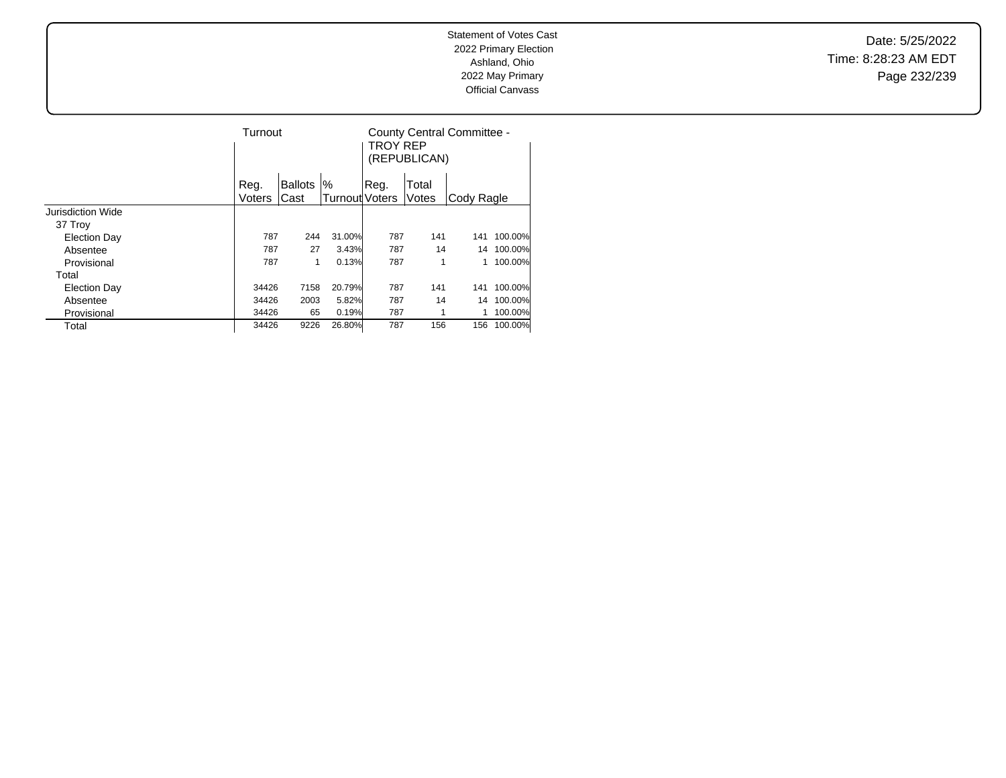Date: 5/25/2022 Time: 8:28:23 AM EDT Page 232/239

|                     | Turnout |                |                | TROY REP | (REPUBLICAN) | County Central Committee - |         |
|---------------------|---------|----------------|----------------|----------|--------------|----------------------------|---------|
|                     | Reg.    | <b>Ballots</b> | %              | Reg.     | Total        |                            |         |
|                     | Voters  | Cast           | Turnout Voters |          | Votes        | Cody Ragle                 |         |
| Jurisdiction Wide   |         |                |                |          |              |                            |         |
| 37 Troy             |         |                |                |          |              |                            |         |
| <b>Election Day</b> | 787     | 244            | 31.00%         | 787      | 141          | 141                        | 100.00% |
| Absentee            | 787     | 27             | 3.43%          | 787      | 14           | 14                         | 100.00% |
| Provisional         | 787     | 1              | 0.13%          | 787      | 1            |                            | 100.00% |
| Total               |         |                |                |          |              |                            |         |
| <b>Election Day</b> | 34426   | 7158           | 20.79%         | 787      | 141          | 141                        | 100.00% |
| Absentee            | 34426   | 2003           | 5.82%          | 787      | 14           | 14                         | 100.00% |
| Provisional         | 34426   | 65             | 0.19%          | 787      | 1            |                            | 100.00% |
| Total               | 34426   | 9226           | 26.80%         | 787      | 156          | 156                        | 100.00% |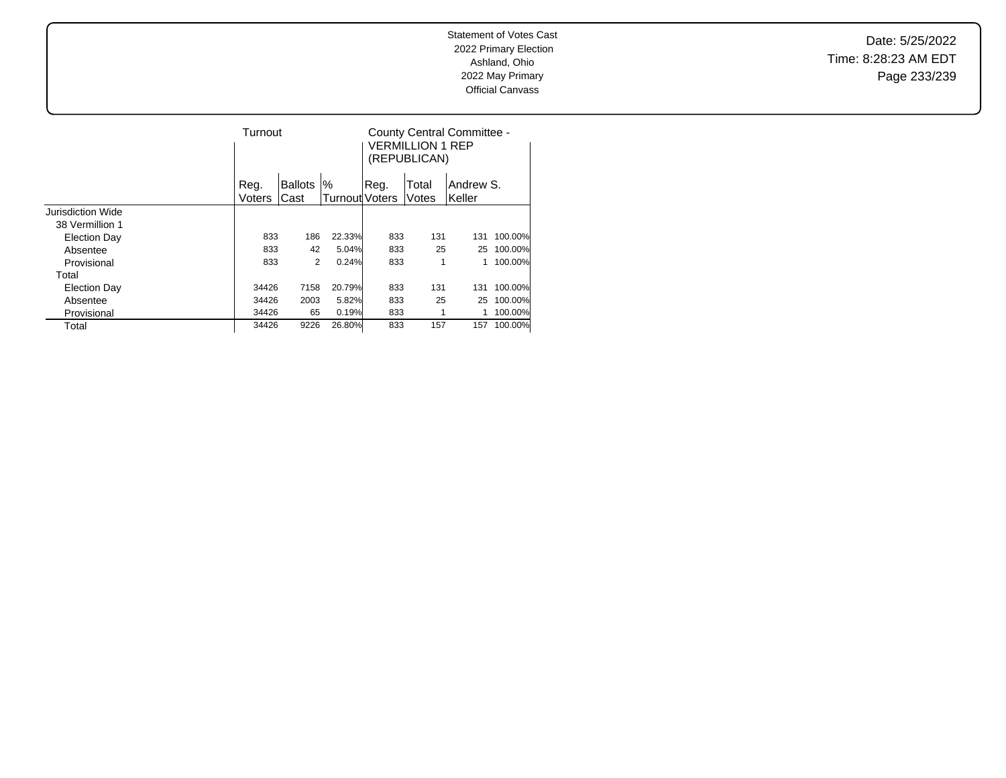Date: 5/25/2022 Time: 8:28:23 AM EDT Page 233/239

|                     | Turnout |                |                       |      | <b>VERMILLION 1 REP</b><br>(REPUBLICAN) | County Central Committee - |         |
|---------------------|---------|----------------|-----------------------|------|-----------------------------------------|----------------------------|---------|
|                     | Reg.    | <b>Ballots</b> | $\%$                  | Reg. | Total                                   | Andrew S.                  |         |
|                     | Voters  | Cast           | <b>Turnout</b> Voters |      | Votes                                   | Keller                     |         |
| Jurisdiction Wide   |         |                |                       |      |                                         |                            |         |
| 38 Vermillion 1     |         |                |                       |      |                                         |                            |         |
| <b>Election Day</b> | 833     | 186            | 22.33%                | 833  | 131                                     | 131                        | 100.00% |
| Absentee            | 833     | 42             | 5.04%                 | 833  | 25                                      | 25                         | 100.00% |
| Provisional         | 833     | 2              | 0.24%                 | 833  | 1                                       |                            | 100.00% |
| Total               |         |                |                       |      |                                         |                            |         |
| <b>Election Day</b> | 34426   | 7158           | 20.79%                | 833  | 131                                     | 131                        | 100.00% |
| Absentee            | 34426   | 2003           | 5.82%                 | 833  | 25                                      | 25                         | 100.00% |
| Provisional         | 34426   | 65             | 0.19%                 | 833  |                                         |                            | 100.00% |
| Total               | 34426   | 9226           | 26.80%                | 833  | 157                                     | 157                        | 100.00% |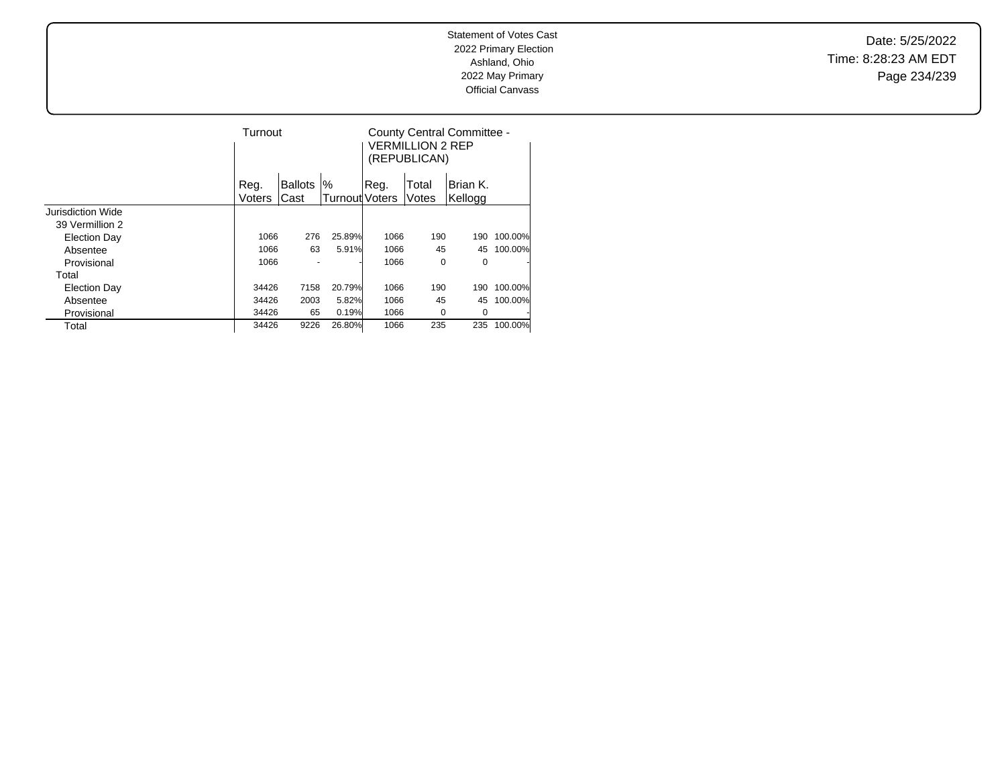Date: 5/25/2022 Time: 8:28:23 AM EDT Page 234/239

|                     | Turnout |                |                       |      | VERMILLION 2 REP<br>(REPUBLICAN) | County Central Committee - |         |
|---------------------|---------|----------------|-----------------------|------|----------------------------------|----------------------------|---------|
|                     | Reg.    | <b>Ballots</b> | %                     | Reg. | Total                            | Brian K.                   |         |
|                     | Voters  | Cast           | <b>Turnout Voters</b> |      | Votes                            | Kellogg                    |         |
| Jurisdiction Wide   |         |                |                       |      |                                  |                            |         |
| 39 Vermillion 2     |         |                |                       |      |                                  |                            |         |
| <b>Election Day</b> | 1066    | 276            | 25.89%                | 1066 | 190                              | 190                        | 100.00% |
| Absentee            | 1066    | 63             | 5.91%                 | 1066 | 45                               | 45                         | 100.00% |
| Provisional         | 1066    |                |                       | 1066 | 0                                | 0                          | ٠       |
| Total               |         |                |                       |      |                                  |                            |         |
| <b>Election Day</b> | 34426   | 7158           | 20.79%                | 1066 | 190                              | 190                        | 100.00% |
| Absentee            | 34426   | 2003           | 5.82%                 | 1066 | 45                               | 45                         | 100.00% |
| Provisional         | 34426   | 65             | 0.19%                 | 1066 | 0                                | 0                          |         |
| Total               | 34426   | 9226           | 26.80%                | 1066 | 235                              | 235                        | 100.00% |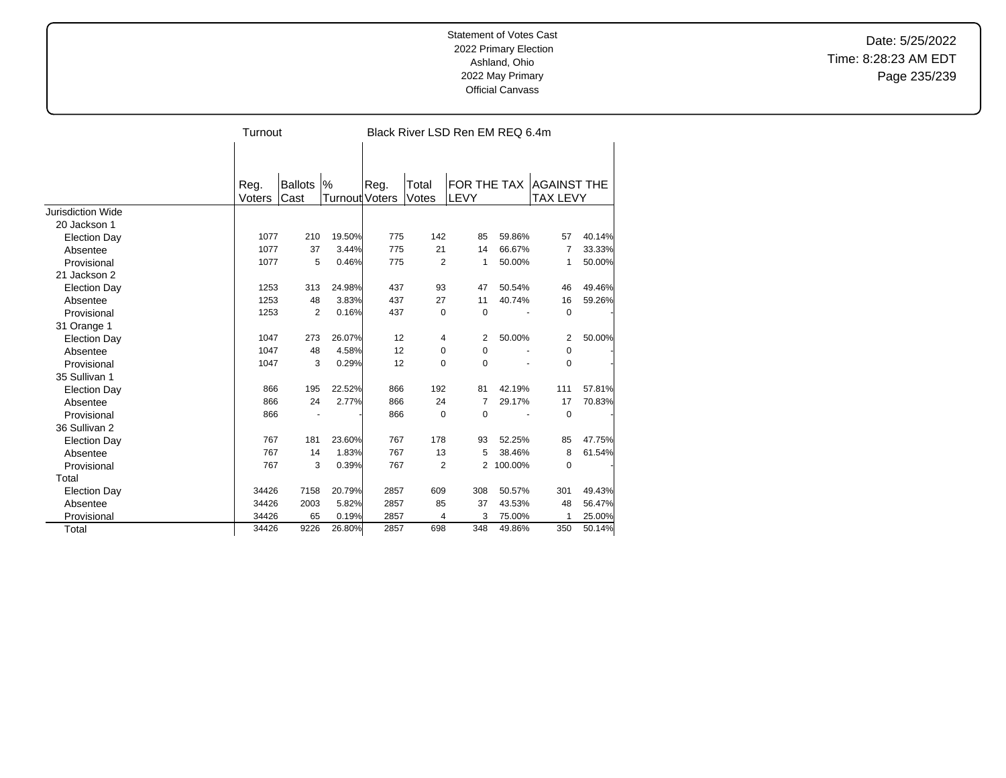Date: 5/25/2022 Time: 8:28:23 AM EDT Page 235/239

|                     | Turnout |                |                       |      |             | Black River LSD Ren EM REQ 6.4m |         |                    |        |
|---------------------|---------|----------------|-----------------------|------|-------------|---------------------------------|---------|--------------------|--------|
|                     |         |                |                       |      |             |                                 |         |                    |        |
|                     |         |                |                       |      |             |                                 |         |                    |        |
|                     | Reg.    | <b>Ballots</b> | $\%$                  | Reg. | Total       | FOR THE TAX                     |         | <b>AGAINST THE</b> |        |
|                     | Voters  | <b>Cast</b>    | <b>Turnout Voters</b> |      | Votes       | LEVY                            |         | <b>TAX LEVY</b>    |        |
| Jurisdiction Wide   |         |                |                       |      |             |                                 |         |                    |        |
| 20 Jackson 1        |         |                |                       |      |             |                                 |         |                    |        |
| <b>Election Day</b> | 1077    | 210            | 19.50%                | 775  | 142         | 85                              | 59.86%  | 57                 | 40.14% |
| Absentee            | 1077    | 37             | 3.44%                 | 775  | 21          | 14                              | 66.67%  | 7                  | 33.33% |
| Provisional         | 1077    | 5              | 0.46%                 | 775  | 2           | $\mathbf{1}$                    | 50.00%  | 1                  | 50.00% |
| 21 Jackson 2        |         |                |                       |      |             |                                 |         |                    |        |
| <b>Election Day</b> | 1253    | 313            | 24.98%                | 437  | 93          | 47                              | 50.54%  | 46                 | 49.46% |
| Absentee            | 1253    | 48             | 3.83%                 | 437  | 27          | 11                              | 40.74%  | 16                 | 59.26% |
| Provisional         | 1253    | $\overline{2}$ | 0.16%                 | 437  | $\mathbf 0$ | $\mathbf 0$                     |         | $\mathbf 0$        |        |
| 31 Orange 1         |         |                |                       |      |             |                                 |         |                    |        |
| <b>Election Day</b> | 1047    | 273            | 26.07%                | 12   | 4           | 2                               | 50.00%  | 2                  | 50.00% |
| Absentee            | 1047    | 48             | 4.58%                 | 12   | 0           | $\Omega$                        |         | 0                  |        |
| Provisional         | 1047    | 3              | 0.29%                 | 12   | $\mathbf 0$ | $\Omega$                        |         | $\mathbf 0$        |        |
| 35 Sullivan 1       |         |                |                       |      |             |                                 |         |                    |        |
| <b>Election Day</b> | 866     | 195            | 22.52%                | 866  | 192         | 81                              | 42.19%  | 111                | 57.81% |
| Absentee            | 866     | 24             | 2.77%                 | 866  | 24          | $\overline{7}$                  | 29.17%  | 17                 | 70.83% |
| Provisional         | 866     |                |                       | 866  | $\mathbf 0$ | $\Omega$                        |         | $\mathbf 0$        |        |
| 36 Sullivan 2       |         |                |                       |      |             |                                 |         |                    |        |
| <b>Election Day</b> | 767     | 181            | 23.60%                | 767  | 178         | 93                              | 52.25%  | 85                 | 47.75% |
| Absentee            | 767     | 14             | 1.83%                 | 767  | 13          | 5                               | 38.46%  | 8                  | 61.54% |
| Provisional         | 767     | 3              | 0.39%                 | 767  | 2           | $\overline{2}$                  | 100.00% | 0                  |        |
| Total               |         |                |                       |      |             |                                 |         |                    |        |
| <b>Election Day</b> | 34426   | 7158           | 20.79%                | 2857 | 609         | 308                             | 50.57%  | 301                | 49.43% |
| Absentee            | 34426   | 2003           | 5.82%                 | 2857 | 85          | 37                              | 43.53%  | 48                 | 56.47% |
| Provisional         | 34426   | 65             | 0.19%                 | 2857 | 4           | 3                               | 75.00%  | 1                  | 25.00% |
| Total               | 34426   | 9226           | 26.80%                | 2857 | 698         | 348                             | 49.86%  | 350                | 50.14% |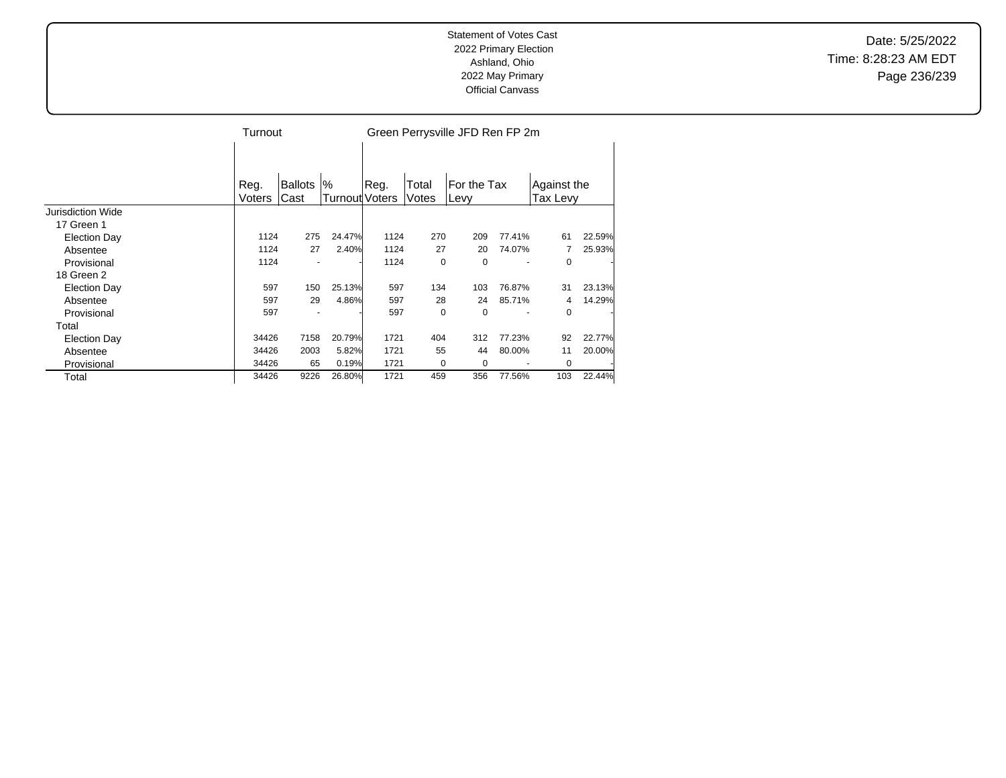Date: 5/25/2022 Time: 8:28:23 AM EDT Page 236/239

|                     | Turnout        |                 |                            | Green Perrysville JFD Ren FP 2m |                |                     |        |                         |        |  |  |
|---------------------|----------------|-----------------|----------------------------|---------------------------------|----------------|---------------------|--------|-------------------------|--------|--|--|
|                     |                |                 |                            |                                 |                |                     |        |                         |        |  |  |
|                     | Reg.<br>Voters | Ballots<br>Cast | %<br><b>Turnout Voters</b> | Reg.                            | Total<br>Votes | For the Tax<br>Levy |        | Against the<br>Tax Levy |        |  |  |
| Jurisdiction Wide   |                |                 |                            |                                 |                |                     |        |                         |        |  |  |
| 17 Green 1          |                |                 |                            |                                 |                |                     |        |                         |        |  |  |
| <b>Election Day</b> | 1124           | 275             | 24.47%                     | 1124                            | 270            | 209                 | 77.41% | 61                      | 22.59% |  |  |
| Absentee            | 1124           | 27              | 2.40%                      | 1124                            | 27             | 20                  | 74.07% |                         | 25.93% |  |  |
| Provisional         | 1124           |                 |                            | 1124                            | $\mathbf 0$    | 0                   |        | 0                       |        |  |  |
| 18 Green 2          |                |                 |                            |                                 |                |                     |        |                         |        |  |  |
| <b>Election Day</b> | 597            | 150             | 25.13%                     | 597                             | 134            | 103                 | 76.87% | 31                      | 23.13% |  |  |
| Absentee            | 597            | 29              | 4.86%                      | 597                             | 28             | 24                  | 85.71% | 4                       | 14.29% |  |  |
| Provisional         | 597            |                 |                            | 597                             | 0              | 0                   |        | $\Omega$                |        |  |  |
| Total               |                |                 |                            |                                 |                |                     |        |                         |        |  |  |
| <b>Election Day</b> | 34426          | 7158            | 20.79%                     | 1721                            | 404            | 312                 | 77.23% | 92                      | 22.77% |  |  |
| Absentee            | 34426          | 2003            | 5.82%                      | 1721                            | 55             | 44                  | 80.00% | 11                      | 20.00% |  |  |
| Provisional         | 34426          | 65              | 0.19%                      | 1721                            | 0              | 0                   |        | 0                       |        |  |  |
| Total               | 34426          | 9226            | 26.80%                     | 1721                            | 459            | 356                 | 77.56% | 103                     | 22.44% |  |  |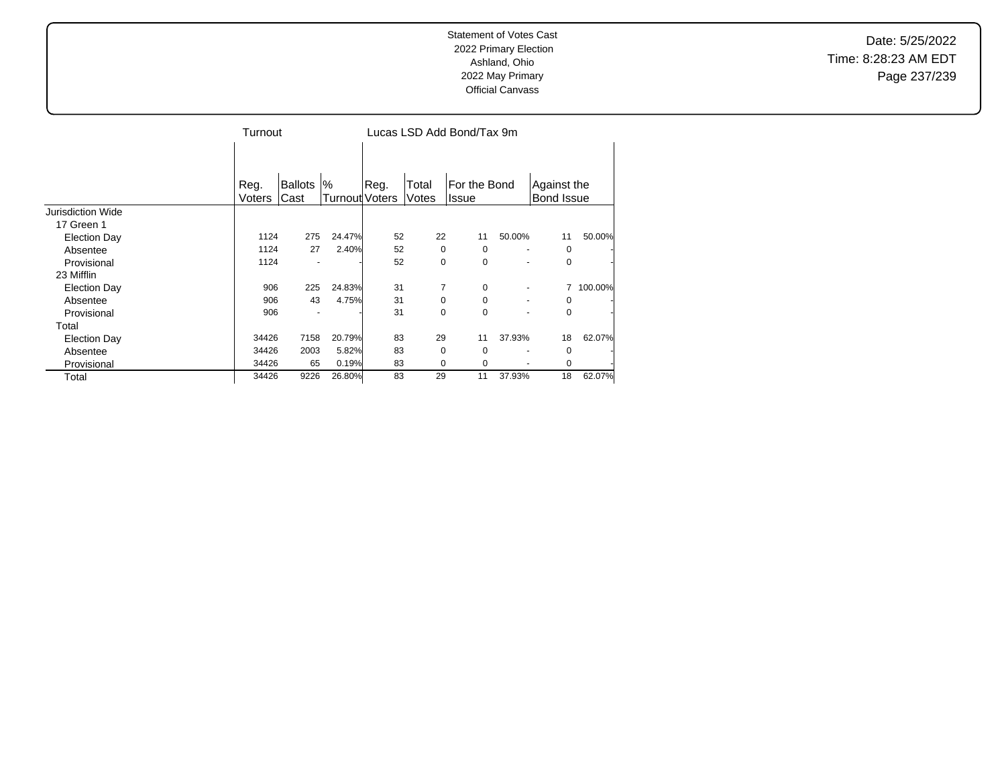Date: 5/25/2022 Time: 8:28:23 AM EDT Page 237/239

|                     |                | Turnout                |                     |      | Lucas LSD Add Bond/Tax 9m |                              |        |                                  |         |
|---------------------|----------------|------------------------|---------------------|------|---------------------------|------------------------------|--------|----------------------------------|---------|
|                     | Reg.<br>Voters | <b>Ballots</b><br>Cast | %<br>Turnout Voters | Reg. | Total<br>Votes            | For the Bond<br><b>Issue</b> |        | Against the<br><b>Bond Issue</b> |         |
| Jurisdiction Wide   |                |                        |                     |      |                           |                              |        |                                  |         |
| 17 Green 1          |                |                        |                     |      |                           |                              |        |                                  |         |
| <b>Election Day</b> | 1124           | 275                    | 24.47%              | 52   | 22                        | 11                           | 50.00% | 11                               | 50.00%  |
| Absentee            | 1124           | 27                     | 2.40%               | 52   | 0                         | 0                            |        | 0                                |         |
| Provisional         | 1124           |                        |                     | 52   | $\mathbf 0$               | 0                            |        | 0                                |         |
| 23 Mifflin          |                |                        |                     |      |                           |                              |        |                                  |         |
| <b>Election Day</b> | 906            | 225                    | 24.83%              | 31   | 7                         | 0                            |        |                                  | 100.00% |
| Absentee            | 906            | 43                     | 4.75%               | 31   | $\Omega$                  | 0                            | ٠      | $\Omega$                         |         |
| Provisional         | 906            |                        |                     | 31   | 0                         | 0                            |        | $\Omega$                         |         |
| Total               |                |                        |                     |      |                           |                              |        |                                  |         |
| <b>Election Day</b> | 34426          | 7158                   | 20.79%              | 83   | 29                        | 11                           | 37.93% | 18                               | 62.07%  |
| Absentee            | 34426          | 2003                   | 5.82%               | 83   | 0                         | 0                            |        | 0                                |         |
| Provisional         | 34426          | 65                     | 0.19%               | 83   | 0                         | 0                            |        | 0                                |         |
| Total               | 34426          | 9226                   | 26.80%              | 83   | 29                        | 11                           | 37.93% | 18                               | 62.07%  |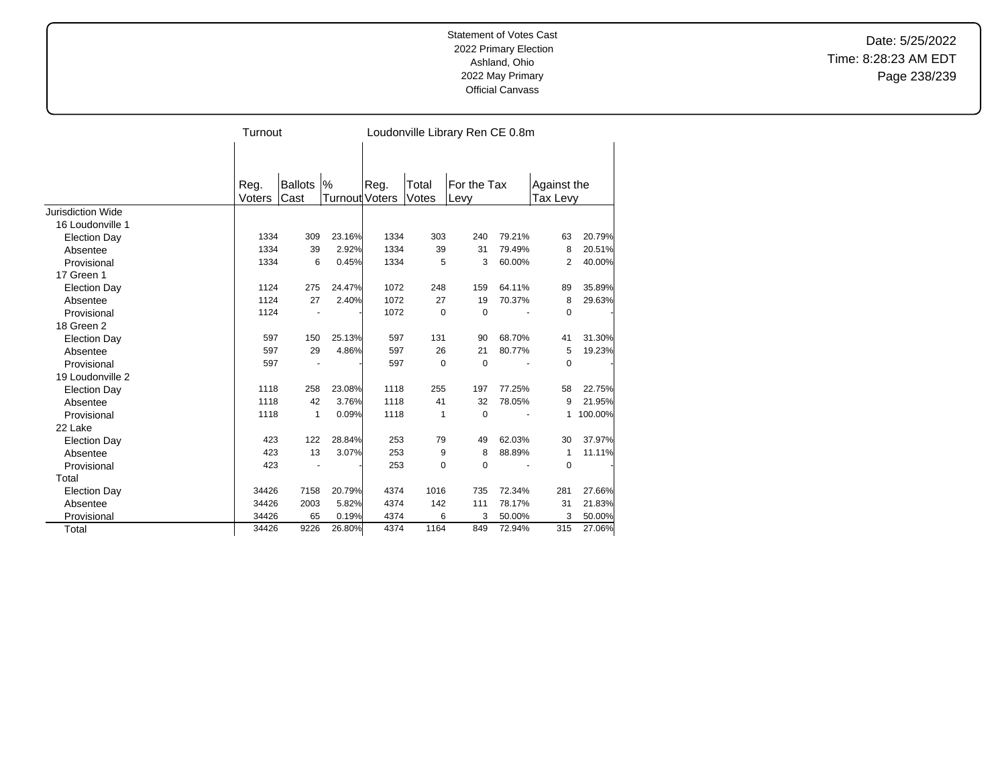Date: 5/25/2022 Time: 8:28:23 AM EDT Page 238/239

|                     | Turnout |                |                |      |       | Loudonville Library Ren CE 0.8m |        |             |         |
|---------------------|---------|----------------|----------------|------|-------|---------------------------------|--------|-------------|---------|
|                     |         |                |                |      |       |                                 |        |             |         |
|                     | Reg.    | <b>Ballots</b> | %              | Reg. | Total | For the Tax                     |        | Against the |         |
|                     | Voters  | Cast           | Turnout Voters |      | Votes | Levy                            |        | Tax Levy    |         |
| Jurisdiction Wide   |         |                |                |      |       |                                 |        |             |         |
| 16 Loudonville 1    |         |                |                |      |       |                                 |        |             |         |
| <b>Election Day</b> | 1334    | 309            | 23.16%         | 1334 | 303   | 240                             | 79.21% | 63          | 20.79%  |
| Absentee            | 1334    | 39             | 2.92%          | 1334 | 39    | 31                              | 79.49% | 8           | 20.51%  |
| Provisional         | 1334    | 6              | 0.45%          | 1334 | 5     | 3                               | 60.00% | 2           | 40.00%  |
| 17 Green 1          |         |                |                |      |       |                                 |        |             |         |
| <b>Election Day</b> | 1124    | 275            | 24.47%         | 1072 | 248   | 159                             | 64.11% | 89          | 35.89%  |
| Absentee            | 1124    | 27             | 2.40%          | 1072 | 27    | 19                              | 70.37% | 8           | 29.63%  |
| Provisional         | 1124    |                |                | 1072 | 0     | 0                               |        | 0           |         |
| 18 Green 2          |         |                |                |      |       |                                 |        |             |         |
| <b>Election Day</b> | 597     | 150            | 25.13%         | 597  | 131   | 90                              | 68.70% | 41          | 31.30%  |
| Absentee            | 597     | 29             | 4.86%          | 597  | 26    | 21                              | 80.77% | 5           | 19.23%  |
| Provisional         | 597     |                |                | 597  | 0     | $\mathbf 0$                     |        | 0           |         |
| 19 Loudonville 2    |         |                |                |      |       |                                 |        |             |         |
| <b>Election Day</b> | 1118    | 258            | 23.08%         | 1118 | 255   | 197                             | 77.25% | 58          | 22.75%  |
| Absentee            | 1118    | 42             | 3.76%          | 1118 | 41    | 32                              | 78.05% | 9           | 21.95%  |
| Provisional         | 1118    | $\mathbf{1}$   | 0.09%          | 1118 | 1     | $\Omega$                        |        | 1           | 100.00% |
| 22 Lake             |         |                |                |      |       |                                 |        |             |         |
| <b>Election Day</b> | 423     | 122            | 28.84%         | 253  | 79    | 49                              | 62.03% | 30          | 37.97%  |
| Absentee            | 423     | 13             | 3.07%          | 253  | 9     | 8                               | 88.89% | $\mathbf 1$ | 11.11%  |
| Provisional         | 423     |                |                | 253  | 0     | 0                               |        | $\mathbf 0$ |         |
| Total               |         |                |                |      |       |                                 |        |             |         |
| <b>Election Day</b> | 34426   | 7158           | 20.79%         | 4374 | 1016  | 735                             | 72.34% | 281         | 27.66%  |
| Absentee            | 34426   | 2003           | 5.82%          | 4374 | 142   | 111                             | 78.17% | 31          | 21.83%  |
| Provisional         | 34426   | 65             | 0.19%          | 4374 | 6     | 3                               | 50.00% | 3           | 50.00%  |
| Total               | 34426   | 9226           | 26.80%         | 4374 | 1164  | 849                             | 72.94% | 315         | 27.06%  |